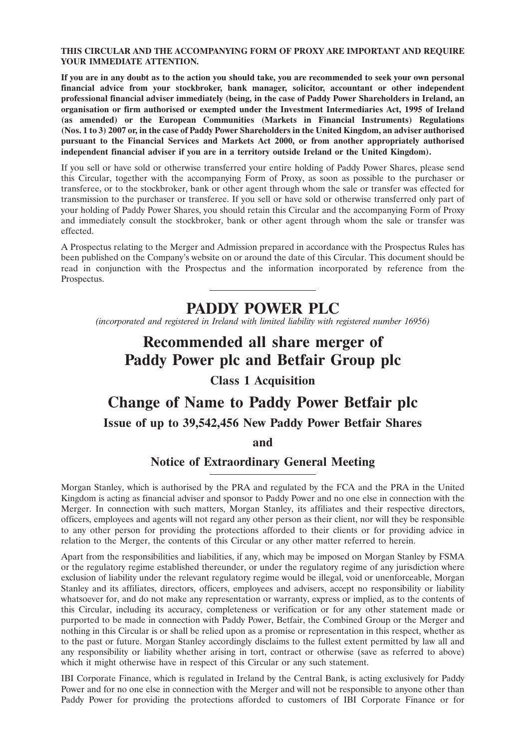#### **THIS CIRCULAR AND THE ACCOMPANYING FORM OF PROXY ARE IMPORTANT AND REQUIRE YOUR IMMEDIATE ATTENTION.**

**If you are in any doubt as to the action you should take, you are recommended to seek your own personal financial advice from your stockbroker, bank manager, solicitor, accountant or other independent professional financial adviser immediately (being, in the case of Paddy Power Shareholders in Ireland, an organisation or firm authorised or exempted under the Investment Intermediaries Act, 1995 of Ireland (as amended) or the European Communities (Markets in Financial Instruments) Regulations (Nos. 1 to 3) 2007 or, in the case of Paddy Power Shareholders in the United Kingdom, an adviser authorised pursuant to the Financial Services and Markets Act 2000, or from another appropriately authorised independent financial adviser if you are in a territory outside Ireland or the United Kingdom).**

If you sell or have sold or otherwise transferred your entire holding of Paddy Power Shares, please send this Circular, together with the accompanying Form of Proxy, as soon as possible to the purchaser or transferee, or to the stockbroker, bank or other agent through whom the sale or transfer was effected for transmission to the purchaser or transferee. If you sell or have sold or otherwise transferred only part of your holding of Paddy Power Shares, you should retain this Circular and the accompanying Form of Proxy and immediately consult the stockbroker, bank or other agent through whom the sale or transfer was effected.

A Prospectus relating to the Merger and Admission prepared in accordance with the Prospectus Rules has been published on the Company's website on or around the date of this Circular. This document should be read in conjunction with the Prospectus and the information incorporated by reference from the Prospectus.

## **PADDY POWER PLC**

*(incorporated and registered in Ireland with limited liability with registered number 16956)*

# **Recommended all share merger of Paddy Power plc and Betfair Group plc**

## **Class 1 Acquisition**

# **Change of Name to Paddy Power Betfair plc Issue of up to 39,542,456 New Paddy Power Betfair Shares and**

## **Notice of Extraordinary General Meeting**

Morgan Stanley, which is authorised by the PRA and regulated by the FCA and the PRA in the United Kingdom is acting as financial adviser and sponsor to Paddy Power and no one else in connection with the Merger. In connection with such matters, Morgan Stanley, its affiliates and their respective directors, officers, employees and agents will not regard any other person as their client, nor will they be responsible to any other person for providing the protections afforded to their clients or for providing advice in relation to the Merger, the contents of this Circular or any other matter referred to herein.

Apart from the responsibilities and liabilities, if any, which may be imposed on Morgan Stanley by FSMA or the regulatory regime established thereunder, or under the regulatory regime of any jurisdiction where exclusion of liability under the relevant regulatory regime would be illegal, void or unenforceable, Morgan Stanley and its affiliates, directors, officers, employees and advisers, accept no responsibility or liability whatsoever for, and do not make any representation or warranty, express or implied, as to the contents of this Circular, including its accuracy, completeness or verification or for any other statement made or purported to be made in connection with Paddy Power, Betfair, the Combined Group or the Merger and nothing in this Circular is or shall be relied upon as a promise or representation in this respect, whether as to the past or future. Morgan Stanley accordingly disclaims to the fullest extent permitted by law all and any responsibility or liability whether arising in tort, contract or otherwise (save as referred to above) which it might otherwise have in respect of this Circular or any such statement.

IBI Corporate Finance, which is regulated in Ireland by the Central Bank, is acting exclusively for Paddy Power and for no one else in connection with the Merger and will not be responsible to anyone other than Paddy Power for providing the protections afforded to customers of IBI Corporate Finance or for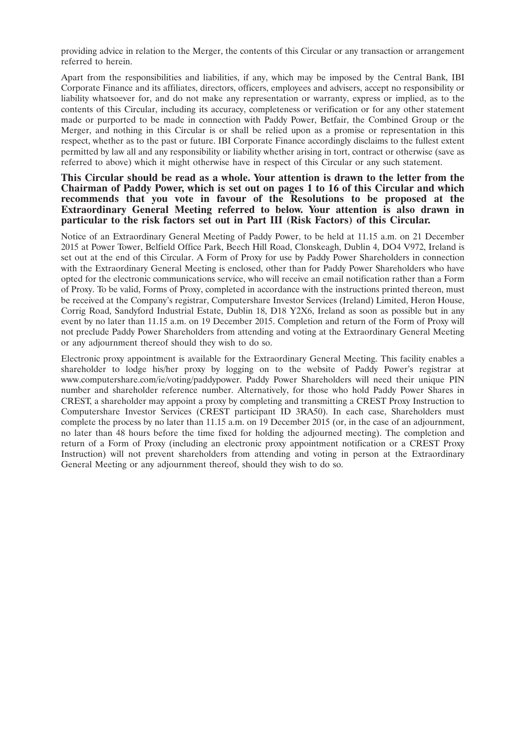providing advice in relation to the Merger, the contents of this Circular or any transaction or arrangement referred to herein.

Apart from the responsibilities and liabilities, if any, which may be imposed by the Central Bank, IBI Corporate Finance and its affiliates, directors, officers, employees and advisers, accept no responsibility or liability whatsoever for, and do not make any representation or warranty, express or implied, as to the contents of this Circular, including its accuracy, completeness or verification or for any other statement made or purported to be made in connection with Paddy Power, Betfair, the Combined Group or the Merger, and nothing in this Circular is or shall be relied upon as a promise or representation in this respect, whether as to the past or future. IBI Corporate Finance accordingly disclaims to the fullest extent permitted by law all and any responsibility or liability whether arising in tort, contract or otherwise (save as referred to above) which it might otherwise have in respect of this Circular or any such statement.

## **This Circular should be read as a whole. Your attention is drawn to the letter from the Chairman of Paddy Power, which is set out on pages 1 to 16 of this Circular and which recommends that you vote in favour of the Resolutions to be proposed at the Extraordinary General Meeting referred to below. Your attention is also drawn in particular to the risk factors set out in Part III (Risk Factors) of this Circular.**

Notice of an Extraordinary General Meeting of Paddy Power, to be held at 11.15 a.m. on 21 December 2015 at Power Tower, Belfield Office Park, Beech Hill Road, Clonskeagh, Dublin 4, DO4 V972, Ireland is set out at the end of this Circular. A Form of Proxy for use by Paddy Power Shareholders in connection with the Extraordinary General Meeting is enclosed, other than for Paddy Power Shareholders who have opted for the electronic communications service, who will receive an email notification rather than a Form of Proxy. To be valid, Forms of Proxy, completed in accordance with the instructions printed thereon, must be received at the Company's registrar, Computershare Investor Services (Ireland) Limited, Heron House, Corrig Road, Sandyford Industrial Estate, Dublin 18, D18 Y2X6, Ireland as soon as possible but in any event by no later than 11.15 a.m. on 19 December 2015. Completion and return of the Form of Proxy will not preclude Paddy Power Shareholders from attending and voting at the Extraordinary General Meeting or any adjournment thereof should they wish to do so.

Electronic proxy appointment is available for the Extraordinary General Meeting. This facility enables a shareholder to lodge his/her proxy by logging on to the website of Paddy Power's registrar at www.computershare.com/ie/voting/paddypower. Paddy Power Shareholders will need their unique PIN number and shareholder reference number. Alternatively, for those who hold Paddy Power Shares in CREST, a shareholder may appoint a proxy by completing and transmitting a CREST Proxy Instruction to Computershare Investor Services (CREST participant ID 3RA50). In each case, Shareholders must complete the process by no later than 11.15 a.m. on 19 December 2015 (or, in the case of an adjournment, no later than 48 hours before the time fixed for holding the adjourned meeting). The completion and return of a Form of Proxy (including an electronic proxy appointment notification or a CREST Proxy Instruction) will not prevent shareholders from attending and voting in person at the Extraordinary General Meeting or any adjournment thereof, should they wish to do so.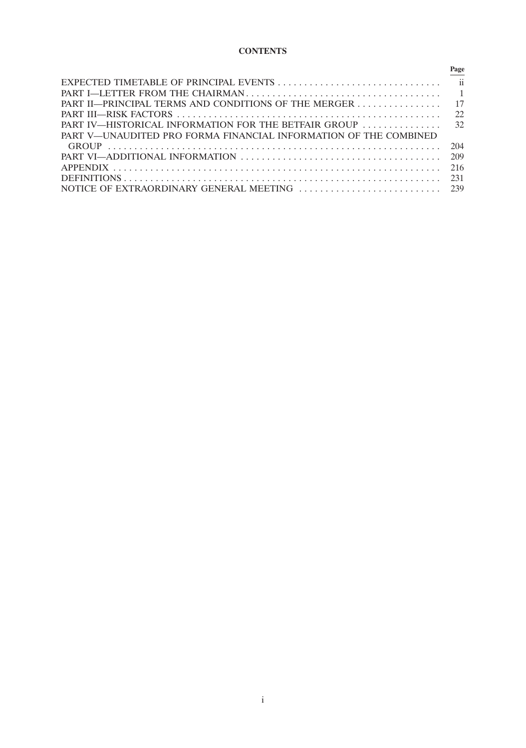## **CONTENTS**

|                                                                  | Page |
|------------------------------------------------------------------|------|
|                                                                  |      |
|                                                                  |      |
| PART II—PRINCIPAL TERMS AND CONDITIONS OF THE MERGER 17          |      |
|                                                                  | 22.  |
|                                                                  |      |
| PART V—UNAUDITED PRO FORMA FINANCIAL INFORMATION OF THE COMBINED |      |
|                                                                  | 204  |
| PART VI—ADDITIONAL INFORMATION                                   | 209  |
|                                                                  |      |
|                                                                  |      |
|                                                                  |      |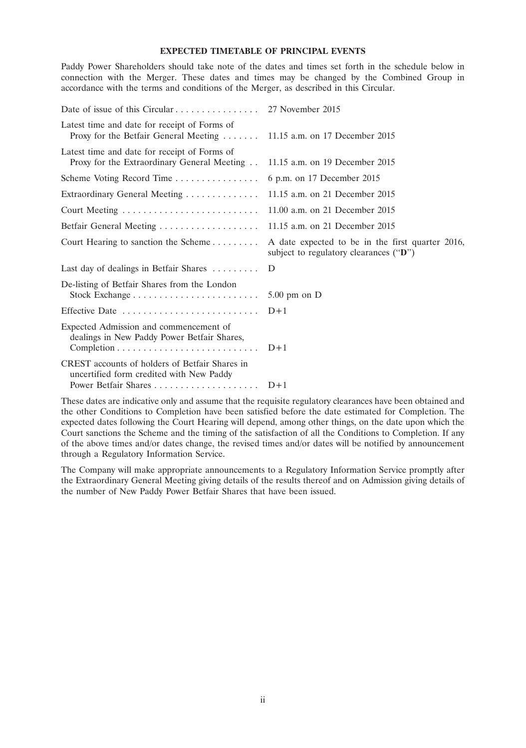#### **EXPECTED TIMETABLE OF PRINCIPAL EVENTS**

Paddy Power Shareholders should take note of the dates and times set forth in the schedule below in connection with the Merger. These dates and times may be changed by the Combined Group in accordance with the terms and conditions of the Merger, as described in this Circular.

| Date of issue of this Circular 27 November 2015                                             |                                                                                            |  |
|---------------------------------------------------------------------------------------------|--------------------------------------------------------------------------------------------|--|
| Latest time and date for receipt of Forms of<br>Proxy for the Betfair General Meeting       | 11.15 a.m. on 17 December 2015                                                             |  |
| Latest time and date for receipt of Forms of<br>Proxy for the Extraordinary General Meeting | 11.15 a.m. on 19 December 2015                                                             |  |
| Scheme Voting Record Time                                                                   | 6 p.m. on 17 December 2015                                                                 |  |
| Extraordinary General Meeting                                                               | 11.15 a.m. on 21 December 2015                                                             |  |
|                                                                                             | 11.00 a.m. on 21 December 2015                                                             |  |
| Betfair General Meeting                                                                     | 11.15 a.m. on 21 December 2015                                                             |  |
| Court Hearing to sanction the Scheme                                                        | A date expected to be in the first quarter 2016,<br>subject to regulatory clearances ("D") |  |
| Last day of dealings in Betfair Shares                                                      | D                                                                                          |  |
| De-listing of Betfair Shares from the London                                                | $5.00$ pm on $D$                                                                           |  |
| Effective Date                                                                              | $D+1$                                                                                      |  |
| Expected Admission and commencement of<br>dealings in New Paddy Power Betfair Shares,       | $D+1$                                                                                      |  |
| CREST accounts of holders of Betfair Shares in<br>uncertified form credited with New Paddy  |                                                                                            |  |

These dates are indicative only and assume that the requisite regulatory clearances have been obtained and the other Conditions to Completion have been satisfied before the date estimated for Completion. The expected dates following the Court Hearing will depend, among other things, on the date upon which the Court sanctions the Scheme and the timing of the satisfaction of all the Conditions to Completion. If any of the above times and/or dates change, the revised times and/or dates will be notified by announcement through a Regulatory Information Service.

The Company will make appropriate announcements to a Regulatory Information Service promptly after the Extraordinary General Meeting giving details of the results thereof and on Admission giving details of the number of New Paddy Power Betfair Shares that have been issued.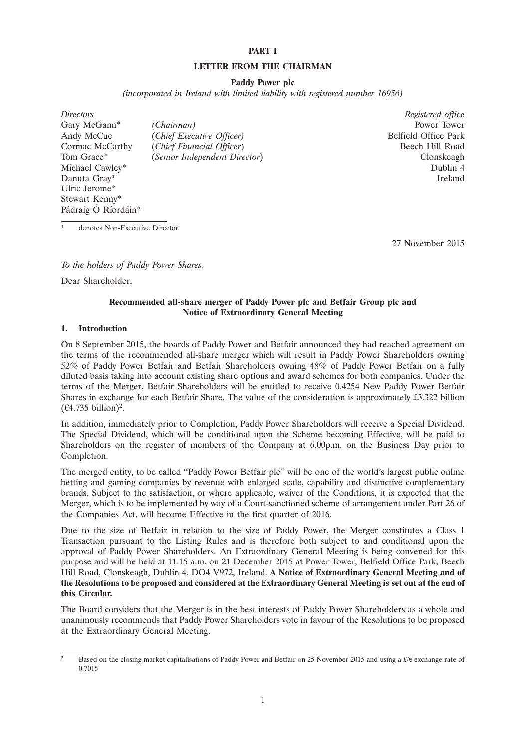#### **PART I**

#### **LETTER FROM THE CHAIRMAN**

#### **Paddy Power plc**

*(incorporated in Ireland with limited liability with registered number 16956)*

*Directors Registered office* Gary McGann<sup>\*</sup> *(Chairman)* Power Tower Tower Power Tower Power Tower Andy McCue *(Chief Executive Officer)* Power Park Andy McCue (*Chief Executive Officer*) Cormac McCarthy (*Chief Financial Officer*) Beech Hill Road Tom Grace\* (*Senior Independent Director*) Clonskeagh Michael Cawley<sup>\*</sup> Dublin 4 Danuta Gray\* Ireland Ulric Jerome\* Stewart Kenny\* Pádraig Ó Ríordáin\*

denotes Non-Executive Director

27 November 2015

*To the holders of Paddy Power Shares.*

Dear Shareholder,

#### **Recommended all-share merger of Paddy Power plc and Betfair Group plc and Notice of Extraordinary General Meeting**

#### **1. Introduction**

On 8 September 2015, the boards of Paddy Power and Betfair announced they had reached agreement on the terms of the recommended all-share merger which will result in Paddy Power Shareholders owning 52% of Paddy Power Betfair and Betfair Shareholders owning 48% of Paddy Power Betfair on a fully diluted basis taking into account existing share options and award schemes for both companies. Under the terms of the Merger, Betfair Shareholders will be entitled to receive 0.4254 New Paddy Power Betfair Shares in exchange for each Betfair Share. The value of the consideration is approximately £3.322 billion  $(\text{\textsterling}4.735 billion)^2$ .

In addition, immediately prior to Completion, Paddy Power Shareholders will receive a Special Dividend. The Special Dividend, which will be conditional upon the Scheme becoming Effective, will be paid to Shareholders on the register of members of the Company at 6.00p.m. on the Business Day prior to Completion.

The merged entity, to be called ''Paddy Power Betfair plc'' will be one of the world's largest public online betting and gaming companies by revenue with enlarged scale, capability and distinctive complementary brands. Subject to the satisfaction, or where applicable, waiver of the Conditions, it is expected that the Merger, which is to be implemented by way of a Court-sanctioned scheme of arrangement under Part 26 of the Companies Act, will become Effective in the first quarter of 2016.

Due to the size of Betfair in relation to the size of Paddy Power, the Merger constitutes a Class 1 Transaction pursuant to the Listing Rules and is therefore both subject to and conditional upon the approval of Paddy Power Shareholders. An Extraordinary General Meeting is being convened for this purpose and will be held at 11.15 a.m. on 21 December 2015 at Power Tower, Belfield Office Park, Beech Hill Road, Clonskeagh, Dublin 4, DO4 V972, Ireland. **A Notice of Extraordinary General Meeting and of the Resolutions to be proposed and considered at the Extraordinary General Meeting is set out at the end of this Circular.**

The Board considers that the Merger is in the best interests of Paddy Power Shareholders as a whole and unanimously recommends that Paddy Power Shareholders vote in favour of the Resolutions to be proposed at the Extraordinary General Meeting.

Based on the closing market capitalisations of Paddy Power and Betfair on 25 November 2015 and using a  $\pounds/\pounds$  exchange rate of 0.7015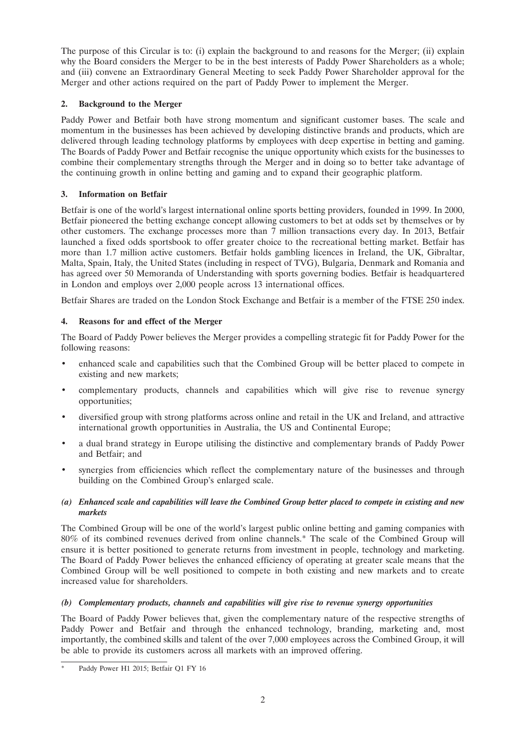The purpose of this Circular is to: (i) explain the background to and reasons for the Merger; (ii) explain why the Board considers the Merger to be in the best interests of Paddy Power Shareholders as a whole; and (iii) convene an Extraordinary General Meeting to seek Paddy Power Shareholder approval for the Merger and other actions required on the part of Paddy Power to implement the Merger.

## **2. Background to the Merger**

Paddy Power and Betfair both have strong momentum and significant customer bases. The scale and momentum in the businesses has been achieved by developing distinctive brands and products, which are delivered through leading technology platforms by employees with deep expertise in betting and gaming. The Boards of Paddy Power and Betfair recognise the unique opportunity which exists for the businesses to combine their complementary strengths through the Merger and in doing so to better take advantage of the continuing growth in online betting and gaming and to expand their geographic platform.

## **3. Information on Betfair**

Betfair is one of the world's largest international online sports betting providers, founded in 1999. In 2000, Betfair pioneered the betting exchange concept allowing customers to bet at odds set by themselves or by other customers. The exchange processes more than 7 million transactions every day. In 2013, Betfair launched a fixed odds sportsbook to offer greater choice to the recreational betting market. Betfair has more than 1.7 million active customers. Betfair holds gambling licences in Ireland, the UK, Gibraltar, Malta, Spain, Italy, the United States (including in respect of TVG), Bulgaria, Denmark and Romania and has agreed over 50 Memoranda of Understanding with sports governing bodies. Betfair is headquartered in London and employs over 2,000 people across 13 international offices.

Betfair Shares are traded on the London Stock Exchange and Betfair is a member of the FTSE 250 index.

## **4. Reasons for and effect of the Merger**

The Board of Paddy Power believes the Merger provides a compelling strategic fit for Paddy Power for the following reasons:

- enhanced scale and capabilities such that the Combined Group will be better placed to compete in existing and new markets;
- complementary products, channels and capabilities which will give rise to revenue synergy opportunities;
- diversified group with strong platforms across online and retail in the UK and Ireland, and attractive international growth opportunities in Australia, the US and Continental Europe;
- a dual brand strategy in Europe utilising the distinctive and complementary brands of Paddy Power and Betfair; and
- synergies from efficiencies which reflect the complementary nature of the businesses and through building on the Combined Group's enlarged scale.

## *(a) Enhanced scale and capabilities will leave the Combined Group better placed to compete in existing and new markets*

The Combined Group will be one of the world's largest public online betting and gaming companies with 80% of its combined revenues derived from online channels.\* The scale of the Combined Group will ensure it is better positioned to generate returns from investment in people, technology and marketing. The Board of Paddy Power believes the enhanced efficiency of operating at greater scale means that the Combined Group will be well positioned to compete in both existing and new markets and to create increased value for shareholders.

## *(b) Complementary products, channels and capabilities will give rise to revenue synergy opportunities*

The Board of Paddy Power believes that, given the complementary nature of the respective strengths of Paddy Power and Betfair and through the enhanced technology, branding, marketing and, most importantly, the combined skills and talent of the over 7,000 employees across the Combined Group, it will be able to provide its customers across all markets with an improved offering.

Paddy Power H1 2015; Betfair Q1 FY 16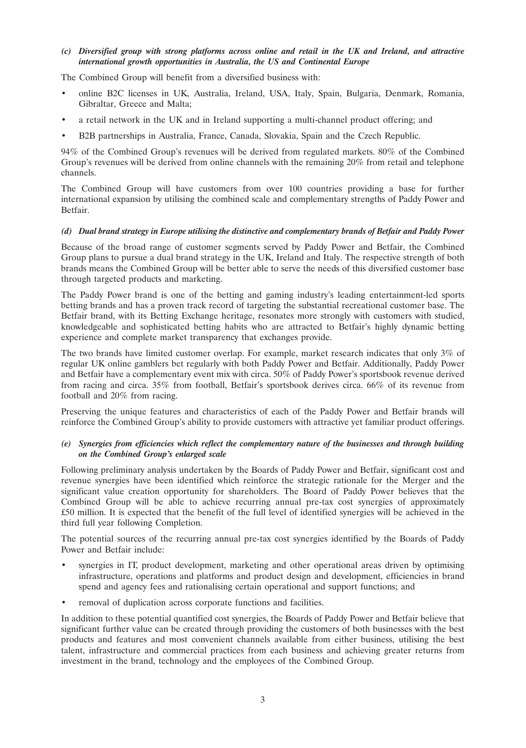*(c) Diversified group with strong platforms across online and retail in the UK and Ireland, and attractive international growth opportunities in Australia, the US and Continental Europe*

The Combined Group will benefit from a diversified business with:

- online B2C licenses in UK, Australia, Ireland, USA, Italy, Spain, Bulgaria, Denmark, Romania, Gibraltar, Greece and Malta;
- a retail network in the UK and in Ireland supporting a multi-channel product offering; and
- B2B partnerships in Australia, France, Canada, Slovakia, Spain and the Czech Republic.

94% of the Combined Group's revenues will be derived from regulated markets. 80% of the Combined Group's revenues will be derived from online channels with the remaining 20% from retail and telephone channels.

The Combined Group will have customers from over 100 countries providing a base for further international expansion by utilising the combined scale and complementary strengths of Paddy Power and Betfair.

#### *(d) Dual brand strategy in Europe utilising the distinctive and complementary brands of Betfair and Paddy Power*

Because of the broad range of customer segments served by Paddy Power and Betfair, the Combined Group plans to pursue a dual brand strategy in the UK, Ireland and Italy. The respective strength of both brands means the Combined Group will be better able to serve the needs of this diversified customer base through targeted products and marketing.

The Paddy Power brand is one of the betting and gaming industry's leading entertainment-led sports betting brands and has a proven track record of targeting the substantial recreational customer base. The Betfair brand, with its Betting Exchange heritage, resonates more strongly with customers with studied, knowledgeable and sophisticated betting habits who are attracted to Betfair's highly dynamic betting experience and complete market transparency that exchanges provide.

The two brands have limited customer overlap. For example, market research indicates that only 3% of regular UK online gamblers bet regularly with both Paddy Power and Betfair. Additionally, Paddy Power and Betfair have a complementary event mix with circa. 50% of Paddy Power's sportsbook revenue derived from racing and circa. 35% from football, Betfair's sportsbook derives circa. 66% of its revenue from football and 20% from racing.

Preserving the unique features and characteristics of each of the Paddy Power and Betfair brands will reinforce the Combined Group's ability to provide customers with attractive yet familiar product offerings.

### *(e) Synergies from efficiencies which reflect the complementary nature of the businesses and through building on the Combined Group's enlarged scale*

Following preliminary analysis undertaken by the Boards of Paddy Power and Betfair, significant cost and revenue synergies have been identified which reinforce the strategic rationale for the Merger and the significant value creation opportunity for shareholders. The Board of Paddy Power believes that the Combined Group will be able to achieve recurring annual pre-tax cost synergies of approximately £50 million. It is expected that the benefit of the full level of identified synergies will be achieved in the third full year following Completion.

The potential sources of the recurring annual pre-tax cost synergies identified by the Boards of Paddy Power and Betfair include:

- synergies in IT, product development, marketing and other operational areas driven by optimising infrastructure, operations and platforms and product design and development, efficiencies in brand spend and agency fees and rationalising certain operational and support functions; and
- removal of duplication across corporate functions and facilities.

In addition to these potential quantified cost synergies, the Boards of Paddy Power and Betfair believe that significant further value can be created through providing the customers of both businesses with the best products and features and most convenient channels available from either business, utilising the best talent, infrastructure and commercial practices from each business and achieving greater returns from investment in the brand, technology and the employees of the Combined Group.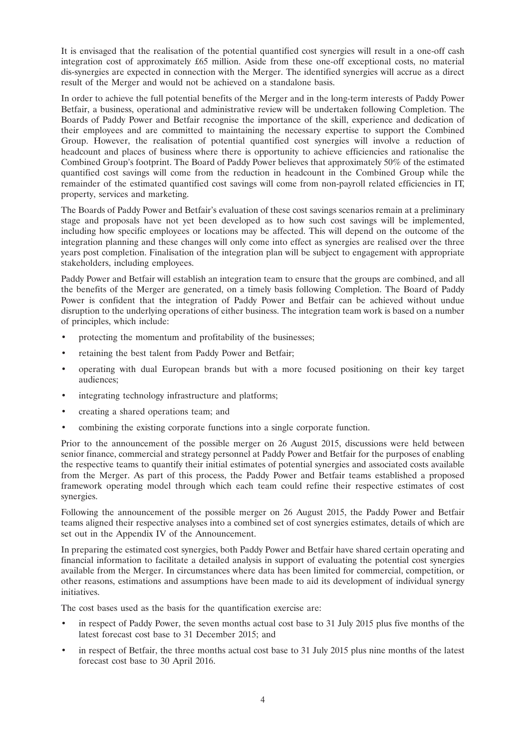It is envisaged that the realisation of the potential quantified cost synergies will result in a one-off cash integration cost of approximately £65 million. Aside from these one-off exceptional costs, no material dis-synergies are expected in connection with the Merger. The identified synergies will accrue as a direct result of the Merger and would not be achieved on a standalone basis.

In order to achieve the full potential benefits of the Merger and in the long-term interests of Paddy Power Betfair, a business, operational and administrative review will be undertaken following Completion. The Boards of Paddy Power and Betfair recognise the importance of the skill, experience and dedication of their employees and are committed to maintaining the necessary expertise to support the Combined Group. However, the realisation of potential quantified cost synergies will involve a reduction of headcount and places of business where there is opportunity to achieve efficiencies and rationalise the Combined Group's footprint. The Board of Paddy Power believes that approximately 50% of the estimated quantified cost savings will come from the reduction in headcount in the Combined Group while the remainder of the estimated quantified cost savings will come from non-payroll related efficiencies in IT, property, services and marketing.

The Boards of Paddy Power and Betfair's evaluation of these cost savings scenarios remain at a preliminary stage and proposals have not yet been developed as to how such cost savings will be implemented, including how specific employees or locations may be affected. This will depend on the outcome of the integration planning and these changes will only come into effect as synergies are realised over the three years post completion. Finalisation of the integration plan will be subject to engagement with appropriate stakeholders, including employees.

Paddy Power and Betfair will establish an integration team to ensure that the groups are combined, and all the benefits of the Merger are generated, on a timely basis following Completion. The Board of Paddy Power is confident that the integration of Paddy Power and Betfair can be achieved without undue disruption to the underlying operations of either business. The integration team work is based on a number of principles, which include:

- protecting the momentum and profitability of the businesses;
- retaining the best talent from Paddy Power and Betfair;
- operating with dual European brands but with a more focused positioning on their key target audiences;
- integrating technology infrastructure and platforms;
- creating a shared operations team; and
- combining the existing corporate functions into a single corporate function.

Prior to the announcement of the possible merger on 26 August 2015, discussions were held between senior finance, commercial and strategy personnel at Paddy Power and Betfair for the purposes of enabling the respective teams to quantify their initial estimates of potential synergies and associated costs available from the Merger. As part of this process, the Paddy Power and Betfair teams established a proposed framework operating model through which each team could refine their respective estimates of cost synergies.

Following the announcement of the possible merger on 26 August 2015, the Paddy Power and Betfair teams aligned their respective analyses into a combined set of cost synergies estimates, details of which are set out in the Appendix IV of the Announcement.

In preparing the estimated cost synergies, both Paddy Power and Betfair have shared certain operating and financial information to facilitate a detailed analysis in support of evaluating the potential cost synergies available from the Merger. In circumstances where data has been limited for commercial, competition, or other reasons, estimations and assumptions have been made to aid its development of individual synergy initiatives.

The cost bases used as the basis for the quantification exercise are:

- in respect of Paddy Power, the seven months actual cost base to 31 July 2015 plus five months of the latest forecast cost base to 31 December 2015; and
- in respect of Betfair, the three months actual cost base to 31 July 2015 plus nine months of the latest forecast cost base to 30 April 2016.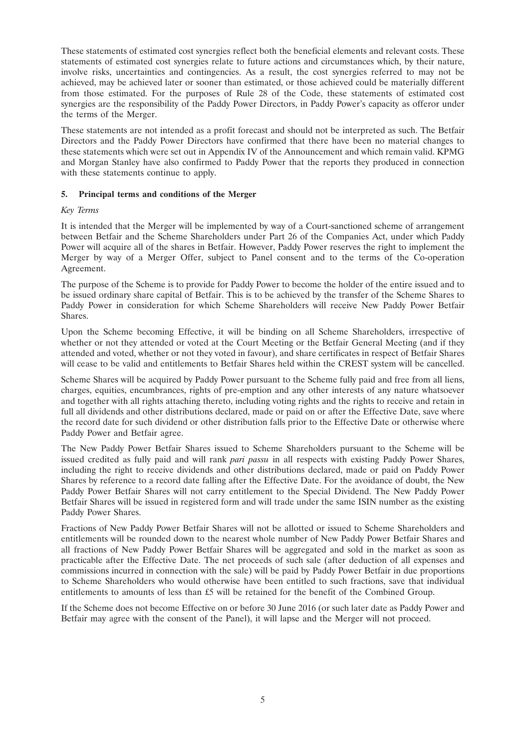These statements of estimated cost synergies reflect both the beneficial elements and relevant costs. These statements of estimated cost synergies relate to future actions and circumstances which, by their nature, involve risks, uncertainties and contingencies. As a result, the cost synergies referred to may not be achieved, may be achieved later or sooner than estimated, or those achieved could be materially different from those estimated. For the purposes of Rule 28 of the Code, these statements of estimated cost synergies are the responsibility of the Paddy Power Directors, in Paddy Power's capacity as offeror under the terms of the Merger.

These statements are not intended as a profit forecast and should not be interpreted as such. The Betfair Directors and the Paddy Power Directors have confirmed that there have been no material changes to these statements which were set out in Appendix IV of the Announcement and which remain valid. KPMG and Morgan Stanley have also confirmed to Paddy Power that the reports they produced in connection with these statements continue to apply.

## **5. Principal terms and conditions of the Merger**

## *Key Terms*

It is intended that the Merger will be implemented by way of a Court-sanctioned scheme of arrangement between Betfair and the Scheme Shareholders under Part 26 of the Companies Act, under which Paddy Power will acquire all of the shares in Betfair. However, Paddy Power reserves the right to implement the Merger by way of a Merger Offer, subject to Panel consent and to the terms of the Co-operation Agreement.

The purpose of the Scheme is to provide for Paddy Power to become the holder of the entire issued and to be issued ordinary share capital of Betfair. This is to be achieved by the transfer of the Scheme Shares to Paddy Power in consideration for which Scheme Shareholders will receive New Paddy Power Betfair Shares.

Upon the Scheme becoming Effective, it will be binding on all Scheme Shareholders, irrespective of whether or not they attended or voted at the Court Meeting or the Betfair General Meeting (and if they attended and voted, whether or not they voted in favour), and share certificates in respect of Betfair Shares will cease to be valid and entitlements to Betfair Shares held within the CREST system will be cancelled.

Scheme Shares will be acquired by Paddy Power pursuant to the Scheme fully paid and free from all liens, charges, equities, encumbrances, rights of pre-emption and any other interests of any nature whatsoever and together with all rights attaching thereto, including voting rights and the rights to receive and retain in full all dividends and other distributions declared, made or paid on or after the Effective Date, save where the record date for such dividend or other distribution falls prior to the Effective Date or otherwise where Paddy Power and Betfair agree.

The New Paddy Power Betfair Shares issued to Scheme Shareholders pursuant to the Scheme will be issued credited as fully paid and will rank *pari passu* in all respects with existing Paddy Power Shares, including the right to receive dividends and other distributions declared, made or paid on Paddy Power Shares by reference to a record date falling after the Effective Date. For the avoidance of doubt, the New Paddy Power Betfair Shares will not carry entitlement to the Special Dividend. The New Paddy Power Betfair Shares will be issued in registered form and will trade under the same ISIN number as the existing Paddy Power Shares.

Fractions of New Paddy Power Betfair Shares will not be allotted or issued to Scheme Shareholders and entitlements will be rounded down to the nearest whole number of New Paddy Power Betfair Shares and all fractions of New Paddy Power Betfair Shares will be aggregated and sold in the market as soon as practicable after the Effective Date. The net proceeds of such sale (after deduction of all expenses and commissions incurred in connection with the sale) will be paid by Paddy Power Betfair in due proportions to Scheme Shareholders who would otherwise have been entitled to such fractions, save that individual entitlements to amounts of less than £5 will be retained for the benefit of the Combined Group.

If the Scheme does not become Effective on or before 30 June 2016 (or such later date as Paddy Power and Betfair may agree with the consent of the Panel), it will lapse and the Merger will not proceed.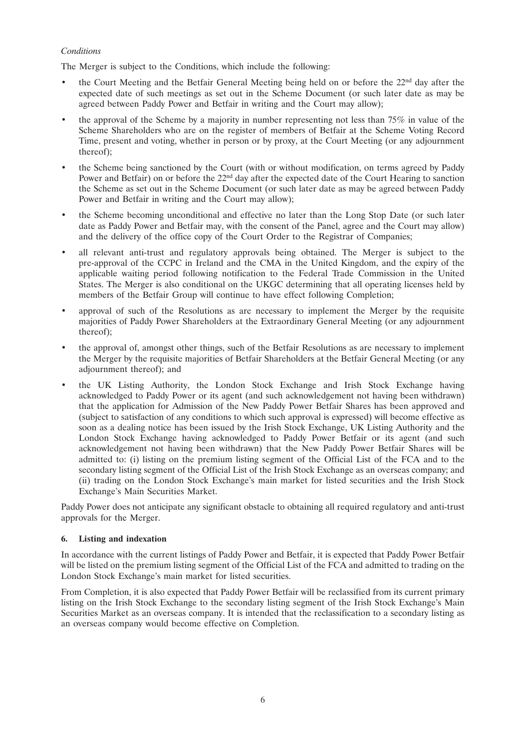## *Conditions*

The Merger is subject to the Conditions, which include the following:

- the Court Meeting and the Betfair General Meeting being held on or before the  $22<sup>nd</sup>$  day after the expected date of such meetings as set out in the Scheme Document (or such later date as may be agreed between Paddy Power and Betfair in writing and the Court may allow);
- the approval of the Scheme by a majority in number representing not less than 75% in value of the Scheme Shareholders who are on the register of members of Betfair at the Scheme Voting Record Time, present and voting, whether in person or by proxy, at the Court Meeting (or any adjournment thereof);
- the Scheme being sanctioned by the Court (with or without modification, on terms agreed by Paddy Power and Betfair) on or before the 22<sup>nd</sup> day after the expected date of the Court Hearing to sanction the Scheme as set out in the Scheme Document (or such later date as may be agreed between Paddy Power and Betfair in writing and the Court may allow);
- the Scheme becoming unconditional and effective no later than the Long Stop Date (or such later date as Paddy Power and Betfair may, with the consent of the Panel, agree and the Court may allow) and the delivery of the office copy of the Court Order to the Registrar of Companies;
- all relevant anti-trust and regulatory approvals being obtained. The Merger is subject to the pre-approval of the CCPC in Ireland and the CMA in the United Kingdom, and the expiry of the applicable waiting period following notification to the Federal Trade Commission in the United States. The Merger is also conditional on the UKGC determining that all operating licenses held by members of the Betfair Group will continue to have effect following Completion;
- approval of such of the Resolutions as are necessary to implement the Merger by the requisite majorities of Paddy Power Shareholders at the Extraordinary General Meeting (or any adjournment thereof);
- the approval of, amongst other things, such of the Betfair Resolutions as are necessary to implement the Merger by the requisite majorities of Betfair Shareholders at the Betfair General Meeting (or any adjournment thereof); and
- the UK Listing Authority, the London Stock Exchange and Irish Stock Exchange having acknowledged to Paddy Power or its agent (and such acknowledgement not having been withdrawn) that the application for Admission of the New Paddy Power Betfair Shares has been approved and (subject to satisfaction of any conditions to which such approval is expressed) will become effective as soon as a dealing notice has been issued by the Irish Stock Exchange, UK Listing Authority and the London Stock Exchange having acknowledged to Paddy Power Betfair or its agent (and such acknowledgement not having been withdrawn) that the New Paddy Power Betfair Shares will be admitted to: (i) listing on the premium listing segment of the Official List of the FCA and to the secondary listing segment of the Official List of the Irish Stock Exchange as an overseas company; and (ii) trading on the London Stock Exchange's main market for listed securities and the Irish Stock Exchange's Main Securities Market.

Paddy Power does not anticipate any significant obstacle to obtaining all required regulatory and anti-trust approvals for the Merger.

#### **6. Listing and indexation**

In accordance with the current listings of Paddy Power and Betfair, it is expected that Paddy Power Betfair will be listed on the premium listing segment of the Official List of the FCA and admitted to trading on the London Stock Exchange's main market for listed securities.

From Completion, it is also expected that Paddy Power Betfair will be reclassified from its current primary listing on the Irish Stock Exchange to the secondary listing segment of the Irish Stock Exchange's Main Securities Market as an overseas company. It is intended that the reclassification to a secondary listing as an overseas company would become effective on Completion.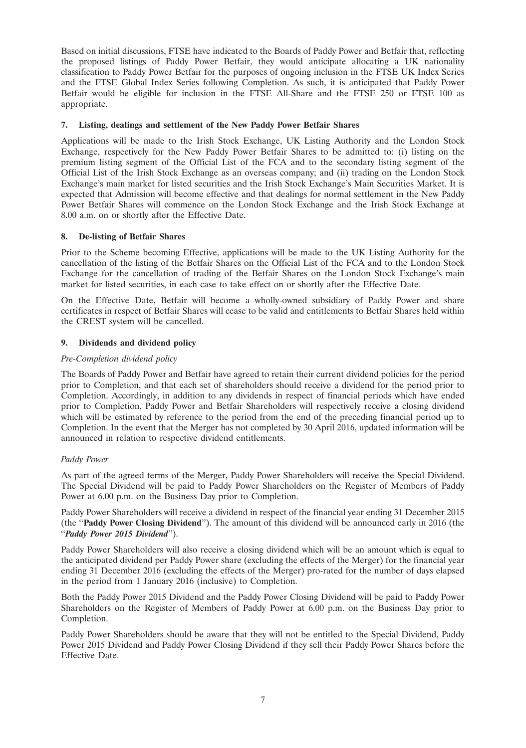Based on initial discussions, FTSE have indicated to the Boards of Paddy Power and Betfair that, reflecting the proposed listings of Paddy Power Betfair, they would anticipate allocating a UK nationality classification to Paddy Power Betfair for the purposes of ongoing inclusion in the FTSE UK Index Series and the FTSE Global Index Series following Completion. As such, it is anticipated that Paddy Power Betfair would be eligible for inclusion in the FTSE All-Share and the FTSE 250 or FTSE 100 as appropriate.

## **7. Listing, dealings and settlement of the New Paddy Power Betfair Shares**

Applications will be made to the Irish Stock Exchange, UK Listing Authority and the London Stock Exchange, respectively for the New Paddy Power Betfair Shares to be admitted to: (i) listing on the premium listing segment of the Official List of the FCA and to the secondary listing segment of the Official List of the Irish Stock Exchange as an overseas company; and (ii) trading on the London Stock Exchange's main market for listed securities and the Irish Stock Exchange's Main Securities Market. It is expected that Admission will become effective and that dealings for normal settlement in the New Paddy Power Betfair Shares will commence on the London Stock Exchange and the Irish Stock Exchange at 8.00 a.m. on or shortly after the Effective Date.

## **8. De-listing of Betfair Shares**

Prior to the Scheme becoming Effective, applications will be made to the UK Listing Authority for the cancellation of the listing of the Betfair Shares on the Official List of the FCA and to the London Stock Exchange for the cancellation of trading of the Betfair Shares on the London Stock Exchange's main market for listed securities, in each case to take effect on or shortly after the Effective Date.

On the Effective Date, Betfair will become a wholly-owned subsidiary of Paddy Power and share certificates in respect of Betfair Shares will cease to be valid and entitlements to Betfair Shares held within the CREST system will be cancelled.

## **9. Dividends and dividend policy**

#### *Pre-Completion dividend policy*

The Boards of Paddy Power and Betfair have agreed to retain their current dividend policies for the period prior to Completion, and that each set of shareholders should receive a dividend for the period prior to Completion. Accordingly, in addition to any dividends in respect of financial periods which have ended prior to Completion, Paddy Power and Betfair Shareholders will respectively receive a closing dividend which will be estimated by reference to the period from the end of the preceding financial period up to Completion. In the event that the Merger has not completed by 30 April 2016, updated information will be announced in relation to respective dividend entitlements.

#### *Paddy Power*

As part of the agreed terms of the Merger, Paddy Power Shareholders will receive the Special Dividend. The Special Dividend will be paid to Paddy Power Shareholders on the Register of Members of Paddy Power at 6.00 p.m. on the Business Day prior to Completion.

Paddy Power Shareholders will receive a dividend in respect of the financial year ending 31 December 2015 (the ''**Paddy Power Closing Dividend**''). The amount of this dividend will be announced early in 2016 (the ''*Paddy Power 2015 Dividend*'').

Paddy Power Shareholders will also receive a closing dividend which will be an amount which is equal to the anticipated dividend per Paddy Power share (excluding the effects of the Merger) for the financial year ending 31 December 2016 (excluding the effects of the Merger) pro-rated for the number of days elapsed in the period from 1 January 2016 (inclusive) to Completion.

Both the Paddy Power 2015 Dividend and the Paddy Power Closing Dividend will be paid to Paddy Power Shareholders on the Register of Members of Paddy Power at 6.00 p.m. on the Business Day prior to Completion.

Paddy Power Shareholders should be aware that they will not be entitled to the Special Dividend, Paddy Power 2015 Dividend and Paddy Power Closing Dividend if they sell their Paddy Power Shares before the Effective Date.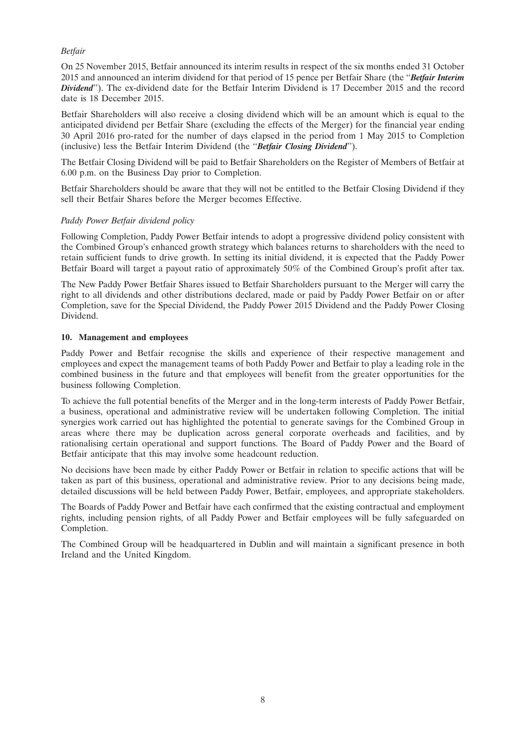## *Betfair*

On 25 November 2015, Betfair announced its interim results in respect of the six months ended 31 October 2015 and announced an interim dividend for that period of 15 pence per Betfair Share (the ''*Betfair Interim Dividend*''). The ex-dividend date for the Betfair Interim Dividend is 17 December 2015 and the record date is 18 December 2015.

Betfair Shareholders will also receive a closing dividend which will be an amount which is equal to the anticipated dividend per Betfair Share (excluding the effects of the Merger) for the financial year ending 30 April 2016 pro-rated for the number of days elapsed in the period from 1 May 2015 to Completion (inclusive) less the Betfair Interim Dividend (the ''*Betfair Closing Dividend*'').

The Betfair Closing Dividend will be paid to Betfair Shareholders on the Register of Members of Betfair at 6.00 p.m. on the Business Day prior to Completion.

Betfair Shareholders should be aware that they will not be entitled to the Betfair Closing Dividend if they sell their Betfair Shares before the Merger becomes Effective.

#### *Paddy Power Betfair dividend policy*

Following Completion, Paddy Power Betfair intends to adopt a progressive dividend policy consistent with the Combined Group's enhanced growth strategy which balances returns to shareholders with the need to retain sufficient funds to drive growth. In setting its initial dividend, it is expected that the Paddy Power Betfair Board will target a payout ratio of approximately 50% of the Combined Group's profit after tax.

The New Paddy Power Betfair Shares issued to Betfair Shareholders pursuant to the Merger will carry the right to all dividends and other distributions declared, made or paid by Paddy Power Betfair on or after Completion, save for the Special Dividend, the Paddy Power 2015 Dividend and the Paddy Power Closing Dividend.

#### **10. Management and employees**

Paddy Power and Betfair recognise the skills and experience of their respective management and employees and expect the management teams of both Paddy Power and Betfair to play a leading role in the combined business in the future and that employees will benefit from the greater opportunities for the business following Completion.

To achieve the full potential benefits of the Merger and in the long-term interests of Paddy Power Betfair, a business, operational and administrative review will be undertaken following Completion. The initial synergies work carried out has highlighted the potential to generate savings for the Combined Group in areas where there may be duplication across general corporate overheads and facilities, and by rationalising certain operational and support functions. The Board of Paddy Power and the Board of Betfair anticipate that this may involve some headcount reduction.

No decisions have been made by either Paddy Power or Betfair in relation to specific actions that will be taken as part of this business, operational and administrative review. Prior to any decisions being made, detailed discussions will be held between Paddy Power, Betfair, employees, and appropriate stakeholders.

The Boards of Paddy Power and Betfair have each confirmed that the existing contractual and employment rights, including pension rights, of all Paddy Power and Betfair employees will be fully safeguarded on Completion.

The Combined Group will be headquartered in Dublin and will maintain a significant presence in both Ireland and the United Kingdom.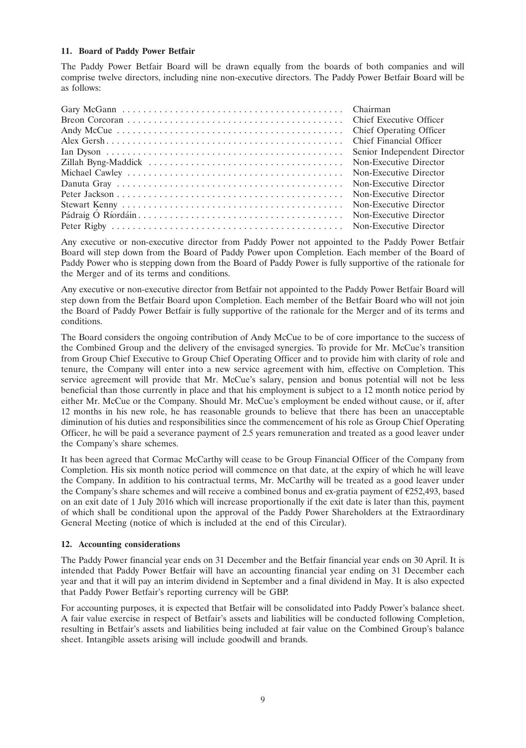## **11. Board of Paddy Power Betfair**

The Paddy Power Betfair Board will be drawn equally from the boards of both companies and will comprise twelve directors, including nine non-executive directors. The Paddy Power Betfair Board will be as follows:

| Chief Financial Officer     |
|-----------------------------|
| Senior Independent Director |
| Non-Executive Director      |
|                             |
| Non-Executive Director      |
|                             |
|                             |
|                             |
|                             |

Any executive or non-executive director from Paddy Power not appointed to the Paddy Power Betfair Board will step down from the Board of Paddy Power upon Completion. Each member of the Board of Paddy Power who is stepping down from the Board of Paddy Power is fully supportive of the rationale for the Merger and of its terms and conditions.

Any executive or non-executive director from Betfair not appointed to the Paddy Power Betfair Board will step down from the Betfair Board upon Completion. Each member of the Betfair Board who will not join the Board of Paddy Power Betfair is fully supportive of the rationale for the Merger and of its terms and conditions.

The Board considers the ongoing contribution of Andy McCue to be of core importance to the success of the Combined Group and the delivery of the envisaged synergies. To provide for Mr. McCue's transition from Group Chief Executive to Group Chief Operating Officer and to provide him with clarity of role and tenure, the Company will enter into a new service agreement with him, effective on Completion. This service agreement will provide that Mr. McCue's salary, pension and bonus potential will not be less beneficial than those currently in place and that his employment is subject to a 12 month notice period by either Mr. McCue or the Company. Should Mr. McCue's employment be ended without cause, or if, after 12 months in his new role, he has reasonable grounds to believe that there has been an unacceptable diminution of his duties and responsibilities since the commencement of his role as Group Chief Operating Officer, he will be paid a severance payment of 2.5 years remuneration and treated as a good leaver under the Company's share schemes.

It has been agreed that Cormac McCarthy will cease to be Group Financial Officer of the Company from Completion. His six month notice period will commence on that date, at the expiry of which he will leave the Company. In addition to his contractual terms, Mr. McCarthy will be treated as a good leaver under the Company's share schemes and will receive a combined bonus and ex-gratia payment of  $E$ 252,493, based on an exit date of 1 July 2016 which will increase proportionally if the exit date is later than this, payment of which shall be conditional upon the approval of the Paddy Power Shareholders at the Extraordinary General Meeting (notice of which is included at the end of this Circular).

#### **12. Accounting considerations**

The Paddy Power financial year ends on 31 December and the Betfair financial year ends on 30 April. It is intended that Paddy Power Betfair will have an accounting financial year ending on 31 December each year and that it will pay an interim dividend in September and a final dividend in May. It is also expected that Paddy Power Betfair's reporting currency will be GBP.

For accounting purposes, it is expected that Betfair will be consolidated into Paddy Power's balance sheet. A fair value exercise in respect of Betfair's assets and liabilities will be conducted following Completion, resulting in Betfair's assets and liabilities being included at fair value on the Combined Group's balance sheet. Intangible assets arising will include goodwill and brands.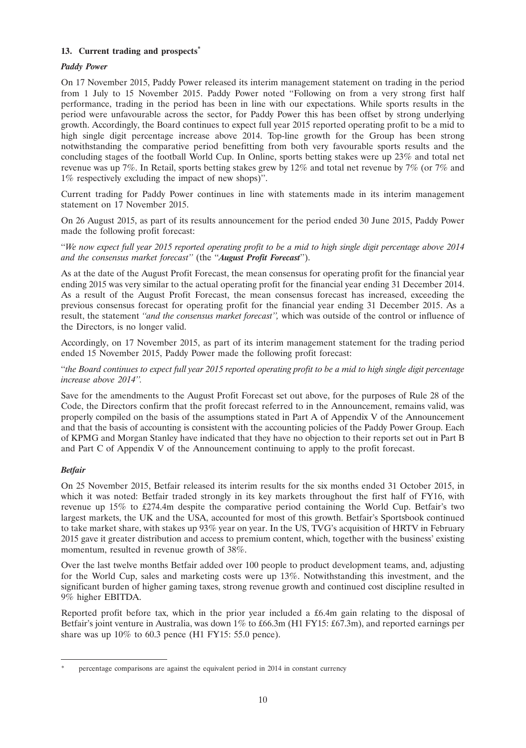## **13. Current trading and prospects\***

## *Paddy Power*

On 17 November 2015, Paddy Power released its interim management statement on trading in the period from 1 July to 15 November 2015. Paddy Power noted ''Following on from a very strong first half performance, trading in the period has been in line with our expectations. While sports results in the period were unfavourable across the sector, for Paddy Power this has been offset by strong underlying growth. Accordingly, the Board continues to expect full year 2015 reported operating profit to be a mid to high single digit percentage increase above 2014. Top-line growth for the Group has been strong notwithstanding the comparative period benefitting from both very favourable sports results and the concluding stages of the football World Cup. In Online, sports betting stakes were up 23% and total net revenue was up 7%. In Retail, sports betting stakes grew by 12% and total net revenue by 7% (or 7% and 1% respectively excluding the impact of new shops)''.

Current trading for Paddy Power continues in line with statements made in its interim management statement on 17 November 2015.

On 26 August 2015, as part of its results announcement for the period ended 30 June 2015, Paddy Power made the following profit forecast:

''*We now expect full year 2015 reported operating profit to be a mid to high single digit percentage above 2014 and the consensus market forecast''* (the ''*August Profit Forecast*'').

As at the date of the August Profit Forecast, the mean consensus for operating profit for the financial year ending 2015 was very similar to the actual operating profit for the financial year ending 31 December 2014. As a result of the August Profit Forecast, the mean consensus forecast has increased, exceeding the previous consensus forecast for operating profit for the financial year ending 31 December 2015. As a result, the statement *''and the consensus market forecast'',* which was outside of the control or influence of the Directors, is no longer valid.

Accordingly, on 17 November 2015, as part of its interim management statement for the trading period ended 15 November 2015, Paddy Power made the following profit forecast:

''*the Board continues to expect full year 2015 reported operating profit to be a mid to high single digit percentage increase above 2014''.*

Save for the amendments to the August Profit Forecast set out above, for the purposes of Rule 28 of the Code, the Directors confirm that the profit forecast referred to in the Announcement, remains valid, was properly compiled on the basis of the assumptions stated in Part A of Appendix V of the Announcement and that the basis of accounting is consistent with the accounting policies of the Paddy Power Group. Each of KPMG and Morgan Stanley have indicated that they have no objection to their reports set out in Part B and Part C of Appendix V of the Announcement continuing to apply to the profit forecast.

## *Betfair*

On 25 November 2015, Betfair released its interim results for the six months ended 31 October 2015, in which it was noted: Betfair traded strongly in its key markets throughout the first half of FY16, with revenue up 15% to £274.4m despite the comparative period containing the World Cup. Betfair's two largest markets, the UK and the USA, accounted for most of this growth. Betfair's Sportsbook continued to take market share, with stakes up 93% year on year. In the US, TVG's acquisition of HRTV in February 2015 gave it greater distribution and access to premium content, which, together with the business' existing momentum, resulted in revenue growth of 38%.

Over the last twelve months Betfair added over 100 people to product development teams, and, adjusting for the World Cup, sales and marketing costs were up 13%. Notwithstanding this investment, and the significant burden of higher gaming taxes, strong revenue growth and continued cost discipline resulted in 9% higher EBITDA.

Reported profit before tax, which in the prior year included a £6.4m gain relating to the disposal of Betfair's joint venture in Australia, was down 1% to £66.3m (H1 FY15: £67.3m), and reported earnings per share was up 10% to 60.3 pence (H1 FY15: 55.0 pence).

percentage comparisons are against the equivalent period in 2014 in constant currency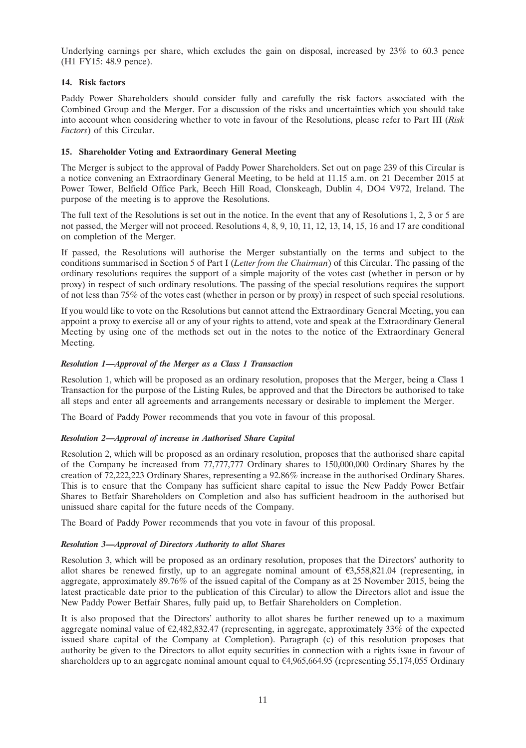Underlying earnings per share, which excludes the gain on disposal, increased by 23% to 60.3 pence (H1 FY15: 48.9 pence).

## **14. Risk factors**

Paddy Power Shareholders should consider fully and carefully the risk factors associated with the Combined Group and the Merger. For a discussion of the risks and uncertainties which you should take into account when considering whether to vote in favour of the Resolutions, please refer to Part III (*Risk Factors*) of this Circular.

## **15. Shareholder Voting and Extraordinary General Meeting**

The Merger is subject to the approval of Paddy Power Shareholders. Set out on page 239 of this Circular is a notice convening an Extraordinary General Meeting, to be held at 11.15 a.m. on 21 December 2015 at Power Tower, Belfield Office Park, Beech Hill Road, Clonskeagh, Dublin 4, DO4 V972, Ireland. The purpose of the meeting is to approve the Resolutions.

The full text of the Resolutions is set out in the notice. In the event that any of Resolutions 1, 2, 3 or 5 are not passed, the Merger will not proceed. Resolutions 4, 8, 9, 10, 11, 12, 13, 14, 15, 16 and 17 are conditional on completion of the Merger.

If passed, the Resolutions will authorise the Merger substantially on the terms and subject to the conditions summarised in Section 5 of Part I (*Letter from the Chairman*) of this Circular. The passing of the ordinary resolutions requires the support of a simple majority of the votes cast (whether in person or by proxy) in respect of such ordinary resolutions. The passing of the special resolutions requires the support of not less than 75% of the votes cast (whether in person or by proxy) in respect of such special resolutions.

If you would like to vote on the Resolutions but cannot attend the Extraordinary General Meeting, you can appoint a proxy to exercise all or any of your rights to attend, vote and speak at the Extraordinary General Meeting by using one of the methods set out in the notes to the notice of the Extraordinary General Meeting.

## *Resolution 1—Approval of the Merger as a Class 1 Transaction*

Resolution 1, which will be proposed as an ordinary resolution, proposes that the Merger, being a Class 1 Transaction for the purpose of the Listing Rules, be approved and that the Directors be authorised to take all steps and enter all agreements and arrangements necessary or desirable to implement the Merger.

The Board of Paddy Power recommends that you vote in favour of this proposal.

## *Resolution 2—Approval of increase in Authorised Share Capital*

Resolution 2, which will be proposed as an ordinary resolution, proposes that the authorised share capital of the Company be increased from 77,777,777 Ordinary shares to 150,000,000 Ordinary Shares by the creation of 72,222,223 Ordinary Shares, representing a 92.86% increase in the authorised Ordinary Shares. This is to ensure that the Company has sufficient share capital to issue the New Paddy Power Betfair Shares to Betfair Shareholders on Completion and also has sufficient headroom in the authorised but unissued share capital for the future needs of the Company.

The Board of Paddy Power recommends that you vote in favour of this proposal.

#### *Resolution 3—Approval of Directors Authority to allot Shares*

Resolution 3, which will be proposed as an ordinary resolution, proposes that the Directors' authority to allot shares be renewed firstly, up to an aggregate nominal amount of  $\epsilon$ 3,558,821.04 (representing, in aggregate, approximately 89.76% of the issued capital of the Company as at 25 November 2015, being the latest practicable date prior to the publication of this Circular) to allow the Directors allot and issue the New Paddy Power Betfair Shares, fully paid up, to Betfair Shareholders on Completion.

It is also proposed that the Directors' authority to allot shares be further renewed up to a maximum aggregate nominal value of  $\epsilon$ 2,482,832.47 (representing, in aggregate, approximately 33% of the expected issued share capital of the Company at Completion). Paragraph (c) of this resolution proposes that authority be given to the Directors to allot equity securities in connection with a rights issue in favour of shareholders up to an aggregate nominal amount equal to  $64,965,664.95$  (representing 55,174,055 Ordinary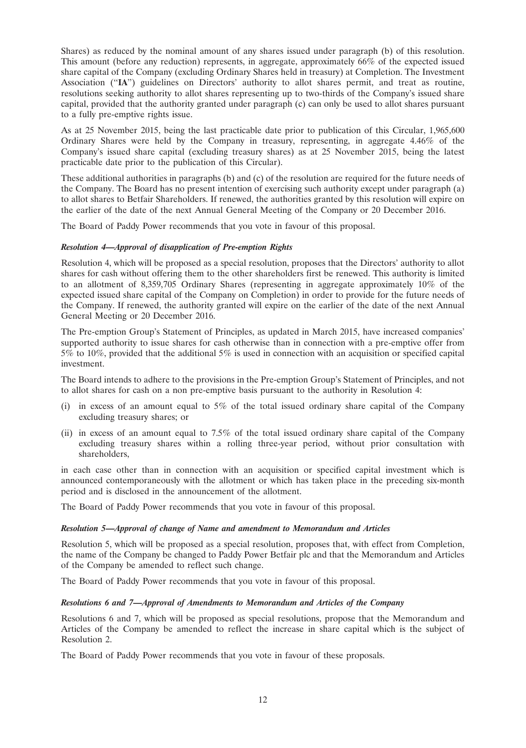Shares) as reduced by the nominal amount of any shares issued under paragraph (b) of this resolution. This amount (before any reduction) represents, in aggregate, approximately 66% of the expected issued share capital of the Company (excluding Ordinary Shares held in treasury) at Completion. The Investment Association (''**IA**'') guidelines on Directors' authority to allot shares permit, and treat as routine, resolutions seeking authority to allot shares representing up to two-thirds of the Company's issued share capital, provided that the authority granted under paragraph (c) can only be used to allot shares pursuant to a fully pre-emptive rights issue.

As at 25 November 2015, being the last practicable date prior to publication of this Circular, 1,965,600 Ordinary Shares were held by the Company in treasury, representing, in aggregate 4.46% of the Company's issued share capital (excluding treasury shares) as at 25 November 2015, being the latest practicable date prior to the publication of this Circular).

These additional authorities in paragraphs (b) and (c) of the resolution are required for the future needs of the Company. The Board has no present intention of exercising such authority except under paragraph (a) to allot shares to Betfair Shareholders. If renewed, the authorities granted by this resolution will expire on the earlier of the date of the next Annual General Meeting of the Company or 20 December 2016.

The Board of Paddy Power recommends that you vote in favour of this proposal.

## *Resolution 4—Approval of disapplication of Pre-emption Rights*

Resolution 4, which will be proposed as a special resolution, proposes that the Directors' authority to allot shares for cash without offering them to the other shareholders first be renewed. This authority is limited to an allotment of 8,359,705 Ordinary Shares (representing in aggregate approximately 10% of the expected issued share capital of the Company on Completion) in order to provide for the future needs of the Company. If renewed, the authority granted will expire on the earlier of the date of the next Annual General Meeting or 20 December 2016.

The Pre-emption Group's Statement of Principles, as updated in March 2015, have increased companies' supported authority to issue shares for cash otherwise than in connection with a pre-emptive offer from 5% to 10%, provided that the additional 5% is used in connection with an acquisition or specified capital investment.

The Board intends to adhere to the provisions in the Pre-emption Group's Statement of Principles, and not to allot shares for cash on a non pre-emptive basis pursuant to the authority in Resolution 4:

- (i) in excess of an amount equal to 5% of the total issued ordinary share capital of the Company excluding treasury shares; or
- (ii) in excess of an amount equal to 7.5% of the total issued ordinary share capital of the Company excluding treasury shares within a rolling three-year period, without prior consultation with shareholders,

in each case other than in connection with an acquisition or specified capital investment which is announced contemporaneously with the allotment or which has taken place in the preceding six-month period and is disclosed in the announcement of the allotment.

The Board of Paddy Power recommends that you vote in favour of this proposal.

#### *Resolution 5—Approval of change of Name and amendment to Memorandum and Articles*

Resolution 5, which will be proposed as a special resolution, proposes that, with effect from Completion, the name of the Company be changed to Paddy Power Betfair plc and that the Memorandum and Articles of the Company be amended to reflect such change.

The Board of Paddy Power recommends that you vote in favour of this proposal.

#### *Resolutions 6 and 7—Approval of Amendments to Memorandum and Articles of the Company*

Resolutions 6 and 7, which will be proposed as special resolutions, propose that the Memorandum and Articles of the Company be amended to reflect the increase in share capital which is the subject of Resolution 2.

The Board of Paddy Power recommends that you vote in favour of these proposals.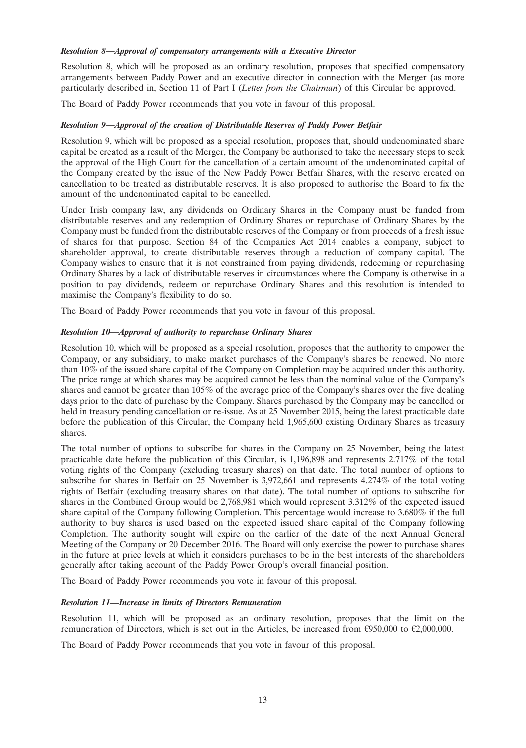#### *Resolution 8—Approval of compensatory arrangements with a Executive Director*

Resolution 8, which will be proposed as an ordinary resolution, proposes that specified compensatory arrangements between Paddy Power and an executive director in connection with the Merger (as more particularly described in, Section 11 of Part I (*Letter from the Chairman*) of this Circular be approved.

The Board of Paddy Power recommends that you vote in favour of this proposal.

#### *Resolution 9—Approval of the creation of Distributable Reserves of Paddy Power Betfair*

Resolution 9, which will be proposed as a special resolution, proposes that, should undenominated share capital be created as a result of the Merger, the Company be authorised to take the necessary steps to seek the approval of the High Court for the cancellation of a certain amount of the undenominated capital of the Company created by the issue of the New Paddy Power Betfair Shares, with the reserve created on cancellation to be treated as distributable reserves. It is also proposed to authorise the Board to fix the amount of the undenominated capital to be cancelled.

Under Irish company law, any dividends on Ordinary Shares in the Company must be funded from distributable reserves and any redemption of Ordinary Shares or repurchase of Ordinary Shares by the Company must be funded from the distributable reserves of the Company or from proceeds of a fresh issue of shares for that purpose. Section 84 of the Companies Act 2014 enables a company, subject to shareholder approval, to create distributable reserves through a reduction of company capital. The Company wishes to ensure that it is not constrained from paying dividends, redeeming or repurchasing Ordinary Shares by a lack of distributable reserves in circumstances where the Company is otherwise in a position to pay dividends, redeem or repurchase Ordinary Shares and this resolution is intended to maximise the Company's flexibility to do so.

The Board of Paddy Power recommends that you vote in favour of this proposal.

## *Resolution 10—Approval of authority to repurchase Ordinary Shares*

Resolution 10, which will be proposed as a special resolution, proposes that the authority to empower the Company, or any subsidiary, to make market purchases of the Company's shares be renewed. No more than 10% of the issued share capital of the Company on Completion may be acquired under this authority. The price range at which shares may be acquired cannot be less than the nominal value of the Company's shares and cannot be greater than 105% of the average price of the Company's shares over the five dealing days prior to the date of purchase by the Company. Shares purchased by the Company may be cancelled or held in treasury pending cancellation or re-issue. As at 25 November 2015, being the latest practicable date before the publication of this Circular, the Company held 1,965,600 existing Ordinary Shares as treasury shares.

The total number of options to subscribe for shares in the Company on 25 November, being the latest practicable date before the publication of this Circular, is 1,196,898 and represents 2.717% of the total voting rights of the Company (excluding treasury shares) on that date. The total number of options to subscribe for shares in Betfair on 25 November is 3,972,661 and represents 4.274% of the total voting rights of Betfair (excluding treasury shares on that date). The total number of options to subscribe for shares in the Combined Group would be 2,768,981 which would represent 3.312% of the expected issued share capital of the Company following Completion. This percentage would increase to 3.680% if the full authority to buy shares is used based on the expected issued share capital of the Company following Completion. The authority sought will expire on the earlier of the date of the next Annual General Meeting of the Company or 20 December 2016. The Board will only exercise the power to purchase shares in the future at price levels at which it considers purchases to be in the best interests of the shareholders generally after taking account of the Paddy Power Group's overall financial position.

The Board of Paddy Power recommends you vote in favour of this proposal.

#### *Resolution 11—Increase in limits of Directors Remuneration*

Resolution 11, which will be proposed as an ordinary resolution, proposes that the limit on the remuneration of Directors, which is set out in the Articles, be increased from  $\epsilon$ 950,000 to  $\epsilon$ 2,000,000.

The Board of Paddy Power recommends that you vote in favour of this proposal.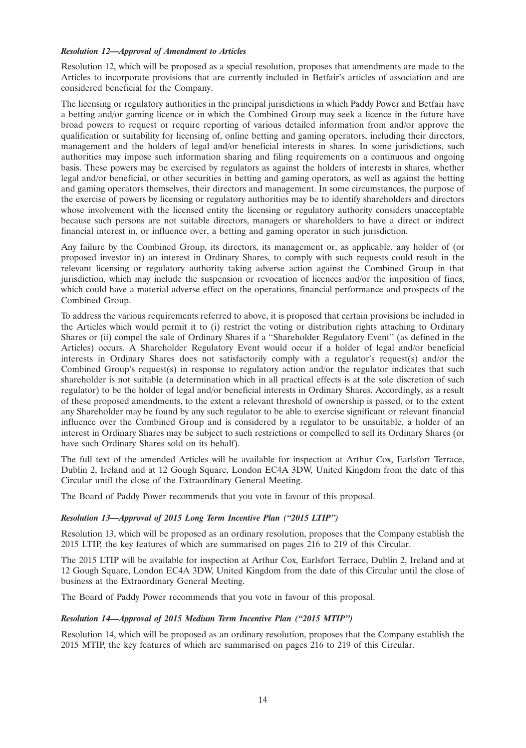#### *Resolution 12—Approval of Amendment to Articles*

Resolution 12, which will be proposed as a special resolution, proposes that amendments are made to the Articles to incorporate provisions that are currently included in Betfair's articles of association and are considered beneficial for the Company.

The licensing or regulatory authorities in the principal jurisdictions in which Paddy Power and Betfair have a betting and/or gaming licence or in which the Combined Group may seek a licence in the future have broad powers to request or require reporting of various detailed information from and/or approve the qualification or suitability for licensing of, online betting and gaming operators, including their directors, management and the holders of legal and/or beneficial interests in shares. In some jurisdictions, such authorities may impose such information sharing and filing requirements on a continuous and ongoing basis. These powers may be exercised by regulators as against the holders of interests in shares, whether legal and/or beneficial, or other securities in betting and gaming operators, as well as against the betting and gaming operators themselves, their directors and management. In some circumstances, the purpose of the exercise of powers by licensing or regulatory authorities may be to identify shareholders and directors whose involvement with the licensed entity the licensing or regulatory authority considers unacceptable because such persons are not suitable directors, managers or shareholders to have a direct or indirect financial interest in, or influence over, a betting and gaming operator in such jurisdiction.

Any failure by the Combined Group, its directors, its management or, as applicable, any holder of (or proposed investor in) an interest in Ordinary Shares, to comply with such requests could result in the relevant licensing or regulatory authority taking adverse action against the Combined Group in that jurisdiction, which may include the suspension or revocation of licences and/or the imposition of fines, which could have a material adverse effect on the operations, financial performance and prospects of the Combined Group.

To address the various requirements referred to above, it is proposed that certain provisions be included in the Articles which would permit it to (i) restrict the voting or distribution rights attaching to Ordinary Shares or (ii) compel the sale of Ordinary Shares if a "Shareholder Regulatory Event" (as defined in the Articles) occurs. A Shareholder Regulatory Event would occur if a holder of legal and/or beneficial interests in Ordinary Shares does not satisfactorily comply with a regulator's request(s) and/or the Combined Group's request(s) in response to regulatory action and/or the regulator indicates that such shareholder is not suitable (a determination which in all practical effects is at the sole discretion of such regulator) to be the holder of legal and/or beneficial interests in Ordinary Shares. Accordingly, as a result of these proposed amendments, to the extent a relevant threshold of ownership is passed, or to the extent any Shareholder may be found by any such regulator to be able to exercise significant or relevant financial influence over the Combined Group and is considered by a regulator to be unsuitable, a holder of an interest in Ordinary Shares may be subject to such restrictions or compelled to sell its Ordinary Shares (or have such Ordinary Shares sold on its behalf).

The full text of the amended Articles will be available for inspection at Arthur Cox, Earlsfort Terrace, Dublin 2, Ireland and at 12 Gough Square, London EC4A 3DW, United Kingdom from the date of this Circular until the close of the Extraordinary General Meeting.

The Board of Paddy Power recommends that you vote in favour of this proposal.

#### *Resolution 13—Approval of 2015 Long Term Incentive Plan (''2015 LTIP'')*

Resolution 13, which will be proposed as an ordinary resolution, proposes that the Company establish the 2015 LTIP, the key features of which are summarised on pages 216 to 219 of this Circular.

The 2015 LTIP will be available for inspection at Arthur Cox, Earlsfort Terrace, Dublin 2, Ireland and at 12 Gough Square, London EC4A 3DW, United Kingdom from the date of this Circular until the close of business at the Extraordinary General Meeting.

The Board of Paddy Power recommends that you vote in favour of this proposal.

#### *Resolution 14—Approval of 2015 Medium Term Incentive Plan (''2015 MTIP'')*

Resolution 14, which will be proposed as an ordinary resolution, proposes that the Company establish the 2015 MTIP, the key features of which are summarised on pages 216 to 219 of this Circular.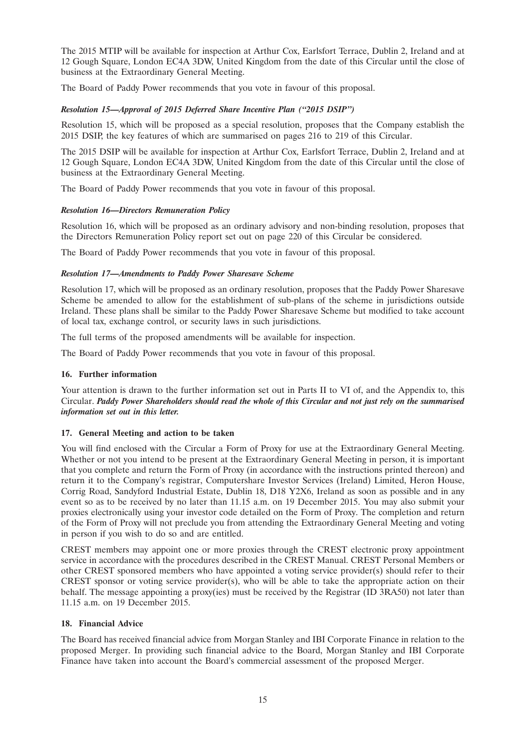The 2015 MTIP will be available for inspection at Arthur Cox, Earlsfort Terrace, Dublin 2, Ireland and at 12 Gough Square, London EC4A 3DW, United Kingdom from the date of this Circular until the close of business at the Extraordinary General Meeting.

The Board of Paddy Power recommends that you vote in favour of this proposal.

## *Resolution 15—Approval of 2015 Deferred Share Incentive Plan (''2015 DSIP'')*

Resolution 15, which will be proposed as a special resolution, proposes that the Company establish the 2015 DSIP, the key features of which are summarised on pages 216 to 219 of this Circular.

The 2015 DSIP will be available for inspection at Arthur Cox, Earlsfort Terrace, Dublin 2, Ireland and at 12 Gough Square, London EC4A 3DW, United Kingdom from the date of this Circular until the close of business at the Extraordinary General Meeting.

The Board of Paddy Power recommends that you vote in favour of this proposal.

## *Resolution 16—Directors Remuneration Policy*

Resolution 16, which will be proposed as an ordinary advisory and non-binding resolution, proposes that the Directors Remuneration Policy report set out on page 220 of this Circular be considered.

The Board of Paddy Power recommends that you vote in favour of this proposal.

## *Resolution 17—Amendments to Paddy Power Sharesave Scheme*

Resolution 17, which will be proposed as an ordinary resolution, proposes that the Paddy Power Sharesave Scheme be amended to allow for the establishment of sub-plans of the scheme in jurisdictions outside Ireland. These plans shall be similar to the Paddy Power Sharesave Scheme but modified to take account of local tax, exchange control, or security laws in such jurisdictions.

The full terms of the proposed amendments will be available for inspection.

The Board of Paddy Power recommends that you vote in favour of this proposal.

## **16. Further information**

Your attention is drawn to the further information set out in Parts II to VI of, and the Appendix to, this Circular. *Paddy Power Shareholders should read the whole of this Circular and not just rely on the summarised information set out in this letter.*

## **17. General Meeting and action to be taken**

You will find enclosed with the Circular a Form of Proxy for use at the Extraordinary General Meeting. Whether or not you intend to be present at the Extraordinary General Meeting in person, it is important that you complete and return the Form of Proxy (in accordance with the instructions printed thereon) and return it to the Company's registrar, Computershare Investor Services (Ireland) Limited, Heron House, Corrig Road, Sandyford Industrial Estate, Dublin 18, D18 Y2X6, Ireland as soon as possible and in any event so as to be received by no later than 11.15 a.m. on 19 December 2015. You may also submit your proxies electronically using your investor code detailed on the Form of Proxy. The completion and return of the Form of Proxy will not preclude you from attending the Extraordinary General Meeting and voting in person if you wish to do so and are entitled.

CREST members may appoint one or more proxies through the CREST electronic proxy appointment service in accordance with the procedures described in the CREST Manual. CREST Personal Members or other CREST sponsored members who have appointed a voting service provider(s) should refer to their CREST sponsor or voting service provider(s), who will be able to take the appropriate action on their behalf. The message appointing a proxy(ies) must be received by the Registrar (ID 3RA50) not later than 11.15 a.m. on 19 December 2015.

#### **18. Financial Advice**

The Board has received financial advice from Morgan Stanley and IBI Corporate Finance in relation to the proposed Merger. In providing such financial advice to the Board, Morgan Stanley and IBI Corporate Finance have taken into account the Board's commercial assessment of the proposed Merger.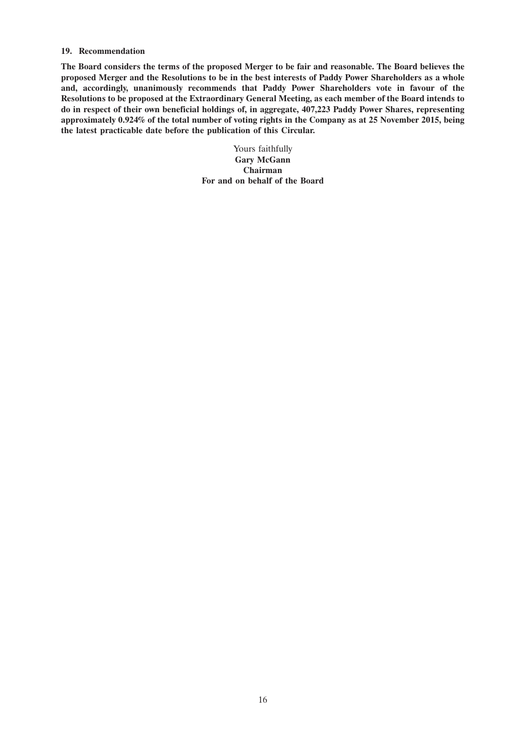#### **19. Recommendation**

**The Board considers the terms of the proposed Merger to be fair and reasonable. The Board believes the proposed Merger and the Resolutions to be in the best interests of Paddy Power Shareholders as a whole and, accordingly, unanimously recommends that Paddy Power Shareholders vote in favour of the Resolutions to be proposed at the Extraordinary General Meeting, as each member of the Board intends to do in respect of their own beneficial holdings of, in aggregate, 407,223 Paddy Power Shares, representing approximately 0.924% of the total number of voting rights in the Company as at 25 November 2015, being the latest practicable date before the publication of this Circular.**

> Yours faithfully **Gary McGann Chairman For and on behalf of the Board**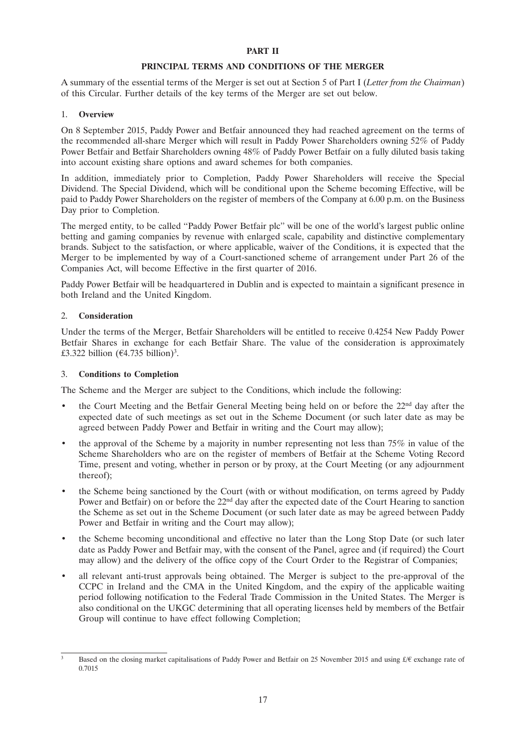#### **PART II**

#### **PRINCIPAL TERMS AND CONDITIONS OF THE MERGER**

A summary of the essential terms of the Merger is set out at Section 5 of Part I (*Letter from the Chairman*) of this Circular. Further details of the key terms of the Merger are set out below.

#### 1. **Overview**

On 8 September 2015, Paddy Power and Betfair announced they had reached agreement on the terms of the recommended all-share Merger which will result in Paddy Power Shareholders owning 52% of Paddy Power Betfair and Betfair Shareholders owning 48% of Paddy Power Betfair on a fully diluted basis taking into account existing share options and award schemes for both companies.

In addition, immediately prior to Completion, Paddy Power Shareholders will receive the Special Dividend. The Special Dividend, which will be conditional upon the Scheme becoming Effective, will be paid to Paddy Power Shareholders on the register of members of the Company at 6.00 p.m. on the Business Day prior to Completion.

The merged entity, to be called ''Paddy Power Betfair plc'' will be one of the world's largest public online betting and gaming companies by revenue with enlarged scale, capability and distinctive complementary brands. Subject to the satisfaction, or where applicable, waiver of the Conditions, it is expected that the Merger to be implemented by way of a Court-sanctioned scheme of arrangement under Part 26 of the Companies Act, will become Effective in the first quarter of 2016.

Paddy Power Betfair will be headquartered in Dublin and is expected to maintain a significant presence in both Ireland and the United Kingdom.

#### 2. **Consideration**

Under the terms of the Merger, Betfair Shareholders will be entitled to receive 0.4254 New Paddy Power Betfair Shares in exchange for each Betfair Share. The value of the consideration is approximately £3.322 billion  $(€4.735$  billion)<sup>3</sup>.

#### 3. **Conditions to Completion**

The Scheme and the Merger are subject to the Conditions, which include the following:

- the Court Meeting and the Betfair General Meeting being held on or before the 22<sup>nd</sup> day after the expected date of such meetings as set out in the Scheme Document (or such later date as may be agreed between Paddy Power and Betfair in writing and the Court may allow);
- the approval of the Scheme by a majority in number representing not less than  $75\%$  in value of the Scheme Shareholders who are on the register of members of Betfair at the Scheme Voting Record Time, present and voting, whether in person or by proxy, at the Court Meeting (or any adjournment thereof);
- the Scheme being sanctioned by the Court (with or without modification, on terms agreed by Paddy Power and Betfair) on or before the 22<sup>nd</sup> day after the expected date of the Court Hearing to sanction the Scheme as set out in the Scheme Document (or such later date as may be agreed between Paddy Power and Betfair in writing and the Court may allow);
- the Scheme becoming unconditional and effective no later than the Long Stop Date (or such later date as Paddy Power and Betfair may, with the consent of the Panel, agree and (if required) the Court may allow) and the delivery of the office copy of the Court Order to the Registrar of Companies;
- all relevant anti-trust approvals being obtained. The Merger is subject to the pre-approval of the CCPC in Ireland and the CMA in the United Kingdom, and the expiry of the applicable waiting period following notification to the Federal Trade Commission in the United States. The Merger is also conditional on the UKGC determining that all operating licenses held by members of the Betfair Group will continue to have effect following Completion;

Based on the closing market capitalisations of Paddy Power and Betfair on 25 November 2015 and using  $E/E$  exchange rate of 0.7015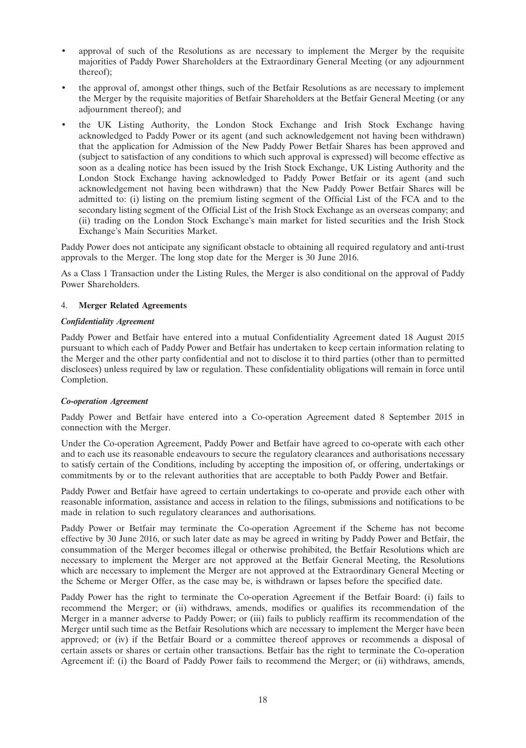- approval of such of the Resolutions as are necessary to implement the Merger by the requisite majorities of Paddy Power Shareholders at the Extraordinary General Meeting (or any adjournment thereof);
- the approval of, amongst other things, such of the Betfair Resolutions as are necessary to implement the Merger by the requisite majorities of Betfair Shareholders at the Betfair General Meeting (or any adjournment thereof); and
- the UK Listing Authority, the London Stock Exchange and Irish Stock Exchange having acknowledged to Paddy Power or its agent (and such acknowledgement not having been withdrawn) that the application for Admission of the New Paddy Power Betfair Shares has been approved and (subject to satisfaction of any conditions to which such approval is expressed) will become effective as soon as a dealing notice has been issued by the Irish Stock Exchange, UK Listing Authority and the London Stock Exchange having acknowledged to Paddy Power Betfair or its agent (and such acknowledgement not having been withdrawn) that the New Paddy Power Betfair Shares will be admitted to: (i) listing on the premium listing segment of the Official List of the FCA and to the secondary listing segment of the Official List of the Irish Stock Exchange as an overseas company; and (ii) trading on the London Stock Exchange's main market for listed securities and the Irish Stock Exchange's Main Securities Market.

Paddy Power does not anticipate any significant obstacle to obtaining all required regulatory and anti-trust approvals to the Merger. The long stop date for the Merger is 30 June 2016.

As a Class 1 Transaction under the Listing Rules, the Merger is also conditional on the approval of Paddy Power Shareholders.

## 4. **Merger Related Agreements**

#### *Confidentiality Agreement*

Paddy Power and Betfair have entered into a mutual Confidentiality Agreement dated 18 August 2015 pursuant to which each of Paddy Power and Betfair has undertaken to keep certain information relating to the Merger and the other party confidential and not to disclose it to third parties (other than to permitted disclosees) unless required by law or regulation. These confidentiality obligations will remain in force until Completion.

#### *Co-operation Agreement*

Paddy Power and Betfair have entered into a Co-operation Agreement dated 8 September 2015 in connection with the Merger.

Under the Co-operation Agreement, Paddy Power and Betfair have agreed to co-operate with each other and to each use its reasonable endeavours to secure the regulatory clearances and authorisations necessary to satisfy certain of the Conditions, including by accepting the imposition of, or offering, undertakings or commitments by or to the relevant authorities that are acceptable to both Paddy Power and Betfair.

Paddy Power and Betfair have agreed to certain undertakings to co-operate and provide each other with reasonable information, assistance and access in relation to the filings, submissions and notifications to be made in relation to such regulatory clearances and authorisations.

Paddy Power or Betfair may terminate the Co-operation Agreement if the Scheme has not become effective by 30 June 2016, or such later date as may be agreed in writing by Paddy Power and Betfair, the consummation of the Merger becomes illegal or otherwise prohibited, the Betfair Resolutions which are necessary to implement the Merger are not approved at the Betfair General Meeting, the Resolutions which are necessary to implement the Merger are not approved at the Extraordinary General Meeting or the Scheme or Merger Offer, as the case may be, is withdrawn or lapses before the specified date.

Paddy Power has the right to terminate the Co-operation Agreement if the Betfair Board: (i) fails to recommend the Merger; or (ii) withdraws, amends, modifies or qualifies its recommendation of the Merger in a manner adverse to Paddy Power; or (iii) fails to publicly reaffirm its recommendation of the Merger until such time as the Betfair Resolutions which are necessary to implement the Merger have been approved; or (iv) if the Betfair Board or a committee thereof approves or recommends a disposal of certain assets or shares or certain other transactions. Betfair has the right to terminate the Co-operation Agreement if: (i) the Board of Paddy Power fails to recommend the Merger; or (ii) withdraws, amends,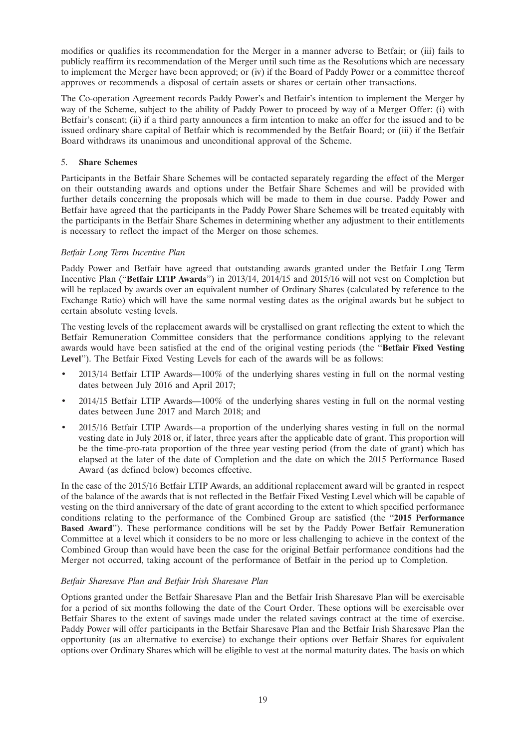modifies or qualifies its recommendation for the Merger in a manner adverse to Betfair; or (iii) fails to publicly reaffirm its recommendation of the Merger until such time as the Resolutions which are necessary to implement the Merger have been approved; or (iv) if the Board of Paddy Power or a committee thereof approves or recommends a disposal of certain assets or shares or certain other transactions.

The Co-operation Agreement records Paddy Power's and Betfair's intention to implement the Merger by way of the Scheme, subject to the ability of Paddy Power to proceed by way of a Merger Offer: (i) with Betfair's consent; (ii) if a third party announces a firm intention to make an offer for the issued and to be issued ordinary share capital of Betfair which is recommended by the Betfair Board; or (iii) if the Betfair Board withdraws its unanimous and unconditional approval of the Scheme.

## 5. **Share Schemes**

Participants in the Betfair Share Schemes will be contacted separately regarding the effect of the Merger on their outstanding awards and options under the Betfair Share Schemes and will be provided with further details concerning the proposals which will be made to them in due course. Paddy Power and Betfair have agreed that the participants in the Paddy Power Share Schemes will be treated equitably with the participants in the Betfair Share Schemes in determining whether any adjustment to their entitlements is necessary to reflect the impact of the Merger on those schemes.

## *Betfair Long Term Incentive Plan*

Paddy Power and Betfair have agreed that outstanding awards granted under the Betfair Long Term Incentive Plan (''**Betfair LTIP Awards**'') in 2013/14, 2014/15 and 2015/16 will not vest on Completion but will be replaced by awards over an equivalent number of Ordinary Shares (calculated by reference to the Exchange Ratio) which will have the same normal vesting dates as the original awards but be subject to certain absolute vesting levels.

The vesting levels of the replacement awards will be crystallised on grant reflecting the extent to which the Betfair Remuneration Committee considers that the performance conditions applying to the relevant awards would have been satisfied at the end of the original vesting periods (the ''**Betfair Fixed Vesting Level**''). The Betfair Fixed Vesting Levels for each of the awards will be as follows:

- 2013/14 Betfair LTIP Awards—100% of the underlying shares vesting in full on the normal vesting dates between July 2016 and April 2017;
- 2014/15 Betfair LTIP Awards—100% of the underlying shares vesting in full on the normal vesting dates between June 2017 and March 2018; and
- 2015/16 Betfair LTIP Awards—a proportion of the underlying shares vesting in full on the normal vesting date in July 2018 or, if later, three years after the applicable date of grant. This proportion will be the time-pro-rata proportion of the three year vesting period (from the date of grant) which has elapsed at the later of the date of Completion and the date on which the 2015 Performance Based Award (as defined below) becomes effective.

In the case of the 2015/16 Betfair LTIP Awards, an additional replacement award will be granted in respect of the balance of the awards that is not reflected in the Betfair Fixed Vesting Level which will be capable of vesting on the third anniversary of the date of grant according to the extent to which specified performance conditions relating to the performance of the Combined Group are satisfied (the ''**2015 Performance Based Award**''). These performance conditions will be set by the Paddy Power Betfair Remuneration Committee at a level which it considers to be no more or less challenging to achieve in the context of the Combined Group than would have been the case for the original Betfair performance conditions had the Merger not occurred, taking account of the performance of Betfair in the period up to Completion.

#### *Betfair Sharesave Plan and Betfair Irish Sharesave Plan*

Options granted under the Betfair Sharesave Plan and the Betfair Irish Sharesave Plan will be exercisable for a period of six months following the date of the Court Order. These options will be exercisable over Betfair Shares to the extent of savings made under the related savings contract at the time of exercise. Paddy Power will offer participants in the Betfair Sharesave Plan and the Betfair Irish Sharesave Plan the opportunity (as an alternative to exercise) to exchange their options over Betfair Shares for equivalent options over Ordinary Shares which will be eligible to vest at the normal maturity dates. The basis on which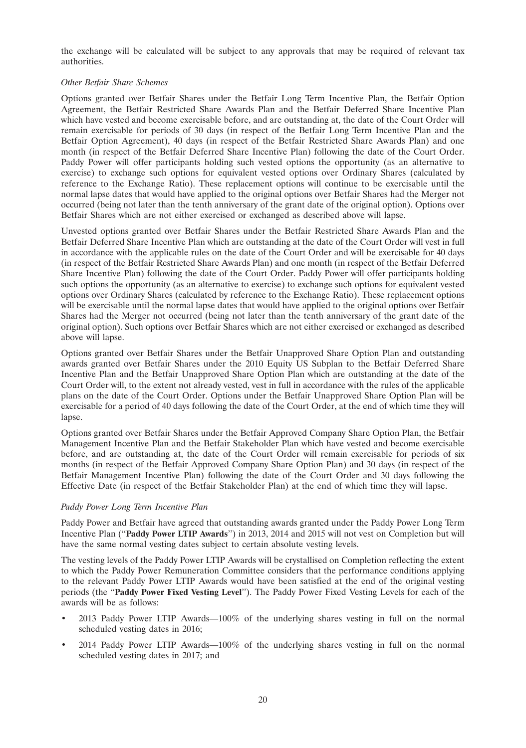the exchange will be calculated will be subject to any approvals that may be required of relevant tax authorities.

#### *Other Betfair Share Schemes*

Options granted over Betfair Shares under the Betfair Long Term Incentive Plan, the Betfair Option Agreement, the Betfair Restricted Share Awards Plan and the Betfair Deferred Share Incentive Plan which have vested and become exercisable before, and are outstanding at, the date of the Court Order will remain exercisable for periods of 30 days (in respect of the Betfair Long Term Incentive Plan and the Betfair Option Agreement), 40 days (in respect of the Betfair Restricted Share Awards Plan) and one month (in respect of the Betfair Deferred Share Incentive Plan) following the date of the Court Order. Paddy Power will offer participants holding such vested options the opportunity (as an alternative to exercise) to exchange such options for equivalent vested options over Ordinary Shares (calculated by reference to the Exchange Ratio). These replacement options will continue to be exercisable until the normal lapse dates that would have applied to the original options over Betfair Shares had the Merger not occurred (being not later than the tenth anniversary of the grant date of the original option). Options over Betfair Shares which are not either exercised or exchanged as described above will lapse.

Unvested options granted over Betfair Shares under the Betfair Restricted Share Awards Plan and the Betfair Deferred Share Incentive Plan which are outstanding at the date of the Court Order will vest in full in accordance with the applicable rules on the date of the Court Order and will be exercisable for 40 days (in respect of the Betfair Restricted Share Awards Plan) and one month (in respect of the Betfair Deferred Share Incentive Plan) following the date of the Court Order. Paddy Power will offer participants holding such options the opportunity (as an alternative to exercise) to exchange such options for equivalent vested options over Ordinary Shares (calculated by reference to the Exchange Ratio). These replacement options will be exercisable until the normal lapse dates that would have applied to the original options over Betfair Shares had the Merger not occurred (being not later than the tenth anniversary of the grant date of the original option). Such options over Betfair Shares which are not either exercised or exchanged as described above will lapse.

Options granted over Betfair Shares under the Betfair Unapproved Share Option Plan and outstanding awards granted over Betfair Shares under the 2010 Equity US Subplan to the Betfair Deferred Share Incentive Plan and the Betfair Unapproved Share Option Plan which are outstanding at the date of the Court Order will, to the extent not already vested, vest in full in accordance with the rules of the applicable plans on the date of the Court Order. Options under the Betfair Unapproved Share Option Plan will be exercisable for a period of 40 days following the date of the Court Order, at the end of which time they will lapse.

Options granted over Betfair Shares under the Betfair Approved Company Share Option Plan, the Betfair Management Incentive Plan and the Betfair Stakeholder Plan which have vested and become exercisable before, and are outstanding at, the date of the Court Order will remain exercisable for periods of six months (in respect of the Betfair Approved Company Share Option Plan) and 30 days (in respect of the Betfair Management Incentive Plan) following the date of the Court Order and 30 days following the Effective Date (in respect of the Betfair Stakeholder Plan) at the end of which time they will lapse.

## *Paddy Power Long Term Incentive Plan*

Paddy Power and Betfair have agreed that outstanding awards granted under the Paddy Power Long Term Incentive Plan (''**Paddy Power LTIP Awards**'') in 2013, 2014 and 2015 will not vest on Completion but will have the same normal vesting dates subject to certain absolute vesting levels.

The vesting levels of the Paddy Power LTIP Awards will be crystallised on Completion reflecting the extent to which the Paddy Power Remuneration Committee considers that the performance conditions applying to the relevant Paddy Power LTIP Awards would have been satisfied at the end of the original vesting periods (the ''**Paddy Power Fixed Vesting Level**''). The Paddy Power Fixed Vesting Levels for each of the awards will be as follows:

- 2013 Paddy Power LTIP Awards—100% of the underlying shares vesting in full on the normal scheduled vesting dates in 2016;
- 2014 Paddy Power LTIP Awards—100% of the underlying shares vesting in full on the normal scheduled vesting dates in 2017; and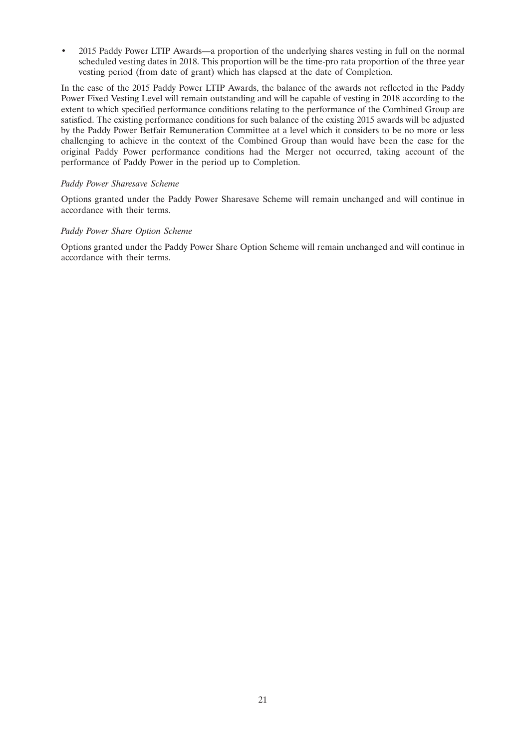• 2015 Paddy Power LTIP Awards—a proportion of the underlying shares vesting in full on the normal scheduled vesting dates in 2018. This proportion will be the time-pro rata proportion of the three year vesting period (from date of grant) which has elapsed at the date of Completion.

In the case of the 2015 Paddy Power LTIP Awards, the balance of the awards not reflected in the Paddy Power Fixed Vesting Level will remain outstanding and will be capable of vesting in 2018 according to the extent to which specified performance conditions relating to the performance of the Combined Group are satisfied. The existing performance conditions for such balance of the existing 2015 awards will be adjusted by the Paddy Power Betfair Remuneration Committee at a level which it considers to be no more or less challenging to achieve in the context of the Combined Group than would have been the case for the original Paddy Power performance conditions had the Merger not occurred, taking account of the performance of Paddy Power in the period up to Completion.

#### *Paddy Power Sharesave Scheme*

Options granted under the Paddy Power Sharesave Scheme will remain unchanged and will continue in accordance with their terms.

#### *Paddy Power Share Option Scheme*

Options granted under the Paddy Power Share Option Scheme will remain unchanged and will continue in accordance with their terms.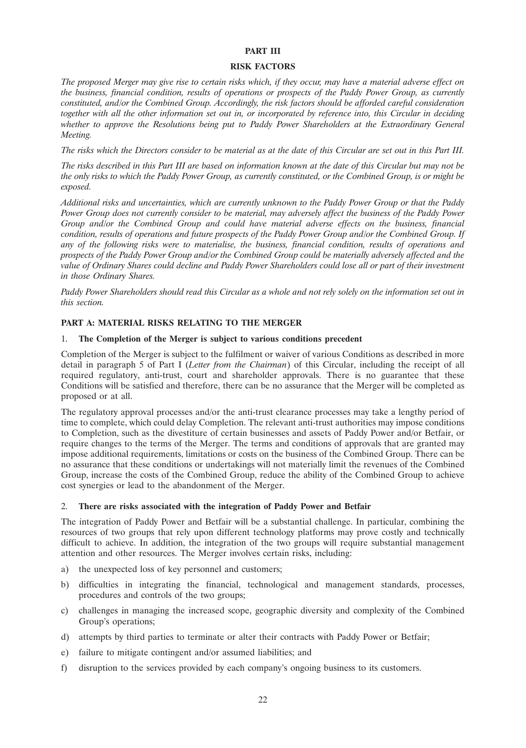#### **PART III**

#### **RISK FACTORS**

*The proposed Merger may give rise to certain risks which, if they occur, may have a material adverse effect on the business, financial condition, results of operations or prospects of the Paddy Power Group, as currently constituted, and/or the Combined Group. Accordingly, the risk factors should be afforded careful consideration together with all the other information set out in, or incorporated by reference into, this Circular in deciding whether to approve the Resolutions being put to Paddy Power Shareholders at the Extraordinary General Meeting.*

*The risks which the Directors consider to be material as at the date of this Circular are set out in this Part III.*

*The risks described in this Part III are based on information known at the date of this Circular but may not be the only risks to which the Paddy Power Group, as currently constituted, or the Combined Group, is or might be exposed.*

*Additional risks and uncertainties, which are currently unknown to the Paddy Power Group or that the Paddy Power Group does not currently consider to be material, may adversely affect the business of the Paddy Power Group and/or the Combined Group and could have material adverse effects on the business, financial condition, results of operations and future prospects of the Paddy Power Group and/or the Combined Group. If any of the following risks were to materialise, the business, financial condition, results of operations and prospects of the Paddy Power Group and/or the Combined Group could be materially adversely affected and the value of Ordinary Shares could decline and Paddy Power Shareholders could lose all or part of their investment in those Ordinary Shares.*

*Paddy Power Shareholders should read this Circular as a whole and not rely solely on the information set out in this section.*

#### **PART A: MATERIAL RISKS RELATING TO THE MERGER**

#### 1. **The Completion of the Merger is subject to various conditions precedent**

Completion of the Merger is subject to the fulfilment or waiver of various Conditions as described in more detail in paragraph 5 of Part I (*Letter from the Chairman*) of this Circular, including the receipt of all required regulatory, anti-trust, court and shareholder approvals. There is no guarantee that these Conditions will be satisfied and therefore, there can be no assurance that the Merger will be completed as proposed or at all.

The regulatory approval processes and/or the anti-trust clearance processes may take a lengthy period of time to complete, which could delay Completion. The relevant anti-trust authorities may impose conditions to Completion, such as the divestiture of certain businesses and assets of Paddy Power and/or Betfair, or require changes to the terms of the Merger. The terms and conditions of approvals that are granted may impose additional requirements, limitations or costs on the business of the Combined Group. There can be no assurance that these conditions or undertakings will not materially limit the revenues of the Combined Group, increase the costs of the Combined Group, reduce the ability of the Combined Group to achieve cost synergies or lead to the abandonment of the Merger.

#### 2. **There are risks associated with the integration of Paddy Power and Betfair**

The integration of Paddy Power and Betfair will be a substantial challenge. In particular, combining the resources of two groups that rely upon different technology platforms may prove costly and technically difficult to achieve. In addition, the integration of the two groups will require substantial management attention and other resources. The Merger involves certain risks, including:

- a) the unexpected loss of key personnel and customers;
- b) difficulties in integrating the financial, technological and management standards, processes, procedures and controls of the two groups;
- c) challenges in managing the increased scope, geographic diversity and complexity of the Combined Group's operations;
- d) attempts by third parties to terminate or alter their contracts with Paddy Power or Betfair;
- e) failure to mitigate contingent and/or assumed liabilities; and
- f) disruption to the services provided by each company's ongoing business to its customers.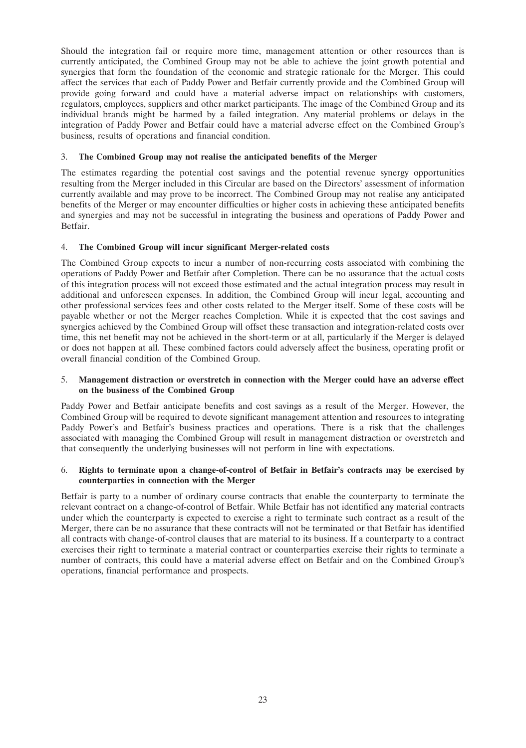Should the integration fail or require more time, management attention or other resources than is currently anticipated, the Combined Group may not be able to achieve the joint growth potential and synergies that form the foundation of the economic and strategic rationale for the Merger. This could affect the services that each of Paddy Power and Betfair currently provide and the Combined Group will provide going forward and could have a material adverse impact on relationships with customers, regulators, employees, suppliers and other market participants. The image of the Combined Group and its individual brands might be harmed by a failed integration. Any material problems or delays in the integration of Paddy Power and Betfair could have a material adverse effect on the Combined Group's business, results of operations and financial condition.

### 3. **The Combined Group may not realise the anticipated benefits of the Merger**

The estimates regarding the potential cost savings and the potential revenue synergy opportunities resulting from the Merger included in this Circular are based on the Directors' assessment of information currently available and may prove to be incorrect. The Combined Group may not realise any anticipated benefits of the Merger or may encounter difficulties or higher costs in achieving these anticipated benefits and synergies and may not be successful in integrating the business and operations of Paddy Power and Betfair.

## 4. **The Combined Group will incur significant Merger-related costs**

The Combined Group expects to incur a number of non-recurring costs associated with combining the operations of Paddy Power and Betfair after Completion. There can be no assurance that the actual costs of this integration process will not exceed those estimated and the actual integration process may result in additional and unforeseen expenses. In addition, the Combined Group will incur legal, accounting and other professional services fees and other costs related to the Merger itself. Some of these costs will be payable whether or not the Merger reaches Completion. While it is expected that the cost savings and synergies achieved by the Combined Group will offset these transaction and integration-related costs over time, this net benefit may not be achieved in the short-term or at all, particularly if the Merger is delayed or does not happen at all. These combined factors could adversely affect the business, operating profit or overall financial condition of the Combined Group.

#### 5. **Management distraction or overstretch in connection with the Merger could have an adverse effect on the business of the Combined Group**

Paddy Power and Betfair anticipate benefits and cost savings as a result of the Merger. However, the Combined Group will be required to devote significant management attention and resources to integrating Paddy Power's and Betfair's business practices and operations. There is a risk that the challenges associated with managing the Combined Group will result in management distraction or overstretch and that consequently the underlying businesses will not perform in line with expectations.

#### 6. **Rights to terminate upon a change-of-control of Betfair in Betfair's contracts may be exercised by counterparties in connection with the Merger**

Betfair is party to a number of ordinary course contracts that enable the counterparty to terminate the relevant contract on a change-of-control of Betfair. While Betfair has not identified any material contracts under which the counterparty is expected to exercise a right to terminate such contract as a result of the Merger, there can be no assurance that these contracts will not be terminated or that Betfair has identified all contracts with change-of-control clauses that are material to its business. If a counterparty to a contract exercises their right to terminate a material contract or counterparties exercise their rights to terminate a number of contracts, this could have a material adverse effect on Betfair and on the Combined Group's operations, financial performance and prospects.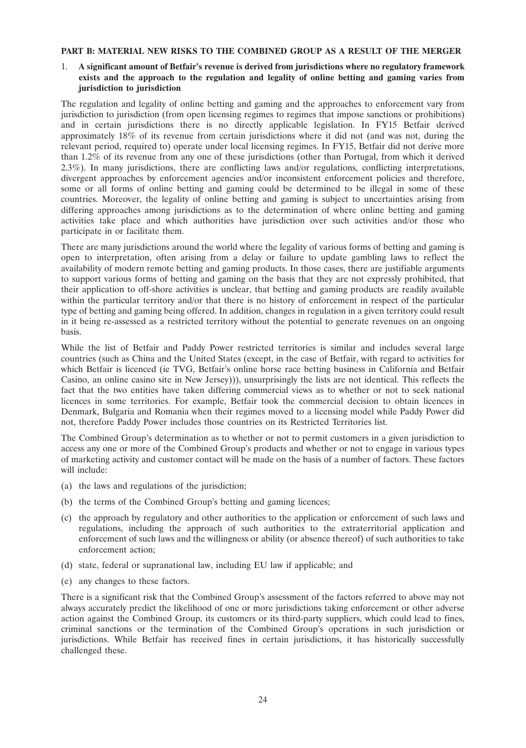#### **PART B: MATERIAL NEW RISKS TO THE COMBINED GROUP AS A RESULT OF THE MERGER**

### 1. **A significant amount of Betfair's revenue is derived from jurisdictions where no regulatory framework exists and the approach to the regulation and legality of online betting and gaming varies from jurisdiction to jurisdiction**

The regulation and legality of online betting and gaming and the approaches to enforcement vary from jurisdiction to jurisdiction (from open licensing regimes to regimes that impose sanctions or prohibitions) and in certain jurisdictions there is no directly applicable legislation. In FY15 Betfair derived approximately 18% of its revenue from certain jurisdictions where it did not (and was not, during the relevant period, required to) operate under local licensing regimes. In FY15, Betfair did not derive more than 1.2% of its revenue from any one of these jurisdictions (other than Portugal, from which it derived 2.3%). In many jurisdictions, there are conflicting laws and/or regulations, conflicting interpretations, divergent approaches by enforcement agencies and/or inconsistent enforcement policies and therefore, some or all forms of online betting and gaming could be determined to be illegal in some of these countries. Moreover, the legality of online betting and gaming is subject to uncertainties arising from differing approaches among jurisdictions as to the determination of where online betting and gaming activities take place and which authorities have jurisdiction over such activities and/or those who participate in or facilitate them.

There are many jurisdictions around the world where the legality of various forms of betting and gaming is open to interpretation, often arising from a delay or failure to update gambling laws to reflect the availability of modern remote betting and gaming products. In those cases, there are justifiable arguments to support various forms of betting and gaming on the basis that they are not expressly prohibited, that their application to off-shore activities is unclear, that betting and gaming products are readily available within the particular territory and/or that there is no history of enforcement in respect of the particular type of betting and gaming being offered. In addition, changes in regulation in a given territory could result in it being re-assessed as a restricted territory without the potential to generate revenues on an ongoing basis.

While the list of Betfair and Paddy Power restricted territories is similar and includes several large countries (such as China and the United States (except, in the case of Betfair, with regard to activities for which Betfair is licenced (ie TVG, Betfair's online horse race betting business in California and Betfair Casino, an online casino site in New Jersey))), unsurprisingly the lists are not identical. This reflects the fact that the two entities have taken differing commercial views as to whether or not to seek national licences in some territories. For example, Betfair took the commercial decision to obtain licences in Denmark, Bulgaria and Romania when their regimes moved to a licensing model while Paddy Power did not, therefore Paddy Power includes those countries on its Restricted Territories list.

The Combined Group's determination as to whether or not to permit customers in a given jurisdiction to access any one or more of the Combined Group's products and whether or not to engage in various types of marketing activity and customer contact will be made on the basis of a number of factors. These factors will include:

- (a) the laws and regulations of the jurisdiction;
- (b) the terms of the Combined Group's betting and gaming licences;
- (c) the approach by regulatory and other authorities to the application or enforcement of such laws and regulations, including the approach of such authorities to the extraterritorial application and enforcement of such laws and the willingness or ability (or absence thereof) of such authorities to take enforcement action;
- (d) state, federal or supranational law, including EU law if applicable; and
- (e) any changes to these factors.

There is a significant risk that the Combined Group's assessment of the factors referred to above may not always accurately predict the likelihood of one or more jurisdictions taking enforcement or other adverse action against the Combined Group, its customers or its third-party suppliers, which could lead to fines, criminal sanctions or the termination of the Combined Group's operations in such jurisdiction or jurisdictions. While Betfair has received fines in certain jurisdictions, it has historically successfully challenged these.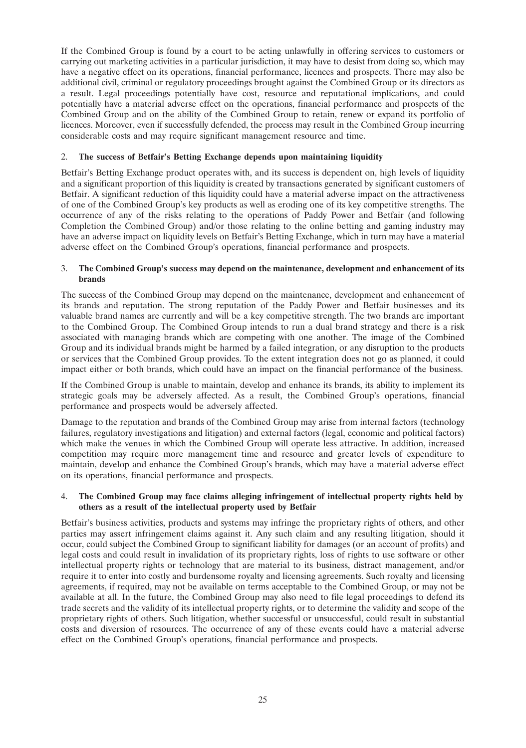If the Combined Group is found by a court to be acting unlawfully in offering services to customers or carrying out marketing activities in a particular jurisdiction, it may have to desist from doing so, which may have a negative effect on its operations, financial performance, licences and prospects. There may also be additional civil, criminal or regulatory proceedings brought against the Combined Group or its directors as a result. Legal proceedings potentially have cost, resource and reputational implications, and could potentially have a material adverse effect on the operations, financial performance and prospects of the Combined Group and on the ability of the Combined Group to retain, renew or expand its portfolio of licences. Moreover, even if successfully defended, the process may result in the Combined Group incurring considerable costs and may require significant management resource and time.

## 2. **The success of Betfair's Betting Exchange depends upon maintaining liquidity**

Betfair's Betting Exchange product operates with, and its success is dependent on, high levels of liquidity and a significant proportion of this liquidity is created by transactions generated by significant customers of Betfair. A significant reduction of this liquidity could have a material adverse impact on the attractiveness of one of the Combined Group's key products as well as eroding one of its key competitive strengths. The occurrence of any of the risks relating to the operations of Paddy Power and Betfair (and following Completion the Combined Group) and/or those relating to the online betting and gaming industry may have an adverse impact on liquidity levels on Betfair's Betting Exchange, which in turn may have a material adverse effect on the Combined Group's operations, financial performance and prospects.

### 3. **The Combined Group's success may depend on the maintenance, development and enhancement of its brands**

The success of the Combined Group may depend on the maintenance, development and enhancement of its brands and reputation. The strong reputation of the Paddy Power and Betfair businesses and its valuable brand names are currently and will be a key competitive strength. The two brands are important to the Combined Group. The Combined Group intends to run a dual brand strategy and there is a risk associated with managing brands which are competing with one another. The image of the Combined Group and its individual brands might be harmed by a failed integration, or any disruption to the products or services that the Combined Group provides. To the extent integration does not go as planned, it could impact either or both brands, which could have an impact on the financial performance of the business.

If the Combined Group is unable to maintain, develop and enhance its brands, its ability to implement its strategic goals may be adversely affected. As a result, the Combined Group's operations, financial performance and prospects would be adversely affected.

Damage to the reputation and brands of the Combined Group may arise from internal factors (technology failures, regulatory investigations and litigation) and external factors (legal, economic and political factors) which make the venues in which the Combined Group will operate less attractive. In addition, increased competition may require more management time and resource and greater levels of expenditure to maintain, develop and enhance the Combined Group's brands, which may have a material adverse effect on its operations, financial performance and prospects.

#### 4. **The Combined Group may face claims alleging infringement of intellectual property rights held by others as a result of the intellectual property used by Betfair**

Betfair's business activities, products and systems may infringe the proprietary rights of others, and other parties may assert infringement claims against it. Any such claim and any resulting litigation, should it occur, could subject the Combined Group to significant liability for damages (or an account of profits) and legal costs and could result in invalidation of its proprietary rights, loss of rights to use software or other intellectual property rights or technology that are material to its business, distract management, and/or require it to enter into costly and burdensome royalty and licensing agreements. Such royalty and licensing agreements, if required, may not be available on terms acceptable to the Combined Group, or may not be available at all. In the future, the Combined Group may also need to file legal proceedings to defend its trade secrets and the validity of its intellectual property rights, or to determine the validity and scope of the proprietary rights of others. Such litigation, whether successful or unsuccessful, could result in substantial costs and diversion of resources. The occurrence of any of these events could have a material adverse effect on the Combined Group's operations, financial performance and prospects.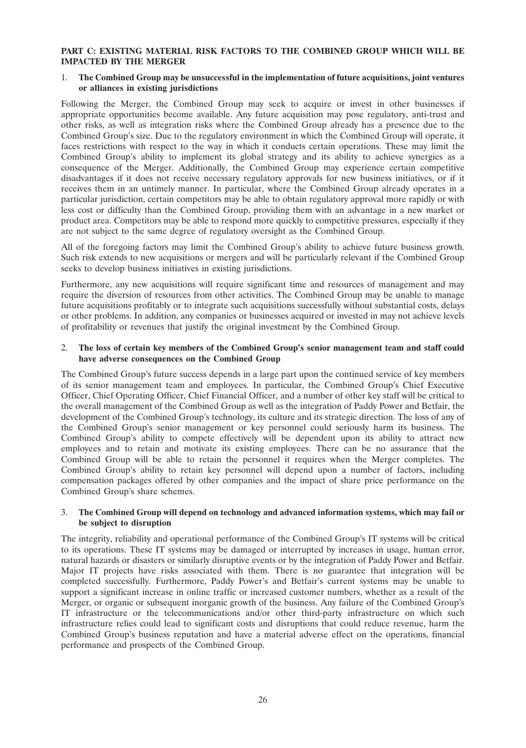#### **PART C: EXISTING MATERIAL RISK FACTORS TO THE COMBINED GROUP WHICH WILL BE IMPACTED BY THE MERGER**

#### 1. **The Combined Group may be unsuccessful in the implementation of future acquisitions, joint ventures or alliances in existing jurisdictions**

Following the Merger, the Combined Group may seek to acquire or invest in other businesses if appropriate opportunities become available. Any future acquisition may pose regulatory, anti-trust and other risks, as well as integration risks where the Combined Group already has a presence due to the Combined Group's size. Due to the regulatory environment in which the Combined Group will operate, it faces restrictions with respect to the way in which it conducts certain operations. These may limit the Combined Group's ability to implement its global strategy and its ability to achieve synergies as a consequence of the Merger. Additionally, the Combined Group may experience certain competitive disadvantages if it does not receive necessary regulatory approvals for new business initiatives, or if it receives them in an untimely manner. In particular, where the Combined Group already operates in a particular jurisdiction, certain competitors may be able to obtain regulatory approval more rapidly or with less cost or difficulty than the Combined Group, providing them with an advantage in a new market or product area. Competitors may be able to respond more quickly to competitive pressures, especially if they are not subject to the same degree of regulatory oversight as the Combined Group.

All of the foregoing factors may limit the Combined Group's ability to achieve future business growth. Such risk extends to new acquisitions or mergers and will be particularly relevant if the Combined Group seeks to develop business initiatives in existing jurisdictions.

Furthermore, any new acquisitions will require significant time and resources of management and may require the diversion of resources from other activities. The Combined Group may be unable to manage future acquisitions profitably or to integrate such acquisitions successfully without substantial costs, delays or other problems. In addition, any companies or businesses acquired or invested in may not achieve levels of profitability or revenues that justify the original investment by the Combined Group.

#### 2. **The loss of certain key members of the Combined Group's senior management team and staff could have adverse consequences on the Combined Group**

The Combined Group's future success depends in a large part upon the continued service of key members of its senior management team and employees. In particular, the Combined Group's Chief Executive Officer, Chief Operating Officer, Chief Financial Officer, and a number of other key staff will be critical to the overall management of the Combined Group as well as the integration of Paddy Power and Betfair, the development of the Combined Group's technology, its culture and its strategic direction. The loss of any of the Combined Group's senior management or key personnel could seriously harm its business. The Combined Group's ability to compete effectively will be dependent upon its ability to attract new employees and to retain and motivate its existing employees. There can be no assurance that the Combined Group will be able to retain the personnel it requires when the Merger completes. The Combined Group's ability to retain key personnel will depend upon a number of factors, including compensation packages offered by other companies and the impact of share price performance on the Combined Group's share schemes.

#### 3. **The Combined Group will depend on technology and advanced information systems, which may fail or be subject to disruption**

The integrity, reliability and operational performance of the Combined Group's IT systems will be critical to its operations. These IT systems may be damaged or interrupted by increases in usage, human error, natural hazards or disasters or similarly disruptive events or by the integration of Paddy Power and Betfair. Major IT projects have risks associated with them. There is no guarantee that integration will be completed successfully. Furthermore, Paddy Power's and Betfair's current systems may be unable to support a significant increase in online traffic or increased customer numbers, whether as a result of the Merger, or organic or subsequent inorganic growth of the business. Any failure of the Combined Group's IT infrastructure or the telecommunications and/or other third-party infrastructure on which such infrastructure relies could lead to significant costs and disruptions that could reduce revenue, harm the Combined Group's business reputation and have a material adverse effect on the operations, financial performance and prospects of the Combined Group.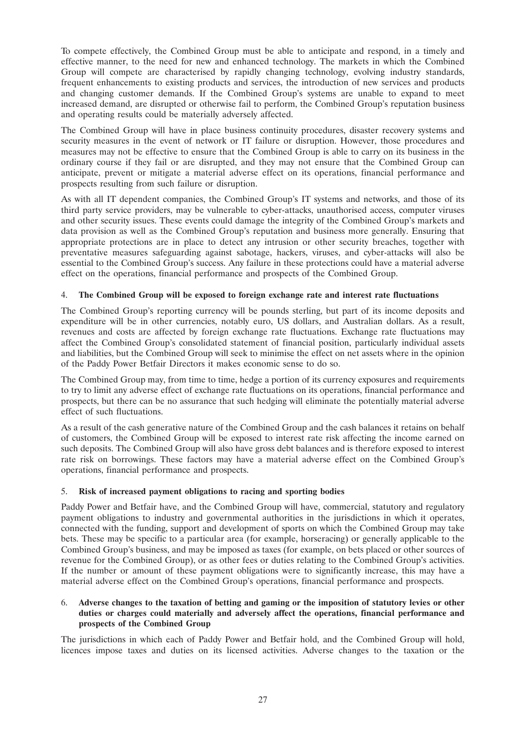To compete effectively, the Combined Group must be able to anticipate and respond, in a timely and effective manner, to the need for new and enhanced technology. The markets in which the Combined Group will compete are characterised by rapidly changing technology, evolving industry standards, frequent enhancements to existing products and services, the introduction of new services and products and changing customer demands. If the Combined Group's systems are unable to expand to meet increased demand, are disrupted or otherwise fail to perform, the Combined Group's reputation business and operating results could be materially adversely affected.

The Combined Group will have in place business continuity procedures, disaster recovery systems and security measures in the event of network or IT failure or disruption. However, those procedures and measures may not be effective to ensure that the Combined Group is able to carry on its business in the ordinary course if they fail or are disrupted, and they may not ensure that the Combined Group can anticipate, prevent or mitigate a material adverse effect on its operations, financial performance and prospects resulting from such failure or disruption.

As with all IT dependent companies, the Combined Group's IT systems and networks, and those of its third party service providers, may be vulnerable to cyber-attacks, unauthorised access, computer viruses and other security issues. These events could damage the integrity of the Combined Group's markets and data provision as well as the Combined Group's reputation and business more generally. Ensuring that appropriate protections are in place to detect any intrusion or other security breaches, together with preventative measures safeguarding against sabotage, hackers, viruses, and cyber-attacks will also be essential to the Combined Group's success. Any failure in these protections could have a material adverse effect on the operations, financial performance and prospects of the Combined Group.

## 4. **The Combined Group will be exposed to foreign exchange rate and interest rate fluctuations**

The Combined Group's reporting currency will be pounds sterling, but part of its income deposits and expenditure will be in other currencies, notably euro, US dollars, and Australian dollars. As a result, revenues and costs are affected by foreign exchange rate fluctuations. Exchange rate fluctuations may affect the Combined Group's consolidated statement of financial position, particularly individual assets and liabilities, but the Combined Group will seek to minimise the effect on net assets where in the opinion of the Paddy Power Betfair Directors it makes economic sense to do so.

The Combined Group may, from time to time, hedge a portion of its currency exposures and requirements to try to limit any adverse effect of exchange rate fluctuations on its operations, financial performance and prospects, but there can be no assurance that such hedging will eliminate the potentially material adverse effect of such fluctuations.

As a result of the cash generative nature of the Combined Group and the cash balances it retains on behalf of customers, the Combined Group will be exposed to interest rate risk affecting the income earned on such deposits. The Combined Group will also have gross debt balances and is therefore exposed to interest rate risk on borrowings. These factors may have a material adverse effect on the Combined Group's operations, financial performance and prospects.

## 5. **Risk of increased payment obligations to racing and sporting bodies**

Paddy Power and Betfair have, and the Combined Group will have, commercial, statutory and regulatory payment obligations to industry and governmental authorities in the jurisdictions in which it operates, connected with the funding, support and development of sports on which the Combined Group may take bets. These may be specific to a particular area (for example, horseracing) or generally applicable to the Combined Group's business, and may be imposed as taxes (for example, on bets placed or other sources of revenue for the Combined Group), or as other fees or duties relating to the Combined Group's activities. If the number or amount of these payment obligations were to significantly increase, this may have a material adverse effect on the Combined Group's operations, financial performance and prospects.

### 6. **Adverse changes to the taxation of betting and gaming or the imposition of statutory levies or other duties or charges could materially and adversely affect the operations, financial performance and prospects of the Combined Group**

The jurisdictions in which each of Paddy Power and Betfair hold, and the Combined Group will hold, licences impose taxes and duties on its licensed activities. Adverse changes to the taxation or the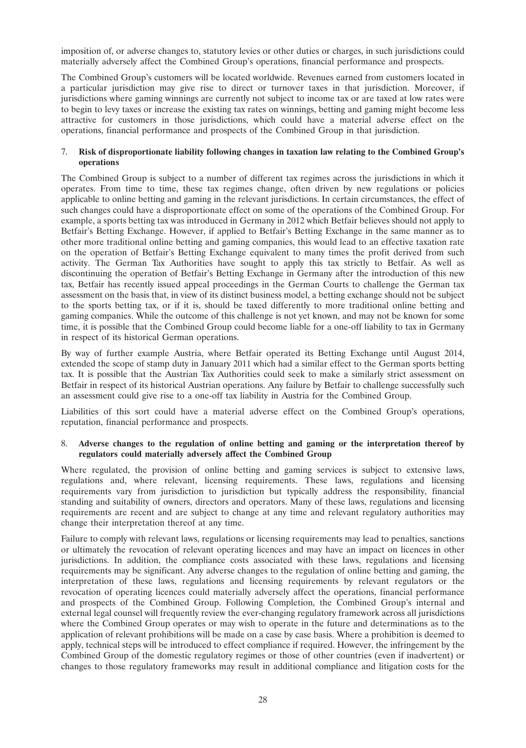imposition of, or adverse changes to, statutory levies or other duties or charges, in such jurisdictions could materially adversely affect the Combined Group's operations, financial performance and prospects.

The Combined Group's customers will be located worldwide. Revenues earned from customers located in a particular jurisdiction may give rise to direct or turnover taxes in that jurisdiction. Moreover, if jurisdictions where gaming winnings are currently not subject to income tax or are taxed at low rates were to begin to levy taxes or increase the existing tax rates on winnings, betting and gaming might become less attractive for customers in those jurisdictions, which could have a material adverse effect on the operations, financial performance and prospects of the Combined Group in that jurisdiction.

## 7. **Risk of disproportionate liability following changes in taxation law relating to the Combined Group's operations**

The Combined Group is subject to a number of different tax regimes across the jurisdictions in which it operates. From time to time, these tax regimes change, often driven by new regulations or policies applicable to online betting and gaming in the relevant jurisdictions. In certain circumstances, the effect of such changes could have a disproportionate effect on some of the operations of the Combined Group. For example, a sports betting tax was introduced in Germany in 2012 which Betfair believes should not apply to Betfair's Betting Exchange. However, if applied to Betfair's Betting Exchange in the same manner as to other more traditional online betting and gaming companies, this would lead to an effective taxation rate on the operation of Betfair's Betting Exchange equivalent to many times the profit derived from such activity. The German Tax Authorities have sought to apply this tax strictly to Betfair. As well as discontinuing the operation of Betfair's Betting Exchange in Germany after the introduction of this new tax, Betfair has recently issued appeal proceedings in the German Courts to challenge the German tax assessment on the basis that, in view of its distinct business model, a betting exchange should not be subject to the sports betting tax, or if it is, should be taxed differently to more traditional online betting and gaming companies. While the outcome of this challenge is not yet known, and may not be known for some time, it is possible that the Combined Group could become liable for a one-off liability to tax in Germany in respect of its historical German operations.

By way of further example Austria, where Betfair operated its Betting Exchange until August 2014, extended the scope of stamp duty in January 2011 which had a similar effect to the German sports betting tax. It is possible that the Austrian Tax Authorities could seek to make a similarly strict assessment on Betfair in respect of its historical Austrian operations. Any failure by Betfair to challenge successfully such an assessment could give rise to a one-off tax liability in Austria for the Combined Group.

Liabilities of this sort could have a material adverse effect on the Combined Group's operations, reputation, financial performance and prospects.

#### 8. **Adverse changes to the regulation of online betting and gaming or the interpretation thereof by regulators could materially adversely affect the Combined Group**

Where regulated, the provision of online betting and gaming services is subject to extensive laws, regulations and, where relevant, licensing requirements. These laws, regulations and licensing requirements vary from jurisdiction to jurisdiction but typically address the responsibility, financial standing and suitability of owners, directors and operators. Many of these laws, regulations and licensing requirements are recent and are subject to change at any time and relevant regulatory authorities may change their interpretation thereof at any time.

Failure to comply with relevant laws, regulations or licensing requirements may lead to penalties, sanctions or ultimately the revocation of relevant operating licences and may have an impact on licences in other jurisdictions. In addition, the compliance costs associated with these laws, regulations and licensing requirements may be significant. Any adverse changes to the regulation of online betting and gaming, the interpretation of these laws, regulations and licensing requirements by relevant regulators or the revocation of operating licences could materially adversely affect the operations, financial performance and prospects of the Combined Group. Following Completion, the Combined Group's internal and external legal counsel will frequently review the ever-changing regulatory framework across all jurisdictions where the Combined Group operates or may wish to operate in the future and determinations as to the application of relevant prohibitions will be made on a case by case basis. Where a prohibition is deemed to apply, technical steps will be introduced to effect compliance if required. However, the infringement by the Combined Group of the domestic regulatory regimes or those of other countries (even if inadvertent) or changes to those regulatory frameworks may result in additional compliance and litigation costs for the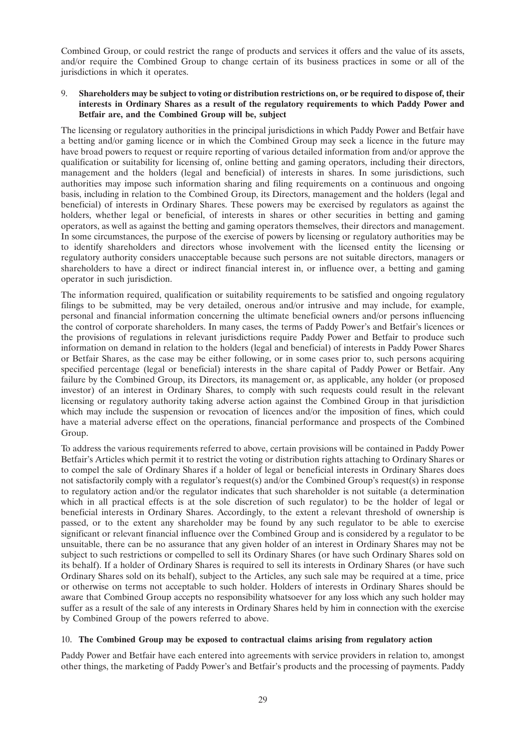Combined Group, or could restrict the range of products and services it offers and the value of its assets, and/or require the Combined Group to change certain of its business practices in some or all of the jurisdictions in which it operates.

### 9. **Shareholders may be subject to voting or distribution restrictions on, or be required to dispose of, their interests in Ordinary Shares as a result of the regulatory requirements to which Paddy Power and Betfair are, and the Combined Group will be, subject**

The licensing or regulatory authorities in the principal jurisdictions in which Paddy Power and Betfair have a betting and/or gaming licence or in which the Combined Group may seek a licence in the future may have broad powers to request or require reporting of various detailed information from and/or approve the qualification or suitability for licensing of, online betting and gaming operators, including their directors, management and the holders (legal and beneficial) of interests in shares. In some jurisdictions, such authorities may impose such information sharing and filing requirements on a continuous and ongoing basis, including in relation to the Combined Group, its Directors, management and the holders (legal and beneficial) of interests in Ordinary Shares. These powers may be exercised by regulators as against the holders, whether legal or beneficial, of interests in shares or other securities in betting and gaming operators, as well as against the betting and gaming operators themselves, their directors and management. In some circumstances, the purpose of the exercise of powers by licensing or regulatory authorities may be to identify shareholders and directors whose involvement with the licensed entity the licensing or regulatory authority considers unacceptable because such persons are not suitable directors, managers or shareholders to have a direct or indirect financial interest in, or influence over, a betting and gaming operator in such jurisdiction.

The information required, qualification or suitability requirements to be satisfied and ongoing regulatory filings to be submitted, may be very detailed, onerous and/or intrusive and may include, for example, personal and financial information concerning the ultimate beneficial owners and/or persons influencing the control of corporate shareholders. In many cases, the terms of Paddy Power's and Betfair's licences or the provisions of regulations in relevant jurisdictions require Paddy Power and Betfair to produce such information on demand in relation to the holders (legal and beneficial) of interests in Paddy Power Shares or Betfair Shares, as the case may be either following, or in some cases prior to, such persons acquiring specified percentage (legal or beneficial) interests in the share capital of Paddy Power or Betfair. Any failure by the Combined Group, its Directors, its management or, as applicable, any holder (or proposed investor) of an interest in Ordinary Shares, to comply with such requests could result in the relevant licensing or regulatory authority taking adverse action against the Combined Group in that jurisdiction which may include the suspension or revocation of licences and/or the imposition of fines, which could have a material adverse effect on the operations, financial performance and prospects of the Combined Group.

To address the various requirements referred to above, certain provisions will be contained in Paddy Power Betfair's Articles which permit it to restrict the voting or distribution rights attaching to Ordinary Shares or to compel the sale of Ordinary Shares if a holder of legal or beneficial interests in Ordinary Shares does not satisfactorily comply with a regulator's request(s) and/or the Combined Group's request(s) in response to regulatory action and/or the regulator indicates that such shareholder is not suitable (a determination which in all practical effects is at the sole discretion of such regulator) to be the holder of legal or beneficial interests in Ordinary Shares. Accordingly, to the extent a relevant threshold of ownership is passed, or to the extent any shareholder may be found by any such regulator to be able to exercise significant or relevant financial influence over the Combined Group and is considered by a regulator to be unsuitable, there can be no assurance that any given holder of an interest in Ordinary Shares may not be subject to such restrictions or compelled to sell its Ordinary Shares (or have such Ordinary Shares sold on its behalf). If a holder of Ordinary Shares is required to sell its interests in Ordinary Shares (or have such Ordinary Shares sold on its behalf), subject to the Articles, any such sale may be required at a time, price or otherwise on terms not acceptable to such holder. Holders of interests in Ordinary Shares should be aware that Combined Group accepts no responsibility whatsoever for any loss which any such holder may suffer as a result of the sale of any interests in Ordinary Shares held by him in connection with the exercise by Combined Group of the powers referred to above.

#### 10. **The Combined Group may be exposed to contractual claims arising from regulatory action**

Paddy Power and Betfair have each entered into agreements with service providers in relation to, amongst other things, the marketing of Paddy Power's and Betfair's products and the processing of payments. Paddy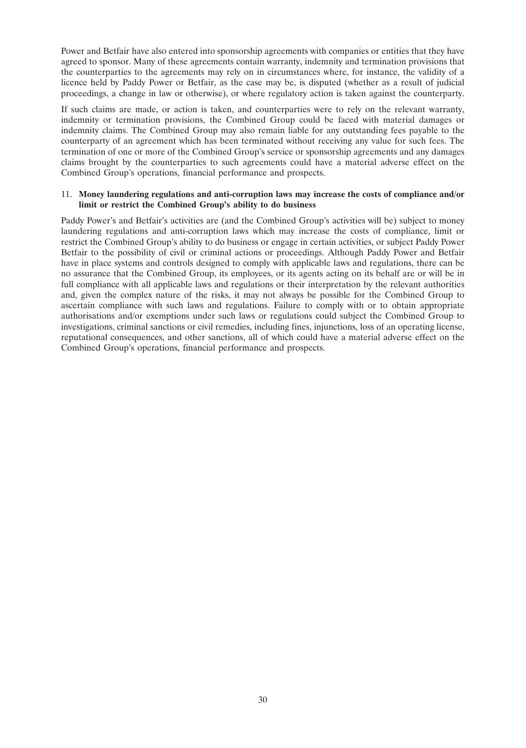Power and Betfair have also entered into sponsorship agreements with companies or entities that they have agreed to sponsor. Many of these agreements contain warranty, indemnity and termination provisions that the counterparties to the agreements may rely on in circumstances where, for instance, the validity of a licence held by Paddy Power or Betfair, as the case may be, is disputed (whether as a result of judicial proceedings, a change in law or otherwise), or where regulatory action is taken against the counterparty.

If such claims are made, or action is taken, and counterparties were to rely on the relevant warranty, indemnity or termination provisions, the Combined Group could be faced with material damages or indemnity claims. The Combined Group may also remain liable for any outstanding fees payable to the counterparty of an agreement which has been terminated without receiving any value for such fees. The termination of one or more of the Combined Group's service or sponsorship agreements and any damages claims brought by the counterparties to such agreements could have a material adverse effect on the Combined Group's operations, financial performance and prospects.

#### 11. **Money laundering regulations and anti-corruption laws may increase the costs of compliance and/or limit or restrict the Combined Group's ability to do business**

Paddy Power's and Betfair's activities are (and the Combined Group's activities will be) subject to money laundering regulations and anti-corruption laws which may increase the costs of compliance, limit or restrict the Combined Group's ability to do business or engage in certain activities, or subject Paddy Power Betfair to the possibility of civil or criminal actions or proceedings. Although Paddy Power and Betfair have in place systems and controls designed to comply with applicable laws and regulations, there can be no assurance that the Combined Group, its employees, or its agents acting on its behalf are or will be in full compliance with all applicable laws and regulations or their interpretation by the relevant authorities and, given the complex nature of the risks, it may not always be possible for the Combined Group to ascertain compliance with such laws and regulations. Failure to comply with or to obtain appropriate authorisations and/or exemptions under such laws or regulations could subject the Combined Group to investigations, criminal sanctions or civil remedies, including fines, injunctions, loss of an operating license, reputational consequences, and other sanctions, all of which could have a material adverse effect on the Combined Group's operations, financial performance and prospects.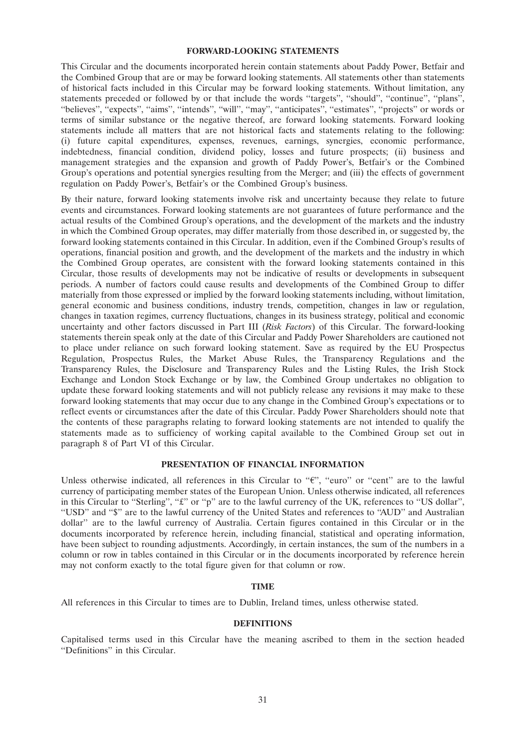#### **FORWARD-LOOKING STATEMENTS**

This Circular and the documents incorporated herein contain statements about Paddy Power, Betfair and the Combined Group that are or may be forward looking statements. All statements other than statements of historical facts included in this Circular may be forward looking statements. Without limitation, any statements preceded or followed by or that include the words ''targets'', ''should'', ''continue'', ''plans'', "believes", "expects", "aims", "intends", "will", "may", "anticipates", "estimates", "projects" or words or terms of similar substance or the negative thereof, are forward looking statements. Forward looking statements include all matters that are not historical facts and statements relating to the following: (i) future capital expenditures, expenses, revenues, earnings, synergies, economic performance, indebtedness, financial condition, dividend policy, losses and future prospects; (ii) business and management strategies and the expansion and growth of Paddy Power's, Betfair's or the Combined Group's operations and potential synergies resulting from the Merger; and (iii) the effects of government regulation on Paddy Power's, Betfair's or the Combined Group's business.

By their nature, forward looking statements involve risk and uncertainty because they relate to future events and circumstances. Forward looking statements are not guarantees of future performance and the actual results of the Combined Group's operations, and the development of the markets and the industry in which the Combined Group operates, may differ materially from those described in, or suggested by, the forward looking statements contained in this Circular. In addition, even if the Combined Group's results of operations, financial position and growth, and the development of the markets and the industry in which the Combined Group operates, are consistent with the forward looking statements contained in this Circular, those results of developments may not be indicative of results or developments in subsequent periods. A number of factors could cause results and developments of the Combined Group to differ materially from those expressed or implied by the forward looking statements including, without limitation, general economic and business conditions, industry trends, competition, changes in law or regulation, changes in taxation regimes, currency fluctuations, changes in its business strategy, political and economic uncertainty and other factors discussed in Part III (*Risk Factors*) of this Circular. The forward-looking statements therein speak only at the date of this Circular and Paddy Power Shareholders are cautioned not to place under reliance on such forward looking statement. Save as required by the EU Prospectus Regulation, Prospectus Rules, the Market Abuse Rules, the Transparency Regulations and the Transparency Rules, the Disclosure and Transparency Rules and the Listing Rules, the Irish Stock Exchange and London Stock Exchange or by law, the Combined Group undertakes no obligation to update these forward looking statements and will not publicly release any revisions it may make to these forward looking statements that may occur due to any change in the Combined Group's expectations or to reflect events or circumstances after the date of this Circular. Paddy Power Shareholders should note that the contents of these paragraphs relating to forward looking statements are not intended to qualify the statements made as to sufficiency of working capital available to the Combined Group set out in paragraph 8 of Part VI of this Circular.

### **PRESENTATION OF FINANCIAL INFORMATION**

Unless otherwise indicated, all references in this Circular to " $\epsilon$ ", "euro" or "cent" are to the lawful currency of participating member states of the European Union. Unless otherwise indicated, all references in this Circular to "Sterling", "£" or "p" are to the lawful currency of the UK, references to "US dollar", ''USD'' and ''\$'' are to the lawful currency of the United States and references to ''AUD'' and Australian dollar'' are to the lawful currency of Australia. Certain figures contained in this Circular or in the documents incorporated by reference herein, including financial, statistical and operating information, have been subject to rounding adjustments. Accordingly, in certain instances, the sum of the numbers in a column or row in tables contained in this Circular or in the documents incorporated by reference herein may not conform exactly to the total figure given for that column or row.

#### **TIME**

All references in this Circular to times are to Dublin, Ireland times, unless otherwise stated.

#### **DEFINITIONS**

Capitalised terms used in this Circular have the meaning ascribed to them in the section headed ''Definitions'' in this Circular.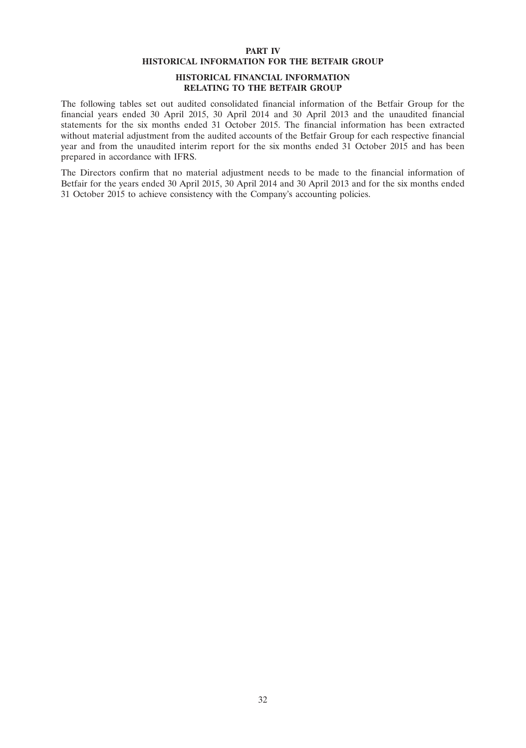#### **PART IV HISTORICAL INFORMATION FOR THE BETFAIR GROUP**

## **HISTORICAL FINANCIAL INFORMATION RELATING TO THE BETFAIR GROUP**

The following tables set out audited consolidated financial information of the Betfair Group for the financial years ended 30 April 2015, 30 April 2014 and 30 April 2013 and the unaudited financial statements for the six months ended 31 October 2015. The financial information has been extracted without material adjustment from the audited accounts of the Betfair Group for each respective financial year and from the unaudited interim report for the six months ended 31 October 2015 and has been prepared in accordance with IFRS.

The Directors confirm that no material adjustment needs to be made to the financial information of Betfair for the years ended 30 April 2015, 30 April 2014 and 30 April 2013 and for the six months ended 31 October 2015 to achieve consistency with the Company's accounting policies.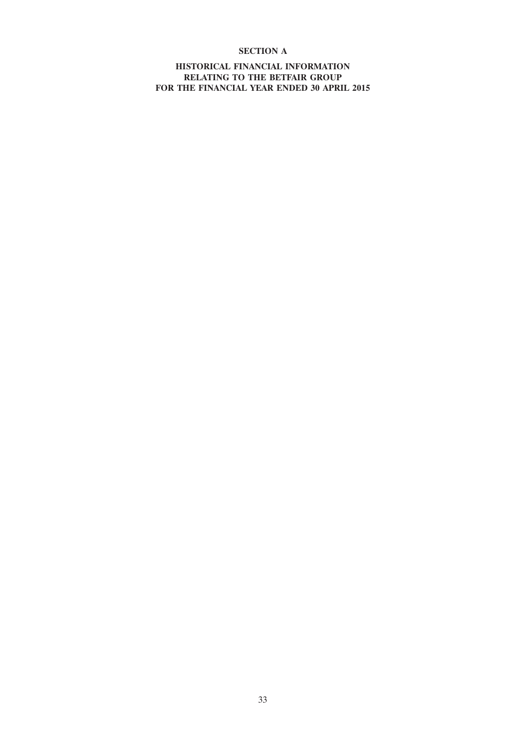# **SECTION A**

**HISTORICAL FINANCIAL INFORMATION RELATING TO THE BETFAIR GROUP FOR THE FINANCIAL YEAR ENDED 30 APRIL 2015**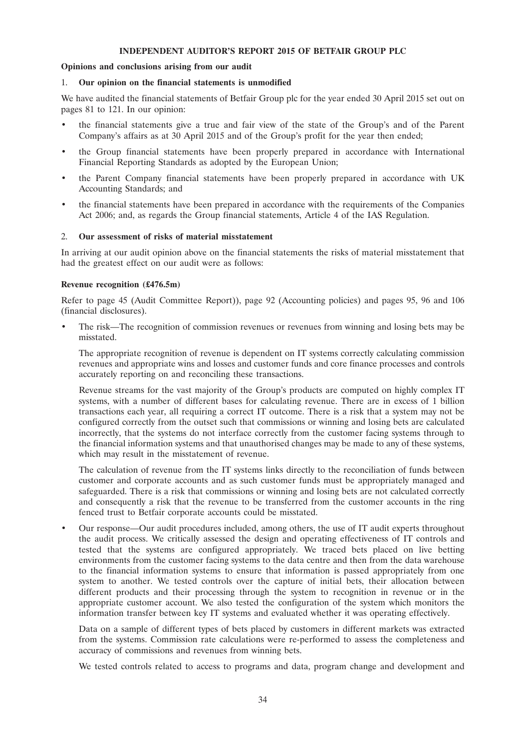# **INDEPENDENT AUDITOR'S REPORT 2015 OF BETFAIR GROUP PLC**

# **Opinions and conclusions arising from our audit**

#### 1. **Our opinion on the financial statements is unmodified**

We have audited the financial statements of Betfair Group plc for the year ended 30 April 2015 set out on pages 81 to 121. In our opinion:

- the financial statements give a true and fair view of the state of the Group's and of the Parent Company's affairs as at 30 April 2015 and of the Group's profit for the year then ended;
- the Group financial statements have been properly prepared in accordance with International Financial Reporting Standards as adopted by the European Union;
- the Parent Company financial statements have been properly prepared in accordance with UK Accounting Standards; and
- the financial statements have been prepared in accordance with the requirements of the Companies Act 2006; and, as regards the Group financial statements, Article 4 of the IAS Regulation.

### 2. **Our assessment of risks of material misstatement**

In arriving at our audit opinion above on the financial statements the risks of material misstatement that had the greatest effect on our audit were as follows:

#### **Revenue recognition (£476.5m)**

Refer to page 45 (Audit Committee Report)), page 92 (Accounting policies) and pages 95, 96 and 106 (financial disclosures).

• The risk—The recognition of commission revenues or revenues from winning and losing bets may be misstated.

The appropriate recognition of revenue is dependent on IT systems correctly calculating commission revenues and appropriate wins and losses and customer funds and core finance processes and controls accurately reporting on and reconciling these transactions.

Revenue streams for the vast majority of the Group's products are computed on highly complex IT systems, with a number of different bases for calculating revenue. There are in excess of 1 billion transactions each year, all requiring a correct IT outcome. There is a risk that a system may not be configured correctly from the outset such that commissions or winning and losing bets are calculated incorrectly, that the systems do not interface correctly from the customer facing systems through to the financial information systems and that unauthorised changes may be made to any of these systems, which may result in the misstatement of revenue.

The calculation of revenue from the IT systems links directly to the reconciliation of funds between customer and corporate accounts and as such customer funds must be appropriately managed and safeguarded. There is a risk that commissions or winning and losing bets are not calculated correctly and consequently a risk that the revenue to be transferred from the customer accounts in the ring fenced trust to Betfair corporate accounts could be misstated.

• Our response—Our audit procedures included, among others, the use of IT audit experts throughout the audit process. We critically assessed the design and operating effectiveness of IT controls and tested that the systems are configured appropriately. We traced bets placed on live betting environments from the customer facing systems to the data centre and then from the data warehouse to the financial information systems to ensure that information is passed appropriately from one system to another. We tested controls over the capture of initial bets, their allocation between different products and their processing through the system to recognition in revenue or in the appropriate customer account. We also tested the configuration of the system which monitors the information transfer between key IT systems and evaluated whether it was operating effectively.

Data on a sample of different types of bets placed by customers in different markets was extracted from the systems. Commission rate calculations were re-performed to assess the completeness and accuracy of commissions and revenues from winning bets.

We tested controls related to access to programs and data, program change and development and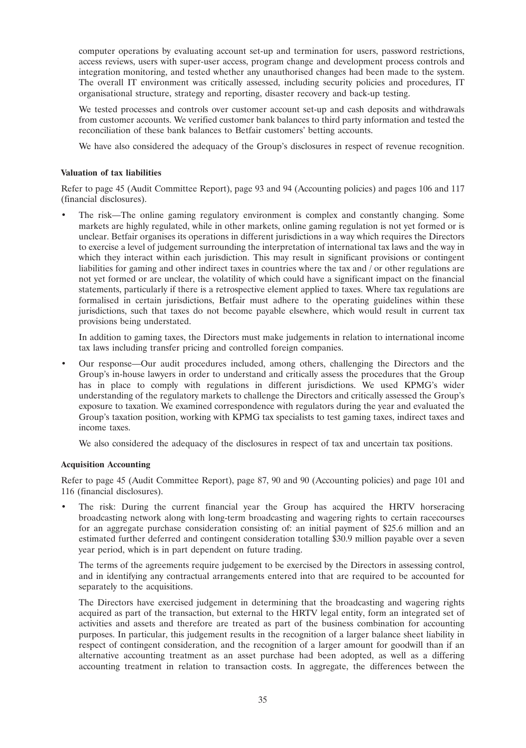computer operations by evaluating account set-up and termination for users, password restrictions, access reviews, users with super-user access, program change and development process controls and integration monitoring, and tested whether any unauthorised changes had been made to the system. The overall IT environment was critically assessed, including security policies and procedures, IT organisational structure, strategy and reporting, disaster recovery and back-up testing.

We tested processes and controls over customer account set-up and cash deposits and withdrawals from customer accounts. We verified customer bank balances to third party information and tested the reconciliation of these bank balances to Betfair customers' betting accounts.

We have also considered the adequacy of the Group's disclosures in respect of revenue recognition.

# **Valuation of tax liabilities**

Refer to page 45 (Audit Committee Report), page 93 and 94 (Accounting policies) and pages 106 and 117 (financial disclosures).

• The risk—The online gaming regulatory environment is complex and constantly changing. Some markets are highly regulated, while in other markets, online gaming regulation is not yet formed or is unclear. Betfair organises its operations in different jurisdictions in a way which requires the Directors to exercise a level of judgement surrounding the interpretation of international tax laws and the way in which they interact within each jurisdiction. This may result in significant provisions or contingent liabilities for gaming and other indirect taxes in countries where the tax and / or other regulations are not yet formed or are unclear, the volatility of which could have a significant impact on the financial statements, particularly if there is a retrospective element applied to taxes. Where tax regulations are formalised in certain jurisdictions, Betfair must adhere to the operating guidelines within these jurisdictions, such that taxes do not become payable elsewhere, which would result in current tax provisions being understated.

In addition to gaming taxes, the Directors must make judgements in relation to international income tax laws including transfer pricing and controlled foreign companies.

• Our response—Our audit procedures included, among others, challenging the Directors and the Group's in-house lawyers in order to understand and critically assess the procedures that the Group has in place to comply with regulations in different jurisdictions. We used KPMG's wider understanding of the regulatory markets to challenge the Directors and critically assessed the Group's exposure to taxation. We examined correspondence with regulators during the year and evaluated the Group's taxation position, working with KPMG tax specialists to test gaming taxes, indirect taxes and income taxes.

We also considered the adequacy of the disclosures in respect of tax and uncertain tax positions.

# **Acquisition Accounting**

Refer to page 45 (Audit Committee Report), page 87, 90 and 90 (Accounting policies) and page 101 and 116 (financial disclosures).

The risk: During the current financial year the Group has acquired the HRTV horseracing broadcasting network along with long-term broadcasting and wagering rights to certain racecourses for an aggregate purchase consideration consisting of: an initial payment of \$25.6 million and an estimated further deferred and contingent consideration totalling \$30.9 million payable over a seven year period, which is in part dependent on future trading.

The terms of the agreements require judgement to be exercised by the Directors in assessing control, and in identifying any contractual arrangements entered into that are required to be accounted for separately to the acquisitions.

The Directors have exercised judgement in determining that the broadcasting and wagering rights acquired as part of the transaction, but external to the HRTV legal entity, form an integrated set of activities and assets and therefore are treated as part of the business combination for accounting purposes. In particular, this judgement results in the recognition of a larger balance sheet liability in respect of contingent consideration, and the recognition of a larger amount for goodwill than if an alternative accounting treatment as an asset purchase had been adopted, as well as a differing accounting treatment in relation to transaction costs. In aggregate, the differences between the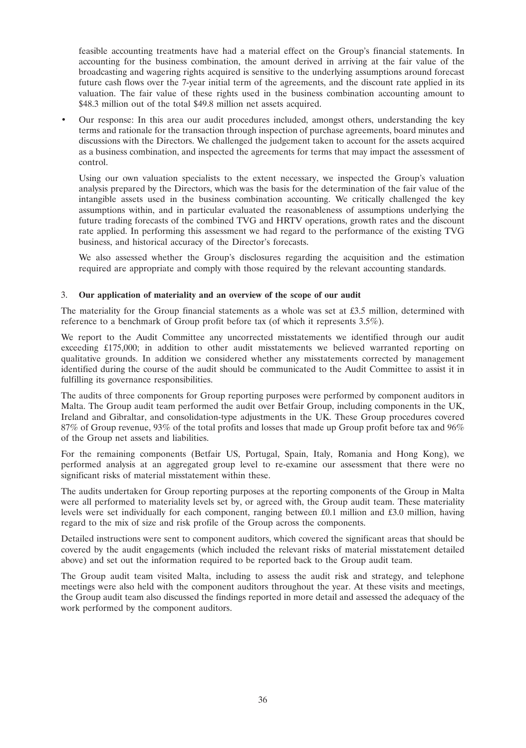feasible accounting treatments have had a material effect on the Group's financial statements. In accounting for the business combination, the amount derived in arriving at the fair value of the broadcasting and wagering rights acquired is sensitive to the underlying assumptions around forecast future cash flows over the 7-year initial term of the agreements, and the discount rate applied in its valuation. The fair value of these rights used in the business combination accounting amount to \$48.3 million out of the total \$49.8 million net assets acquired.

• Our response: In this area our audit procedures included, amongst others, understanding the key terms and rationale for the transaction through inspection of purchase agreements, board minutes and discussions with the Directors. We challenged the judgement taken to account for the assets acquired as a business combination, and inspected the agreements for terms that may impact the assessment of control.

Using our own valuation specialists to the extent necessary, we inspected the Group's valuation analysis prepared by the Directors, which was the basis for the determination of the fair value of the intangible assets used in the business combination accounting. We critically challenged the key assumptions within, and in particular evaluated the reasonableness of assumptions underlying the future trading forecasts of the combined TVG and HRTV operations, growth rates and the discount rate applied. In performing this assessment we had regard to the performance of the existing TVG business, and historical accuracy of the Director's forecasts.

We also assessed whether the Group's disclosures regarding the acquisition and the estimation required are appropriate and comply with those required by the relevant accounting standards.

# 3. **Our application of materiality and an overview of the scope of our audit**

The materiality for the Group financial statements as a whole was set at £3.5 million, determined with reference to a benchmark of Group profit before tax (of which it represents 3.5%).

We report to the Audit Committee any uncorrected misstatements we identified through our audit exceeding £175,000; in addition to other audit misstatements we believed warranted reporting on qualitative grounds. In addition we considered whether any misstatements corrected by management identified during the course of the audit should be communicated to the Audit Committee to assist it in fulfilling its governance responsibilities.

The audits of three components for Group reporting purposes were performed by component auditors in Malta. The Group audit team performed the audit over Betfair Group, including components in the UK, Ireland and Gibraltar, and consolidation-type adjustments in the UK. These Group procedures covered 87% of Group revenue, 93% of the total profits and losses that made up Group profit before tax and 96% of the Group net assets and liabilities.

For the remaining components (Betfair US, Portugal, Spain, Italy, Romania and Hong Kong), we performed analysis at an aggregated group level to re-examine our assessment that there were no significant risks of material misstatement within these.

The audits undertaken for Group reporting purposes at the reporting components of the Group in Malta were all performed to materiality levels set by, or agreed with, the Group audit team. These materiality levels were set individually for each component, ranging between £0.1 million and £3.0 million, having regard to the mix of size and risk profile of the Group across the components.

Detailed instructions were sent to component auditors, which covered the significant areas that should be covered by the audit engagements (which included the relevant risks of material misstatement detailed above) and set out the information required to be reported back to the Group audit team.

The Group audit team visited Malta, including to assess the audit risk and strategy, and telephone meetings were also held with the component auditors throughout the year. At these visits and meetings, the Group audit team also discussed the findings reported in more detail and assessed the adequacy of the work performed by the component auditors.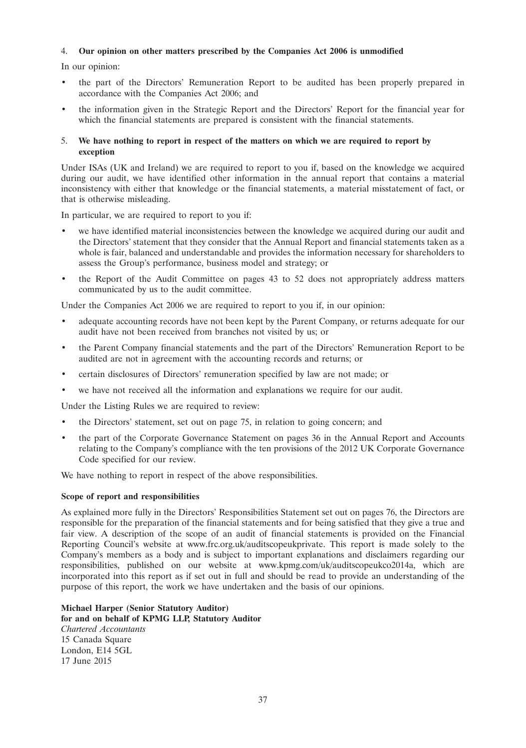# 4. **Our opinion on other matters prescribed by the Companies Act 2006 is unmodified**

In our opinion:

- the part of the Directors' Remuneration Report to be audited has been properly prepared in accordance with the Companies Act 2006; and
- the information given in the Strategic Report and the Directors' Report for the financial year for which the financial statements are prepared is consistent with the financial statements.

# 5. **We have nothing to report in respect of the matters on which we are required to report by exception**

Under ISAs (UK and Ireland) we are required to report to you if, based on the knowledge we acquired during our audit, we have identified other information in the annual report that contains a material inconsistency with either that knowledge or the financial statements, a material misstatement of fact, or that is otherwise misleading.

In particular, we are required to report to you if:

- we have identified material inconsistencies between the knowledge we acquired during our audit and the Directors' statement that they consider that the Annual Report and financial statements taken as a whole is fair, balanced and understandable and provides the information necessary for shareholders to assess the Group's performance, business model and strategy; or
- the Report of the Audit Committee on pages 43 to 52 does not appropriately address matters communicated by us to the audit committee.

Under the Companies Act 2006 we are required to report to you if, in our opinion:

- adequate accounting records have not been kept by the Parent Company, or returns adequate for our audit have not been received from branches not visited by us; or
- the Parent Company financial statements and the part of the Directors' Remuneration Report to be audited are not in agreement with the accounting records and returns; or
- certain disclosures of Directors' remuneration specified by law are not made; or
- we have not received all the information and explanations we require for our audit.

Under the Listing Rules we are required to review:

- the Directors' statement, set out on page 75, in relation to going concern; and
- the part of the Corporate Governance Statement on pages 36 in the Annual Report and Accounts relating to the Company's compliance with the ten provisions of the 2012 UK Corporate Governance Code specified for our review.

We have nothing to report in respect of the above responsibilities.

# **Scope of report and responsibilities**

As explained more fully in the Directors' Responsibilities Statement set out on pages 76, the Directors are responsible for the preparation of the financial statements and for being satisfied that they give a true and fair view. A description of the scope of an audit of financial statements is provided on the Financial Reporting Council's website at www.frc.org.uk/auditscopeukprivate. This report is made solely to the Company's members as a body and is subject to important explanations and disclaimers regarding our responsibilities, published on our website at www.kpmg.com/uk/auditscopeukco2014a, which are incorporated into this report as if set out in full and should be read to provide an understanding of the purpose of this report, the work we have undertaken and the basis of our opinions.

**Michael Harper (Senior Statutory Auditor) for and on behalf of KPMG LLP, Statutory Auditor** *Chartered Accountants* 15 Canada Square London, E14 5GL 17 June 2015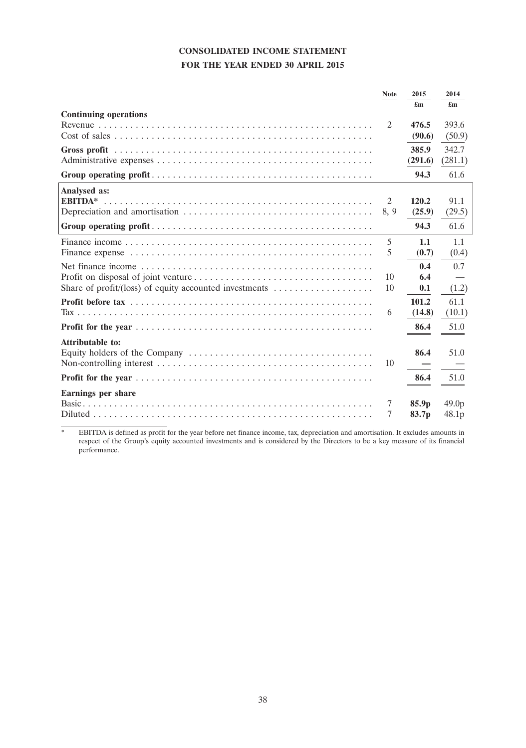# **CONSOLIDATED INCOME STATEMENT FOR THE YEAR ENDED 30 APRIL 2015**

|                                                                                         | <b>Note</b> | 2015<br>$\mathbf{f}_{\mathbf{m}}$ | 2014<br>£m        |
|-----------------------------------------------------------------------------------------|-------------|-----------------------------------|-------------------|
| <b>Continuing operations</b>                                                            |             |                                   |                   |
|                                                                                         | 2           | 476.5                             | 393.6             |
|                                                                                         |             | (90.6)                            | (50.9)            |
|                                                                                         |             | 385.9                             | 342.7             |
|                                                                                         |             | (291.6)                           | (281.1)           |
|                                                                                         |             | 94.3                              | 61.6              |
| Analysed as:                                                                            |             |                                   |                   |
| <b>EBITDA*</b>                                                                          | 2           | 120.2                             | 91.1              |
|                                                                                         | 8, 9        | (25.9)                            | (29.5)            |
|                                                                                         |             | 94.3                              | 61.6              |
|                                                                                         | 5           | 1.1                               | 1.1               |
|                                                                                         | 5           | (0.7)                             | (0.4)             |
|                                                                                         |             | 0.4                               | 0.7               |
|                                                                                         | 10          | 6.4                               |                   |
| Share of profit/(loss) of equity accounted investments $\dots\dots\dots\dots\dots\dots$ | 10          | 0.1                               | (1.2)             |
|                                                                                         |             | 101.2                             | 61.1              |
|                                                                                         | 6           | (14.8)                            | (10.1)            |
|                                                                                         |             | 86.4                              | 51.0              |
| <b>Attributable to:</b>                                                                 |             |                                   |                   |
|                                                                                         |             | 86.4                              | 51.0              |
|                                                                                         | 10          |                                   |                   |
|                                                                                         |             | 86.4                              | 51.0              |
| Earnings per share                                                                      |             |                                   |                   |
|                                                                                         | 7           | 85.9p                             | 49.0 <sub>p</sub> |
|                                                                                         | 7           | 83.7p                             | 48.1p             |

\* EBITDA is defined as profit for the year before net finance income, tax, depreciation and amortisation. It excludes amounts in respect of the Group's equity accounted investments and is considered by the Directors to be a key measure of its financial performance.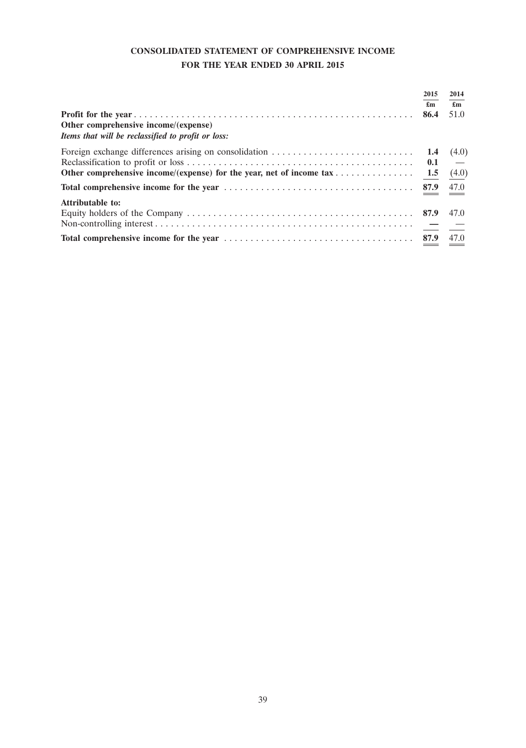# **CONSOLIDATED STATEMENT OF COMPREHENSIVE INCOME FOR THE YEAR ENDED 30 APRIL 2015**

| Other comprehensive income/(expense)<br>Items that will be reclassified to profit or loss:                                  | 2015<br>$\mathbf{f}_{\mathbf{m}}$<br>86.4 | 2014<br>$\mathbf{f}_{\mathbf{m}}$<br>51.0 |
|-----------------------------------------------------------------------------------------------------------------------------|-------------------------------------------|-------------------------------------------|
| Other comprehensive income/(expense) for the year, net of income $\text{tax } \ldots \ldots \ldots \ldots \ldots$ 1.5 (4.0) |                                           | (4.0)<br>$\overline{\phantom{0}}$         |
|                                                                                                                             |                                           |                                           |
| <b>Attributable to:</b>                                                                                                     |                                           | 47.0                                      |
|                                                                                                                             |                                           |                                           |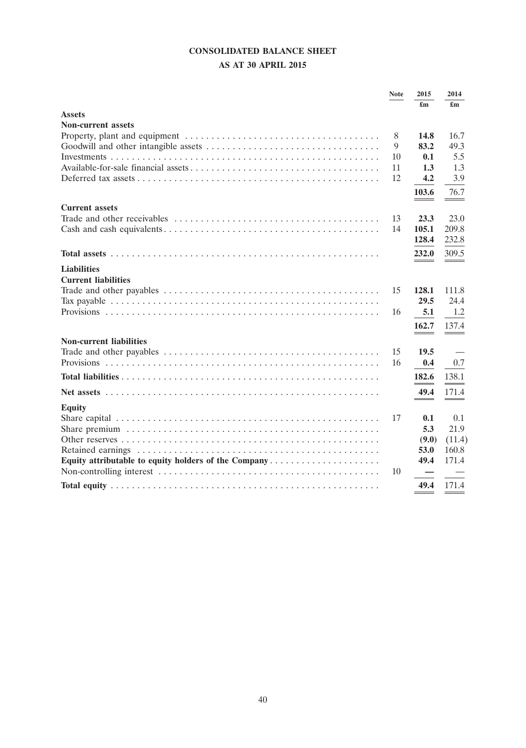# **CONSOLIDATED BALANCE SHEET**

# **AS AT 30 APRIL 2015**

|                                                      | <b>Note</b> | 2015  | 2014                     |
|------------------------------------------------------|-------------|-------|--------------------------|
|                                                      |             | £m    | £m                       |
| <b>Assets</b>                                        |             |       |                          |
| <b>Non-current assets</b>                            |             |       |                          |
|                                                      | 8           | 14.8  | 16.7                     |
|                                                      | 9           | 83.2  | 49.3                     |
|                                                      | 10          | 0.1   | 5.5                      |
|                                                      | 11          | 1.3   | 1.3                      |
|                                                      | 12          | 4.2   | 3.9                      |
|                                                      |             | 103.6 | 76.7                     |
| <b>Current assets</b>                                |             |       |                          |
|                                                      | 13          | 23.3  | 23.0                     |
|                                                      | 14          | 105.1 | 209.8                    |
|                                                      |             | 128.4 | 232.8                    |
|                                                      |             | 232.0 | 309.5                    |
| <b>Liabilities</b>                                   |             |       |                          |
| <b>Current liabilities</b>                           |             |       |                          |
|                                                      | 15          | 128.1 | 111.8                    |
|                                                      |             | 29.5  | 24.4                     |
|                                                      | 16          | 5.1   | 1.2                      |
|                                                      |             |       |                          |
|                                                      |             | 162.7 | 137.4                    |
| <b>Non-current liabilities</b>                       |             |       |                          |
|                                                      | 15          | 19.5  |                          |
|                                                      | 16          | 0.4   | 0.7                      |
|                                                      |             | 182.6 | 138.1                    |
|                                                      |             | 49.4  | 171.4                    |
| <b>Equity</b>                                        |             | $-$   | $\overline{\phantom{a}}$ |
|                                                      | 17          | 0.1   | 0.1                      |
|                                                      |             | 5.3   | 21.9                     |
|                                                      |             | (9.0) | (11.4)                   |
|                                                      |             | 53.0  | 160.8                    |
| Equity attributable to equity holders of the Company |             | 49.4  | 171.4                    |
|                                                      | 10          |       |                          |
|                                                      |             | 49.4  | 171.4                    |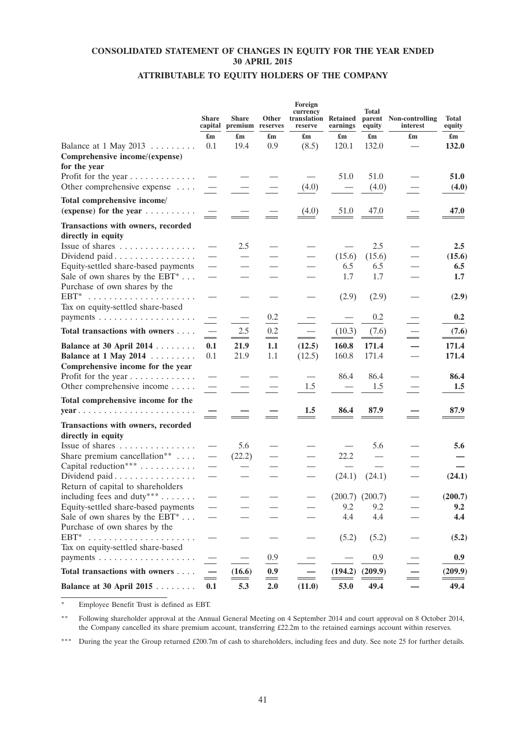# **CONSOLIDATED STATEMENT OF CHANGES IN EQUITY FOR THE YEAR ENDED 30 APRIL 2015**

# **ATTRIBUTABLE TO EQUITY HOLDERS OF THE COMPANY**

|                                                                                                                 | <b>Share</b><br>capital         | Share<br>premium reserves | Other                     | Foreign<br>currency<br>translation Retained<br>reserve | earnings                  | Total<br>equity           | parent Non-controlling<br>interest | <b>Total</b><br>equity |
|-----------------------------------------------------------------------------------------------------------------|---------------------------------|---------------------------|---------------------------|--------------------------------------------------------|---------------------------|---------------------------|------------------------------------|------------------------|
|                                                                                                                 | £m                              | $\mathbf{f}_{\mathbf{m}}$ | $\mathbf{f}_{\mathbf{m}}$ | $\mathbf{f}_{\mathbf{m}}$                              | $\mathbf{f}_{\mathbf{m}}$ | $\mathbf{f}_{\mathbf{m}}$ |                                    |                        |
| Balance at $1$ May $2013$<br>Comprehensive income/(expense)                                                     | 0.1                             | 19.4                      | 0.9                       | (8.5)                                                  | 120.1                     | 132.0                     |                                    | 132.0                  |
| for the year<br>Profit for the year<br>Other comprehensive expense                                              |                                 |                           |                           | (4.0)                                                  | 51.0                      | 51.0<br>(4.0)             |                                    | 51.0<br>(4.0)          |
| Total comprehensive income/<br>(expense) for the year $\dots \dots$                                             | $\hspace{0.05cm}$               |                           |                           | (4.0)                                                  | 51.0                      | 47.0                      | $=$                                | 47.0                   |
| Transactions with owners, recorded<br>directly in equity                                                        |                                 |                           |                           |                                                        |                           |                           |                                    |                        |
| Issue of shares                                                                                                 | $\hspace{0.1mm}-\hspace{0.1mm}$ | 2.5                       |                           |                                                        |                           | 2.5                       |                                    | 2.5                    |
| Dividend paid                                                                                                   |                                 | $\overline{\phantom{0}}$  |                           | $\overline{\phantom{0}}$                               | (15.6)                    | (15.6)                    |                                    | (15.6)                 |
| Equity-settled share-based payments<br>Sale of own shares by the $EBT^* \dots$<br>Purchase of own shares by the | $\overline{\phantom{0}}$        |                           |                           |                                                        | 6.5<br>1.7                | 6.5<br>1.7                |                                    | 6.5<br>1.7             |
| $EBT^*$<br>Tax on equity-settled share-based                                                                    |                                 |                           |                           |                                                        | (2.9)                     | (2.9)                     |                                    | (2.9)                  |
|                                                                                                                 |                                 |                           | 0.2                       |                                                        |                           | 0.2                       |                                    | 0.2                    |
| Total transactions with owners                                                                                  | $\equiv$                        | 2.5                       | 0.2                       | $\overline{\phantom{0}}$<br>$\equiv$                   | (10.3)                    | (7.6)                     |                                    | (7.6)                  |
| Balance at 30 April 2014<br>Balance at 1 May 2014<br>Comprehensive income for the year                          | 0.1<br>0.1                      | 21.9<br>21.9              | $\equiv$<br>1.1<br>1.1    | (12.5)<br>(12.5)                                       | 160.8<br>160.8            | 171.4<br>171.4            |                                    | 171.4<br>171.4         |
| Profit for the year<br>Other comprehensive income                                                               |                                 |                           |                           | 1.5                                                    | 86.4                      | 86.4<br>1.5               |                                    | 86.4<br>1.5            |
| Total comprehensive income for the                                                                              |                                 |                           |                           |                                                        |                           |                           |                                    |                        |
| $year \dots \dots \dots \dots \dots \dots \dots \dots \dots \dots$                                              |                                 |                           |                           | 1.5                                                    | 86.4                      | 87.9                      |                                    | 87.9                   |
| Transactions with owners, recorded<br>directly in equity                                                        |                                 |                           |                           |                                                        |                           |                           |                                    |                        |
| Issue of shares<br>Share premium cancellation**<br>Capital reduction***                                         | $\overbrace{\phantom{13333}}$   | 5.6<br>(22.2)             |                           |                                                        | 22.2                      | 5.6                       |                                    | 5.6                    |
| Dividend paid<br>Return of capital to shareholders                                                              | $\overbrace{\phantom{12333}}$   |                           |                           |                                                        | (24.1)                    | (24.1)                    |                                    | (24.1)                 |
| including fees and duty <sup>***</sup> $\dots$                                                                  |                                 |                           |                           |                                                        | $(200.7)$ $(200.7)$       |                           |                                    | (200.7)                |
| Equity-settled share-based payments<br>Sale of own shares by the $EBT^* \dots$<br>Purchase of own shares by the |                                 |                           |                           |                                                        | 9.2<br>4.4                | 9.2<br>4.4                |                                    | 9.2<br>4.4             |
| $EBT^*$<br>Tax on equity-settled share-based                                                                    |                                 |                           |                           |                                                        | (5.2)                     | (5.2)                     |                                    | (5.2)                  |
|                                                                                                                 |                                 | $\overline{\phantom{0}}$  | 0.9                       |                                                        | $\overline{\phantom{0}}$  | 0.9                       |                                    | 0.9                    |
| Total transactions with owners                                                                                  | $\equiv$                        | (16.6)                    | 0.9<br>$=$                | $\sim$                                                 | (194.2)                   | (209.9)                   | $\equiv$                           | (209.9)                |
| Balance at 30 April 2015                                                                                        | 0.1                             | 5.3                       | 2.0                       | (11.0)                                                 | 53.0                      | 49.4                      |                                    | 49.4                   |

Employee Benefit Trust is defined as EBT.

\*\* Following shareholder approval at the Annual General Meeting on 4 September 2014 and court approval on 8 October 2014, the Company cancelled its share premium account, transferring £22.2m to the retained earnings account within reserves.

\*\*\* During the year the Group returned £200.7m of cash to shareholders, including fees and duty. See note 25 for further details.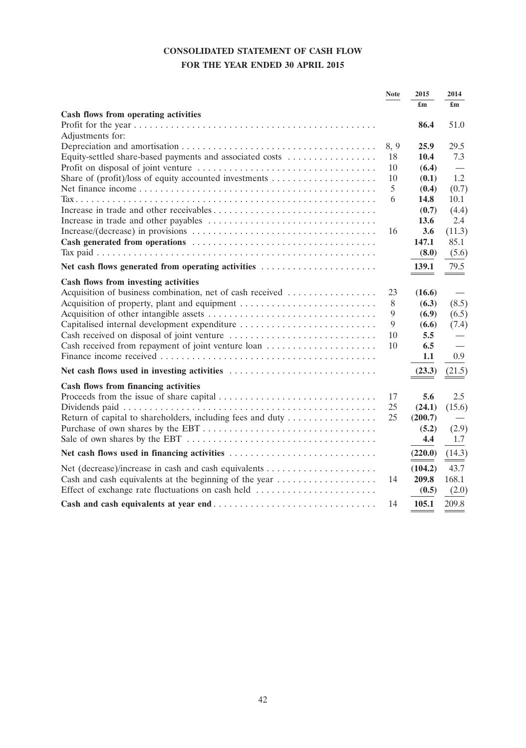# **CONSOLIDATED STATEMENT OF CASH FLOW FOR THE YEAR ENDED 30 APRIL 2015**

|                                                            | <b>Note</b> | 2015                      | 2014                            |
|------------------------------------------------------------|-------------|---------------------------|---------------------------------|
| Cash flows from operating activities                       |             | $\mathbf{f}_{\mathbf{m}}$ | $\mathbf{f}_{\mathbf{m}}$       |
|                                                            |             | 86.4                      | 51.0                            |
| Adjustments for:                                           |             |                           |                                 |
|                                                            | 8, 9        | 25.9                      | 29.5                            |
| Equity-settled share-based payments and associated costs   | 18          | 10.4                      | 7.3                             |
|                                                            | 10          | (6.4)                     |                                 |
|                                                            | 10          | (0.1)                     | 1.2                             |
|                                                            | 5           | (0.4)                     | (0.7)                           |
|                                                            | 6           | 14.8                      | 10.1                            |
|                                                            |             | (0.7)                     | (4.4)                           |
|                                                            |             | 13.6                      | 2.4                             |
|                                                            | 16          | 3.6                       | (11.3)                          |
|                                                            |             | 147.1                     | 85.1                            |
|                                                            |             | (8.0)                     | (5.6)                           |
| Net cash flows generated from operating activities         |             | 139.1                     | 79.5                            |
| Cash flows from investing activities                       |             |                           |                                 |
| Acquisition of business combination, net of cash received  | 23          | (16.6)                    | $\hspace{0.1mm}-\hspace{0.1mm}$ |
| Acquisition of property, plant and equipment               | 8           | (6.3)                     | (8.5)                           |
|                                                            | 9           | (6.9)                     | (6.5)                           |
| Capitalised internal development expenditure               | 9           | (6.6)                     | (7.4)                           |
|                                                            | 10          | 5.5                       |                                 |
| Cash received from repayment of joint venture loan         | 10          | 6.5                       |                                 |
|                                                            |             | 1.1                       | 0.9                             |
|                                                            |             | (23.3)                    | (21.5)                          |
| Cash flows from financing activities                       |             |                           |                                 |
|                                                            | 17          | 5.6                       | 2.5                             |
|                                                            | 25          | (24.1)                    | (15.6)                          |
| Return of capital to shareholders, including fees and duty | 25          | (200.7)                   |                                 |
|                                                            |             | (5.2)                     | (2.9)                           |
|                                                            |             | 4.4                       | 1.7                             |
| Net cash flows used in financing activities                |             | (220.0)                   | (14.3)                          |
|                                                            |             | (104.2)                   | 43.7                            |
| Cash and cash equivalents at the beginning of the year     | 14          | 209.8                     | 168.1                           |
| Effect of exchange rate fluctuations on cash held          |             | (0.5)                     | (2.0)                           |
|                                                            | 14          | 105.1                     | 209.8                           |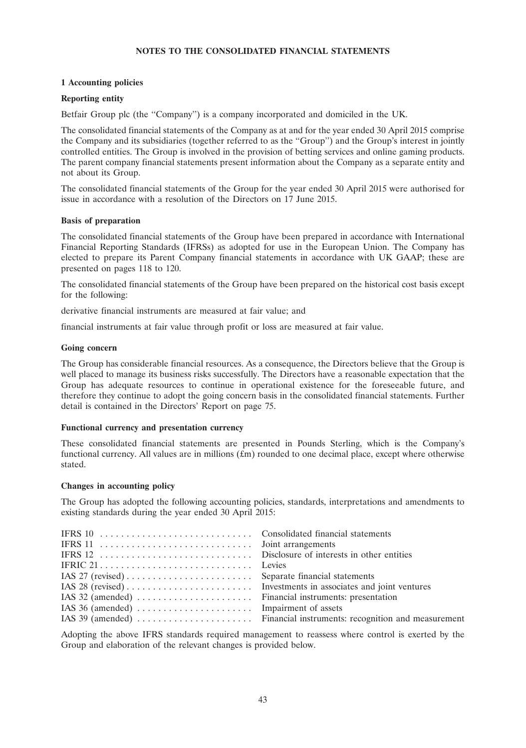# **NOTES TO THE CONSOLIDATED FINANCIAL STATEMENTS**

# **1 Accounting policies**

# **Reporting entity**

Betfair Group plc (the "Company") is a company incorporated and domiciled in the UK.

The consolidated financial statements of the Company as at and for the year ended 30 April 2015 comprise the Company and its subsidiaries (together referred to as the "Group") and the Group's interest in jointly controlled entities. The Group is involved in the provision of betting services and online gaming products. The parent company financial statements present information about the Company as a separate entity and not about its Group.

The consolidated financial statements of the Group for the year ended 30 April 2015 were authorised for issue in accordance with a resolution of the Directors on 17 June 2015.

# **Basis of preparation**

The consolidated financial statements of the Group have been prepared in accordance with International Financial Reporting Standards (IFRSs) as adopted for use in the European Union. The Company has elected to prepare its Parent Company financial statements in accordance with UK GAAP; these are presented on pages 118 to 120.

The consolidated financial statements of the Group have been prepared on the historical cost basis except for the following:

derivative financial instruments are measured at fair value; and

financial instruments at fair value through profit or loss are measured at fair value.

# **Going concern**

The Group has considerable financial resources. As a consequence, the Directors believe that the Group is well placed to manage its business risks successfully. The Directors have a reasonable expectation that the Group has adequate resources to continue in operational existence for the foreseeable future, and therefore they continue to adopt the going concern basis in the consolidated financial statements. Further detail is contained in the Directors' Report on page 75.

# **Functional currency and presentation currency**

These consolidated financial statements are presented in Pounds Sterling, which is the Company's functional currency. All values are in millions  $(f_m)$  rounded to one decimal place, except where otherwise stated.

# **Changes in accounting policy**

The Group has adopted the following accounting policies, standards, interpretations and amendments to existing standards during the year ended 30 April 2015:

Adopting the above IFRS standards required management to reassess where control is exerted by the Group and elaboration of the relevant changes is provided below.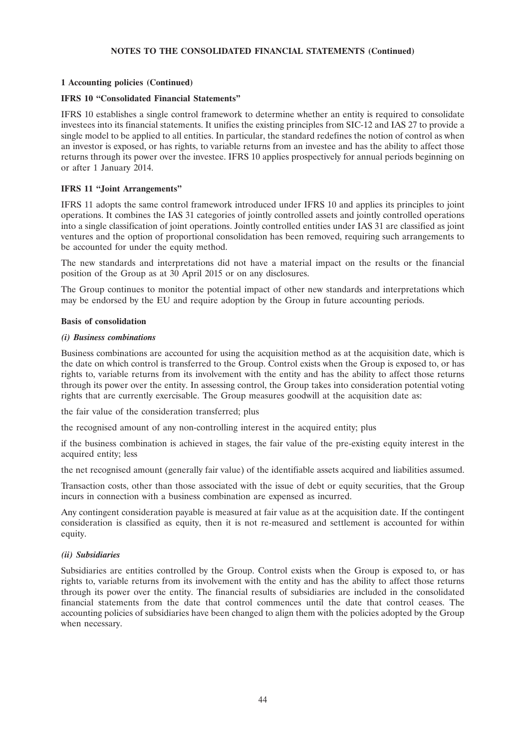# **1 Accounting policies (Continued)**

# **IFRS 10 ''Consolidated Financial Statements''**

IFRS 10 establishes a single control framework to determine whether an entity is required to consolidate investees into its financial statements. It unifies the existing principles from SIC-12 and IAS 27 to provide a single model to be applied to all entities. In particular, the standard redefines the notion of control as when an investor is exposed, or has rights, to variable returns from an investee and has the ability to affect those returns through its power over the investee. IFRS 10 applies prospectively for annual periods beginning on or after 1 January 2014.

# **IFRS 11 ''Joint Arrangements''**

IFRS 11 adopts the same control framework introduced under IFRS 10 and applies its principles to joint operations. It combines the IAS 31 categories of jointly controlled assets and jointly controlled operations into a single classification of joint operations. Jointly controlled entities under IAS 31 are classified as joint ventures and the option of proportional consolidation has been removed, requiring such arrangements to be accounted for under the equity method.

The new standards and interpretations did not have a material impact on the results or the financial position of the Group as at 30 April 2015 or on any disclosures.

The Group continues to monitor the potential impact of other new standards and interpretations which may be endorsed by the EU and require adoption by the Group in future accounting periods.

# **Basis of consolidation**

### *(i) Business combinations*

Business combinations are accounted for using the acquisition method as at the acquisition date, which is the date on which control is transferred to the Group. Control exists when the Group is exposed to, or has rights to, variable returns from its involvement with the entity and has the ability to affect those returns through its power over the entity. In assessing control, the Group takes into consideration potential voting rights that are currently exercisable. The Group measures goodwill at the acquisition date as:

the fair value of the consideration transferred; plus

the recognised amount of any non-controlling interest in the acquired entity; plus

if the business combination is achieved in stages, the fair value of the pre-existing equity interest in the acquired entity; less

the net recognised amount (generally fair value) of the identifiable assets acquired and liabilities assumed.

Transaction costs, other than those associated with the issue of debt or equity securities, that the Group incurs in connection with a business combination are expensed as incurred.

Any contingent consideration payable is measured at fair value as at the acquisition date. If the contingent consideration is classified as equity, then it is not re-measured and settlement is accounted for within equity.

# *(ii) Subsidiaries*

Subsidiaries are entities controlled by the Group. Control exists when the Group is exposed to, or has rights to, variable returns from its involvement with the entity and has the ability to affect those returns through its power over the entity. The financial results of subsidiaries are included in the consolidated financial statements from the date that control commences until the date that control ceases. The accounting policies of subsidiaries have been changed to align them with the policies adopted by the Group when necessary.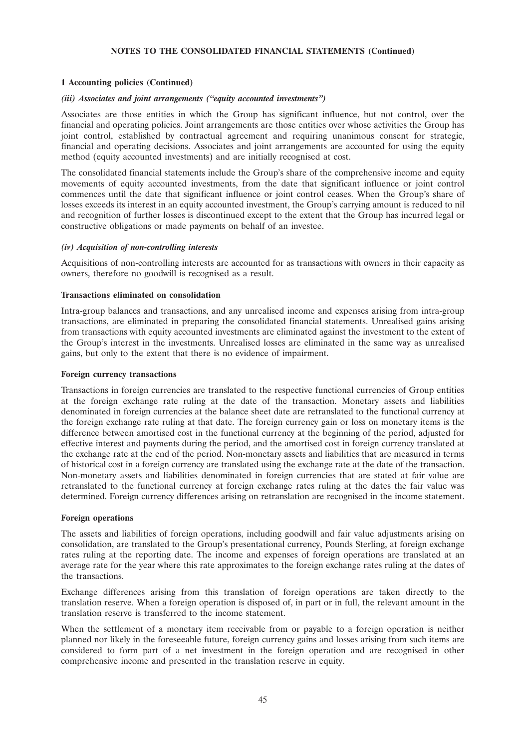# **1 Accounting policies (Continued)**

#### *(iii) Associates and joint arrangements (''equity accounted investments'')*

Associates are those entities in which the Group has significant influence, but not control, over the financial and operating policies. Joint arrangements are those entities over whose activities the Group has joint control, established by contractual agreement and requiring unanimous consent for strategic, financial and operating decisions. Associates and joint arrangements are accounted for using the equity method (equity accounted investments) and are initially recognised at cost.

The consolidated financial statements include the Group's share of the comprehensive income and equity movements of equity accounted investments, from the date that significant influence or joint control commences until the date that significant influence or joint control ceases. When the Group's share of losses exceeds its interest in an equity accounted investment, the Group's carrying amount is reduced to nil and recognition of further losses is discontinued except to the extent that the Group has incurred legal or constructive obligations or made payments on behalf of an investee.

### *(iv) Acquisition of non-controlling interests*

Acquisitions of non-controlling interests are accounted for as transactions with owners in their capacity as owners, therefore no goodwill is recognised as a result.

# **Transactions eliminated on consolidation**

Intra-group balances and transactions, and any unrealised income and expenses arising from intra-group transactions, are eliminated in preparing the consolidated financial statements. Unrealised gains arising from transactions with equity accounted investments are eliminated against the investment to the extent of the Group's interest in the investments. Unrealised losses are eliminated in the same way as unrealised gains, but only to the extent that there is no evidence of impairment.

#### **Foreign currency transactions**

Transactions in foreign currencies are translated to the respective functional currencies of Group entities at the foreign exchange rate ruling at the date of the transaction. Monetary assets and liabilities denominated in foreign currencies at the balance sheet date are retranslated to the functional currency at the foreign exchange rate ruling at that date. The foreign currency gain or loss on monetary items is the difference between amortised cost in the functional currency at the beginning of the period, adjusted for effective interest and payments during the period, and the amortised cost in foreign currency translated at the exchange rate at the end of the period. Non-monetary assets and liabilities that are measured in terms of historical cost in a foreign currency are translated using the exchange rate at the date of the transaction. Non-monetary assets and liabilities denominated in foreign currencies that are stated at fair value are retranslated to the functional currency at foreign exchange rates ruling at the dates the fair value was determined. Foreign currency differences arising on retranslation are recognised in the income statement.

#### **Foreign operations**

The assets and liabilities of foreign operations, including goodwill and fair value adjustments arising on consolidation, are translated to the Group's presentational currency, Pounds Sterling, at foreign exchange rates ruling at the reporting date. The income and expenses of foreign operations are translated at an average rate for the year where this rate approximates to the foreign exchange rates ruling at the dates of the transactions.

Exchange differences arising from this translation of foreign operations are taken directly to the translation reserve. When a foreign operation is disposed of, in part or in full, the relevant amount in the translation reserve is transferred to the income statement.

When the settlement of a monetary item receivable from or payable to a foreign operation is neither planned nor likely in the foreseeable future, foreign currency gains and losses arising from such items are considered to form part of a net investment in the foreign operation and are recognised in other comprehensive income and presented in the translation reserve in equity.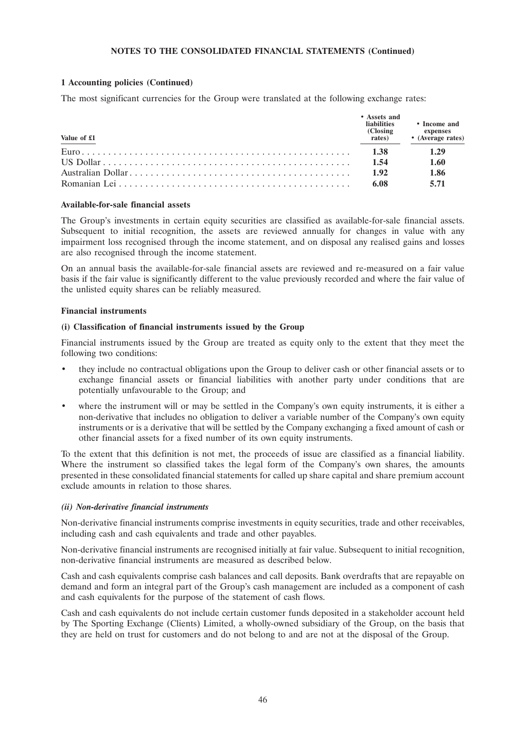# **1 Accounting policies (Continued)**

The most significant currencies for the Group were translated at the following exchange rates:

| Value of £1 | • Assets and<br><b>liabilities</b><br>(Closing)<br>rates) | • Income and<br>expenses<br>• (Average rates) |
|-------------|-----------------------------------------------------------|-----------------------------------------------|
|             | 1.38                                                      | 1.29                                          |
|             | 1.54                                                      | 1.60                                          |
|             | 1.92                                                      | 1.86                                          |
|             | 6.08                                                      | 5.71                                          |

#### **Available-for-sale financial assets**

The Group's investments in certain equity securities are classified as available-for-sale financial assets. Subsequent to initial recognition, the assets are reviewed annually for changes in value with any impairment loss recognised through the income statement, and on disposal any realised gains and losses are also recognised through the income statement.

On an annual basis the available-for-sale financial assets are reviewed and re-measured on a fair value basis if the fair value is significantly different to the value previously recorded and where the fair value of the unlisted equity shares can be reliably measured.

#### **Financial instruments**

#### **(i) Classification of financial instruments issued by the Group**

Financial instruments issued by the Group are treated as equity only to the extent that they meet the following two conditions:

- they include no contractual obligations upon the Group to deliver cash or other financial assets or to exchange financial assets or financial liabilities with another party under conditions that are potentially unfavourable to the Group; and
- where the instrument will or may be settled in the Company's own equity instruments, it is either a non-derivative that includes no obligation to deliver a variable number of the Company's own equity instruments or is a derivative that will be settled by the Company exchanging a fixed amount of cash or other financial assets for a fixed number of its own equity instruments.

To the extent that this definition is not met, the proceeds of issue are classified as a financial liability. Where the instrument so classified takes the legal form of the Company's own shares, the amounts presented in these consolidated financial statements for called up share capital and share premium account exclude amounts in relation to those shares.

#### *(ii) Non-derivative financial instruments*

Non-derivative financial instruments comprise investments in equity securities, trade and other receivables, including cash and cash equivalents and trade and other payables.

Non-derivative financial instruments are recognised initially at fair value. Subsequent to initial recognition, non-derivative financial instruments are measured as described below.

Cash and cash equivalents comprise cash balances and call deposits. Bank overdrafts that are repayable on demand and form an integral part of the Group's cash management are included as a component of cash and cash equivalents for the purpose of the statement of cash flows.

Cash and cash equivalents do not include certain customer funds deposited in a stakeholder account held by The Sporting Exchange (Clients) Limited, a wholly-owned subsidiary of the Group, on the basis that they are held on trust for customers and do not belong to and are not at the disposal of the Group.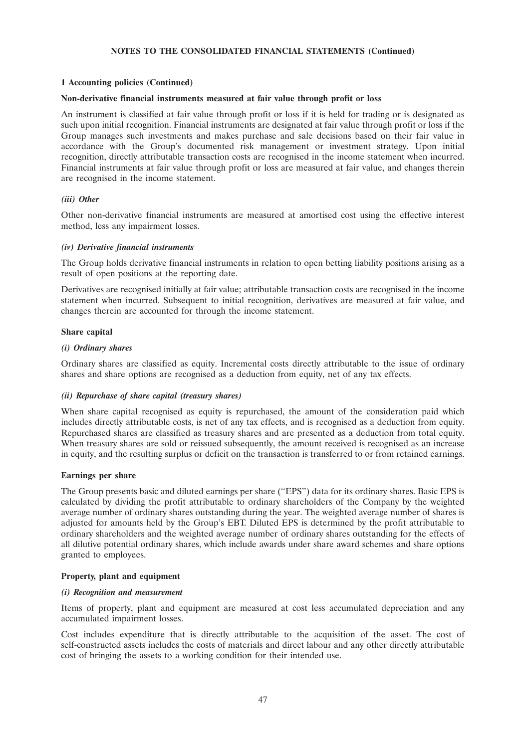# **1 Accounting policies (Continued)**

#### **Non-derivative financial instruments measured at fair value through profit or loss**

An instrument is classified at fair value through profit or loss if it is held for trading or is designated as such upon initial recognition. Financial instruments are designated at fair value through profit or loss if the Group manages such investments and makes purchase and sale decisions based on their fair value in accordance with the Group's documented risk management or investment strategy. Upon initial recognition, directly attributable transaction costs are recognised in the income statement when incurred. Financial instruments at fair value through profit or loss are measured at fair value, and changes therein are recognised in the income statement.

#### *(iii) Other*

Other non-derivative financial instruments are measured at amortised cost using the effective interest method, less any impairment losses.

#### *(iv) Derivative financial instruments*

The Group holds derivative financial instruments in relation to open betting liability positions arising as a result of open positions at the reporting date.

Derivatives are recognised initially at fair value; attributable transaction costs are recognised in the income statement when incurred. Subsequent to initial recognition, derivatives are measured at fair value, and changes therein are accounted for through the income statement.

## **Share capital**

#### *(i) Ordinary shares*

Ordinary shares are classified as equity. Incremental costs directly attributable to the issue of ordinary shares and share options are recognised as a deduction from equity, net of any tax effects.

#### *(ii) Repurchase of share capital (treasury shares)*

When share capital recognised as equity is repurchased, the amount of the consideration paid which includes directly attributable costs, is net of any tax effects, and is recognised as a deduction from equity. Repurchased shares are classified as treasury shares and are presented as a deduction from total equity. When treasury shares are sold or reissued subsequently, the amount received is recognised as an increase in equity, and the resulting surplus or deficit on the transaction is transferred to or from retained earnings.

#### **Earnings per share**

The Group presents basic and diluted earnings per share (''EPS'') data for its ordinary shares. Basic EPS is calculated by dividing the profit attributable to ordinary shareholders of the Company by the weighted average number of ordinary shares outstanding during the year. The weighted average number of shares is adjusted for amounts held by the Group's EBT. Diluted EPS is determined by the profit attributable to ordinary shareholders and the weighted average number of ordinary shares outstanding for the effects of all dilutive potential ordinary shares, which include awards under share award schemes and share options granted to employees.

#### **Property, plant and equipment**

#### *(i) Recognition and measurement*

Items of property, plant and equipment are measured at cost less accumulated depreciation and any accumulated impairment losses.

Cost includes expenditure that is directly attributable to the acquisition of the asset. The cost of self-constructed assets includes the costs of materials and direct labour and any other directly attributable cost of bringing the assets to a working condition for their intended use.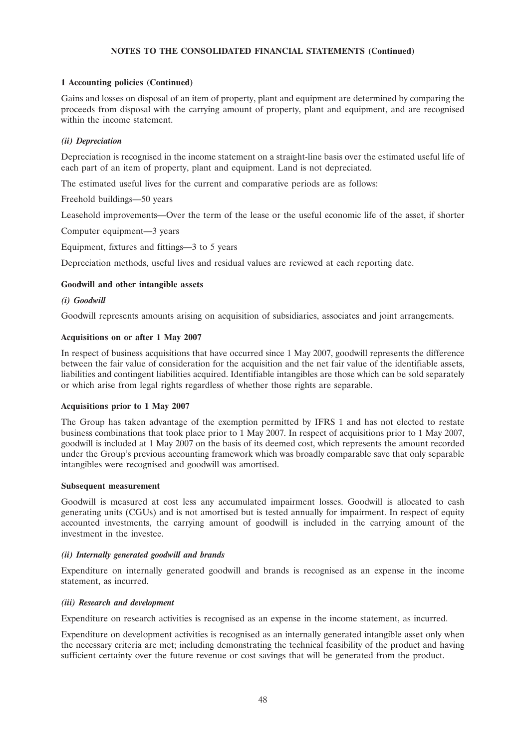# **1 Accounting policies (Continued)**

Gains and losses on disposal of an item of property, plant and equipment are determined by comparing the proceeds from disposal with the carrying amount of property, plant and equipment, and are recognised within the income statement.

# *(ii) Depreciation*

Depreciation is recognised in the income statement on a straight-line basis over the estimated useful life of each part of an item of property, plant and equipment. Land is not depreciated.

The estimated useful lives for the current and comparative periods are as follows:

Freehold buildings—50 years

Leasehold improvements—Over the term of the lease or the useful economic life of the asset, if shorter

Computer equipment—3 years

Equipment, fixtures and fittings—3 to 5 years

Depreciation methods, useful lives and residual values are reviewed at each reporting date.

# **Goodwill and other intangible assets**

# *(i) Goodwill*

Goodwill represents amounts arising on acquisition of subsidiaries, associates and joint arrangements.

### **Acquisitions on or after 1 May 2007**

In respect of business acquisitions that have occurred since 1 May 2007, goodwill represents the difference between the fair value of consideration for the acquisition and the net fair value of the identifiable assets, liabilities and contingent liabilities acquired. Identifiable intangibles are those which can be sold separately or which arise from legal rights regardless of whether those rights are separable.

#### **Acquisitions prior to 1 May 2007**

The Group has taken advantage of the exemption permitted by IFRS 1 and has not elected to restate business combinations that took place prior to 1 May 2007. In respect of acquisitions prior to 1 May 2007, goodwill is included at 1 May 2007 on the basis of its deemed cost, which represents the amount recorded under the Group's previous accounting framework which was broadly comparable save that only separable intangibles were recognised and goodwill was amortised.

# **Subsequent measurement**

Goodwill is measured at cost less any accumulated impairment losses. Goodwill is allocated to cash generating units (CGUs) and is not amortised but is tested annually for impairment. In respect of equity accounted investments, the carrying amount of goodwill is included in the carrying amount of the investment in the investee.

# *(ii) Internally generated goodwill and brands*

Expenditure on internally generated goodwill and brands is recognised as an expense in the income statement, as incurred.

#### *(iii) Research and development*

Expenditure on research activities is recognised as an expense in the income statement, as incurred.

Expenditure on development activities is recognised as an internally generated intangible asset only when the necessary criteria are met; including demonstrating the technical feasibility of the product and having sufficient certainty over the future revenue or cost savings that will be generated from the product.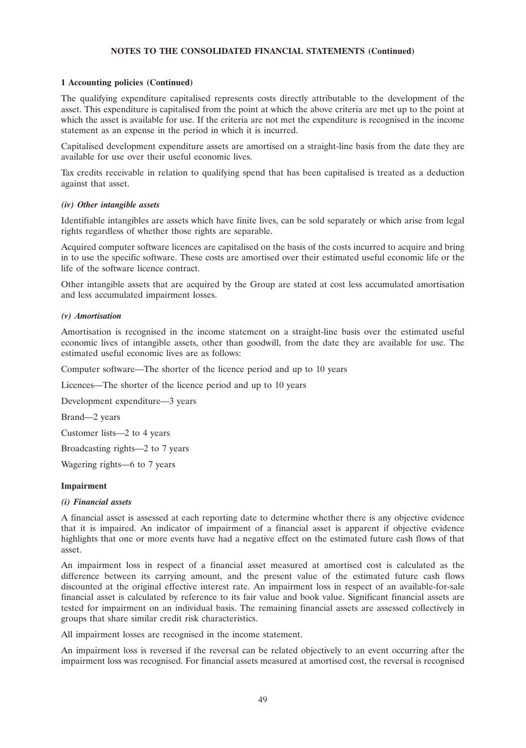#### **1 Accounting policies (Continued)**

The qualifying expenditure capitalised represents costs directly attributable to the development of the asset. This expenditure is capitalised from the point at which the above criteria are met up to the point at which the asset is available for use. If the criteria are not met the expenditure is recognised in the income statement as an expense in the period in which it is incurred.

Capitalised development expenditure assets are amortised on a straight-line basis from the date they are available for use over their useful economic lives.

Tax credits receivable in relation to qualifying spend that has been capitalised is treated as a deduction against that asset.

#### *(iv) Other intangible assets*

Identifiable intangibles are assets which have finite lives, can be sold separately or which arise from legal rights regardless of whether those rights are separable.

Acquired computer software licences are capitalised on the basis of the costs incurred to acquire and bring in to use the specific software. These costs are amortised over their estimated useful economic life or the life of the software licence contract.

Other intangible assets that are acquired by the Group are stated at cost less accumulated amortisation and less accumulated impairment losses.

### *(v) Amortisation*

Amortisation is recognised in the income statement on a straight-line basis over the estimated useful economic lives of intangible assets, other than goodwill, from the date they are available for use. The estimated useful economic lives are as follows:

Computer software—The shorter of the licence period and up to 10 years

Licences—The shorter of the licence period and up to 10 years

Development expenditure—3 years

Brand—2 years

Customer lists—2 to 4 years

Broadcasting rights—2 to 7 years

Wagering rights—6 to 7 years

#### **Impairment**

#### *(i) Financial assets*

A financial asset is assessed at each reporting date to determine whether there is any objective evidence that it is impaired. An indicator of impairment of a financial asset is apparent if objective evidence highlights that one or more events have had a negative effect on the estimated future cash flows of that asset.

An impairment loss in respect of a financial asset measured at amortised cost is calculated as the difference between its carrying amount, and the present value of the estimated future cash flows discounted at the original effective interest rate. An impairment loss in respect of an available-for-sale financial asset is calculated by reference to its fair value and book value. Significant financial assets are tested for impairment on an individual basis. The remaining financial assets are assessed collectively in groups that share similar credit risk characteristics.

All impairment losses are recognised in the income statement.

An impairment loss is reversed if the reversal can be related objectively to an event occurring after the impairment loss was recognised. For financial assets measured at amortised cost, the reversal is recognised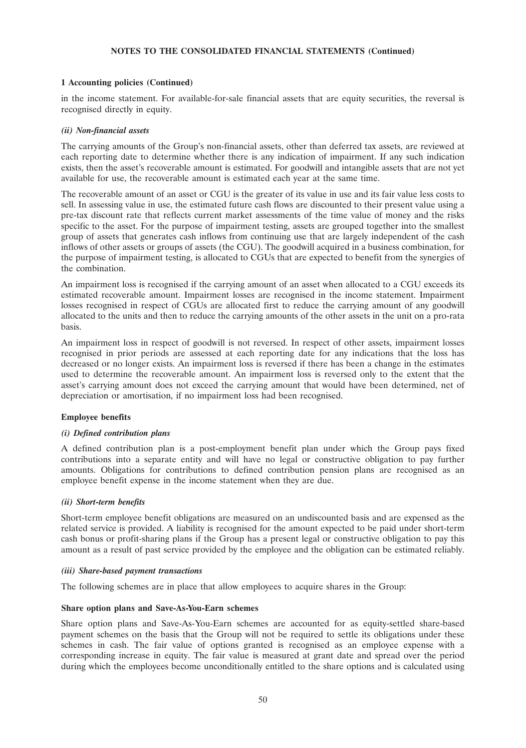# **1 Accounting policies (Continued)**

in the income statement. For available-for-sale financial assets that are equity securities, the reversal is recognised directly in equity.

### *(ii) Non-financial assets*

The carrying amounts of the Group's non-financial assets, other than deferred tax assets, are reviewed at each reporting date to determine whether there is any indication of impairment. If any such indication exists, then the asset's recoverable amount is estimated. For goodwill and intangible assets that are not yet available for use, the recoverable amount is estimated each year at the same time.

The recoverable amount of an asset or CGU is the greater of its value in use and its fair value less costs to sell. In assessing value in use, the estimated future cash flows are discounted to their present value using a pre-tax discount rate that reflects current market assessments of the time value of money and the risks specific to the asset. For the purpose of impairment testing, assets are grouped together into the smallest group of assets that generates cash inflows from continuing use that are largely independent of the cash inflows of other assets or groups of assets (the CGU). The goodwill acquired in a business combination, for the purpose of impairment testing, is allocated to CGUs that are expected to benefit from the synergies of the combination.

An impairment loss is recognised if the carrying amount of an asset when allocated to a CGU exceeds its estimated recoverable amount. Impairment losses are recognised in the income statement. Impairment losses recognised in respect of CGUs are allocated first to reduce the carrying amount of any goodwill allocated to the units and then to reduce the carrying amounts of the other assets in the unit on a pro-rata basis.

An impairment loss in respect of goodwill is not reversed. In respect of other assets, impairment losses recognised in prior periods are assessed at each reporting date for any indications that the loss has decreased or no longer exists. An impairment loss is reversed if there has been a change in the estimates used to determine the recoverable amount. An impairment loss is reversed only to the extent that the asset's carrying amount does not exceed the carrying amount that would have been determined, net of depreciation or amortisation, if no impairment loss had been recognised.

#### **Employee benefits**

#### *(i) Defined contribution plans*

A defined contribution plan is a post-employment benefit plan under which the Group pays fixed contributions into a separate entity and will have no legal or constructive obligation to pay further amounts. Obligations for contributions to defined contribution pension plans are recognised as an employee benefit expense in the income statement when they are due.

#### *(ii) Short-term benefits*

Short-term employee benefit obligations are measured on an undiscounted basis and are expensed as the related service is provided. A liability is recognised for the amount expected to be paid under short-term cash bonus or profit-sharing plans if the Group has a present legal or constructive obligation to pay this amount as a result of past service provided by the employee and the obligation can be estimated reliably.

#### *(iii) Share-based payment transactions*

The following schemes are in place that allow employees to acquire shares in the Group:

#### **Share option plans and Save-As-You-Earn schemes**

Share option plans and Save-As-You-Earn schemes are accounted for as equity-settled share-based payment schemes on the basis that the Group will not be required to settle its obligations under these schemes in cash. The fair value of options granted is recognised as an employee expense with a corresponding increase in equity. The fair value is measured at grant date and spread over the period during which the employees become unconditionally entitled to the share options and is calculated using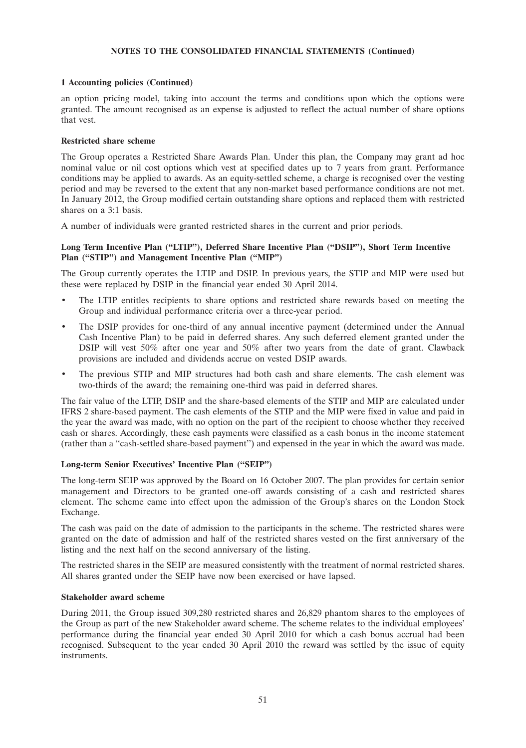# **1 Accounting policies (Continued)**

an option pricing model, taking into account the terms and conditions upon which the options were granted. The amount recognised as an expense is adjusted to reflect the actual number of share options that vest.

#### **Restricted share scheme**

The Group operates a Restricted Share Awards Plan. Under this plan, the Company may grant ad hoc nominal value or nil cost options which vest at specified dates up to 7 years from grant. Performance conditions may be applied to awards. As an equity-settled scheme, a charge is recognised over the vesting period and may be reversed to the extent that any non-market based performance conditions are not met. In January 2012, the Group modified certain outstanding share options and replaced them with restricted shares on a 3:1 basis.

A number of individuals were granted restricted shares in the current and prior periods.

# **Long Term Incentive Plan (''LTIP''), Deferred Share Incentive Plan (''DSIP''), Short Term Incentive Plan (''STIP'') and Management Incentive Plan (''MIP'')**

The Group currently operates the LTIP and DSIP. In previous years, the STIP and MIP were used but these were replaced by DSIP in the financial year ended 30 April 2014.

- The LTIP entitles recipients to share options and restricted share rewards based on meeting the Group and individual performance criteria over a three-year period.
- The DSIP provides for one-third of any annual incentive payment (determined under the Annual Cash Incentive Plan) to be paid in deferred shares. Any such deferred element granted under the DSIP will vest 50% after one year and 50% after two years from the date of grant. Clawback provisions are included and dividends accrue on vested DSIP awards.
- The previous STIP and MIP structures had both cash and share elements. The cash element was two-thirds of the award; the remaining one-third was paid in deferred shares.

The fair value of the LTIP, DSIP and the share-based elements of the STIP and MIP are calculated under IFRS 2 share-based payment. The cash elements of the STIP and the MIP were fixed in value and paid in the year the award was made, with no option on the part of the recipient to choose whether they received cash or shares. Accordingly, these cash payments were classified as a cash bonus in the income statement (rather than a ''cash-settled share-based payment'') and expensed in the year in which the award was made.

#### **Long-term Senior Executives' Incentive Plan (''SEIP'')**

The long-term SEIP was approved by the Board on 16 October 2007. The plan provides for certain senior management and Directors to be granted one-off awards consisting of a cash and restricted shares element. The scheme came into effect upon the admission of the Group's shares on the London Stock Exchange.

The cash was paid on the date of admission to the participants in the scheme. The restricted shares were granted on the date of admission and half of the restricted shares vested on the first anniversary of the listing and the next half on the second anniversary of the listing.

The restricted shares in the SEIP are measured consistently with the treatment of normal restricted shares. All shares granted under the SEIP have now been exercised or have lapsed.

#### **Stakeholder award scheme**

During 2011, the Group issued 309,280 restricted shares and 26,829 phantom shares to the employees of the Group as part of the new Stakeholder award scheme. The scheme relates to the individual employees' performance during the financial year ended 30 April 2010 for which a cash bonus accrual had been recognised. Subsequent to the year ended 30 April 2010 the reward was settled by the issue of equity instruments.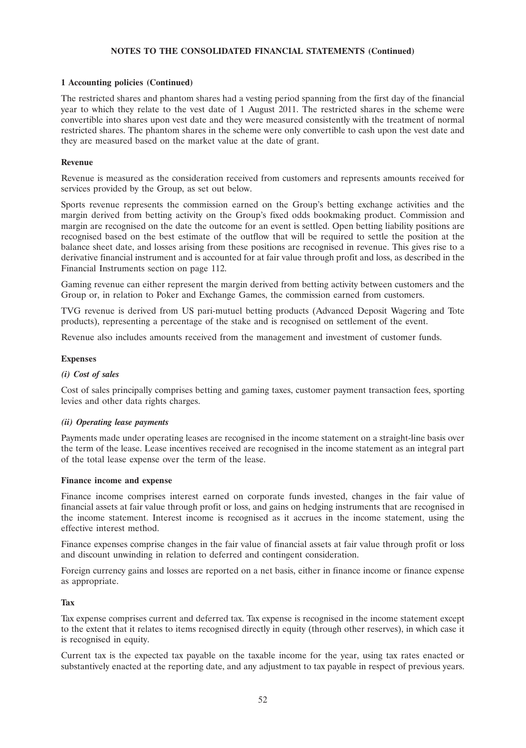### **1 Accounting policies (Continued)**

The restricted shares and phantom shares had a vesting period spanning from the first day of the financial year to which they relate to the vest date of 1 August 2011. The restricted shares in the scheme were convertible into shares upon vest date and they were measured consistently with the treatment of normal restricted shares. The phantom shares in the scheme were only convertible to cash upon the vest date and they are measured based on the market value at the date of grant.

### **Revenue**

Revenue is measured as the consideration received from customers and represents amounts received for services provided by the Group, as set out below.

Sports revenue represents the commission earned on the Group's betting exchange activities and the margin derived from betting activity on the Group's fixed odds bookmaking product. Commission and margin are recognised on the date the outcome for an event is settled. Open betting liability positions are recognised based on the best estimate of the outflow that will be required to settle the position at the balance sheet date, and losses arising from these positions are recognised in revenue. This gives rise to a derivative financial instrument and is accounted for at fair value through profit and loss, as described in the Financial Instruments section on page 112.

Gaming revenue can either represent the margin derived from betting activity between customers and the Group or, in relation to Poker and Exchange Games, the commission earned from customers.

TVG revenue is derived from US pari-mutuel betting products (Advanced Deposit Wagering and Tote products), representing a percentage of the stake and is recognised on settlement of the event.

Revenue also includes amounts received from the management and investment of customer funds.

### **Expenses**

#### *(i) Cost of sales*

Cost of sales principally comprises betting and gaming taxes, customer payment transaction fees, sporting levies and other data rights charges.

### *(ii) Operating lease payments*

Payments made under operating leases are recognised in the income statement on a straight-line basis over the term of the lease. Lease incentives received are recognised in the income statement as an integral part of the total lease expense over the term of the lease.

#### **Finance income and expense**

Finance income comprises interest earned on corporate funds invested, changes in the fair value of financial assets at fair value through profit or loss, and gains on hedging instruments that are recognised in the income statement. Interest income is recognised as it accrues in the income statement, using the effective interest method.

Finance expenses comprise changes in the fair value of financial assets at fair value through profit or loss and discount unwinding in relation to deferred and contingent consideration.

Foreign currency gains and losses are reported on a net basis, either in finance income or finance expense as appropriate.

### **Tax**

Tax expense comprises current and deferred tax. Tax expense is recognised in the income statement except to the extent that it relates to items recognised directly in equity (through other reserves), in which case it is recognised in equity.

Current tax is the expected tax payable on the taxable income for the year, using tax rates enacted or substantively enacted at the reporting date, and any adjustment to tax payable in respect of previous years.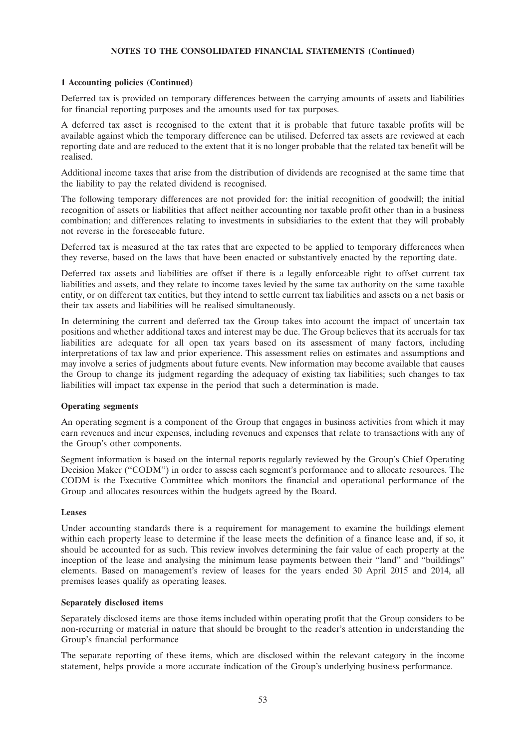## **1 Accounting policies (Continued)**

Deferred tax is provided on temporary differences between the carrying amounts of assets and liabilities for financial reporting purposes and the amounts used for tax purposes.

A deferred tax asset is recognised to the extent that it is probable that future taxable profits will be available against which the temporary difference can be utilised. Deferred tax assets are reviewed at each reporting date and are reduced to the extent that it is no longer probable that the related tax benefit will be realised.

Additional income taxes that arise from the distribution of dividends are recognised at the same time that the liability to pay the related dividend is recognised.

The following temporary differences are not provided for: the initial recognition of goodwill; the initial recognition of assets or liabilities that affect neither accounting nor taxable profit other than in a business combination; and differences relating to investments in subsidiaries to the extent that they will probably not reverse in the foreseeable future.

Deferred tax is measured at the tax rates that are expected to be applied to temporary differences when they reverse, based on the laws that have been enacted or substantively enacted by the reporting date.

Deferred tax assets and liabilities are offset if there is a legally enforceable right to offset current tax liabilities and assets, and they relate to income taxes levied by the same tax authority on the same taxable entity, or on different tax entities, but they intend to settle current tax liabilities and assets on a net basis or their tax assets and liabilities will be realised simultaneously.

In determining the current and deferred tax the Group takes into account the impact of uncertain tax positions and whether additional taxes and interest may be due. The Group believes that its accruals for tax liabilities are adequate for all open tax years based on its assessment of many factors, including interpretations of tax law and prior experience. This assessment relies on estimates and assumptions and may involve a series of judgments about future events. New information may become available that causes the Group to change its judgment regarding the adequacy of existing tax liabilities; such changes to tax liabilities will impact tax expense in the period that such a determination is made.

#### **Operating segments**

An operating segment is a component of the Group that engages in business activities from which it may earn revenues and incur expenses, including revenues and expenses that relate to transactions with any of the Group's other components.

Segment information is based on the internal reports regularly reviewed by the Group's Chief Operating Decision Maker (''CODM'') in order to assess each segment's performance and to allocate resources. The CODM is the Executive Committee which monitors the financial and operational performance of the Group and allocates resources within the budgets agreed by the Board.

#### **Leases**

Under accounting standards there is a requirement for management to examine the buildings element within each property lease to determine if the lease meets the definition of a finance lease and, if so, it should be accounted for as such. This review involves determining the fair value of each property at the inception of the lease and analysing the minimum lease payments between their ''land'' and ''buildings'' elements. Based on management's review of leases for the years ended 30 April 2015 and 2014, all premises leases qualify as operating leases.

#### **Separately disclosed items**

Separately disclosed items are those items included within operating profit that the Group considers to be non-recurring or material in nature that should be brought to the reader's attention in understanding the Group's financial performance

The separate reporting of these items, which are disclosed within the relevant category in the income statement, helps provide a more accurate indication of the Group's underlying business performance.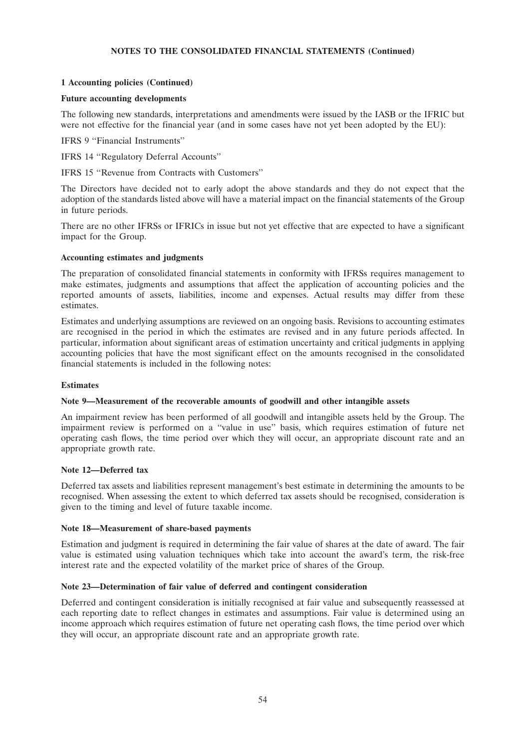# **1 Accounting policies (Continued)**

# **Future accounting developments**

The following new standards, interpretations and amendments were issued by the IASB or the IFRIC but were not effective for the financial year (and in some cases have not yet been adopted by the EU):

IFRS 9 ''Financial Instruments''

IFRS 14 ''Regulatory Deferral Accounts''

IFRS 15 ''Revenue from Contracts with Customers''

The Directors have decided not to early adopt the above standards and they do not expect that the adoption of the standards listed above will have a material impact on the financial statements of the Group in future periods.

There are no other IFRSs or IFRICs in issue but not yet effective that are expected to have a significant impact for the Group.

### **Accounting estimates and judgments**

The preparation of consolidated financial statements in conformity with IFRSs requires management to make estimates, judgments and assumptions that affect the application of accounting policies and the reported amounts of assets, liabilities, income and expenses. Actual results may differ from these estimates.

Estimates and underlying assumptions are reviewed on an ongoing basis. Revisions to accounting estimates are recognised in the period in which the estimates are revised and in any future periods affected. In particular, information about significant areas of estimation uncertainty and critical judgments in applying accounting policies that have the most significant effect on the amounts recognised in the consolidated financial statements is included in the following notes:

#### **Estimates**

# **Note 9—Measurement of the recoverable amounts of goodwill and other intangible assets**

An impairment review has been performed of all goodwill and intangible assets held by the Group. The impairment review is performed on a ''value in use'' basis, which requires estimation of future net operating cash flows, the time period over which they will occur, an appropriate discount rate and an appropriate growth rate.

# **Note 12—Deferred tax**

Deferred tax assets and liabilities represent management's best estimate in determining the amounts to be recognised. When assessing the extent to which deferred tax assets should be recognised, consideration is given to the timing and level of future taxable income.

#### **Note 18—Measurement of share-based payments**

Estimation and judgment is required in determining the fair value of shares at the date of award. The fair value is estimated using valuation techniques which take into account the award's term, the risk-free interest rate and the expected volatility of the market price of shares of the Group.

# **Note 23—Determination of fair value of deferred and contingent consideration**

Deferred and contingent consideration is initially recognised at fair value and subsequently reassessed at each reporting date to reflect changes in estimates and assumptions. Fair value is determined using an income approach which requires estimation of future net operating cash flows, the time period over which they will occur, an appropriate discount rate and an appropriate growth rate.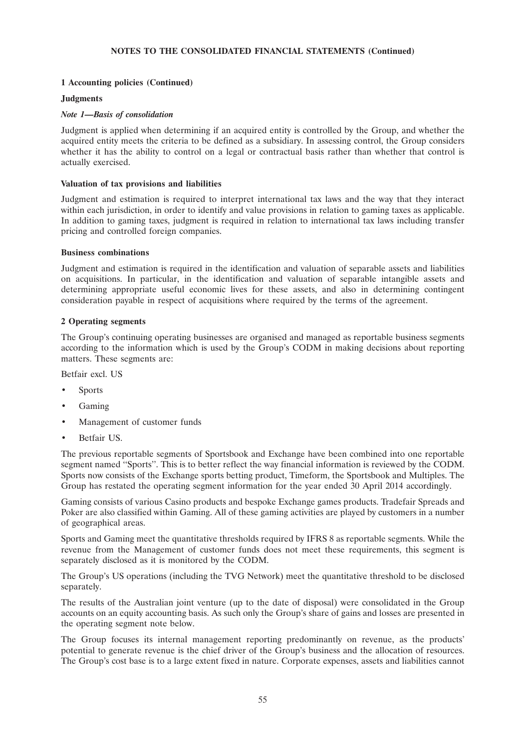# **1 Accounting policies (Continued)**

#### **Judgments**

### *Note 1—Basis of consolidation*

Judgment is applied when determining if an acquired entity is controlled by the Group, and whether the acquired entity meets the criteria to be defined as a subsidiary. In assessing control, the Group considers whether it has the ability to control on a legal or contractual basis rather than whether that control is actually exercised.

### **Valuation of tax provisions and liabilities**

Judgment and estimation is required to interpret international tax laws and the way that they interact within each jurisdiction, in order to identify and value provisions in relation to gaming taxes as applicable. In addition to gaming taxes, judgment is required in relation to international tax laws including transfer pricing and controlled foreign companies.

#### **Business combinations**

Judgment and estimation is required in the identification and valuation of separable assets and liabilities on acquisitions. In particular, in the identification and valuation of separable intangible assets and determining appropriate useful economic lives for these assets, and also in determining contingent consideration payable in respect of acquisitions where required by the terms of the agreement.

### **2 Operating segments**

The Group's continuing operating businesses are organised and managed as reportable business segments according to the information which is used by the Group's CODM in making decisions about reporting matters. These segments are:

Betfair excl. US

- **Sports**
- Gaming
- Management of customer funds
- Betfair US.

The previous reportable segments of Sportsbook and Exchange have been combined into one reportable segment named ''Sports''. This is to better reflect the way financial information is reviewed by the CODM. Sports now consists of the Exchange sports betting product, Timeform, the Sportsbook and Multiples. The Group has restated the operating segment information for the year ended 30 April 2014 accordingly.

Gaming consists of various Casino products and bespoke Exchange games products. Tradefair Spreads and Poker are also classified within Gaming. All of these gaming activities are played by customers in a number of geographical areas.

Sports and Gaming meet the quantitative thresholds required by IFRS 8 as reportable segments. While the revenue from the Management of customer funds does not meet these requirements, this segment is separately disclosed as it is monitored by the CODM.

The Group's US operations (including the TVG Network) meet the quantitative threshold to be disclosed separately.

The results of the Australian joint venture (up to the date of disposal) were consolidated in the Group accounts on an equity accounting basis. As such only the Group's share of gains and losses are presented in the operating segment note below.

The Group focuses its internal management reporting predominantly on revenue, as the products' potential to generate revenue is the chief driver of the Group's business and the allocation of resources. The Group's cost base is to a large extent fixed in nature. Corporate expenses, assets and liabilities cannot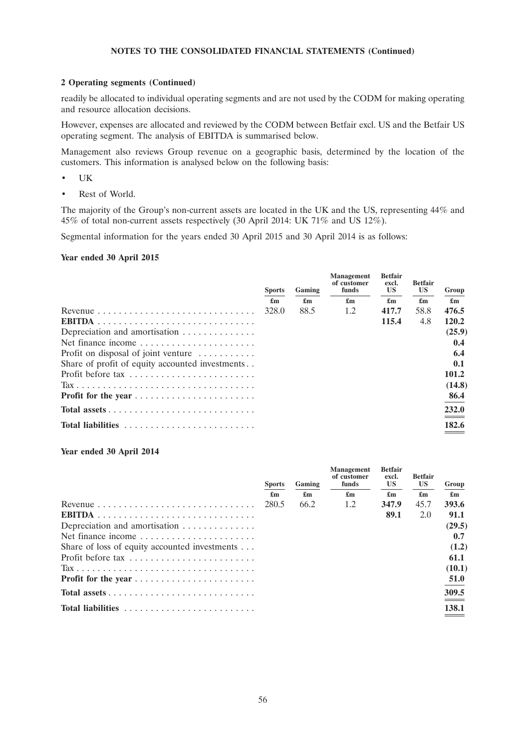### **2 Operating segments (Continued)**

readily be allocated to individual operating segments and are not used by the CODM for making operating and resource allocation decisions.

However, expenses are allocated and reviewed by the CODM between Betfair excl. US and the Betfair US operating segment. The analysis of EBITDA is summarised below.

Management also reviews Group revenue on a geographic basis, determined by the location of the customers. This information is analysed below on the following basis:

- UK
- Rest of World.

The majority of the Group's non-current assets are located in the UK and the US, representing 44% and 45% of total non-current assets respectively (30 April 2014: UK 71% and US 12%).

Segmental information for the years ended 30 April 2015 and 30 April 2014 is as follows:

# **Year ended 30 April 2015**

|                                                                   | <b>Sports</b>             | Gaming | <b>Management</b><br>of customer<br>funds | <b>Betfair</b><br>excl.<br><b>US</b> | <b>Betfair</b><br><b>US</b> | Group                     |
|-------------------------------------------------------------------|---------------------------|--------|-------------------------------------------|--------------------------------------|-----------------------------|---------------------------|
|                                                                   | $\mathbf{f}_{\mathbf{m}}$ | £m     | $\mathbf{f}_{\mathbf{m}}$                 | $\mathbf{f}_{\mathbf{m}}$            | $\mathbf{f}_{\mathbf{m}}$   | $\mathbf{f}_{\mathbf{m}}$ |
| Revenue $\ldots \ldots \ldots \ldots \ldots \ldots \ldots \ldots$ | 328.0                     | 88.5   | 1.2                                       | 417.7                                | 58.8                        | 476.5                     |
|                                                                   |                           |        |                                           | 115.4                                | 4.8                         | 120.2                     |
| Depreciation and amortisation                                     |                           |        |                                           |                                      |                             | (25.9)                    |
| Net finance income                                                |                           |        |                                           |                                      |                             | 0.4                       |
| Profit on disposal of joint venture $\dots \dots$                 |                           |        |                                           |                                      |                             | 6.4                       |
| Share of profit of equity accounted investments                   |                           |        |                                           |                                      |                             | 0.1                       |
| Profit before tax                                                 |                           |        |                                           |                                      |                             | 101.2                     |
|                                                                   |                           |        |                                           |                                      |                             | (14.8)                    |
|                                                                   |                           |        |                                           |                                      |                             | 86.4                      |
|                                                                   |                           |        |                                           |                                      |                             | 232.0                     |
| <b>Total liabilities</b>                                          |                           |        |                                           |                                      |                             | 182.6                     |

#### **Year ended 30 April 2014**

|                                                                   | <b>Sports</b>             | Gaming                    | <b>Management</b><br>of customer<br>funds | <b>Betfair</b><br>excl.<br><b>US</b> | <b>Betfair</b><br><b>US</b> | Group                     |
|-------------------------------------------------------------------|---------------------------|---------------------------|-------------------------------------------|--------------------------------------|-----------------------------|---------------------------|
|                                                                   | $\mathbf{f}_{\mathbf{m}}$ | $\mathbf{f}_{\mathbf{m}}$ | $\mathbf{f}_{\mathbf{m}}$                 | $\mathbf{f}_{\mathbf{m}}$            | $\mathbf{f}_{\mathbf{m}}$   | $\mathbf{f}_{\mathbf{m}}$ |
| Revenue $\ldots \ldots \ldots \ldots \ldots \ldots \ldots \ldots$ | 280.5                     | 66.2                      | 1.2                                       | 347.9                                | 45.7                        | 393.6                     |
|                                                                   |                           |                           |                                           | 89.1                                 | 2.0                         | 91.1                      |
| Depreciation and amortisation                                     |                           |                           |                                           |                                      |                             | (29.5)                    |
| Net finance income $\dots \dots \dots \dots \dots \dots \dots$    |                           |                           |                                           |                                      |                             | 0.7                       |
| Share of loss of equity accounted investments                     |                           |                           |                                           |                                      |                             | (1.2)                     |
| Profit before tax                                                 |                           |                           |                                           |                                      |                             | 61.1                      |
|                                                                   |                           |                           |                                           |                                      |                             | (10.1)                    |
|                                                                   |                           |                           |                                           |                                      |                             | 51.0                      |
|                                                                   |                           |                           |                                           |                                      |                             | 309.5                     |
| <b>Total liabilities</b>                                          |                           |                           |                                           |                                      |                             | 138.1                     |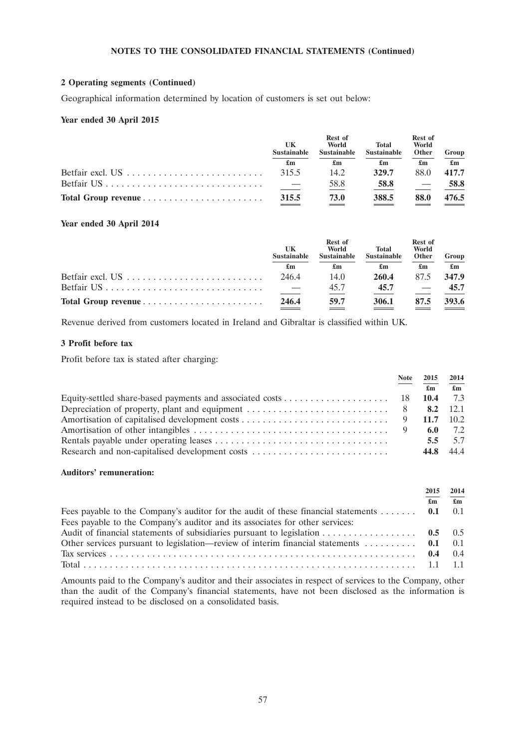## **2 Operating segments (Continued)**

Geographical information determined by location of customers is set out below:

# **Year ended 30 April 2015**

|                                                                          | UK<br><b>Sustainable</b> | Rest of<br>World<br><b>Sustainable</b> | <b>Total</b><br><b>Sustainable</b> | Rest of<br>World<br>Other | Group                     |
|--------------------------------------------------------------------------|--------------------------|----------------------------------------|------------------------------------|---------------------------|---------------------------|
|                                                                          | £m                       | £m                                     | £m                                 | £m                        | $\mathbf{f}_{\mathbf{m}}$ |
| Betfair excl. $US \dots \dots \dots \dots \dots \dots \dots \dots \dots$ | 315.5                    | 14.2                                   | 329.7                              | 88.0                      | 417.7                     |
|                                                                          |                          | 58.8                                   | 58.8                               |                           | 58.8                      |
|                                                                          | 315.5                    | 73.0                                   | 388.5                              | 88.0                      | 476.5                     |

# **Year ended 30 April 2014**

|                                                                          | UK<br><b>Sustainable</b> | Rest of<br>World<br><b>Sustainable</b> | <b>Total</b><br><b>Sustainable</b> | Rest of<br>World<br>Other | Group                     |
|--------------------------------------------------------------------------|--------------------------|----------------------------------------|------------------------------------|---------------------------|---------------------------|
|                                                                          | £m                       | £m                                     | $\mathbf{f}_{\mathbf{m}}$          | £m                        | $\mathbf{f}_{\mathbf{m}}$ |
|                                                                          | 246.4                    | 14.0                                   | 260.4                              | 87.5                      | 347.9                     |
| Betfair $US \dots \dots \dots \dots \dots \dots \dots \dots \dots \dots$ |                          | 45.7                                   | 45.7                               |                           | 45.7                      |
|                                                                          | 246.4                    | 59.7                                   | 306.1                              | 87.5                      | 393.6                     |

Revenue derived from customers located in Ireland and Gibraltar is classified within UK.

### **3 Profit before tax**

Profit before tax is stated after charging:

|                                                | Note 2015     | 2014                      |
|------------------------------------------------|---------------|---------------------------|
|                                                | £m            | $\mathbf{f}_{\mathbf{m}}$ |
|                                                |               |                           |
|                                                |               |                           |
|                                                |               |                           |
|                                                |               |                           |
|                                                | $5.5^{\circ}$ | 5.7                       |
| Research and non-capitalised development costs | 44.8 44.4     |                           |

#### **Auditors' remuneration:**

|                                                                                                   | 2015 | 2014                      |
|---------------------------------------------------------------------------------------------------|------|---------------------------|
|                                                                                                   | £m   | $\mathbf{f}_{\mathbf{m}}$ |
| Fees payable to the Company's auditor for the audit of these financial statements $0.1 \quad 0.1$ |      |                           |
| Fees payable to the Company's auditor and its associates for other services:                      |      |                           |
|                                                                                                   |      |                           |
| Other services pursuant to legislation—review of interim financial statements $0.1 \quad 0.1$     |      |                           |
|                                                                                                   |      |                           |
|                                                                                                   |      |                           |

Amounts paid to the Company's auditor and their associates in respect of services to the Company, other than the audit of the Company's financial statements, have not been disclosed as the information is required instead to be disclosed on a consolidated basis.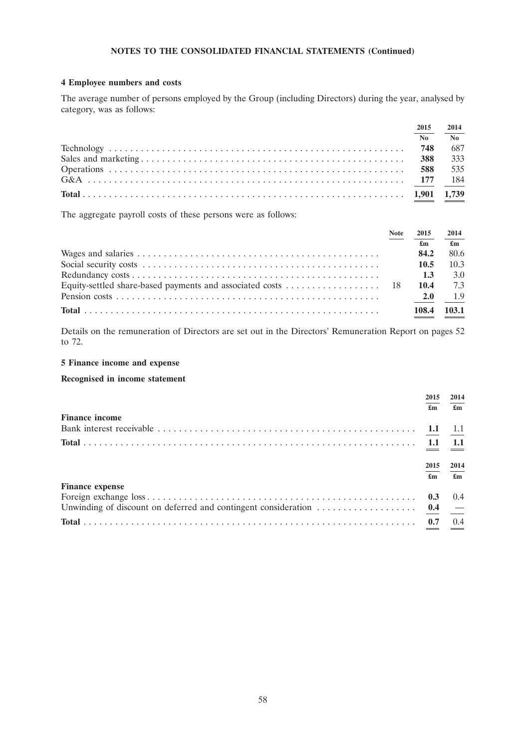# **4 Employee numbers and costs**

The average number of persons employed by the Group (including Directors) during the year, analysed by category, was as follows:

| 2015 | 2014                   |
|------|------------------------|
| No   | $\mathbf{N}\mathbf{o}$ |
|      | 687                    |
| 388  | 333                    |
| 588  | 535                    |
|      |                        |
|      |                        |

The aggregate payroll costs of these persons were as follows:

| <b>Note</b> | 2015  | 2014         |
|-------------|-------|--------------|
|             | £m    | $\mathbf{f}$ |
|             | 84.2  | 80.6         |
|             | 10.5  | 10.3         |
|             | 1.3   | 3.0          |
|             | 10.4  | 7.3          |
|             | 2.0   | 1.9          |
|             | 108.4 | 103.1        |

Details on the remuneration of Directors are set out in the Directors' Remuneration Report on pages 52 to 72.

# **5 Finance income and expense**

# **Recognised in income statement**

|                        | 2015       | 2014          |
|------------------------|------------|---------------|
|                        | £m         | £m            |
| <b>Finance income</b>  |            |               |
|                        |            |               |
|                        |            | 1.1           |
|                        | 2015<br>£m | 2014<br>£m    |
| <b>Finance expense</b> |            |               |
|                        | 0.3        | $0.4^{\circ}$ |
|                        |            |               |
| Total                  |            | 0.4           |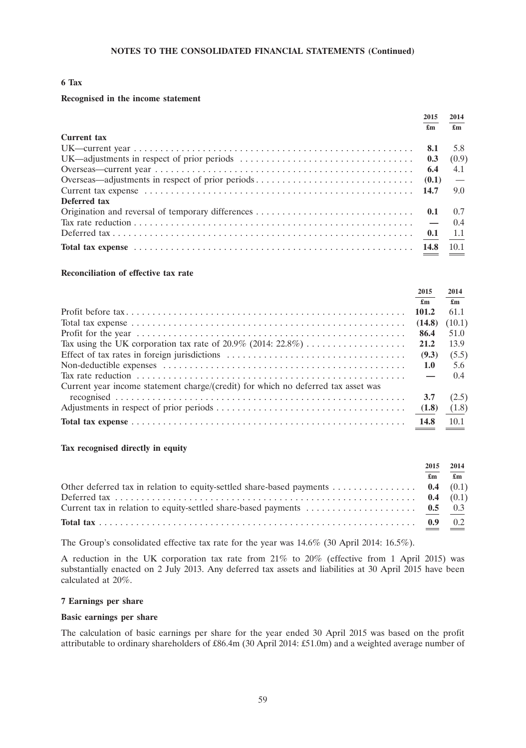# **6 Tax**

### **Recognised in the income statement**

|                    | 2015<br>$\mathbf{f}_{\mathbf{m}}$ | 2014<br>$\mathbf{f}_{\mathbf{m}}$ |
|--------------------|-----------------------------------|-----------------------------------|
| <b>Current tax</b> |                                   |                                   |
|                    |                                   | 5.8                               |
|                    |                                   | (0.9)                             |
|                    |                                   | 4.1                               |
|                    |                                   | $\overline{\phantom{a}}$          |
|                    |                                   | 9.0                               |
| Deferred tax       |                                   |                                   |
|                    |                                   |                                   |
|                    |                                   |                                   |
|                    |                                   |                                   |
|                    |                                   |                                   |

#### **Reconciliation of effective tax rate**

|                                                                                                                           | 2015                      | 2014   |
|---------------------------------------------------------------------------------------------------------------------------|---------------------------|--------|
|                                                                                                                           | $\mathbf{f}_{\mathbf{m}}$ | £m     |
|                                                                                                                           | 101.2                     | 61.1   |
|                                                                                                                           | (14.8)                    | (10.1) |
|                                                                                                                           | 86.4                      | 51.0   |
|                                                                                                                           | 21.2                      | 13.9   |
|                                                                                                                           | (9.3)                     | (5.5)  |
| Non-deductible expenses $\dots \dots \dots \dots \dots \dots \dots \dots \dots \dots \dots \dots \dots \dots \dots \dots$ | 1.0                       | 5.6    |
|                                                                                                                           |                           | 0.4    |
| Current year income statement charge/(credit) for which no deferred tax asset was                                         |                           |        |
|                                                                                                                           | 3.7                       | (2.5)  |
|                                                                                                                           |                           | (1.8)  |
|                                                                                                                           | 14.8                      | 10.1   |

### **Tax recognised directly in equity**

| 2015                      | 2014         |
|---------------------------|--------------|
| $\mathbf{f}_{\mathbf{m}}$ | $\mathbf{f}$ |
|                           |              |
|                           |              |
|                           |              |
|                           |              |

The Group's consolidated effective tax rate for the year was 14.6% (30 April 2014: 16.5%).

A reduction in the UK corporation tax rate from 21% to 20% (effective from 1 April 2015) was substantially enacted on 2 July 2013. Any deferred tax assets and liabilities at 30 April 2015 have been calculated at 20%.

#### **7 Earnings per share**

### **Basic earnings per share**

The calculation of basic earnings per share for the year ended 30 April 2015 was based on the profit attributable to ordinary shareholders of £86.4m (30 April 2014: £51.0m) and a weighted average number of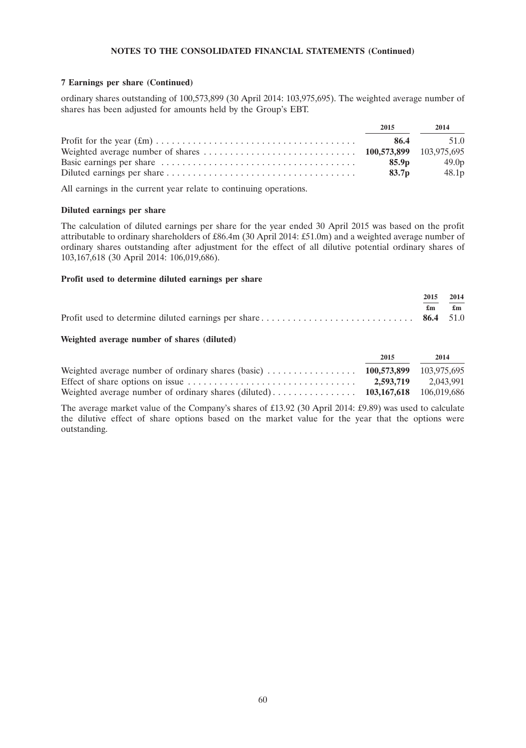### **7 Earnings per share (Continued)**

ordinary shares outstanding of 100,573,899 (30 April 2014: 103,975,695). The weighted average number of shares has been adjusted for amounts held by the Group's EBT.

| 2015              | 2014              |
|-------------------|-------------------|
| 86.4              | 51.0              |
|                   |                   |
| 85.9 <sub>p</sub> | 49.0 <sub>p</sub> |
| 83.7 <sub>p</sub> | 48.1 <sub>p</sub> |

All earnings in the current year relate to continuing operations.

# **Diluted earnings per share**

The calculation of diluted earnings per share for the year ended 30 April 2015 was based on the profit attributable to ordinary shareholders of £86.4m (30 April 2014: £51.0m) and a weighted average number of ordinary shares outstanding after adjustment for the effect of all dilutive potential ordinary shares of 103,167,618 (30 April 2014: 106,019,686).

# **Profit used to determine diluted earnings per share**

|  | 2015 2014                                           |
|--|-----------------------------------------------------|
|  | $\mathbf{f}_{\mathbf{m}}$ $\mathbf{f}_{\mathbf{m}}$ |
|  |                                                     |

### **Weighted average number of shares (diluted)**

|                                                                                                                 | 2015 | 2014                |
|-----------------------------------------------------------------------------------------------------------------|------|---------------------|
| Weighted average number of ordinary shares (basic) $\ldots \ldots \ldots \ldots \ldots$ 100,573,899 103,975,695 |      |                     |
|                                                                                                                 |      | 2.593.719 2.043.991 |
|                                                                                                                 |      |                     |

The average market value of the Company's shares of £13.92 (30 April 2014: £9.89) was used to calculate the dilutive effect of share options based on the market value for the year that the options were outstanding.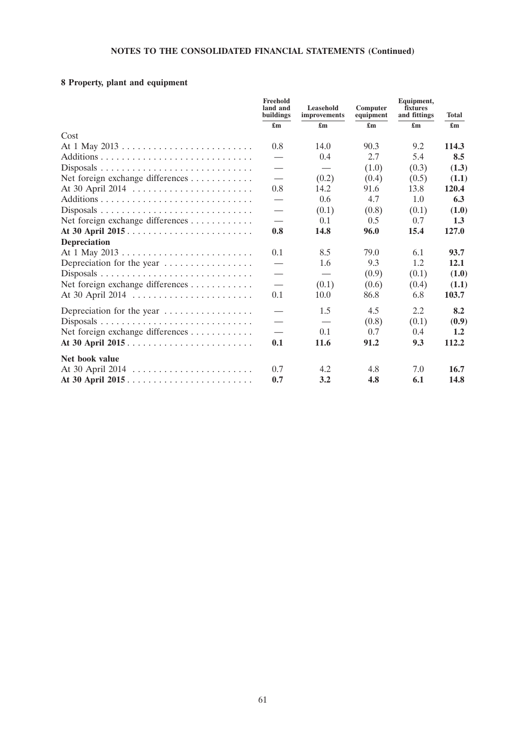# **8 Property, plant and equipment**

|                                  | Freehold<br>land and<br>buildings | Leasehold<br>improvements | Computer<br>equipment     | Equipment,<br>fixtures<br>and fittings | <b>Total</b>              |
|----------------------------------|-----------------------------------|---------------------------|---------------------------|----------------------------------------|---------------------------|
|                                  | $\mathbf{f}_{\mathbf{m}}$         | $\mathbf{f}_{\mathbf{m}}$ | $\mathbf{f}_{\mathbf{m}}$ | $\mathbf{f}_{\mathbf{m}}$              | $\mathbf{f}_{\mathbf{m}}$ |
| Cost                             |                                   |                           |                           |                                        |                           |
|                                  | 0.8                               | 14.0                      | 90.3                      | 9.2                                    | 114.3                     |
|                                  |                                   | 0.4                       | 2.7                       | 5.4                                    | 8.5                       |
|                                  | $\hspace{0.05cm}$                 |                           | (1.0)                     | (0.3)                                  | (1.3)                     |
| Net foreign exchange differences | $\overbrace{\phantom{13333}}$     | (0.2)                     | (0.4)                     | (0.5)                                  | (1.1)                     |
|                                  | 0.8                               | 14.2                      | 91.6                      | 13.8                                   | 120.4                     |
|                                  | $\hspace{0.05cm}$                 | 0.6                       | 4.7                       | 1.0                                    | 6.3                       |
|                                  | $\hspace{0.1mm}-\hspace{0.1mm}$   | (0.1)                     | (0.8)                     | (0.1)                                  | (1.0)                     |
| Net foreign exchange differences |                                   | 0.1                       | 0.5                       | 0.7                                    | 1.3                       |
|                                  | 0.8                               | 14.8                      | 96.0                      | 15.4                                   | 127.0                     |
| <b>Depreciation</b>              |                                   |                           |                           |                                        |                           |
|                                  | 0.1                               | 8.5                       | 79.0                      | 6.1                                    | 93.7                      |
| Depreciation for the year        |                                   | 1.6                       | 9.3                       | 1.2                                    | 12.1                      |
|                                  |                                   |                           | (0.9)                     | (0.1)                                  | (1.0)                     |
| Net foreign exchange differences | $\overbrace{\phantom{13333}}$     | (0.1)                     | (0.6)                     | (0.4)                                  | (1.1)                     |
|                                  | 0.1                               | 10.0                      | 86.8                      | 6.8                                    | 103.7                     |
| Depreciation for the year        |                                   | 1.5                       | 4.5                       | 2.2                                    | 8.2                       |
|                                  | $\hspace{0.1mm}-\hspace{0.1mm}$   |                           | (0.8)                     | (0.1)                                  | (0.9)                     |
| Net foreign exchange differences |                                   | 0.1                       | 0.7                       | 0.4                                    | 1.2                       |
|                                  | 0.1                               | 11.6                      | 91.2                      | 9.3                                    | 112.2                     |
| Net book value                   |                                   |                           |                           |                                        |                           |
|                                  | 0.7                               | 4.2                       | 4.8                       | 7.0                                    | 16.7                      |
|                                  | 0.7                               | 3.2                       | 4.8                       | 6.1                                    | 14.8                      |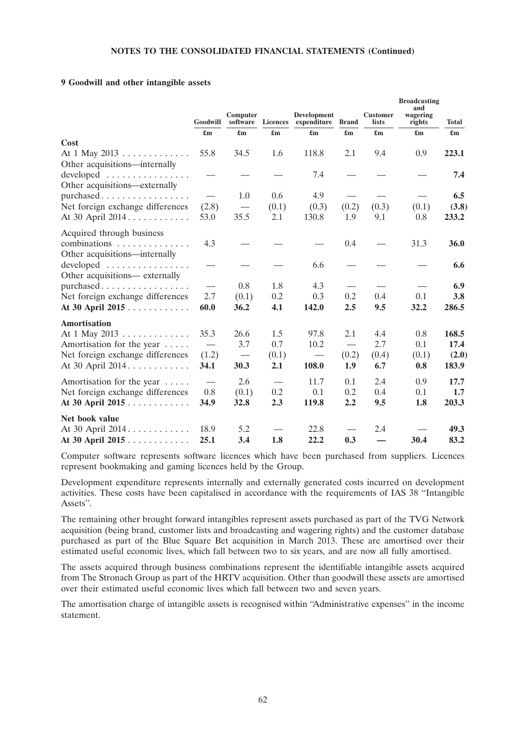### **9 Goodwill and other intangible assets**

|                                                                              | Goodwill                        | Computer<br>software     |       | <b>Development</b><br>Licences expenditure | <b>Brand</b>              | <b>Customer</b><br>lists  | <b>Broadcasting</b><br>and<br>wagering<br>rights | <b>Total</b>              |
|------------------------------------------------------------------------------|---------------------------------|--------------------------|-------|--------------------------------------------|---------------------------|---------------------------|--------------------------------------------------|---------------------------|
|                                                                              |                                 |                          |       | $\mathbf{f}_{\mathbf{m}}$                  | $\mathbf{f}_{\mathbf{m}}$ | $\mathbf{f}_{\mathbf{m}}$ | $\mathbf{f}_{\mathbf{m}}$                        | $\mathbf{f}_{\mathbf{m}}$ |
| Cost                                                                         |                                 |                          |       |                                            |                           |                           |                                                  |                           |
| At 1 May 2013<br>Other acquisitions—internally                               | 55.8                            | 34.5                     | 1.6   | 118.8                                      | 2.1                       | 9.4                       | 0.9                                              | 223.1                     |
| developed<br>Other acquisitions—externally                                   |                                 |                          |       | 7.4                                        |                           |                           |                                                  | 7.4                       |
| purchased                                                                    |                                 | 1.0                      | 0.6   | 4.9                                        |                           |                           |                                                  | 6.5                       |
| Net foreign exchange differences                                             | (2.8)                           | $\overline{\phantom{0}}$ | (0.1) | (0.3)                                      | (0.2)                     | (0.3)                     | (0.1)                                            | (3.8)                     |
| At 30 April 2014.                                                            | 53.0                            | 35.5                     | 2.1   | 130.8                                      | 1.9                       | 9.1                       | 0.8                                              | 233.2                     |
| Acquired through business<br>combinations                                    | 4.3                             |                          |       |                                            | 0.4                       |                           | 31.3                                             | <b>36.0</b>               |
| Other acquisitions—internally<br>developed<br>Other acquisitions— externally |                                 |                          |       | 6.6                                        |                           |                           |                                                  | 6.6                       |
| purchased                                                                    | $\overbrace{\qquad \qquad }^{}$ | 0.8                      | 1.8   | 4.3                                        |                           |                           |                                                  | 6.9                       |
| Net foreign exchange differences                                             | 2.7                             | (0.1)                    | 0.2   | 0.3                                        | 0.2                       | 0.4                       | 0.1                                              | 3.8                       |
| At 30 April 2015                                                             | 60.0                            | 36.2                     | 4.1   | 142.0                                      | 2.5                       | 9.5                       | 32.2                                             | 286.5                     |
| <b>Amortisation</b>                                                          |                                 |                          |       |                                            |                           |                           |                                                  |                           |
| At 1 May 2013                                                                | 35.3                            | 26.6                     | 1.5   | 97.8                                       | 2.1                       | 4.4                       | 0.8                                              | 168.5                     |
| Amortisation for the year                                                    |                                 | 3.7                      | 0.7   | 10.2                                       |                           | 2.7                       | 0.1                                              | 17.4                      |
| Net foreign exchange differences                                             | (1.2)                           |                          | (0.1) |                                            | (0.2)                     | (0.4)                     | (0.1)                                            | (2.0)                     |
| At 30 April 2014.                                                            | 34.1                            | 30.3                     | 2.1   | 108.0                                      | 1.9                       | 6.7                       | 0.8                                              | 183.9                     |
| Amortisation for the year                                                    |                                 | 2.6                      |       | 11.7                                       | 0.1                       | 2.4                       | 0.9                                              | 17.7                      |
| Net foreign exchange differences                                             | 0.8                             | (0.1)                    | 0.2   | 0.1                                        | 0.2                       | 0.4                       | 0.1                                              | 1.7                       |
| At 30 April 2015                                                             | 34.9                            | 32.8                     | 2.3   | 119.8                                      | 2.2                       | 9.5                       | 1.8                                              | 203.3                     |
| Net book value                                                               |                                 |                          |       |                                            |                           |                           |                                                  |                           |
| At 30 April 2014.                                                            | 18.9                            | 5.2                      |       | 22.8                                       |                           | 2.4                       |                                                  | 49.3                      |
| At 30 April 2015                                                             | 25.1                            | 3.4                      | 1.8   | 22.2                                       | 0.3                       |                           | 30.4                                             | 83.2                      |

Computer software represents software licences which have been purchased from suppliers. Licences represent bookmaking and gaming licences held by the Group.

Development expenditure represents internally and externally generated costs incurred on development activities. These costs have been capitalised in accordance with the requirements of IAS 38 ''Intangible Assets''.

The remaining other brought forward intangibles represent assets purchased as part of the TVG Network acquisition (being brand, customer lists and broadcasting and wagering rights) and the customer database purchased as part of the Blue Square Bet acquisition in March 2013. These are amortised over their estimated useful economic lives, which fall between two to six years, and are now all fully amortised.

The assets acquired through business combinations represent the identifiable intangible assets acquired from The Stronach Group as part of the HRTV acquisition. Other than goodwill these assets are amortised over their estimated useful economic lives which fall between two and seven years.

The amortisation charge of intangible assets is recognised within ''Administrative expenses'' in the income statement.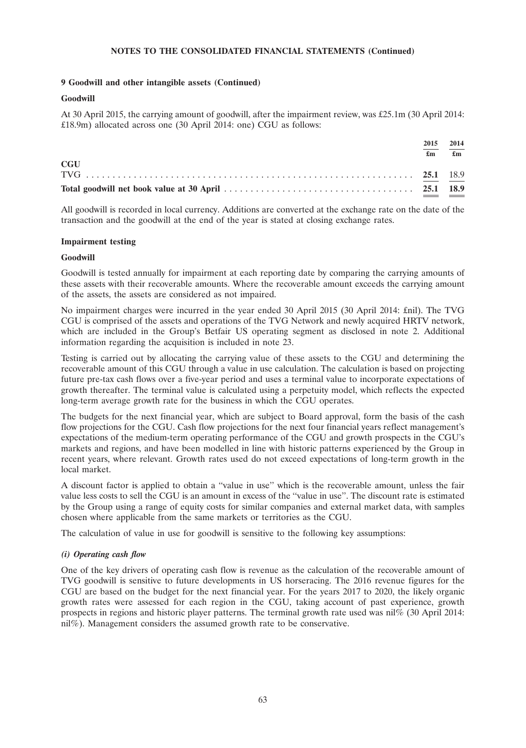# **9 Goodwill and other intangible assets (Continued)**

# **Goodwill**

At 30 April 2015, the carrying amount of goodwill, after the impairment review, was £25.1m (30 April 2014: £18.9m) allocated across one (30 April 2014: one) CGU as follows:

|            | 2015<br>£m | 2014<br>$\mathbf{f}_{\mathbf{m}}$ |
|------------|------------|-----------------------------------|
| <b>CGU</b> |            |                                   |
|            |            |                                   |

All goodwill is recorded in local currency. Additions are converted at the exchange rate on the date of the transaction and the goodwill at the end of the year is stated at closing exchange rates.

### **Impairment testing**

# **Goodwill**

Goodwill is tested annually for impairment at each reporting date by comparing the carrying amounts of these assets with their recoverable amounts. Where the recoverable amount exceeds the carrying amount of the assets, the assets are considered as not impaired.

No impairment charges were incurred in the year ended 30 April 2015 (30 April 2014: £nil). The TVG CGU is comprised of the assets and operations of the TVG Network and newly acquired HRTV network, which are included in the Group's Betfair US operating segment as disclosed in note 2. Additional information regarding the acquisition is included in note 23.

Testing is carried out by allocating the carrying value of these assets to the CGU and determining the recoverable amount of this CGU through a value in use calculation. The calculation is based on projecting future pre-tax cash flows over a five-year period and uses a terminal value to incorporate expectations of growth thereafter. The terminal value is calculated using a perpetuity model, which reflects the expected long-term average growth rate for the business in which the CGU operates.

The budgets for the next financial year, which are subject to Board approval, form the basis of the cash flow projections for the CGU. Cash flow projections for the next four financial years reflect management's expectations of the medium-term operating performance of the CGU and growth prospects in the CGU's markets and regions, and have been modelled in line with historic patterns experienced by the Group in recent years, where relevant. Growth rates used do not exceed expectations of long-term growth in the local market.

A discount factor is applied to obtain a ''value in use'' which is the recoverable amount, unless the fair value less costs to sell the CGU is an amount in excess of the ''value in use''. The discount rate is estimated by the Group using a range of equity costs for similar companies and external market data, with samples chosen where applicable from the same markets or territories as the CGU.

The calculation of value in use for goodwill is sensitive to the following key assumptions:

# *(i) Operating cash flow*

One of the key drivers of operating cash flow is revenue as the calculation of the recoverable amount of TVG goodwill is sensitive to future developments in US horseracing. The 2016 revenue figures for the CGU are based on the budget for the next financial year. For the years 2017 to 2020, the likely organic growth rates were assessed for each region in the CGU, taking account of past experience, growth prospects in regions and historic player patterns. The terminal growth rate used was nil% (30 April 2014: nil%). Management considers the assumed growth rate to be conservative.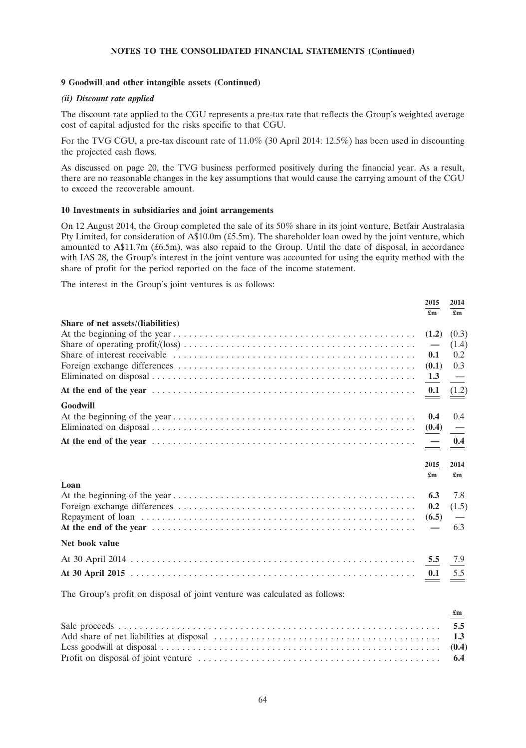#### **9 Goodwill and other intangible assets (Continued)**

### *(ii) Discount rate applied*

The discount rate applied to the CGU represents a pre-tax rate that reflects the Group's weighted average cost of capital adjusted for the risks specific to that CGU.

For the TVG CGU, a pre-tax discount rate of 11.0% (30 April 2014: 12.5%) has been used in discounting the projected cash flows.

As discussed on page 20, the TVG business performed positively during the financial year. As a result, there are no reasonable changes in the key assumptions that would cause the carrying amount of the CGU to exceed the recoverable amount.

### **10 Investments in subsidiaries and joint arrangements**

On 12 August 2014, the Group completed the sale of its 50% share in its joint venture, Betfair Australasia Pty Limited, for consideration of A\$10.0m (£5.5m). The shareholder loan owed by the joint venture, which amounted to A\$11.7m (£6.5m), was also repaid to the Group. Until the date of disposal, in accordance with IAS 28, the Group's interest in the joint venture was accounted for using the equity method with the share of profit for the period reported on the face of the income statement.

The interest in the Group's joint ventures is as follows:

|                                   | 2015<br>£m                  | 2014<br>£m                |
|-----------------------------------|-----------------------------|---------------------------|
| Share of net assets/(liabilities) |                             |                           |
|                                   |                             | (0.3)                     |
|                                   |                             | (1.4)                     |
|                                   | 0.1                         | 0.2                       |
|                                   | (0.1)                       | 0.3                       |
|                                   | $\frac{1.3}{\phantom{00}-}$ |                           |
|                                   |                             | (1.2)                     |
| Goodwill                          |                             |                           |
|                                   | 0.4                         | 0.4                       |
|                                   | (0.4)                       |                           |
|                                   |                             |                           |
|                                   | 2015                        | 2014                      |
|                                   | £m                          | $\mathbf{f}_{\mathbf{m}}$ |
| Loan                              |                             |                           |
|                                   | 6.3                         | 7.8                       |
|                                   | 0.2                         | (1.5)                     |
|                                   | (6.5)                       |                           |
|                                   |                             | 6.3                       |
| Net book value                    |                             |                           |
|                                   |                             | 7.9                       |
|                                   | 0.1                         | 5.5                       |
|                                   |                             |                           |

The Group's profit on disposal of joint venture was calculated as follows:

| $\mathbf{f}_{\mathbf{m}}$ |
|---------------------------|
|                           |
|                           |
|                           |
|                           |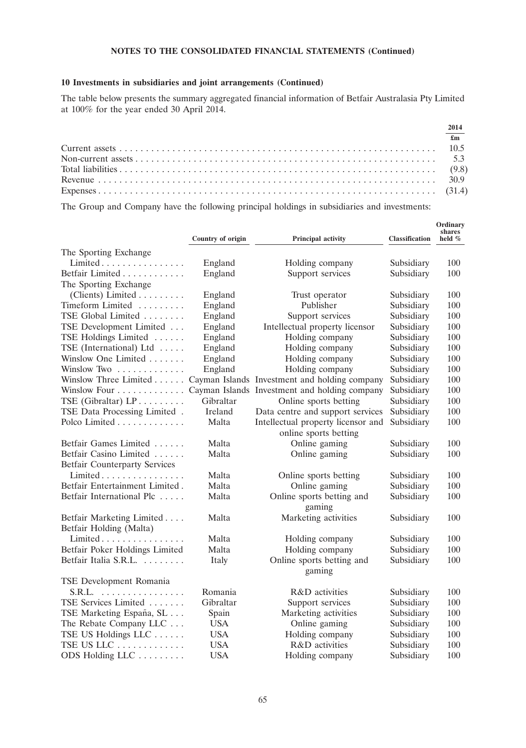# **10 Investments in subsidiaries and joint arrangements (Continued)**

The table below presents the summary aggregated financial information of Betfair Australasia Pty Limited at 100% for the year ended 30 April 2014.

| 2014           |
|----------------|
| $\mathbf{f}$ m |
|                |
|                |
|                |
|                |
|                |

The Group and Company have the following principal holdings in subsidiaries and investments:

|                                      | Country of origin | <b>Principal activity</b>                     | <b>Classification</b> | Ordinary<br>shares<br>held % |
|--------------------------------------|-------------------|-----------------------------------------------|-----------------------|------------------------------|
| The Sporting Exchange                |                   |                                               |                       |                              |
| Limited                              | England           | Holding company                               | Subsidiary            | 100                          |
| Betfair Limited                      | England           | Support services                              | Subsidiary            | 100                          |
| The Sporting Exchange                |                   |                                               |                       |                              |
| (Clients) Limited $\dots\dots\dots$  | England           | Trust operator                                | Subsidiary            | 100                          |
| Timeform Limited                     | England           | Publisher                                     | Subsidiary            | 100                          |
| TSE Global Limited                   | England           | Support services                              | Subsidiary            | 100                          |
| TSE Development Limited              | England           | Intellectual property licensor                | Subsidiary            | 100                          |
| TSE Holdings Limited                 | England           | Holding company                               | Subsidiary            | 100                          |
| TSE (International) Ltd              | England           | Holding company                               | Subsidiary            | 100                          |
| Winslow One Limited                  | England           | Holding company                               | Subsidiary            | 100                          |
| Winslow Two                          | England           | Holding company                               | Subsidiary            | 100                          |
| Winslow Three Limited                |                   | Cayman Islands Investment and holding company | Subsidiary            | 100                          |
| Winslow Four                         |                   | Cayman Islands Investment and holding company | Subsidiary            | 100                          |
| TSE (Gibraltar) $LP$                 | Gibraltar         | Online sports betting                         | Subsidiary            | 100                          |
| TSE Data Processing Limited .        | Ireland           | Data centre and support services              | Subsidiary            | 100                          |
| Polco Limited                        | Malta             | Intellectual property licensor and            | Subsidiary            | 100                          |
|                                      |                   | online sports betting                         |                       |                              |
| Betfair Games Limited                | Malta             | Online gaming                                 | Subsidiary            | 100                          |
| Betfair Casino Limited               | Malta             | Online gaming                                 | Subsidiary            | 100                          |
| <b>Betfair Counterparty Services</b> |                   |                                               |                       |                              |
| Limited                              | Malta             | Online sports betting                         | Subsidiary            | 100                          |
| Betfair Entertainment Limited.       | Malta             | Online gaming                                 | Subsidiary            | 100                          |
| Betfair International Plc            | Malta             | Online sports betting and                     | Subsidiary            | 100                          |
|                                      |                   | gaming                                        |                       |                              |
| Betfair Marketing Limited            | Malta             | Marketing activities                          | Subsidiary            | 100                          |
| Betfair Holding (Malta)              |                   |                                               |                       |                              |
| Limited                              | Malta             | Holding company                               | Subsidiary            | 100                          |
| Betfair Poker Holdings Limited       | Malta             | Holding company                               | Subsidiary            | 100                          |
| Betfair Italia S.R.L.                | Italy             | Online sports betting and                     | Subsidiary            | 100                          |
|                                      |                   | gaming                                        |                       |                              |
| TSE Development Romania              |                   |                                               |                       |                              |
| S.R.L.                               | Romania           | R&D activities                                | Subsidiary            | 100                          |
| TSE Services Limited                 | Gibraltar         | Support services                              | Subsidiary            | 100                          |
| TSE Marketing España, SL             | Spain             | Marketing activities                          | Subsidiary            | 100                          |
| The Rebate Company LLC               | <b>USA</b>        | Online gaming                                 | Subsidiary            | 100                          |
| TSE US Holdings LLC                  | <b>USA</b>        | Holding company                               | Subsidiary            | 100                          |
| TSE US LLC                           | <b>USA</b>        | R&D activities                                | Subsidiary            | 100                          |
| ODS Holding LLC                      | <b>USA</b>        | Holding company                               | Subsidiary            | 100                          |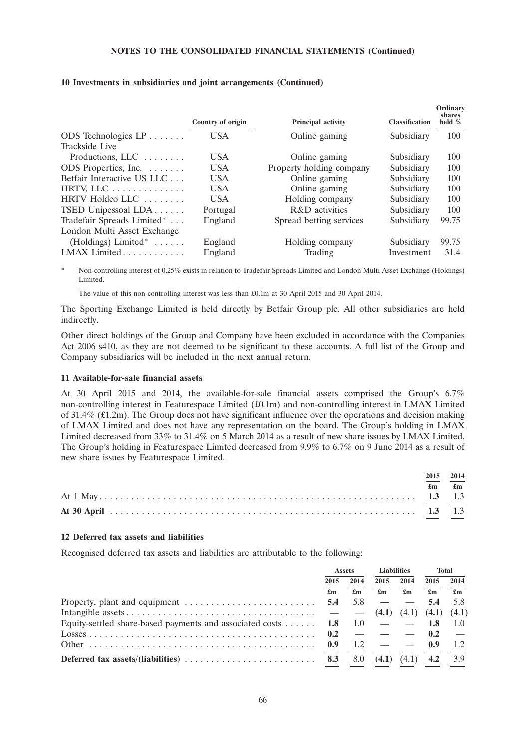|                                           | Country of origin | <b>Principal activity</b> | <b>Classification</b> | Ordinary<br>shares<br>held $%$ |
|-------------------------------------------|-------------------|---------------------------|-----------------------|--------------------------------|
| ODS Technologies $LP \ldots \ldots$       | <b>USA</b>        | Online gaming             | Subsidiary            | 100                            |
| Trackside Live                            |                   |                           |                       |                                |
| Productions, $LLC$                        | USA.              | Online gaming             | Subsidiary            | 100                            |
| ODS Properties, Inc.                      | <b>USA</b>        | Property holding company  | Subsidiary            | 100                            |
| Betfair Interactive US LLC                | USA               | Online gaming             | Subsidiary            | 100                            |
| HRTV, LLC                                 | <b>USA</b>        | Online gaming             | Subsidiary            | 100                            |
| HRTV Holdco LLC                           | USA               | Holding company           | Subsidiary            | 100                            |
| TSED Unipessoal LDA                       | Portugal          | R&D activities            | Subsidiary            | 100                            |
| Tradefair Spreads Limited*                | England           | Spread betting services   | Subsidiary            | 99.75                          |
| London Multi Asset Exchange               |                   |                           |                       |                                |
| (Holdings) Limited <sup>*</sup> $\dots$ . | England           | Holding company           | Subsidiary            | 99.75                          |
| LMAX Limited                              | England           | Trading                   | Investment            | 31.4                           |

#### **10 Investments in subsidiaries and joint arrangements (Continued)**

Non-controlling interest of 0.25% exists in relation to Tradefair Spreads Limited and London Multi Asset Exchange (Holdings) Limited.

The value of this non-controlling interest was less than £0.1m at 30 April 2015 and 30 April 2014.

The Sporting Exchange Limited is held directly by Betfair Group plc. All other subsidiaries are held indirectly.

Other direct holdings of the Group and Company have been excluded in accordance with the Companies Act 2006 s410, as they are not deemed to be significant to these accounts. A full list of the Group and Company subsidiaries will be included in the next annual return.

#### **11 Available-for-sale financial assets**

At 30 April 2015 and 2014, the available-for-sale financial assets comprised the Group's 6.7% non-controlling interest in Featurespace Limited (£0.1m) and non-controlling interest in LMAX Limited of 31.4% (£1.2m). The Group does not have significant influence over the operations and decision making of LMAX Limited and does not have any representation on the board. The Group's holding in LMAX Limited decreased from 33% to 31.4% on 5 March 2014 as a result of new share issues by LMAX Limited. The Group's holding in Featurespace Limited decreased from 9.9% to 6.7% on 9 June 2014 as a result of new share issues by Featurespace Limited.

|  | 2015 2014                     |
|--|-------------------------------|
|  | $\mathbf{f}$ m $\mathbf{f}$ m |
|  |                               |
|  |                               |

#### **12 Deferred tax assets and liabilities**

Recognised deferred tax assets and liabilities are attributable to the following:

|                                                                                        | <b>Assets</b>             |                           | <b>Liabilities</b>        |                                 | <b>Total</b>              |                           |
|----------------------------------------------------------------------------------------|---------------------------|---------------------------|---------------------------|---------------------------------|---------------------------|---------------------------|
|                                                                                        | 2015                      | 2014                      | 2015                      | 2014                            | 2015                      | 2014                      |
|                                                                                        | $\mathbf{f}_{\mathbf{m}}$ | $\mathbf{f}_{\mathbf{m}}$ | $\mathbf{f}_{\mathbf{m}}$ | $\mathbf{f}_{\mathbf{m}}$       | $\mathbf{f}_{\mathbf{m}}$ | $\mathbf{f}_{\mathbf{m}}$ |
|                                                                                        |                           | 5.8                       | $- - 5.4$                 |                                 |                           | 5.8                       |
|                                                                                        |                           |                           |                           | $(4.1)$ $(4.1)$ $(4.1)$ $(4.1)$ |                           |                           |
| Equity-settled share-based payments and associated costs $\dots \dots$ 1.8 1.0 $-$ 1.8 |                           |                           |                           |                                 |                           | 1.0                       |
|                                                                                        |                           |                           |                           |                                 |                           | $\sim$ $-$                |
|                                                                                        |                           | 1.2                       | $ -$ 0.9                  |                                 |                           | 1.2                       |
|                                                                                        |                           | 8.0                       | (4.1)                     | (4.1)                           | 4.2                       | 3.9                       |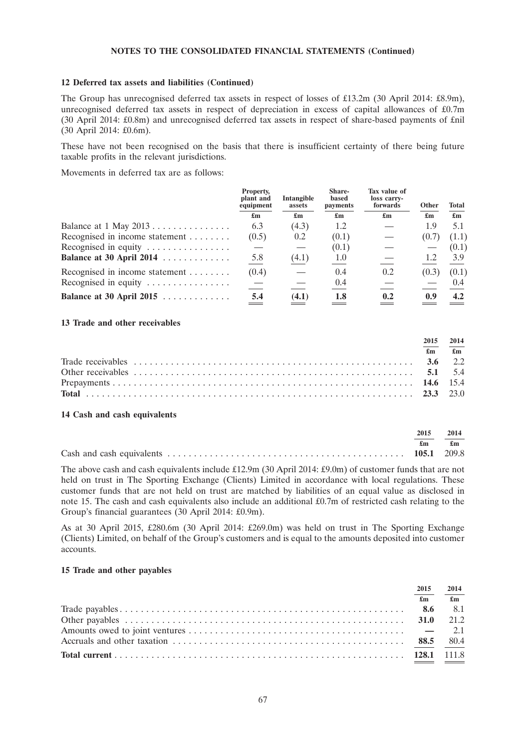### **12 Deferred tax assets and liabilities (Continued)**

The Group has unrecognised deferred tax assets in respect of losses of £13.2m (30 April 2014: £8.9m), unrecognised deferred tax assets in respect of depreciation in excess of capital allowances of £0.7m (30 April 2014: £0.8m) and unrecognised deferred tax assets in respect of share-based payments of £nil (30 April 2014: £0.6m).

These have not been recognised on the basis that there is insufficient certainty of there being future taxable profits in the relevant jurisdictions.

Movements in deferred tax are as follows:

|                                                | Property,<br>plant and<br>equipment | Intangible<br>assets      | Share-<br>based<br>payments | Tax value of<br>loss carry-<br>forwards | <b>Other</b>              | <b>Total</b>              |
|------------------------------------------------|-------------------------------------|---------------------------|-----------------------------|-----------------------------------------|---------------------------|---------------------------|
|                                                | $\mathbf{f}_{\mathbf{m}}$           | $\mathbf{f}_{\mathbf{m}}$ | $\mathbf{f}_{\mathbf{m}}$   | $\mathbf{f}_{\mathbf{m}}$               | $\mathbf{f}_{\mathbf{m}}$ | $\mathbf{f}_{\mathbf{m}}$ |
| Balance at $1$ May $2013$                      | 6.3                                 | (4.3)                     | 1.2                         |                                         | 1.9                       | 5.1                       |
| Recognised in income statement                 | (0.5)                               | 0.2                       | (0.1)                       |                                         | (0.7)                     | (1.1)                     |
| Recognised in equity $\dots \dots \dots \dots$ |                                     |                           | (0.1)                       |                                         |                           | (0.1)                     |
| Balance at 30 April 2014                       | 5.8                                 | (4.1)                     | 1.0                         |                                         | 1.2                       | 3.9                       |
| Recognised in income statement                 | (0.4)                               |                           | 0.4                         | 0.2                                     | (0.3)                     | (0.1)                     |
| Recognised in equity $\dots \dots \dots \dots$ |                                     |                           | 0.4                         |                                         |                           | (0.4)                     |
| Balance at 30 April 2015                       | 5.4                                 | (4.1)                     | 1.8                         | 0.2                                     | 0.9                       | 4.2                       |

#### **13 Trade and other receivables**

| 2015 | 2014                          |
|------|-------------------------------|
|      | $\mathbf{f}$ m $\mathbf{f}$ m |
|      |                               |
|      |                               |
|      |                               |
|      |                               |

#### **14 Cash and cash equivalents**

| 2015 | 2014 |
|------|------|
| £m   | £m   |
|      |      |

The above cash and cash equivalents include £12.9m (30 April 2014: £9.0m) of customer funds that are not held on trust in The Sporting Exchange (Clients) Limited in accordance with local regulations. These customer funds that are not held on trust are matched by liabilities of an equal value as disclosed in note 15. The cash and cash equivalents also include an additional £0.7m of restricted cash relating to the Group's financial guarantees (30 April 2014: £0.9m).

As at 30 April 2015, £280.6m (30 April 2014: £269.0m) was held on trust in The Sporting Exchange (Clients) Limited, on behalf of the Group's customers and is equal to the amounts deposited into customer accounts.

### **15 Trade and other payables**

| 2015 | 2014                      |
|------|---------------------------|
|      | $\mathbf{f}_{\mathbf{m}}$ |
|      |                           |
|      |                           |
|      |                           |
|      |                           |
|      |                           |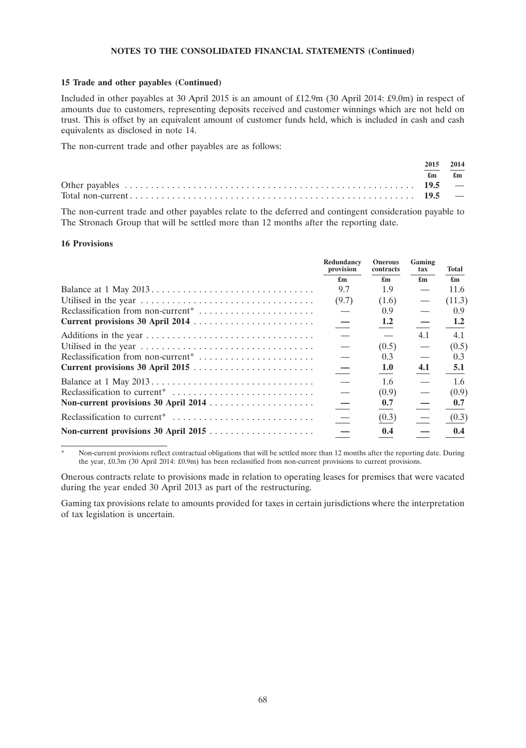#### **15 Trade and other payables (Continued)**

Included in other payables at 30 April 2015 is an amount of £12.9m (30 April 2014: £9.0m) in respect of amounts due to customers, representing deposits received and customer winnings which are not held on trust. This is offset by an equivalent amount of customer funds held, which is included in cash and cash equivalents as disclosed in note 14.

The non-current trade and other payables are as follows:

| 2015 2014 |                               |
|-----------|-------------------------------|
|           | $\mathbf{f}$ m $\mathbf{f}$ m |
|           |                               |
|           |                               |

The non-current trade and other payables relate to the deferred and contingent consideration payable to The Stronach Group that will be settled more than 12 months after the reporting date.

#### **16 Provisions**

|                                                | Redundancy<br>provision           | <b>Onerous</b><br>contracts | Gaming<br>tax             | Total                     |
|------------------------------------------------|-----------------------------------|-----------------------------|---------------------------|---------------------------|
|                                                | £m                                | $\mathbf{f}_{\mathbf{m}}$   | $\mathbf{f}_{\mathbf{m}}$ | $\mathbf{f}_{\mathbf{m}}$ |
|                                                | 9.7                               | 1.9                         |                           | 11.6                      |
|                                                | (9.7)                             | (1.6)                       |                           | (11.3)                    |
| Reclassification from non-current <sup>*</sup> |                                   | 0.9                         |                           | 0.9                       |
| Current provisions 30 April 2014               | $\equiv$                          | 1.2                         |                           | 1.2                       |
|                                                | $\hspace{0.1mm}-\hspace{0.1mm}$   |                             | 4.1                       | 4.1                       |
|                                                |                                   | (0.5)                       |                           | (0.5)                     |
| Reclassification from non-current <sup>*</sup> | $\overbrace{\phantom{123221111}}$ | 0.3                         |                           | 0.3                       |
|                                                | $\equiv$                          | 1.0                         | 4.1                       | 5.1                       |
|                                                |                                   | 1.6                         |                           | 1.6                       |
| Reclassification to current <sup>*</sup>       | $\overline{\phantom{0}}$          | (0.9)                       |                           | (0.9)                     |
|                                                | $\equiv$                          | 0.7                         |                           | 0.7                       |
|                                                | $\equiv$                          | (0.3)                       |                           | (0.3)                     |
|                                                | $\overline{\phantom{m}}$          | 0.4                         |                           | 0.4                       |

Non-current provisions reflect contractual obligations that will be settled more than 12 months after the reporting date. During the year, £0.3m (30 April 2014: £0.9m) has been reclassified from non-current provisions to current provisions.

Onerous contracts relate to provisions made in relation to operating leases for premises that were vacated during the year ended 30 April 2013 as part of the restructuring.

Gaming tax provisions relate to amounts provided for taxes in certain jurisdictions where the interpretation of tax legislation is uncertain.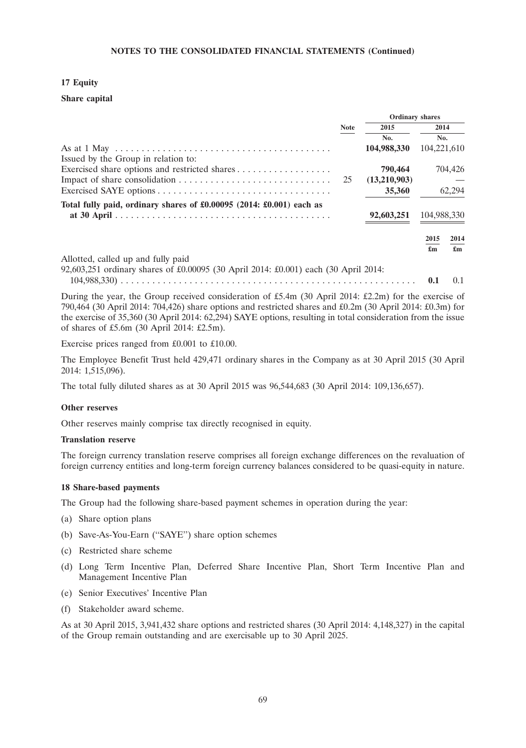## **17 Equity**

## **Share capital**

|                                                                                     |             | <b>Ordinary shares</b> |             |         |  |
|-------------------------------------------------------------------------------------|-------------|------------------------|-------------|---------|--|
|                                                                                     | <b>Note</b> | 2015                   | 2014        |         |  |
|                                                                                     |             | No.                    | No.         |         |  |
|                                                                                     |             | 104,988,330            | 104,221,610 |         |  |
| Issued by the Group in relation to:                                                 |             |                        |             |         |  |
| Exercised share options and restricted shares                                       |             | 790,464                |             | 704,426 |  |
|                                                                                     | 25          | (13,210,903)           |             |         |  |
|                                                                                     |             | 35,360                 |             | 62,294  |  |
| Total fully paid, ordinary shares of £0.00095 (2014: £0.001) each as                |             |                        |             |         |  |
|                                                                                     |             | 92,603,251             | 104,988,330 |         |  |
|                                                                                     |             |                        | 2015        | 2014    |  |
|                                                                                     |             |                        | £m          | £m      |  |
| Allotted, called up and fully paid                                                  |             |                        |             |         |  |
| 92,603,251 ordinary shares of £0.00095 (30 April 2014: £0.001) each (30 April 2014: |             |                        |             |         |  |
|                                                                                     |             |                        |             | 0.1     |  |

During the year, the Group received consideration of £5.4m (30 April 2014: £2.2m) for the exercise of 790,464 (30 April 2014: 704,426) share options and restricted shares and £0.2m (30 April 2014: £0.3m) for the exercise of 35,360 (30 April 2014: 62,294) SAYE options, resulting in total consideration from the issue of shares of £5.6m (30 April 2014: £2.5m).

Exercise prices ranged from £0.001 to £10.00.

The Employee Benefit Trust held 429,471 ordinary shares in the Company as at 30 April 2015 (30 April 2014: 1,515,096).

The total fully diluted shares as at 30 April 2015 was 96,544,683 (30 April 2014: 109,136,657).

## **Other reserves**

Other reserves mainly comprise tax directly recognised in equity.

#### **Translation reserve**

The foreign currency translation reserve comprises all foreign exchange differences on the revaluation of foreign currency entities and long-term foreign currency balances considered to be quasi-equity in nature.

## **18 Share-based payments**

The Group had the following share-based payment schemes in operation during the year:

- (a) Share option plans
- (b) Save-As-You-Earn (''SAYE'') share option schemes
- (c) Restricted share scheme
- (d) Long Term Incentive Plan, Deferred Share Incentive Plan, Short Term Incentive Plan and Management Incentive Plan
- (e) Senior Executives' Incentive Plan
- (f) Stakeholder award scheme.

As at 30 April 2015, 3,941,432 share options and restricted shares (30 April 2014: 4,148,327) in the capital of the Group remain outstanding and are exercisable up to 30 April 2025.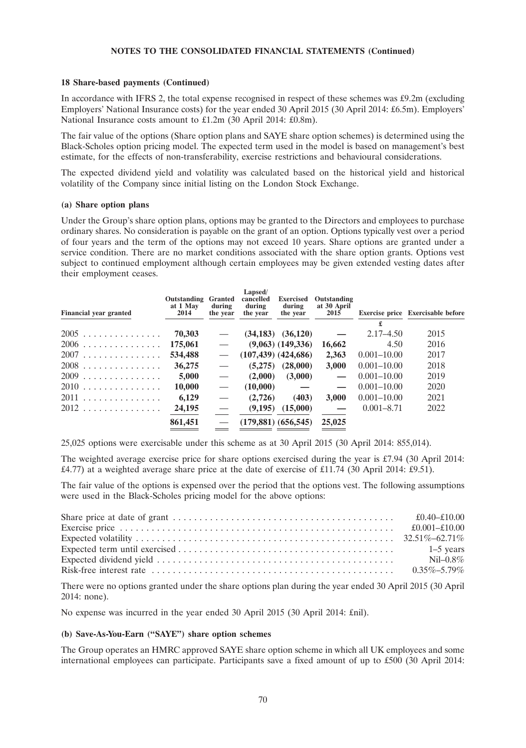#### **18 Share-based payments (Continued)**

In accordance with IFRS 2, the total expense recognised in respect of these schemes was £9.2m (excluding Employers' National Insurance costs) for the year ended 30 April 2015 (30 April 2014: £6.5m). Employers' National Insurance costs amount to £1.2m (30 April 2014: £0.8m).

The fair value of the options (Share option plans and SAYE share option schemes) is determined using the Black-Scholes option pricing model. The expected term used in the model is based on management's best estimate, for the effects of non-transferability, exercise restrictions and behavioural considerations.

The expected dividend yield and volatility was calculated based on the historical yield and historical volatility of the Company since initial listing on the London Stock Exchange.

#### **(a) Share option plans**

Under the Group's share option plans, options may be granted to the Directors and employees to purchase ordinary shares. No consideration is payable on the grant of an option. Options typically vest over a period of four years and the term of the options may not exceed 10 years. Share options are granted under a service condition. There are no market conditions associated with the share option grants. Options vest subject to continued employment although certain employees may be given extended vesting dates after their employment ceases.

| <b>Financial year granted</b> | <b>Outstanding Granted</b><br>at 1 May<br>2014 | during<br>the year       | Lapsed/<br>cancelled<br>during<br>the year | <b>Exercised</b><br>during<br>the year | Outstanding<br>at 30 April<br>2015 |                 | Exercise price Exercisable before |
|-------------------------------|------------------------------------------------|--------------------------|--------------------------------------------|----------------------------------------|------------------------------------|-----------------|-----------------------------------|
|                               |                                                |                          |                                            |                                        |                                    | £               |                                   |
| $2005$                        | 70,303                                         |                          |                                            | $(34,183)$ $(36,120)$                  |                                    | $2.17 - 4.50$   | 2015                              |
| $2006$                        | 175,061                                        |                          |                                            | $(9,063)$ $(149,336)$                  | 16,662                             | 4.50            | 2016                              |
| 2007                          | 534,488                                        |                          |                                            | $(107, 439)$ $(424, 686)$              | 2,363                              | $0.001 - 10.00$ | 2017                              |
| $2008$                        | 36,275                                         |                          | (5,275)                                    | (28,000)                               | 3,000                              | $0.001 - 10.00$ | 2018                              |
| $2009$                        | 5,000                                          | $\overline{\phantom{0}}$ | (2,000)                                    | (3,000)                                |                                    | $0.001 - 10.00$ | 2019                              |
| $2010$                        | 10,000                                         | $\overline{\phantom{0}}$ | (10,000)                                   |                                        |                                    | $0.001 - 10.00$ | 2020                              |
| 2011                          | 6,129                                          | $\overline{\phantom{0}}$ | (2,726)                                    | (403)                                  | 3.000                              | $0.001 - 10.00$ | 2021                              |
| 2012                          | 24,195                                         |                          |                                            | $(9,195)$ $(15,000)$                   |                                    | $0.001 - 8.71$  | 2022                              |
|                               | 861,451                                        |                          |                                            | $(179,881)$ $(656,545)$                | 25,025                             |                 |                                   |

25,025 options were exercisable under this scheme as at 30 April 2015 (30 April 2014: 855,014).

The weighted average exercise price for share options exercised during the year is £7.94 (30 April 2014: £4.77) at a weighted average share price at the date of exercise of £11.74 (30 April 2014: £9.51).

The fair value of the options is expensed over the period that the options vest. The following assumptions were used in the Black-Scholes pricing model for the above options:

| $NiI - 0.8\%$ |
|---------------|
|               |
|               |

There were no options granted under the share options plan during the year ended 30 April 2015 (30 April 2014: none).

No expense was incurred in the year ended 30 April 2015 (30 April 2014: £nil).

## **(b) Save-As-You-Earn (''SAYE'') share option schemes**

The Group operates an HMRC approved SAYE share option scheme in which all UK employees and some international employees can participate. Participants save a fixed amount of up to £500 (30 April 2014: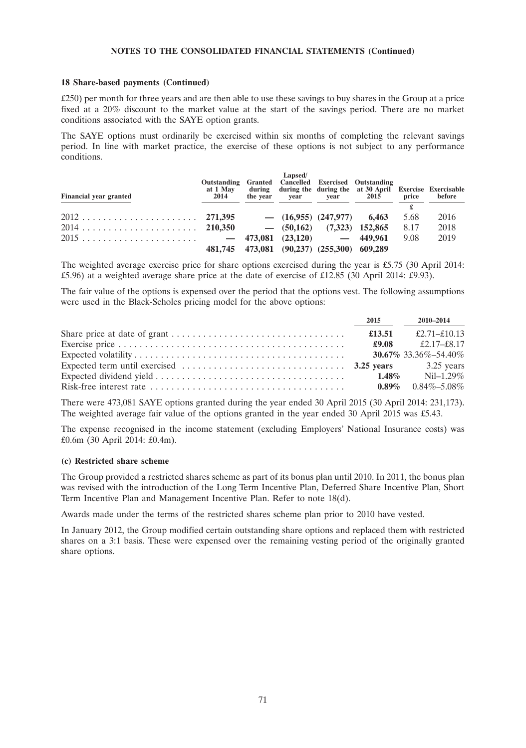#### **18 Share-based payments (Continued)**

£250) per month for three years and are then able to use these savings to buy shares in the Group at a price fixed at a 20% discount to the market value at the start of the savings period. There are no market conditions associated with the SAYE option grants.

The SAYE options must ordinarily be exercised within six months of completing the relevant savings period. In line with market practice, the exercise of these options is not subject to any performance conditions.

| <b>Financial year granted</b> | Outstanding Granted Cancelled Exercised Outstanding<br>at 1 May<br>2014 | Lapsed/ | the year vear year 2015                    | during during the during the at 30 April Exercise Exercisable | price | before |
|-------------------------------|-------------------------------------------------------------------------|---------|--------------------------------------------|---------------------------------------------------------------|-------|--------|
|                               |                                                                         |         |                                            |                                                               |       |        |
|                               |                                                                         |         | $-$ (16,955) (247,977) 6,463               |                                                               | 5.68  | 2016   |
|                               |                                                                         |         | $-$ (50,162) (7,323) 152,865               |                                                               | 8.17  | 2018   |
|                               |                                                                         |         |                                            |                                                               | 9.08  | 2019   |
|                               |                                                                         |         | 481,745 473,081 (90,237) (255,300) 609,289 |                                                               |       |        |

The weighted average exercise price for share options exercised during the year is £5.75 (30 April 2014: £5.96) at a weighted average share price at the date of exercise of £12.85 (30 April 2014: £9.93).

The fair value of the options is expensed over the period that the options vest. The following assumptions were used in the Black-Scholes pricing model for the above options:

| 2015     | 2010-2014                                     |
|----------|-----------------------------------------------|
| £13.51   | £2.71–£10.13                                  |
|          | £9.08 $\text{\pounds}2.17-\text{\pounds}8.17$ |
|          | <b>30.67%</b> 33.36%-54.40%                   |
|          |                                               |
| $1.48\%$ | $NiI-1.29\%$                                  |
| $0.89\%$ | $0.84\% - 5.08\%$                             |

There were 473,081 SAYE options granted during the year ended 30 April 2015 (30 April 2014: 231,173). The weighted average fair value of the options granted in the year ended 30 April 2015 was £5.43.

The expense recognised in the income statement (excluding Employers' National Insurance costs) was £0.6m (30 April 2014: £0.4m).

## **(c) Restricted share scheme**

The Group provided a restricted shares scheme as part of its bonus plan until 2010. In 2011, the bonus plan was revised with the introduction of the Long Term Incentive Plan, Deferred Share Incentive Plan, Short Term Incentive Plan and Management Incentive Plan. Refer to note 18(d).

Awards made under the terms of the restricted shares scheme plan prior to 2010 have vested.

In January 2012, the Group modified certain outstanding share options and replaced them with restricted shares on a 3:1 basis. These were expensed over the remaining vesting period of the originally granted share options.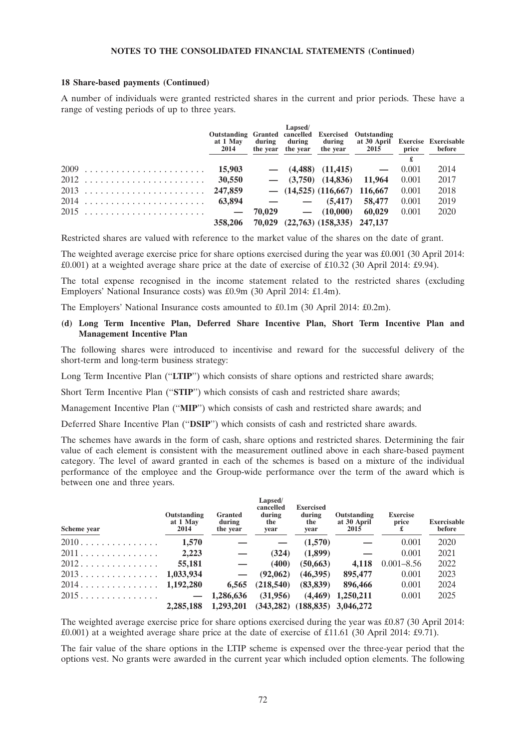#### **18 Share-based payments (Continued)**

A number of individuals were granted restricted shares in the current and prior periods. These have a range of vesting periods of up to three years.

|               | Outstanding Granted cancelled Exercised Outstanding<br>at 1 May<br>2014 | Lapsed/ |                                           | during during during at 30 April Exercise Exercisable<br>the year the year the year 2015 price |       | before |
|---------------|-------------------------------------------------------------------------|---------|-------------------------------------------|------------------------------------------------------------------------------------------------|-------|--------|
|               |                                                                         |         |                                           |                                                                                                |       |        |
| $2009$ 15,903 |                                                                         |         |                                           | $-$ (4,488) (11,415) $-$                                                                       | 0.001 | 2014   |
| $2012$ 30,550 |                                                                         |         | $-$ (3,750) (14,836) 11,964               |                                                                                                | 0.001 | 2017   |
|               |                                                                         |         | $-$ (14,525) (116,667) 116,667            |                                                                                                | 0.001 | 2018   |
|               |                                                                         |         | $  (5.417)$                               | 58.477                                                                                         | 0.001 | 2019   |
|               |                                                                         |         | $70.029$ $ (10.000)$                      | 60.029                                                                                         | 0.001 | 2020   |
|               |                                                                         |         | 358,206 70,029 (22,763) (158,335) 247,137 |                                                                                                |       |        |

Restricted shares are valued with reference to the market value of the shares on the date of grant.

The weighted average exercise price for share options exercised during the year was £0.001 (30 April 2014: £0.001) at a weighted average share price at the date of exercise of £10.32 (30 April 2014: £9.94).

The total expense recognised in the income statement related to the restricted shares (excluding Employers' National Insurance costs) was £0.9m (30 April 2014: £1.4m).

The Employers' National Insurance costs amounted to £0.1m (30 April 2014: £0.2m).

## **(d) Long Term Incentive Plan, Deferred Share Incentive Plan, Short Term Incentive Plan and Management Incentive Plan**

The following shares were introduced to incentivise and reward for the successful delivery of the short-term and long-term business strategy:

Long Term Incentive Plan (''**LTIP**'') which consists of share options and restricted share awards;

Short Term Incentive Plan (''**STIP**'') which consists of cash and restricted share awards;

Management Incentive Plan (''**MIP**'') which consists of cash and restricted share awards; and

Deferred Share Incentive Plan (''**DSIP**'') which consists of cash and restricted share awards.

The schemes have awards in the form of cash, share options and restricted shares. Determining the fair value of each element is consistent with the measurement outlined above in each share-based payment category. The level of award granted in each of the schemes is based on a mixture of the individual performance of the employee and the Group-wide performance over the term of the award which is between one and three years.

| Scheme year | Outstanding<br>at 1 May<br>2014 | <b>Granted</b><br>during<br>the year | Lapsed/<br>cancelled<br>during<br>the<br>year | <b>Exercised</b><br>during<br>the<br>year | Outstanding<br>at 30 April<br>2015      | <b>Exercise</b><br>price | <b>Exercisable</b><br>before |
|-------------|---------------------------------|--------------------------------------|-----------------------------------------------|-------------------------------------------|-----------------------------------------|--------------------------|------------------------------|
| $2010$      | 1,570                           |                                      |                                               | (1,570)                                   |                                         | 0.001                    | 2020                         |
| 2011        | 2,223                           |                                      | (324)                                         | (1,899)                                   |                                         | 0.001                    | 2021                         |
| 2012        | 55,181                          |                                      | (400)                                         | (50, 663)                                 | 4.118                                   | $0.001 - 8.56$           | 2022                         |
| 2013        | 1,033,934                       |                                      | (92.062)                                      | (46.395)                                  | 895,477                                 | 0.001                    | 2023                         |
| 2014.       | 1,192,280                       | 6.565                                | (218, 540)                                    | (83, 839)                                 | 896,466                                 | 0.001                    | 2024                         |
| 2015.       | <u>and the second second</u>    | 1,286,636                            | (31,956)                                      | (4.469)                                   | 1.250.211                               | 0.001                    | 2025                         |
|             | 2.285.188                       | 1,293,201                            |                                               |                                           | $(343, 282)$ $(188, 835)$ $3, 046, 272$ |                          |                              |

The weighted average exercise price for share options exercised during the year was £0.87 (30 April 2014: £0.001) at a weighted average share price at the date of exercise of £11.61 (30 April 2014: £9.71).

The fair value of the share options in the LTIP scheme is expensed over the three-year period that the options vest. No grants were awarded in the current year which included option elements. The following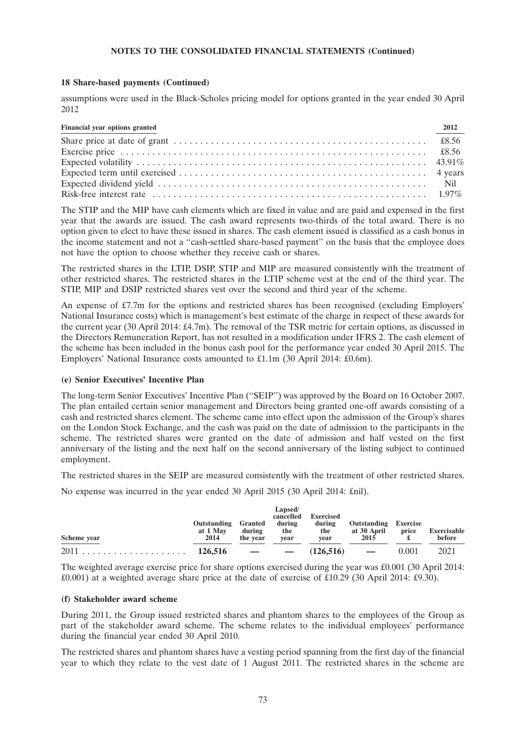### **18 Share-based payments (Continued)**

assumptions were used in the Black-Scholes pricing model for options granted in the year ended 30 April 2012

| Financial year options granted | 2012 |
|--------------------------------|------|
|                                |      |
|                                |      |
|                                |      |
|                                |      |
|                                |      |
|                                |      |

The STIP and the MIP have cash elements which are fixed in value and are paid and expensed in the first year that the awards are issued. The cash award represents two-thirds of the total award. There is no option given to elect to have these issued in shares. The cash element issued is classified as a cash bonus in the income statement and not a ''cash-settled share-based payment'' on the basis that the employee does not have the option to choose whether they receive cash or shares.

The restricted shares in the LTIP, DSIP, STIP and MIP are measured consistently with the treatment of other restricted shares. The restricted shares in the LTIP scheme vest at the end of the third year. The STIP, MIP and DSIP restricted shares vest over the second and third year of the scheme.

An expense of £7.7m for the options and restricted shares has been recognised (excluding Employers' National Insurance costs) which is management's best estimate of the charge in respect of these awards for the current year (30 April 2014: £4.7m). The removal of the TSR metric for certain options, as discussed in the Directors Remuneration Report, has not resulted in a modification under IFRS 2. The cash element of the scheme has been included in the bonus cash pool for the performance year ended 30 April 2015. The Employers' National Insurance costs amounted to £1.1m (30 April 2014: £0.6m).

## **(e) Senior Executives' Incentive Plan**

The long-term Senior Executives' Incentive Plan (''SEIP'') was approved by the Board on 16 October 2007. The plan entailed certain senior management and Directors being granted one-off awards consisting of a cash and restricted shares element. The scheme came into effect upon the admission of the Group's shares on the London Stock Exchange, and the cash was paid on the date of admission to the participants in the scheme. The restricted shares were granted on the date of admission and half vested on the first anniversary of the listing and the next half on the second anniversary of the listing subject to continued employment.

The restricted shares in the SEIP are measured consistently with the treatment of other restricted shares.

No expense was incurred in the year ended 30 April 2015 (30 April 2014: £nil).

| Scheme year | Outstanding<br>at 1 May<br>2014 | Granted<br>during<br>the year | Lapsed/<br>cancelled<br>during<br>the<br>vear | Exercised<br>during<br>the<br>vear | Outstanding<br>at 30 April<br>2015 | <b>Exercise</b><br>price | Exercisable<br>before |
|-------------|---------------------------------|-------------------------------|-----------------------------------------------|------------------------------------|------------------------------------|--------------------------|-----------------------|
|             |                                 |                               |                                               | $(126.516)$ —                      |                                    | 0.001                    | 2021                  |

The weighted average exercise price for share options exercised during the year was £0.001 (30 April 2014: £0.001) at a weighted average share price at the date of exercise of £10.29 (30 April 2014: £9.30).

#### **(f) Stakeholder award scheme**

During 2011, the Group issued restricted shares and phantom shares to the employees of the Group as part of the stakeholder award scheme. The scheme relates to the individual employees' performance during the financial year ended 30 April 2010.

The restricted shares and phantom shares have a vesting period spanning from the first day of the financial year to which they relate to the vest date of 1 August 2011. The restricted shares in the scheme are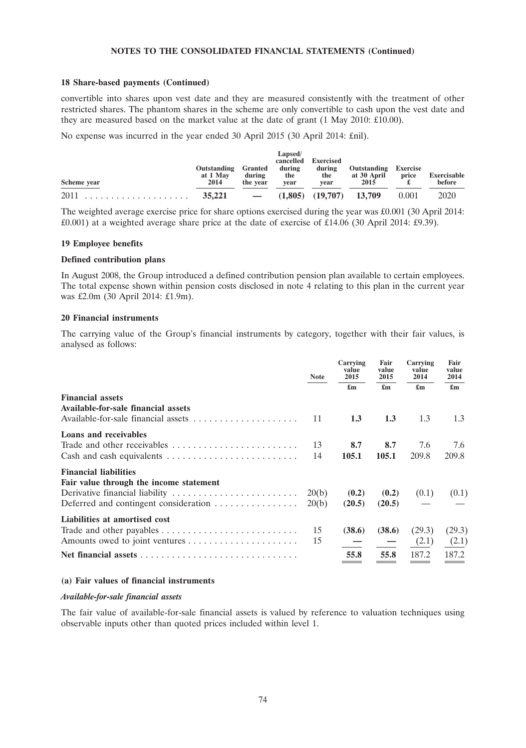#### **18 Share-based payments (Continued)**

convertible into shares upon vest date and they are measured consistently with the treatment of other restricted shares. The phantom shares in the scheme are only convertible to cash upon the vest date and they are measured based on the market value at the date of grant (1 May 2010: £10.00).

No expense was incurred in the year ended 30 April 2015 (30 April 2014: £nil).

|             | Outstanding      | Granted            | Lapsed/<br>cancelled<br>during | <b>Exercised</b><br>during | Outstanding                   | <b>Exercise</b> |                       |
|-------------|------------------|--------------------|--------------------------------|----------------------------|-------------------------------|-----------------|-----------------------|
| Scheme year | at 1 May<br>2014 | during<br>the year | the<br>vear                    | the<br>vear                | at 30 April<br>2015           | price           | Exercisable<br>before |
|             |                  | $\sim$ $-$         |                                |                            | $(1.805)$ $(19.707)$ $13.709$ | 0.001           | 2020                  |

The weighted average exercise price for share options exercised during the year was £0.001 (30 April 2014: £0.001) at a weighted average share price at the date of exercise of £14.06 (30 April 2014: £9.39).

#### **19 Employee benefits**

#### **Defined contribution plans**

In August 2008, the Group introduced a defined contribution pension plan available to certain employees. The total expense shown within pension costs disclosed in note 4 relating to this plan in the current year was £2.0m (30 April 2014: £1.9m).

#### **20 Financial instruments**

The carrying value of the Group's financial instruments by category, together with their fair values, is analysed as follows:

|                                                                                                                                     | <b>Note</b>    | Carrying<br>value<br>2015 | Fair<br>value<br>2015     | Carrying<br>value<br>2014 | Fair<br>value<br>2014     |
|-------------------------------------------------------------------------------------------------------------------------------------|----------------|---------------------------|---------------------------|---------------------------|---------------------------|
|                                                                                                                                     |                | $\mathbf{f}_{\mathbf{m}}$ | $\mathbf{f}_{\mathbf{m}}$ | $\mathbf{f}_{\mathbf{m}}$ | $\mathbf{f}_{\mathbf{m}}$ |
| <b>Financial assets</b><br>Available-for-sale financial assets                                                                      | 11             | 1.3                       | 1.3                       | 1.3                       | 1.3                       |
| Loans and receivables<br>Trade and other receivables<br>Cash and cash equivalents $\dots \dots \dots \dots \dots \dots \dots \dots$ | 13<br>14       | 8.7<br>105.1              | 8.7<br>105.1              | 7.6<br>209.8              | 7.6<br>209.8              |
| <b>Financial liabilities</b><br>Fair value through the income statement<br>Deferred and contingent consideration                    | 20(b)<br>20(b) | (0.2)<br>(20.5)           | (0.2)<br>(20.5)           | (0.1)                     | (0.1)                     |
| Liabilities at amortised cost                                                                                                       | 15<br>15       | (38.6)                    | (38.6)                    | (29.3)<br>(2.1)           | (29.3)<br>(2.1)           |
|                                                                                                                                     |                | 55.8                      | 55.8                      | 187.2                     | 187.2                     |

## **(a) Fair values of financial instruments**

#### *Available-for-sale financial assets*

The fair value of available-for-sale financial assets is valued by reference to valuation techniques using observable inputs other than quoted prices included within level 1.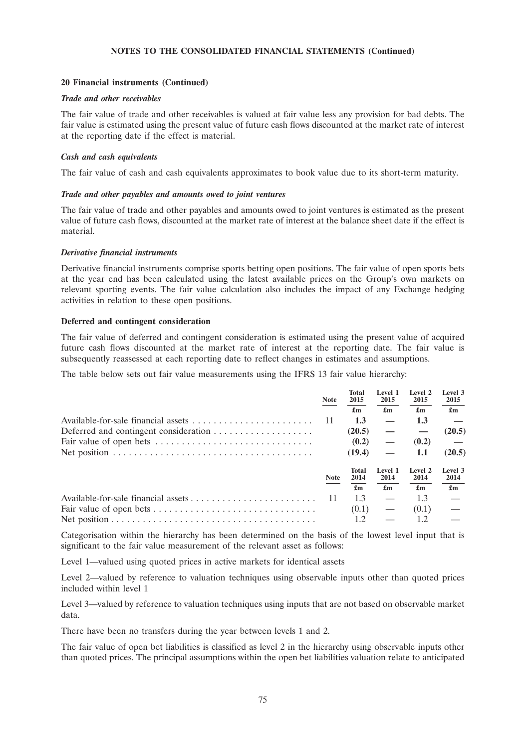#### **20 Financial instruments (Continued)**

#### *Trade and other receivables*

The fair value of trade and other receivables is valued at fair value less any provision for bad debts. The fair value is estimated using the present value of future cash flows discounted at the market rate of interest at the reporting date if the effect is material.

#### *Cash and cash equivalents*

The fair value of cash and cash equivalents approximates to book value due to its short-term maturity.

#### *Trade and other payables and amounts owed to joint ventures*

The fair value of trade and other payables and amounts owed to joint ventures is estimated as the present value of future cash flows, discounted at the market rate of interest at the balance sheet date if the effect is material.

#### *Derivative financial instruments*

Derivative financial instruments comprise sports betting open positions. The fair value of open sports bets at the year end has been calculated using the latest available prices on the Group's own markets on relevant sporting events. The fair value calculation also includes the impact of any Exchange hedging activities in relation to these open positions.

#### **Deferred and contingent consideration**

The fair value of deferred and contingent consideration is estimated using the present value of acquired future cash flows discounted at the market rate of interest at the reporting date. The fair value is subsequently reassessed at each reporting date to reflect changes in estimates and assumptions.

The table below sets out fair value measurements using the IFRS 13 fair value hierarchy:

|                                                                                             | <b>Note</b> | Total<br>2015             | Level 1<br>2015           | Level 2<br>2015           | Level 3<br>2015           |
|---------------------------------------------------------------------------------------------|-------------|---------------------------|---------------------------|---------------------------|---------------------------|
|                                                                                             |             | $\mathbf{f}_{\mathbf{m}}$ | $\mathbf{f}_{\mathbf{m}}$ | $\mathbf{f}_{\mathbf{m}}$ | $\mathbf{f}_{\mathbf{m}}$ |
|                                                                                             | 11          | 1.3                       |                           | 1.3                       |                           |
|                                                                                             |             | (20.5)                    |                           |                           | (20.5)                    |
|                                                                                             |             | (0.2)                     |                           | (0.2)                     |                           |
| Net position $\ldots \ldots \ldots \ldots \ldots \ldots \ldots \ldots \ldots \ldots \ldots$ |             | (19.4)                    |                           | 1.1                       | (20.5)                    |
|                                                                                             | <b>Note</b> | Total<br>2014             | Level 1<br>2014           | Level 2<br>2014           | Level 3<br>2014           |
|                                                                                             |             | £m                        | £m                        | £m                        | £m                        |
|                                                                                             | 11          | 1.3                       |                           | 1.3                       |                           |
|                                                                                             |             | (0.1)                     |                           | (0.1)                     |                           |
|                                                                                             |             |                           |                           |                           |                           |

Categorisation within the hierarchy has been determined on the basis of the lowest level input that is significant to the fair value measurement of the relevant asset as follows:

Level 1—valued using quoted prices in active markets for identical assets

Level 2—valued by reference to valuation techniques using observable inputs other than quoted prices included within level 1

Level 3—valued by reference to valuation techniques using inputs that are not based on observable market data.

There have been no transfers during the year between levels 1 and 2.

The fair value of open bet liabilities is classified as level 2 in the hierarchy using observable inputs other than quoted prices. The principal assumptions within the open bet liabilities valuation relate to anticipated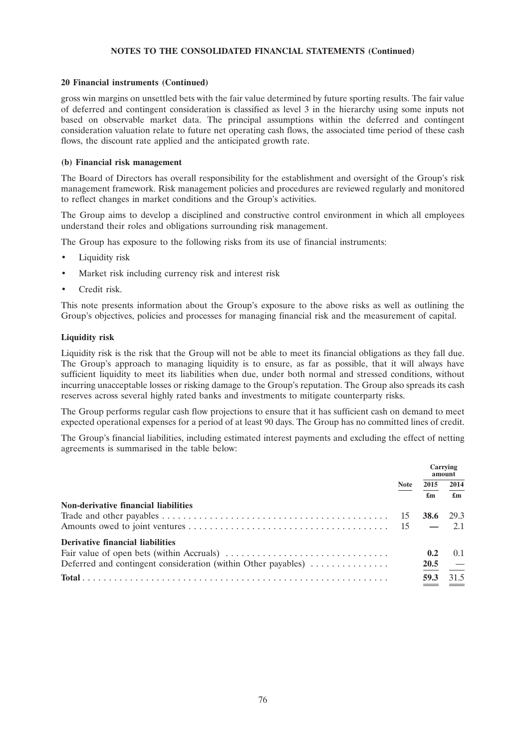#### **20 Financial instruments (Continued)**

gross win margins on unsettled bets with the fair value determined by future sporting results. The fair value of deferred and contingent consideration is classified as level 3 in the hierarchy using some inputs not based on observable market data. The principal assumptions within the deferred and contingent consideration valuation relate to future net operating cash flows, the associated time period of these cash flows, the discount rate applied and the anticipated growth rate.

#### **(b) Financial risk management**

The Board of Directors has overall responsibility for the establishment and oversight of the Group's risk management framework. Risk management policies and procedures are reviewed regularly and monitored to reflect changes in market conditions and the Group's activities.

The Group aims to develop a disciplined and constructive control environment in which all employees understand their roles and obligations surrounding risk management.

The Group has exposure to the following risks from its use of financial instruments:

- Liquidity risk
- Market risk including currency risk and interest risk
- Credit risk.

This note presents information about the Group's exposure to the above risks as well as outlining the Group's objectives, policies and processes for managing financial risk and the measurement of capital.

## **Liquidity risk**

Liquidity risk is the risk that the Group will not be able to meet its financial obligations as they fall due. The Group's approach to managing liquidity is to ensure, as far as possible, that it will always have sufficient liquidity to meet its liabilities when due, under both normal and stressed conditions, without incurring unacceptable losses or risking damage to the Group's reputation. The Group also spreads its cash reserves across several highly rated banks and investments to mitigate counterparty risks.

The Group performs regular cash flow projections to ensure that it has sufficient cash on demand to meet expected operational expenses for a period of at least 90 days. The Group has no committed lines of credit.

The Group's financial liabilities, including estimated interest payments and excluding the effect of netting agreements is summarised in the table below:

|                                                               |             | Carrying<br>amount        |                           |
|---------------------------------------------------------------|-------------|---------------------------|---------------------------|
|                                                               | <b>Note</b> | 2015                      | 2014                      |
| Non-derivative financial liabilities                          |             | $\mathbf{f}_{\mathbf{m}}$ | $\mathbf{f}_{\mathbf{m}}$ |
|                                                               |             | 38.6                      | 29.3                      |
|                                                               |             |                           |                           |
| Derivative financial liabilities                              |             |                           |                           |
|                                                               |             | 0.2                       | 0.1                       |
| Deferred and contingent consideration (within Other payables) |             |                           | $20.5 -$                  |
|                                                               |             | 59.3                      | 31.5                      |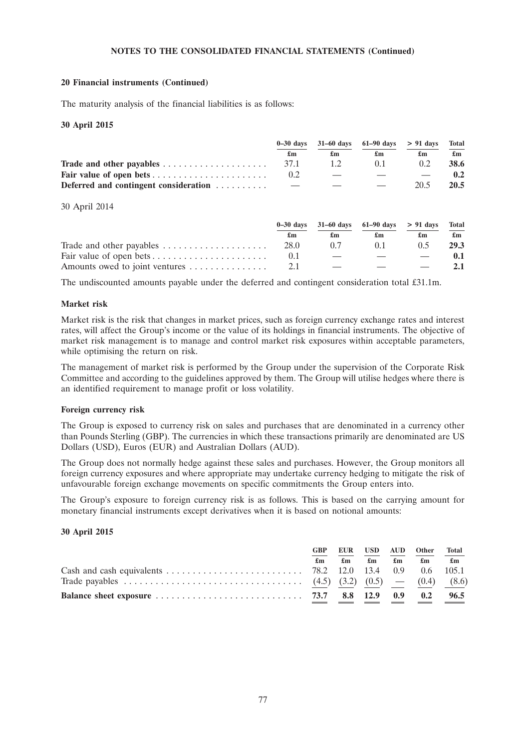#### **20 Financial instruments (Continued)**

The maturity analysis of the financial liabilities is as follows:

#### **30 April 2015**

|                                                                           |                          |    | $0-30$ days $31-60$ days $61-90$ days $> 91$ days |               | Total |
|---------------------------------------------------------------------------|--------------------------|----|---------------------------------------------------|---------------|-------|
|                                                                           | £m                       | £m | £m                                                | £m            | £m    |
| Trade and other payables $\ldots \ldots \ldots \ldots \ldots \ldots$ 37.1 |                          | 12 | 0.1                                               | $0.2^{\circ}$ | 38.6  |
|                                                                           |                          |    |                                                   |               | 0.2   |
| Deferred and contingent consideration                                     | $\overline{\phantom{a}}$ |    |                                                   | 20.5          | 20.5  |

#### 30 April 2014

|                                                                |      | $0-30$ days $31-60$ days $61-90$ days $> 91$ days Total |               |    |                           |
|----------------------------------------------------------------|------|---------------------------------------------------------|---------------|----|---------------------------|
|                                                                | £m   | £m                                                      | £m            | £m | $\mathbf{f}_{\mathbf{m}}$ |
| Trade and other payables $\dots \dots \dots \dots \dots \dots$ | 28.0 | 07                                                      | (1)           | 05 | 29.3                      |
|                                                                |      |                                                         |               |    |                           |
|                                                                |      |                                                         | $\sim$ $\sim$ |    |                           |

The undiscounted amounts payable under the deferred and contingent consideration total £31.1m.

#### **Market risk**

Market risk is the risk that changes in market prices, such as foreign currency exchange rates and interest rates, will affect the Group's income or the value of its holdings in financial instruments. The objective of market risk management is to manage and control market risk exposures within acceptable parameters, while optimising the return on risk.

The management of market risk is performed by the Group under the supervision of the Corporate Risk Committee and according to the guidelines approved by them. The Group will utilise hedges where there is an identified requirement to manage profit or loss volatility.

#### **Foreign currency risk**

The Group is exposed to currency risk on sales and purchases that are denominated in a currency other than Pounds Sterling (GBP). The currencies in which these transactions primarily are denominated are US Dollars (USD), Euros (EUR) and Australian Dollars (AUD).

The Group does not normally hedge against these sales and purchases. However, the Group monitors all foreign currency exposures and where appropriate may undertake currency hedging to mitigate the risk of unfavourable foreign exchange movements on specific commitments the Group enters into.

The Group's exposure to foreign currency risk is as follows. This is based on the carrying amount for monetary financial instruments except derivatives when it is based on notional amounts:

#### **30 April 2015**

| £m |  | GBP EUR USD AUD Other<br>$\pounds$ m $\pounds$ m $\pounds$ m $\pounds$ m $\pounds$ m | Total |
|----|--|--------------------------------------------------------------------------------------|-------|
|    |  |                                                                                      |       |
|    |  |                                                                                      |       |
|    |  |                                                                                      |       |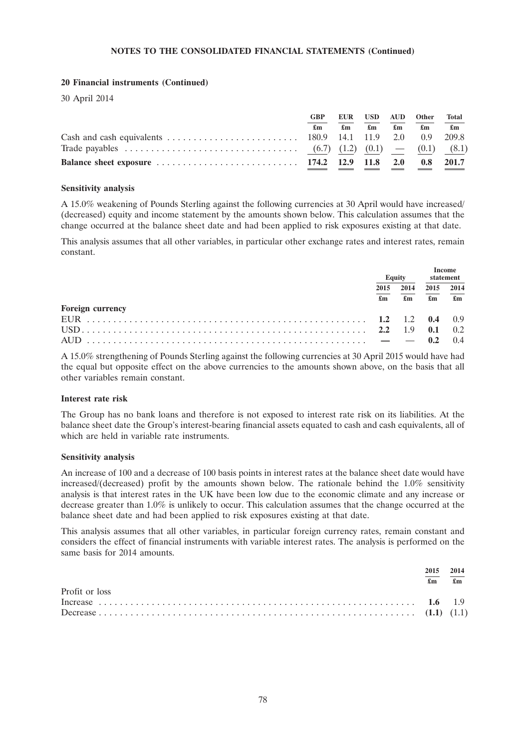## **20 Financial instruments (Continued)**

30 April 2014

| <b>GBP</b> |  | EUR USD AUD Other                                           | Total        |
|------------|--|-------------------------------------------------------------|--------------|
| £m         |  | $\mathbf{f}$ m $\mathbf{f}$ m $\mathbf{f}$ m $\mathbf{f}$ m | $\mathbf{f}$ |
|            |  |                                                             |              |
|            |  |                                                             |              |
|            |  |                                                             |              |

#### **Sensitivity analysis**

A 15.0% weakening of Pounds Sterling against the following currencies at 30 April would have increased/ (decreased) equity and income statement by the amounts shown below. This calculation assumes that the change occurred at the balance sheet date and had been applied to risk exposures existing at that date.

This analysis assumes that all other variables, in particular other exchange rates and interest rates, remain constant.

|                         | <b>Equity</b> |            | statement                         |                      |
|-------------------------|---------------|------------|-----------------------------------|----------------------|
|                         | 2015<br>£m    | 2014<br>£m | 2015<br>$\mathbf{f}_{\mathbf{m}}$ | 2014<br>$\mathbf{f}$ |
| <b>Foreign currency</b> |               |            |                                   |                      |
|                         |               |            |                                   |                      |
|                         |               |            |                                   |                      |
|                         |               |            | 0.2                               | $\overline{04}$      |

A 15.0% strengthening of Pounds Sterling against the following currencies at 30 April 2015 would have had the equal but opposite effect on the above currencies to the amounts shown above, on the basis that all other variables remain constant.

## **Interest rate risk**

The Group has no bank loans and therefore is not exposed to interest rate risk on its liabilities. At the balance sheet date the Group's interest-bearing financial assets equated to cash and cash equivalents, all of which are held in variable rate instruments.

## **Sensitivity analysis**

An increase of 100 and a decrease of 100 basis points in interest rates at the balance sheet date would have increased/(decreased) profit by the amounts shown below. The rationale behind the 1.0% sensitivity analysis is that interest rates in the UK have been low due to the economic climate and any increase or decrease greater than 1.0% is unlikely to occur. This calculation assumes that the change occurred at the balance sheet date and had been applied to risk exposures existing at that date.

This analysis assumes that all other variables, in particular foreign currency rates, remain constant and considers the effect of financial instruments with variable interest rates. The analysis is performed on the same basis for 2014 amounts.

|                | 2015 2014<br>£m |  |
|----------------|-----------------|--|
| Profit or loss |                 |  |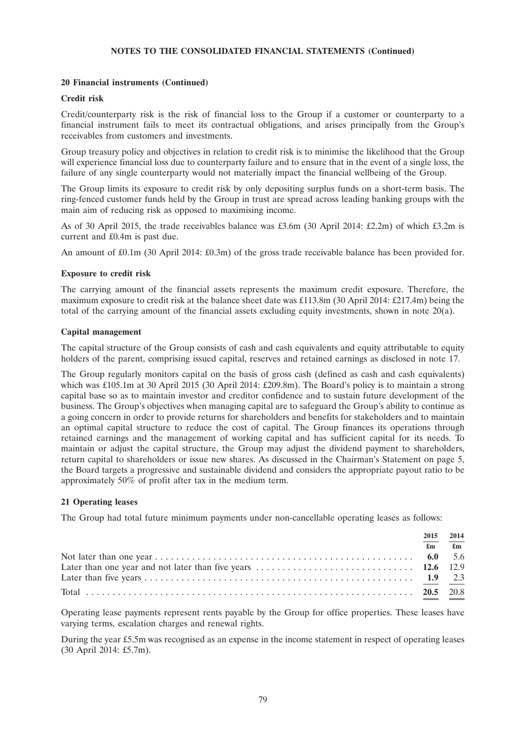#### **20 Financial instruments (Continued)**

#### **Credit risk**

Credit/counterparty risk is the risk of financial loss to the Group if a customer or counterparty to a financial instrument fails to meet its contractual obligations, and arises principally from the Group's receivables from customers and investments.

Group treasury policy and objectives in relation to credit risk is to minimise the likelihood that the Group will experience financial loss due to counterparty failure and to ensure that in the event of a single loss, the failure of any single counterparty would not materially impact the financial wellbeing of the Group.

The Group limits its exposure to credit risk by only depositing surplus funds on a short-term basis. The ring-fenced customer funds held by the Group in trust are spread across leading banking groups with the main aim of reducing risk as opposed to maximising income.

As of 30 April 2015, the trade receivables balance was £3.6m (30 April 2014: £2.2m) of which £3.2m is current and £0.4m is past due.

An amount of £0.1m (30 April 2014: £0.3m) of the gross trade receivable balance has been provided for.

#### **Exposure to credit risk**

The carrying amount of the financial assets represents the maximum credit exposure. Therefore, the maximum exposure to credit risk at the balance sheet date was £113.8m (30 April 2014: £217.4m) being the total of the carrying amount of the financial assets excluding equity investments, shown in note 20(a).

#### **Capital management**

The capital structure of the Group consists of cash and cash equivalents and equity attributable to equity holders of the parent, comprising issued capital, reserves and retained earnings as disclosed in note 17.

The Group regularly monitors capital on the basis of gross cash (defined as cash and cash equivalents) which was £105.1m at 30 April 2015 (30 April 2014: £209.8m). The Board's policy is to maintain a strong capital base so as to maintain investor and creditor confidence and to sustain future development of the business. The Group's objectives when managing capital are to safeguard the Group's ability to continue as a going concern in order to provide returns for shareholders and benefits for stakeholders and to maintain an optimal capital structure to reduce the cost of capital. The Group finances its operations through retained earnings and the management of working capital and has sufficient capital for its needs. To maintain or adjust the capital structure, the Group may adjust the dividend payment to shareholders, return capital to shareholders or issue new shares. As discussed in the Chairman's Statement on page 5, the Board targets a progressive and sustainable dividend and considers the appropriate payout ratio to be approximately 50% of profit after tax in the medium term.

## **21 Operating leases**

The Group had total future minimum payments under non-cancellable operating leases as follows:

| 2015                      | 2014           |
|---------------------------|----------------|
| $\mathbf{f}_{\mathbf{m}}$ | $\mathbf{f}$ m |
|                           |                |
|                           |                |
|                           |                |
|                           |                |

Operating lease payments represent rents payable by the Group for office properties. These leases have varying terms, escalation charges and renewal rights.

During the year £5.5m was recognised as an expense in the income statement in respect of operating leases (30 April 2014: £5.7m).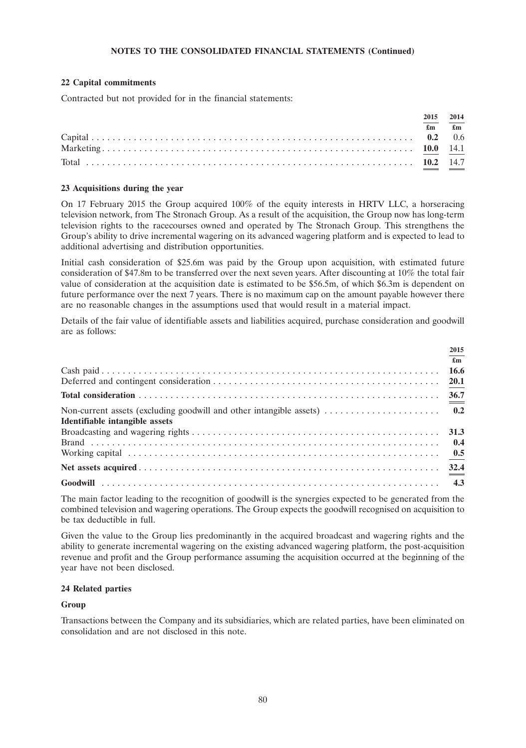## **22 Capital commitments**

Contracted but not provided for in the financial statements:

| 2015           | 2014                      |
|----------------|---------------------------|
| $\mathbf{f}$ m | $\mathbf{f}_{\mathbf{m}}$ |
|                |                           |
|                |                           |
|                |                           |

## **23 Acquisitions during the year**

On 17 February 2015 the Group acquired 100% of the equity interests in HRTV LLC, a horseracing television network, from The Stronach Group. As a result of the acquisition, the Group now has long-term television rights to the racecourses owned and operated by The Stronach Group. This strengthens the Group's ability to drive incremental wagering on its advanced wagering platform and is expected to lead to additional advertising and distribution opportunities.

Initial cash consideration of \$25.6m was paid by the Group upon acquisition, with estimated future consideration of \$47.8m to be transferred over the next seven years. After discounting at 10% the total fair value of consideration at the acquisition date is estimated to be \$56.5m, of which \$6.3m is dependent on future performance over the next 7 years. There is no maximum cap on the amount payable however there are no reasonable changes in the assumptions used that would result in a material impact.

Details of the fair value of identifiable assets and liabilities acquired, purchase consideration and goodwill are as follows:

|                                | 2015                      |
|--------------------------------|---------------------------|
|                                | $\mathbf{f}_{\mathbf{m}}$ |
|                                |                           |
|                                |                           |
|                                |                           |
|                                |                           |
| Identifiable intangible assets |                           |
|                                | 31.3                      |
|                                | 0.4                       |
|                                |                           |
|                                |                           |
|                                |                           |

The main factor leading to the recognition of goodwill is the synergies expected to be generated from the combined television and wagering operations. The Group expects the goodwill recognised on acquisition to be tax deductible in full.

Given the value to the Group lies predominantly in the acquired broadcast and wagering rights and the ability to generate incremental wagering on the existing advanced wagering platform, the post-acquisition revenue and profit and the Group performance assuming the acquisition occurred at the beginning of the year have not been disclosed.

## **24 Related parties**

## **Group**

Transactions between the Company and its subsidiaries, which are related parties, have been eliminated on consolidation and are not disclosed in this note.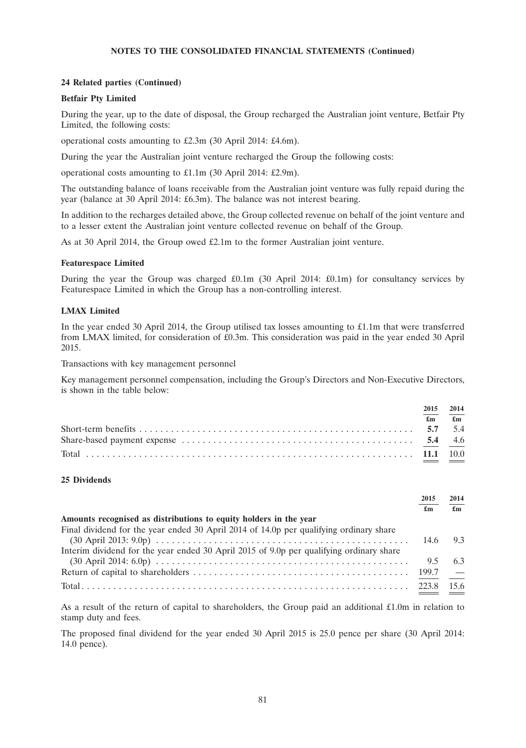## **24 Related parties (Continued)**

#### **Betfair Pty Limited**

During the year, up to the date of disposal, the Group recharged the Australian joint venture, Betfair Pty Limited, the following costs:

operational costs amounting to £2.3m (30 April 2014: £4.6m).

During the year the Australian joint venture recharged the Group the following costs:

operational costs amounting to £1.1m (30 April 2014: £2.9m).

The outstanding balance of loans receivable from the Australian joint venture was fully repaid during the year (balance at 30 April 2014: £6.3m). The balance was not interest bearing.

In addition to the recharges detailed above, the Group collected revenue on behalf of the joint venture and to a lesser extent the Australian joint venture collected revenue on behalf of the Group.

As at 30 April 2014, the Group owed £2.1m to the former Australian joint venture.

#### **Featurespace Limited**

During the year the Group was charged  $\text{\pounds}0.1\text{m}$  (30 April 2014:  $\text{\pounds}0.1\text{m}$ ) for consultancy services by Featurespace Limited in which the Group has a non-controlling interest.

#### **LMAX Limited**

In the year ended 30 April 2014, the Group utilised tax losses amounting to £1.1m that were transferred from LMAX limited, for consideration of £0.3m. This consideration was paid in the year ended 30 April 2015.

Transactions with key management personnel

Key management personnel compensation, including the Group's Directors and Non-Executive Directors, is shown in the table below:

| 2015                      | 2014           |
|---------------------------|----------------|
| $\mathbf{f}_{\mathbf{m}}$ | $\mathbf{f}$ m |
|                           |                |
|                           |                |
|                           |                |

#### **25 Dividends**

|                                                                                         | 2015      | 2014  |
|-----------------------------------------------------------------------------------------|-----------|-------|
|                                                                                         | £m        | £m    |
| Amounts recognised as distributions to equity holders in the year                       |           |       |
| Final dividend for the year ended 30 April 2014 of 14.0p per qualifying ordinary share  |           |       |
|                                                                                         | 14.6      | $Q_3$ |
| Interim dividend for the year ended 30 April 2015 of 9.0p per qualifying ordinary share |           |       |
|                                                                                         | 9.5       | 63    |
|                                                                                         | $199.7 -$ |       |
|                                                                                         |           | 156   |

As a result of the return of capital to shareholders, the Group paid an additional £1.0m in relation to stamp duty and fees.

The proposed final dividend for the year ended 30 April 2015 is 25.0 pence per share (30 April 2014: 14.0 pence).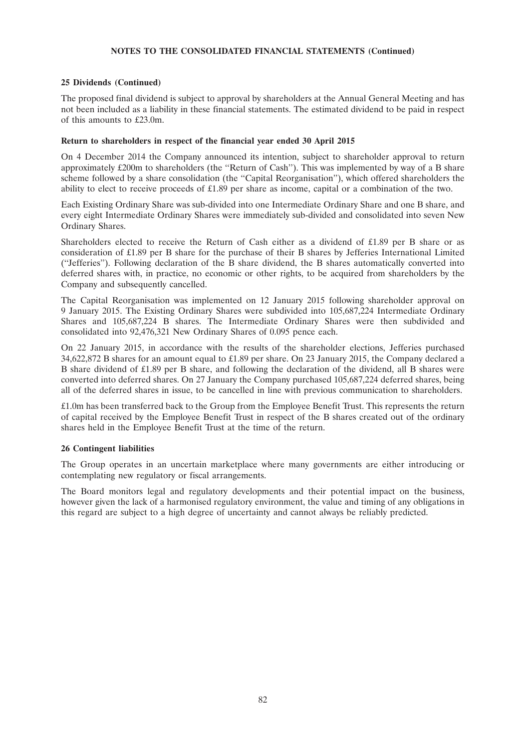#### **25 Dividends (Continued)**

The proposed final dividend is subject to approval by shareholders at the Annual General Meeting and has not been included as a liability in these financial statements. The estimated dividend to be paid in respect of this amounts to £23.0m.

### **Return to shareholders in respect of the financial year ended 30 April 2015**

On 4 December 2014 the Company announced its intention, subject to shareholder approval to return approximately £200m to shareholders (the ''Return of Cash''). This was implemented by way of a B share scheme followed by a share consolidation (the ''Capital Reorganisation''), which offered shareholders the ability to elect to receive proceeds of £1.89 per share as income, capital or a combination of the two.

Each Existing Ordinary Share was sub-divided into one Intermediate Ordinary Share and one B share, and every eight Intermediate Ordinary Shares were immediately sub-divided and consolidated into seven New Ordinary Shares.

Shareholders elected to receive the Return of Cash either as a dividend of £1.89 per B share or as consideration of £1.89 per B share for the purchase of their B shares by Jefferies International Limited (''Jefferies''). Following declaration of the B share dividend, the B shares automatically converted into deferred shares with, in practice, no economic or other rights, to be acquired from shareholders by the Company and subsequently cancelled.

The Capital Reorganisation was implemented on 12 January 2015 following shareholder approval on 9 January 2015. The Existing Ordinary Shares were subdivided into 105,687,224 Intermediate Ordinary Shares and 105,687,224 B shares. The Intermediate Ordinary Shares were then subdivided and consolidated into 92,476,321 New Ordinary Shares of 0.095 pence each.

On 22 January 2015, in accordance with the results of the shareholder elections, Jefferies purchased 34,622,872 B shares for an amount equal to £1.89 per share. On 23 January 2015, the Company declared a B share dividend of £1.89 per B share, and following the declaration of the dividend, all B shares were converted into deferred shares. On 27 January the Company purchased 105,687,224 deferred shares, being all of the deferred shares in issue, to be cancelled in line with previous communication to shareholders.

£1.0m has been transferred back to the Group from the Employee Benefit Trust. This represents the return of capital received by the Employee Benefit Trust in respect of the B shares created out of the ordinary shares held in the Employee Benefit Trust at the time of the return.

## **26 Contingent liabilities**

The Group operates in an uncertain marketplace where many governments are either introducing or contemplating new regulatory or fiscal arrangements.

The Board monitors legal and regulatory developments and their potential impact on the business, however given the lack of a harmonised regulatory environment, the value and timing of any obligations in this regard are subject to a high degree of uncertainty and cannot always be reliably predicted.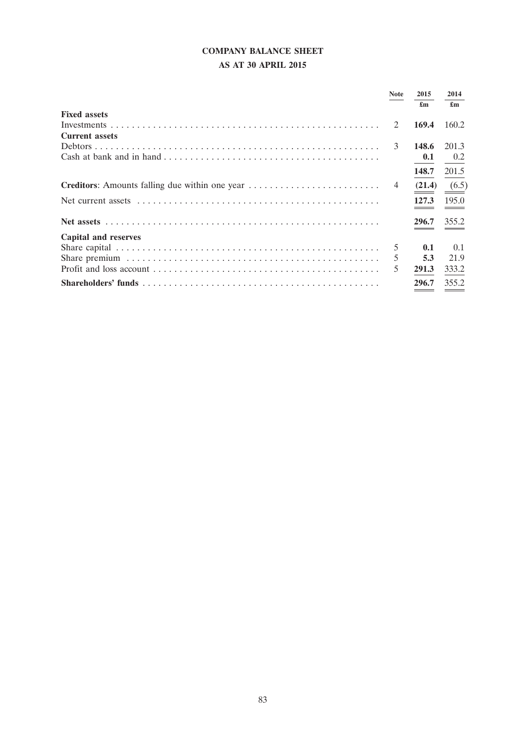# **COMPANY BALANCE SHEET**

## **AS AT 30 APRIL 2015**

|                       | <b>Note</b> | 2015<br>£m       | 2014<br>£m |
|-----------------------|-------------|------------------|------------|
| <b>Fixed assets</b>   |             |                  |            |
|                       | 2           | 169.4            | 160.2      |
| <b>Current assets</b> |             |                  |            |
|                       |             | 148.6            | 201.3      |
|                       |             | 0.1              | 0.2        |
|                       |             | 148.7            | 201.5      |
|                       |             | $(21.4)$ $(6.5)$ |            |
|                       |             | 127.3            | 195.0      |
|                       |             | 296.7            | 355.2      |
| Capital and reserves  |             |                  |            |
|                       | .5          | 0.1              | 0.1        |
|                       |             | 5.3              | 21.9       |
|                       | 5           | 291.3            | 333.2      |
|                       |             | 296.7            | 355.2      |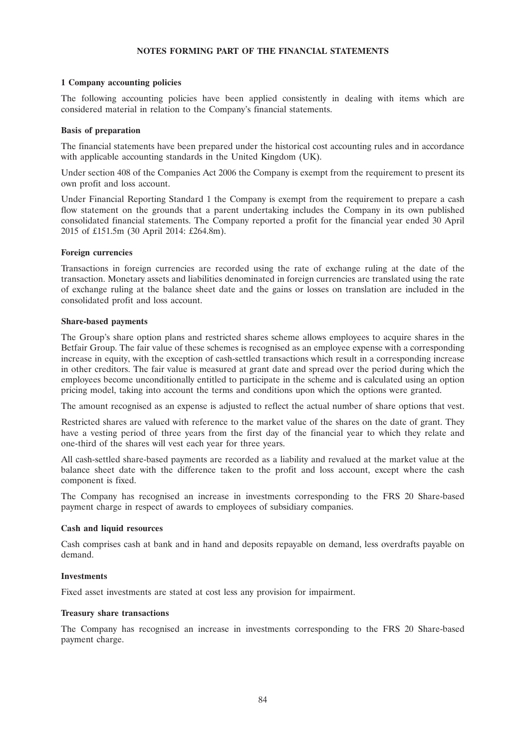## **NOTES FORMING PART OF THE FINANCIAL STATEMENTS**

## **1 Company accounting policies**

The following accounting policies have been applied consistently in dealing with items which are considered material in relation to the Company's financial statements.

#### **Basis of preparation**

The financial statements have been prepared under the historical cost accounting rules and in accordance with applicable accounting standards in the United Kingdom (UK).

Under section 408 of the Companies Act 2006 the Company is exempt from the requirement to present its own profit and loss account.

Under Financial Reporting Standard 1 the Company is exempt from the requirement to prepare a cash flow statement on the grounds that a parent undertaking includes the Company in its own published consolidated financial statements. The Company reported a profit for the financial year ended 30 April 2015 of £151.5m (30 April 2014: £264.8m).

#### **Foreign currencies**

Transactions in foreign currencies are recorded using the rate of exchange ruling at the date of the transaction. Monetary assets and liabilities denominated in foreign currencies are translated using the rate of exchange ruling at the balance sheet date and the gains or losses on translation are included in the consolidated profit and loss account.

#### **Share-based payments**

The Group's share option plans and restricted shares scheme allows employees to acquire shares in the Betfair Group. The fair value of these schemes is recognised as an employee expense with a corresponding increase in equity, with the exception of cash-settled transactions which result in a corresponding increase in other creditors. The fair value is measured at grant date and spread over the period during which the employees become unconditionally entitled to participate in the scheme and is calculated using an option pricing model, taking into account the terms and conditions upon which the options were granted.

The amount recognised as an expense is adjusted to reflect the actual number of share options that vest.

Restricted shares are valued with reference to the market value of the shares on the date of grant. They have a vesting period of three years from the first day of the financial year to which they relate and one-third of the shares will vest each year for three years.

All cash-settled share-based payments are recorded as a liability and revalued at the market value at the balance sheet date with the difference taken to the profit and loss account, except where the cash component is fixed.

The Company has recognised an increase in investments corresponding to the FRS 20 Share-based payment charge in respect of awards to employees of subsidiary companies.

#### **Cash and liquid resources**

Cash comprises cash at bank and in hand and deposits repayable on demand, less overdrafts payable on demand.

#### **Investments**

Fixed asset investments are stated at cost less any provision for impairment.

## **Treasury share transactions**

The Company has recognised an increase in investments corresponding to the FRS 20 Share-based payment charge.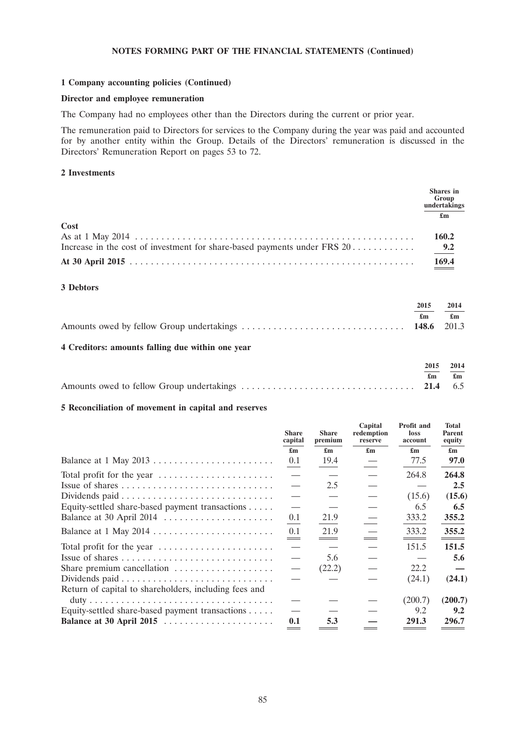### **1 Company accounting policies (Continued)**

## **Director and employee remuneration**

The Company had no employees other than the Directors during the current or prior year.

The remuneration paid to Directors for services to the Company during the year was paid and accounted for by another entity within the Group. Details of the Directors' remuneration is discussed in the Directors' Remuneration Report on pages 53 to 72.

## **2 Investments**

|                                                                            | <b>Shares</b> in<br>Group<br>undertakings |
|----------------------------------------------------------------------------|-------------------------------------------|
|                                                                            | £m                                        |
| Cost                                                                       |                                           |
|                                                                            | 160.2                                     |
| Increase in the cost of investment for share-based payments under FRS $20$ | 9.2                                       |
|                                                                            | 169.4                                     |

## **3 Debtors**

| 2015 | 2014 |
|------|------|
| £m   | £m   |
|      |      |
|      |      |
|      |      |

## **4 Creditors: amounts falling due within one year**

| 2015 2014                     |  |
|-------------------------------|--|
| $\mathbf{f}$ m $\mathbf{f}$ m |  |
|                               |  |

## **5 Reconciliation of movement in capital and reserves**

|                                                       | <b>Share</b><br>capital   | <b>Share</b><br>premium   | Capital<br>redemption<br>reserve | Profit and<br>loss<br>account | Total<br><b>Parent</b><br>equity |
|-------------------------------------------------------|---------------------------|---------------------------|----------------------------------|-------------------------------|----------------------------------|
|                                                       | $\mathbf{f}_{\mathbf{m}}$ | $\mathbf{f}_{\mathbf{m}}$ | $\mathbf{f}_{\mathbf{m}}$        | $\mathbf{f}_{\mathbf{m}}$     | $\mathbf{f}_{\mathbf{m}}$        |
| Balance at 1 May 2013                                 | 0.1                       | 19.4                      |                                  | 77.5                          | 97.0                             |
| Total profit for the year                             |                           |                           |                                  | 264.8                         | 264.8                            |
|                                                       |                           | 2.5                       |                                  |                               | 2.5                              |
|                                                       |                           |                           |                                  | (15.6)                        | (15.6)                           |
| Equity-settled share-based payment transactions       |                           |                           |                                  | 6.5                           | 6.5                              |
| Balance at 30 April 2014                              | 0.1                       | 21.9                      |                                  | 333.2                         | 355.2                            |
| Balance at 1 May 2014                                 | 0.1                       | 21.9                      |                                  | 333.2                         | 355.2                            |
| Total profit for the year                             |                           |                           |                                  | 151.5                         | 151.5                            |
|                                                       |                           | 5.6                       |                                  |                               | 5.6                              |
| Share premium cancellation                            |                           | (22.2)                    |                                  | 22.2                          |                                  |
|                                                       |                           |                           |                                  | (24.1)                        | (24.1)                           |
| Return of capital to shareholders, including fees and |                           |                           |                                  |                               |                                  |
|                                                       |                           |                           |                                  | (200.7)                       | (200.7)                          |
| Equity-settled share-based payment transactions       |                           |                           |                                  | 9.2                           | 9.2                              |
| Balance at 30 April 2015                              | 0.1                       | 5.3                       |                                  | 291.3                         | 296.7                            |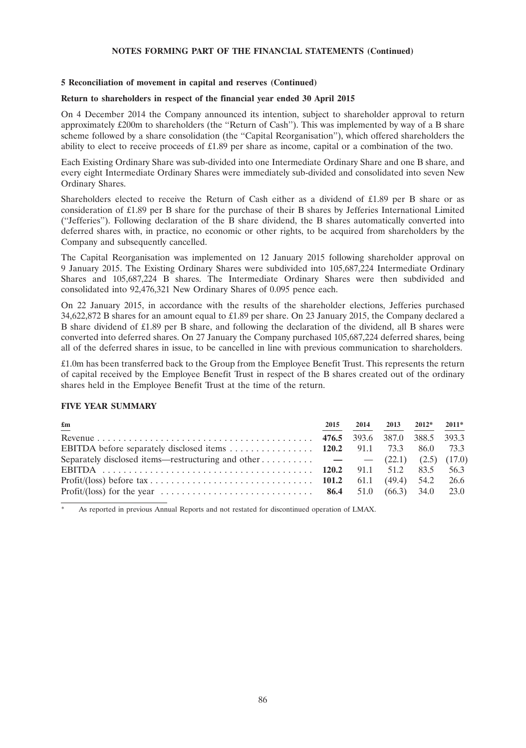## **5 Reconciliation of movement in capital and reserves (Continued)**

## **Return to shareholders in respect of the financial year ended 30 April 2015**

On 4 December 2014 the Company announced its intention, subject to shareholder approval to return approximately £200m to shareholders (the ''Return of Cash''). This was implemented by way of a B share scheme followed by a share consolidation (the ''Capital Reorganisation''), which offered shareholders the ability to elect to receive proceeds of £1.89 per share as income, capital or a combination of the two.

Each Existing Ordinary Share was sub-divided into one Intermediate Ordinary Share and one B share, and every eight Intermediate Ordinary Shares were immediately sub-divided and consolidated into seven New Ordinary Shares.

Shareholders elected to receive the Return of Cash either as a dividend of £1.89 per B share or as consideration of £1.89 per B share for the purchase of their B shares by Jefferies International Limited (''Jefferies''). Following declaration of the B share dividend, the B shares automatically converted into deferred shares with, in practice, no economic or other rights, to be acquired from shareholders by the Company and subsequently cancelled.

The Capital Reorganisation was implemented on 12 January 2015 following shareholder approval on 9 January 2015. The Existing Ordinary Shares were subdivided into 105,687,224 Intermediate Ordinary Shares and 105,687,224 B shares. The Intermediate Ordinary Shares were then subdivided and consolidated into 92,476,321 New Ordinary Shares of 0.095 pence each.

On 22 January 2015, in accordance with the results of the shareholder elections, Jefferies purchased 34,622,872 B shares for an amount equal to £1.89 per share. On 23 January 2015, the Company declared a B share dividend of £1.89 per B share, and following the declaration of the dividend, all B shares were converted into deferred shares. On 27 January the Company purchased 105,687,224 deferred shares, being all of the deferred shares in issue, to be cancelled in line with previous communication to shareholders.

£1.0m has been transferred back to the Group from the Employee Benefit Trust. This represents the return of capital received by the Employee Benefit Trust in respect of the B shares created out of the ordinary shares held in the Employee Benefit Trust at the time of the return.

## **FIVE YEAR SUMMARY**

| $\mathbf{f}_{\mathbf{m}}$                                                                                           | 2015 | 2014 2013 2012* 2011* |  |
|---------------------------------------------------------------------------------------------------------------------|------|-----------------------|--|
|                                                                                                                     |      |                       |  |
|                                                                                                                     |      |                       |  |
| Separately disclosed items—restructuring and other $\rightarrow$ (22.1) (2.5) (17.0)                                |      |                       |  |
|                                                                                                                     |      |                       |  |
|                                                                                                                     |      |                       |  |
| Profit/(loss) for the year $\dots \dots \dots \dots \dots \dots \dots \dots \dots \dots$ 86.4 51.0 (66.3) 34.0 23.0 |      |                       |  |

As reported in previous Annual Reports and not restated for discontinued operation of LMAX.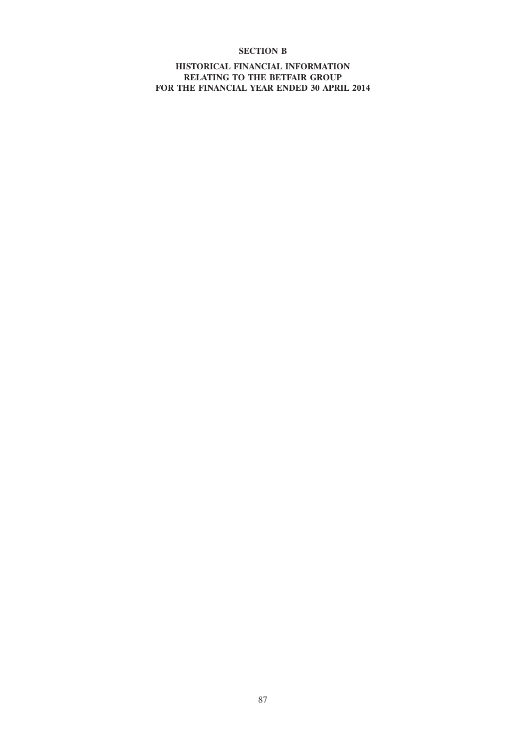## **SECTION B**

**HISTORICAL FINANCIAL INFORMATION RELATING TO THE BETFAIR GROUP FOR THE FINANCIAL YEAR ENDED 30 APRIL 2014**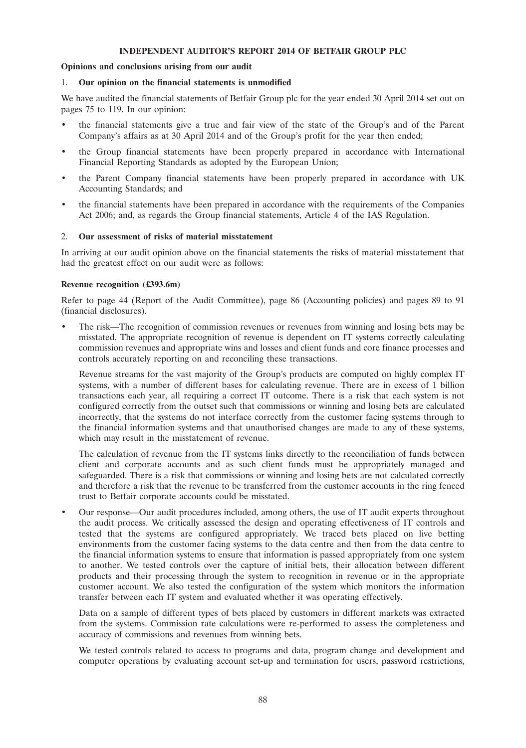### **INDEPENDENT AUDITOR'S REPORT 2014 OF BETFAIR GROUP PLC**

## **Opinions and conclusions arising from our audit**

#### 1. **Our opinion on the financial statements is unmodified**

We have audited the financial statements of Betfair Group plc for the year ended 30 April 2014 set out on pages 75 to 119. In our opinion:

- the financial statements give a true and fair view of the state of the Group's and of the Parent Company's affairs as at 30 April 2014 and of the Group's profit for the year then ended;
- the Group financial statements have been properly prepared in accordance with International Financial Reporting Standards as adopted by the European Union;
- the Parent Company financial statements have been properly prepared in accordance with UK Accounting Standards; and
- the financial statements have been prepared in accordance with the requirements of the Companies Act 2006; and, as regards the Group financial statements, Article 4 of the IAS Regulation.

#### 2. **Our assessment of risks of material misstatement**

In arriving at our audit opinion above on the financial statements the risks of material misstatement that had the greatest effect on our audit were as follows:

#### **Revenue recognition (£393.6m)**

Refer to page 44 (Report of the Audit Committee), page 86 (Accounting policies) and pages 89 to 91 (financial disclosures).

• The risk—The recognition of commission revenues or revenues from winning and losing bets may be misstated. The appropriate recognition of revenue is dependent on IT systems correctly calculating commission revenues and appropriate wins and losses and client funds and core finance processes and controls accurately reporting on and reconciling these transactions.

Revenue streams for the vast majority of the Group's products are computed on highly complex IT systems, with a number of different bases for calculating revenue. There are in excess of 1 billion transactions each year, all requiring a correct IT outcome. There is a risk that each system is not configured correctly from the outset such that commissions or winning and losing bets are calculated incorrectly, that the systems do not interface correctly from the customer facing systems through to the financial information systems and that unauthorised changes are made to any of these systems, which may result in the misstatement of revenue.

The calculation of revenue from the IT systems links directly to the reconciliation of funds between client and corporate accounts and as such client funds must be appropriately managed and safeguarded. There is a risk that commissions or winning and losing bets are not calculated correctly and therefore a risk that the revenue to be transferred from the customer accounts in the ring fenced trust to Betfair corporate accounts could be misstated.

• Our response—Our audit procedures included, among others, the use of IT audit experts throughout the audit process. We critically assessed the design and operating effectiveness of IT controls and tested that the systems are configured appropriately. We traced bets placed on live betting environments from the customer facing systems to the data centre and then from the data centre to the financial information systems to ensure that information is passed appropriately from one system to another. We tested controls over the capture of initial bets, their allocation between different products and their processing through the system to recognition in revenue or in the appropriate customer account. We also tested the configuration of the system which monitors the information transfer between each IT system and evaluated whether it was operating effectively.

Data on a sample of different types of bets placed by customers in different markets was extracted from the systems. Commission rate calculations were re-performed to assess the completeness and accuracy of commissions and revenues from winning bets.

We tested controls related to access to programs and data, program change and development and computer operations by evaluating account set-up and termination for users, password restrictions,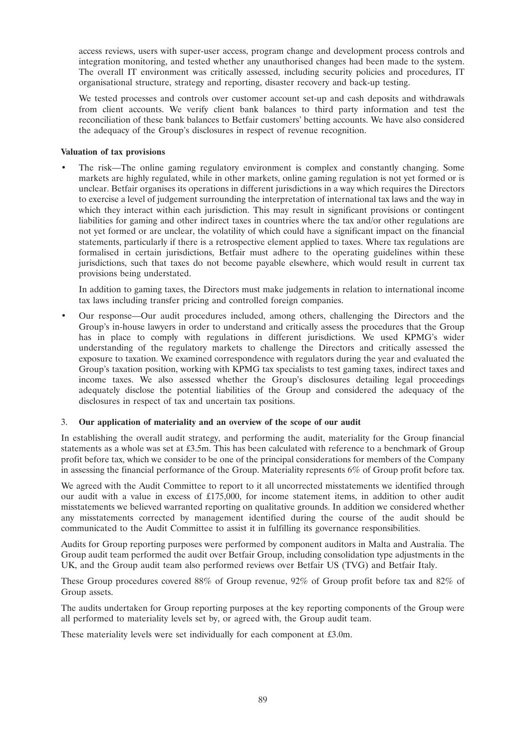access reviews, users with super-user access, program change and development process controls and integration monitoring, and tested whether any unauthorised changes had been made to the system. The overall IT environment was critically assessed, including security policies and procedures, IT organisational structure, strategy and reporting, disaster recovery and back-up testing.

We tested processes and controls over customer account set-up and cash deposits and withdrawals from client accounts. We verify client bank balances to third party information and test the reconciliation of these bank balances to Betfair customers' betting accounts. We have also considered the adequacy of the Group's disclosures in respect of revenue recognition.

## **Valuation of tax provisions**

• The risk—The online gaming regulatory environment is complex and constantly changing. Some markets are highly regulated, while in other markets, online gaming regulation is not yet formed or is unclear. Betfair organises its operations in different jurisdictions in a way which requires the Directors to exercise a level of judgement surrounding the interpretation of international tax laws and the way in which they interact within each jurisdiction. This may result in significant provisions or contingent liabilities for gaming and other indirect taxes in countries where the tax and/or other regulations are not yet formed or are unclear, the volatility of which could have a significant impact on the financial statements, particularly if there is a retrospective element applied to taxes. Where tax regulations are formalised in certain jurisdictions, Betfair must adhere to the operating guidelines within these jurisdictions, such that taxes do not become payable elsewhere, which would result in current tax provisions being understated.

In addition to gaming taxes, the Directors must make judgements in relation to international income tax laws including transfer pricing and controlled foreign companies.

• Our response—Our audit procedures included, among others, challenging the Directors and the Group's in-house lawyers in order to understand and critically assess the procedures that the Group has in place to comply with regulations in different jurisdictions. We used KPMG's wider understanding of the regulatory markets to challenge the Directors and critically assessed the exposure to taxation. We examined correspondence with regulators during the year and evaluated the Group's taxation position, working with KPMG tax specialists to test gaming taxes, indirect taxes and income taxes. We also assessed whether the Group's disclosures detailing legal proceedings adequately disclose the potential liabilities of the Group and considered the adequacy of the disclosures in respect of tax and uncertain tax positions.

## 3. **Our application of materiality and an overview of the scope of our audit**

In establishing the overall audit strategy, and performing the audit, materiality for the Group financial statements as a whole was set at £3.5m. This has been calculated with reference to a benchmark of Group profit before tax, which we consider to be one of the principal considerations for members of the Company in assessing the financial performance of the Group. Materiality represents 6% of Group profit before tax.

We agreed with the Audit Committee to report to it all uncorrected misstatements we identified through our audit with a value in excess of £175,000, for income statement items, in addition to other audit misstatements we believed warranted reporting on qualitative grounds. In addition we considered whether any misstatements corrected by management identified during the course of the audit should be communicated to the Audit Committee to assist it in fulfilling its governance responsibilities.

Audits for Group reporting purposes were performed by component auditors in Malta and Australia. The Group audit team performed the audit over Betfair Group, including consolidation type adjustments in the UK, and the Group audit team also performed reviews over Betfair US (TVG) and Betfair Italy.

These Group procedures covered 88% of Group revenue, 92% of Group profit before tax and 82% of Group assets.

The audits undertaken for Group reporting purposes at the key reporting components of the Group were all performed to materiality levels set by, or agreed with, the Group audit team.

These materiality levels were set individually for each component at £3.0m.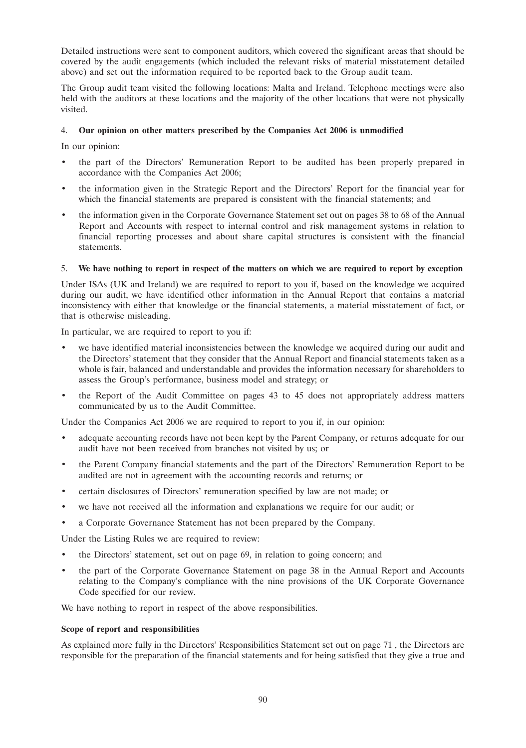Detailed instructions were sent to component auditors, which covered the significant areas that should be covered by the audit engagements (which included the relevant risks of material misstatement detailed above) and set out the information required to be reported back to the Group audit team.

The Group audit team visited the following locations: Malta and Ireland. Telephone meetings were also held with the auditors at these locations and the majority of the other locations that were not physically visited.

## 4. **Our opinion on other matters prescribed by the Companies Act 2006 is unmodified**

In our opinion:

- the part of the Directors' Remuneration Report to be audited has been properly prepared in accordance with the Companies Act 2006;
- the information given in the Strategic Report and the Directors' Report for the financial year for which the financial statements are prepared is consistent with the financial statements; and
- the information given in the Corporate Governance Statement set out on pages 38 to 68 of the Annual Report and Accounts with respect to internal control and risk management systems in relation to financial reporting processes and about share capital structures is consistent with the financial statements.

## 5. **We have nothing to report in respect of the matters on which we are required to report by exception**

Under ISAs (UK and Ireland) we are required to report to you if, based on the knowledge we acquired during our audit, we have identified other information in the Annual Report that contains a material inconsistency with either that knowledge or the financial statements, a material misstatement of fact, or that is otherwise misleading.

In particular, we are required to report to you if:

- we have identified material inconsistencies between the knowledge we acquired during our audit and the Directors' statement that they consider that the Annual Report and financial statements taken as a whole is fair, balanced and understandable and provides the information necessary for shareholders to assess the Group's performance, business model and strategy; or
- the Report of the Audit Committee on pages 43 to 45 does not appropriately address matters communicated by us to the Audit Committee.

Under the Companies Act 2006 we are required to report to you if, in our opinion:

- adequate accounting records have not been kept by the Parent Company, or returns adequate for our audit have not been received from branches not visited by us; or
- the Parent Company financial statements and the part of the Directors' Remuneration Report to be audited are not in agreement with the accounting records and returns; or
- certain disclosures of Directors' remuneration specified by law are not made; or
- we have not received all the information and explanations we require for our audit; or
- a Corporate Governance Statement has not been prepared by the Company.

Under the Listing Rules we are required to review:

- the Directors' statement, set out on page 69, in relation to going concern; and
- the part of the Corporate Governance Statement on page 38 in the Annual Report and Accounts relating to the Company's compliance with the nine provisions of the UK Corporate Governance Code specified for our review.

We have nothing to report in respect of the above responsibilities.

## **Scope of report and responsibilities**

As explained more fully in the Directors' Responsibilities Statement set out on page 71 , the Directors are responsible for the preparation of the financial statements and for being satisfied that they give a true and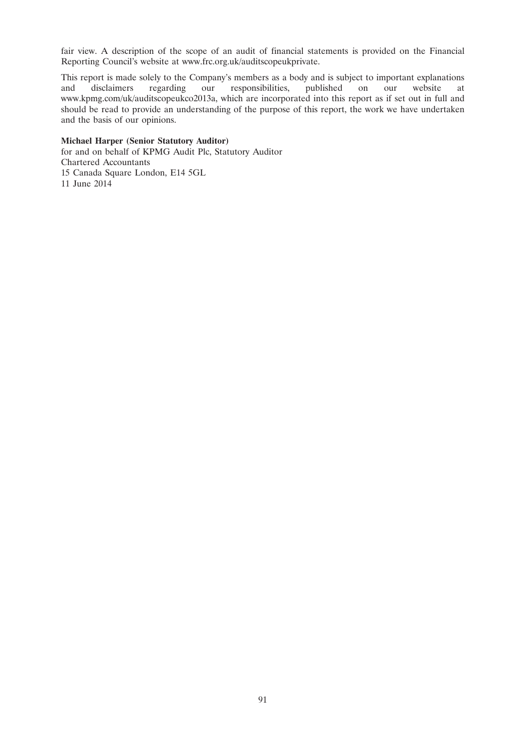fair view. A description of the scope of an audit of financial statements is provided on the Financial Reporting Council's website at www.frc.org.uk/auditscopeukprivate.

This report is made solely to the Company's members as a body and is subject to important explanations and disclaimers regarding our responsibilities, published on our website at responsibilities, published on our website at www.kpmg.com/uk/auditscopeukco2013a, which are incorporated into this report as if set out in full and should be read to provide an understanding of the purpose of this report, the work we have undertaken and the basis of our opinions.

## **Michael Harper (Senior Statutory Auditor)**

for and on behalf of KPMG Audit Plc, Statutory Auditor Chartered Accountants 15 Canada Square London, E14 5GL 11 June 2014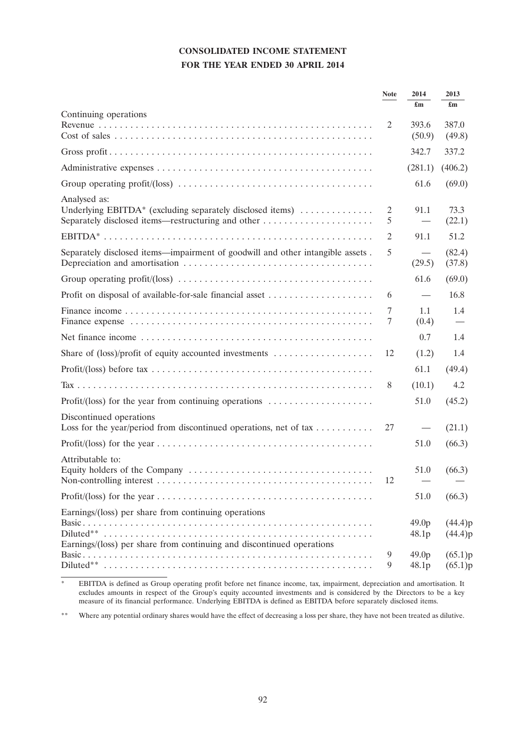# **CONSOLIDATED INCOME STATEMENT FOR THE YEAR ENDED 30 APRIL 2014**

|                                                                                                                               | <b>Note</b> | 2014<br>$\mathbf{f}_{\mathbf{m}}$ | 2013<br>$\mathbf{f}_{\mathbf{m}}$ |
|-------------------------------------------------------------------------------------------------------------------------------|-------------|-----------------------------------|-----------------------------------|
| Continuing operations                                                                                                         | 2           | 393.6<br>(50.9)                   | 387.0<br>(49.8)                   |
|                                                                                                                               |             | 342.7                             | 337.2                             |
|                                                                                                                               |             | (281.1)                           | (406.2)                           |
| Group operating profit/(loss) $\dots \dots \dots \dots \dots \dots \dots \dots \dots \dots \dots \dots \dots$                 |             | 61.6                              | (69.0)                            |
| Analysed as:<br>Underlying EBITDA* (excluding separately disclosed items) $\dots\dots\dots\dots$                              | 2<br>5      | 91.1                              | 73.3<br>(22.1)                    |
|                                                                                                                               | 2           | 91.1                              | 51.2                              |
| Separately disclosed items—impairment of goodwill and other intangible assets.                                                | 5           | (29.5)                            | (82.4)<br>(37.8)                  |
|                                                                                                                               |             | 61.6                              | (69.0)                            |
| Profit on disposal of available-for-sale financial asset                                                                      | 6           |                                   | 16.8                              |
|                                                                                                                               | 7<br>7      | 1.1<br>(0.4)                      | 1.4                               |
|                                                                                                                               |             | 0.7                               | 1.4                               |
|                                                                                                                               | 12          | (1.2)                             | 1.4                               |
|                                                                                                                               |             | 61.1                              | (49.4)                            |
|                                                                                                                               | 8           | (10.1)                            | 4.2                               |
| Profit/(loss) for the year from continuing operations $\dots \dots \dots \dots \dots \dots$                                   |             | 51.0                              | (45.2)                            |
| Discontinued operations<br>Loss for the year/period from discontinued operations, net of tax                                  | 27          |                                   | (21.1)                            |
|                                                                                                                               |             | 51.0                              | (66.3)                            |
| Attributable to:                                                                                                              | 12          | 51.0                              | (66.3)                            |
|                                                                                                                               |             | 51.0                              | (66.3)                            |
| Earnings/(loss) per share from continuing operations<br>Earnings/(loss) per share from continuing and discontinued operations |             | 49.0 <sub>p</sub><br>48.1p        | (44.4)p<br>(44.4)p                |
|                                                                                                                               | 9<br>9      | 49.0 <sub>p</sub><br>48.1p        | (65.1)p<br>(65.1)p                |

<sup>\*</sup> EBITDA is defined as Group operating profit before net finance income, tax, impairment, depreciation and amortisation. It excludes amounts in respect of the Group's equity accounted investments and is considered by the Directors to be a key measure of its financial performance. Underlying EBITDA is defined as EBITDA before separately disclosed items.

\*\* Where any potential ordinary shares would have the effect of decreasing a loss per share, they have not been treated as dilutive.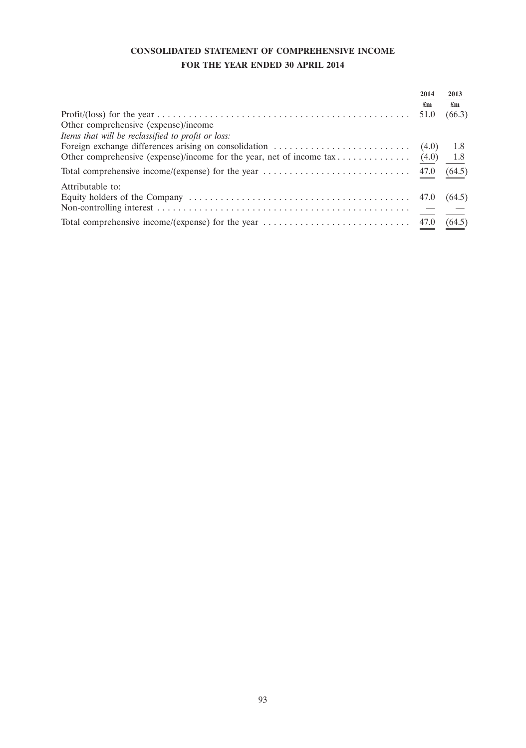# **CONSOLIDATED STATEMENT OF COMPREHENSIVE INCOME FOR THE YEAR ENDED 30 APRIL 2014**

|                                                                                                                                        | 2014<br>$\mathbf{f}_{\mathbf{m}}$ | 2013<br>$\mathbf{f}_{\mathbf{m}}$ |
|----------------------------------------------------------------------------------------------------------------------------------------|-----------------------------------|-----------------------------------|
|                                                                                                                                        | 51.0                              | (66.3)                            |
| Other comprehensive (expense)/income                                                                                                   |                                   |                                   |
| Items that will be reclassified to profit or loss:                                                                                     |                                   |                                   |
| Foreign exchange differences arising on consolidation $\dots \dots \dots \dots \dots \dots \dots$ (4.0) 1.8                            |                                   |                                   |
|                                                                                                                                        |                                   |                                   |
| Total comprehensive income/(expense) for the year $\dots \dots \dots \dots \dots \dots \dots \dots \dots$ 47.0                         |                                   | (64.5)                            |
| Attributable to:                                                                                                                       |                                   |                                   |
|                                                                                                                                        |                                   | (64.5)                            |
|                                                                                                                                        |                                   |                                   |
| Total comprehensive income/(expense) for the year $\dots \dots \dots \dots \dots \dots \dots \dots \dots \dots \dots \dots \tag{64.5}$ |                                   |                                   |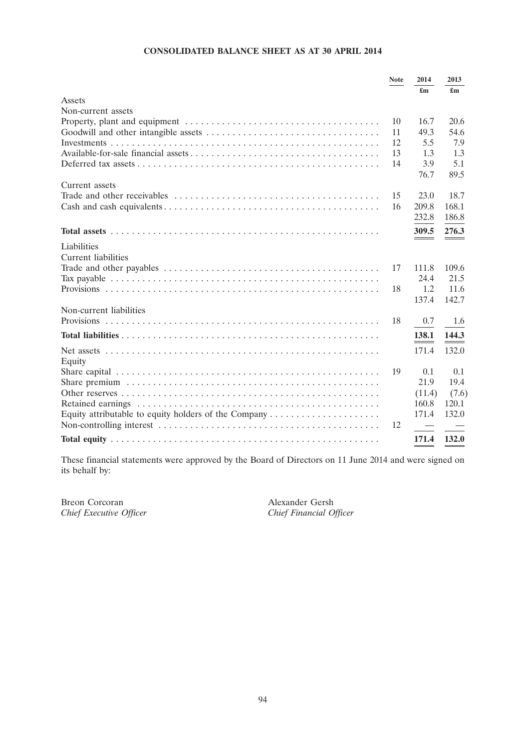## **CONSOLIDATED BALANCE SHEET AS AT 30 APRIL 2014**

|                                                                                            | <b>Note</b> | 2014   | 2013  |
|--------------------------------------------------------------------------------------------|-------------|--------|-------|
|                                                                                            |             | £m     | £m    |
| Assets                                                                                     |             |        |       |
| Non-current assets                                                                         |             |        |       |
|                                                                                            | 10          | 16.7   | 20.6  |
|                                                                                            | 11          | 49.3   | 54.6  |
|                                                                                            | 12          | 5.5    | 7.9   |
|                                                                                            | 13          | 1.3    | 1.3   |
|                                                                                            | 14          | 3.9    | 5.1   |
|                                                                                            |             | 76.7   | 89.5  |
| Current assets                                                                             |             |        |       |
|                                                                                            | 15          | 23.0   | 18.7  |
|                                                                                            | 16          | 209.8  | 168.1 |
|                                                                                            |             | 232.8  | 186.8 |
|                                                                                            |             | 309.5  | 276.3 |
|                                                                                            |             |        |       |
| Liabilities<br><b>Current liabilities</b>                                                  |             |        |       |
|                                                                                            | 17          | 111.8  | 109.6 |
|                                                                                            |             | 24.4   | 21.5  |
|                                                                                            | 18          | 1.2    | 11.6  |
|                                                                                            |             | 137.4  | 142.7 |
| Non-current liabilities                                                                    |             |        |       |
|                                                                                            | 18          | 0.7    | 1.6   |
|                                                                                            |             |        |       |
|                                                                                            |             | 138.1  | 144.3 |
|                                                                                            |             | 171.4  | 132.0 |
| Equity                                                                                     |             |        |       |
|                                                                                            | 19          | 0.1    | 0.1   |
|                                                                                            |             | 21.9   | 19.4  |
|                                                                                            |             | (11.4) | (7.6) |
|                                                                                            |             | 160.8  | 120.1 |
| Equity attributable to equity holders of the Company $\dots \dots \dots \dots \dots \dots$ |             | 171.4  | 132.0 |
|                                                                                            | 12          |        |       |
|                                                                                            |             | 171.4  | 132.0 |
|                                                                                            |             |        |       |

These financial statements were approved by the Board of Directors on 11 June 2014 and were signed on its behalf by:

Breon Corcoran Alexander Gersh<br>
Chief Executive Officer Chief Financial Officer *Chief Executive Officer Chief Financial Officer*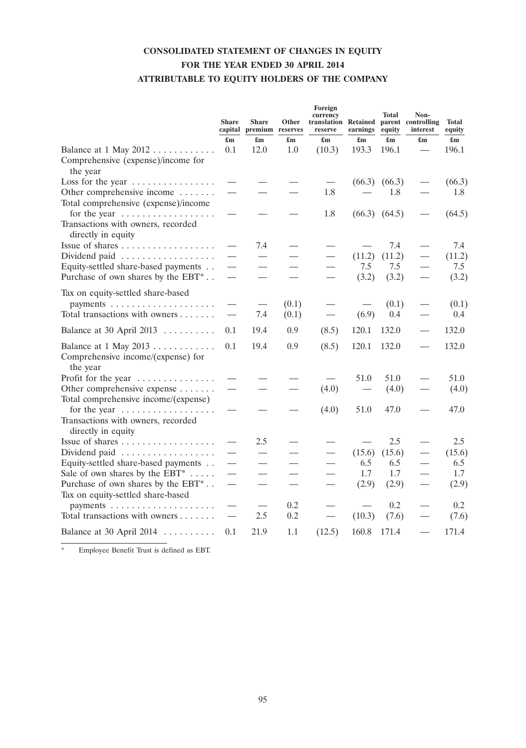# **CONSOLIDATED STATEMENT OF CHANGES IN EQUITY FOR THE YEAR ENDED 30 APRIL 2014 ATTRIBUTABLE TO EQUITY HOLDERS OF THE COMPANY**

|                                                                                     | <b>Share</b><br>$\mathbf{f}_{\mathbf{m}}$ | <b>Share</b><br>capital premium reserves<br>$\mathbf{f}_{\mathbf{m}}$ | Other<br>$\mathbf{f}_{\mathbf{m}}$ | Foreign<br>currency<br>translation Retained<br>reserve<br>$\mathbf{f}_{\mathbf{m}}$ | earnings                        | <b>Total</b><br>equity<br>$\mathbf{f}_{\mathbf{m}}$ | Non-<br>parent controlling<br>interest<br>$\mathbf{f}_{\mathbf{m}}$ | <b>Total</b><br>equity<br>$\mathbf{f}_{\mathbf{m}}$ |
|-------------------------------------------------------------------------------------|-------------------------------------------|-----------------------------------------------------------------------|------------------------------------|-------------------------------------------------------------------------------------|---------------------------------|-----------------------------------------------------|---------------------------------------------------------------------|-----------------------------------------------------|
| Balance at 1 May 2012                                                               | 0.1                                       | 12.0                                                                  | 1.0                                | (10.3)                                                                              | 193.3                           | 196.1                                               |                                                                     | 196.1                                               |
| Comprehensive (expense)/income for<br>the year                                      |                                           |                                                                       |                                    |                                                                                     |                                 |                                                     |                                                                     |                                                     |
| Loss for the year                                                                   |                                           |                                                                       |                                    |                                                                                     | (66.3)                          | (66.3)                                              |                                                                     | (66.3)                                              |
| Other comprehensive income<br>Total comprehensive (expense)/income                  |                                           |                                                                       |                                    | 1.8                                                                                 |                                 | 1.8                                                 |                                                                     | 1.8                                                 |
| for the year<br>Transactions with owners, recorded<br>directly in equity            | $\overbrace{\phantom{aaaaa}}$             |                                                                       |                                    | 1.8                                                                                 | (66.3)                          | (64.5)                                              |                                                                     | (64.5)                                              |
|                                                                                     |                                           | 7.4                                                                   |                                    |                                                                                     |                                 | 7.4                                                 |                                                                     | 7.4                                                 |
| Dividend paid                                                                       |                                           |                                                                       |                                    |                                                                                     | (11.2)                          | (11.2)                                              |                                                                     | (11.2)                                              |
| Equity-settled share-based payments                                                 |                                           |                                                                       |                                    |                                                                                     | 7.5                             | 7.5                                                 |                                                                     | 7.5                                                 |
| Purchase of own shares by the EBT <sup>*</sup>                                      |                                           |                                                                       |                                    |                                                                                     | (3.2)                           | (3.2)                                               |                                                                     | (3.2)                                               |
| Tax on equity-settled share-based                                                   |                                           |                                                                       |                                    |                                                                                     |                                 |                                                     |                                                                     |                                                     |
|                                                                                     |                                           |                                                                       | (0.1)                              |                                                                                     |                                 | (0.1)                                               |                                                                     | (0.1)                                               |
| Total transactions with owners                                                      |                                           | 7.4                                                                   | (0.1)                              |                                                                                     | (6.9)                           | 0.4                                                 |                                                                     | 0.4                                                 |
| Balance at 30 April 2013                                                            | 0.1                                       | 19.4                                                                  | 0.9                                | (8.5)                                                                               | 120.1                           | 132.0                                               |                                                                     | 132.0                                               |
| Balance at $1$ May $2013$<br>Comprehensive income/(expense) for<br>the year         | 0.1                                       | 19.4                                                                  | 0.9                                | (8.5)                                                                               | 120.1                           | 132.0                                               |                                                                     | 132.0                                               |
| Profit for the year                                                                 |                                           |                                                                       |                                    |                                                                                     | 51.0                            | 51.0                                                |                                                                     | 51.0                                                |
| Other comprehensive expense<br>Total comprehensive income/(expense)                 |                                           |                                                                       |                                    | (4.0)                                                                               | $\overbrace{\qquad \qquad }^{}$ | (4.0)                                               |                                                                     | (4.0)                                               |
| for the year                                                                        |                                           |                                                                       |                                    | (4.0)                                                                               | 51.0                            | 47.0                                                |                                                                     | 47.0                                                |
| Transactions with owners, recorded<br>directly in equity                            |                                           |                                                                       |                                    |                                                                                     |                                 |                                                     |                                                                     |                                                     |
|                                                                                     |                                           | 2.5                                                                   |                                    |                                                                                     |                                 | 2.5                                                 |                                                                     | 2.5                                                 |
| Dividend paid                                                                       |                                           |                                                                       |                                    |                                                                                     | (15.6)                          | (15.6)                                              |                                                                     | (15.6)                                              |
| Equity-settled share-based payments                                                 | $\qquad \qquad$                           |                                                                       |                                    |                                                                                     | 6.5                             | 6.5                                                 |                                                                     | 6.5                                                 |
| Sale of own shares by the $EBT^*$                                                   | $\qquad \qquad$                           |                                                                       |                                    | $\qquad \qquad$                                                                     | 1.7                             | 1.7                                                 | $\overline{\phantom{0}}$                                            | 1.7                                                 |
| Purchase of own shares by the EBT <sup>*</sup><br>Tax on equity-settled share-based | $\overline{\phantom{0}}$                  |                                                                       |                                    |                                                                                     | (2.9)                           | (2.9)                                               |                                                                     | (2.9)                                               |
|                                                                                     |                                           |                                                                       | 0.2                                |                                                                                     |                                 | 0.2                                                 |                                                                     | 0.2                                                 |
| Total transactions with owners                                                      |                                           | 2.5                                                                   | 0.2                                |                                                                                     | (10.3)                          | (7.6)                                               |                                                                     | (7.6)                                               |
| Balance at 30 April 2014                                                            | 0.1                                       | 21.9                                                                  | 1.1                                | (12.5)                                                                              | 160.8                           | 171.4                                               |                                                                     | 171.4                                               |
|                                                                                     |                                           |                                                                       |                                    |                                                                                     |                                 |                                                     |                                                                     |                                                     |

\* Employee Benefit Trust is defined as EBT.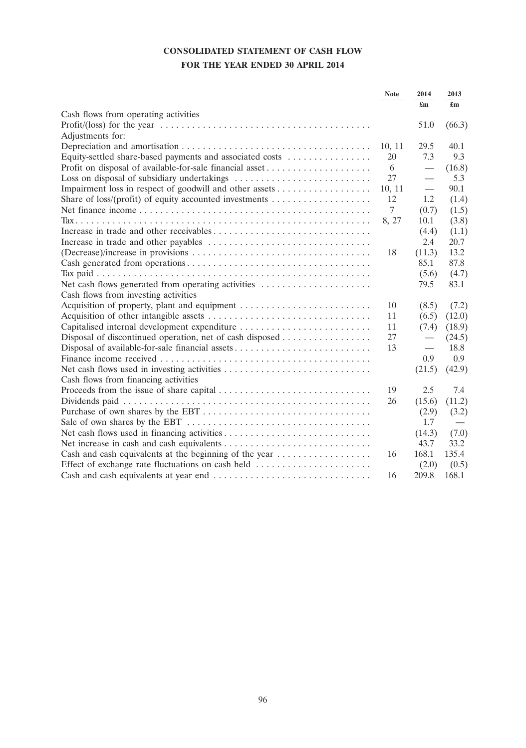# **CONSOLIDATED STATEMENT OF CASH FLOW FOR THE YEAR ENDED 30 APRIL 2014**

|                                                                                         | <b>Note</b> | 2014                             | 2013                      |
|-----------------------------------------------------------------------------------------|-------------|----------------------------------|---------------------------|
|                                                                                         |             | £m                               | $\mathbf{f}_{\mathbf{m}}$ |
| Cash flows from operating activities                                                    |             |                                  |                           |
|                                                                                         |             | 51.0                             | (66.3)                    |
| Adjustments for:                                                                        |             |                                  |                           |
|                                                                                         | 10, 11      | 29.5                             | 40.1                      |
| Equity-settled share-based payments and associated costs                                | 20          | 7.3                              | 9.3                       |
|                                                                                         | 6           | $\overbrace{\qquad \qquad }^{}$  | (16.8)                    |
|                                                                                         | 27          |                                  | 5.3                       |
|                                                                                         | 10, 11      | $\overbrace{\phantom{12322111}}$ | 90.1                      |
| Share of loss/(profit) of equity accounted investments $\dots\dots\dots\dots\dots\dots$ | 12          | 1.2                              | (1.4)                     |
|                                                                                         | $\tau$      | (0.7)                            | (1.5)                     |
|                                                                                         | 8, 27       | 10.1                             | (3.8)                     |
|                                                                                         |             | (4.4)                            | (1.1)                     |
|                                                                                         |             | 2.4                              | 20.7                      |
|                                                                                         | 18          | (11.3)                           | 13.2                      |
|                                                                                         |             | 85.1                             | 87.8                      |
|                                                                                         |             | (5.6)                            | (4.7)                     |
|                                                                                         |             | 79.5                             | 83.1                      |
| Cash flows from investing activities                                                    |             |                                  |                           |
|                                                                                         | 10          | (8.5)                            | (7.2)                     |
|                                                                                         | 11          | (6.5)                            | (12.0)                    |
| Capitalised internal development expenditure                                            | 11          | (7.4)                            | (18.9)                    |
| Disposal of discontinued operation, net of cash disposed                                | 27          |                                  | (24.5)                    |
| Disposal of available-for-sale financial assets                                         | 13          |                                  | 18.8                      |
|                                                                                         |             | 0.9                              | 0.9                       |
|                                                                                         |             | (21.5)                           | (42.9)                    |
| Cash flows from financing activities                                                    |             |                                  |                           |
|                                                                                         | 19          | 2.5                              | 7.4                       |
|                                                                                         | 26          | (15.6)                           | (11.2)                    |
|                                                                                         |             | (2.9)                            | (3.2)                     |
|                                                                                         |             | 1.7                              |                           |
|                                                                                         |             | (14.3)                           | (7.0)                     |
|                                                                                         |             | 43.7                             | 33.2                      |
| Cash and cash equivalents at the beginning of the year                                  | 16          | 168.1                            | 135.4                     |
|                                                                                         |             | (2.0)                            | (0.5)                     |
|                                                                                         | 16          | 209.8                            | 168.1                     |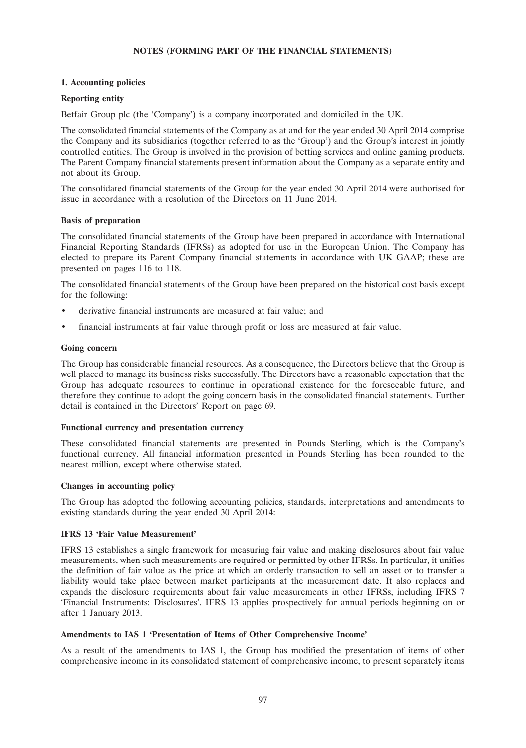## **NOTES (FORMING PART OF THE FINANCIAL STATEMENTS)**

## **1. Accounting policies**

## **Reporting entity**

Betfair Group plc (the 'Company') is a company incorporated and domiciled in the UK.

The consolidated financial statements of the Company as at and for the year ended 30 April 2014 comprise the Company and its subsidiaries (together referred to as the 'Group') and the Group's interest in jointly controlled entities. The Group is involved in the provision of betting services and online gaming products. The Parent Company financial statements present information about the Company as a separate entity and not about its Group.

The consolidated financial statements of the Group for the year ended 30 April 2014 were authorised for issue in accordance with a resolution of the Directors on 11 June 2014.

## **Basis of preparation**

The consolidated financial statements of the Group have been prepared in accordance with International Financial Reporting Standards (IFRSs) as adopted for use in the European Union. The Company has elected to prepare its Parent Company financial statements in accordance with UK GAAP; these are presented on pages 116 to 118.

The consolidated financial statements of the Group have been prepared on the historical cost basis except for the following:

- derivative financial instruments are measured at fair value; and
- financial instruments at fair value through profit or loss are measured at fair value.

## **Going concern**

The Group has considerable financial resources. As a consequence, the Directors believe that the Group is well placed to manage its business risks successfully. The Directors have a reasonable expectation that the Group has adequate resources to continue in operational existence for the foreseeable future, and therefore they continue to adopt the going concern basis in the consolidated financial statements. Further detail is contained in the Directors' Report on page 69.

## **Functional currency and presentation currency**

These consolidated financial statements are presented in Pounds Sterling, which is the Company's functional currency. All financial information presented in Pounds Sterling has been rounded to the nearest million, except where otherwise stated.

## **Changes in accounting policy**

The Group has adopted the following accounting policies, standards, interpretations and amendments to existing standards during the year ended 30 April 2014:

## **IFRS 13 'Fair Value Measurement'**

IFRS 13 establishes a single framework for measuring fair value and making disclosures about fair value measurements, when such measurements are required or permitted by other IFRSs. In particular, it unifies the definition of fair value as the price at which an orderly transaction to sell an asset or to transfer a liability would take place between market participants at the measurement date. It also replaces and expands the disclosure requirements about fair value measurements in other IFRSs, including IFRS 7 'Financial Instruments: Disclosures'. IFRS 13 applies prospectively for annual periods beginning on or after 1 January 2013.

## **Amendments to IAS 1 'Presentation of Items of Other Comprehensive Income'**

As a result of the amendments to IAS 1, the Group has modified the presentation of items of other comprehensive income in its consolidated statement of comprehensive income, to present separately items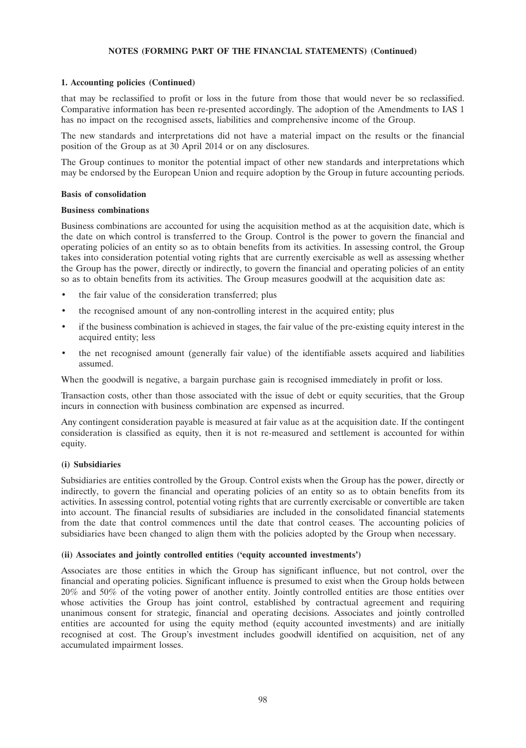#### **1. Accounting policies (Continued)**

that may be reclassified to profit or loss in the future from those that would never be so reclassified. Comparative information has been re-presented accordingly. The adoption of the Amendments to IAS 1 has no impact on the recognised assets, liabilities and comprehensive income of the Group.

The new standards and interpretations did not have a material impact on the results or the financial position of the Group as at 30 April 2014 or on any disclosures.

The Group continues to monitor the potential impact of other new standards and interpretations which may be endorsed by the European Union and require adoption by the Group in future accounting periods.

#### **Basis of consolidation**

#### **Business combinations**

Business combinations are accounted for using the acquisition method as at the acquisition date, which is the date on which control is transferred to the Group. Control is the power to govern the financial and operating policies of an entity so as to obtain benefits from its activities. In assessing control, the Group takes into consideration potential voting rights that are currently exercisable as well as assessing whether the Group has the power, directly or indirectly, to govern the financial and operating policies of an entity so as to obtain benefits from its activities. The Group measures goodwill at the acquisition date as:

- the fair value of the consideration transferred; plus
- the recognised amount of any non-controlling interest in the acquired entity; plus
- if the business combination is achieved in stages, the fair value of the pre-existing equity interest in the acquired entity; less
- the net recognised amount (generally fair value) of the identifiable assets acquired and liabilities assumed.

When the goodwill is negative, a bargain purchase gain is recognised immediately in profit or loss.

Transaction costs, other than those associated with the issue of debt or equity securities, that the Group incurs in connection with business combination are expensed as incurred.

Any contingent consideration payable is measured at fair value as at the acquisition date. If the contingent consideration is classified as equity, then it is not re-measured and settlement is accounted for within equity.

#### **(i) Subsidiaries**

Subsidiaries are entities controlled by the Group. Control exists when the Group has the power, directly or indirectly, to govern the financial and operating policies of an entity so as to obtain benefits from its activities. In assessing control, potential voting rights that are currently exercisable or convertible are taken into account. The financial results of subsidiaries are included in the consolidated financial statements from the date that control commences until the date that control ceases. The accounting policies of subsidiaries have been changed to align them with the policies adopted by the Group when necessary.

#### **(ii) Associates and jointly controlled entities ('equity accounted investments')**

Associates are those entities in which the Group has significant influence, but not control, over the financial and operating policies. Significant influence is presumed to exist when the Group holds between 20% and 50% of the voting power of another entity. Jointly controlled entities are those entities over whose activities the Group has joint control, established by contractual agreement and requiring unanimous consent for strategic, financial and operating decisions. Associates and jointly controlled entities are accounted for using the equity method (equity accounted investments) and are initially recognised at cost. The Group's investment includes goodwill identified on acquisition, net of any accumulated impairment losses.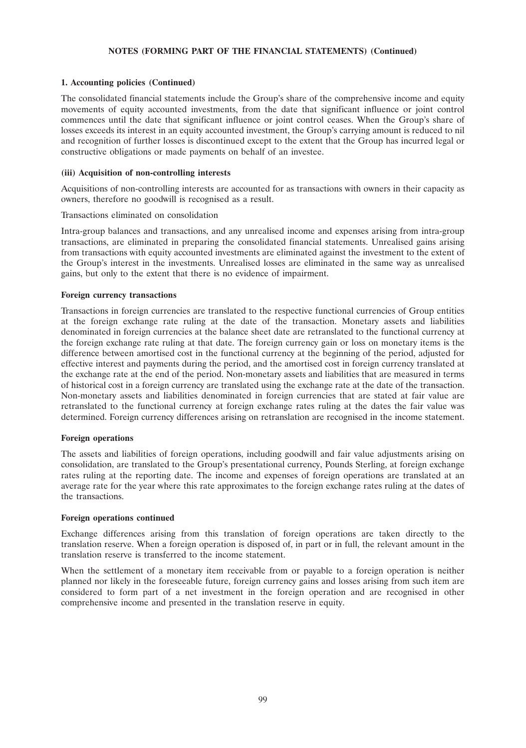## **1. Accounting policies (Continued)**

The consolidated financial statements include the Group's share of the comprehensive income and equity movements of equity accounted investments, from the date that significant influence or joint control commences until the date that significant influence or joint control ceases. When the Group's share of losses exceeds its interest in an equity accounted investment, the Group's carrying amount is reduced to nil and recognition of further losses is discontinued except to the extent that the Group has incurred legal or constructive obligations or made payments on behalf of an investee.

## **(iii) Acquisition of non-controlling interests**

Acquisitions of non-controlling interests are accounted for as transactions with owners in their capacity as owners, therefore no goodwill is recognised as a result.

## Transactions eliminated on consolidation

Intra-group balances and transactions, and any unrealised income and expenses arising from intra-group transactions, are eliminated in preparing the consolidated financial statements. Unrealised gains arising from transactions with equity accounted investments are eliminated against the investment to the extent of the Group's interest in the investments. Unrealised losses are eliminated in the same way as unrealised gains, but only to the extent that there is no evidence of impairment.

## **Foreign currency transactions**

Transactions in foreign currencies are translated to the respective functional currencies of Group entities at the foreign exchange rate ruling at the date of the transaction. Monetary assets and liabilities denominated in foreign currencies at the balance sheet date are retranslated to the functional currency at the foreign exchange rate ruling at that date. The foreign currency gain or loss on monetary items is the difference between amortised cost in the functional currency at the beginning of the period, adjusted for effective interest and payments during the period, and the amortised cost in foreign currency translated at the exchange rate at the end of the period. Non-monetary assets and liabilities that are measured in terms of historical cost in a foreign currency are translated using the exchange rate at the date of the transaction. Non-monetary assets and liabilities denominated in foreign currencies that are stated at fair value are retranslated to the functional currency at foreign exchange rates ruling at the dates the fair value was determined. Foreign currency differences arising on retranslation are recognised in the income statement.

## **Foreign operations**

The assets and liabilities of foreign operations, including goodwill and fair value adjustments arising on consolidation, are translated to the Group's presentational currency, Pounds Sterling, at foreign exchange rates ruling at the reporting date. The income and expenses of foreign operations are translated at an average rate for the year where this rate approximates to the foreign exchange rates ruling at the dates of the transactions.

## **Foreign operations continued**

Exchange differences arising from this translation of foreign operations are taken directly to the translation reserve. When a foreign operation is disposed of, in part or in full, the relevant amount in the translation reserve is transferred to the income statement.

When the settlement of a monetary item receivable from or payable to a foreign operation is neither planned nor likely in the foreseeable future, foreign currency gains and losses arising from such item are considered to form part of a net investment in the foreign operation and are recognised in other comprehensive income and presented in the translation reserve in equity.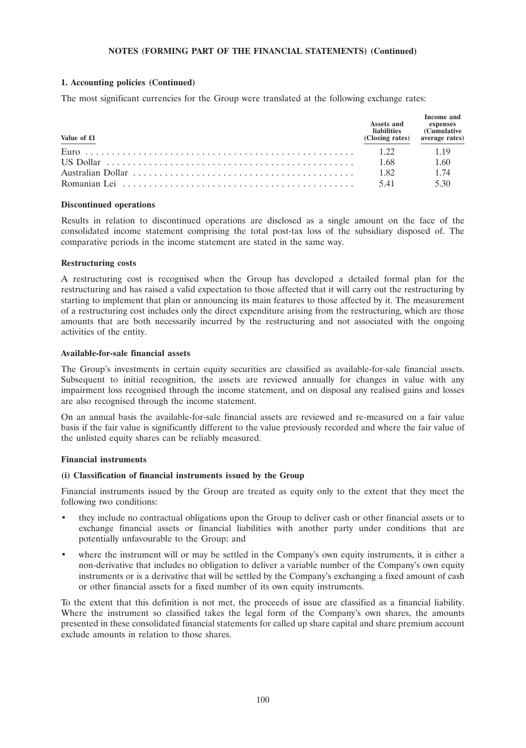## **1. Accounting policies (Continued)**

The most significant currencies for the Group were translated at the following exchange rates:

| Value of £1 | Assets and<br><b>liabilities</b><br>(Closing rates) | Income and<br>expenses<br><b>Cumulative</b><br>average rates) |
|-------------|-----------------------------------------------------|---------------------------------------------------------------|
|             | 122                                                 | 1 1 9                                                         |
|             | 1.68                                                | 1.60                                                          |
|             | 1.82                                                | 1.74                                                          |
|             | 541                                                 | 530                                                           |

#### **Discontinued operations**

Results in relation to discontinued operations are disclosed as a single amount on the face of the consolidated income statement comprising the total post-tax loss of the subsidiary disposed of. The comparative periods in the income statement are stated in the same way.

#### **Restructuring costs**

A restructuring cost is recognised when the Group has developed a detailed formal plan for the restructuring and has raised a valid expectation to those affected that it will carry out the restructuring by starting to implement that plan or announcing its main features to those affected by it. The measurement of a restructuring cost includes only the direct expenditure arising from the restructuring, which are those amounts that are both necessarily incurred by the restructuring and not associated with the ongoing activities of the entity.

#### **Available-for-sale financial assets**

The Group's investments in certain equity securities are classified as available-for-sale financial assets. Subsequent to initial recognition, the assets are reviewed annually for changes in value with any impairment loss recognised through the income statement, and on disposal any realised gains and losses are also recognised through the income statement.

On an annual basis the available-for-sale financial assets are reviewed and re-measured on a fair value basis if the fair value is significantly different to the value previously recorded and where the fair value of the unlisted equity shares can be reliably measured.

## **Financial instruments**

#### **(i) Classification of financial instruments issued by the Group**

Financial instruments issued by the Group are treated as equity only to the extent that they meet the following two conditions:

- they include no contractual obligations upon the Group to deliver cash or other financial assets or to exchange financial assets or financial liabilities with another party under conditions that are potentially unfavourable to the Group; and
- where the instrument will or may be settled in the Company's own equity instruments, it is either a non-derivative that includes no obligation to deliver a variable number of the Company's own equity instruments or is a derivative that will be settled by the Company's exchanging a fixed amount of cash or other financial assets for a fixed number of its own equity instruments.

To the extent that this definition is not met, the proceeds of issue are classified as a financial liability. Where the instrument so classified takes the legal form of the Company's own shares, the amounts presented in these consolidated financial statements for called up share capital and share premium account exclude amounts in relation to those shares.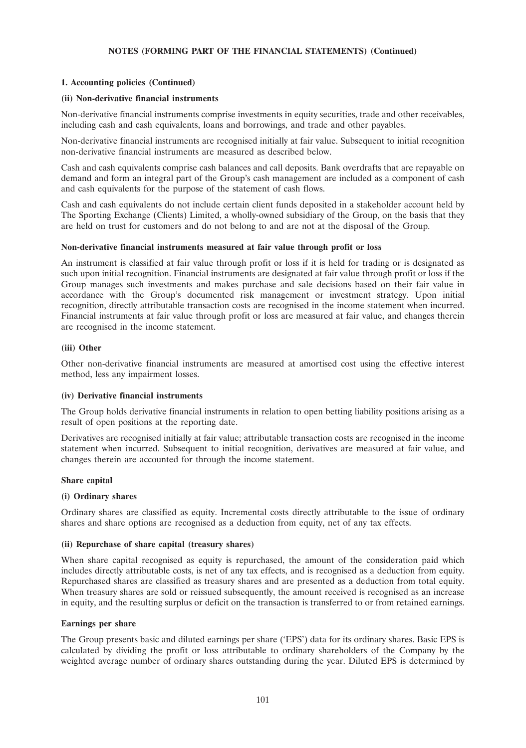## **1. Accounting policies (Continued)**

## **(ii) Non-derivative financial instruments**

Non-derivative financial instruments comprise investments in equity securities, trade and other receivables, including cash and cash equivalents, loans and borrowings, and trade and other payables.

Non-derivative financial instruments are recognised initially at fair value. Subsequent to initial recognition non-derivative financial instruments are measured as described below.

Cash and cash equivalents comprise cash balances and call deposits. Bank overdrafts that are repayable on demand and form an integral part of the Group's cash management are included as a component of cash and cash equivalents for the purpose of the statement of cash flows.

Cash and cash equivalents do not include certain client funds deposited in a stakeholder account held by The Sporting Exchange (Clients) Limited, a wholly-owned subsidiary of the Group, on the basis that they are held on trust for customers and do not belong to and are not at the disposal of the Group.

## **Non-derivative financial instruments measured at fair value through profit or loss**

An instrument is classified at fair value through profit or loss if it is held for trading or is designated as such upon initial recognition. Financial instruments are designated at fair value through profit or loss if the Group manages such investments and makes purchase and sale decisions based on their fair value in accordance with the Group's documented risk management or investment strategy. Upon initial recognition, directly attributable transaction costs are recognised in the income statement when incurred. Financial instruments at fair value through profit or loss are measured at fair value, and changes therein are recognised in the income statement.

## **(iii) Other**

Other non-derivative financial instruments are measured at amortised cost using the effective interest method, less any impairment losses.

#### **(iv) Derivative financial instruments**

The Group holds derivative financial instruments in relation to open betting liability positions arising as a result of open positions at the reporting date.

Derivatives are recognised initially at fair value; attributable transaction costs are recognised in the income statement when incurred. Subsequent to initial recognition, derivatives are measured at fair value, and changes therein are accounted for through the income statement.

#### **Share capital**

#### **(i) Ordinary shares**

Ordinary shares are classified as equity. Incremental costs directly attributable to the issue of ordinary shares and share options are recognised as a deduction from equity, net of any tax effects.

## **(ii) Repurchase of share capital (treasury shares)**

When share capital recognised as equity is repurchased, the amount of the consideration paid which includes directly attributable costs, is net of any tax effects, and is recognised as a deduction from equity. Repurchased shares are classified as treasury shares and are presented as a deduction from total equity. When treasury shares are sold or reissued subsequently, the amount received is recognised as an increase in equity, and the resulting surplus or deficit on the transaction is transferred to or from retained earnings.

#### **Earnings per share**

The Group presents basic and diluted earnings per share ('EPS') data for its ordinary shares. Basic EPS is calculated by dividing the profit or loss attributable to ordinary shareholders of the Company by the weighted average number of ordinary shares outstanding during the year. Diluted EPS is determined by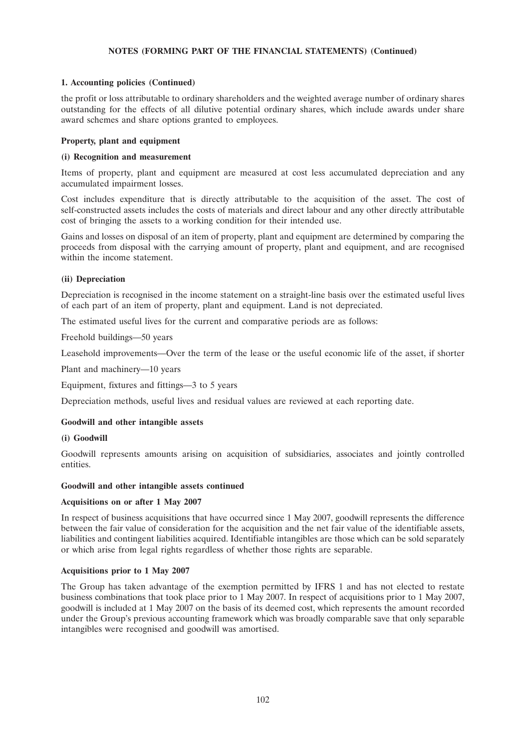## **1. Accounting policies (Continued)**

the profit or loss attributable to ordinary shareholders and the weighted average number of ordinary shares outstanding for the effects of all dilutive potential ordinary shares, which include awards under share award schemes and share options granted to employees.

## **Property, plant and equipment**

## **(i) Recognition and measurement**

Items of property, plant and equipment are measured at cost less accumulated depreciation and any accumulated impairment losses.

Cost includes expenditure that is directly attributable to the acquisition of the asset. The cost of self-constructed assets includes the costs of materials and direct labour and any other directly attributable cost of bringing the assets to a working condition for their intended use.

Gains and losses on disposal of an item of property, plant and equipment are determined by comparing the proceeds from disposal with the carrying amount of property, plant and equipment, and are recognised within the income statement.

## **(ii) Depreciation**

Depreciation is recognised in the income statement on a straight-line basis over the estimated useful lives of each part of an item of property, plant and equipment. Land is not depreciated.

The estimated useful lives for the current and comparative periods are as follows:

Freehold buildings—50 years

Leasehold improvements—Over the term of the lease or the useful economic life of the asset, if shorter

Plant and machinery—10 years

Equipment, fixtures and fittings—3 to 5 years

Depreciation methods, useful lives and residual values are reviewed at each reporting date.

## **Goodwill and other intangible assets**

## **(i) Goodwill**

Goodwill represents amounts arising on acquisition of subsidiaries, associates and jointly controlled entities.

## **Goodwill and other intangible assets continued**

## **Acquisitions on or after 1 May 2007**

In respect of business acquisitions that have occurred since 1 May 2007, goodwill represents the difference between the fair value of consideration for the acquisition and the net fair value of the identifiable assets, liabilities and contingent liabilities acquired. Identifiable intangibles are those which can be sold separately or which arise from legal rights regardless of whether those rights are separable.

## **Acquisitions prior to 1 May 2007**

The Group has taken advantage of the exemption permitted by IFRS 1 and has not elected to restate business combinations that took place prior to 1 May 2007. In respect of acquisitions prior to 1 May 2007, goodwill is included at 1 May 2007 on the basis of its deemed cost, which represents the amount recorded under the Group's previous accounting framework which was broadly comparable save that only separable intangibles were recognised and goodwill was amortised.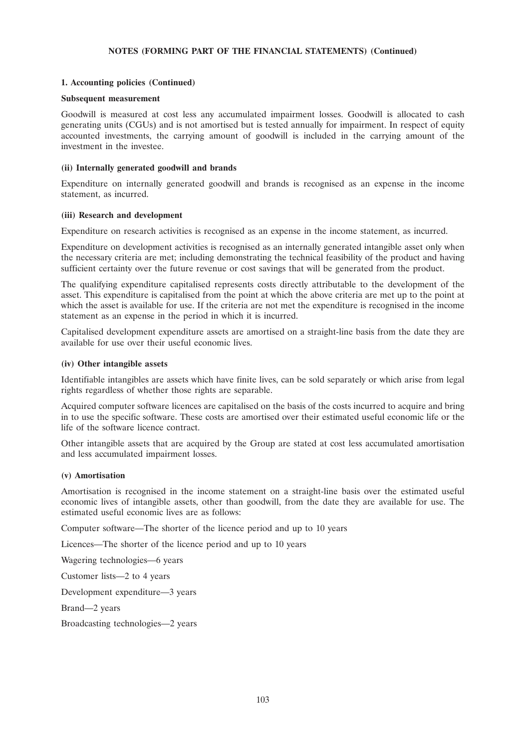### **1. Accounting policies (Continued)**

#### **Subsequent measurement**

Goodwill is measured at cost less any accumulated impairment losses. Goodwill is allocated to cash generating units (CGUs) and is not amortised but is tested annually for impairment. In respect of equity accounted investments, the carrying amount of goodwill is included in the carrying amount of the investment in the investee.

#### **(ii) Internally generated goodwill and brands**

Expenditure on internally generated goodwill and brands is recognised as an expense in the income statement, as incurred.

#### **(iii) Research and development**

Expenditure on research activities is recognised as an expense in the income statement, as incurred.

Expenditure on development activities is recognised as an internally generated intangible asset only when the necessary criteria are met; including demonstrating the technical feasibility of the product and having sufficient certainty over the future revenue or cost savings that will be generated from the product.

The qualifying expenditure capitalised represents costs directly attributable to the development of the asset. This expenditure is capitalised from the point at which the above criteria are met up to the point at which the asset is available for use. If the criteria are not met the expenditure is recognised in the income statement as an expense in the period in which it is incurred.

Capitalised development expenditure assets are amortised on a straight-line basis from the date they are available for use over their useful economic lives.

#### **(iv) Other intangible assets**

Identifiable intangibles are assets which have finite lives, can be sold separately or which arise from legal rights regardless of whether those rights are separable.

Acquired computer software licences are capitalised on the basis of the costs incurred to acquire and bring in to use the specific software. These costs are amortised over their estimated useful economic life or the life of the software licence contract.

Other intangible assets that are acquired by the Group are stated at cost less accumulated amortisation and less accumulated impairment losses.

#### **(v) Amortisation**

Amortisation is recognised in the income statement on a straight-line basis over the estimated useful economic lives of intangible assets, other than goodwill, from the date they are available for use. The estimated useful economic lives are as follows:

Computer software—The shorter of the licence period and up to 10 years

Licences—The shorter of the licence period and up to 10 years

Wagering technologies—6 years

Customer lists—2 to 4 years

Development expenditure—3 years

Brand—2 years

Broadcasting technologies—2 years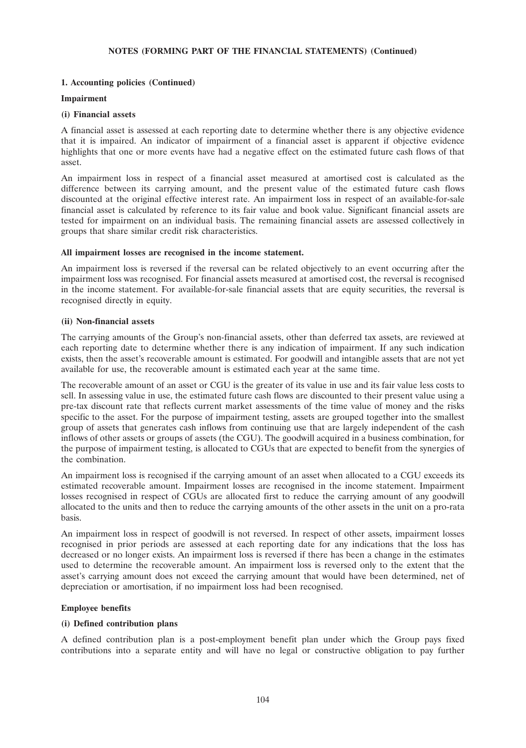## **1. Accounting policies (Continued)**

## **Impairment**

## **(i) Financial assets**

A financial asset is assessed at each reporting date to determine whether there is any objective evidence that it is impaired. An indicator of impairment of a financial asset is apparent if objective evidence highlights that one or more events have had a negative effect on the estimated future cash flows of that asset.

An impairment loss in respect of a financial asset measured at amortised cost is calculated as the difference between its carrying amount, and the present value of the estimated future cash flows discounted at the original effective interest rate. An impairment loss in respect of an available-for-sale financial asset is calculated by reference to its fair value and book value. Significant financial assets are tested for impairment on an individual basis. The remaining financial assets are assessed collectively in groups that share similar credit risk characteristics.

## **All impairment losses are recognised in the income statement.**

An impairment loss is reversed if the reversal can be related objectively to an event occurring after the impairment loss was recognised. For financial assets measured at amortised cost, the reversal is recognised in the income statement. For available-for-sale financial assets that are equity securities, the reversal is recognised directly in equity.

## **(ii) Non-financial assets**

The carrying amounts of the Group's non-financial assets, other than deferred tax assets, are reviewed at each reporting date to determine whether there is any indication of impairment. If any such indication exists, then the asset's recoverable amount is estimated. For goodwill and intangible assets that are not yet available for use, the recoverable amount is estimated each year at the same time.

The recoverable amount of an asset or CGU is the greater of its value in use and its fair value less costs to sell. In assessing value in use, the estimated future cash flows are discounted to their present value using a pre-tax discount rate that reflects current market assessments of the time value of money and the risks specific to the asset. For the purpose of impairment testing, assets are grouped together into the smallest group of assets that generates cash inflows from continuing use that are largely independent of the cash inflows of other assets or groups of assets (the CGU). The goodwill acquired in a business combination, for the purpose of impairment testing, is allocated to CGUs that are expected to benefit from the synergies of the combination.

An impairment loss is recognised if the carrying amount of an asset when allocated to a CGU exceeds its estimated recoverable amount. Impairment losses are recognised in the income statement. Impairment losses recognised in respect of CGUs are allocated first to reduce the carrying amount of any goodwill allocated to the units and then to reduce the carrying amounts of the other assets in the unit on a pro-rata basis.

An impairment loss in respect of goodwill is not reversed. In respect of other assets, impairment losses recognised in prior periods are assessed at each reporting date for any indications that the loss has decreased or no longer exists. An impairment loss is reversed if there has been a change in the estimates used to determine the recoverable amount. An impairment loss is reversed only to the extent that the asset's carrying amount does not exceed the carrying amount that would have been determined, net of depreciation or amortisation, if no impairment loss had been recognised.

## **Employee benefits**

## **(i) Defined contribution plans**

A defined contribution plan is a post-employment benefit plan under which the Group pays fixed contributions into a separate entity and will have no legal or constructive obligation to pay further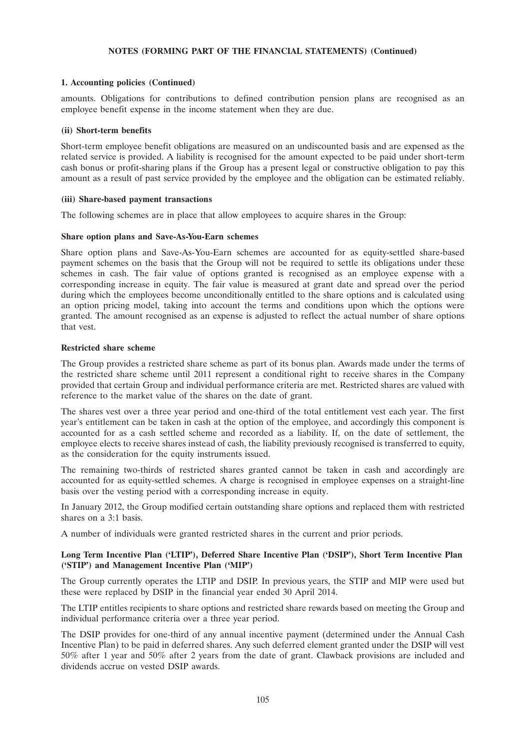### **1. Accounting policies (Continued)**

amounts. Obligations for contributions to defined contribution pension plans are recognised as an employee benefit expense in the income statement when they are due.

#### **(ii) Short-term benefits**

Short-term employee benefit obligations are measured on an undiscounted basis and are expensed as the related service is provided. A liability is recognised for the amount expected to be paid under short-term cash bonus or profit-sharing plans if the Group has a present legal or constructive obligation to pay this amount as a result of past service provided by the employee and the obligation can be estimated reliably.

#### **(iii) Share-based payment transactions**

The following schemes are in place that allow employees to acquire shares in the Group:

#### **Share option plans and Save-As-You-Earn schemes**

Share option plans and Save-As-You-Earn schemes are accounted for as equity-settled share-based payment schemes on the basis that the Group will not be required to settle its obligations under these schemes in cash. The fair value of options granted is recognised as an employee expense with a corresponding increase in equity. The fair value is measured at grant date and spread over the period during which the employees become unconditionally entitled to the share options and is calculated using an option pricing model, taking into account the terms and conditions upon which the options were granted. The amount recognised as an expense is adjusted to reflect the actual number of share options that vest.

## **Restricted share scheme**

The Group provides a restricted share scheme as part of its bonus plan. Awards made under the terms of the restricted share scheme until 2011 represent a conditional right to receive shares in the Company provided that certain Group and individual performance criteria are met. Restricted shares are valued with reference to the market value of the shares on the date of grant.

The shares vest over a three year period and one-third of the total entitlement vest each year. The first year's entitlement can be taken in cash at the option of the employee, and accordingly this component is accounted for as a cash settled scheme and recorded as a liability. If, on the date of settlement, the employee elects to receive shares instead of cash, the liability previously recognised is transferred to equity, as the consideration for the equity instruments issued.

The remaining two-thirds of restricted shares granted cannot be taken in cash and accordingly are accounted for as equity-settled schemes. A charge is recognised in employee expenses on a straight-line basis over the vesting period with a corresponding increase in equity.

In January 2012, the Group modified certain outstanding share options and replaced them with restricted shares on a 3:1 basis.

A number of individuals were granted restricted shares in the current and prior periods.

## **Long Term Incentive Plan ('LTIP'), Deferred Share Incentive Plan ('DSIP'), Short Term Incentive Plan ('STIP') and Management Incentive Plan ('MIP')**

The Group currently operates the LTIP and DSIP. In previous years, the STIP and MIP were used but these were replaced by DSIP in the financial year ended 30 April 2014.

The LTIP entitles recipients to share options and restricted share rewards based on meeting the Group and individual performance criteria over a three year period.

The DSIP provides for one-third of any annual incentive payment (determined under the Annual Cash Incentive Plan) to be paid in deferred shares. Any such deferred element granted under the DSIP will vest 50% after 1 year and 50% after 2 years from the date of grant. Clawback provisions are included and dividends accrue on vested DSIP awards.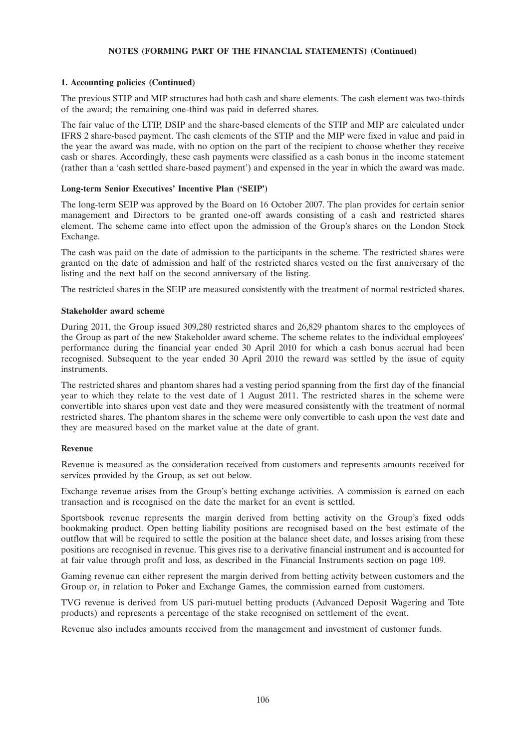# **1. Accounting policies (Continued)**

The previous STIP and MIP structures had both cash and share elements. The cash element was two-thirds of the award; the remaining one-third was paid in deferred shares.

The fair value of the LTIP, DSIP and the share-based elements of the STIP and MIP are calculated under IFRS 2 share-based payment. The cash elements of the STIP and the MIP were fixed in value and paid in the year the award was made, with no option on the part of the recipient to choose whether they receive cash or shares. Accordingly, these cash payments were classified as a cash bonus in the income statement (rather than a 'cash settled share-based payment') and expensed in the year in which the award was made.

# **Long-term Senior Executives' Incentive Plan ('SEIP')**

The long-term SEIP was approved by the Board on 16 October 2007. The plan provides for certain senior management and Directors to be granted one-off awards consisting of a cash and restricted shares element. The scheme came into effect upon the admission of the Group's shares on the London Stock Exchange.

The cash was paid on the date of admission to the participants in the scheme. The restricted shares were granted on the date of admission and half of the restricted shares vested on the first anniversary of the listing and the next half on the second anniversary of the listing.

The restricted shares in the SEIP are measured consistently with the treatment of normal restricted shares.

## **Stakeholder award scheme**

During 2011, the Group issued 309,280 restricted shares and 26,829 phantom shares to the employees of the Group as part of the new Stakeholder award scheme. The scheme relates to the individual employees' performance during the financial year ended 30 April 2010 for which a cash bonus accrual had been recognised. Subsequent to the year ended 30 April 2010 the reward was settled by the issue of equity instruments.

The restricted shares and phantom shares had a vesting period spanning from the first day of the financial year to which they relate to the vest date of 1 August 2011. The restricted shares in the scheme were convertible into shares upon vest date and they were measured consistently with the treatment of normal restricted shares. The phantom shares in the scheme were only convertible to cash upon the vest date and they are measured based on the market value at the date of grant.

## **Revenue**

Revenue is measured as the consideration received from customers and represents amounts received for services provided by the Group, as set out below.

Exchange revenue arises from the Group's betting exchange activities. A commission is earned on each transaction and is recognised on the date the market for an event is settled.

Sportsbook revenue represents the margin derived from betting activity on the Group's fixed odds bookmaking product. Open betting liability positions are recognised based on the best estimate of the outflow that will be required to settle the position at the balance sheet date, and losses arising from these positions are recognised in revenue. This gives rise to a derivative financial instrument and is accounted for at fair value through profit and loss, as described in the Financial Instruments section on page 109.

Gaming revenue can either represent the margin derived from betting activity between customers and the Group or, in relation to Poker and Exchange Games, the commission earned from customers.

TVG revenue is derived from US pari-mutuel betting products (Advanced Deposit Wagering and Tote products) and represents a percentage of the stake recognised on settlement of the event.

Revenue also includes amounts received from the management and investment of customer funds.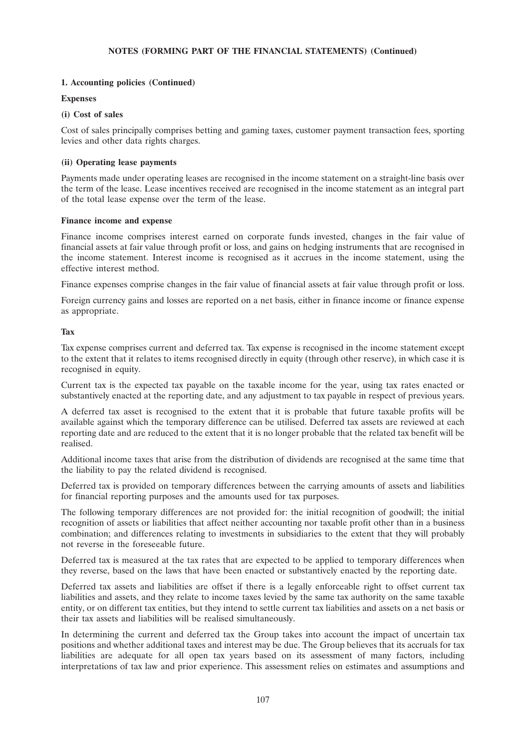# **1. Accounting policies (Continued)**

## **Expenses**

# **(i) Cost of sales**

Cost of sales principally comprises betting and gaming taxes, customer payment transaction fees, sporting levies and other data rights charges.

# **(ii) Operating lease payments**

Payments made under operating leases are recognised in the income statement on a straight-line basis over the term of the lease. Lease incentives received are recognised in the income statement as an integral part of the total lease expense over the term of the lease.

## **Finance income and expense**

Finance income comprises interest earned on corporate funds invested, changes in the fair value of financial assets at fair value through profit or loss, and gains on hedging instruments that are recognised in the income statement. Interest income is recognised as it accrues in the income statement, using the effective interest method.

Finance expenses comprise changes in the fair value of financial assets at fair value through profit or loss.

Foreign currency gains and losses are reported on a net basis, either in finance income or finance expense as appropriate.

# **Tax**

Tax expense comprises current and deferred tax. Tax expense is recognised in the income statement except to the extent that it relates to items recognised directly in equity (through other reserve), in which case it is recognised in equity.

Current tax is the expected tax payable on the taxable income for the year, using tax rates enacted or substantively enacted at the reporting date, and any adjustment to tax payable in respect of previous years.

A deferred tax asset is recognised to the extent that it is probable that future taxable profits will be available against which the temporary difference can be utilised. Deferred tax assets are reviewed at each reporting date and are reduced to the extent that it is no longer probable that the related tax benefit will be realised.

Additional income taxes that arise from the distribution of dividends are recognised at the same time that the liability to pay the related dividend is recognised.

Deferred tax is provided on temporary differences between the carrying amounts of assets and liabilities for financial reporting purposes and the amounts used for tax purposes.

The following temporary differences are not provided for: the initial recognition of goodwill; the initial recognition of assets or liabilities that affect neither accounting nor taxable profit other than in a business combination; and differences relating to investments in subsidiaries to the extent that they will probably not reverse in the foreseeable future.

Deferred tax is measured at the tax rates that are expected to be applied to temporary differences when they reverse, based on the laws that have been enacted or substantively enacted by the reporting date.

Deferred tax assets and liabilities are offset if there is a legally enforceable right to offset current tax liabilities and assets, and they relate to income taxes levied by the same tax authority on the same taxable entity, or on different tax entities, but they intend to settle current tax liabilities and assets on a net basis or their tax assets and liabilities will be realised simultaneously.

In determining the current and deferred tax the Group takes into account the impact of uncertain tax positions and whether additional taxes and interest may be due. The Group believes that its accruals for tax liabilities are adequate for all open tax years based on its assessment of many factors, including interpretations of tax law and prior experience. This assessment relies on estimates and assumptions and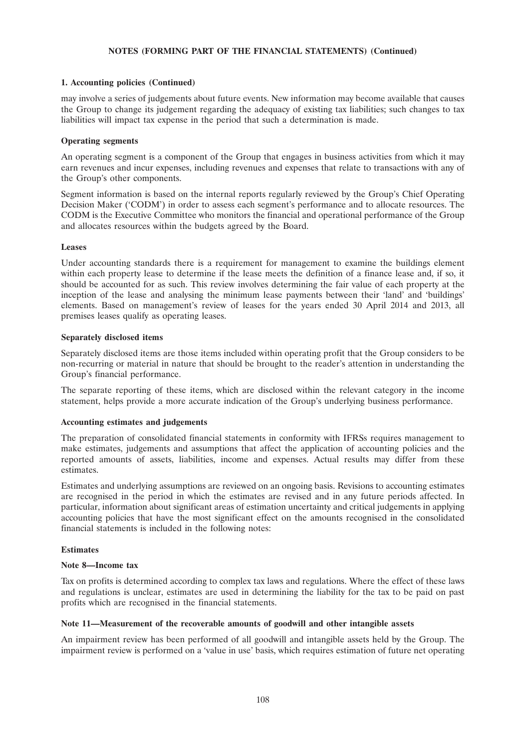# **1. Accounting policies (Continued)**

may involve a series of judgements about future events. New information may become available that causes the Group to change its judgement regarding the adequacy of existing tax liabilities; such changes to tax liabilities will impact tax expense in the period that such a determination is made.

# **Operating segments**

An operating segment is a component of the Group that engages in business activities from which it may earn revenues and incur expenses, including revenues and expenses that relate to transactions with any of the Group's other components.

Segment information is based on the internal reports regularly reviewed by the Group's Chief Operating Decision Maker ('CODM') in order to assess each segment's performance and to allocate resources. The CODM is the Executive Committee who monitors the financial and operational performance of the Group and allocates resources within the budgets agreed by the Board.

# **Leases**

Under accounting standards there is a requirement for management to examine the buildings element within each property lease to determine if the lease meets the definition of a finance lease and, if so, it should be accounted for as such. This review involves determining the fair value of each property at the inception of the lease and analysing the minimum lease payments between their 'land' and 'buildings' elements. Based on management's review of leases for the years ended 30 April 2014 and 2013, all premises leases qualify as operating leases.

## **Separately disclosed items**

Separately disclosed items are those items included within operating profit that the Group considers to be non-recurring or material in nature that should be brought to the reader's attention in understanding the Group's financial performance.

The separate reporting of these items, which are disclosed within the relevant category in the income statement, helps provide a more accurate indication of the Group's underlying business performance.

## **Accounting estimates and judgements**

The preparation of consolidated financial statements in conformity with IFRSs requires management to make estimates, judgements and assumptions that affect the application of accounting policies and the reported amounts of assets, liabilities, income and expenses. Actual results may differ from these estimates.

Estimates and underlying assumptions are reviewed on an ongoing basis. Revisions to accounting estimates are recognised in the period in which the estimates are revised and in any future periods affected. In particular, information about significant areas of estimation uncertainty and critical judgements in applying accounting policies that have the most significant effect on the amounts recognised in the consolidated financial statements is included in the following notes:

## **Estimates**

## **Note 8—Income tax**

Tax on profits is determined according to complex tax laws and regulations. Where the effect of these laws and regulations is unclear, estimates are used in determining the liability for the tax to be paid on past profits which are recognised in the financial statements.

## **Note 11—Measurement of the recoverable amounts of goodwill and other intangible assets**

An impairment review has been performed of all goodwill and intangible assets held by the Group. The impairment review is performed on a 'value in use' basis, which requires estimation of future net operating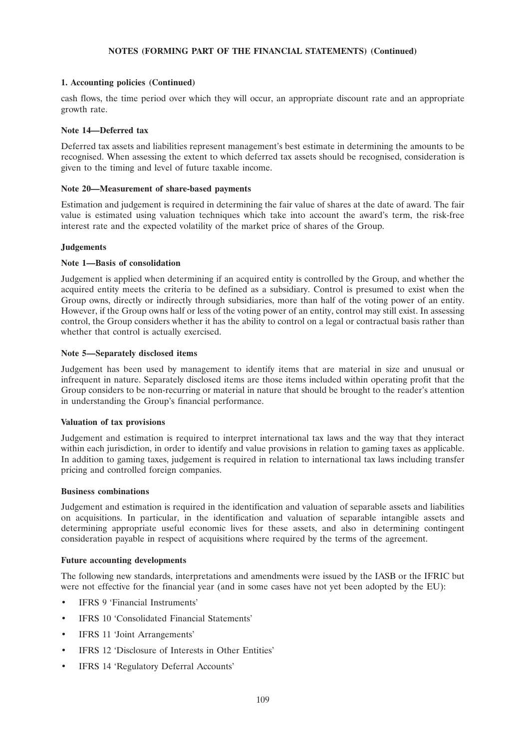# **1. Accounting policies (Continued)**

cash flows, the time period over which they will occur, an appropriate discount rate and an appropriate growth rate.

# **Note 14—Deferred tax**

Deferred tax assets and liabilities represent management's best estimate in determining the amounts to be recognised. When assessing the extent to which deferred tax assets should be recognised, consideration is given to the timing and level of future taxable income.

## **Note 20—Measurement of share-based payments**

Estimation and judgement is required in determining the fair value of shares at the date of award. The fair value is estimated using valuation techniques which take into account the award's term, the risk-free interest rate and the expected volatility of the market price of shares of the Group.

# **Judgements**

# **Note 1—Basis of consolidation**

Judgement is applied when determining if an acquired entity is controlled by the Group, and whether the acquired entity meets the criteria to be defined as a subsidiary. Control is presumed to exist when the Group owns, directly or indirectly through subsidiaries, more than half of the voting power of an entity. However, if the Group owns half or less of the voting power of an entity, control may still exist. In assessing control, the Group considers whether it has the ability to control on a legal or contractual basis rather than whether that control is actually exercised.

## **Note 5—Separately disclosed items**

Judgement has been used by management to identify items that are material in size and unusual or infrequent in nature. Separately disclosed items are those items included within operating profit that the Group considers to be non-recurring or material in nature that should be brought to the reader's attention in understanding the Group's financial performance.

## **Valuation of tax provisions**

Judgement and estimation is required to interpret international tax laws and the way that they interact within each jurisdiction, in order to identify and value provisions in relation to gaming taxes as applicable. In addition to gaming taxes, judgement is required in relation to international tax laws including transfer pricing and controlled foreign companies.

## **Business combinations**

Judgement and estimation is required in the identification and valuation of separable assets and liabilities on acquisitions. In particular, in the identification and valuation of separable intangible assets and determining appropriate useful economic lives for these assets, and also in determining contingent consideration payable in respect of acquisitions where required by the terms of the agreement.

## **Future accounting developments**

The following new standards, interpretations and amendments were issued by the IASB or the IFRIC but were not effective for the financial year (and in some cases have not yet been adopted by the EU):

- IFRS 9 'Financial Instruments'
- IFRS 10 'Consolidated Financial Statements'
- IFRS 11 'Joint Arrangements'
- IFRS 12 'Disclosure of Interests in Other Entities'
- IFRS 14 'Regulatory Deferral Accounts'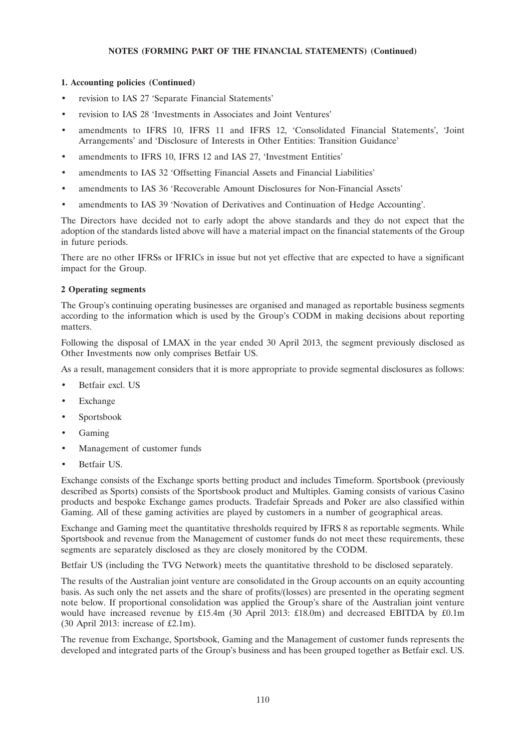# **1. Accounting policies (Continued)**

- revision to IAS 27 'Separate Financial Statements'
- revision to IAS 28 'Investments in Associates and Joint Ventures'
- amendments to IFRS 10, IFRS 11 and IFRS 12, 'Consolidated Financial Statements', 'Joint Arrangements' and 'Disclosure of Interests in Other Entities: Transition Guidance'
- amendments to IFRS 10, IFRS 12 and IAS 27, 'Investment Entities'
- amendments to IAS 32 'Offsetting Financial Assets and Financial Liabilities'
- amendments to IAS 36 'Recoverable Amount Disclosures for Non-Financial Assets'
- amendments to IAS 39 'Novation of Derivatives and Continuation of Hedge Accounting'.

The Directors have decided not to early adopt the above standards and they do not expect that the adoption of the standards listed above will have a material impact on the financial statements of the Group in future periods.

There are no other IFRSs or IFRICs in issue but not yet effective that are expected to have a significant impact for the Group.

## **2 Operating segments**

The Group's continuing operating businesses are organised and managed as reportable business segments according to the information which is used by the Group's CODM in making decisions about reporting matters.

Following the disposal of LMAX in the year ended 30 April 2013, the segment previously disclosed as Other Investments now only comprises Betfair US.

As a result, management considers that it is more appropriate to provide segmental disclosures as follows:

- Betfair excl. US
- **Exchange**
- Sportsbook
- Gaming
- Management of customer funds
- Betfair US.

Exchange consists of the Exchange sports betting product and includes Timeform. Sportsbook (previously described as Sports) consists of the Sportsbook product and Multiples. Gaming consists of various Casino products and bespoke Exchange games products. Tradefair Spreads and Poker are also classified within Gaming. All of these gaming activities are played by customers in a number of geographical areas.

Exchange and Gaming meet the quantitative thresholds required by IFRS 8 as reportable segments. While Sportsbook and revenue from the Management of customer funds do not meet these requirements, these segments are separately disclosed as they are closely monitored by the CODM.

Betfair US (including the TVG Network) meets the quantitative threshold to be disclosed separately.

The results of the Australian joint venture are consolidated in the Group accounts on an equity accounting basis. As such only the net assets and the share of profits/(losses) are presented in the operating segment note below. If proportional consolidation was applied the Group's share of the Australian joint venture would have increased revenue by £15.4m (30 April 2013: £18.0m) and decreased EBITDA by £0.1m (30 April 2013: increase of £2.1m).

The revenue from Exchange, Sportsbook, Gaming and the Management of customer funds represents the developed and integrated parts of the Group's business and has been grouped together as Betfair excl. US.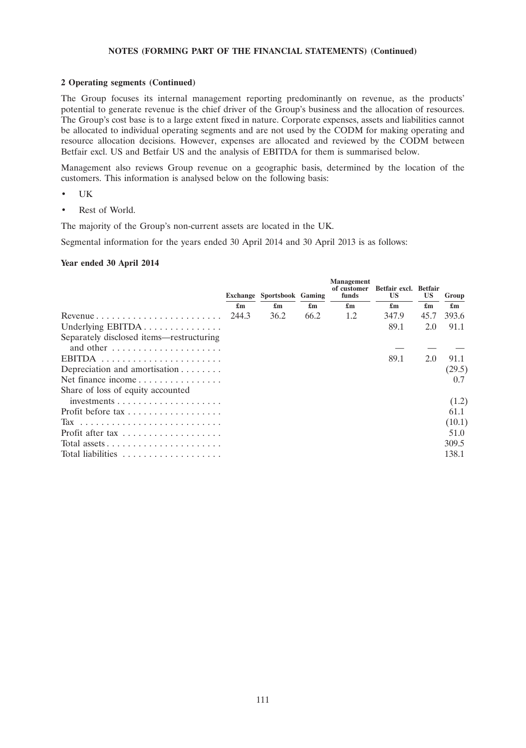#### **2 Operating segments (Continued)**

The Group focuses its internal management reporting predominantly on revenue, as the products' potential to generate revenue is the chief driver of the Group's business and the allocation of resources. The Group's cost base is to a large extent fixed in nature. Corporate expenses, assets and liabilities cannot be allocated to individual operating segments and are not used by the CODM for making operating and resource allocation decisions. However, expenses are allocated and reviewed by the CODM between Betfair excl. US and Betfair US and the analysis of EBITDA for them is summarised below.

Management also reviews Group revenue on a geographic basis, determined by the location of the customers. This information is analysed below on the following basis:

- UK
- Rest of World.

The majority of the Group's non-current assets are located in the UK.

Segmental information for the years ended 30 April 2014 and 30 April 2013 is as follows:

# **Year ended 30 April 2014**

|                                                            |                           | <b>Exchange Sportsbook Gaming</b> |                           | <b>Management</b><br>of customer<br>funds | Betfair excl. Betfair<br><b>US</b> | US.                       | Group                     |
|------------------------------------------------------------|---------------------------|-----------------------------------|---------------------------|-------------------------------------------|------------------------------------|---------------------------|---------------------------|
|                                                            | $\mathbf{f}_{\mathbf{m}}$ | $\mathbf{f}_{\mathbf{m}}$         | $\mathbf{f}_{\mathbf{m}}$ | $\mathbf{f}_{\mathbf{m}}$                 | $\mathbf{f}_{\mathbf{m}}$          | $\mathbf{f}_{\mathbf{m}}$ | $\mathbf{f}_{\mathbf{m}}$ |
| Revenue $\ldots \ldots \ldots \ldots \ldots \ldots \ldots$ | 244.3                     | 36.2                              | 66.2                      | 1.2                                       | 347.9                              | 45.7                      | 393.6                     |
| Underlying EBITDA                                          |                           |                                   |                           |                                           | 89.1                               | 2.0                       | 91.1                      |
| Separately disclosed items—restructuring                   |                           |                                   |                           |                                           |                                    |                           |                           |
| and other                                                  |                           |                                   |                           |                                           |                                    |                           |                           |
|                                                            |                           |                                   |                           |                                           | 89.1                               | 2.0                       | 91.1                      |
| Depreciation and amortisation $\dots \dots$                |                           |                                   |                           |                                           |                                    |                           | (29.5)                    |
| Net finance income                                         |                           |                                   |                           |                                           |                                    |                           | 0.7                       |
| Share of loss of equity accounted                          |                           |                                   |                           |                                           |                                    |                           |                           |
| $investments \ldots \ldots \ldots \ldots \ldots \ldots$    |                           |                                   |                           |                                           |                                    |                           | (1.2)                     |
| Profit before tax                                          |                           |                                   |                           |                                           |                                    |                           | 61.1                      |
|                                                            |                           |                                   |                           |                                           |                                    |                           | (10.1)                    |
| Profit after tax                                           |                           |                                   |                           |                                           |                                    |                           | 51.0                      |
|                                                            |                           |                                   |                           |                                           |                                    |                           | 309.5                     |
| Total liabilities                                          |                           |                                   |                           |                                           |                                    |                           | 138.1                     |
|                                                            |                           |                                   |                           |                                           |                                    |                           |                           |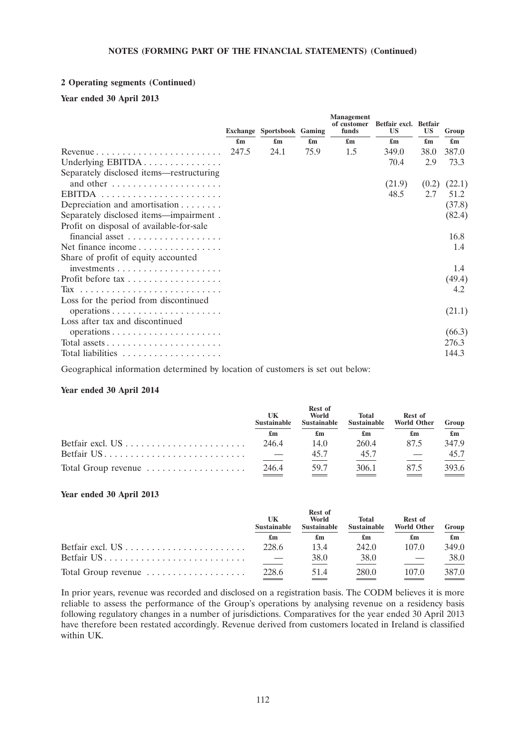## **2 Operating segments (Continued)**

# **Year ended 30 April 2013**

|                                                             |                           | Exchange Sportsbook Gaming |      | <b>Management</b><br>of customer<br>funds | Betfair excl. Betfair<br>US | US                        | Group                     |
|-------------------------------------------------------------|---------------------------|----------------------------|------|-------------------------------------------|-----------------------------|---------------------------|---------------------------|
|                                                             | $\mathbf{f}_{\mathbf{m}}$ | $\mathbf{f}_{\mathbf{m}}$  | £m   | £m                                        | $\mathbf{f}_{\mathbf{m}}$   | $\mathbf{f}_{\mathbf{m}}$ | $\mathbf{f}_{\mathbf{m}}$ |
|                                                             | 247.5                     | 24.1                       | 75.9 | 1.5                                       | 349.0                       | 38.0                      | 387.0                     |
| Underlying EBITDA                                           |                           |                            |      |                                           | 70.4                        | 2.9                       | 73.3                      |
| Separately disclosed items—restructuring                    |                           |                            |      |                                           |                             |                           |                           |
| and other $\dots \dots \dots \dots \dots \dots \dots$       |                           |                            |      |                                           | (21.9)                      | (0.2)                     | (22.1)                    |
|                                                             |                           |                            |      |                                           | 48.5                        | 2.7                       | 51.2                      |
| Depreciation and amortisation $\dots \dots$                 |                           |                            |      |                                           |                             |                           | (37.8)                    |
| Separately disclosed items—impairment.                      |                           |                            |      |                                           |                             |                           | (82.4)                    |
| Profit on disposal of available-for-sale<br>financial asset |                           |                            |      |                                           |                             |                           | 16.8                      |
| Net finance income                                          |                           |                            |      |                                           |                             |                           | 1.4                       |
| Share of profit of equity accounted                         |                           |                            |      |                                           |                             |                           |                           |
| $investments \ldots \ldots \ldots \ldots \ldots \ldots$     |                           |                            |      |                                           |                             |                           | 1.4                       |
|                                                             |                           |                            |      |                                           |                             |                           | (49.4)                    |
|                                                             |                           |                            |      |                                           |                             |                           | 4.2                       |
| Loss for the period from discontinued                       |                           |                            |      |                                           |                             |                           |                           |
|                                                             |                           |                            |      |                                           |                             |                           | (21.1)                    |
| Loss after tax and discontinued                             |                           |                            |      |                                           |                             |                           |                           |
| operations                                                  |                           |                            |      |                                           |                             |                           | (66.3)                    |
| Total assets                                                |                           |                            |      |                                           |                             |                           | 276.3                     |
|                                                             |                           |                            |      |                                           |                             |                           | 144.3                     |
|                                                             |                           |                            |      |                                           |                             |                           |                           |

Geographical information determined by location of customers is set out below:

## **Year ended 30 April 2014**

|                                                              | UK<br><b>Sustainable</b><br>£m | <b>Rest of</b><br>World<br><b>Sustainable</b> | <b>Total</b><br><b>Sustainable</b> | Rest of<br><b>World Other</b> | Group |    |
|--------------------------------------------------------------|--------------------------------|-----------------------------------------------|------------------------------------|-------------------------------|-------|----|
|                                                              |                                |                                               |                                    | £m                            | £m    | £m |
| Betfair excl. $US \dots \dots \dots \dots \dots \dots \dots$ | 246.4                          | 14.0                                          | 260.4                              | 875                           | 347.9 |    |
| Betfair US                                                   |                                | 45.7                                          | 45.7                               |                               | 45.7  |    |
| Total Group revenue                                          | 246.4                          | 59.7                                          | 306.1                              | 875                           | 393.6 |    |

# **Year ended 30 April 2013**

|                     | UK<br><b>Sustainable</b> | <b>Rest of</b><br>World<br><b>Sustainable</b> | Total<br><b>Sustainable</b> | Rest of<br><b>World Other</b> | Group                     |
|---------------------|--------------------------|-----------------------------------------------|-----------------------------|-------------------------------|---------------------------|
|                     | £m                       | £m                                            | £m                          | £m                            | $\mathbf{f}_{\mathbf{m}}$ |
|                     | 228.6                    | 13.4                                          | 242.0                       | 107.0                         | 349.0                     |
|                     |                          | 38.0                                          | 38.0                        |                               | 38.0                      |
| Total Group revenue | 228.6                    | 51.4                                          | 280.0                       | 107.0                         | 387.0                     |

In prior years, revenue was recorded and disclosed on a registration basis. The CODM believes it is more reliable to assess the performance of the Group's operations by analysing revenue on a residency basis following regulatory changes in a number of jurisdictions. Comparatives for the year ended 30 April 2013 have therefore been restated accordingly. Revenue derived from customers located in Ireland is classified within UK.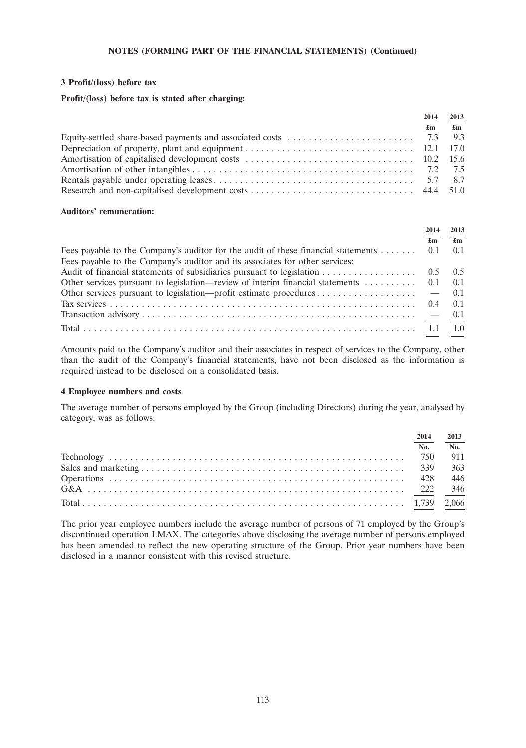#### **3 Profit/(loss) before tax**

# **Profit/(loss) before tax is stated after charging:**

| 2014                      | 2013                                            |
|---------------------------|-------------------------------------------------|
| $\mathbf{f}_{\mathbf{m}}$ | $\overline{\mathbf{\hat{\mathbf{\epsilon}}}}$ m |
|                           |                                                 |
|                           |                                                 |
|                           |                                                 |
|                           |                                                 |
|                           |                                                 |
|                           |                                                 |

#### **Auditors' remuneration:**

|                                                                                                                 | 2014 | 2013                      |
|-----------------------------------------------------------------------------------------------------------------|------|---------------------------|
|                                                                                                                 | £m   | $\mathbf{f}_{\mathbf{m}}$ |
| Fees payable to the Company's auditor for the audit of these financial statements  0.1                          |      | 0.1                       |
| Fees payable to the Company's auditor and its associates for other services:                                    |      |                           |
|                                                                                                                 |      |                           |
| Other services pursuant to legislation—review of interim financial statements $\dots \dots \dots \dots$ 0.1 0.1 |      |                           |
|                                                                                                                 |      |                           |
|                                                                                                                 |      |                           |
|                                                                                                                 |      |                           |
|                                                                                                                 |      | 1.0                       |

Amounts paid to the Company's auditor and their associates in respect of services to the Company, other than the audit of the Company's financial statements, have not been disclosed as the information is required instead to be disclosed on a consolidated basis.

#### **4 Employee numbers and costs**

The average number of persons employed by the Group (including Directors) during the year, analysed by category, was as follows:

| 2014 | 2013 |
|------|------|
| No.  | No.  |
|      | 911  |
|      | 363  |
|      | 446  |
|      | 346  |
|      |      |

The prior year employee numbers include the average number of persons of 71 employed by the Group's discontinued operation LMAX. The categories above disclosing the average number of persons employed has been amended to reflect the new operating structure of the Group. Prior year numbers have been disclosed in a manner consistent with this revised structure.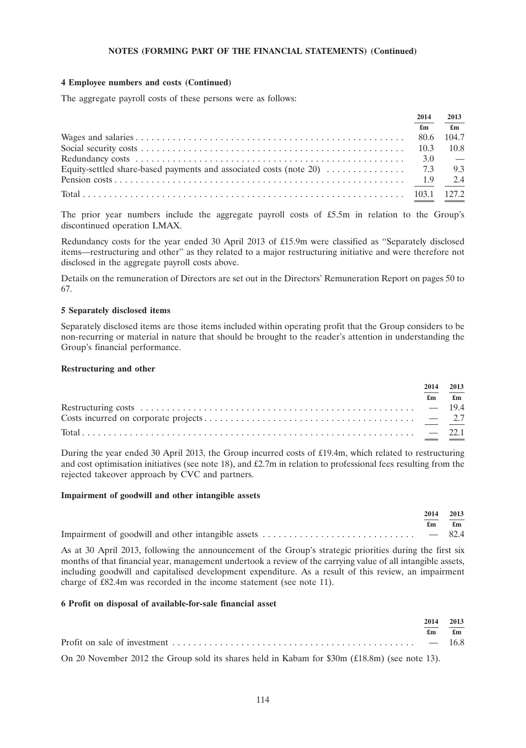#### **4 Employee numbers and costs (Continued)**

The aggregate payroll costs of these persons were as follows:

| 2014 | 2013                           |
|------|--------------------------------|
| £m   | $\mathbf{f}$ m                 |
|      | 104.7                          |
|      | 10.8                           |
|      | <b>Contract Contract State</b> |
|      |                                |
|      |                                |
|      | 127.2                          |

The prior year numbers include the aggregate payroll costs of £5.5m in relation to the Group's discontinued operation LMAX.

Redundancy costs for the year ended 30 April 2013 of £15.9m were classified as ''Separately disclosed items—restructuring and other'' as they related to a major restructuring initiative and were therefore not disclosed in the aggregate payroll costs above.

Details on the remuneration of Directors are set out in the Directors' Remuneration Report on pages 50 to 67.

#### **5 Separately disclosed items**

Separately disclosed items are those items included within operating profit that the Group considers to be non-recurring or material in nature that should be brought to the reader's attention in understanding the Group's financial performance.

#### **Restructuring and other**

| 2014<br>£m | 2013 |
|------------|------|
|            |      |
|            |      |
|            |      |

During the year ended 30 April 2013, the Group incurred costs of £19.4m, which related to restructuring and cost optimisation initiatives (see note 18), and £2.7m in relation to professional fees resulting from the rejected takeover approach by CVC and partners.

#### **Impairment of goodwill and other intangible assets**

|  | 2014 2013                     |
|--|-------------------------------|
|  | $\mathbf{f}$ m $\mathbf{f}$ m |
|  |                               |

As at 30 April 2013, following the announcement of the Group's strategic priorities during the first six months of that financial year, management undertook a review of the carrying value of all intangible assets, including goodwill and capitalised development expenditure. As a result of this review, an impairment charge of £82.4m was recorded in the income statement (see note 11).

#### **6 Profit on disposal of available-for-sale financial asset**

| 2014    | 2013 |
|---------|------|
| £m      | £m   |
| $-16.8$ |      |

On 20 November 2012 the Group sold its shares held in Kabam for \$30m (£18.8m) (see note 13).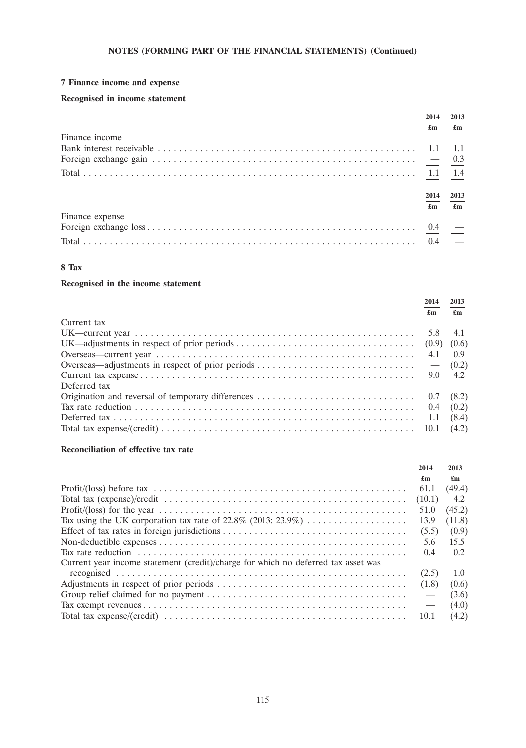# **7 Finance income and expense**

# **Recognised in income statement**

|                 | 2014 | 2013 |
|-----------------|------|------|
|                 | £m   | £m   |
| Finance income  |      |      |
|                 |      | -1.1 |
|                 |      |      |
|                 |      |      |
|                 | 2014 | 2013 |
|                 | £m   | £m   |
| Finance expense |      |      |
|                 |      |      |
|                 |      |      |

# **8 Tax**

# **Recognised in the income statement**

|              | 2014             | 2013 |
|--------------|------------------|------|
|              | £m               | £m   |
| Current tax  |                  |      |
|              |                  | 4.1  |
|              |                  |      |
|              | $4.1 \qquad 0.9$ |      |
|              |                  |      |
|              |                  |      |
| Deferred tax |                  |      |
|              |                  |      |
|              |                  |      |
|              |                  |      |
|              |                  |      |

### **Reconciliation of effective tax rate**

|                                                                                   | 2014                     | 2013                      |
|-----------------------------------------------------------------------------------|--------------------------|---------------------------|
|                                                                                   | £m                       | $\mathbf{f}_{\mathbf{m}}$ |
|                                                                                   | 61.1                     | (49.4)                    |
|                                                                                   | (10.1)                   | 4.2                       |
|                                                                                   | 51.0                     | (45.2)                    |
|                                                                                   | 13.9                     | (11.8)                    |
|                                                                                   | (5.5)                    | (0.9)                     |
|                                                                                   | 5.6                      | 15.5                      |
|                                                                                   | 0.4                      | 0.2                       |
| Current year income statement (credit)/charge for which no deferred tax asset was |                          |                           |
|                                                                                   | (2.5)                    | 1.0                       |
|                                                                                   | (1.8)                    | (0.6)                     |
|                                                                                   | $\overline{\phantom{0}}$ | (3.6)                     |
|                                                                                   | $\overline{\phantom{0}}$ | (4.0)                     |
|                                                                                   | 10.1                     | (4.2)                     |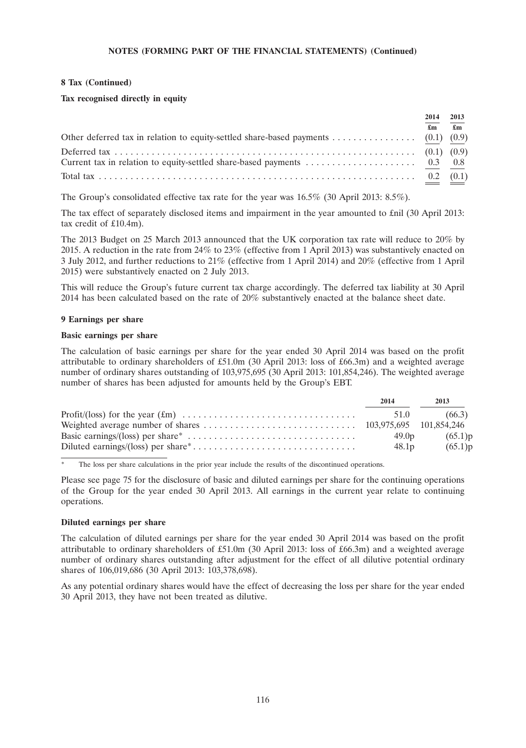#### **8 Tax (Continued)**

#### **Tax recognised directly in equity**

|                                                                                                                           | 2014 | 2013         |
|---------------------------------------------------------------------------------------------------------------------------|------|--------------|
|                                                                                                                           | £m   | $\mathbf{f}$ |
|                                                                                                                           |      |              |
|                                                                                                                           |      |              |
| Current tax in relation to equity-settled share-based payments $\ldots \ldots \ldots \ldots \ldots \ldots \ldots$ 0.3 0.8 |      |              |
|                                                                                                                           |      |              |

The Group's consolidated effective tax rate for the year was 16.5% (30 April 2013: 8.5%).

The tax effect of separately disclosed items and impairment in the year amounted to £nil (30 April 2013: tax credit of £10.4m).

The 2013 Budget on 25 March 2013 announced that the UK corporation tax rate will reduce to 20% by 2015. A reduction in the rate from 24% to 23% (effective from 1 April 2013) was substantively enacted on 3 July 2012, and further reductions to 21% (effective from 1 April 2014) and 20% (effective from 1 April 2015) were substantively enacted on 2 July 2013.

This will reduce the Group's future current tax charge accordingly. The deferred tax liability at 30 April 2014 has been calculated based on the rate of 20% substantively enacted at the balance sheet date.

#### **9 Earnings per share**

#### **Basic earnings per share**

The calculation of basic earnings per share for the year ended 30 April 2014 was based on the profit attributable to ordinary shareholders of £51.0m (30 April 2013: loss of £66.3m) and a weighted average number of ordinary shares outstanding of 103,975,695 (30 April 2013: 101,854,246). The weighted average number of shares has been adjusted for amounts held by the Group's EBT.

| 2014              | 2013    |
|-------------------|---------|
|                   | (66.3)  |
|                   |         |
| 49.0 <sub>p</sub> | (65.1)p |
| 48.1 <sub>p</sub> | (65.1)p |

The loss per share calculations in the prior year include the results of the discontinued operations.

Please see page 75 for the disclosure of basic and diluted earnings per share for the continuing operations of the Group for the year ended 30 April 2013. All earnings in the current year relate to continuing operations.

#### **Diluted earnings per share**

The calculation of diluted earnings per share for the year ended 30 April 2014 was based on the profit attributable to ordinary shareholders of £51.0m (30 April 2013: loss of £66.3m) and a weighted average number of ordinary shares outstanding after adjustment for the effect of all dilutive potential ordinary shares of 106,019,686 (30 April 2013: 103,378,698).

As any potential ordinary shares would have the effect of decreasing the loss per share for the year ended 30 April 2013, they have not been treated as dilutive.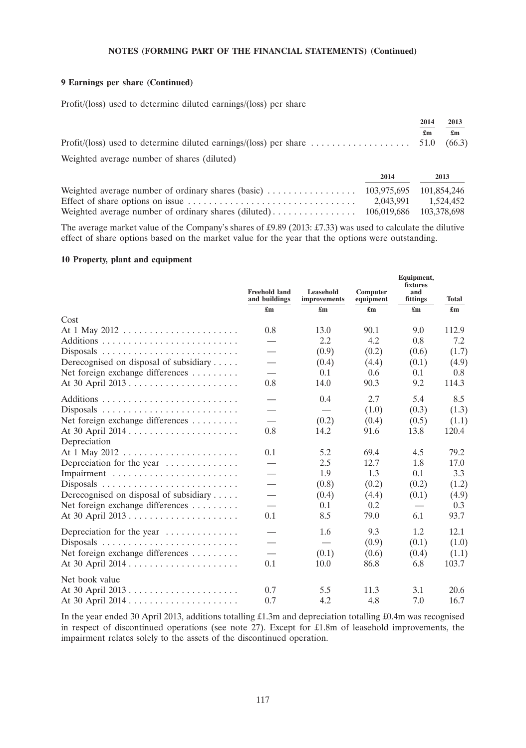#### **9 Earnings per share (Continued)**

Profit/(loss) used to determine diluted earnings/(loss) per share

|                                             | 2014 | 2013 |
|---------------------------------------------|------|------|
|                                             | £m   | £m   |
|                                             |      |      |
| Weighted average number of shares (diluted) |      |      |

**2014 2013** Weighted average number of ordinary shares (basic) ................. 103,975,695 101,854,246 Effect of share options on issue ................................ 2,043,991 1,524,452 Weighted average number of ordinary shares (diluted) ........................ 106,019,686 103,378,698

The average market value of the Company's shares of £9.89 (2013: £7.33) was used to calculate the dilutive effect of share options based on the market value for the year that the options were outstanding.

#### **10 Property, plant and equipment**

|                                                       | <b>Freehold land</b><br>and buildings | Leasehold<br>improvements | Computer<br>equipment | Equipment,<br>fixtures<br>and<br>fittings | <b>Total</b>              |
|-------------------------------------------------------|---------------------------------------|---------------------------|-----------------------|-------------------------------------------|---------------------------|
|                                                       | $\mathbf{f}_{\mathbf{m}}$             | $\mathbf{f}_{\mathbf{m}}$ | £m                    |                                           | $\mathbf{f}_{\mathbf{m}}$ |
| Cost                                                  |                                       |                           |                       |                                           |                           |
|                                                       | 0.8                                   | 13.0                      | 90.1                  | 9.0                                       | 112.9                     |
|                                                       |                                       | 2.2                       | 4.2                   | 0.8                                       | 7.2                       |
|                                                       |                                       | (0.9)                     | (0.2)                 | (0.6)                                     | (1.7)                     |
| Derecognised on disposal of subsidiary                |                                       | (0.4)                     | (4.4)                 | (0.1)                                     | (4.9)                     |
| Net foreign exchange differences                      |                                       | 0.1                       | 0.6                   | 0.1                                       | 0.8                       |
|                                                       | 0.8                                   | 14.0                      | 90.3                  | 9.2                                       | 114.3                     |
|                                                       |                                       | 0.4                       | 2.7                   | 5.4                                       | 8.5                       |
|                                                       |                                       |                           | (1.0)                 | (0.3)                                     | (1.3)                     |
| Net foreign exchange differences                      |                                       | (0.2)                     | (0.4)                 | (0.5)                                     | (1.1)                     |
|                                                       | 0.8                                   | 14.2                      | 91.6                  | 13.8                                      | 120.4                     |
| Depreciation                                          |                                       |                           |                       |                                           |                           |
|                                                       | 0.1                                   | 5.2                       | 69.4                  | 4.5                                       | 79.2                      |
| Depreciation for the year                             |                                       | 2.5                       | 12.7                  | 1.8                                       | 17.0                      |
|                                                       | $\overline{\phantom{0}}$              | 1.9                       | 1.3                   | 0.1                                       | 3.3                       |
|                                                       |                                       | (0.8)                     | (0.2)                 | (0.2)                                     | (1.2)                     |
| Derecognised on disposal of subsidiary                |                                       | (0.4)                     | (4.4)                 | (0.1)                                     | (4.9)                     |
| Net foreign exchange differences                      |                                       | 0.1                       | 0.2                   |                                           | 0.3                       |
|                                                       | 0.1                                   | 8.5                       | 79.0                  | 6.1                                       | 93.7                      |
| Depreciation for the year $\dots\dots\dots\dots\dots$ |                                       | 1.6                       | 9.3                   | 1.2                                       | 12.1                      |
|                                                       |                                       |                           | (0.9)                 | (0.1)                                     | (1.0)                     |
| Net foreign exchange differences                      |                                       | (0.1)                     | (0.6)                 | (0.4)                                     | (1.1)                     |
|                                                       | 0.1                                   | 10.0                      | 86.8                  | 6.8                                       | 103.7                     |
| Net book value                                        |                                       |                           |                       |                                           |                           |
|                                                       | 0.7                                   | 5.5                       | 11.3                  | 3.1                                       | 20.6                      |
|                                                       | 0.7                                   | 4.2                       | 4.8                   | 7.0                                       | 16.7                      |

In the year ended 30 April 2013, additions totalling £1.3m and depreciation totalling £0.4m was recognised in respect of discontinued operations (see note 27). Except for £1.8m of leasehold improvements, the impairment relates solely to the assets of the discontinued operation.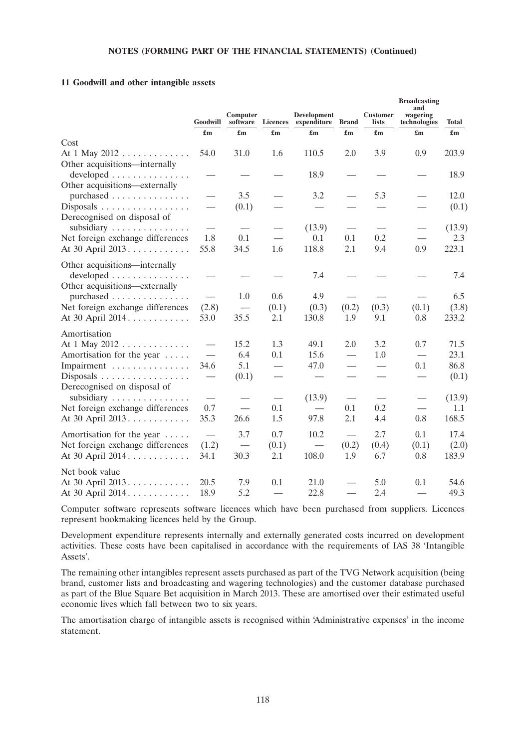#### **11 Goodwill and other intangible assets**

|                                            | Goodwill                         | Computer<br>software      | <b>Licences</b>           | Development<br>expenditure      | <b>Brand</b>              | <b>Customer</b><br>lists  | <b>Broadcasting</b><br>and<br>wagering<br>technologies | Total  |
|--------------------------------------------|----------------------------------|---------------------------|---------------------------|---------------------------------|---------------------------|---------------------------|--------------------------------------------------------|--------|
|                                            | $\mathbf{f}_{\mathbf{m}}$        | $\mathbf{f}_{\mathbf{m}}$ | $\mathbf{f}_{\mathbf{m}}$ | $\mathbf{f}_{\mathbf{m}}$       | $\mathbf{f}_{\mathbf{m}}$ | $\mathbf{f}_{\mathbf{m}}$ | $\mathbf{f}_{\mathbf{m}}$                              |        |
| Cost                                       |                                  |                           |                           |                                 |                           |                           |                                                        |        |
| At 1 May 2012                              | 54.0                             | 31.0                      | 1.6                       | 110.5                           | 2.0                       | 3.9                       | 0.9                                                    | 203.9  |
| Other acquisitions—internally<br>developed |                                  |                           |                           | 18.9                            |                           |                           |                                                        | 18.9   |
| Other acquisitions-externally              |                                  |                           |                           |                                 |                           |                           |                                                        |        |
| purchased                                  |                                  | 3.5                       |                           | 3.2                             |                           | 5.3                       |                                                        | 12.0   |
| Disposals<br>Derecognised on disposal of   | $\overbrace{\phantom{12322111}}$ | (0.1)                     |                           |                                 |                           |                           |                                                        | (0.1)  |
|                                            | $\overbrace{\phantom{12322111}}$ |                           |                           | (13.9)                          |                           |                           |                                                        | (13.9) |
| Net foreign exchange differences           | 1.8                              | 0.1                       |                           | 0.1                             | 0.1                       | 0.2                       | $\overline{\phantom{0}}$                               | 2.3    |
| At 30 April 2013.                          | 55.8                             | 34.5                      | 1.6                       | 118.8                           | 2.1                       | 9.4                       | 0.9                                                    | 223.1  |
| Other acquisitions—internally              |                                  |                           |                           |                                 |                           |                           |                                                        |        |
| developed                                  | $\overbrace{\phantom{aaaaa}}$    |                           |                           | 7.4                             |                           |                           |                                                        | 7.4    |
| Other acquisitions—externally<br>purchased | $\overline{\phantom{0}}$         | 1.0                       | 0.6                       | 4.9                             |                           |                           |                                                        | 6.5    |
| Net foreign exchange differences           | (2.8)                            |                           | (0.1)                     | (0.3)                           | (0.2)                     | (0.3)                     | (0.1)                                                  | (3.8)  |
| At 30 April 2014.                          | 53.0                             | 35.5                      | 2.1                       | 130.8                           | 1.9                       | 9.1                       | 0.8                                                    | 233.2  |
| Amortisation                               |                                  |                           |                           |                                 |                           |                           |                                                        |        |
| At $1$ May $2012$                          | $\overbrace{\qquad \qquad }^{ }$ | 15.2                      | 1.3                       | 49.1                            | 2.0                       | 3.2                       | 0.7                                                    | 71.5   |
| Amortisation for the year                  | $\overbrace{\phantom{12322111}}$ | 6.4                       | 0.1                       | 15.6                            |                           | 1.0                       |                                                        | 23.1   |
| Impairment                                 | 34.6                             | 5.1                       |                           | 47.0                            |                           |                           | 0.1                                                    | 86.8   |
| Disposals                                  | $\overbrace{\qquad \qquad }^{ }$ | (0.1)                     |                           |                                 |                           |                           |                                                        | (0.1)  |
| Derecognised on disposal of                |                                  |                           |                           |                                 |                           |                           |                                                        |        |
| subsidiary                                 |                                  |                           |                           | (13.9)                          |                           |                           | $\overbrace{\phantom{13333}}$                          | (13.9) |
| Net foreign exchange differences           | 0.7                              |                           | 0.1                       | $\hspace{0.1mm}-\hspace{0.1mm}$ | 0.1                       | 0.2                       | $\overline{\phantom{0}}$                               | 1.1    |
| At 30 April 2013.                          | 35.3                             | 26.6                      | 1.5                       | 97.8                            | 2.1                       | 4.4                       | 0.8                                                    | 168.5  |
| Amortisation for the year                  |                                  | 3.7                       | 0.7                       | 10.2                            | $\frac{1}{1}$             | 2.7                       | 0.1                                                    | 17.4   |
| Net foreign exchange differences           | (1.2)                            |                           | (0.1)                     | $\qquad \qquad$                 | (0.2)                     | (0.4)                     | (0.1)                                                  | (2.0)  |
| At 30 April 2014.                          | 34.1                             | 30.3                      | 2.1                       | 108.0                           | 1.9                       | 6.7                       | 0.8                                                    | 183.9  |
|                                            |                                  |                           |                           |                                 |                           |                           |                                                        |        |
| Net book value                             |                                  |                           |                           |                                 |                           |                           |                                                        |        |
| At 30 April 2013                           | 20.5                             | 7.9                       | 0.1                       | 21.0<br>22.8                    | $\overline{\phantom{0}}$  | 5.0                       | 0.1                                                    | 54.6   |
| At 30 April 2014.                          | 18.9                             | 5.2                       |                           |                                 |                           | 2.4                       |                                                        | 49.3   |

Computer software represents software licences which have been purchased from suppliers. Licences represent bookmaking licences held by the Group.

Development expenditure represents internally and externally generated costs incurred on development activities. These costs have been capitalised in accordance with the requirements of IAS 38 'Intangible Assets'.

The remaining other intangibles represent assets purchased as part of the TVG Network acquisition (being brand, customer lists and broadcasting and wagering technologies) and the customer database purchased as part of the Blue Square Bet acquisition in March 2013. These are amortised over their estimated useful economic lives which fall between two to six years.

The amortisation charge of intangible assets is recognised within 'Administrative expenses' in the income statement.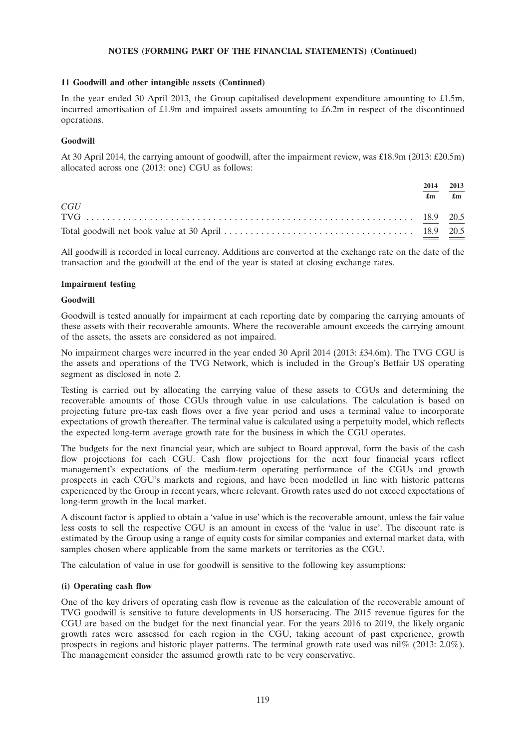#### **11 Goodwill and other intangible assets (Continued)**

In the year ended 30 April 2013, the Group capitalised development expenditure amounting to £1.5m, incurred amortisation of £1.9m and impaired assets amounting to £6.2m in respect of the discontinued operations.

# **Goodwill**

At 30 April 2014, the carrying amount of goodwill, after the impairment review, was £18.9m (2013: £20.5m) allocated across one (2013: one) CGU as follows:

|     | 2014<br>£m | 2013<br>$\mathbf{f}_{\mathbf{m}}$ |
|-----|------------|-----------------------------------|
| CGU |            |                                   |
|     |            |                                   |
|     |            |                                   |

All goodwill is recorded in local currency. Additions are converted at the exchange rate on the date of the transaction and the goodwill at the end of the year is stated at closing exchange rates.

#### **Impairment testing**

#### **Goodwill**

Goodwill is tested annually for impairment at each reporting date by comparing the carrying amounts of these assets with their recoverable amounts. Where the recoverable amount exceeds the carrying amount of the assets, the assets are considered as not impaired.

No impairment charges were incurred in the year ended 30 April 2014 (2013: £34.6m). The TVG CGU is the assets and operations of the TVG Network, which is included in the Group's Betfair US operating segment as disclosed in note 2.

Testing is carried out by allocating the carrying value of these assets to CGUs and determining the recoverable amounts of those CGUs through value in use calculations. The calculation is based on projecting future pre-tax cash flows over a five year period and uses a terminal value to incorporate expectations of growth thereafter. The terminal value is calculated using a perpetuity model, which reflects the expected long-term average growth rate for the business in which the CGU operates.

The budgets for the next financial year, which are subject to Board approval, form the basis of the cash flow projections for each CGU. Cash flow projections for the next four financial years reflect management's expectations of the medium-term operating performance of the CGUs and growth prospects in each CGU's markets and regions, and have been modelled in line with historic patterns experienced by the Group in recent years, where relevant. Growth rates used do not exceed expectations of long-term growth in the local market.

A discount factor is applied to obtain a 'value in use' which is the recoverable amount, unless the fair value less costs to sell the respective CGU is an amount in excess of the 'value in use'. The discount rate is estimated by the Group using a range of equity costs for similar companies and external market data, with samples chosen where applicable from the same markets or territories as the CGU.

The calculation of value in use for goodwill is sensitive to the following key assumptions:

## **(i) Operating cash flow**

One of the key drivers of operating cash flow is revenue as the calculation of the recoverable amount of TVG goodwill is sensitive to future developments in US horseracing. The 2015 revenue figures for the CGU are based on the budget for the next financial year. For the years 2016 to 2019, the likely organic growth rates were assessed for each region in the CGU, taking account of past experience, growth prospects in regions and historic player patterns. The terminal growth rate used was nil% (2013: 2.0%). The management consider the assumed growth rate to be very conservative.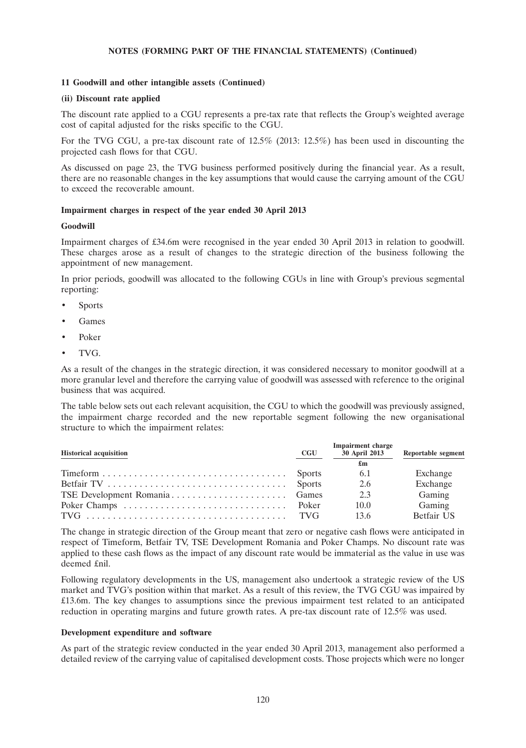#### **11 Goodwill and other intangible assets (Continued)**

#### **(ii) Discount rate applied**

The discount rate applied to a CGU represents a pre-tax rate that reflects the Group's weighted average cost of capital adjusted for the risks specific to the CGU.

For the TVG CGU, a pre-tax discount rate of 12.5% (2013: 12.5%) has been used in discounting the projected cash flows for that CGU.

As discussed on page 23, the TVG business performed positively during the financial year. As a result, there are no reasonable changes in the key assumptions that would cause the carrying amount of the CGU to exceed the recoverable amount.

#### **Impairment charges in respect of the year ended 30 April 2013**

#### **Goodwill**

Impairment charges of £34.6m were recognised in the year ended 30 April 2013 in relation to goodwill. These charges arose as a result of changes to the strategic direction of the business following the appointment of new management.

In prior periods, goodwill was allocated to the following CGUs in line with Group's previous segmental reporting:

- **Sports**
- Games
- Poker
- TVG.

As a result of the changes in the strategic direction, it was considered necessary to monitor goodwill at a more granular level and therefore the carrying value of goodwill was assessed with reference to the original business that was acquired.

The table below sets out each relevant acquisition, the CGU to which the goodwill was previously assigned, the impairment charge recorded and the new reportable segment following the new organisational structure to which the impairment relates:

| <b>Historical acquisition</b>                                                       | CGU | Impairment charge<br>30 April 2013 | <b>Reportable segment</b> |
|-------------------------------------------------------------------------------------|-----|------------------------------------|---------------------------|
|                                                                                     |     | £m                                 |                           |
| $Timeform \dots \dots \dots \dots \dots \dots \dots \dots \dots \dots \dots$ Sports |     | - 6.1                              | Exchange                  |
|                                                                                     |     | 2.6                                | Exchange                  |
|                                                                                     |     | 2.3                                | Gaming                    |
|                                                                                     |     | 10.0                               | Gaming                    |
|                                                                                     |     | 13.6                               | Betfair US                |

The change in strategic direction of the Group meant that zero or negative cash flows were anticipated in respect of Timeform, Betfair TV, TSE Development Romania and Poker Champs. No discount rate was applied to these cash flows as the impact of any discount rate would be immaterial as the value in use was deemed £nil.

Following regulatory developments in the US, management also undertook a strategic review of the US market and TVG's position within that market. As a result of this review, the TVG CGU was impaired by £13.6m. The key changes to assumptions since the previous impairment test related to an anticipated reduction in operating margins and future growth rates. A pre-tax discount rate of 12.5% was used.

#### **Development expenditure and software**

As part of the strategic review conducted in the year ended 30 April 2013, management also performed a detailed review of the carrying value of capitalised development costs. Those projects which were no longer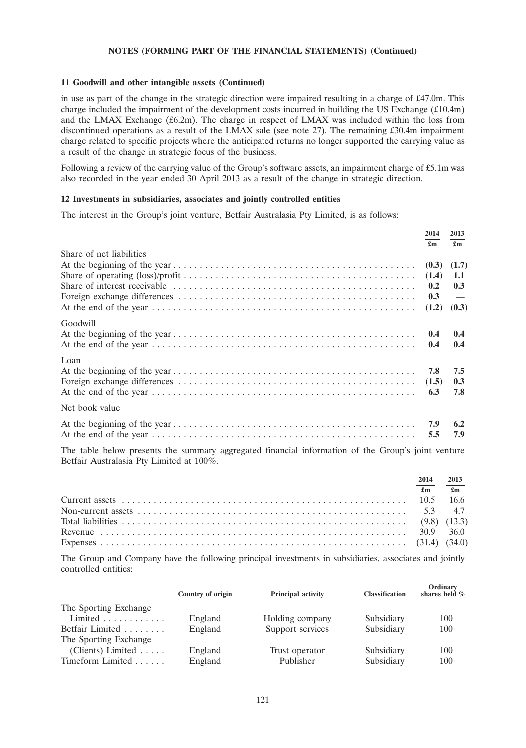#### **11 Goodwill and other intangible assets (Continued)**

in use as part of the change in the strategic direction were impaired resulting in a charge of £47.0m. This charge included the impairment of the development costs incurred in building the US Exchange (£10.4m) and the LMAX Exchange (£6.2m). The charge in respect of LMAX was included within the loss from discontinued operations as a result of the LMAX sale (see note 27). The remaining £30.4m impairment charge related to specific projects where the anticipated returns no longer supported the carrying value as a result of the change in strategic focus of the business.

Following a review of the carrying value of the Group's software assets, an impairment charge of £5.1m was also recorded in the year ended 30 April 2013 as a result of the change in strategic direction.

#### **12 Investments in subsidiaries, associates and jointly controlled entities**

The interest in the Group's joint venture, Betfair Australasia Pty Limited, is as follows:

|                                                                                                                                     | 2014  | 2013                      |
|-------------------------------------------------------------------------------------------------------------------------------------|-------|---------------------------|
|                                                                                                                                     | £m    | $\mathbf{f}_{\mathbf{m}}$ |
| Share of net liabilities                                                                                                            |       |                           |
|                                                                                                                                     |       | $(0.3)$ $(1.7)$           |
|                                                                                                                                     |       | 1.1                       |
|                                                                                                                                     | 0.2   | 0.3                       |
|                                                                                                                                     | 0.3   | $\overline{\phantom{0}}$  |
|                                                                                                                                     | (1.2) | (0.3)                     |
| Goodwill                                                                                                                            |       |                           |
|                                                                                                                                     | 0.4   | 0.4                       |
|                                                                                                                                     | 0.4   | 0.4                       |
| Loan                                                                                                                                |       |                           |
|                                                                                                                                     | 7.8   | 7.5                       |
|                                                                                                                                     |       | 0.3                       |
|                                                                                                                                     | 6.3   | 7.8                       |
| Net book value                                                                                                                      |       |                           |
|                                                                                                                                     | 7.9   | 6.2                       |
|                                                                                                                                     | 5.5   | 7.9                       |
| $\mathbf{r}$ and $\mathbf{r}$ and $\mathbf{r}$ and $\mathbf{r}$ and $\mathbf{r}$ and $\mathbf{r}$ and $\mathbf{r}$ and $\mathbf{r}$ |       |                           |

The table below presents the summary aggregated financial information of the Group's joint venture Betfair Australasia Pty Limited at 100%.

| 2014 | 2013                          |
|------|-------------------------------|
|      | $\mathbf{f}$ m $\mathbf{f}$ m |
|      |                               |
|      |                               |
|      |                               |
|      |                               |
|      |                               |

The Group and Company have the following principal investments in subsidiaries, associates and jointly controlled entities:

|                              | Country of origin | <b>Principal activity</b> | <b>Classification</b> | Ordinary<br>shares held % |
|------------------------------|-------------------|---------------------------|-----------------------|---------------------------|
| The Sporting Exchange        |                   |                           |                       |                           |
| Limited $\dots \dots \dots$  | England           | Holding company           | Subsidiary            | 100                       |
| Betfair Limited              | England           | Support services          | Subsidiary            | 100                       |
| The Sporting Exchange        |                   |                           |                       |                           |
| (Clients) Limited $\ldots$ . | England           | Trust operator            | Subsidiary            | 100                       |
| Timeform Limited             | England           | Publisher                 | Subsidiary            | 100                       |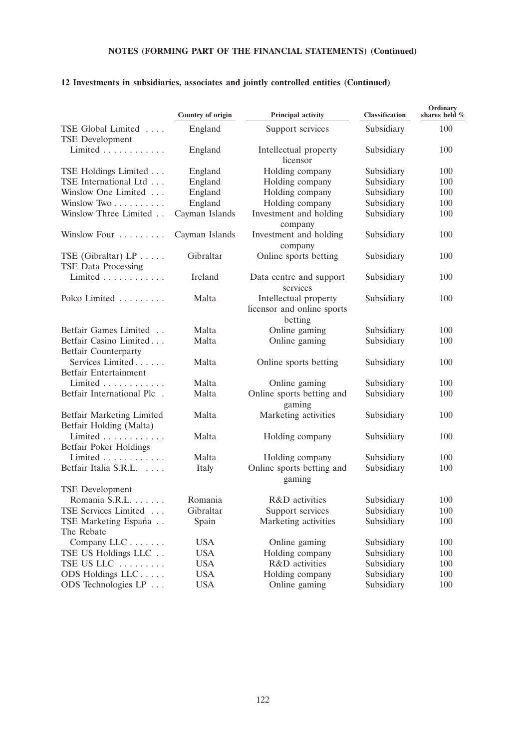|                                                             | Country of origin | Principal activity                                             | <b>Classification</b> | Ordinary<br>shares held % |
|-------------------------------------------------------------|-------------------|----------------------------------------------------------------|-----------------------|---------------------------|
| TSE Global Limited<br><b>TSE Development</b>                | England           | Support services                                               | Subsidiary            | 100                       |
| Limited                                                     | England           | Intellectual property<br>licensor                              | Subsidiary            | 100                       |
| TSE Holdings Limited                                        | England           | Holding company                                                | Subsidiary            | 100                       |
| TSE International Ltd                                       | England           | Holding company                                                | Subsidiary            | 100                       |
| Winslow One Limited                                         | England           | Holding company                                                | Subsidiary            | 100                       |
| Winslow Two                                                 | England           | Holding company                                                | Subsidiary            | 100                       |
| Winslow Three Limited                                       | Cayman Islands    | Investment and holding<br>company                              | Subsidiary            | 100                       |
| Winslow Four                                                | Cayman Islands    | Investment and holding<br>company                              | Subsidiary            | 100                       |
| TSE (Gibraltar) $LP \ldots$ .<br><b>TSE Data Processing</b> | Gibraltar         | Online sports betting                                          | Subsidiary            | 100                       |
| Limited                                                     | Ireland           | Data centre and support<br>services                            | Subsidiary            | 100                       |
| Polco Limited                                               | Malta             | Intellectual property<br>licensor and online sports<br>betting | Subsidiary            | 100                       |
| Betfair Games Limited                                       | Malta             | Online gaming                                                  | Subsidiary            | 100                       |
| Betfair Casino Limited                                      | Malta             | Online gaming                                                  | Subsidiary            | 100                       |
| <b>Betfair Counterparty</b>                                 |                   |                                                                |                       |                           |
| Services Limited                                            | Malta             | Online sports betting                                          | Subsidiary            | 100                       |
| Betfair Entertainment                                       |                   |                                                                |                       |                           |
| Limited $\ldots \ldots \ldots$                              | Malta             | Online gaming                                                  | Subsidiary            | 100                       |
| Betfair International Plc.                                  | Malta             | Online sports betting and<br>gaming                            | Subsidiary            | 100                       |
| Betfair Marketing Limited<br>Betfair Holding (Malta)        | Malta             | Marketing activities                                           | Subsidiary            | 100                       |
| Limited $\ldots \ldots \ldots$<br>Betfair Poker Holdings    | Malta             | Holding company                                                | Subsidiary            | 100                       |
| Limited                                                     | Malta             | Holding company                                                | Subsidiary            | 100                       |
| Betfair Italia S.R.L.                                       | Italy             | Online sports betting and<br>gaming                            | Subsidiary            | 100                       |
| <b>TSE</b> Development                                      |                   |                                                                |                       |                           |
| Romania S.R.L.                                              | Romania           | R&D activities                                                 | Subsidiary            | 100                       |
| TSE Services Limited                                        | Gibraltar         | Support services                                               | Subsidiary            | 100                       |
| TSE Marketing España                                        | Spain             | Marketing activities                                           | Subsidiary            | 100                       |
| The Rebate                                                  |                   |                                                                |                       |                           |
| Company LLC                                                 | <b>USA</b>        | Online gaming                                                  | Subsidiary            | 100                       |
| TSE US Holdings LLC                                         | <b>USA</b>        | Holding company                                                | Subsidiary            | 100                       |
| TSE US LLC                                                  | <b>USA</b>        | R&D activities                                                 | Subsidiary            | 100                       |
| ODS Holdings LLC                                            | <b>USA</b>        | Holding company                                                | Subsidiary            | 100                       |
| ODS Technologies LP                                         | <b>USA</b>        | Online gaming                                                  | Subsidiary            | 100                       |

# **12 Investments in subsidiaries, associates and jointly controlled entities (Continued)**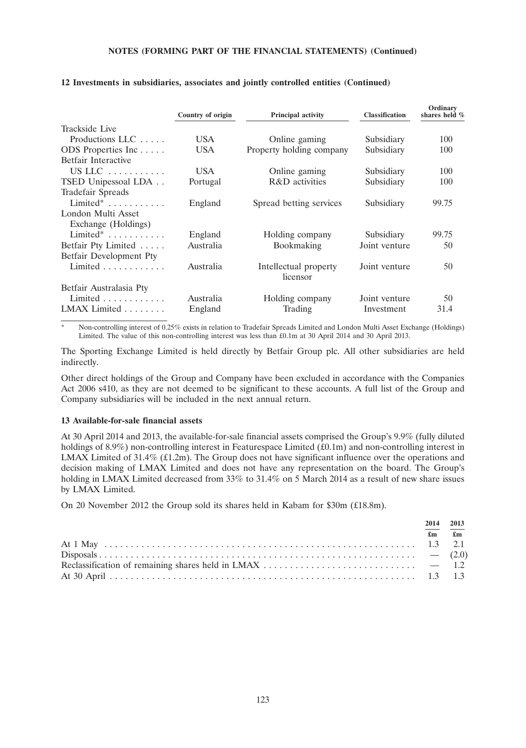|                                | Country of origin | <b>Principal activity</b>         | <b>Classification</b> | Ordinary<br>shares held % |
|--------------------------------|-------------------|-----------------------------------|-----------------------|---------------------------|
| Trackside Live                 |                   |                                   |                       |                           |
| Productions LLC $\ldots$ .     | USA.              | Online gaming                     | Subsidiary            | 100                       |
| ODS Properties Inc             | <b>USA</b>        | Property holding company          | Subsidiary            | 100                       |
| Betfair Interactive            |                   |                                   |                       |                           |
| US LLC $\dots\dots\dots\dots$  | USA.              | Online gaming                     | Subsidiary            | 100                       |
| TSED Unipessoal LDA            | Portugal          | R&D activities                    | Subsidiary            | 100                       |
| <b>Tradefair Spreads</b>       |                   |                                   |                       |                           |
| Limited $*$                    | England           | Spread betting services           | Subsidiary            | 99.75                     |
| London Multi Asset             |                   |                                   |                       |                           |
| Exchange (Holdings)            |                   |                                   |                       |                           |
| $Limited^* \dots \dots \dots$  | England           | Holding company                   | Subsidiary            | 99.75                     |
| Betfair Pty Limited            | Australia         | Bookmaking                        | Joint venture         | 50                        |
| Betfair Development Pty        |                   |                                   |                       |                           |
| Limited $\ldots \ldots \ldots$ | Australia         | Intellectual property<br>licensor | Joint venture         | 50                        |
| Betfair Australasia Pty        |                   |                                   |                       |                           |
| Limited $\ldots$ , $\ldots$ ,  | Australia         | Holding company                   | Joint venture         | 50                        |
| LMAX Limited                   | England           | Trading                           | Investment            | 31.4                      |

# **12 Investments in subsidiaries, associates and jointly controlled entities (Continued)**

Non-controlling interest of 0.25% exists in relation to Tradefair Spreads Limited and London Multi Asset Exchange (Holdings) Limited. The value of this non-controlling interest was less than £0.1m at 30 April 2014 and 30 April 2013.

The Sporting Exchange Limited is held directly by Betfair Group plc. All other subsidiaries are held indirectly.

Other direct holdings of the Group and Company have been excluded in accordance with the Companies Act 2006 s410, as they are not deemed to be significant to these accounts. A full list of the Group and Company subsidiaries will be included in the next annual return.

#### **13 Available-for-sale financial assets**

At 30 April 2014 and 2013, the available-for-sale financial assets comprised the Group's 9.9% (fully diluted holdings of 8.9%) non-controlling interest in Featurespace Limited (£0.1m) and non-controlling interest in LMAX Limited of 31.4% (£1.2m). The Group does not have significant influence over the operations and decision making of LMAX Limited and does not have any representation on the board. The Group's holding in LMAX Limited decreased from 33% to 31.4% on 5 March 2014 as a result of new share issues by LMAX Limited.

On 20 November 2012 the Group sold its shares held in Kabam for \$30m (£18.8m).

|  | 2014 2013                                                                                                                                                                                                                                                                                                                          |
|--|------------------------------------------------------------------------------------------------------------------------------------------------------------------------------------------------------------------------------------------------------------------------------------------------------------------------------------|
|  | $\mathbf{f}$ $\mathbf{f}$ $\mathbf{f}$ $\mathbf{f}$ $\mathbf{f}$ $\mathbf{f}$ $\mathbf{f}$ $\mathbf{f}$ $\mathbf{f}$ $\mathbf{f}$ $\mathbf{f}$ $\mathbf{f}$ $\mathbf{f}$ $\mathbf{f}$ $\mathbf{f}$ $\mathbf{f}$ $\mathbf{f}$ $\mathbf{f}$ $\mathbf{f}$ $\mathbf{f}$ $\mathbf{f}$ $\mathbf{f}$ $\mathbf{f}$ $\mathbf{f}$ $\mathbf{$ |
|  |                                                                                                                                                                                                                                                                                                                                    |
|  |                                                                                                                                                                                                                                                                                                                                    |
|  |                                                                                                                                                                                                                                                                                                                                    |
|  |                                                                                                                                                                                                                                                                                                                                    |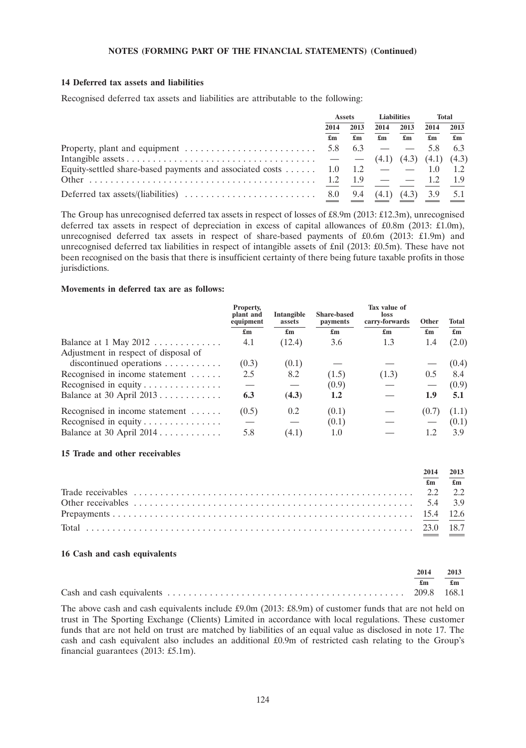#### **14 Deferred tax assets and liabilities**

Recognised deferred tax assets and liabilities are attributable to the following:

|                                                                                                     | <b>Assets</b> |      | <b>Liabilities</b> |                           | <b>Total</b>              |                           |
|-----------------------------------------------------------------------------------------------------|---------------|------|--------------------|---------------------------|---------------------------|---------------------------|
|                                                                                                     | 2014          | 2013 | 2014               | 2013                      | 2014                      | 2013                      |
|                                                                                                     | £m            | £m   | £m                 | $\mathbf{f}_{\mathbf{m}}$ | $\mathbf{f}_{\mathbf{m}}$ | $\mathbf{f}_{\mathbf{m}}$ |
| Property, plant and equipment $\dots \dots \dots \dots \dots \dots \dots \dots$ 5.8                 |               | 6.3  |                    |                           | -5.8                      | 6.3                       |
|                                                                                                     |               |      | (4.1)              |                           | $(4.3)$ $(4.1)$ $(4.3)$   |                           |
| Equity-settled share-based payments and associated costs $\dots \dots$ 1.0 1.2 $-$ 1.0 1.1          |               |      |                    |                           |                           | 1.2                       |
|                                                                                                     |               | 19   | $ -$ 12            |                           |                           |                           |
| Deferred tax assets/(liabilities) $\ldots \ldots \ldots \ldots \ldots \ldots \ldots \ldots$ 8.0 9.4 |               |      | (4.1)              |                           | $(4.3)$ 3.9               | 5.1                       |

The Group has unrecognised deferred tax assets in respect of losses of £8.9m (2013: £12.3m), unrecognised deferred tax assets in respect of depreciation in excess of capital allowances of £0.8m (2013: £1.0m), unrecognised deferred tax assets in respect of share-based payments of £0.6m (2013: £1.9m) and unrecognised deferred tax liabilities in respect of intangible assets of £nil (2013: £0.5m). These have not been recognised on the basis that there is insufficient certainty of there being future taxable profits in those jurisdictions.

#### **Movements in deferred tax are as follows:**

|                                                | Property,<br>plant and<br>equipment | Intangible<br>assets      | <b>Share-based</b><br><i>payments</i> | Tax value of<br>loss<br>carry-forwards | Other                     | <b>Total</b>              |
|------------------------------------------------|-------------------------------------|---------------------------|---------------------------------------|----------------------------------------|---------------------------|---------------------------|
|                                                | £m                                  | $\mathbf{f}_{\mathbf{m}}$ | $\mathbf{f}_{\mathbf{m}}$             | $\mathbf{f}_{\mathbf{m}}$              | $\mathbf{f}_{\mathbf{m}}$ | $\mathbf{f}_{\mathbf{m}}$ |
| Balance at $1$ May $2012$                      | 4.1                                 | (12.4)                    | 3.6                                   | 1.3                                    | 1.4                       | (2.0)                     |
| Adjustment in respect of disposal of           |                                     |                           |                                       |                                        |                           |                           |
| $discontinued$ operations $\dots \dots \dots$  | (0.3)                               | (0.1)                     |                                       |                                        |                           | (0.4)                     |
| Recognised in income statement                 | 2.5                                 | 8.2                       | (1.5)                                 | (1.3)                                  | 0.5                       | 8.4                       |
| Recognised in equity $\dots \dots \dots \dots$ |                                     |                           | (0.9)                                 |                                        |                           | (0.9)                     |
| Balance at 30 April $2013$                     | 6.3                                 | (4.3)                     | 1.2                                   |                                        | 1.9                       | 5.1                       |
| Recognised in income statement                 | (0.5)                               | 0.2                       | (0.1)                                 |                                        | (0.7)                     | (1.1)                     |
| Recognised in equity $\dots \dots \dots \dots$ |                                     |                           | (0.1)                                 |                                        |                           | (0.1)                     |
| Balance at 30 April $2014$                     | 5.8                                 | (4.1)                     | 1.0                                   |                                        | 1.2                       | 3.9                       |

#### **15 Trade and other receivables**

| 2014 | 2013                          |
|------|-------------------------------|
|      | $\mathbf{f}$ m $\mathbf{f}$ m |
|      |                               |
|      |                               |
|      |                               |
|      |                               |

#### **16 Cash and cash equivalents**

| 2014 | 2013  |
|------|-------|
| £m   | £m    |
|      | 168.1 |

The above cash and cash equivalents include £9.0m (2013: £8.9m) of customer funds that are not held on trust in The Sporting Exchange (Clients) Limited in accordance with local regulations. These customer funds that are not held on trust are matched by liabilities of an equal value as disclosed in note 17. The cash and cash equivalent also includes an additional £0.9m of restricted cash relating to the Group's financial guarantees (2013: £5.1m).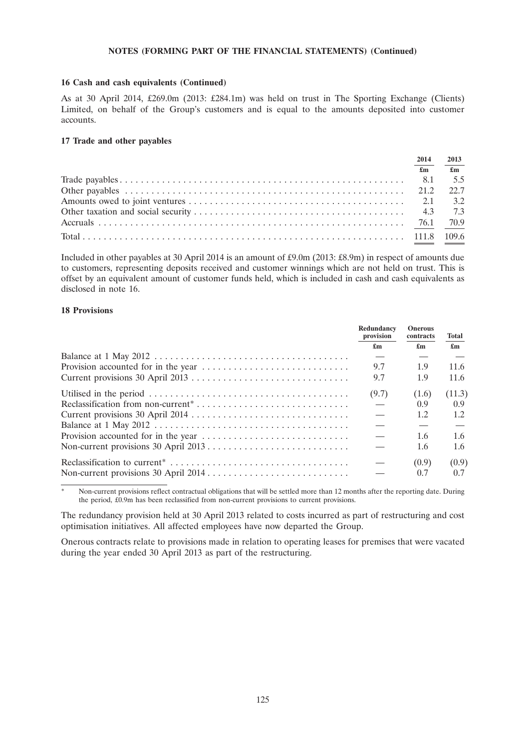#### **16 Cash and cash equivalents (Continued)**

As at 30 April 2014, £269.0m (2013: £284.1m) was held on trust in The Sporting Exchange (Clients) Limited, on behalf of the Group's customers and is equal to the amounts deposited into customer accounts.

### **17 Trade and other payables**

| 2014                      | 2013                          |
|---------------------------|-------------------------------|
| $\mathbf{f}_{\mathbf{m}}$ | $\mathbf{f}$ and $\mathbf{f}$ |
|                           |                               |
|                           |                               |
|                           |                               |
|                           |                               |
|                           |                               |
|                           |                               |

Included in other payables at 30 April 2014 is an amount of £9.0m (2013: £8.9m) in respect of amounts due to customers, representing deposits received and customer winnings which are not held on trust. This is offset by an equivalent amount of customer funds held, which is included in cash and cash equivalents as disclosed in note 16.

# **18 Provisions**

| Redundancy<br>provision | <b>Onerous</b><br>contracts | <b>Total</b>              |
|-------------------------|-----------------------------|---------------------------|
| £m                      | £m                          | $\mathbf{f}_{\mathbf{m}}$ |
|                         |                             |                           |
| 9.7                     | 1.9                         | 11.6                      |
| 9.7                     | 1.9                         | 11.6                      |
| (9.7)                   | (1.6)                       | (11.3)                    |
|                         | 0.9                         | 0.9                       |
|                         | 1.2                         | 1.2                       |
|                         |                             |                           |
|                         | 1.6                         | 1.6                       |
|                         | 1.6                         | 1.6                       |
|                         | (0.9)                       | (0.9)                     |
|                         | 0.7                         | 0.7                       |

Non-current provisions reflect contractual obligations that will be settled more than 12 months after the reporting date. During the period, £0.9m has been reclassified from non-current provisions to current provisions.

The redundancy provision held at 30 April 2013 related to costs incurred as part of restructuring and cost optimisation initiatives. All affected employees have now departed the Group.

Onerous contracts relate to provisions made in relation to operating leases for premises that were vacated during the year ended 30 April 2013 as part of the restructuring.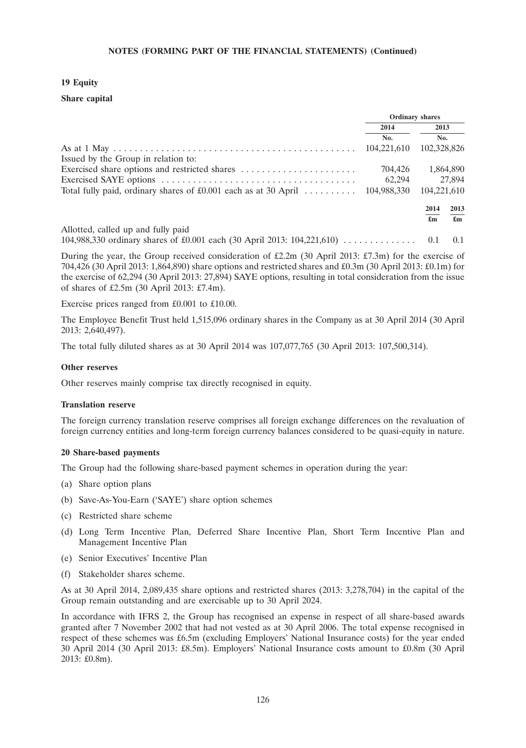# **19 Equity**

### **Share capital**

|                                                                               |             | <b>Ordinary shares</b>          |
|-------------------------------------------------------------------------------|-------------|---------------------------------|
|                                                                               | 2014        | 2013                            |
|                                                                               | No.         | No.                             |
|                                                                               | 104,221,610 | 102,328,826                     |
| Issued by the Group in relation to:                                           |             |                                 |
|                                                                               | 704,426     | 1,864,890                       |
|                                                                               | 62,294      | 27,894                          |
| Total fully paid, ordinary shares of £0.001 each as at 30 April $\dots \dots$ | 104,988,330 | 104.221.610                     |
|                                                                               |             | 2013<br>2014                    |
|                                                                               |             | £m<br>$\mathbf{f}_{\mathbf{m}}$ |
| Allotted, called up and fully paid                                            |             |                                 |

104,988,330 ordinary shares of £0.001 each (30 April 2013: 104,221,610) . . . . . . . . . . . . . . 0.1 0.1

During the year, the Group received consideration of £2.2m (30 April 2013: £7.3m) for the exercise of 704,426 (30 April 2013: 1,864,890) share options and restricted shares and £0.3m (30 April 2013: £0.1m) for the exercise of 62,294 (30 April 2013: 27,894) SAYE options, resulting in total consideration from the issue of shares of £2.5m (30 April 2013: £7.4m).

Exercise prices ranged from £0.001 to £10.00.

The Employee Benefit Trust held 1,515,096 ordinary shares in the Company as at 30 April 2014 (30 April 2013: 2,640,497).

The total fully diluted shares as at 30 April 2014 was 107,077,765 (30 April 2013: 107,500,314).

#### **Other reserves**

Other reserves mainly comprise tax directly recognised in equity.

#### **Translation reserve**

The foreign currency translation reserve comprises all foreign exchange differences on the revaluation of foreign currency entities and long-term foreign currency balances considered to be quasi-equity in nature.

#### **20 Share-based payments**

The Group had the following share-based payment schemes in operation during the year:

- (a) Share option plans
- (b) Save-As-You-Earn ('SAYE') share option schemes
- (c) Restricted share scheme
- (d) Long Term Incentive Plan, Deferred Share Incentive Plan, Short Term Incentive Plan and Management Incentive Plan
- (e) Senior Executives' Incentive Plan
- (f) Stakeholder shares scheme.

As at 30 April 2014, 2,089,435 share options and restricted shares (2013: 3,278,704) in the capital of the Group remain outstanding and are exercisable up to 30 April 2024.

In accordance with IFRS 2, the Group has recognised an expense in respect of all share-based awards granted after 7 November 2002 that had not vested as at 30 April 2006. The total expense recognised in respect of these schemes was £6.5m (excluding Employers' National Insurance costs) for the year ended 30 April 2014 (30 April 2013: £8.5m). Employers' National Insurance costs amount to £0.8m (30 April 2013: £0.8m).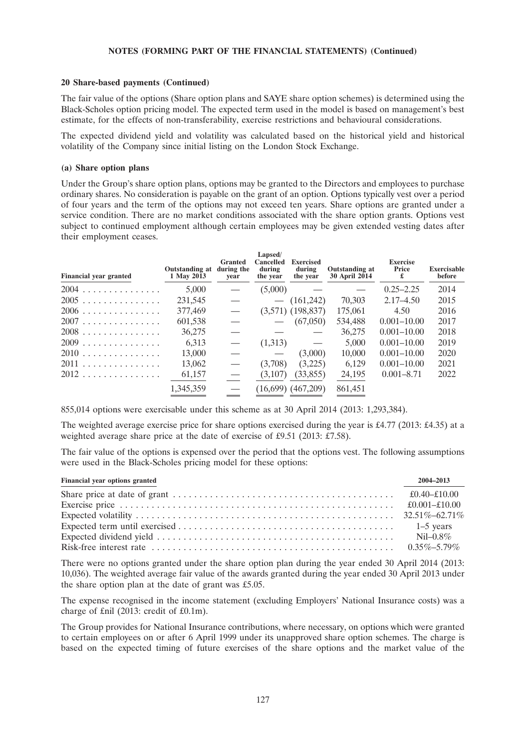#### **20 Share-based payments (Continued)**

The fair value of the options (Share option plans and SAYE share option schemes) is determined using the Black-Scholes option pricing model. The expected term used in the model is based on management's best estimate, for the effects of non-transferability, exercise restrictions and behavioural considerations.

The expected dividend yield and volatility was calculated based on the historical yield and historical volatility of the Company since initial listing on the London Stock Exchange.

#### **(a) Share option plans**

Under the Group's share option plans, options may be granted to the Directors and employees to purchase ordinary shares. No consideration is payable on the grant of an option. Options typically vest over a period of four years and the term of the options may not exceed ten years. Share options are granted under a service condition. There are no market conditions associated with the share option grants. Options vest subject to continued employment although certain employees may be given extended vesting dates after their employment ceases.

| <b>Financial year granted</b> | Outstanding at<br>1 May 2013 | <b>Granted</b><br>during the<br>vear | Lapsed/<br>Cancelled<br>during<br>the year | <b>Exercised</b><br>during<br>the year | Outstanding at<br>30 April 2014 | <b>Exercise</b><br>Price<br>£ | <b>Exercisable</b><br>before |
|-------------------------------|------------------------------|--------------------------------------|--------------------------------------------|----------------------------------------|---------------------------------|-------------------------------|------------------------------|
| 2004                          | 5,000                        |                                      | (5,000)                                    |                                        |                                 | $0.25 - 2.25$                 | 2014                         |
| 2005                          | 231,545                      |                                      | $\overbrace{\phantom{123331}}$             | (161,242)                              | 70,303                          | $2.17 - 4.50$                 | 2015                         |
| $2006$                        | 377,469                      |                                      |                                            | $(3,571)$ $(198,837)$                  | 175,061                         | 4.50                          | 2016                         |
| 2007                          | 601,538                      |                                      | $\overline{\phantom{m}}$                   | (67,050)                               | 534,488                         | $0.001 - 10.00$               | 2017                         |
| 2008                          | 36,275                       |                                      |                                            | $\hspace{0.05cm}$                      | 36,275                          | $0.001 - 10.00$               | 2018                         |
| $2009$                        | 6.313                        |                                      | (1,313)                                    |                                        | 5,000                           | $0.001 - 10.00$               | 2019                         |
| 2010                          | 13,000                       |                                      |                                            | (3,000)                                | 10,000                          | $0.001 - 10.00$               | 2020                         |
| 2011                          | 13,062                       |                                      | (3,708)                                    | (3,225)                                | 6.129                           | $0.001 - 10.00$               | 2021                         |
| 2012                          | 61,157                       |                                      | (3,107)                                    | (33, 855)                              | 24,195                          | $0.001 - 8.71$                | 2022                         |
|                               | 1,345,359                    |                                      |                                            | $(16,699)$ $(467,209)$                 | 861,451                         |                               |                              |

855,014 options were exercisable under this scheme as at 30 April 2014 (2013: 1,293,384).

The weighted average exercise price for share options exercised during the year is £4.77 (2013: £4.35) at a weighted average share price at the date of exercise of £9.51 (2013: £7.58).

The fair value of the options is expensed over the period that the options vest. The following assumptions were used in the Black-Scholes pricing model for these options:

| Financial year options granted | 2004-2013    |
|--------------------------------|--------------|
|                                | £0.40–£10.00 |
|                                |              |
|                                |              |
|                                |              |
|                                |              |
|                                |              |

There were no options granted under the share option plan during the year ended 30 April 2014 (2013: 10,036). The weighted average fair value of the awards granted during the year ended 30 April 2013 under the share option plan at the date of grant was £5.05.

The expense recognised in the income statement (excluding Employers' National Insurance costs) was a charge of £nil (2013: credit of £0.1m).

The Group provides for National Insurance contributions, where necessary, on options which were granted to certain employees on or after 6 April 1999 under its unapproved share option schemes. The charge is based on the expected timing of future exercises of the share options and the market value of the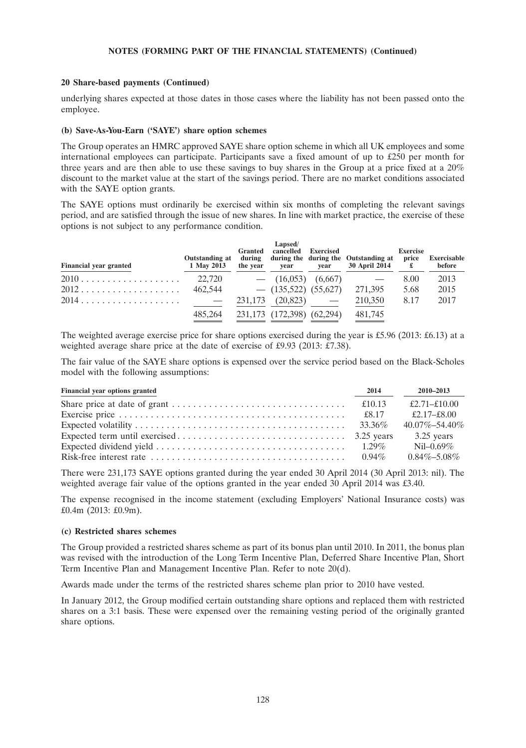#### **20 Share-based payments (Continued)**

underlying shares expected at those dates in those cases where the liability has not been passed onto the employee.

#### **(b) Save-As-You-Earn ('SAYE') share option schemes**

The Group operates an HMRC approved SAYE share option scheme in which all UK employees and some international employees can participate. Participants save a fixed amount of up to £250 per month for three years and are then able to use these savings to buy shares in the Group at a price fixed at a 20% discount to the market value at the start of the savings period. There are no market conditions associated with the SAYE option grants.

The SAYE options must ordinarily be exercised within six months of completing the relevant savings period, and are satisfied through the issue of new shares. In line with market practice, the exercise of these options is not subject to any performance condition.

| <b>Financial year granted</b> | <b>Outstanding at</b><br>1 May 2013 | <b>Granted</b><br>during<br>the year | Lapsed/<br>cancelled<br>vear | <b>Exercised</b><br>vear | during the during the Outstanding at<br>30 April 2014 | <b>Exercise</b><br>price | Exercisable<br>before |
|-------------------------------|-------------------------------------|--------------------------------------|------------------------------|--------------------------|-------------------------------------------------------|--------------------------|-----------------------|
|                               | 22,720                              |                                      | $-$ (16,053) (6,667)         |                          |                                                       | 8.00                     | 2013                  |
|                               | 462,544                             |                                      | $-$ (135,522) (55,627)       |                          | 271,395                                               | 5.68                     | 2015                  |
|                               | $\sim$ $\sim$                       |                                      | $231,173$ $(20,823)$ —       |                          | 210,350                                               | 8.17                     | 2017                  |
|                               | 485,264                             |                                      | 231,173 (172,398) (62,294)   |                          | 481,745                                               |                          |                       |

The weighted average exercise price for share options exercised during the year is £5.96 (2013: £6.13) at a weighted average share price at the date of exercise of £9.93 (2013: £7.38).

The fair value of the SAYE share options is expensed over the service period based on the Black-Scholes model with the following assumptions:

| Financial year options granted | 2014     | $2010 - 2013$       |
|--------------------------------|----------|---------------------|
|                                |          | £2.71-£10.00        |
|                                | £8.17    | £2.17–£8.00         |
|                                |          | $40.07\% - 54.40\%$ |
|                                |          | $3.25$ years        |
|                                |          | Nil-0.69%           |
|                                | $0.94\%$ | $0.84\% - 5.08\%$   |

There were 231,173 SAYE options granted during the year ended 30 April 2014 (30 April 2013: nil). The weighted average fair value of the options granted in the year ended 30 April 2014 was £3.40.

The expense recognised in the income statement (excluding Employers' National Insurance costs) was £0.4m (2013: £0.9m).

#### **(c) Restricted shares schemes**

The Group provided a restricted shares scheme as part of its bonus plan until 2010. In 2011, the bonus plan was revised with the introduction of the Long Term Incentive Plan, Deferred Share Incentive Plan, Short Term Incentive Plan and Management Incentive Plan. Refer to note 20(d).

Awards made under the terms of the restricted shares scheme plan prior to 2010 have vested.

In January 2012, the Group modified certain outstanding share options and replaced them with restricted shares on a 3:1 basis. These were expensed over the remaining vesting period of the originally granted share options.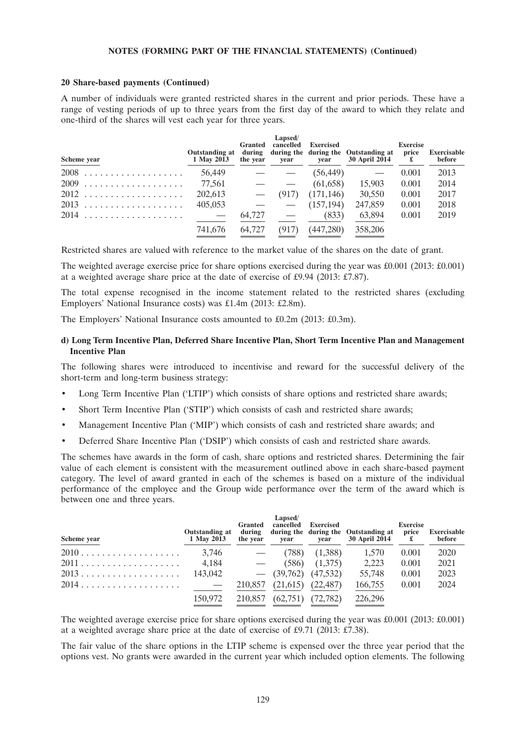#### **20 Share-based payments (Continued)**

A number of individuals were granted restricted shares in the current and prior periods. These have a range of vesting periods of up to three years from the first day of the award to which they relate and one-third of the shares will vest each year for three years.

| Scheme year | Outstanding at<br>1 May 2013 | <b>Granted</b><br>during<br>the year | <b>Lapsed/</b><br>cancelled<br>vear | <b>Exercised</b><br>vear | during the during the Outstanding at<br><b>30 April 2014</b> | <b>Exercise</b><br>price<br>£ | <b>Exercisable</b><br>before |
|-------------|------------------------------|--------------------------------------|-------------------------------------|--------------------------|--------------------------------------------------------------|-------------------------------|------------------------------|
|             | 56,449                       |                                      |                                     | (56, 449)                |                                                              | 0.001                         | 2013                         |
|             | 77,561                       |                                      |                                     | (61, 658)                | 15,903                                                       | 0.001                         | 2014                         |
|             | 202,613                      |                                      | (917)                               | (171, 146)               | 30,550                                                       | 0.001                         | 2017                         |
|             | 405,053                      |                                      |                                     | (157, 194)               | 247,859                                                      | 0.001                         | 2018                         |
|             | $\sim$ $-$                   | 64,727                               |                                     | (833)                    | 63.894                                                       | 0.001                         | 2019                         |
|             | 741.676                      | 64,727                               | (917)                               | (447,280)                | 358,206                                                      |                               |                              |

Restricted shares are valued with reference to the market value of the shares on the date of grant.

The weighted average exercise price for share options exercised during the year was £0.001 (2013: £0.001) at a weighted average share price at the date of exercise of £9.94 (2013: £7.87).

The total expense recognised in the income statement related to the restricted shares (excluding Employers' National Insurance costs) was £1.4m (2013: £2.8m).

The Employers' National Insurance costs amounted to £0.2m (2013: £0.3m).

## **d) Long Term Incentive Plan, Deferred Share Incentive Plan, Short Term Incentive Plan and Management Incentive Plan**

The following shares were introduced to incentivise and reward for the successful delivery of the short-term and long-term business strategy:

- Long Term Incentive Plan ('LTIP') which consists of share options and restricted share awards;
- Short Term Incentive Plan ('STIP') which consists of cash and restricted share awards;
- Management Incentive Plan ('MIP') which consists of cash and restricted share awards; and
- Deferred Share Incentive Plan ('DSIP') which consists of cash and restricted share awards.

The schemes have awards in the form of cash, share options and restricted shares. Determining the fair value of each element is consistent with the measurement outlined above in each share-based payment category. The level of award granted in each of the schemes is based on a mixture of the individual performance of the employee and the Group wide performance over the term of the award which is between one and three years.

| Scheme year | <b>Outstanding at</b><br>1 May 2013 | <b>Granted</b><br>during<br>the year | Lapsed/<br>cancelled<br>vear | <b>Exercised</b><br>vear | during the during the Outstanding at<br><b>30 April 2014</b> | <b>Exercise</b><br>price | <b>Exercisable</b><br>before |
|-------------|-------------------------------------|--------------------------------------|------------------------------|--------------------------|--------------------------------------------------------------|--------------------------|------------------------------|
|             | 3,746                               |                                      | (788)                        | (1,388)                  | 1,570                                                        | 0.001                    | 2020                         |
|             | 4,184                               | $\sim$ $-$                           | (586)                        | (1,375)                  | 2.223                                                        | 0.001                    | 2021                         |
|             | 143,042                             |                                      | $-$ (39,762)                 | (47, 532)                | 55.748                                                       | 0.001                    | 2023                         |
|             | $\sim$ $-$                          | 210,857                              | (21.615)                     | (22.487)                 | 166,755                                                      | 0.001                    | 2024                         |
|             | 150,972                             | 210,857                              | (62,751)                     | (72, 782)                | 226,296                                                      |                          |                              |

The weighted average exercise price for share options exercised during the year was £0.001 (2013: £0.001) at a weighted average share price at the date of exercise of £9.71 (2013: £7.38).

The fair value of the share options in the LTIP scheme is expensed over the three year period that the options vest. No grants were awarded in the current year which included option elements. The following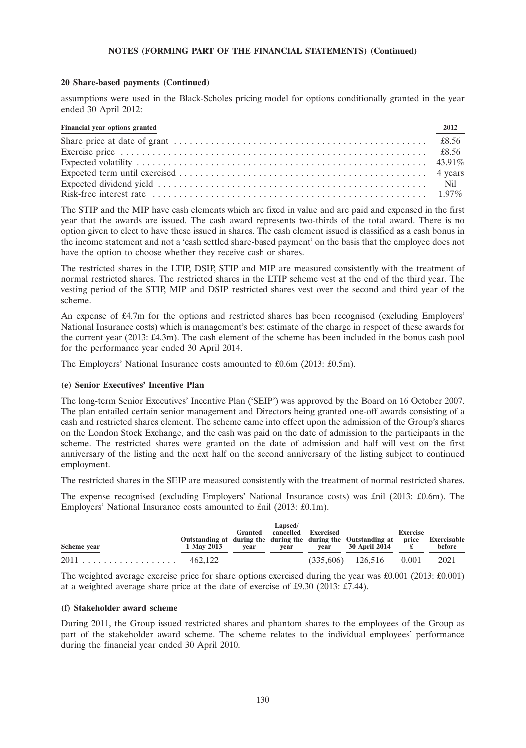### **20 Share-based payments (Continued)**

assumptions were used in the Black-Scholes pricing model for options conditionally granted in the year ended 30 April 2012:

| Financial year options granted | 2012 |
|--------------------------------|------|
|                                |      |
|                                |      |
|                                |      |
|                                |      |
|                                |      |
|                                |      |

The STIP and the MIP have cash elements which are fixed in value and are paid and expensed in the first year that the awards are issued. The cash award represents two-thirds of the total award. There is no option given to elect to have these issued in shares. The cash element issued is classified as a cash bonus in the income statement and not a 'cash settled share-based payment' on the basis that the employee does not have the option to choose whether they receive cash or shares.

The restricted shares in the LTIP, DSIP, STIP and MIP are measured consistently with the treatment of normal restricted shares. The restricted shares in the LTIP scheme vest at the end of the third year. The vesting period of the STIP, MIP and DSIP restricted shares vest over the second and third year of the scheme.

An expense of £4.7m for the options and restricted shares has been recognised (excluding Employers' National Insurance costs) which is management's best estimate of the charge in respect of these awards for the current year (2013: £4.3m). The cash element of the scheme has been included in the bonus cash pool for the performance year ended 30 April 2014.

The Employers' National Insurance costs amounted to £0.6m (2013: £0.5m).

## **(e) Senior Executives' Incentive Plan**

The long-term Senior Executives' Incentive Plan ('SEIP') was approved by the Board on 16 October 2007. The plan entailed certain senior management and Directors being granted one-off awards consisting of a cash and restricted shares element. The scheme came into effect upon the admission of the Group's shares on the London Stock Exchange, and the cash was paid on the date of admission to the participants in the scheme. The restricted shares were granted on the date of admission and half will vest on the first anniversary of the listing and the next half on the second anniversary of the listing subject to continued employment.

The restricted shares in the SEIP are measured consistently with the treatment of normal restricted shares.

The expense recognised (excluding Employers' National Insurance costs) was £nil (2013: £0.6m). The Employers' National Insurance costs amounted to £nil (2013: £0.1m).

|             | Lapsed/<br>Granted cancelled Exercised |      |      |      |                                                                                                              | <b>Exercise</b> |        |  |  |
|-------------|----------------------------------------|------|------|------|--------------------------------------------------------------------------------------------------------------|-----------------|--------|--|--|
| Scheme year | 1 May 2013                             | vear | vear | vear | Outstanding at during the during the during the Outstanding at price Exercisable<br>30 April 2014 $\epsilon$ |                 | before |  |  |
|             |                                        |      |      |      |                                                                                                              |                 | 2021   |  |  |

The weighted average exercise price for share options exercised during the year was  $£0.001$  (2013:  $£0.001$ ) at a weighted average share price at the date of exercise of £9.30 (2013: £7.44).

#### **(f) Stakeholder award scheme**

During 2011, the Group issued restricted shares and phantom shares to the employees of the Group as part of the stakeholder award scheme. The scheme relates to the individual employees' performance during the financial year ended 30 April 2010.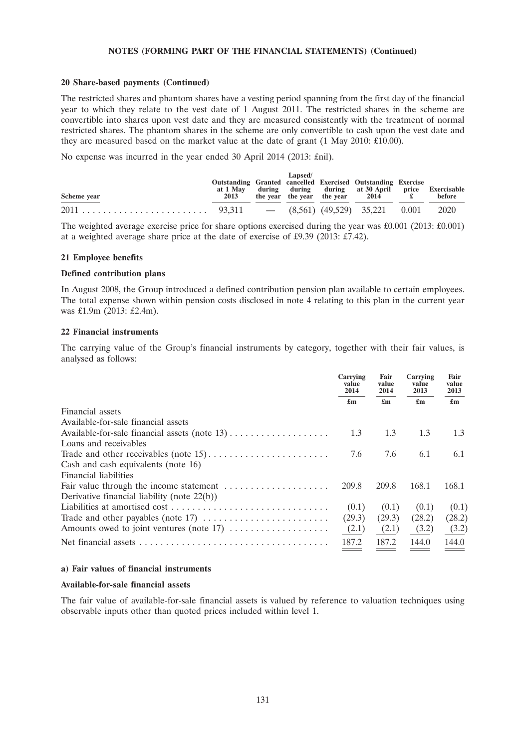#### **20 Share-based payments (Continued)**

The restricted shares and phantom shares have a vesting period spanning from the first day of the financial year to which they relate to the vest date of 1 August 2011. The restricted shares in the scheme are convertible into shares upon vest date and they are measured consistently with the treatment of normal restricted shares. The phantom shares in the scheme are only convertible to cash upon the vest date and they are measured based on the market value at the date of grant (1 May 2010: £10.00).

No expense was incurred in the year ended 30 April 2014 (2013: £nil).

| Scheme year | Outstanding Granted cancelled Exercised Outstanding Exercise<br>2013 | Lapsed/ | at 1 May during during during at 30 April price Exercisable<br>the year the year the year $2014$ f. | before |
|-------------|----------------------------------------------------------------------|---------|-----------------------------------------------------------------------------------------------------|--------|
|             |                                                                      |         |                                                                                                     |        |

The weighted average exercise price for share options exercised during the year was  $\text{\pounds}0.001$  (2013:  $\text{\pounds}0.001$ ) at a weighted average share price at the date of exercise of £9.39 (2013: £7.42).

#### **21 Employee benefits**

#### **Defined contribution plans**

In August 2008, the Group introduced a defined contribution pension plan available to certain employees. The total expense shown within pension costs disclosed in note 4 relating to this plan in the current year was £1.9m (2013: £2.4m).

#### **22 Financial instruments**

The carrying value of the Group's financial instruments by category, together with their fair values, is analysed as follows:

|                                                | Carrying<br>value<br>2014 | Fair<br>value<br>2014     | Carrying<br>value<br>2013 | Fair<br>value<br>2013     |
|------------------------------------------------|---------------------------|---------------------------|---------------------------|---------------------------|
|                                                | $\mathbf{f}_{\mathbf{m}}$ | $\mathbf{f}_{\mathbf{m}}$ | $\mathbf{f}_{\mathbf{m}}$ | $\mathbf{f}_{\mathbf{m}}$ |
| Financial assets                               |                           |                           |                           |                           |
| Available-for-sale financial assets            |                           |                           |                           |                           |
|                                                | 1.3                       | 1.3                       | 1.3                       | 1.3                       |
| Loans and receivables                          |                           |                           |                           |                           |
|                                                | 7.6                       | 7.6                       | 6.1                       | 6.1                       |
| Cash and cash equivalents (note 16)            |                           |                           |                           |                           |
| Financial liabilities                          |                           |                           |                           |                           |
|                                                | 209.8                     | 209.8                     | 168.1                     | 168.1                     |
| Derivative financial liability (note $22(b)$ ) |                           |                           |                           |                           |
|                                                | (0.1)                     | (0.1)                     | (0.1)                     | (0.1)                     |
|                                                | (29.3)                    | (29.3)                    | (28.2)                    | (28.2)                    |
|                                                | (2.1)                     | (2.1)                     | (3.2)                     | (3.2)                     |
|                                                | 187.2                     | 187.2                     | 144.0                     | 144.0                     |
|                                                |                           |                           |                           |                           |

#### **a) Fair values of financial instruments**

#### **Available-for-sale financial assets**

The fair value of available-for-sale financial assets is valued by reference to valuation techniques using observable inputs other than quoted prices included within level 1.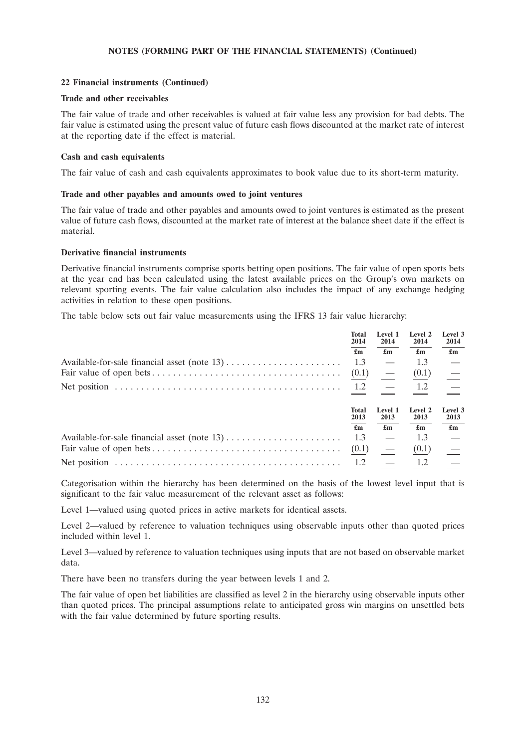# **22 Financial instruments (Continued)**

### **Trade and other receivables**

The fair value of trade and other receivables is valued at fair value less any provision for bad debts. The fair value is estimated using the present value of future cash flows discounted at the market rate of interest at the reporting date if the effect is material.

### **Cash and cash equivalents**

The fair value of cash and cash equivalents approximates to book value due to its short-term maturity.

#### **Trade and other payables and amounts owed to joint ventures**

The fair value of trade and other payables and amounts owed to joint ventures is estimated as the present value of future cash flows, discounted at the market rate of interest at the balance sheet date if the effect is material.

#### **Derivative financial instruments**

Derivative financial instruments comprise sports betting open positions. The fair value of open sports bets at the year end has been calculated using the latest available prices on the Group's own markets on relevant sporting events. The fair value calculation also includes the impact of any exchange hedging activities in relation to these open positions.

The table below sets out fair value measurements using the IFRS 13 fair value hierarchy:

| <b>Total</b><br>2014      | Level 1<br>2014           | Level 2<br>2014           | Level 3<br>2014           |
|---------------------------|---------------------------|---------------------------|---------------------------|
| $\mathbf{f}_{\mathbf{m}}$ | $\mathbf{f}_{\mathbf{m}}$ | $\mathbf{f}_{\mathbf{m}}$ | $\mathbf{f}_{\mathbf{m}}$ |
| 1.3                       |                           | 1.3                       |                           |
| (0.1)                     | $\overline{\phantom{0}}$  | (0.1)                     |                           |
| 1.2                       |                           | 1.2                       |                           |
| Total<br>2013             | Level 1<br>2013           | <b>Level 2</b><br>2013    | Level 3<br>2013           |
| $\mathbf{f}_{\mathbf{m}}$ | $\mathbf{f}_{\mathbf{m}}$ | $\mathbf{f}_{\mathbf{m}}$ | $\mathbf{f}_{\mathbf{m}}$ |
| 1.3                       |                           | 1.3                       |                           |
| (0.1)                     |                           | (0.1)                     |                           |
| 1.2                       |                           | 1.2                       |                           |

Categorisation within the hierarchy has been determined on the basis of the lowest level input that is significant to the fair value measurement of the relevant asset as follows:

Level 1—valued using quoted prices in active markets for identical assets.

Level 2—valued by reference to valuation techniques using observable inputs other than quoted prices included within level 1.

Level 3—valued by reference to valuation techniques using inputs that are not based on observable market data.

There have been no transfers during the year between levels 1 and 2.

The fair value of open bet liabilities are classified as level 2 in the hierarchy using observable inputs other than quoted prices. The principal assumptions relate to anticipated gross win margins on unsettled bets with the fair value determined by future sporting results.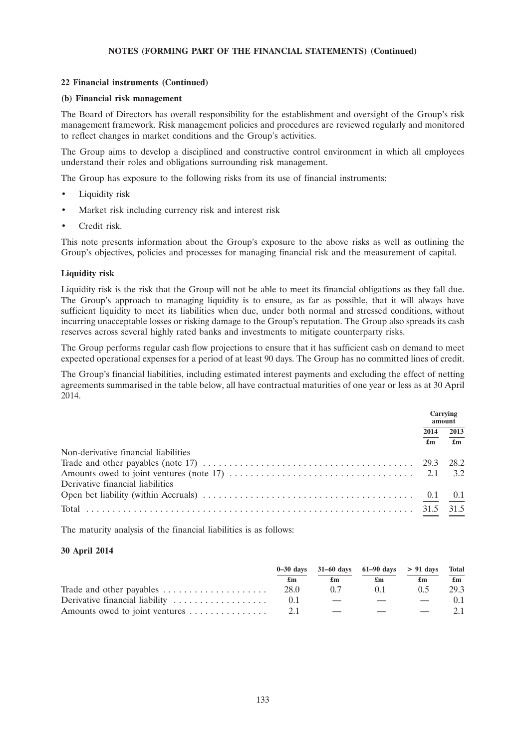# **22 Financial instruments (Continued)**

### **(b) Financial risk management**

The Board of Directors has overall responsibility for the establishment and oversight of the Group's risk management framework. Risk management policies and procedures are reviewed regularly and monitored to reflect changes in market conditions and the Group's activities.

The Group aims to develop a disciplined and constructive control environment in which all employees understand their roles and obligations surrounding risk management.

The Group has exposure to the following risks from its use of financial instruments:

- Liquidity risk
- Market risk including currency risk and interest risk
- Credit risk.

This note presents information about the Group's exposure to the above risks as well as outlining the Group's objectives, policies and processes for managing financial risk and the measurement of capital.

#### **Liquidity risk**

Liquidity risk is the risk that the Group will not be able to meet its financial obligations as they fall due. The Group's approach to managing liquidity is to ensure, as far as possible, that it will always have sufficient liquidity to meet its liabilities when due, under both normal and stressed conditions, without incurring unacceptable losses or risking damage to the Group's reputation. The Group also spreads its cash reserves across several highly rated banks and investments to mitigate counterparty risks.

The Group performs regular cash flow projections to ensure that it has sufficient cash on demand to meet expected operational expenses for a period of at least 90 days. The Group has no committed lines of credit.

The Group's financial liabilities, including estimated interest payments and excluding the effect of netting agreements summarised in the table below, all have contractual maturities of one year or less as at 30 April 2014.

|                                      |                           | Carrying<br>amount |  |
|--------------------------------------|---------------------------|--------------------|--|
|                                      | 2014                      | 2013               |  |
|                                      | $\mathbf{f}_{\mathbf{m}}$ | $\mathbf{m}$       |  |
| Non-derivative financial liabilities |                           |                    |  |
|                                      |                           |                    |  |
|                                      |                           |                    |  |
| Derivative financial liabilities     |                           |                    |  |
|                                      |                           |                    |  |
|                                      |                           |                    |  |

The maturity analysis of the financial liabilities is as follows:

## **30 April 2014**

|                                                                           |    |     | $0-30$ days $31-60$ days $61-90$ days $> 91$ days Total     |             |                           |
|---------------------------------------------------------------------------|----|-----|-------------------------------------------------------------|-------------|---------------------------|
|                                                                           | £m | £m  | £m                                                          | £m          | $\mathbf{f}_{\mathbf{m}}$ |
| Trade and other payables $\ldots \ldots \ldots \ldots \ldots \ldots$ 28.0 |    | (17 | 0.1                                                         | 05          | 29.3                      |
| Derivative financial liability                                            |    |     | the company's company's state of the company's state of the | $\sim$ $ -$ | (0.1                      |
|                                                                           |    |     |                                                             |             | 21                        |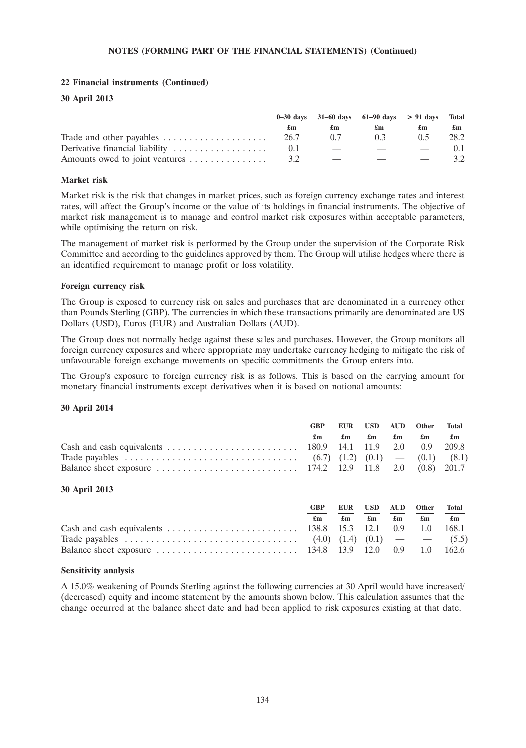# **22 Financial instruments (Continued)**

### **30 April 2013**

|                                |      | $0-30 \text{ days}$ 31-60 days 61-90 days > 91 days Total |                          |                          |                           |
|--------------------------------|------|-----------------------------------------------------------|--------------------------|--------------------------|---------------------------|
|                                | £m   | £m                                                        | £m                       | £m                       | $\mathbf{f}_{\mathbf{m}}$ |
| Trade and other payables       | 26.7 | 07                                                        | 0.3                      | 05                       | 28.2                      |
| Derivative financial liability |      |                                                           | $\overline{\phantom{a}}$ | $\overline{\phantom{0}}$ | 0.1                       |
| Amounts owed to joint ventures |      | $\overline{\phantom{a}}$                                  | <b>Communication</b>     |                          | 32                        |

### **Market risk**

Market risk is the risk that changes in market prices, such as foreign currency exchange rates and interest rates, will affect the Group's income or the value of its holdings in financial instruments. The objective of market risk management is to manage and control market risk exposures within acceptable parameters, while optimising the return on risk.

The management of market risk is performed by the Group under the supervision of the Corporate Risk Committee and according to the guidelines approved by them. The Group will utilise hedges where there is an identified requirement to manage profit or loss volatility.

#### **Foreign currency risk**

The Group is exposed to currency risk on sales and purchases that are denominated in a currency other than Pounds Sterling (GBP). The currencies in which these transactions primarily are denominated are US Dollars (USD), Euros (EUR) and Australian Dollars (AUD).

The Group does not normally hedge against these sales and purchases. However, the Group monitors all foreign currency exposures and where appropriate may undertake currency hedging to mitigate the risk of unfavourable foreign exchange movements on specific commitments the Group enters into.

The Group's exposure to foreign currency risk is as follows. This is based on the carrying amount for monetary financial instruments except derivatives when it is based on notional amounts:

#### **30 April 2014**

| <b>GBP</b> |  | EUR USD AUD Other                                           | Total |
|------------|--|-------------------------------------------------------------|-------|
| £m         |  | $\pounds$ m $\pounds$ m $\pounds$ m $\pounds$ m $\pounds$ m |       |
|            |  |                                                             |       |
|            |  |                                                             |       |
|            |  |                                                             |       |

## **30 April 2013**

| <b>GRP</b>     |  | EUR USD AUD Other Total                                                                   |  |
|----------------|--|-------------------------------------------------------------------------------------------|--|
| $\mathbf{f}$ m |  | $\mathfrak{m}$ $\mathfrak{m}$ $\mathfrak{m}$ $\mathfrak{m}$ $\mathfrak{m}$ $\mathfrak{m}$ |  |
|                |  |                                                                                           |  |
|                |  |                                                                                           |  |
|                |  |                                                                                           |  |

#### **Sensitivity analysis**

A 15.0% weakening of Pounds Sterling against the following currencies at 30 April would have increased/ (decreased) equity and income statement by the amounts shown below. This calculation assumes that the change occurred at the balance sheet date and had been applied to risk exposures existing at that date.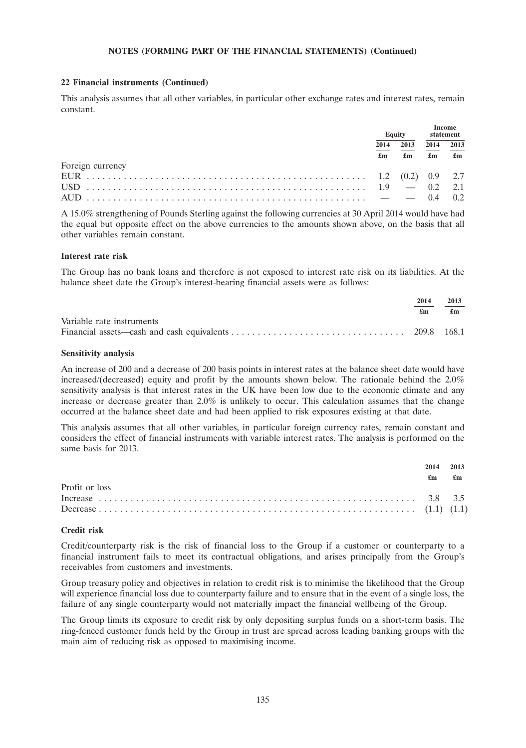#### **22 Financial instruments (Continued)**

This analysis assumes that all other variables, in particular other exchange rates and interest rates, remain constant.

|                  |      | <b>Equity</b>             |                           | statement |      |      |
|------------------|------|---------------------------|---------------------------|-----------|------|------|
|                  | 2014 | 2013                      |                           |           | 2014 | 2013 |
|                  | £m   | $\mathbf{f}_{\mathbf{m}}$ | $\mathbf{f}_{\mathbf{m}}$ |           |      |      |
| Foreign currency |      |                           |                           |           |      |      |
|                  |      |                           |                           |           |      |      |
|                  |      |                           |                           |           |      |      |
|                  |      |                           |                           |           |      |      |

A 15.0% strengthening of Pounds Sterling against the following currencies at 30 April 2014 would have had the equal but opposite effect on the above currencies to the amounts shown above, on the basis that all other variables remain constant.

#### **Interest rate risk**

The Group has no bank loans and therefore is not exposed to interest rate risk on its liabilities. At the balance sheet date the Group's interest-bearing financial assets were as follows:

|                           | 2014 | 2013 |
|---------------------------|------|------|
|                           | £m   | £m   |
| Variable rate instruments |      |      |
|                           |      |      |

#### **Sensitivity analysis**

An increase of 200 and a decrease of 200 basis points in interest rates at the balance sheet date would have increased/(decreased) equity and profit by the amounts shown below. The rationale behind the 2.0% sensitivity analysis is that interest rates in the UK have been low due to the economic climate and any increase or decrease greater than 2.0% is unlikely to occur. This calculation assumes that the change occurred at the balance sheet date and had been applied to risk exposures existing at that date.

This analysis assumes that all other variables, in particular foreign currency rates, remain constant and considers the effect of financial instruments with variable interest rates. The analysis is performed on the same basis for 2013.

|                | 2014<br>£m | 2013<br>$\mathbf{f}$ m |
|----------------|------------|------------------------|
| Profit or loss |            |                        |

#### **Credit risk**

Credit/counterparty risk is the risk of financial loss to the Group if a customer or counterparty to a financial instrument fails to meet its contractual obligations, and arises principally from the Group's receivables from customers and investments.

Group treasury policy and objectives in relation to credit risk is to minimise the likelihood that the Group will experience financial loss due to counterparty failure and to ensure that in the event of a single loss, the failure of any single counterparty would not materially impact the financial wellbeing of the Group.

The Group limits its exposure to credit risk by only depositing surplus funds on a short-term basis. The ring-fenced customer funds held by the Group in trust are spread across leading banking groups with the main aim of reducing risk as opposed to maximising income.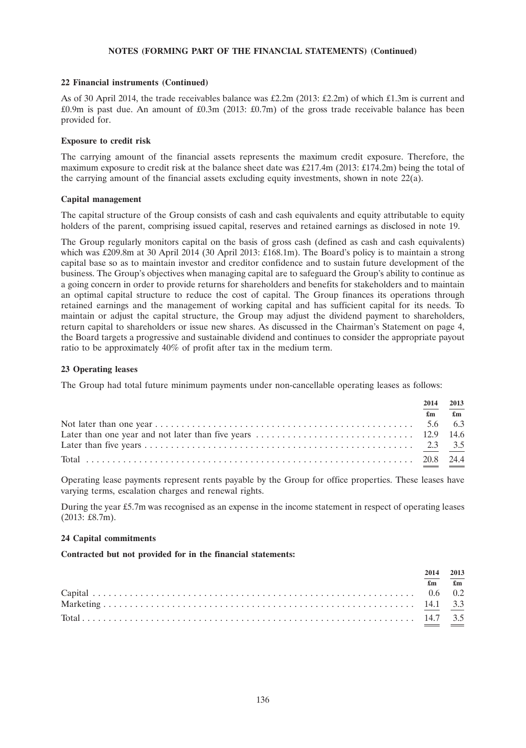#### **22 Financial instruments (Continued)**

As of 30 April 2014, the trade receivables balance was £2.2m (2013: £2.2m) of which £1.3m is current and £0.9m is past due. An amount of £0.3m (2013: £0.7m) of the gross trade receivable balance has been provided for.

#### **Exposure to credit risk**

The carrying amount of the financial assets represents the maximum credit exposure. Therefore, the maximum exposure to credit risk at the balance sheet date was £217.4m (2013: £174.2m) being the total of the carrying amount of the financial assets excluding equity investments, shown in note  $22(a)$ .

#### **Capital management**

The capital structure of the Group consists of cash and cash equivalents and equity attributable to equity holders of the parent, comprising issued capital, reserves and retained earnings as disclosed in note 19.

The Group regularly monitors capital on the basis of gross cash (defined as cash and cash equivalents) which was £209.8m at 30 April 2014 (30 April 2013: £168.1m). The Board's policy is to maintain a strong capital base so as to maintain investor and creditor confidence and to sustain future development of the business. The Group's objectives when managing capital are to safeguard the Group's ability to continue as a going concern in order to provide returns for shareholders and benefits for stakeholders and to maintain an optimal capital structure to reduce the cost of capital. The Group finances its operations through retained earnings and the management of working capital and has sufficient capital for its needs. To maintain or adjust the capital structure, the Group may adjust the dividend payment to shareholders, return capital to shareholders or issue new shares. As discussed in the Chairman's Statement on page 4, the Board targets a progressive and sustainable dividend and continues to consider the appropriate payout ratio to be approximately 40% of profit after tax in the medium term.

## **23 Operating leases**

The Group had total future minimum payments under non-cancellable operating leases as follows:

| 2014                          | 2013 |
|-------------------------------|------|
| $\mathbf{f}$ m $\mathbf{f}$ m |      |
|                               |      |
|                               |      |
|                               |      |
|                               |      |

Operating lease payments represent rents payable by the Group for office properties. These leases have varying terms, escalation charges and renewal rights.

During the year £5.7m was recognised as an expense in the income statement in respect of operating leases (2013: £8.7m).

#### **24 Capital commitments**

**Contracted but not provided for in the financial statements:**

|  | 2014 2013                     |
|--|-------------------------------|
|  | $\mathbf{f}$ m $\mathbf{f}$ m |
|  |                               |
|  |                               |
|  |                               |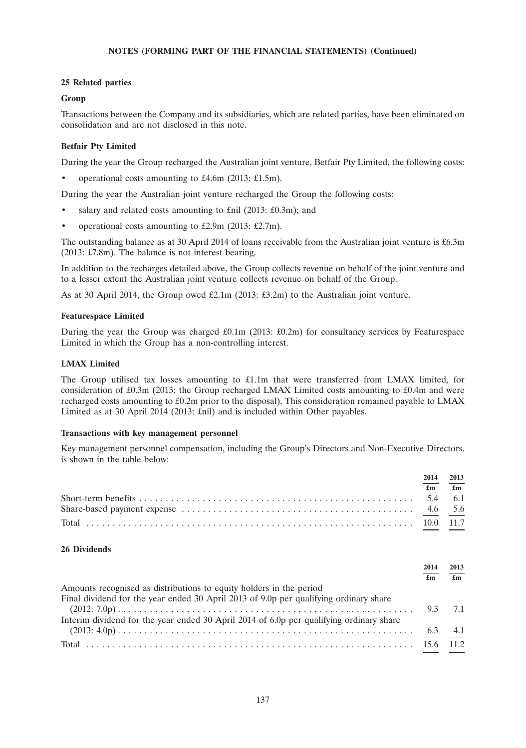### **25 Related parties**

#### **Group**

Transactions between the Company and its subsidiaries, which are related parties, have been eliminated on consolidation and are not disclosed in this note.

### **Betfair Pty Limited**

During the year the Group recharged the Australian joint venture, Betfair Pty Limited, the following costs:

• operational costs amounting to £4.6m (2013: £1.5m).

During the year the Australian joint venture recharged the Group the following costs:

- salary and related costs amounting to £nil (2013: £0.3m); and
- operational costs amounting to £2.9m (2013: £2.7m).

The outstanding balance as at 30 April 2014 of loans receivable from the Australian joint venture is £6.3m (2013: £7.8m). The balance is not interest bearing.

In addition to the recharges detailed above, the Group collects revenue on behalf of the joint venture and to a lesser extent the Australian joint venture collects revenue on behalf of the Group.

As at 30 April 2014, the Group owed £2.1m (2013: £3.2m) to the Australian joint venture.

#### **Featurespace Limited**

During the year the Group was charged  $\text{\pounds}0.1\text{m}$  (2013:  $\text{\pounds}0.2\text{m}$ ) for consultancy services by Featurespace Limited in which the Group has a non-controlling interest.

#### **LMAX Limited**

The Group utilised tax losses amounting to £1.1m that were transferred from LMAX limited, for consideration of £0.3m (2013: the Group recharged LMAX Limited costs amounting to £0.4m and were recharged costs amounting to £0.2m prior to the disposal). This consideration remained payable to LMAX Limited as at 30 April 2014 (2013: £nil) and is included within Other payables.

#### **Transactions with key management personnel**

Key management personnel compensation, including the Group's Directors and Non-Executive Directors, is shown in the table below:

| 2014           | 2013           |
|----------------|----------------|
| $\mathbf{f}$ m | $\mathbf{f}$ m |
|                |                |
|                |                |
|                |                |

#### **26 Dividends**

|                                                                                         | 2014 | 2013                      |
|-----------------------------------------------------------------------------------------|------|---------------------------|
|                                                                                         | £m   | $\mathbf{f}_{\mathbf{m}}$ |
| Amounts recognised as distributions to equity holders in the period                     |      |                           |
| Final dividend for the year ended 30 April 2013 of 9.0p per qualifying ordinary share   |      |                           |
|                                                                                         |      | 9.3 7.1                   |
| Interim dividend for the year ended 30 April 2014 of 6.0p per qualifying ordinary share |      |                           |
|                                                                                         |      |                           |
|                                                                                         |      |                           |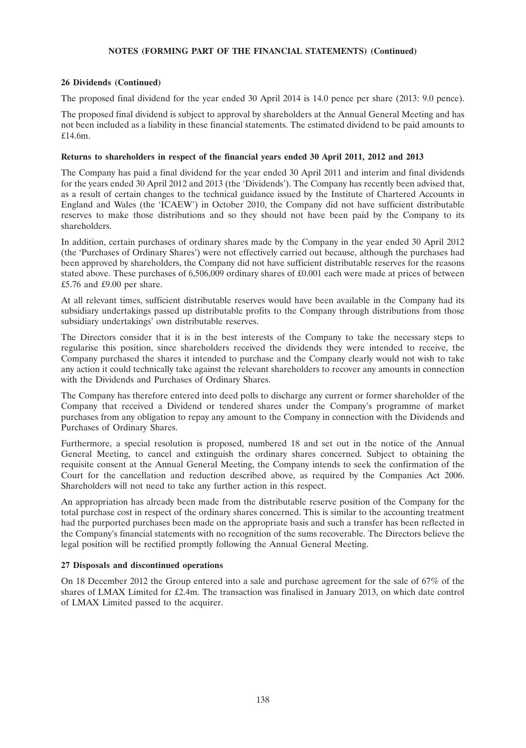# **26 Dividends (Continued)**

The proposed final dividend for the year ended 30 April 2014 is 14.0 pence per share (2013: 9.0 pence).

The proposed final dividend is subject to approval by shareholders at the Annual General Meeting and has not been included as a liability in these financial statements. The estimated dividend to be paid amounts to £14.6m.

## **Returns to shareholders in respect of the financial years ended 30 April 2011, 2012 and 2013**

The Company has paid a final dividend for the year ended 30 April 2011 and interim and final dividends for the years ended 30 April 2012 and 2013 (the 'Dividends'). The Company has recently been advised that, as a result of certain changes to the technical guidance issued by the Institute of Chartered Accounts in England and Wales (the 'ICAEW') in October 2010, the Company did not have sufficient distributable reserves to make those distributions and so they should not have been paid by the Company to its shareholders.

In addition, certain purchases of ordinary shares made by the Company in the year ended 30 April 2012 (the 'Purchases of Ordinary Shares') were not effectively carried out because, although the purchases had been approved by shareholders, the Company did not have sufficient distributable reserves for the reasons stated above. These purchases of 6,506,009 ordinary shares of £0.001 each were made at prices of between £5.76 and £9.00 per share.

At all relevant times, sufficient distributable reserves would have been available in the Company had its subsidiary undertakings passed up distributable profits to the Company through distributions from those subsidiary undertakings' own distributable reserves.

The Directors consider that it is in the best interests of the Company to take the necessary steps to regularise this position, since shareholders received the dividends they were intended to receive, the Company purchased the shares it intended to purchase and the Company clearly would not wish to take any action it could technically take against the relevant shareholders to recover any amounts in connection with the Dividends and Purchases of Ordinary Shares.

The Company has therefore entered into deed polls to discharge any current or former shareholder of the Company that received a Dividend or tendered shares under the Company's programme of market purchases from any obligation to repay any amount to the Company in connection with the Dividends and Purchases of Ordinary Shares.

Furthermore, a special resolution is proposed, numbered 18 and set out in the notice of the Annual General Meeting, to cancel and extinguish the ordinary shares concerned. Subject to obtaining the requisite consent at the Annual General Meeting, the Company intends to seek the confirmation of the Court for the cancellation and reduction described above, as required by the Companies Act 2006. Shareholders will not need to take any further action in this respect.

An appropriation has already been made from the distributable reserve position of the Company for the total purchase cost in respect of the ordinary shares concerned. This is similar to the accounting treatment had the purported purchases been made on the appropriate basis and such a transfer has been reflected in the Company's financial statements with no recognition of the sums recoverable. The Directors believe the legal position will be rectified promptly following the Annual General Meeting.

# **27 Disposals and discontinued operations**

On 18 December 2012 the Group entered into a sale and purchase agreement for the sale of 67% of the shares of LMAX Limited for £2.4m. The transaction was finalised in January 2013, on which date control of LMAX Limited passed to the acquirer.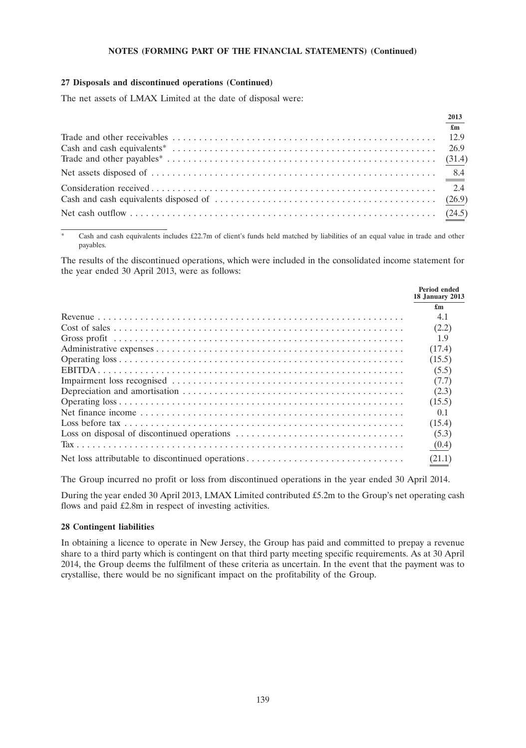#### **27 Disposals and discontinued operations (Continued)**

The net assets of LMAX Limited at the date of disposal were:

| 2013                      |
|---------------------------|
| $\mathbf{f}_{\mathbf{m}}$ |
|                           |
|                           |
|                           |
|                           |
|                           |
|                           |
|                           |

Cash and cash equivalents includes £22.7m of client's funds held matched by liabilities of an equal value in trade and other payables.

The results of the discontinued operations, which were included in the consolidated income statement for the year ended 30 April 2013, were as follows:

|                                                  | Period ended<br><b>18 January 2013</b> |
|--------------------------------------------------|----------------------------------------|
|                                                  | $\mathbf{f}_{\mathbf{m}}$              |
|                                                  | 4.1                                    |
|                                                  | (2.2)                                  |
|                                                  | 1.9                                    |
|                                                  | (17.4)                                 |
|                                                  | (15.5)                                 |
|                                                  | (5.5)                                  |
|                                                  | (7.7)                                  |
|                                                  | (2.3)                                  |
|                                                  | (15.5)                                 |
|                                                  | 0 <sub>1</sub>                         |
|                                                  | (15.4)                                 |
|                                                  | (5.3)                                  |
|                                                  | (0.4)                                  |
| Net loss attributable to discontinued operations | (21.1)                                 |

The Group incurred no profit or loss from discontinued operations in the year ended 30 April 2014.

During the year ended 30 April 2013, LMAX Limited contributed £5.2m to the Group's net operating cash flows and paid £2.8m in respect of investing activities.

## **28 Contingent liabilities**

In obtaining a licence to operate in New Jersey, the Group has paid and committed to prepay a revenue share to a third party which is contingent on that third party meeting specific requirements. As at 30 April 2014, the Group deems the fulfilment of these criteria as uncertain. In the event that the payment was to crystallise, there would be no significant impact on the profitability of the Group.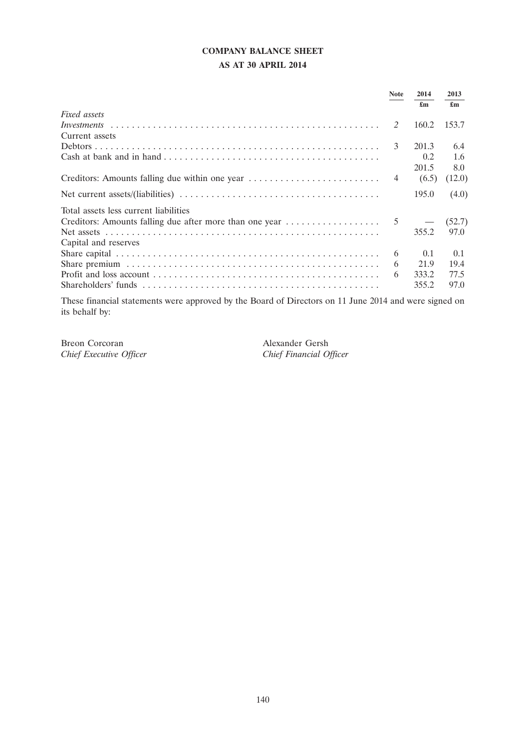# **COMPANY BALANCE SHEET**

# **AS AT 30 APRIL 2014**

|                                                                                                                                                                  | <b>Note</b>   | 2014<br>£m | 2013<br>£m |
|------------------------------------------------------------------------------------------------------------------------------------------------------------------|---------------|------------|------------|
| Fixed assets                                                                                                                                                     |               |            |            |
|                                                                                                                                                                  | $\mathcal{L}$ | 160.2      | 153.7      |
| Current assets                                                                                                                                                   |               |            |            |
|                                                                                                                                                                  | 3             | 201.3      | 6.4        |
|                                                                                                                                                                  |               | 0.2        | 1.6        |
|                                                                                                                                                                  |               | 201.5      | 8.0        |
|                                                                                                                                                                  |               | (6.5)      | (12.0)     |
|                                                                                                                                                                  |               | 195.0      | (4.0)      |
| Total assets less current liabilities                                                                                                                            |               |            |            |
| Creditors: Amounts falling due after more than one year $\dots \dots \dots \dots \dots$ 5 $-$                                                                    |               |            | (52.7)     |
|                                                                                                                                                                  |               | 355.2      | 97.0       |
| Capital and reserves                                                                                                                                             |               |            |            |
|                                                                                                                                                                  | 6             | 0.1        | 0.1        |
|                                                                                                                                                                  | 6             | 21.9       | 19.4       |
|                                                                                                                                                                  | 6             | 333.2      | 77.5       |
| Shareholders' funds $\ldots$ , $\ldots$ , $\ldots$ , $\ldots$ , $\ldots$ , $\ldots$ , $\ldots$ , $\ldots$ , $\ldots$ , $\ldots$ , $\ldots$ , $\ldots$ , $\ldots$ |               | 355.2      | 97.0       |
|                                                                                                                                                                  |               |            |            |

These financial statements were approved by the Board of Directors on 11 June 2014 and were signed on its behalf by:

Breon Corcoran Alexander Gersh *Chief Executive Officer Chief Financial Officer*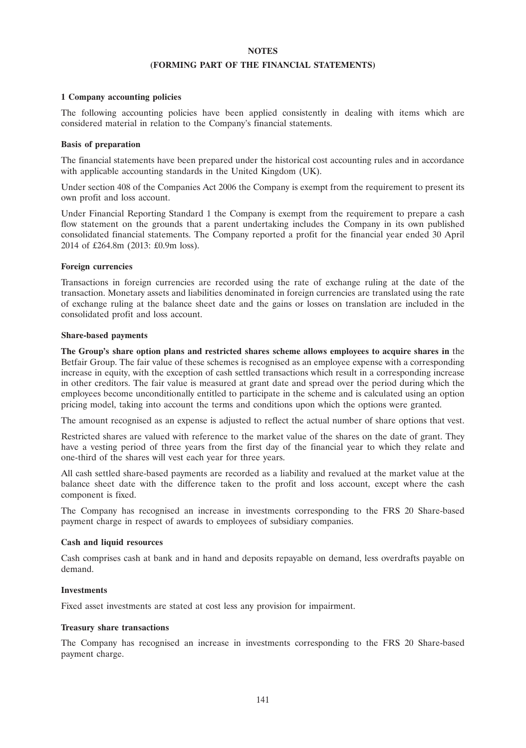#### **NOTES**

#### **(FORMING PART OF THE FINANCIAL STATEMENTS)**

#### **1 Company accounting policies**

The following accounting policies have been applied consistently in dealing with items which are considered material in relation to the Company's financial statements.

#### **Basis of preparation**

The financial statements have been prepared under the historical cost accounting rules and in accordance with applicable accounting standards in the United Kingdom (UK).

Under section 408 of the Companies Act 2006 the Company is exempt from the requirement to present its own profit and loss account.

Under Financial Reporting Standard 1 the Company is exempt from the requirement to prepare a cash flow statement on the grounds that a parent undertaking includes the Company in its own published consolidated financial statements. The Company reported a profit for the financial year ended 30 April 2014 of £264.8m (2013: £0.9m loss).

#### **Foreign currencies**

Transactions in foreign currencies are recorded using the rate of exchange ruling at the date of the transaction. Monetary assets and liabilities denominated in foreign currencies are translated using the rate of exchange ruling at the balance sheet date and the gains or losses on translation are included in the consolidated profit and loss account.

#### **Share-based payments**

**The Group's share option plans and restricted shares scheme allows employees to acquire shares in** the Betfair Group. The fair value of these schemes is recognised as an employee expense with a corresponding increase in equity, with the exception of cash settled transactions which result in a corresponding increase in other creditors. The fair value is measured at grant date and spread over the period during which the employees become unconditionally entitled to participate in the scheme and is calculated using an option pricing model, taking into account the terms and conditions upon which the options were granted.

The amount recognised as an expense is adjusted to reflect the actual number of share options that vest.

Restricted shares are valued with reference to the market value of the shares on the date of grant. They have a vesting period of three years from the first day of the financial year to which they relate and one-third of the shares will vest each year for three years.

All cash settled share-based payments are recorded as a liability and revalued at the market value at the balance sheet date with the difference taken to the profit and loss account, except where the cash component is fixed.

The Company has recognised an increase in investments corresponding to the FRS 20 Share-based payment charge in respect of awards to employees of subsidiary companies.

#### **Cash and liquid resources**

Cash comprises cash at bank and in hand and deposits repayable on demand, less overdrafts payable on demand.

#### **Investments**

Fixed asset investments are stated at cost less any provision for impairment.

#### **Treasury share transactions**

The Company has recognised an increase in investments corresponding to the FRS 20 Share-based payment charge.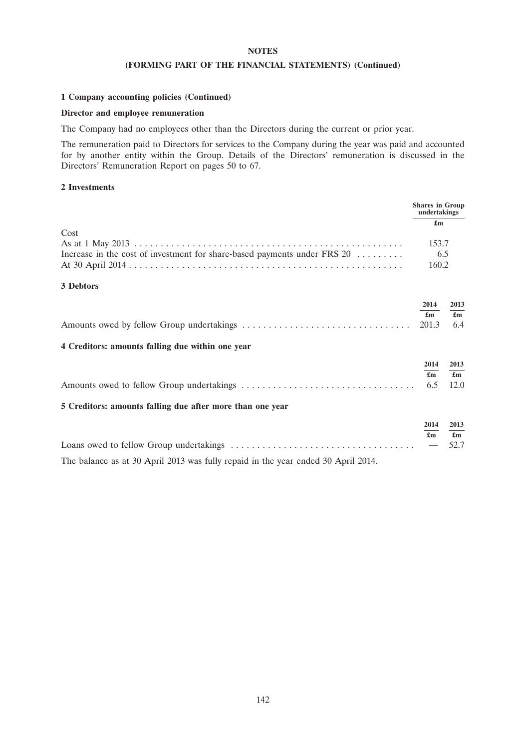### **NOTES**

### **(FORMING PART OF THE FINANCIAL STATEMENTS) (Continued)**

### **1 Company accounting policies (Continued)**

### **Director and employee remuneration**

The Company had no employees other than the Directors during the current or prior year.

The remuneration paid to Directors for services to the Company during the year was paid and accounted for by another entity within the Group. Details of the Directors' remuneration is discussed in the Directors' Remuneration Report on pages 50 to 67.

#### **2 Investments**

|                                                                                   | <b>Shares in Group</b><br>undertakings   |                                           |
|-----------------------------------------------------------------------------------|------------------------------------------|-------------------------------------------|
|                                                                                   | $\mathbf{f}_{\mathbf{m}}$                |                                           |
| Cost<br>Increase in the cost of investment for share-based payments under FRS 20  | 153.7<br>6.5<br>160.2                    |                                           |
| 3 Debtors                                                                         |                                          |                                           |
|                                                                                   | 2014<br>£m<br>201.3                      | 2013<br>$\mathbf{f}_{\mathbf{m}}$<br>6.4  |
| 4 Creditors: amounts falling due within one year                                  |                                          |                                           |
| 5 Creditors: amounts falling due after more than one year                         | 2014<br>$\mathbf{f}_{\mathbf{m}}$<br>6.5 | 2013<br>$\mathbf{f}_{\mathbf{m}}$<br>12.0 |
| The balance as at 30 April 2013 was fully repaid in the year ended 30 April 2014. | 2014<br>$\mathbf{f}_{\mathbf{m}}$        | 2013<br>$\mathbf{f}_{\mathbf{m}}$<br>52.7 |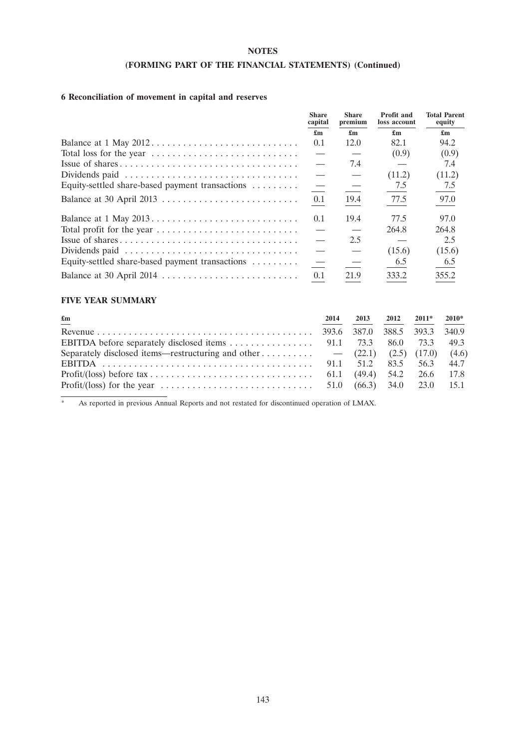### **NOTES**

## **(FORMING PART OF THE FINANCIAL STATEMENTS) (Continued)**

# **6 Reconciliation of movement in capital and reserves**

|                                                 | <b>Share</b><br>capital          | <b>Share</b><br>premium  | Profit and<br>loss account | <b>Total Parent</b><br>equity |
|-------------------------------------------------|----------------------------------|--------------------------|----------------------------|-------------------------------|
|                                                 | $\mathbf{f}_{\mathbf{m}}$        | £m                       | £m                         | $\mathbf{f}_{\mathbf{m}}$     |
| Balance at 1 May 2012                           | 0.1                              | 12.0                     | 82.1                       | 94.2                          |
|                                                 | $\hspace{0.05cm}$                |                          | (0.9)                      | (0.9)                         |
|                                                 |                                  | 7.4                      |                            | 7.4                           |
| Dividends paid                                  | $\overline{\phantom{m}}$         |                          | (11.2)                     | (11.2)                        |
| Equity-settled share-based payment transactions | $\equiv$                         | $\overline{\phantom{0}}$ | 7.5                        | 7.5                           |
|                                                 | 0.1                              | 19.4                     | 77.5                       | 97.0                          |
|                                                 | 0.1                              | 19.4                     | 77.5                       | 97.0                          |
|                                                 | $\overline{\phantom{0}}$         |                          | 264.8                      | 264.8                         |
|                                                 | $\overbrace{\phantom{12322111}}$ | 2.5                      |                            | 2.5                           |
| Dividends paid                                  |                                  |                          | (15.6)                     | (15.6)                        |
| Equity-settled share-based payment transactions | $\overline{\phantom{m}}$         |                          | 6.5                        | 6.5                           |
| Balance at 30 April 2014                        | 0.1                              | 21.9                     | 333.2                      | 355.2                         |

### **FIVE YEAR SUMMARY**

| $\mathbf{f}_{\mathbf{m}}$                                                                                           | 2014 | 2013 | $2012$ $2011*$ $2010*$ |  |
|---------------------------------------------------------------------------------------------------------------------|------|------|------------------------|--|
|                                                                                                                     |      |      |                        |  |
|                                                                                                                     |      |      |                        |  |
| Separately disclosed items—restructuring and other $-$ (22.1) (2.5) (17.0) (4.6)                                    |      |      |                        |  |
|                                                                                                                     |      |      |                        |  |
|                                                                                                                     |      |      |                        |  |
| Profit/(loss) for the year $\dots \dots \dots \dots \dots \dots \dots \dots \dots \dots$ 51.0 (66.3) 34.0 23.0 15.1 |      |      |                        |  |

\* As reported in previous Annual Reports and not restated for discontinued operation of LMAX.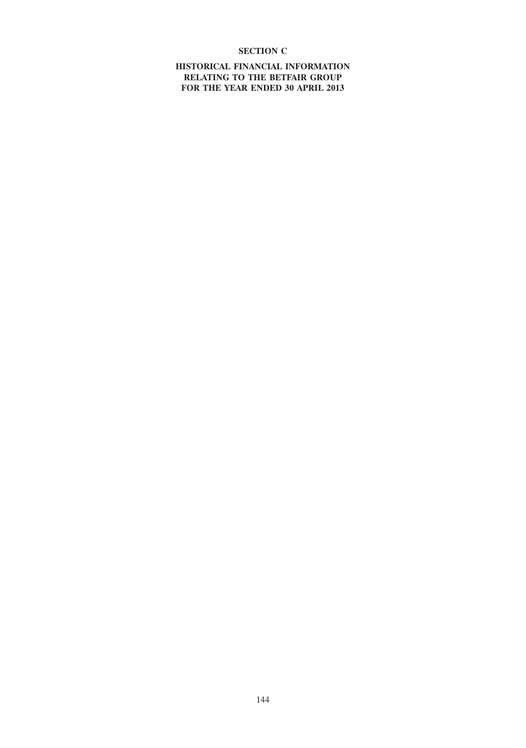## **SECTION C**

**HISTORICAL FINANCIAL INFORMATION RELATING TO THE BETFAIR GROUP FOR THE YEAR ENDED 30 APRIL 2013**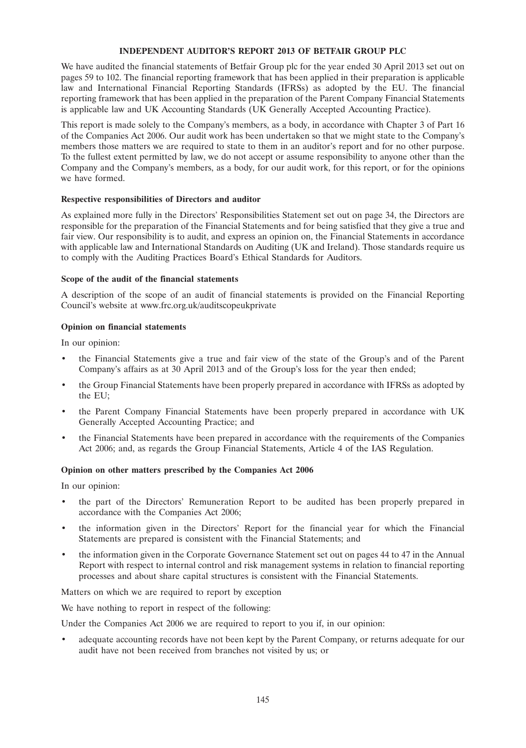### **INDEPENDENT AUDITOR'S REPORT 2013 OF BETFAIR GROUP PLC**

We have audited the financial statements of Betfair Group plc for the year ended 30 April 2013 set out on pages 59 to 102. The financial reporting framework that has been applied in their preparation is applicable law and International Financial Reporting Standards (IFRSs) as adopted by the EU. The financial reporting framework that has been applied in the preparation of the Parent Company Financial Statements is applicable law and UK Accounting Standards (UK Generally Accepted Accounting Practice).

This report is made solely to the Company's members, as a body, in accordance with Chapter 3 of Part 16 of the Companies Act 2006. Our audit work has been undertaken so that we might state to the Company's members those matters we are required to state to them in an auditor's report and for no other purpose. To the fullest extent permitted by law, we do not accept or assume responsibility to anyone other than the Company and the Company's members, as a body, for our audit work, for this report, or for the opinions we have formed.

### **Respective responsibilities of Directors and auditor**

As explained more fully in the Directors' Responsibilities Statement set out on page 34, the Directors are responsible for the preparation of the Financial Statements and for being satisfied that they give a true and fair view. Our responsibility is to audit, and express an opinion on, the Financial Statements in accordance with applicable law and International Standards on Auditing (UK and Ireland). Those standards require us to comply with the Auditing Practices Board's Ethical Standards for Auditors.

### **Scope of the audit of the financial statements**

A description of the scope of an audit of financial statements is provided on the Financial Reporting Council's website at www.frc.org.uk/auditscopeukprivate

### **Opinion on financial statements**

In our opinion:

- the Financial Statements give a true and fair view of the state of the Group's and of the Parent Company's affairs as at 30 April 2013 and of the Group's loss for the year then ended;
- the Group Financial Statements have been properly prepared in accordance with IFRSs as adopted by the EU;
- the Parent Company Financial Statements have been properly prepared in accordance with UK Generally Accepted Accounting Practice; and
- the Financial Statements have been prepared in accordance with the requirements of the Companies Act 2006; and, as regards the Group Financial Statements, Article 4 of the IAS Regulation.

### **Opinion on other matters prescribed by the Companies Act 2006**

In our opinion:

- the part of the Directors' Remuneration Report to be audited has been properly prepared in accordance with the Companies Act 2006;
- the information given in the Directors' Report for the financial year for which the Financial Statements are prepared is consistent with the Financial Statements; and
- the information given in the Corporate Governance Statement set out on pages 44 to 47 in the Annual Report with respect to internal control and risk management systems in relation to financial reporting processes and about share capital structures is consistent with the Financial Statements.

Matters on which we are required to report by exception

We have nothing to report in respect of the following:

Under the Companies Act 2006 we are required to report to you if, in our opinion:

adequate accounting records have not been kept by the Parent Company, or returns adequate for our audit have not been received from branches not visited by us; or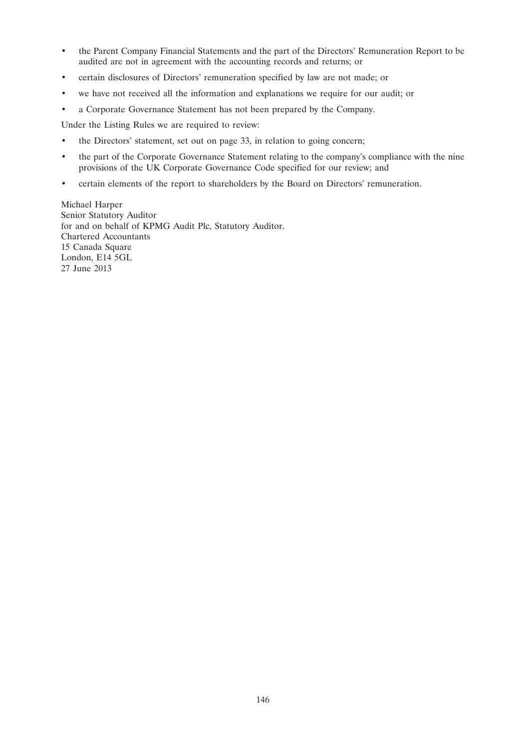- the Parent Company Financial Statements and the part of the Directors' Remuneration Report to be audited are not in agreement with the accounting records and returns; or
- certain disclosures of Directors' remuneration specified by law are not made; or
- we have not received all the information and explanations we require for our audit; or
- a Corporate Governance Statement has not been prepared by the Company.

Under the Listing Rules we are required to review:

- the Directors' statement, set out on page 33, in relation to going concern;
- the part of the Corporate Governance Statement relating to the company's compliance with the nine provisions of the UK Corporate Governance Code specified for our review; and
- certain elements of the report to shareholders by the Board on Directors' remuneration.

Michael Harper Senior Statutory Auditor for and on behalf of KPMG Audit Plc, Statutory Auditor. Chartered Accountants 15 Canada Square London, E14 5GL 27 June 2013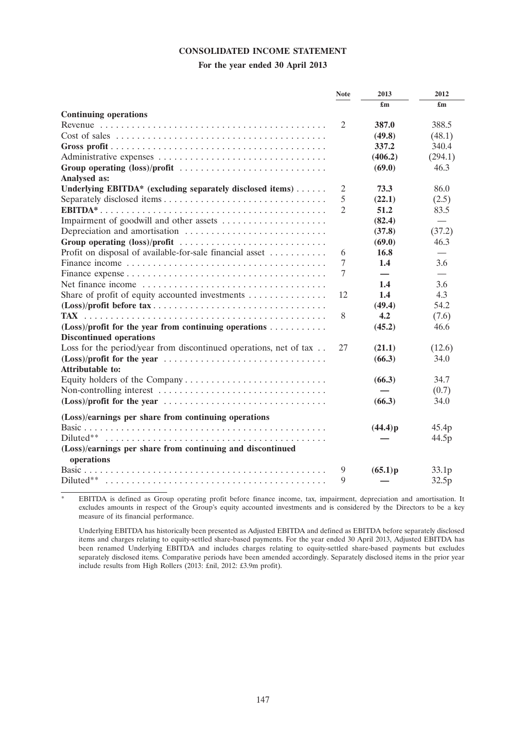### **CONSOLIDATED INCOME STATEMENT**

### **For the year ended 30 April 2013**

|                                                                                            | <b>Note</b>    | 2013    | 2012              |
|--------------------------------------------------------------------------------------------|----------------|---------|-------------------|
|                                                                                            |                | £m      | £m                |
| <b>Continuing operations</b>                                                               |                |         |                   |
| Revenue $\dots\dots\dots\dots\dots\dots\dots\dots\dots\dots\dots\dots\dots\dots\dots\dots$ | 2              | 387.0   | 388.5             |
|                                                                                            |                | (49.8)  | (48.1)            |
|                                                                                            |                | 337.2   | 340.4             |
|                                                                                            |                | (406.2) | (294.1)           |
| Group operating (loss)/profit                                                              |                | (69.0)  | 46.3              |
| Analysed as:                                                                               |                |         |                   |
| Underlying EBITDA* (excluding separately disclosed items)                                  | $\overline{2}$ | 73.3    | 86.0              |
|                                                                                            | 5              | (22.1)  | (2.5)             |
|                                                                                            | $\overline{c}$ | 51.2    | 83.5              |
| Impairment of goodwill and other assets                                                    |                | (82.4)  |                   |
|                                                                                            |                | (37.8)  | (37.2)            |
| Group operating (loss)/profit                                                              |                | (69.0)  | 46.3              |
| Profit on disposal of available-for-sale financial asset                                   | 6              | 16.8    |                   |
|                                                                                            | 7              | 1.4     | 3.6               |
|                                                                                            | 7              |         |                   |
|                                                                                            |                | 1.4     | 3.6               |
| Share of profit of equity accounted investments $\dots\dots\dots\dots\dots$                | 12             | 1.4     | 4.3               |
|                                                                                            |                | (49.4)  | 54.2              |
|                                                                                            | 8              | 4.2     | (7.6)             |
| $(Loss)/profit$ for the year from continuing operations                                    |                | (45.2)  | 46.6              |
| <b>Discontinued operations</b>                                                             |                |         |                   |
| Loss for the period/year from discontinued operations, net of tax                          | 27             | (21.1)  | (12.6)            |
|                                                                                            |                | (66.3)  | 34.0              |
| <b>Attributable to:</b>                                                                    |                |         |                   |
|                                                                                            |                | (66.3)  | 34.7              |
|                                                                                            |                |         | (0.7)             |
|                                                                                            |                | (66.3)  | 34.0              |
|                                                                                            |                |         |                   |
| (Loss)/earnings per share from continuing operations                                       |                |         |                   |
|                                                                                            |                | (44.4)p | 45.4p             |
| Diluted**                                                                                  |                |         | 44.5p             |
| (Loss)/earnings per share from continuing and discontinued                                 |                |         |                   |
| operations                                                                                 |                |         |                   |
|                                                                                            | 9              | (65.1)p | 33.1 <sub>p</sub> |
| Diluted**                                                                                  | 9              |         | 32.5p             |

\* EBITDA is defined as Group operating profit before finance income, tax, impairment, depreciation and amortisation. It excludes amounts in respect of the Group's equity accounted investments and is considered by the Directors to be a key measure of its financial performance.

Underlying EBITDA has historically been presented as Adjusted EBITDA and defined as EBITDA before separately disclosed items and charges relating to equity-settled share-based payments. For the year ended 30 April 2013, Adjusted EBITDA has been renamed Underlying EBITDA and includes charges relating to equity-settled share-based payments but excludes separately disclosed items. Comparative periods have been amended accordingly. Separately disclosed items in the prior year include results from High Rollers (2013: £nil, 2012: £3.9m profit).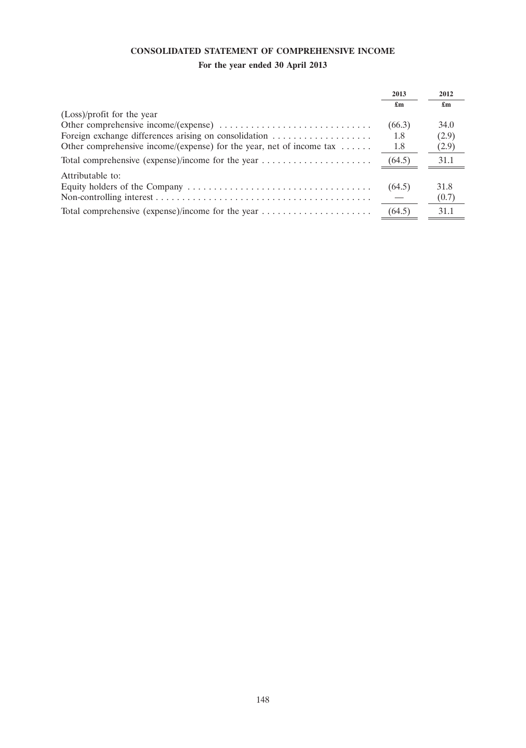## **CONSOLIDATED STATEMENT OF COMPREHENSIVE INCOME**

# **For the year ended 30 April 2013**

|                                                                                | 2013   | 2012                      |
|--------------------------------------------------------------------------------|--------|---------------------------|
|                                                                                | £m     | $\mathbf{f}_{\mathbf{m}}$ |
| (Loss)/profit for the year                                                     |        |                           |
|                                                                                | (66.3) | 34.0                      |
| Foreign exchange differences arising on consolidation                          | 1.8    | (2.9)                     |
| Other comprehensive income/(expense) for the year, net of income tax $\dots$ . | 1.8    | (2.9)                     |
|                                                                                | (64.5) | 31.1                      |
| Attributable to:                                                               |        |                           |
|                                                                                | (64.5) | 31.8                      |
|                                                                                |        | (0.7)                     |
|                                                                                | (64.5) | 31.1                      |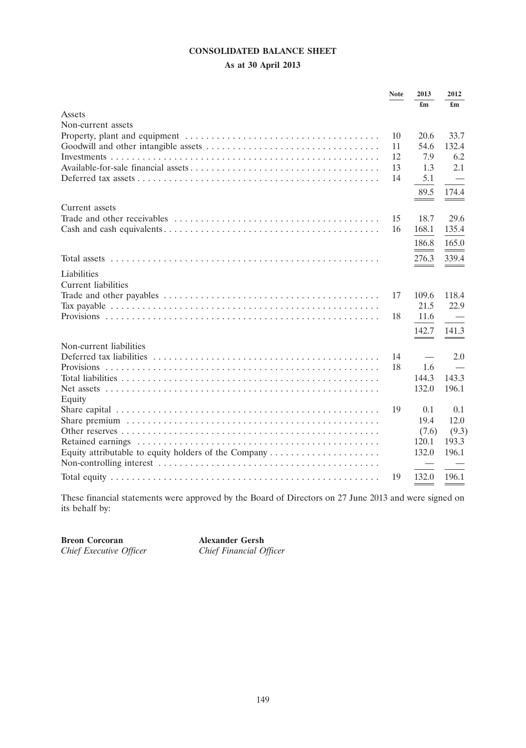## **CONSOLIDATED BALANCE SHEET**

## **As at 30 April 2013**

|                         | <b>Note</b> | 2013                      | 2012  |
|-------------------------|-------------|---------------------------|-------|
|                         |             | $\mathbf{f}_{\mathbf{m}}$ | £m    |
| Assets                  |             |                           |       |
| Non-current assets      |             |                           |       |
|                         | 10          | 20.6                      | 33.7  |
|                         | 11          | 54.6                      | 132.4 |
|                         | 12          | 7.9                       | 6.2   |
|                         | 13          | 1.3                       | 2.1   |
|                         | 14          | 5.1                       |       |
|                         |             | 89.5                      | 174.4 |
|                         |             |                           |       |
| Current assets          |             |                           |       |
|                         | 15          | 18.7                      | 29.6  |
|                         | 16          | 168.1                     | 135.4 |
|                         |             | 186.8                     | 165.0 |
|                         |             | 276.3                     | 339.4 |
|                         |             |                           |       |
| Liabilities             |             |                           |       |
| Current liabilities     |             |                           |       |
|                         | 17          | 109.6                     | 118.4 |
|                         |             | 21.5                      | 22.9  |
|                         | 18          | 11.6                      |       |
|                         |             | 142.7                     | 141.3 |
| Non-current liabilities |             |                           |       |
|                         | 14          |                           | 2.0   |
|                         | 18          | 1.6                       |       |
|                         |             | 144.3                     | 143.3 |
|                         |             | 132.0                     | 196.1 |
| Equity                  |             |                           |       |
|                         | 19          | 0.1                       | 0.1   |
|                         |             | 19.4                      | 12.0  |
|                         |             | (7.6)                     | (9.3) |
|                         |             | 120.1                     | 193.3 |
|                         |             | 132.0                     | 196.1 |
|                         |             |                           |       |
|                         | 19          | 132.0                     | 196.1 |

These financial statements were approved by the Board of Directors on 27 June 2013 and were signed on its behalf by:

**Chief Executive Officer** 

**Breon Corcoran Alexander Gersh**<br> *Chief Executive Officer* Chief Financial Officer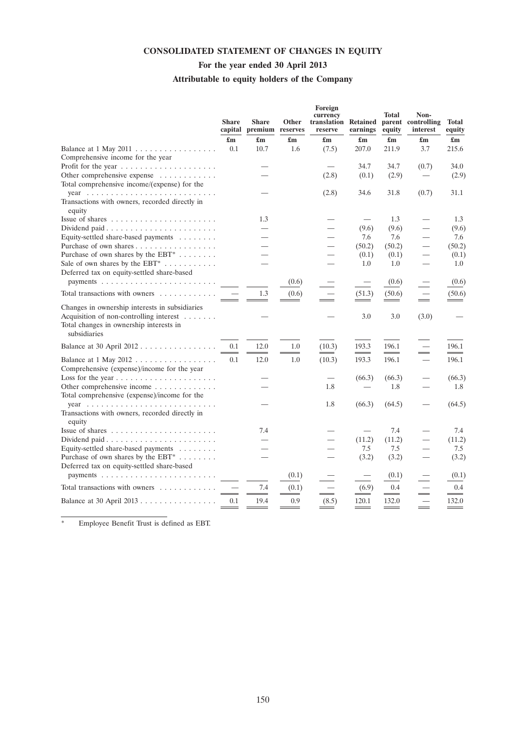## **CONSOLIDATED STATEMENT OF CHANGES IN EQUITY**

## **For the year ended 30 April 2013**

# **Attributable to equity holders of the Company**

|                                                                                                                                                      | <b>Share</b><br>capital   | <b>Share</b><br>premium reserves | Other                     | Foreign<br>currency<br>translation Retained<br>reserve | earnings                  | <b>Total</b><br>equity    | Non-<br>parent controlling<br>interest | <b>Total</b><br>equity    |
|------------------------------------------------------------------------------------------------------------------------------------------------------|---------------------------|----------------------------------|---------------------------|--------------------------------------------------------|---------------------------|---------------------------|----------------------------------------|---------------------------|
|                                                                                                                                                      | $\mathbf{f}_{\mathbf{m}}$ | $\mathbf{f}_{\mathbf{m}}$        | $\mathbf{f}_{\mathbf{m}}$ | $\mathbf{f}_{\mathbf{m}}$                              | $\mathbf{f}_{\mathbf{m}}$ | $\mathbf{f}_{\mathbf{m}}$ | £m                                     | $\mathbf{f}_{\mathbf{m}}$ |
|                                                                                                                                                      | 0.1                       | 10.7                             | 1.6                       | (7.5)                                                  | 207.0                     | 211.9                     | 3.7                                    | 215.6                     |
| Comprehensive income for the year                                                                                                                    |                           |                                  |                           |                                                        |                           |                           |                                        |                           |
|                                                                                                                                                      |                           |                                  |                           |                                                        | 34.7                      | 34.7                      | (0.7)                                  | 34.0                      |
| Other comprehensive expense                                                                                                                          |                           |                                  |                           | (2.8)                                                  | (0.1)                     | (2.9)                     | $\overbrace{\phantom{12333}}$          | (2.9)                     |
| Total comprehensive income/(expense) for the                                                                                                         |                           |                                  |                           |                                                        |                           |                           |                                        |                           |
|                                                                                                                                                      |                           |                                  |                           | (2.8)                                                  | 34.6                      | 31.8                      | (0.7)                                  | 31.1                      |
| Transactions with owners, recorded directly in                                                                                                       |                           |                                  |                           |                                                        |                           |                           |                                        |                           |
| equity                                                                                                                                               |                           |                                  |                           |                                                        |                           |                           |                                        |                           |
| Issue of shares $\dots \dots \dots \dots \dots \dots \dots$                                                                                          |                           | 1.3                              |                           |                                                        |                           | 1.3                       |                                        | 1.3                       |
|                                                                                                                                                      |                           |                                  |                           |                                                        | (9.6)                     | (9.6)                     | $\overbrace{\phantom{12333}}$          | (9.6)                     |
| Equity-settled share-based payments                                                                                                                  |                           |                                  |                           |                                                        | 7.6                       | 7.6                       | $\overline{\phantom{0}}$               | 7.6                       |
| Purchase of own shares                                                                                                                               |                           |                                  |                           |                                                        | (50.2)                    | (50.2)                    | $\qquad \qquad$                        | (50.2)                    |
| Purchase of own shares by the $EBT^*$                                                                                                                |                           |                                  |                           |                                                        | (0.1)                     | (0.1)                     | $\qquad \qquad$                        | (0.1)                     |
| Sale of own shares by the $EBT^*$                                                                                                                    |                           |                                  |                           |                                                        | 1.0                       | 1.0                       | $\overline{\phantom{0}}$               | 1.0                       |
| Deferred tax on equity-settled share-based                                                                                                           |                           |                                  |                           |                                                        |                           |                           |                                        |                           |
|                                                                                                                                                      |                           |                                  | (0.6)                     |                                                        | $\overline{\phantom{0}}$  | (0.6)                     |                                        | (0.6)                     |
| Total transactions with owners                                                                                                                       |                           | 1.3                              | (0.6)                     |                                                        | (51.3)                    | (50.6)                    | $\qquad \qquad =$                      | (50.6)                    |
| Changes in ownership interests in subsidiaries<br>Acquisition of non-controlling interest<br>Total changes in ownership interests in<br>subsidiaries |                           |                                  |                           |                                                        | 3.0                       | 3.0                       | (3.0)                                  |                           |
| Balance at 30 April 2012                                                                                                                             | 0.1                       | 12.0                             | 1.0                       | (10.3)                                                 | 193.3                     | 196.1                     |                                        | 196.1                     |
|                                                                                                                                                      |                           |                                  | $\overline{\phantom{0}}$  |                                                        | $\equiv$                  |                           | $\equiv$                               |                           |
| Comprehensive (expense)/income for the year                                                                                                          | 0.1                       | 12.0                             | 1.0                       | (10.3)                                                 | 193.3                     | 196.1                     |                                        | 196.1                     |
|                                                                                                                                                      |                           |                                  |                           |                                                        | (66.3)                    | (66.3)                    | $\overbrace{\phantom{123321}}$         | (66.3)                    |
| Other comprehensive income                                                                                                                           |                           |                                  |                           | 1.8                                                    |                           | 1.8                       |                                        | 1.8                       |
| Total comprehensive (expense)/income for the                                                                                                         |                           |                                  |                           |                                                        |                           |                           |                                        |                           |
|                                                                                                                                                      |                           |                                  |                           | 1.8                                                    | (66.3)                    | (64.5)                    |                                        | (64.5)                    |
| Transactions with owners, recorded directly in<br>equity                                                                                             |                           |                                  |                           |                                                        |                           |                           |                                        |                           |
| Issue of shares $\dots \dots \dots \dots \dots \dots \dots$                                                                                          |                           | 7.4                              |                           |                                                        |                           | 7.4                       |                                        | 7.4                       |
| Dividend paid $\ldots \ldots \ldots \ldots \ldots \ldots \ldots$                                                                                     |                           |                                  |                           | $\overline{\phantom{0}}$                               | (11.2)                    | (11.2)                    |                                        | (11.2)                    |
| Equity-settled share-based payments                                                                                                                  |                           |                                  |                           | $\overline{\phantom{0}}$                               | 7.5                       | 7.5                       |                                        | 7.5                       |
| Purchase of own shares by the EBT <sup>*</sup>                                                                                                       |                           |                                  |                           |                                                        | (3.2)                     | (3.2)                     |                                        | (3.2)                     |
| Deferred tax on equity-settled share-based                                                                                                           |                           |                                  | (0.1)                     |                                                        | $\overline{\phantom{0}}$  | (0.1)                     |                                        | (0.1)                     |
| Total transactions with owners                                                                                                                       |                           | 7.4                              | (0.1)                     |                                                        | (6.9)                     | 0.4                       |                                        | 0.4                       |
|                                                                                                                                                      |                           |                                  |                           |                                                        |                           |                           | $\equiv$                               |                           |
| Balance at 30 April 2013                                                                                                                             | 0.1                       | 19.4                             | 0.9                       | (8.5)                                                  | 120.1                     | 132.0                     |                                        | 132.0                     |

Employee Benefit Trust is defined as EBT.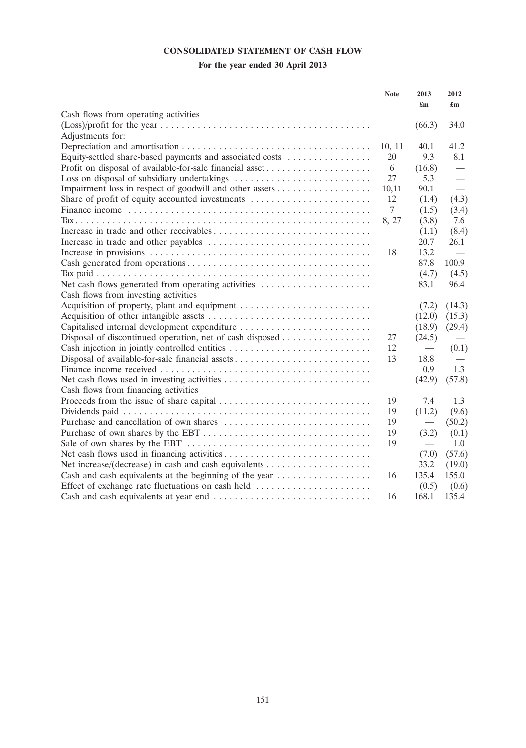## **CONSOLIDATED STATEMENT OF CASH FLOW**

# **For the year ended 30 April 2013**

|                                                          | <b>Note</b> | 2013                      | 2012                      |
|----------------------------------------------------------|-------------|---------------------------|---------------------------|
|                                                          |             | $\mathbf{f}_{\mathbf{m}}$ | $\mathbf{f}_{\mathbf{m}}$ |
| Cash flows from operating activities                     |             |                           |                           |
|                                                          |             | (66.3)                    | 34.0                      |
| Adjustments for:                                         |             |                           |                           |
|                                                          | 10, 11      | 40.1                      | 41.2                      |
| Equity-settled share-based payments and associated costs | 20          | 9.3                       | 8.1                       |
|                                                          | 6           | (16.8)                    |                           |
|                                                          | 27          | 5.3                       |                           |
|                                                          | 10,11       | 90.1                      |                           |
| Share of profit of equity accounted investments          | 12          | (1.4)                     | (4.3)                     |
|                                                          | 7           | (1.5)                     | (3.4)                     |
|                                                          | 8, 27       | (3.8)                     | 7.6                       |
|                                                          |             | (1.1)                     | (8.4)                     |
|                                                          |             | 20.7                      | 26.1                      |
|                                                          | 18          | 13.2                      |                           |
|                                                          |             | 87.8                      | 100.9                     |
|                                                          |             | (4.7)                     | (4.5)                     |
| Net cash flows generated from operating activities       |             | 83.1                      | 96.4                      |
| Cash flows from investing activities                     |             |                           |                           |
|                                                          |             | (7.2)                     | (14.3)                    |
|                                                          |             | (12.0)                    | (15.3)                    |
| Capitalised internal development expenditure             |             | (18.9)                    | (29.4)                    |
| Disposal of discontinued operation, net of cash disposed | 27          | (24.5)                    |                           |
|                                                          | 12          |                           | (0.1)                     |
| Disposal of available-for-sale financial assets          | 13          | 18.8                      |                           |
|                                                          |             | 0.9                       | 1.3                       |
|                                                          |             | (42.9)                    | (57.8)                    |
| Cash flows from financing activities                     |             |                           |                           |
|                                                          | 19          | 7.4                       | 1.3                       |
|                                                          | 19          | (11.2)                    | (9.6)                     |
|                                                          | 19          | $\overline{\phantom{0}}$  | (50.2)                    |
|                                                          | 19          | (3.2)                     | (0.1)                     |
|                                                          | 19          | $\overline{\phantom{0}}$  | 1.0                       |
|                                                          |             | (7.0)                     | (57.6)                    |
|                                                          |             | 33.2                      | (19.0)                    |
| Cash and cash equivalents at the beginning of the year   | 16          | 135.4                     | 155.0                     |
|                                                          |             | (0.5)                     | (0.6)                     |
|                                                          | 16          | 168.1                     | 135.4                     |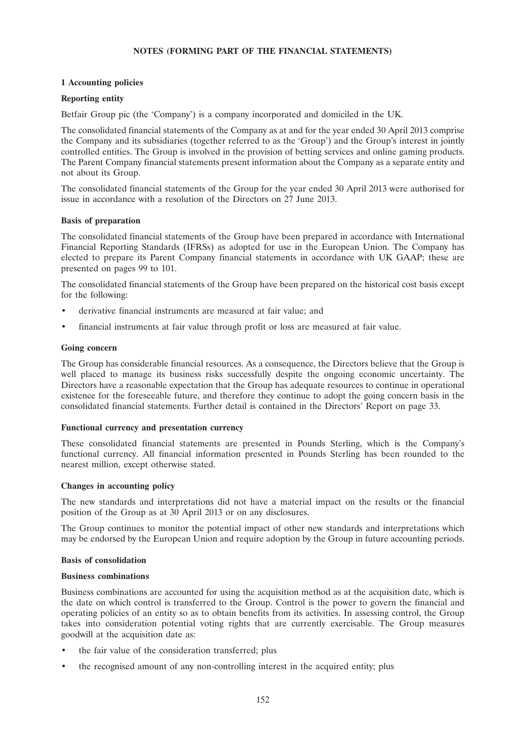### **NOTES (FORMING PART OF THE FINANCIAL STATEMENTS)**

### **1 Accounting policies**

### **Reporting entity**

Betfair Group pic (the 'Company') is a company incorporated and domiciled in the UK.

The consolidated financial statements of the Company as at and for the year ended 30 April 2013 comprise the Company and its subsidiaries (together referred to as the 'Group') and the Group's interest in jointly controlled entities. The Group is involved in the provision of betting services and online gaming products. The Parent Company financial statements present information about the Company as a separate entity and not about its Group.

The consolidated financial statements of the Group for the year ended 30 April 2013 were authorised for issue in accordance with a resolution of the Directors on 27 June 2013.

### **Basis of preparation**

The consolidated financial statements of the Group have been prepared in accordance with International Financial Reporting Standards (IFRSs) as adopted for use in the European Union. The Company has elected to prepare its Parent Company financial statements in accordance with UK GAAP; these are presented on pages 99 to 101.

The consolidated financial statements of the Group have been prepared on the historical cost basis except for the following:

- derivative financial instruments are measured at fair value; and
- financial instruments at fair value through profit or loss are measured at fair value.

#### **Going concern**

The Group has considerable financial resources. As a consequence, the Directors believe that the Group is well placed to manage its business risks successfully despite the ongoing economic uncertainty. The Directors have a reasonable expectation that the Group has adequate resources to continue in operational existence for the foreseeable future, and therefore they continue to adopt the going concern basis in the consolidated financial statements. Further detail is contained in the Directors' Report on page 33.

### **Functional currency and presentation currency**

These consolidated financial statements are presented in Pounds Sterling, which is the Company's functional currency. All financial information presented in Pounds Sterling has been rounded to the nearest million, except otherwise stated.

### **Changes in accounting policy**

The new standards and interpretations did not have a material impact on the results or the financial position of the Group as at 30 April 2013 or on any disclosures.

The Group continues to monitor the potential impact of other new standards and interpretations which may be endorsed by the European Union and require adoption by the Group in future accounting periods.

#### **Basis of consolidation**

#### **Business combinations**

Business combinations are accounted for using the acquisition method as at the acquisition date, which is the date on which control is transferred to the Group. Control is the power to govern the financial and operating policies of an entity so as to obtain benefits from its activities. In assessing control, the Group takes into consideration potential voting rights that are currently exercisable. The Group measures goodwill at the acquisition date as:

- the fair value of the consideration transferred; plus
- the recognised amount of any non-controlling interest in the acquired entity; plus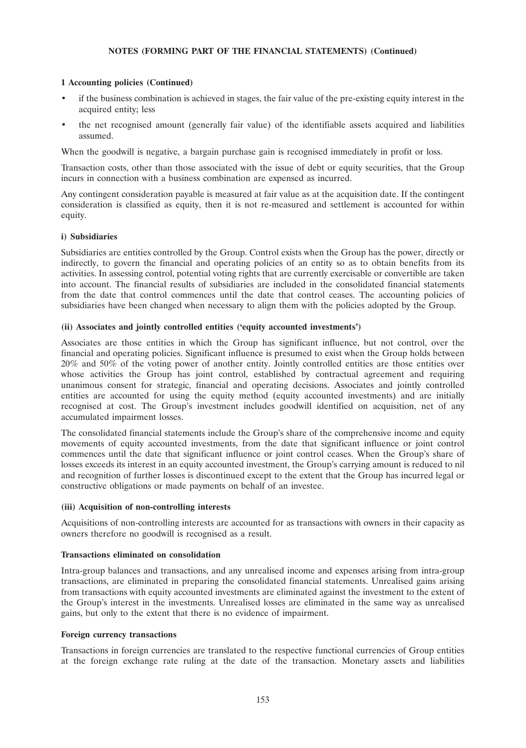### **1 Accounting policies (Continued)**

- if the business combination is achieved in stages, the fair value of the pre-existing equity interest in the acquired entity; less
- the net recognised amount (generally fair value) of the identifiable assets acquired and liabilities assumed.

When the goodwill is negative, a bargain purchase gain is recognised immediately in profit or loss.

Transaction costs, other than those associated with the issue of debt or equity securities, that the Group incurs in connection with a business combination are expensed as incurred.

Any contingent consideration payable is measured at fair value as at the acquisition date. If the contingent consideration is classified as equity, then it is not re-measured and settlement is accounted for within equity.

### **i) Subsidiaries**

Subsidiaries are entities controlled by the Group. Control exists when the Group has the power, directly or indirectly, to govern the financial and operating policies of an entity so as to obtain benefits from its activities. In assessing control, potential voting rights that are currently exercisable or convertible are taken into account. The financial results of subsidiaries are included in the consolidated financial statements from the date that control commences until the date that control ceases. The accounting policies of subsidiaries have been changed when necessary to align them with the policies adopted by the Group.

### **(ii) Associates and jointly controlled entities ('equity accounted investments')**

Associates are those entities in which the Group has significant influence, but not control, over the financial and operating policies. Significant influence is presumed to exist when the Group holds between 20% and 50% of the voting power of another entity. Jointly controlled entities are those entities over whose activities the Group has joint control, established by contractual agreement and requiring unanimous consent for strategic, financial and operating decisions. Associates and jointly controlled entities are accounted for using the equity method (equity accounted investments) and are initially recognised at cost. The Group's investment includes goodwill identified on acquisition, net of any accumulated impairment losses.

The consolidated financial statements include the Group's share of the comprehensive income and equity movements of equity accounted investments, from the date that significant influence or joint control commences until the date that significant influence or joint control ceases. When the Group's share of losses exceeds its interest in an equity accounted investment, the Group's carrying amount is reduced to nil and recognition of further losses is discontinued except to the extent that the Group has incurred legal or constructive obligations or made payments on behalf of an investee.

### **(iii) Acquisition of non-controlling interests**

Acquisitions of non-controlling interests are accounted for as transactions with owners in their capacity as owners therefore no goodwill is recognised as a result.

### **Transactions eliminated on consolidation**

Intra-group balances and transactions, and any unrealised income and expenses arising from intra-group transactions, are eliminated in preparing the consolidated financial statements. Unrealised gains arising from transactions with equity accounted investments are eliminated against the investment to the extent of the Group's interest in the investments. Unrealised losses are eliminated in the same way as unrealised gains, but only to the extent that there is no evidence of impairment.

### **Foreign currency transactions**

Transactions in foreign currencies are translated to the respective functional currencies of Group entities at the foreign exchange rate ruling at the date of the transaction. Monetary assets and liabilities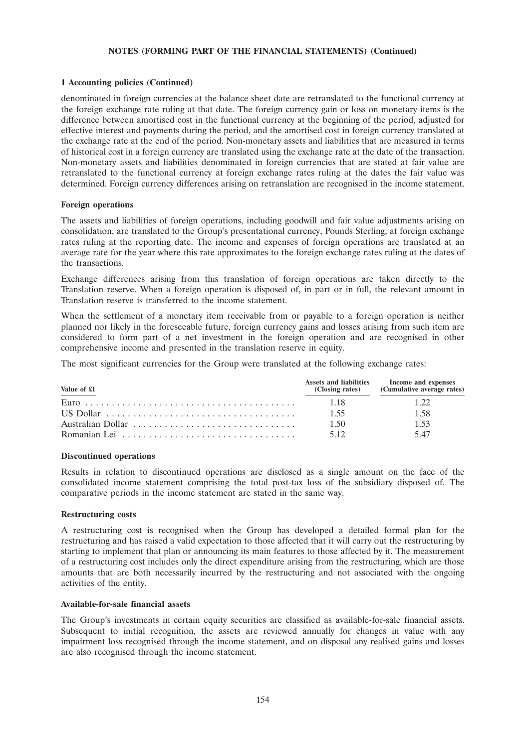### **1 Accounting policies (Continued)**

denominated in foreign currencies at the balance sheet date are retranslated to the functional currency at the foreign exchange rate ruling at that date. The foreign currency gain or loss on monetary items is the difference between amortised cost in the functional currency at the beginning of the period, adjusted for effective interest and payments during the period, and the amortised cost in foreign currency translated at the exchange rate at the end of the period. Non-monetary assets and liabilities that are measured in terms of historical cost in a foreign currency are translated using the exchange rate at the date of the transaction. Non-monetary assets and liabilities denominated in foreign currencies that are stated at fair value are retranslated to the functional currency at foreign exchange rates ruling at the dates the fair value was determined. Foreign currency differences arising on retranslation are recognised in the income statement.

#### **Foreign operations**

The assets and liabilities of foreign operations, including goodwill and fair value adjustments arising on consolidation, are translated to the Group's presentational currency, Pounds Sterling, at foreign exchange rates ruling at the reporting date. The income and expenses of foreign operations are translated at an average rate for the year where this rate approximates to the foreign exchange rates ruling at the dates of the transactions.

Exchange differences arising from this translation of foreign operations are taken directly to the Translation reserve. When a foreign operation is disposed of, in part or in full, the relevant amount in Translation reserve is transferred to the income statement.

When the settlement of a monetary item receivable from or payable to a foreign operation is neither planned nor likely in the foreseeable future, foreign currency gains and losses arising from such item are considered to form part of a net investment in the foreign operation and are recognised in other comprehensive income and presented in the translation reserve in equity.

The most significant currencies for the Group were translated at the following exchange rates:

| Value of £1 |        | Assets and liabilities Income and expenses<br>(Closing rates) (Cumulative average rates) |
|-------------|--------|------------------------------------------------------------------------------------------|
|             | - 1.18 | 122                                                                                      |
|             | -1.55  | 1.58                                                                                     |
|             | 1.50   | 153                                                                                      |
|             | 5.12   | -5.47                                                                                    |

#### **Discontinued operations**

Results in relation to discontinued operations are disclosed as a single amount on the face of the consolidated income statement comprising the total post-tax loss of the subsidiary disposed of. The comparative periods in the income statement are stated in the same way.

#### **Restructuring costs**

A restructuring cost is recognised when the Group has developed a detailed formal plan for the restructuring and has raised a valid expectation to those affected that it will carry out the restructuring by starting to implement that plan or announcing its main features to those affected by it. The measurement of a restructuring cost includes only the direct expenditure arising from the restructuring, which are those amounts that are both necessarily incurred by the restructuring and not associated with the ongoing activities of the entity.

### **Available-for-sale financial assets**

The Group's investments in certain equity securities are classified as available-for-sale financial assets. Subsequent to initial recognition, the assets are reviewed annually for changes in value with any impairment loss recognised through the income statement, and on disposal any realised gains and losses are also recognised through the income statement.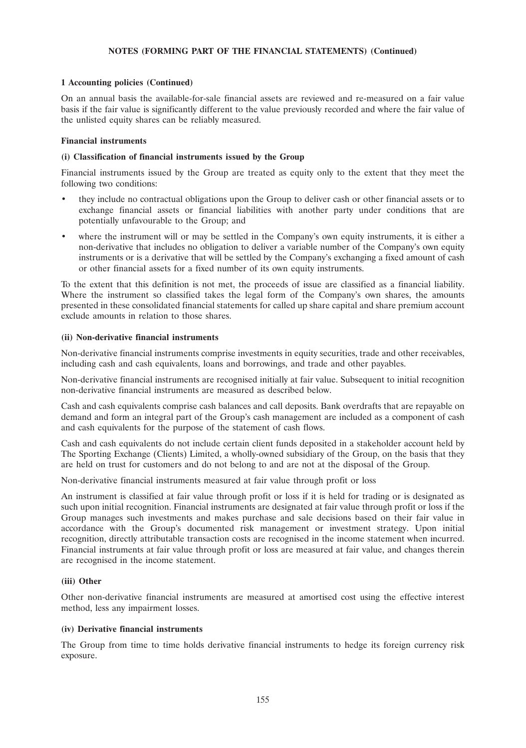### **1 Accounting policies (Continued)**

On an annual basis the available-for-sale financial assets are reviewed and re-measured on a fair value basis if the fair value is significantly different to the value previously recorded and where the fair value of the unlisted equity shares can be reliably measured.

#### **Financial instruments**

#### **(i) Classification of financial instruments issued by the Group**

Financial instruments issued by the Group are treated as equity only to the extent that they meet the following two conditions:

- they include no contractual obligations upon the Group to deliver cash or other financial assets or to exchange financial assets or financial liabilities with another party under conditions that are potentially unfavourable to the Group; and
- where the instrument will or may be settled in the Company's own equity instruments, it is either a non-derivative that includes no obligation to deliver a variable number of the Company's own equity instruments or is a derivative that will be settled by the Company's exchanging a fixed amount of cash or other financial assets for a fixed number of its own equity instruments.

To the extent that this definition is not met, the proceeds of issue are classified as a financial liability. Where the instrument so classified takes the legal form of the Company's own shares, the amounts presented in these consolidated financial statements for called up share capital and share premium account exclude amounts in relation to those shares.

#### **(ii) Non-derivative financial instruments**

Non-derivative financial instruments comprise investments in equity securities, trade and other receivables, including cash and cash equivalents, loans and borrowings, and trade and other payables.

Non-derivative financial instruments are recognised initially at fair value. Subsequent to initial recognition non-derivative financial instruments are measured as described below.

Cash and cash equivalents comprise cash balances and call deposits. Bank overdrafts that are repayable on demand and form an integral part of the Group's cash management are included as a component of cash and cash equivalents for the purpose of the statement of cash flows.

Cash and cash equivalents do not include certain client funds deposited in a stakeholder account held by The Sporting Exchange (Clients) Limited, a wholly-owned subsidiary of the Group, on the basis that they are held on trust for customers and do not belong to and are not at the disposal of the Group.

Non-derivative financial instruments measured at fair value through profit or loss

An instrument is classified at fair value through profit or loss if it is held for trading or is designated as such upon initial recognition. Financial instruments are designated at fair value through profit or loss if the Group manages such investments and makes purchase and sale decisions based on their fair value in accordance with the Group's documented risk management or investment strategy. Upon initial recognition, directly attributable transaction costs are recognised in the income statement when incurred. Financial instruments at fair value through profit or loss are measured at fair value, and changes therein are recognised in the income statement.

### **(iii) Other**

Other non-derivative financial instruments are measured at amortised cost using the effective interest method, less any impairment losses.

### **(iv) Derivative financial instruments**

The Group from time to time holds derivative financial instruments to hedge its foreign currency risk exposure.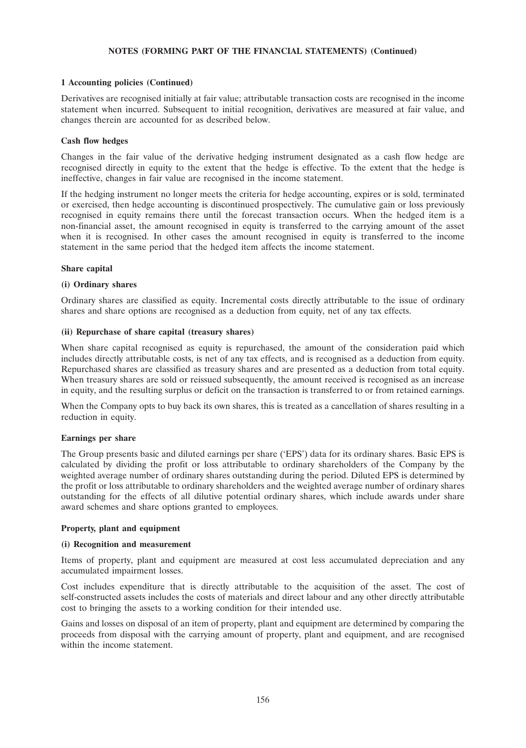### **1 Accounting policies (Continued)**

Derivatives are recognised initially at fair value; attributable transaction costs are recognised in the income statement when incurred. Subsequent to initial recognition, derivatives are measured at fair value, and changes therein are accounted for as described below.

### **Cash flow hedges**

Changes in the fair value of the derivative hedging instrument designated as a cash flow hedge are recognised directly in equity to the extent that the hedge is effective. To the extent that the hedge is ineffective, changes in fair value are recognised in the income statement.

If the hedging instrument no longer meets the criteria for hedge accounting, expires or is sold, terminated or exercised, then hedge accounting is discontinued prospectively. The cumulative gain or loss previously recognised in equity remains there until the forecast transaction occurs. When the hedged item is a non-financial asset, the amount recognised in equity is transferred to the carrying amount of the asset when it is recognised. In other cases the amount recognised in equity is transferred to the income statement in the same period that the hedged item affects the income statement.

### **Share capital**

### **(i) Ordinary shares**

Ordinary shares are classified as equity. Incremental costs directly attributable to the issue of ordinary shares and share options are recognised as a deduction from equity, net of any tax effects.

### **(ii) Repurchase of share capital (treasury shares)**

When share capital recognised as equity is repurchased, the amount of the consideration paid which includes directly attributable costs, is net of any tax effects, and is recognised as a deduction from equity. Repurchased shares are classified as treasury shares and are presented as a deduction from total equity. When treasury shares are sold or reissued subsequently, the amount received is recognised as an increase in equity, and the resulting surplus or deficit on the transaction is transferred to or from retained earnings.

When the Company opts to buy back its own shares, this is treated as a cancellation of shares resulting in a reduction in equity.

### **Earnings per share**

The Group presents basic and diluted earnings per share ('EPS') data for its ordinary shares. Basic EPS is calculated by dividing the profit or loss attributable to ordinary shareholders of the Company by the weighted average number of ordinary shares outstanding during the period. Diluted EPS is determined by the profit or loss attributable to ordinary shareholders and the weighted average number of ordinary shares outstanding for the effects of all dilutive potential ordinary shares, which include awards under share award schemes and share options granted to employees.

### **Property, plant and equipment**

### **(i) Recognition and measurement**

Items of property, plant and equipment are measured at cost less accumulated depreciation and any accumulated impairment losses.

Cost includes expenditure that is directly attributable to the acquisition of the asset. The cost of self-constructed assets includes the costs of materials and direct labour and any other directly attributable cost to bringing the assets to a working condition for their intended use.

Gains and losses on disposal of an item of property, plant and equipment are determined by comparing the proceeds from disposal with the carrying amount of property, plant and equipment, and are recognised within the income statement.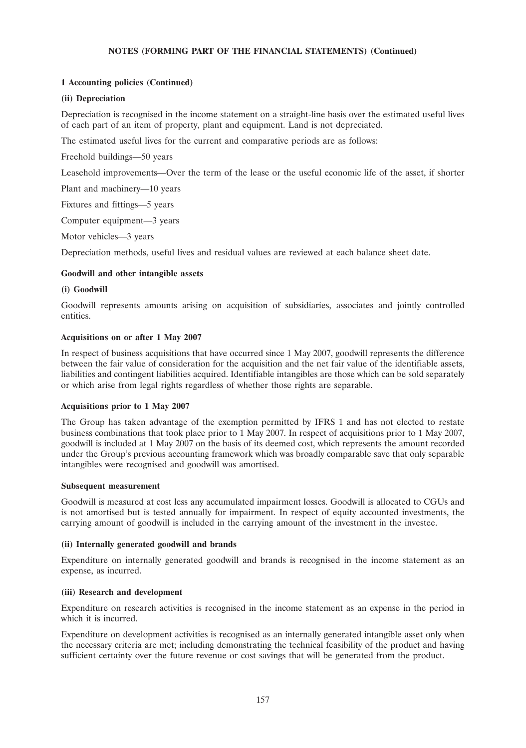## **1 Accounting policies (Continued)**

### **(ii) Depreciation**

Depreciation is recognised in the income statement on a straight-line basis over the estimated useful lives of each part of an item of property, plant and equipment. Land is not depreciated.

The estimated useful lives for the current and comparative periods are as follows:

Freehold buildings—50 years

Leasehold improvements—Over the term of the lease or the useful economic life of the asset, if shorter

Plant and machinery—10 years

Fixtures and fittings—5 years

Computer equipment—3 years

Motor vehicles—3 years

Depreciation methods, useful lives and residual values are reviewed at each balance sheet date.

### **Goodwill and other intangible assets**

### **(i) Goodwill**

Goodwill represents amounts arising on acquisition of subsidiaries, associates and jointly controlled entities.

### **Acquisitions on or after 1 May 2007**

In respect of business acquisitions that have occurred since 1 May 2007, goodwill represents the difference between the fair value of consideration for the acquisition and the net fair value of the identifiable assets, liabilities and contingent liabilities acquired. Identifiable intangibles are those which can be sold separately or which arise from legal rights regardless of whether those rights are separable.

### **Acquisitions prior to 1 May 2007**

The Group has taken advantage of the exemption permitted by IFRS 1 and has not elected to restate business combinations that took place prior to 1 May 2007. In respect of acquisitions prior to 1 May 2007, goodwill is included at 1 May 2007 on the basis of its deemed cost, which represents the amount recorded under the Group's previous accounting framework which was broadly comparable save that only separable intangibles were recognised and goodwill was amortised.

### **Subsequent measurement**

Goodwill is measured at cost less any accumulated impairment losses. Goodwill is allocated to CGUs and is not amortised but is tested annually for impairment. In respect of equity accounted investments, the carrying amount of goodwill is included in the carrying amount of the investment in the investee.

### **(ii) Internally generated goodwill and brands**

Expenditure on internally generated goodwill and brands is recognised in the income statement as an expense, as incurred.

### **(iii) Research and development**

Expenditure on research activities is recognised in the income statement as an expense in the period in which it is incurred.

Expenditure on development activities is recognised as an internally generated intangible asset only when the necessary criteria are met; including demonstrating the technical feasibility of the product and having sufficient certainty over the future revenue or cost savings that will be generated from the product.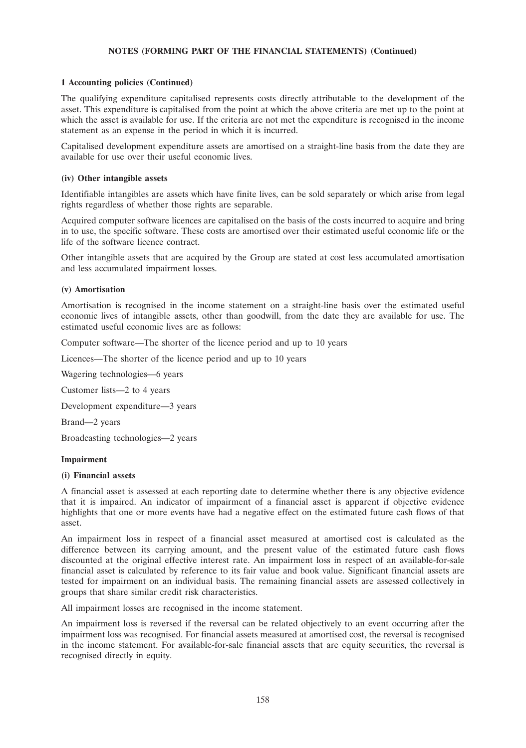### **1 Accounting policies (Continued)**

The qualifying expenditure capitalised represents costs directly attributable to the development of the asset. This expenditure is capitalised from the point at which the above criteria are met up to the point at which the asset is available for use. If the criteria are not met the expenditure is recognised in the income statement as an expense in the period in which it is incurred.

Capitalised development expenditure assets are amortised on a straight-line basis from the date they are available for use over their useful economic lives.

### **(iv) Other intangible assets**

Identifiable intangibles are assets which have finite lives, can be sold separately or which arise from legal rights regardless of whether those rights are separable.

Acquired computer software licences are capitalised on the basis of the costs incurred to acquire and bring in to use, the specific software. These costs are amortised over their estimated useful economic life or the life of the software licence contract.

Other intangible assets that are acquired by the Group are stated at cost less accumulated amortisation and less accumulated impairment losses.

#### **(v) Amortisation**

Amortisation is recognised in the income statement on a straight-line basis over the estimated useful economic lives of intangible assets, other than goodwill, from the date they are available for use. The estimated useful economic lives are as follows:

Computer software—The shorter of the licence period and up to 10 years

Licences—The shorter of the licence period and up to 10 years

Wagering technologies—6 years

Customer lists—2 to 4 years

Development expenditure—3 years

Brand—2 years

Broadcasting technologies—2 years

#### **Impairment**

#### **(i) Financial assets**

A financial asset is assessed at each reporting date to determine whether there is any objective evidence that it is impaired. An indicator of impairment of a financial asset is apparent if objective evidence highlights that one or more events have had a negative effect on the estimated future cash flows of that asset.

An impairment loss in respect of a financial asset measured at amortised cost is calculated as the difference between its carrying amount, and the present value of the estimated future cash flows discounted at the original effective interest rate. An impairment loss in respect of an available-for-sale financial asset is calculated by reference to its fair value and book value. Significant financial assets are tested for impairment on an individual basis. The remaining financial assets are assessed collectively in groups that share similar credit risk characteristics.

All impairment losses are recognised in the income statement.

An impairment loss is reversed if the reversal can be related objectively to an event occurring after the impairment loss was recognised. For financial assets measured at amortised cost, the reversal is recognised in the income statement. For available-for-sale financial assets that are equity securities, the reversal is recognised directly in equity.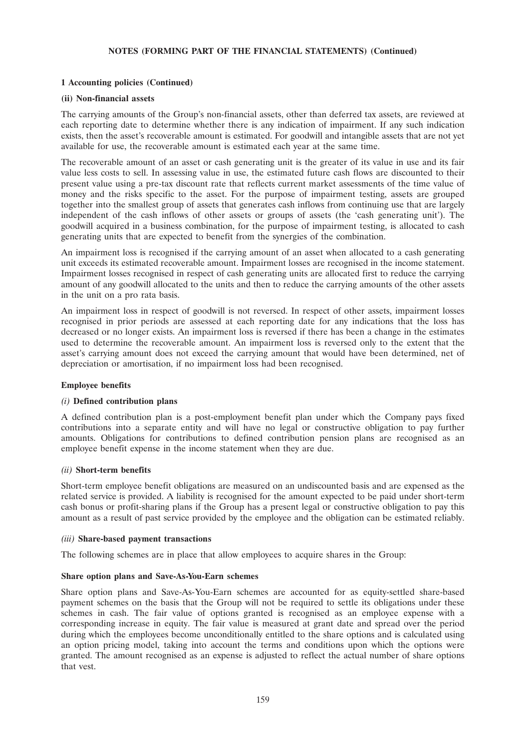## **1 Accounting policies (Continued)**

### **(ii) Non-financial assets**

The carrying amounts of the Group's non-financial assets, other than deferred tax assets, are reviewed at each reporting date to determine whether there is any indication of impairment. If any such indication exists, then the asset's recoverable amount is estimated. For goodwill and intangible assets that are not yet available for use, the recoverable amount is estimated each year at the same time.

The recoverable amount of an asset or cash generating unit is the greater of its value in use and its fair value less costs to sell. In assessing value in use, the estimated future cash flows are discounted to their present value using a pre-tax discount rate that reflects current market assessments of the time value of money and the risks specific to the asset. For the purpose of impairment testing, assets are grouped together into the smallest group of assets that generates cash inflows from continuing use that are largely independent of the cash inflows of other assets or groups of assets (the 'cash generating unit'). The goodwill acquired in a business combination, for the purpose of impairment testing, is allocated to cash generating units that are expected to benefit from the synergies of the combination.

An impairment loss is recognised if the carrying amount of an asset when allocated to a cash generating unit exceeds its estimated recoverable amount. Impairment losses are recognised in the income statement. Impairment losses recognised in respect of cash generating units are allocated first to reduce the carrying amount of any goodwill allocated to the units and then to reduce the carrying amounts of the other assets in the unit on a pro rata basis.

An impairment loss in respect of goodwill is not reversed. In respect of other assets, impairment losses recognised in prior periods are assessed at each reporting date for any indications that the loss has decreased or no longer exists. An impairment loss is reversed if there has been a change in the estimates used to determine the recoverable amount. An impairment loss is reversed only to the extent that the asset's carrying amount does not exceed the carrying amount that would have been determined, net of depreciation or amortisation, if no impairment loss had been recognised.

### **Employee benefits**

### *(i)* **Defined contribution plans**

A defined contribution plan is a post-employment benefit plan under which the Company pays fixed contributions into a separate entity and will have no legal or constructive obligation to pay further amounts. Obligations for contributions to defined contribution pension plans are recognised as an employee benefit expense in the income statement when they are due.

### *(ii)* **Short-term benefits**

Short-term employee benefit obligations are measured on an undiscounted basis and are expensed as the related service is provided. A liability is recognised for the amount expected to be paid under short-term cash bonus or profit-sharing plans if the Group has a present legal or constructive obligation to pay this amount as a result of past service provided by the employee and the obligation can be estimated reliably.

#### *(iii)* **Share-based payment transactions**

The following schemes are in place that allow employees to acquire shares in the Group:

### **Share option plans and Save-As-You-Earn schemes**

Share option plans and Save-As-You-Earn schemes are accounted for as equity-settled share-based payment schemes on the basis that the Group will not be required to settle its obligations under these schemes in cash. The fair value of options granted is recognised as an employee expense with a corresponding increase in equity. The fair value is measured at grant date and spread over the period during which the employees become unconditionally entitled to the share options and is calculated using an option pricing model, taking into account the terms and conditions upon which the options were granted. The amount recognised as an expense is adjusted to reflect the actual number of share options that vest.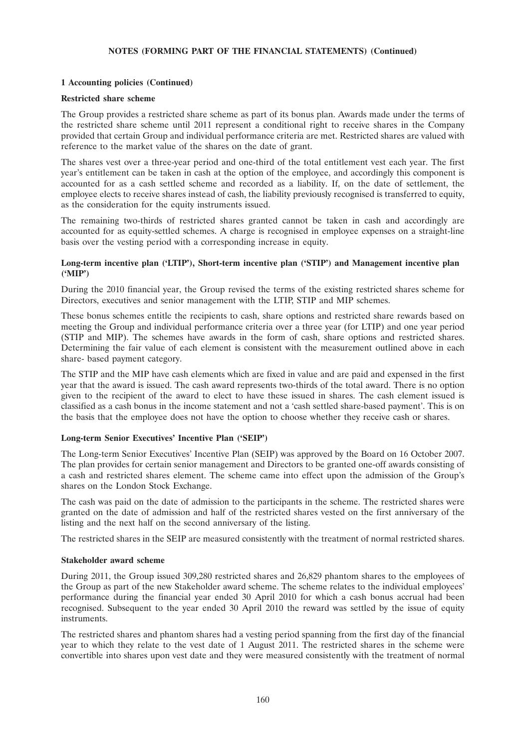### **1 Accounting policies (Continued)**

#### **Restricted share scheme**

The Group provides a restricted share scheme as part of its bonus plan. Awards made under the terms of the restricted share scheme until 2011 represent a conditional right to receive shares in the Company provided that certain Group and individual performance criteria are met. Restricted shares are valued with reference to the market value of the shares on the date of grant.

The shares vest over a three-year period and one-third of the total entitlement vest each year. The first year's entitlement can be taken in cash at the option of the employee, and accordingly this component is accounted for as a cash settled scheme and recorded as a liability. If, on the date of settlement, the employee elects to receive shares instead of cash, the liability previously recognised is transferred to equity, as the consideration for the equity instruments issued.

The remaining two-thirds of restricted shares granted cannot be taken in cash and accordingly are accounted for as equity-settled schemes. A charge is recognised in employee expenses on a straight-line basis over the vesting period with a corresponding increase in equity.

### **Long-term incentive plan ('LTIP'), Short-term incentive plan ('STIP') and Management incentive plan ('MIP')**

During the 2010 financial year, the Group revised the terms of the existing restricted shares scheme for Directors, executives and senior management with the LTIP, STIP and MIP schemes.

These bonus schemes entitle the recipients to cash, share options and restricted share rewards based on meeting the Group and individual performance criteria over a three year (for LTIP) and one year period (STIP and MIP). The schemes have awards in the form of cash, share options and restricted shares. Determining the fair value of each element is consistent with the measurement outlined above in each share- based payment category.

The STIP and the MIP have cash elements which are fixed in value and are paid and expensed in the first year that the award is issued. The cash award represents two-thirds of the total award. There is no option given to the recipient of the award to elect to have these issued in shares. The cash element issued is classified as a cash bonus in the income statement and not a 'cash settled share-based payment'. This is on the basis that the employee does not have the option to choose whether they receive cash or shares.

### **Long-term Senior Executives' Incentive Plan ('SEIP')**

The Long-term Senior Executives' Incentive Plan (SEIP) was approved by the Board on 16 October 2007. The plan provides for certain senior management and Directors to be granted one-off awards consisting of a cash and restricted shares element. The scheme came into effect upon the admission of the Group's shares on the London Stock Exchange.

The cash was paid on the date of admission to the participants in the scheme. The restricted shares were granted on the date of admission and half of the restricted shares vested on the first anniversary of the listing and the next half on the second anniversary of the listing.

The restricted shares in the SEIP are measured consistently with the treatment of normal restricted shares.

#### **Stakeholder award scheme**

During 2011, the Group issued 309,280 restricted shares and 26,829 phantom shares to the employees of the Group as part of the new Stakeholder award scheme. The scheme relates to the individual employees' performance during the financial year ended 30 April 2010 for which a cash bonus accrual had been recognised. Subsequent to the year ended 30 April 2010 the reward was settled by the issue of equity instruments.

The restricted shares and phantom shares had a vesting period spanning from the first day of the financial year to which they relate to the vest date of 1 August 2011. The restricted shares in the scheme were convertible into shares upon vest date and they were measured consistently with the treatment of normal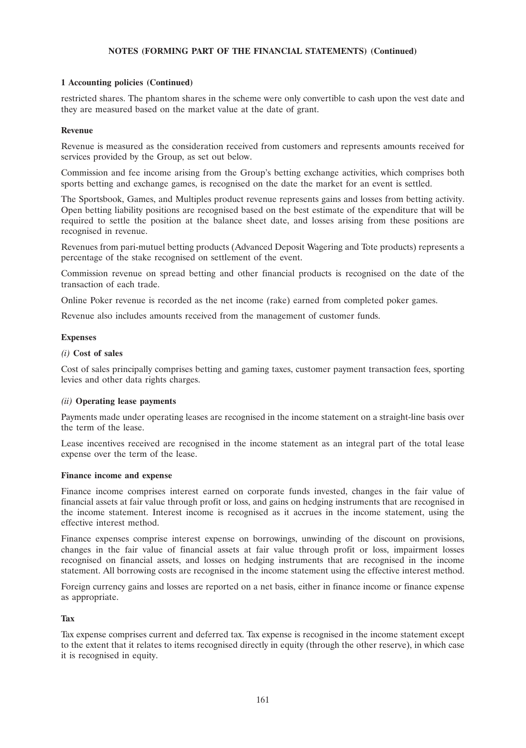## **1 Accounting policies (Continued)**

restricted shares. The phantom shares in the scheme were only convertible to cash upon the vest date and they are measured based on the market value at the date of grant.

### **Revenue**

Revenue is measured as the consideration received from customers and represents amounts received for services provided by the Group, as set out below.

Commission and fee income arising from the Group's betting exchange activities, which comprises both sports betting and exchange games, is recognised on the date the market for an event is settled.

The Sportsbook, Games, and Multiples product revenue represents gains and losses from betting activity. Open betting liability positions are recognised based on the best estimate of the expenditure that will be required to settle the position at the balance sheet date, and losses arising from these positions are recognised in revenue.

Revenues from pari-mutuel betting products (Advanced Deposit Wagering and Tote products) represents a percentage of the stake recognised on settlement of the event.

Commission revenue on spread betting and other financial products is recognised on the date of the transaction of each trade.

Online Poker revenue is recorded as the net income (rake) earned from completed poker games.

Revenue also includes amounts received from the management of customer funds.

#### **Expenses**

#### *(i)* **Cost of sales**

Cost of sales principally comprises betting and gaming taxes, customer payment transaction fees, sporting levies and other data rights charges.

### *(ii)* **Operating lease payments**

Payments made under operating leases are recognised in the income statement on a straight-line basis over the term of the lease.

Lease incentives received are recognised in the income statement as an integral part of the total lease expense over the term of the lease.

#### **Finance income and expense**

Finance income comprises interest earned on corporate funds invested, changes in the fair value of financial assets at fair value through profit or loss, and gains on hedging instruments that are recognised in the income statement. Interest income is recognised as it accrues in the income statement, using the effective interest method.

Finance expenses comprise interest expense on borrowings, unwinding of the discount on provisions, changes in the fair value of financial assets at fair value through profit or loss, impairment losses recognised on financial assets, and losses on hedging instruments that are recognised in the income statement. All borrowing costs are recognised in the income statement using the effective interest method.

Foreign currency gains and losses are reported on a net basis, either in finance income or finance expense as appropriate.

#### **Tax**

Tax expense comprises current and deferred tax. Tax expense is recognised in the income statement except to the extent that it relates to items recognised directly in equity (through the other reserve), in which case it is recognised in equity.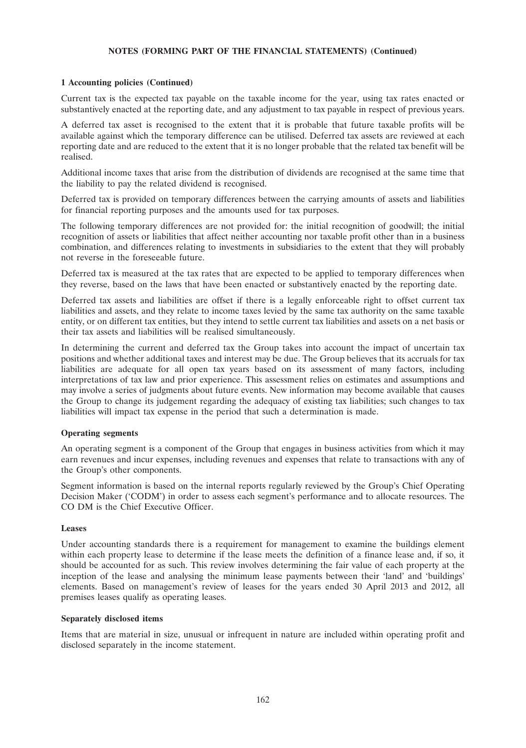### **1 Accounting policies (Continued)**

Current tax is the expected tax payable on the taxable income for the year, using tax rates enacted or substantively enacted at the reporting date, and any adjustment to tax payable in respect of previous years.

A deferred tax asset is recognised to the extent that it is probable that future taxable profits will be available against which the temporary difference can be utilised. Deferred tax assets are reviewed at each reporting date and are reduced to the extent that it is no longer probable that the related tax benefit will be realised.

Additional income taxes that arise from the distribution of dividends are recognised at the same time that the liability to pay the related dividend is recognised.

Deferred tax is provided on temporary differences between the carrying amounts of assets and liabilities for financial reporting purposes and the amounts used for tax purposes.

The following temporary differences are not provided for: the initial recognition of goodwill; the initial recognition of assets or liabilities that affect neither accounting nor taxable profit other than in a business combination, and differences relating to investments in subsidiaries to the extent that they will probably not reverse in the foreseeable future.

Deferred tax is measured at the tax rates that are expected to be applied to temporary differences when they reverse, based on the laws that have been enacted or substantively enacted by the reporting date.

Deferred tax assets and liabilities are offset if there is a legally enforceable right to offset current tax liabilities and assets, and they relate to income taxes levied by the same tax authority on the same taxable entity, or on different tax entities, but they intend to settle current tax liabilities and assets on a net basis or their tax assets and liabilities will be realised simultaneously.

In determining the current and deferred tax the Group takes into account the impact of uncertain tax positions and whether additional taxes and interest may be due. The Group believes that its accruals for tax liabilities are adequate for all open tax years based on its assessment of many factors, including interpretations of tax law and prior experience. This assessment relies on estimates and assumptions and may involve a series of judgments about future events. New information may become available that causes the Group to change its judgement regarding the adequacy of existing tax liabilities; such changes to tax liabilities will impact tax expense in the period that such a determination is made.

#### **Operating segments**

An operating segment is a component of the Group that engages in business activities from which it may earn revenues and incur expenses, including revenues and expenses that relate to transactions with any of the Group's other components.

Segment information is based on the internal reports regularly reviewed by the Group's Chief Operating Decision Maker ('CODM') in order to assess each segment's performance and to allocate resources. The CO DM is the Chief Executive Officer.

#### **Leases**

Under accounting standards there is a requirement for management to examine the buildings element within each property lease to determine if the lease meets the definition of a finance lease and, if so, it should be accounted for as such. This review involves determining the fair value of each property at the inception of the lease and analysing the minimum lease payments between their 'land' and 'buildings' elements. Based on management's review of leases for the years ended 30 April 2013 and 2012, all premises leases qualify as operating leases.

#### **Separately disclosed items**

Items that are material in size, unusual or infrequent in nature are included within operating profit and disclosed separately in the income statement.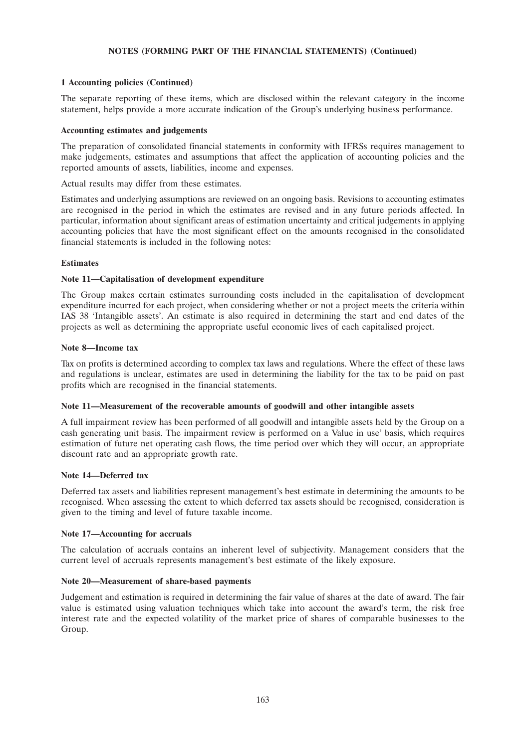## **1 Accounting policies (Continued)**

The separate reporting of these items, which are disclosed within the relevant category in the income statement, helps provide a more accurate indication of the Group's underlying business performance.

### **Accounting estimates and judgements**

The preparation of consolidated financial statements in conformity with IFRSs requires management to make judgements, estimates and assumptions that affect the application of accounting policies and the reported amounts of assets, liabilities, income and expenses.

Actual results may differ from these estimates.

Estimates and underlying assumptions are reviewed on an ongoing basis. Revisions to accounting estimates are recognised in the period in which the estimates are revised and in any future periods affected. In particular, information about significant areas of estimation uncertainty and critical judgements in applying accounting policies that have the most significant effect on the amounts recognised in the consolidated financial statements is included in the following notes:

#### **Estimates**

#### **Note 11—Capitalisation of development expenditure**

The Group makes certain estimates surrounding costs included in the capitalisation of development expenditure incurred for each project, when considering whether or not a project meets the criteria within IAS 38 'Intangible assets'. An estimate is also required in determining the start and end dates of the projects as well as determining the appropriate useful economic lives of each capitalised project.

#### **Note 8—Income tax**

Tax on profits is determined according to complex tax laws and regulations. Where the effect of these laws and regulations is unclear, estimates are used in determining the liability for the tax to be paid on past profits which are recognised in the financial statements.

### **Note 11—Measurement of the recoverable amounts of goodwill and other intangible assets**

A full impairment review has been performed of all goodwill and intangible assets held by the Group on a cash generating unit basis. The impairment review is performed on a Value in use' basis, which requires estimation of future net operating cash flows, the time period over which they will occur, an appropriate discount rate and an appropriate growth rate.

### **Note 14—Deferred tax**

Deferred tax assets and liabilities represent management's best estimate in determining the amounts to be recognised. When assessing the extent to which deferred tax assets should be recognised, consideration is given to the timing and level of future taxable income.

#### **Note 17—Accounting for accruals**

The calculation of accruals contains an inherent level of subjectivity. Management considers that the current level of accruals represents management's best estimate of the likely exposure.

### **Note 20—Measurement of share-based payments**

Judgement and estimation is required in determining the fair value of shares at the date of award. The fair value is estimated using valuation techniques which take into account the award's term, the risk free interest rate and the expected volatility of the market price of shares of comparable businesses to the Group.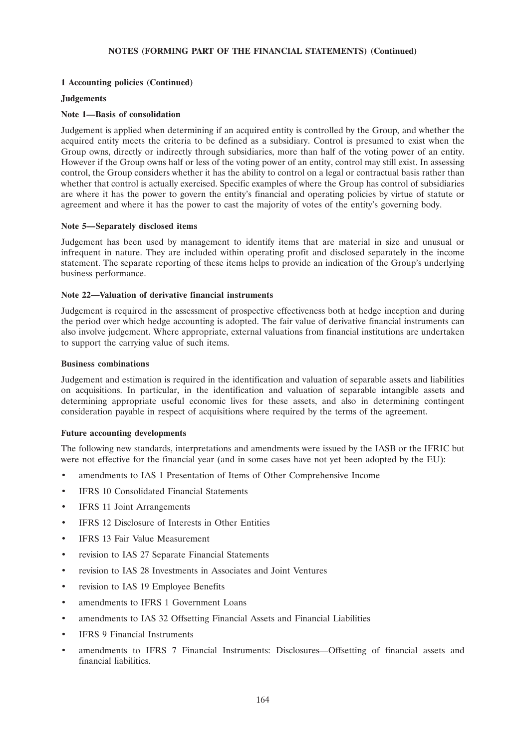### **1 Accounting policies (Continued)**

#### **Judgements**

#### **Note 1—Basis of consolidation**

Judgement is applied when determining if an acquired entity is controlled by the Group, and whether the acquired entity meets the criteria to be defined as a subsidiary. Control is presumed to exist when the Group owns, directly or indirectly through subsidiaries, more than half of the voting power of an entity. However if the Group owns half or less of the voting power of an entity, control may still exist. In assessing control, the Group considers whether it has the ability to control on a legal or contractual basis rather than whether that control is actually exercised. Specific examples of where the Group has control of subsidiaries are where it has the power to govern the entity's financial and operating policies by virtue of statute or agreement and where it has the power to cast the majority of votes of the entity's governing body.

#### **Note 5—Separately disclosed items**

Judgement has been used by management to identify items that are material in size and unusual or infrequent in nature. They are included within operating profit and disclosed separately in the income statement. The separate reporting of these items helps to provide an indication of the Group's underlying business performance.

### **Note 22—Valuation of derivative financial instruments**

Judgement is required in the assessment of prospective effectiveness both at hedge inception and during the period over which hedge accounting is adopted. The fair value of derivative financial instruments can also involve judgement. Where appropriate, external valuations from financial institutions are undertaken to support the carrying value of such items.

#### **Business combinations**

Judgement and estimation is required in the identification and valuation of separable assets and liabilities on acquisitions. In particular, in the identification and valuation of separable intangible assets and determining appropriate useful economic lives for these assets, and also in determining contingent consideration payable in respect of acquisitions where required by the terms of the agreement.

#### **Future accounting developments**

The following new standards, interpretations and amendments were issued by the IASB or the IFRIC but were not effective for the financial year (and in some cases have not yet been adopted by the EU):

- amendments to IAS 1 Presentation of Items of Other Comprehensive Income
- IFRS 10 Consolidated Financial Statements
- IFRS 11 Joint Arrangements
- IFRS 12 Disclosure of Interests in Other Entities
- IFRS 13 Fair Value Measurement
- revision to IAS 27 Separate Financial Statements
- revision to IAS 28 Investments in Associates and Joint Ventures
- revision to IAS 19 Employee Benefits
- amendments to IFRS 1 Government Loans
- amendments to IAS 32 Offsetting Financial Assets and Financial Liabilities
- **IFRS 9 Financial Instruments**
- amendments to IFRS 7 Financial Instruments: Disclosures—Offsetting of financial assets and financial liabilities.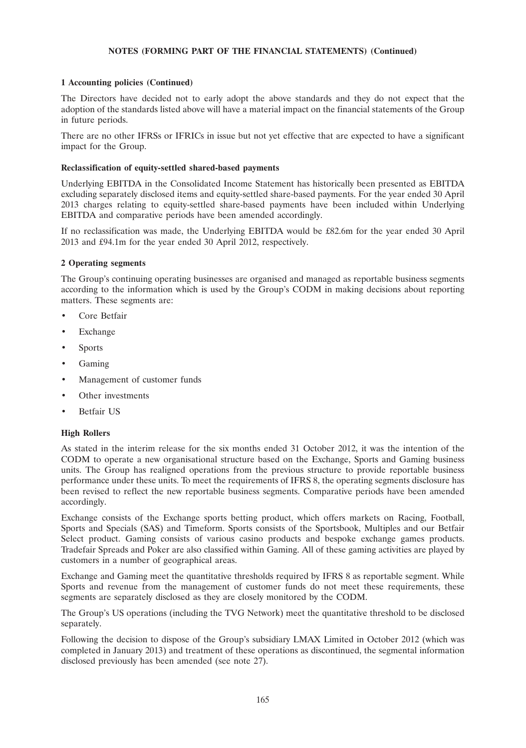### **1 Accounting policies (Continued)**

The Directors have decided not to early adopt the above standards and they do not expect that the adoption of the standards listed above will have a material impact on the financial statements of the Group in future periods.

There are no other IFRSs or IFRICs in issue but not yet effective that are expected to have a significant impact for the Group.

### **Reclassification of equity-settled shared-based payments**

Underlying EBITDA in the Consolidated Income Statement has historically been presented as EBITDA excluding separately disclosed items and equity-settled share-based payments. For the year ended 30 April 2013 charges relating to equity-settled share-based payments have been included within Underlying EBITDA and comparative periods have been amended accordingly.

If no reclassification was made, the Underlying EBITDA would be £82.6m for the year ended 30 April 2013 and £94.1m for the year ended 30 April 2012, respectively.

### **2 Operating segments**

The Group's continuing operating businesses are organised and managed as reportable business segments according to the information which is used by the Group's CODM in making decisions about reporting matters. These segments are:

- Core Betfair
- **Exchange**
- **Sports**
- Gaming
- Management of customer funds
- Other investments
- Betfair US

### **High Rollers**

As stated in the interim release for the six months ended 31 October 2012, it was the intention of the CODM to operate a new organisational structure based on the Exchange, Sports and Gaming business units. The Group has realigned operations from the previous structure to provide reportable business performance under these units. To meet the requirements of IFRS 8, the operating segments disclosure has been revised to reflect the new reportable business segments. Comparative periods have been amended accordingly.

Exchange consists of the Exchange sports betting product, which offers markets on Racing, Football, Sports and Specials (SAS) and Timeform. Sports consists of the Sportsbook, Multiples and our Betfair Select product. Gaming consists of various casino products and bespoke exchange games products. Tradefair Spreads and Poker are also classified within Gaming. All of these gaming activities are played by customers in a number of geographical areas.

Exchange and Gaming meet the quantitative thresholds required by IFRS 8 as reportable segment. While Sports and revenue from the management of customer funds do not meet these requirements, these segments are separately disclosed as they are closely monitored by the CODM.

The Group's US operations (including the TVG Network) meet the quantitative threshold to be disclosed separately.

Following the decision to dispose of the Group's subsidiary LMAX Limited in October 2012 (which was completed in January 2013) and treatment of these operations as discontinued, the segmental information disclosed previously has been amended (see note 27).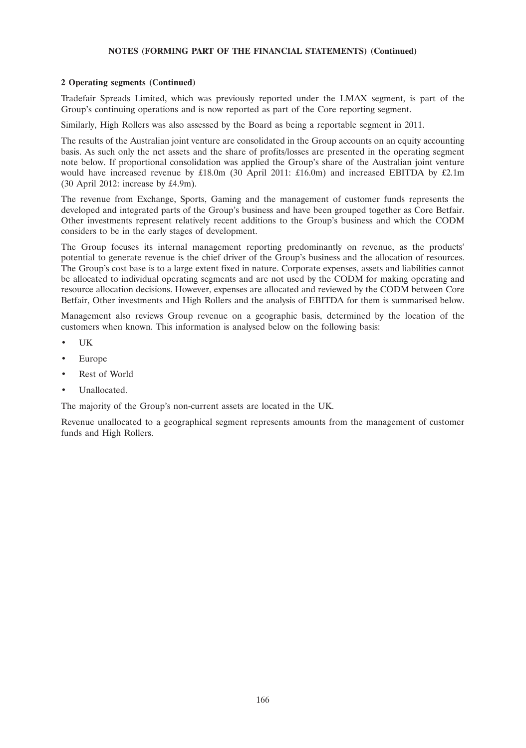## **2 Operating segments (Continued)**

Tradefair Spreads Limited, which was previously reported under the LMAX segment, is part of the Group's continuing operations and is now reported as part of the Core reporting segment.

Similarly, High Rollers was also assessed by the Board as being a reportable segment in 2011.

The results of the Australian joint venture are consolidated in the Group accounts on an equity accounting basis. As such only the net assets and the share of profits/losses are presented in the operating segment note below. If proportional consolidation was applied the Group's share of the Australian joint venture would have increased revenue by £18.0m (30 April 2011: £16.0m) and increased EBITDA by £2.1m (30 April 2012: increase by £4.9m).

The revenue from Exchange, Sports, Gaming and the management of customer funds represents the developed and integrated parts of the Group's business and have been grouped together as Core Betfair. Other investments represent relatively recent additions to the Group's business and which the CODM considers to be in the early stages of development.

The Group focuses its internal management reporting predominantly on revenue, as the products' potential to generate revenue is the chief driver of the Group's business and the allocation of resources. The Group's cost base is to a large extent fixed in nature. Corporate expenses, assets and liabilities cannot be allocated to individual operating segments and are not used by the CODM for making operating and resource allocation decisions. However, expenses are allocated and reviewed by the CODM between Core Betfair, Other investments and High Rollers and the analysis of EBITDA for them is summarised below.

Management also reviews Group revenue on a geographic basis, determined by the location of the customers when known. This information is analysed below on the following basis:

- UK
- Europe
- Rest of World
- Unallocated.

The majority of the Group's non-current assets are located in the UK.

Revenue unallocated to a geographical segment represents amounts from the management of customer funds and High Rollers.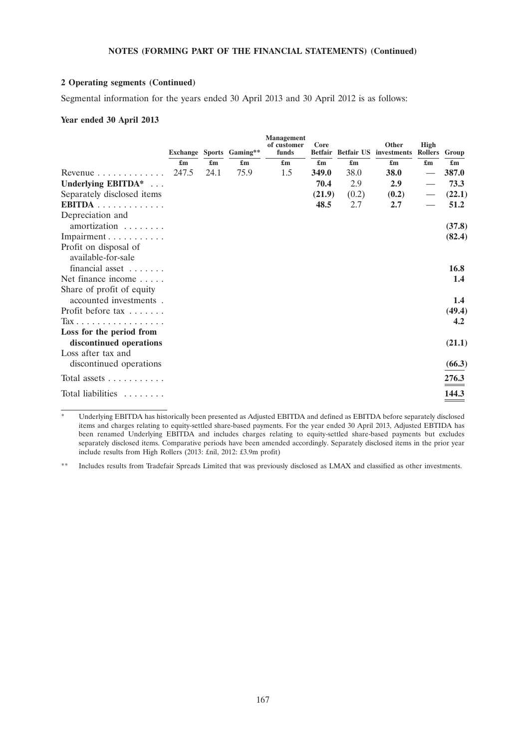### **2 Operating segments (Continued)**

Segmental information for the years ended 30 April 2013 and 30 April 2012 is as follows:

### **Year ended 30 April 2013**

|                                                 |                           |                           | Exchange Sports Gaming**  | <b>Management</b><br>of customer<br>funds | Core<br><b>Betfair</b>    | <b>Betfair US</b>         | Other<br>investments      | High<br>Rollers           | Group                     |
|-------------------------------------------------|---------------------------|---------------------------|---------------------------|-------------------------------------------|---------------------------|---------------------------|---------------------------|---------------------------|---------------------------|
|                                                 | $\mathbf{f}_{\mathbf{m}}$ | $\mathbf{f}_{\mathbf{m}}$ | $\mathbf{f}_{\mathbf{m}}$ | $\mathbf{f}_{\mathbf{m}}$                 | $\mathbf{f}_{\mathbf{m}}$ | $\mathbf{f}_{\mathbf{m}}$ | $\mathbf{f}_{\mathbf{m}}$ | $\mathbf{f}_{\mathbf{m}}$ | $\mathbf{f}_{\mathbf{m}}$ |
| Revenue $\ldots \ldots \ldots \ldots$           | 247.5                     | 24.1                      | 75.9                      | 1.5                                       | 349.0                     | 38.0                      | 38.0                      |                           | 387.0                     |
| Underlying EBITDA*                              |                           |                           |                           |                                           | 70.4                      | 2.9                       | 2.9                       |                           | 73.3                      |
| Separately disclosed items                      |                           |                           |                           |                                           | (21.9)                    | (0.2)                     | (0.2)                     |                           | (22.1)                    |
| EBITDA                                          |                           |                           |                           |                                           | 48.5                      | 2.7                       | 2.7                       |                           | 51.2                      |
| Depreciation and                                |                           |                           |                           |                                           |                           |                           |                           |                           |                           |
| amortization                                    |                           |                           |                           |                                           |                           |                           |                           |                           | (37.8)                    |
| Impairment                                      |                           |                           |                           |                                           |                           |                           |                           |                           | (82.4)                    |
| Profit on disposal of<br>available-for-sale     |                           |                           |                           |                                           |                           |                           |                           |                           |                           |
| financial asset                                 |                           |                           |                           |                                           |                           |                           |                           |                           | 16.8                      |
| Net finance income                              |                           |                           |                           |                                           |                           |                           |                           |                           | 1.4                       |
| Share of profit of equity                       |                           |                           |                           |                                           |                           |                           |                           |                           |                           |
| accounted investments.                          |                           |                           |                           |                                           |                           |                           |                           |                           | 1.4                       |
| Profit before $\text{tax} \ldots \ldots$        |                           |                           |                           |                                           |                           |                           |                           |                           | (49.4)                    |
| $\text{Tax} \ldots \ldots \ldots \ldots \ldots$ |                           |                           |                           |                                           |                           |                           |                           |                           | 4.2                       |
| Loss for the period from                        |                           |                           |                           |                                           |                           |                           |                           |                           |                           |
| discontinued operations                         |                           |                           |                           |                                           |                           |                           |                           |                           | (21.1)                    |
| Loss after tax and<br>discontinued operations   |                           |                           |                           |                                           |                           |                           |                           |                           | (66.3)                    |
|                                                 |                           |                           |                           |                                           |                           |                           |                           |                           |                           |
| Total assets                                    |                           |                           |                           |                                           |                           |                           |                           |                           | 276.3                     |
| Total liabilities                               |                           |                           |                           |                                           |                           |                           |                           |                           | 144.3                     |

Underlying EBITDA has historically been presented as Adjusted EBITDA and defined as EBITDA before separately disclosed items and charges relating to equity-settled share-based payments. For the year ended 30 April 2013, Adjusted EBTIDA has been renamed Underlying EBITDA and includes charges relating to equity-settled share-based payments but excludes separately disclosed items. Comparative periods have been amended accordingly. Separately disclosed items in the prior year include results from High Rollers (2013: £nil, 2012: £3.9m profit)

\*\* Includes results from Tradefair Spreads Limited that was previously disclosed as LMAX and classified as other investments.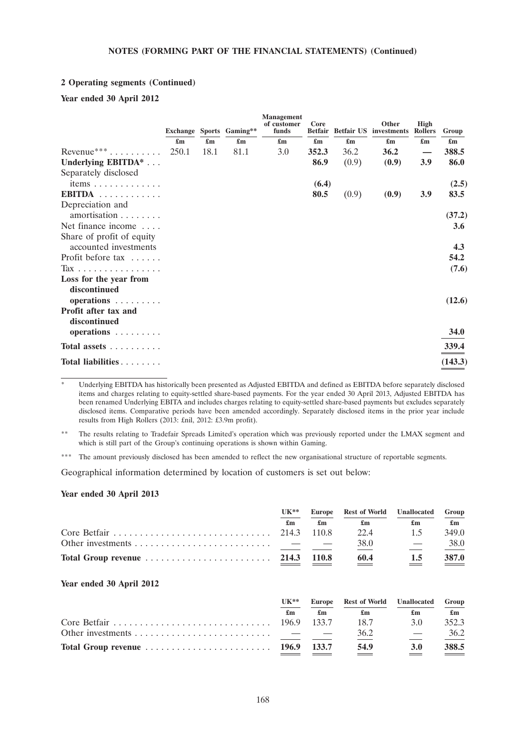#### **2 Operating segments (Continued)**

### **Year ended 30 April 2012**

|                                                    |                           |                           | Exchange Sports Gaming**  | <b>Management</b><br>of customer<br>funds | Core<br><b>Betfair</b>    |       | Other<br><b>Betfair US</b> investments | <b>High</b><br><b>Rollers</b> | Group                     |
|----------------------------------------------------|---------------------------|---------------------------|---------------------------|-------------------------------------------|---------------------------|-------|----------------------------------------|-------------------------------|---------------------------|
|                                                    | $\mathbf{f}_{\mathbf{m}}$ | $\mathbf{f}_{\mathbf{m}}$ | $\mathbf{f}_{\mathbf{m}}$ | $\mathbf{f}_{\mathbf{m}}$                 | $\mathbf{f}_{\mathbf{m}}$ | £m    | $\mathbf{f}_{\mathbf{m}}$              | $\mathbf{f}_{\mathbf{m}}$     | $\mathbf{f}_{\mathbf{m}}$ |
| Revenue *** $\dots \dots$                          | 250.1                     | 18.1                      | 81.1                      | 3.0                                       | 352.3                     | 36.2  | 36.2                                   |                               | 388.5                     |
| Underlying EBITDA*                                 |                           |                           |                           |                                           | 86.9                      | (0.9) | (0.9)                                  | 3.9                           | 86.0                      |
| Separately disclosed                               |                           |                           |                           |                                           |                           |       |                                        |                               |                           |
| items                                              |                           |                           |                           |                                           | (6.4)                     |       |                                        |                               | (2.5)                     |
| EBITDA                                             |                           |                           |                           |                                           | 80.5                      | (0.9) | (0.9)                                  | 3.9                           | 83.5                      |
| Depreciation and<br>amortisation                   |                           |                           |                           |                                           |                           |       |                                        |                               | (37.2)                    |
| Net finance income $\dots$                         |                           |                           |                           |                                           |                           |       |                                        |                               | 3.6                       |
| Share of profit of equity<br>accounted investments |                           |                           |                           |                                           |                           |       |                                        |                               | 4.3                       |
| Profit before tax                                  |                           |                           |                           |                                           |                           |       |                                        |                               | 54.2                      |
| Tax                                                |                           |                           |                           |                                           |                           |       |                                        |                               | (7.6)                     |
| Loss for the year from<br>discontinued             |                           |                           |                           |                                           |                           |       |                                        |                               |                           |
| operations                                         |                           |                           |                           |                                           |                           |       |                                        |                               | (12.6)                    |
| Profit after tax and<br>discontinued               |                           |                           |                           |                                           |                           |       |                                        |                               |                           |
| operations                                         |                           |                           |                           |                                           |                           |       |                                        |                               | <b>34.0</b>               |
| Total assets                                       |                           |                           |                           |                                           |                           |       |                                        |                               | 339.4                     |
| Total liabilities                                  |                           |                           |                           |                                           |                           |       |                                        |                               | (143.3)                   |

Underlying EBITDA has historically been presented as Adjusted EBITDA and defined as EBITDA before separately disclosed items and charges relating to equity-settled share-based payments. For the year ended 30 April 2013, Adjusted EBITDA has been renamed Underlying EBITA and includes charges relating to equity-settled share-based payments but excludes separately disclosed items. Comparative periods have been amended accordingly. Separately disclosed items in the prior year include results from High Rollers (2013: £nil, 2012: £3.9m profit).

\*\* The results relating to Tradefair Spreads Limited's operation which was previously reported under the LMAX segment and which is still part of the Group's continuing operations is shown within Gaming.

\*\*\* The amount previously disclosed has been amended to reflect the new organisational structure of reportable segments.

Geographical information determined by location of customers is set out below:

#### **Year ended 30 April 2013**

|                                                                              | $UK**$ |       | Europe Rest of World Unallocated |     | Group                                |
|------------------------------------------------------------------------------|--------|-------|----------------------------------|-----|--------------------------------------|
|                                                                              | £m     | £m    | £m                               | £m  | $\mathbf{f}_{\mathbf{m}}$            |
|                                                                              |        |       | 22.4                             | 15  | 349.0                                |
|                                                                              |        |       | 38.0                             |     | 38.0                                 |
| Total Group revenue $\ldots \ldots \ldots \ldots \ldots \ldots \ldots$ 214.3 |        | 110.8 | 60.4<br>___                      | 1.5 | 387.0<br>$\sim$ $\sim$ $\sim$ $\sim$ |

#### **Year ended 30 April 2012**

| $UK**$ |    | Europe Rest of World Unallocated |            | Group                     |
|--------|----|----------------------------------|------------|---------------------------|
| £m     | £m | £m                               | £m         | $\mathbf{f}_{\mathbf{m}}$ |
|        |    | 18.7                             | 3 O        | 352.3                     |
|        |    | 36.2                             | $\sim$ $-$ | 36.2                      |
|        |    | 54.9                             | 3.0        | 388.5                     |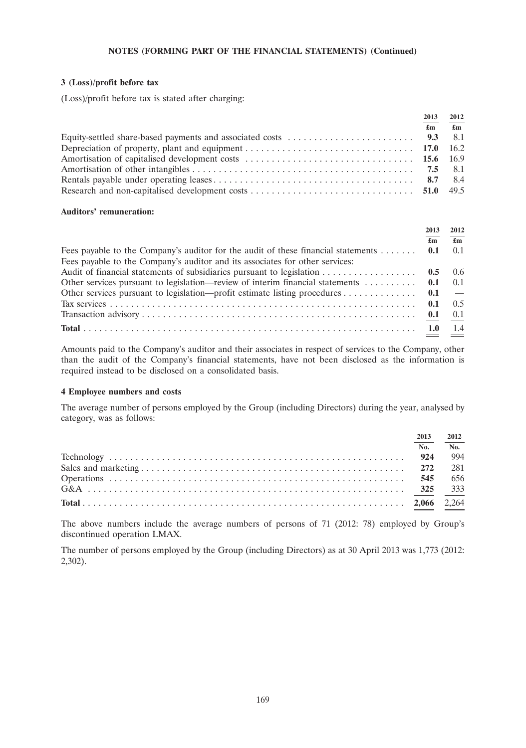### **3 (Loss)/profit before tax**

(Loss)/profit before tax is stated after charging:

| 2013                      | 2012         |
|---------------------------|--------------|
| $\mathbf{f}_{\mathbf{m}}$ | $\mathbf{f}$ |
|                           |              |
|                           |              |
|                           |              |
|                           |              |
|                           |              |
|                           |              |

#### **Auditors' remuneration:**

|                                                                                                       | 2013 | 2012 |
|-------------------------------------------------------------------------------------------------------|------|------|
|                                                                                                       | £m   | £m   |
| Fees payable to the Company's auditor for the audit of these financial statements  0.1                |      | 0.1  |
| Fees payable to the Company's auditor and its associates for other services:                          |      |      |
|                                                                                                       |      |      |
| Other services pursuant to legislation—review of interim financial statements $\dots \dots \dots$ 0.1 |      | 0.1  |
| Other services pursuant to legislation—profit estimate listing procedures 0.1 —                       |      |      |
|                                                                                                       |      | 0.5  |
|                                                                                                       |      | 0.1  |
|                                                                                                       |      | 1.4  |

Amounts paid to the Company's auditor and their associates in respect of services to the Company, other than the audit of the Company's financial statements, have not been disclosed as the information is required instead to be disclosed on a consolidated basis.

#### **4 Employee numbers and costs**

The average number of persons employed by the Group (including Directors) during the year, analysed by category, was as follows:

| 2013 | 2012 |
|------|------|
| No.  | No.  |
|      | -994 |
|      | 281  |
| 545  | 656  |
|      | 333  |
|      |      |

The above numbers include the average numbers of persons of 71 (2012: 78) employed by Group's discontinued operation LMAX.

The number of persons employed by the Group (including Directors) as at 30 April 2013 was 1,773 (2012: 2,302).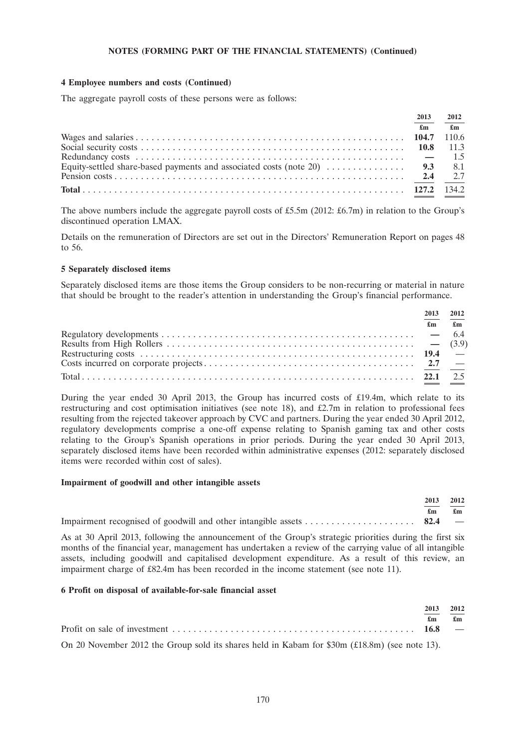### **4 Employee numbers and costs (Continued)**

The aggregate payroll costs of these persons were as follows:

| 2013<br>2012              |                |
|---------------------------|----------------|
| $\mathbf{f}_{\mathbf{m}}$ | $\mathbf{f}$ m |
|                           |                |
|                           |                |
|                           |                |
|                           |                |
|                           |                |
|                           |                |

The above numbers include the aggregate payroll costs of £5.5m (2012: £6.7m) in relation to the Group's discontinued operation LMAX.

Details on the remuneration of Directors are set out in the Directors' Remuneration Report on pages 48 to 56.

#### **5 Separately disclosed items**

Separately disclosed items are those items the Group considers to be non-recurring or material in nature that should be brought to the reader's attention in understanding the Group's financial performance.

| 2013 | 2012                          |
|------|-------------------------------|
|      | $\mathbf{f}$ m $\mathbf{f}$ m |
|      |                               |
|      |                               |
|      |                               |
|      |                               |
|      |                               |

During the year ended 30 April 2013, the Group has incurred costs of £19.4m, which relate to its restructuring and cost optimisation initiatives (see note 18), and £2.7m in relation to professional fees resulting from the rejected takeover approach by CVC and partners. During the year ended 30 April 2012, regulatory developments comprise a one-off expense relating to Spanish gaming tax and other costs relating to the Group's Spanish operations in prior periods. During the year ended 30 April 2013, separately disclosed items have been recorded within administrative expenses (2012: separately disclosed items were recorded within cost of sales).

#### **Impairment of goodwill and other intangible assets**

| 2013 2012 |                               |
|-----------|-------------------------------|
|           | $\mathbf{f}$ m $\mathbf{f}$ m |
|           |                               |

As at 30 April 2013, following the announcement of the Group's strategic priorities during the first six months of the financial year, management has undertaken a review of the carrying value of all intangible assets, including goodwill and capitalised development expenditure. As a result of this review, an impairment charge of £82.4m has been recorded in the income statement (see note 11).

### **6 Profit on disposal of available-for-sale financial asset**

|                                                                                                | 2013 | 2012                          |
|------------------------------------------------------------------------------------------------|------|-------------------------------|
|                                                                                                |      | $\mathbf{f}$ m $\mathbf{f}$ m |
|                                                                                                |      |                               |
| On 20 November 2012 the Group sold its shares held in Kabam for $$30m (£18.8m)$ (see note 13). |      |                               |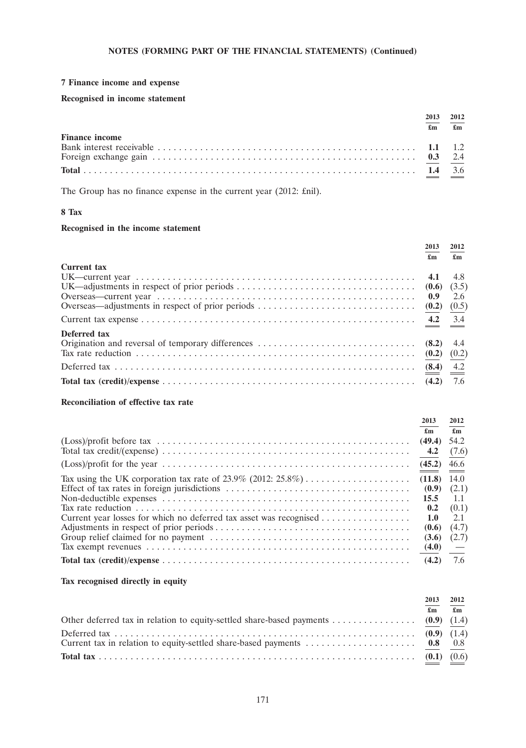### **7 Finance income and expense**

### **Recognised in income statement**

|                       | 2013                      | 2012                      |
|-----------------------|---------------------------|---------------------------|
|                       | $\mathbf{f}_{\mathbf{m}}$ | $\mathbf{f}_{\mathbf{m}}$ |
| <b>Finance income</b> |                           |                           |
|                       |                           |                           |
|                       |                           |                           |
|                       |                           |                           |

The Group has no finance expense in the current year (2012: £nil).

## **8 Tax**

## **Recognised in the income statement**

|                    | 2013<br>£m | 2012<br>$\mathbf{f}_{\mathbf{m}}$ |
|--------------------|------------|-----------------------------------|
| <b>Current tax</b> | 0.9        | 4.8<br>2.6                        |
|                    |            |                                   |
| Deferred tax       |            | 4.4                               |
|                    |            |                                   |
|                    |            | 7.6                               |

### **Reconciliation of effective tax rate**

|                                                                    | 2013                      | 2012                      |
|--------------------------------------------------------------------|---------------------------|---------------------------|
|                                                                    | $\mathbf{f}_{\mathbf{m}}$ | $\mathbf{f}_{\mathbf{m}}$ |
|                                                                    | (49.4)                    | 54.2                      |
|                                                                    | 4.2                       | (7.6)                     |
|                                                                    | (45.2)                    | 46.6                      |
| Tax using the UK corporation tax rate of 23.9% (2012: $25.8\%$ )   | (11.8)                    | 14.0                      |
|                                                                    | (0.9)                     | (2.1)                     |
|                                                                    | 15.5                      | 1.1                       |
|                                                                    | 0.2                       | (0.1)                     |
| Current year losses for which no deferred tax asset was recognised | 1.0                       | 2.1                       |
|                                                                    | (0.6)                     | (4.7)                     |
|                                                                    | (3.6)                     | (2.7)                     |
|                                                                    | (4.0)                     |                           |
|                                                                    | (4.2)                     | 7.6                       |

## **Tax recognised directly in equity**

| 2013 | 2012         |
|------|--------------|
| £m   | $\mathbf{f}$ |
|      |              |
|      |              |
|      |              |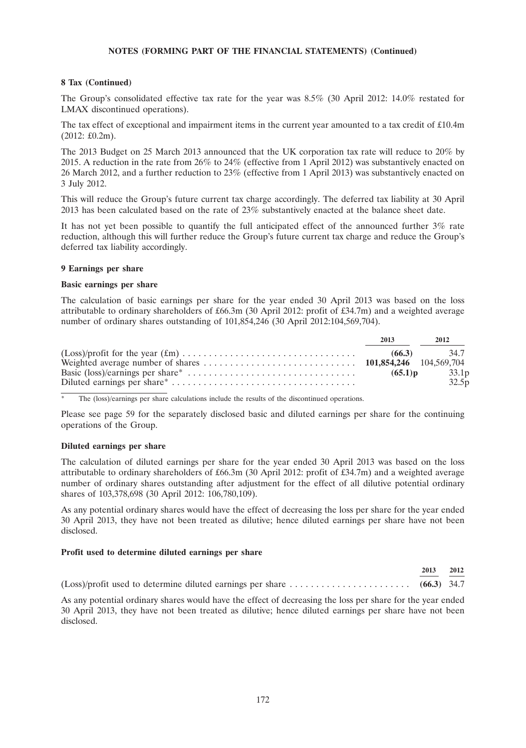### **8 Tax (Continued)**

The Group's consolidated effective tax rate for the year was 8.5% (30 April 2012: 14.0% restated for LMAX discontinued operations).

The tax effect of exceptional and impairment items in the current year amounted to a tax credit of £10.4m (2012: £0.2m).

The 2013 Budget on 25 March 2013 announced that the UK corporation tax rate will reduce to 20% by 2015. A reduction in the rate from 26% to 24% (effective from 1 April 2012) was substantively enacted on 26 March 2012, and a further reduction to 23% (effective from 1 April 2013) was substantively enacted on 3 July 2012.

This will reduce the Group's future current tax charge accordingly. The deferred tax liability at 30 April 2013 has been calculated based on the rate of 23% substantively enacted at the balance sheet date.

It has not yet been possible to quantify the full anticipated effect of the announced further 3% rate reduction, although this will further reduce the Group's future current tax charge and reduce the Group's deferred tax liability accordingly.

### **9 Earnings per share**

#### **Basic earnings per share**

The calculation of basic earnings per share for the year ended 30 April 2013 was based on the loss attributable to ordinary shareholders of £66.3m (30 April 2012: profit of £34.7m) and a weighted average number of ordinary shares outstanding of 101,854,246 (30 April 2012:104,569,704).

| 2013       | 2012          |
|------------|---------------|
|            | $(66.3)$ 34.7 |
|            |               |
| $(65.1)$ p | 33.1p         |
|            | 32.5p         |

The (loss)/earnings per share calculations include the results of the discontinued operations.

Please see page 59 for the separately disclosed basic and diluted earnings per share for the continuing operations of the Group.

### **Diluted earnings per share**

The calculation of diluted earnings per share for the year ended 30 April 2013 was based on the loss attributable to ordinary shareholders of £66.3m (30 April 2012: profit of £34.7m) and a weighted average number of ordinary shares outstanding after adjustment for the effect of all dilutive potential ordinary shares of 103,378,698 (30 April 2012: 106,780,109).

As any potential ordinary shares would have the effect of decreasing the loss per share for the year ended 30 April 2013, they have not been treated as dilutive; hence diluted earnings per share have not been disclosed.

### **Profit used to determine diluted earnings per share**

|                                                                                                                    | 2013 | 2012 |
|--------------------------------------------------------------------------------------------------------------------|------|------|
| (Loss)/profit used to determine diluted earnings per share $\dots \dots \dots \dots \dots \dots \dots$ (66.3) 34.7 |      |      |

As any potential ordinary shares would have the effect of decreasing the loss per share for the year ended 30 April 2013, they have not been treated as dilutive; hence diluted earnings per share have not been disclosed.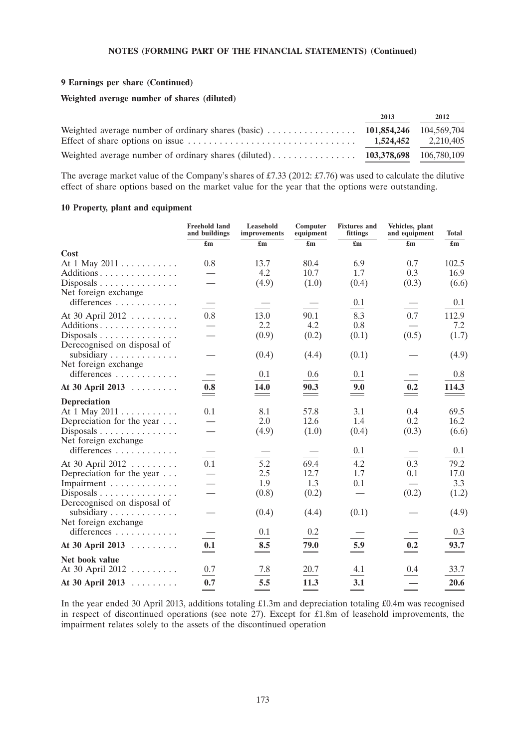### **9 Earnings per share (Continued)**

### **Weighted average number of shares (diluted)**

|                                                                                             | 2013 | 2012                    |
|---------------------------------------------------------------------------------------------|------|-------------------------|
| Weighted average number of ordinary shares (basic) $\ldots$ , , , , 101,854,246 104,569,704 |      |                         |
|                                                                                             |      | $1,524,452$ $2,210,405$ |
|                                                                                             |      |                         |

The average market value of the Company's shares of £7.33 (2012: £7.76) was used to calculate the dilutive effect of share options based on the market value for the year that the options were outstanding.

### **10 Property, plant and equipment**

|                                                                        | <b>Freehold land</b><br>and buildings | Leasehold<br>improvements | Computer<br>equipment     | <b>Fixtures</b> and<br>fittings | Vehicles, plant<br>and equipment | Total                     |
|------------------------------------------------------------------------|---------------------------------------|---------------------------|---------------------------|---------------------------------|----------------------------------|---------------------------|
|                                                                        | £m                                    | $\mathbf{f}_{\mathbf{m}}$ | £m                        | $\mathbf{f}_{\mathbf{m}}$       | $\mathbf{f}_{\mathbf{m}}$        | $\mathbf{f}_{\mathbf{m}}$ |
| Cost                                                                   |                                       |                           |                           |                                 |                                  |                           |
| At 1 May 2011                                                          | 0.8                                   | 13.7                      | 80.4                      | 6.9                             | 0.7                              | 102.5                     |
| Additions                                                              |                                       | 4.2                       | 10.7                      | 1.7                             | 0.3                              | 16.9                      |
| Disposals<br>Net foreign exchange                                      |                                       | (4.9)                     | (1.0)                     | (0.4)                           | (0.3)                            | (6.6)                     |
| differences                                                            |                                       |                           |                           | 0.1                             |                                  | 0.1                       |
| At 30 April 2012                                                       | 0.8                                   | 13.0                      | 90.1                      | 8.3                             | 0.7                              | 112.9                     |
| Additions                                                              |                                       | 2.2                       | 4.2                       | 0.8                             |                                  | 7.2                       |
| $Disposals$<br>Derecognised on disposal of                             |                                       | (0.9)                     | (0.2)                     | (0.1)                           | (0.5)                            | (1.7)                     |
| subsidiary $\dots \dots \dots \dots$<br>Net foreign exchange           |                                       | (0.4)                     | (4.4)                     | (0.1)                           |                                  | (4.9)                     |
| differences                                                            |                                       | 0.1                       | 0.6                       | 0.1                             |                                  | 0.8                       |
| At 30 April 2013                                                       | 0.8                                   | 14.0                      | 90.3                      | 9.0                             | 0.2                              | 114.3                     |
| <b>Depreciation</b>                                                    |                                       |                           |                           |                                 |                                  |                           |
| At $1$ May $2011$                                                      | 0.1                                   | 8.1                       | 57.8                      | 3.1                             | 0.4                              | 69.5                      |
| Depreciation for the year                                              |                                       | 2.0                       | 12.6                      | 1.4                             | 0.2                              | 16.2                      |
| Disposals $\dots \dots \dots \dots \dots$<br>Net foreign exchange      |                                       | (4.9)                     | (1.0)                     | (0.4)                           | (0.3)                            | (6.6)                     |
| differences                                                            |                                       |                           |                           | 0.1                             |                                  | 0.1                       |
| At 30 April 2012                                                       | 0.1                                   | 5.2                       | 69.4                      | 4.2                             | 0.3                              | 79.2                      |
| Depreciation for the year $\dots$                                      |                                       | 2.5                       | 12.7                      | 1.7                             | 0.1                              | 17.0                      |
| Impairment                                                             |                                       | 1.9                       | 1.3                       | 0.1                             |                                  | 3.3                       |
| Disposals $\ldots \ldots \ldots \ldots$<br>Derecognised on disposal of |                                       | (0.8)                     | (0.2)                     |                                 | (0.2)                            | (1.2)                     |
| subsidiary $\dots \dots \dots \dots$<br>Net foreign exchange           |                                       | (0.4)                     | (4.4)                     | (0.1)                           |                                  | (4.9)                     |
| differences $\dots\dots\dots\dots$                                     |                                       | 0.1                       | 0.2                       |                                 |                                  | 0.3                       |
| At 30 April 2013                                                       | 0.1<br>$\overline{\phantom{0}}$       | 8.5<br>$\hspace{0.05cm}$  | 79.0<br>$\qquad \qquad =$ | 5.9                             | 0.2                              | 93.7                      |
| Net book value                                                         |                                       |                           |                           |                                 |                                  |                           |
| At 30 April 2012                                                       | 0.7                                   | 7.8                       | 20.7                      | 4.1                             | 0.4                              | 33.7                      |
| At 30 April 2013                                                       | 0.7                                   | 5.5                       | 11.3                      | 3.1                             |                                  | 20.6                      |

In the year ended 30 April 2013, additions totaling £1.3m and depreciation totaling £0.4m was recognised in respect of discontinued operations (see note 27). Except for £1.8m of leasehold improvements, the impairment relates solely to the assets of the discontinued operation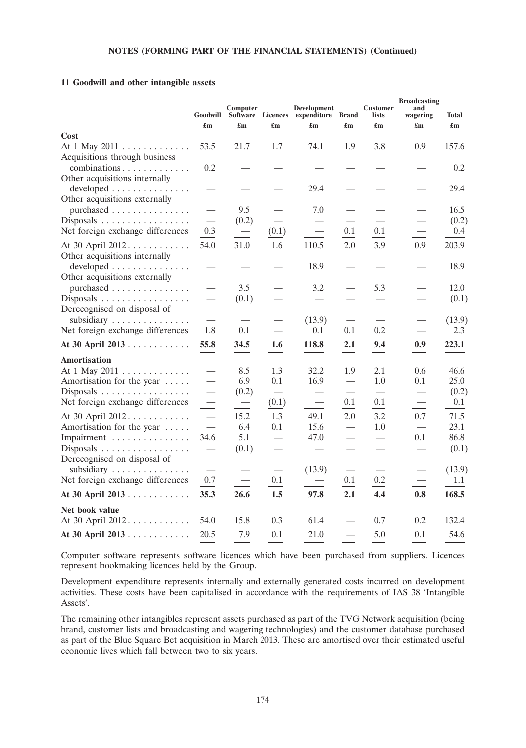### **11 Goodwill and other intangible assets**

|                                                                             | Goodwill                  | Computer<br>Software      | <b>Licences</b>                        | Development<br>expenditure | <b>Brand</b>              | <b>Customer</b><br>lists        | <b>Broadcasting</b><br>and<br>wagering | Total                     |
|-----------------------------------------------------------------------------|---------------------------|---------------------------|----------------------------------------|----------------------------|---------------------------|---------------------------------|----------------------------------------|---------------------------|
| Cost                                                                        | $\mathbf{f}_{\mathbf{m}}$ | $\mathbf{f}_{\mathbf{m}}$ | $\mathbf{f}_{\mathbf{m}}$              | $\mathbf{f}_{\mathbf{m}}$  | $\mathbf{f}_{\mathbf{m}}$ | $\mathbf{f}_{\mathbf{m}}$       | $\mathbf{f}_{\mathbf{m}}$              | $\mathbf{f}_{\mathbf{m}}$ |
| At 1 May 2011                                                               | 53.5                      | 21.7                      | 1.7                                    | 74.1                       | 1.9                       | 3.8                             | 0.9                                    | 157.6                     |
| Acquisitions through business<br>combinations                               | 0.2                       |                           |                                        |                            |                           |                                 |                                        | 0.2                       |
| Other acquisitions internally<br>developed<br>Other acquisitions externally |                           |                           |                                        | 29.4                       |                           |                                 |                                        | 29.4                      |
| purchased                                                                   |                           | 9.5                       |                                        | 7.0                        |                           |                                 |                                        | 16.5                      |
| $Disposals$                                                                 | $\overline{\phantom{0}}$  | (0.2)                     |                                        |                            |                           |                                 |                                        | (0.2)                     |
| Net foreign exchange differences                                            | 0.3                       |                           | (0.1)                                  |                            | 0.1                       | 0.1                             |                                        | 0.4                       |
| At 30 April 2012<br>Other acquisitions internally                           | 54.0                      | 31.0                      | 1.6                                    | 110.5                      | 2.0                       | 3.9                             | 0.9                                    | 203.9                     |
| developed<br>Other acquisitions externally                                  |                           |                           |                                        | 18.9                       |                           |                                 |                                        | 18.9                      |
| purchased                                                                   | $\overline{\phantom{0}}$  | 3.5                       |                                        | 3.2                        |                           | 5.3                             |                                        | 12.0                      |
| Disposals<br>Derecognised on disposal of                                    |                           | (0.1)                     |                                        |                            |                           |                                 |                                        | (0.1)                     |
| subsidiary $\ldots \ldots \ldots \ldots$                                    |                           |                           |                                        | (13.9)                     |                           |                                 |                                        | (13.9)                    |
| Net foreign exchange differences                                            | 1.8                       | 0.1                       | $\overline{\phantom{0}}$               | 0.1                        | 0.1                       | 0.2                             | $\overline{\phantom{0}}$               | 2.3                       |
| At 30 April 2013                                                            | 55.8                      | 34.5                      | 1.6                                    | 118.8                      | 2.1                       | 9.4                             | 0.9                                    | 223.1                     |
| <b>Amortisation</b>                                                         |                           |                           |                                        |                            |                           |                                 |                                        |                           |
| At 1 May 2011                                                               |                           | 8.5                       | 1.3                                    | 32.2                       | 1.9                       | 2.1                             | 0.6                                    | 46.6                      |
| Amortisation for the year                                                   |                           | 6.9                       | 0.1                                    | 16.9                       |                           | 1.0                             | 0.1                                    | 25.0                      |
| Disposals                                                                   |                           | (0.2)                     |                                        |                            |                           | $\overbrace{\qquad \qquad }^{}$ | $\overbrace{\qquad \qquad }^{}$        | (0.2)                     |
| Net foreign exchange differences                                            |                           | $\equiv$                  | (0.1)                                  | $\overline{\phantom{0}}$   | 0.1                       | 0.1                             | $\equiv$                               | 0.1                       |
| At 30 April 2012.                                                           | $\overline{\phantom{0}}$  | 15.2                      | 1.3                                    | 49.1                       | 2.0                       | 3.2                             | 0.7                                    | 71.5                      |
| Amortisation for the year                                                   |                           | 6.4                       | 0.1                                    | 15.6                       |                           | 1.0                             |                                        | 23.1                      |
| Impairment                                                                  | 34.6                      | 5.1                       |                                        | 47.0                       |                           |                                 | 0.1                                    | 86.8                      |
| Disposals<br>Derecognised on disposal of                                    |                           | (0.1)                     |                                        |                            |                           |                                 |                                        | (0.1)                     |
| subsidiary<br>Net foreign exchange differences                              | 0.7                       | $\overline{\phantom{0}}$  | $\hspace{0.1mm}-\hspace{0.1mm}$<br>0.1 | (13.9)                     | 0.1                       | 0.2                             |                                        | (13.9)<br>1.1             |
| At 30 April 2013                                                            | 35.3                      | 26.6                      | 1.5                                    | 97.8                       | 2.1                       | 4.4                             | 0.8                                    | 168.5                     |
| Net book value                                                              |                           |                           |                                        |                            |                           |                                 |                                        |                           |
| At 30 April 2012.                                                           | 54.0                      | 15.8                      | 0.3                                    | 61.4                       |                           | 0.7                             | 0.2                                    | 132.4                     |
| At 30 April 2013                                                            | 20.5                      | 7.9                       | 0.1                                    | 21.0                       |                           | 5.0                             | 0.1                                    | 54.6                      |

Computer software represents software licences which have been purchased from suppliers. Licences represent bookmaking licences held by the Group.

Development expenditure represents internally and externally generated costs incurred on development activities. These costs have been capitalised in accordance with the requirements of IAS 38 'Intangible Assets'.

The remaining other intangibles represent assets purchased as part of the TVG Network acquisition (being brand, customer lists and broadcasting and wagering technologies) and the customer database purchased as part of the Blue Square Bet acquisition in March 2013. These are amortised over their estimated useful economic lives which fall between two to six years.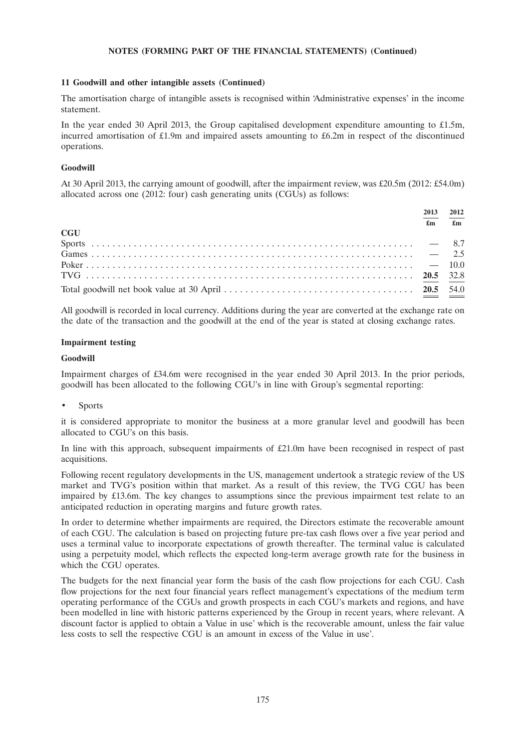### **11 Goodwill and other intangible assets (Continued)**

The amortisation charge of intangible assets is recognised within 'Administrative expenses' in the income statement.

In the year ended 30 April 2013, the Group capitalised development expenditure amounting to £1.5m, incurred amortisation of £1.9m and impaired assets amounting to £6.2m in respect of the discontinued operations.

#### **Goodwill**

At 30 April 2013, the carrying amount of goodwill, after the impairment review, was £20.5m (2012: £54.0m) allocated across one (2012: four) cash generating units (CGUs) as follows:

|            | 2013 | 2012<br>$\mathbf{f}$ |
|------------|------|----------------------|
|            | £m   |                      |
| <b>CGU</b> |      |                      |
|            |      |                      |
|            |      |                      |
|            |      |                      |
|            |      |                      |
|            |      |                      |

All goodwill is recorded in local currency. Additions during the year are converted at the exchange rate on the date of the transaction and the goodwill at the end of the year is stated at closing exchange rates.

#### **Impairment testing**

#### **Goodwill**

Impairment charges of £34.6m were recognised in the year ended 30 April 2013. In the prior periods, goodwill has been allocated to the following CGU's in line with Group's segmental reporting:

**Sports** 

it is considered appropriate to monitor the business at a more granular level and goodwill has been allocated to CGU's on this basis.

In line with this approach, subsequent impairments of £21.0m have been recognised in respect of past acquisitions.

Following recent regulatory developments in the US, management undertook a strategic review of the US market and TVG's position within that market. As a result of this review, the TVG CGU has been impaired by £13.6m. The key changes to assumptions since the previous impairment test relate to an anticipated reduction in operating margins and future growth rates.

In order to determine whether impairments are required, the Directors estimate the recoverable amount of each CGU. The calculation is based on projecting future pre-tax cash flows over a five year period and uses a terminal value to incorporate expectations of growth thereafter. The terminal value is calculated using a perpetuity model, which reflects the expected long-term average growth rate for the business in which the CGU operates.

The budgets for the next financial year form the basis of the cash flow projections for each CGU. Cash flow projections for the next four financial years reflect management's expectations of the medium term operating performance of the CGUs and growth prospects in each CGU's markets and regions, and have been modelled in line with historic patterns experienced by the Group in recent years, where relevant. A discount factor is applied to obtain a Value in use' which is the recoverable amount, unless the fair value less costs to sell the respective CGU is an amount in excess of the Value in use'.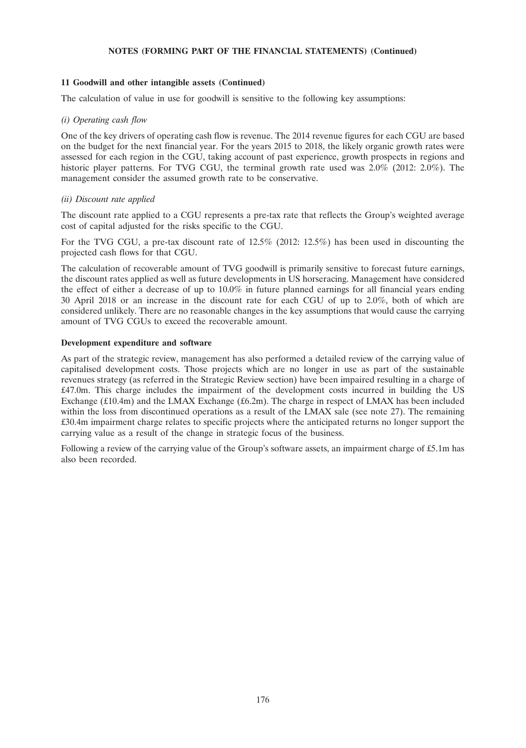### **11 Goodwill and other intangible assets (Continued)**

The calculation of value in use for goodwill is sensitive to the following key assumptions:

#### *(i) Operating cash flow*

One of the key drivers of operating cash flow is revenue. The 2014 revenue figures for each CGU are based on the budget for the next financial year. For the years 2015 to 2018, the likely organic growth rates were assessed for each region in the CGU, taking account of past experience, growth prospects in regions and historic player patterns. For TVG CGU, the terminal growth rate used was  $2.0\%$  (2012: 2.0%). The management consider the assumed growth rate to be conservative.

#### *(ii) Discount rate applied*

The discount rate applied to a CGU represents a pre-tax rate that reflects the Group's weighted average cost of capital adjusted for the risks specific to the CGU.

For the TVG CGU, a pre-tax discount rate of 12.5% (2012: 12.5%) has been used in discounting the projected cash flows for that CGU.

The calculation of recoverable amount of TVG goodwill is primarily sensitive to forecast future earnings, the discount rates applied as well as future developments in US horseracing. Management have considered the effect of either a decrease of up to 10.0% in future planned earnings for all financial years ending 30 April 2018 or an increase in the discount rate for each CGU of up to 2.0%, both of which are considered unlikely. There are no reasonable changes in the key assumptions that would cause the carrying amount of TVG CGUs to exceed the recoverable amount.

#### **Development expenditure and software**

As part of the strategic review, management has also performed a detailed review of the carrying value of capitalised development costs. Those projects which are no longer in use as part of the sustainable revenues strategy (as referred in the Strategic Review section) have been impaired resulting in a charge of £47.0m. This charge includes the impairment of the development costs incurred in building the US Exchange (£10.4m) and the LMAX Exchange (£6.2m). The charge in respect of LMAX has been included within the loss from discontinued operations as a result of the LMAX sale (see note 27). The remaining £30.4m impairment charge relates to specific projects where the anticipated returns no longer support the carrying value as a result of the change in strategic focus of the business.

Following a review of the carrying value of the Group's software assets, an impairment charge of £5.1m has also been recorded.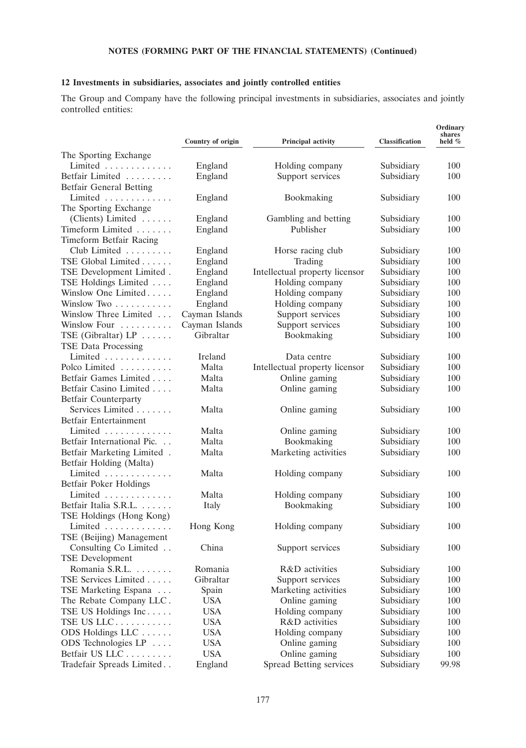# **12 Investments in subsidiaries, associates and jointly controlled entities**

The Group and Company have the following principal investments in subsidiaries, associates and jointly controlled entities:

|                                | Country of origin | Principal activity             | <b>Classification</b> | Ordinary<br>shares<br>held $%$ |
|--------------------------------|-------------------|--------------------------------|-----------------------|--------------------------------|
| The Sporting Exchange          |                   |                                |                       |                                |
| Limited $\ldots \ldots \ldots$ | England           | Holding company                | Subsidiary            | 100                            |
| Betfair Limited                | England           | Support services               | Subsidiary            | 100                            |
| <b>Betfair General Betting</b> |                   |                                |                       |                                |
| Limited                        | England           | Bookmaking                     | Subsidiary            | 100                            |
| The Sporting Exchange          |                   |                                |                       |                                |
| (Clients) Limited              | England           | Gambling and betting           | Subsidiary            | 100                            |
| Timeform Limited               | England           | Publisher                      | Subsidiary            | 100                            |
| <b>Timeform Betfair Racing</b> |                   |                                |                       |                                |
| Club Limited                   | England           | Horse racing club              | Subsidiary            | 100                            |
| TSE Global Limited             | England           | Trading                        | Subsidiary            | 100                            |
| TSE Development Limited.       | England           | Intellectual property licensor | Subsidiary            | 100                            |
| TSE Holdings Limited           | England           | Holding company                | Subsidiary            | 100                            |
| Winslow One Limited            | England           | Holding company                | Subsidiary            | 100                            |
| Winslow Two                    | England           | Holding company                | Subsidiary            | 100                            |
| Winslow Three Limited          | Cayman Islands    | Support services               | Subsidiary            | 100                            |
| Winslow Four                   | Cayman Islands    | Support services               | Subsidiary            | 100                            |
| TSE (Gibraltar) $LP$           | Gibraltar         | Bookmaking                     | Subsidiary            | 100                            |
| <b>TSE Data Processing</b>     |                   |                                |                       |                                |
| Limited $\ldots \ldots \ldots$ | Ireland           | Data centre                    | Subsidiary            | 100                            |
| Polco Limited                  | Malta             | Intellectual property licensor | Subsidiary            | 100                            |
| Betfair Games Limited          | Malta             | Online gaming                  | Subsidiary            | 100                            |
| Betfair Casino Limited         | Malta             | Online gaming                  | Subsidiary            | 100                            |
| <b>Betfair Counterparty</b>    |                   |                                |                       |                                |
| Services Limited               | Malta             | Online gaming                  | Subsidiary            | 100                            |
| Betfair Entertainment          |                   |                                |                       |                                |
| Limited                        | Malta             | Online gaming                  | Subsidiary            | 100                            |
| Betfair International Pic.     | Malta             | Bookmaking                     | Subsidiary            | 100                            |
| Betfair Marketing Limited.     | Malta             | Marketing activities           | Subsidiary            | 100                            |
| Betfair Holding (Malta)        |                   |                                |                       |                                |
| Limited                        | Malta             | Holding company                | Subsidiary            | 100                            |
| Betfair Poker Holdings         |                   |                                |                       |                                |
| Limited                        | Malta             | Holding company                | Subsidiary            | 100                            |
| Betfair Italia S.R.L.          | Italy             | Bookmaking                     | Subsidiary            | 100                            |
| TSE Holdings (Hong Kong)       |                   |                                |                       |                                |
| Limited                        | Hong Kong         | Holding company                | Subsidiary            | 100                            |
| TSE (Beijing) Management       |                   |                                |                       |                                |
| Consulting Co Limited          | China             | Support services               | Subsidiary            | 100                            |
| <b>TSE Development</b>         |                   |                                |                       |                                |
| Romania S.R.L.                 | Romania           | R&D activities                 | Subsidiary            | 100                            |
| TSE Services Limited           | Gibraltar         | Support services               | Subsidiary            | 100                            |
| TSE Marketing Espana           | Spain             | Marketing activities           | Subsidiary            | 100                            |
| The Rebate Company LLC.        | <b>USA</b>        | Online gaming                  | Subsidiary            | 100                            |
| TSE US Holdings Inc            | <b>USA</b>        | Holding company                | Subsidiary            | 100                            |
| TSE US LLC                     | <b>USA</b>        | R&D activities                 | Subsidiary            | 100                            |
| ODS Holdings LLC               | <b>USA</b>        | Holding company                | Subsidiary            | 100                            |
| ODS Technologies LP            | <b>USA</b>        | Online gaming                  | Subsidiary            | 100                            |
| Betfair US LLC                 | <b>USA</b>        | Online gaming                  | Subsidiary            | 100                            |
| Tradefair Spreads Limited      | England           | Spread Betting services        | Subsidiary            | 99.98                          |
|                                |                   |                                |                       |                                |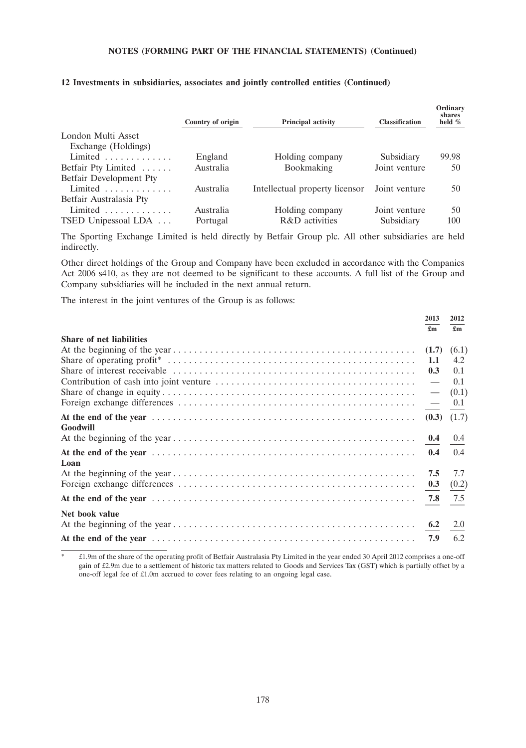|                                       | Country of origin | Principal activity             | <b>Classification</b> | Ordinary<br>shares<br>held $%$ |
|---------------------------------------|-------------------|--------------------------------|-----------------------|--------------------------------|
| London Multi Asset                    |                   |                                |                       |                                |
| Exchange (Holdings)                   |                   |                                |                       |                                |
| Limited $\ldots \ldots \ldots$        | England           | Holding company                | Subsidiary            | 99.98                          |
| Betfair Pty Limited                   | Australia         | <b>Bookmaking</b>              | Joint venture         | 50                             |
| Betfair Development Pty               |                   |                                |                       |                                |
| Limited $\ldots \ldots \ldots$        | Australia         | Intellectual property licensor | Joint venture         | 50                             |
| Betfair Australasia Pty               |                   |                                |                       |                                |
| Limited $\ldots \ldots \ldots \ldots$ | Australia         | Holding company                | Joint venture         | 50                             |
| TSED Unipessoal LDA                   | Portugal          | R&D activities                 | Subsidiary            | 100                            |
|                                       |                   |                                |                       |                                |

## **12 Investments in subsidiaries, associates and jointly controlled entities (Continued)**

The Sporting Exchange Limited is held directly by Betfair Group plc. All other subsidiaries are held indirectly.

Other direct holdings of the Group and Company have been excluded in accordance with the Companies Act 2006 s410, as they are not deemed to be significant to these accounts. A full list of the Group and Company subsidiaries will be included in the next annual return.

The interest in the joint ventures of the Group is as follows:

|                                 | 2013                     | 2012                      |
|---------------------------------|--------------------------|---------------------------|
|                                 | £m                       | $\mathbf{f}_{\mathbf{m}}$ |
| <b>Share of net liabilities</b> |                          |                           |
|                                 | (1.7) (6.1)              |                           |
|                                 | 1.1                      | 4.2                       |
|                                 | 0.3                      | 0.1                       |
|                                 | $\overline{\phantom{0}}$ | 0.1                       |
|                                 | $\overline{\phantom{0}}$ | (0.1)                     |
|                                 |                          |                           |
|                                 |                          |                           |
| Goodwill                        |                          |                           |
|                                 |                          |                           |
|                                 | 0.4                      | 0.4                       |
| Loan                            |                          |                           |
|                                 | 7.5                      | 7.7                       |
|                                 |                          | (0.2)                     |
|                                 |                          |                           |
| Net book value                  |                          |                           |
|                                 |                          |                           |
|                                 |                          | 6.2                       |
|                                 |                          |                           |

\* £1.9m of the share of the operating profit of Betfair Australasia Pty Limited in the year ended 30 April 2012 comprises a one-off gain of £2.9m due to a settlement of historic tax matters related to Goods and Services Tax (GST) which is partially offset by a one-off legal fee of £1.0m accrued to cover fees relating to an ongoing legal case.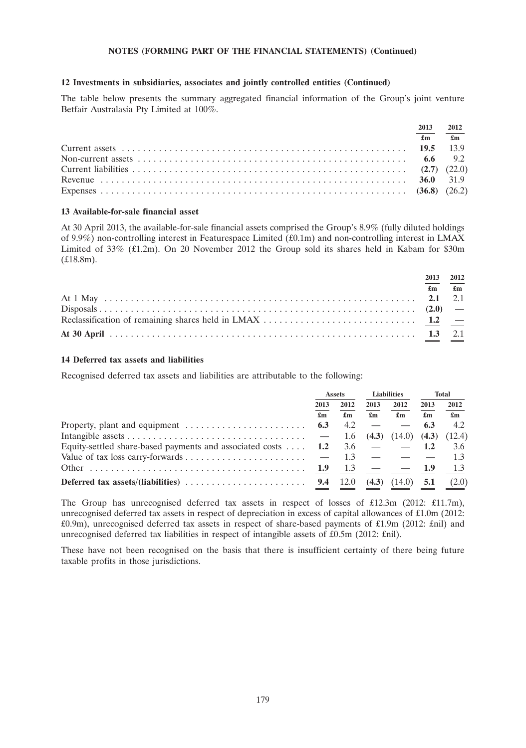## **12 Investments in subsidiaries, associates and jointly controlled entities (Continued)**

The table below presents the summary aggregated financial information of the Group's joint venture Betfair Australasia Pty Limited at 100%.

| 2013 2012 |                                                                                                                                                                                                                                                                                                                                    |
|-----------|------------------------------------------------------------------------------------------------------------------------------------------------------------------------------------------------------------------------------------------------------------------------------------------------------------------------------------|
|           | $\mathbf{f}$ $\mathbf{f}$ $\mathbf{f}$ $\mathbf{f}$ $\mathbf{f}$ $\mathbf{f}$ $\mathbf{f}$ $\mathbf{f}$ $\mathbf{f}$ $\mathbf{f}$ $\mathbf{f}$ $\mathbf{f}$ $\mathbf{f}$ $\mathbf{f}$ $\mathbf{f}$ $\mathbf{f}$ $\mathbf{f}$ $\mathbf{f}$ $\mathbf{f}$ $\mathbf{f}$ $\mathbf{f}$ $\mathbf{f}$ $\mathbf{f}$ $\mathbf{f}$ $\mathbf{$ |
|           |                                                                                                                                                                                                                                                                                                                                    |
|           |                                                                                                                                                                                                                                                                                                                                    |
|           |                                                                                                                                                                                                                                                                                                                                    |
|           |                                                                                                                                                                                                                                                                                                                                    |
|           |                                                                                                                                                                                                                                                                                                                                    |

## **13 Available-for-sale financial asset**

At 30 April 2013, the available-for-sale financial assets comprised the Group's 8.9% (fully diluted holdings of 9.9%) non-controlling interest in Featurespace Limited (£0.1m) and non-controlling interest in LMAX Limited of 33% (£1.2m). On 20 November 2012 the Group sold its shares held in Kabam for \$30m (£18.8m).

| 2013 2012 |                                                                                                                                                                                                                                                                                                                                    |
|-----------|------------------------------------------------------------------------------------------------------------------------------------------------------------------------------------------------------------------------------------------------------------------------------------------------------------------------------------|
|           | $\mathbf{f}$ $\mathbf{f}$ $\mathbf{f}$ $\mathbf{f}$ $\mathbf{f}$ $\mathbf{f}$ $\mathbf{f}$ $\mathbf{f}$ $\mathbf{f}$ $\mathbf{f}$ $\mathbf{f}$ $\mathbf{f}$ $\mathbf{f}$ $\mathbf{f}$ $\mathbf{f}$ $\mathbf{f}$ $\mathbf{f}$ $\mathbf{f}$ $\mathbf{f}$ $\mathbf{f}$ $\mathbf{f}$ $\mathbf{f}$ $\mathbf{f}$ $\mathbf{f}$ $\mathbf{$ |
|           |                                                                                                                                                                                                                                                                                                                                    |
|           |                                                                                                                                                                                                                                                                                                                                    |
|           |                                                                                                                                                                                                                                                                                                                                    |
|           |                                                                                                                                                                                                                                                                                                                                    |

## **14 Deferred tax assets and liabilities**

Recognised deferred tax assets and liabilities are attributable to the following:

|                                                                                   | Assets     |                           | <b>Liabilities</b>        |                           | <b>Total</b>       |                           |      |      |
|-----------------------------------------------------------------------------------|------------|---------------------------|---------------------------|---------------------------|--------------------|---------------------------|------|------|
|                                                                                   | 2013<br>£m | 2012                      |                           |                           | 2013               | 2012                      | 2013 | 2012 |
|                                                                                   |            | $\mathbf{f}_{\mathbf{m}}$ | $\mathbf{f}_{\mathbf{m}}$ | $\mathbf{f}_{\mathbf{m}}$ | £m                 | $\mathbf{f}_{\mathbf{m}}$ |      |      |
|                                                                                   | 6.3        | 4.2                       |                           |                           | 6.3                | 4.2                       |      |      |
|                                                                                   |            |                           |                           |                           |                    |                           |      |      |
| Equity-settled share-based payments and associated costs $\dots$ 1.2              |            |                           |                           | $3.6 - -1.2$              |                    | 3.6                       |      |      |
|                                                                                   |            |                           |                           |                           |                    |                           |      |      |
|                                                                                   | <b>1.9</b> | 13                        |                           |                           | $\blacksquare$ 1.9 | 13                        |      |      |
| Deferred tax assets/(liabilities) $\ldots \ldots \ldots \ldots \ldots \ldots$ 9.4 |            | 12.0                      | (4.3)                     | (14.0)                    | 5.1                | (2.0)                     |      |      |

The Group has unrecognised deferred tax assets in respect of losses of £12.3m (2012: £11.7m), unrecognised deferred tax assets in respect of depreciation in excess of capital allowances of £1.0m (2012: £0.9m), unrecognised deferred tax assets in respect of share-based payments of £1.9m (2012: £nil) and unrecognised deferred tax liabilities in respect of intangible assets of £0.5m (2012: £nil).

These have not been recognised on the basis that there is insufficient certainty of there being future taxable profits in those jurisdictions.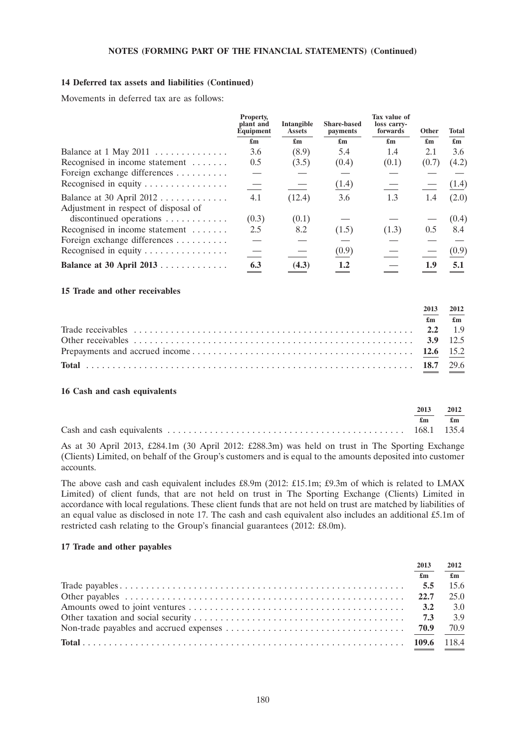## **14 Deferred tax assets and liabilities (Continued)**

Movements in deferred tax are as follows:

|                                                                    | Property,<br>plant and<br>Equipment |                           | Intangible<br><b>Assets</b> | <b>Share-based</b><br>payments | Tax value of<br>loss carry-<br>forwards | Other                     | <b>Total</b> |
|--------------------------------------------------------------------|-------------------------------------|---------------------------|-----------------------------|--------------------------------|-----------------------------------------|---------------------------|--------------|
|                                                                    | $\mathbf{f}_{\mathbf{m}}$           | $\mathbf{f}_{\mathbf{m}}$ | $\mathbf{f}_{\mathbf{m}}$   | $\mathbf{f}_{\mathbf{m}}$      | $\mathbf{f}_{\mathbf{m}}$               | $\mathbf{f}_{\mathbf{m}}$ |              |
| Balance at $1$ May $2011$                                          | 3.6                                 | (8.9)                     | 5.4                         | 1.4                            | 2.1                                     | 3.6                       |              |
| Recognised in income statement                                     | 0.5                                 | (3.5)                     | (0.4)                       | (0.1)                          | (0.7)                                   | (4.2)                     |              |
| Foreign exchange differences                                       |                                     |                           |                             |                                |                                         |                           |              |
| Recognised in equity                                               |                                     |                           | (1.4)                       |                                |                                         | (1.4)                     |              |
| Balance at 30 April $2012$<br>Adjustment in respect of disposal of | 4.1                                 | (12.4)                    | 3.6                         | 1.3                            | 1.4                                     | (2.0)                     |              |
| discontinued operations $\dots \dots \dots$                        | (0.3)                               | (0.1)                     |                             |                                |                                         | (0.4)                     |              |
| Recognised in income statement                                     | 2.5                                 | 8.2                       | (1.5)                       | (1.3)                          | 0.5                                     | 8.4                       |              |
| Foreign exchange differences                                       |                                     |                           |                             |                                |                                         |                           |              |
| Recognised in equity                                               |                                     |                           | (0.9)                       |                                |                                         | (0.9)                     |              |
| Balance at 30 April 2013                                           | 6.3                                 | (4.3)                     | 1.2                         |                                | 1.9                                     | 5.1                       |              |

### **15 Trade and other receivables**

| 2013 | 2012                          |
|------|-------------------------------|
|      | $\mathbf{f}$ m $\mathbf{f}$ m |
|      |                               |
|      |                               |
|      |                               |
|      |                               |

#### **16 Cash and cash equivalents**

| 2013 | 2012 |
|------|------|
| £m   | £m   |
|      |      |

As at 30 April 2013, £284.1m (30 April 2012: £288.3m) was held on trust in The Sporting Exchange (Clients) Limited, on behalf of the Group's customers and is equal to the amounts deposited into customer accounts.

The above cash and cash equivalent includes £8.9m (2012: £15.1m; £9.3m of which is related to LMAX Limited) of client funds, that are not held on trust in The Sporting Exchange (Clients) Limited in accordance with local regulations. These client funds that are not held on trust are matched by liabilities of an equal value as disclosed in note 17. The cash and cash equivalent also includes an additional £5.1m of restricted cash relating to the Group's financial guarantees (2012: £8.0m).

# **17 Trade and other payables**

| 2013                      | 2012           |
|---------------------------|----------------|
| $\mathbf{f}_{\mathbf{m}}$ | $\mathbf{f}$ m |
| 5.5                       | 15.6           |
|                           | 25.0           |
|                           | 3.0            |
|                           | 3.9            |
|                           | 70.9           |
|                           |                |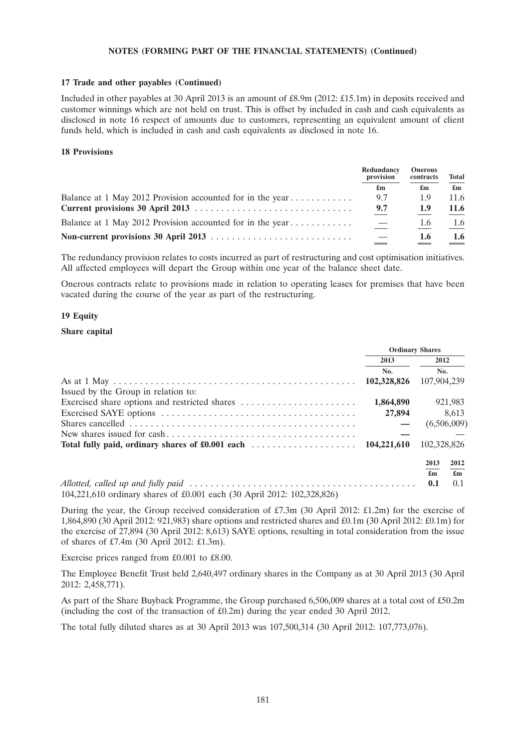### **17 Trade and other payables (Continued)**

Included in other payables at 30 April 2013 is an amount of £8.9m (2012: £15.1m) in deposits received and customer winnings which are not held on trust. This is offset by included in cash and cash equivalents as disclosed in note 16 respect of amounts due to customers, representing an equivalent amount of client funds held, which is included in cash and cash equivalents as disclosed in note 16.

## **18 Provisions**

|  | Redundancy<br>provision<br>£m | <b>Onerous</b><br>contracts | <b>Total</b>              |
|--|-------------------------------|-----------------------------|---------------------------|
|  |                               | £m                          | $\mathbf{f}_{\mathbf{m}}$ |
|  | 9.7                           | 1.9                         | 11.6                      |
|  | 9.7                           | 1.9                         | 11.6                      |
|  | $\overline{\phantom{m}}$      | 1.6                         | 1.6                       |
|  |                               | 1.6                         | $1.6^{\circ}$             |

The redundancy provision relates to costs incurred as part of restructuring and cost optimisation initiatives. All affected employees will depart the Group within one year of the balance sheet date.

Onerous contracts relate to provisions made in relation to operating leases for premises that have been vacated during the course of the year as part of the restructuring.

## **19 Equity**

### **Share capital**

|                                                                                 | <b>Ordinary Shares</b> |                                                        |
|---------------------------------------------------------------------------------|------------------------|--------------------------------------------------------|
|                                                                                 | 2013                   | 2012                                                   |
|                                                                                 | No.                    | No.                                                    |
| Issued by the Group in relation to:                                             | 102,328,826            | 107,904,239                                            |
|                                                                                 | 1,864,890              | 921,983                                                |
|                                                                                 | 27,894                 | 8.613                                                  |
|                                                                                 |                        | (6,506,009)                                            |
|                                                                                 |                        |                                                        |
|                                                                                 | 104.221.610            | 102,328,826                                            |
|                                                                                 |                        | 2012<br>2013                                           |
|                                                                                 |                        | $\mathbf{f}_{\mathbf{m}}$<br>$\mathbf{f}_{\mathbf{m}}$ |
|                                                                                 |                        | 0.1<br>0.1                                             |
| $104.221.610$ ordinary shares of $f(0.001, 0.001)$ (20 April 2012: 102.328.826) |                        |                                                        |

104,221,610 ordinary shares of £0.001 each (30 April 2012: 102,328,826)

During the year, the Group received consideration of £7.3m (30 April 2012: £1.2m) for the exercise of 1,864,890 (30 April 2012: 921,983) share options and restricted shares and £0.1m (30 April 2012: £0.1m) for the exercise of 27,894 (30 April 2012: 8,613) SAYE options, resulting in total consideration from the issue of shares of £7.4m (30 April 2012: £1.3m).

Exercise prices ranged from £0.001 to £8.00.

The Employee Benefit Trust held 2,640,497 ordinary shares in the Company as at 30 April 2013 (30 April 2012: 2,458,771).

As part of the Share Buyback Programme, the Group purchased 6,506,009 shares at a total cost of £50.2m (including the cost of the transaction of  $£0.2m$ ) during the year ended 30 April 2012.

The total fully diluted shares as at 30 April 2013 was 107,500,314 (30 April 2012: 107,773,076).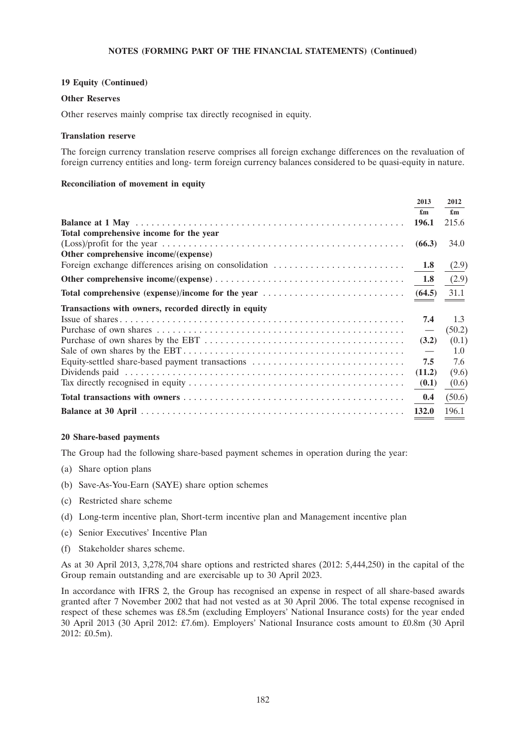## **19 Equity (Continued)**

### **Other Reserves**

Other reserves mainly comprise tax directly recognised in equity.

### **Translation reserve**

The foreign currency translation reserve comprises all foreign exchange differences on the revaluation of foreign currency entities and long- term foreign currency balances considered to be quasi-equity in nature.

## **Reconciliation of movement in equity**

|                                                       | 2013                      | 2012                      |
|-------------------------------------------------------|---------------------------|---------------------------|
|                                                       | $\mathbf{f}_{\mathbf{m}}$ | $\mathbf{f}_{\mathbf{m}}$ |
|                                                       | 196.1                     | 215.6                     |
| Total comprehensive income for the year               |                           |                           |
|                                                       | (66.3)                    | 34.0                      |
| Other comprehensive income/(expense)                  |                           |                           |
|                                                       |                           | (2.9)                     |
|                                                       |                           | (2.9)                     |
|                                                       |                           |                           |
| Transactions with owners, recorded directly in equity |                           |                           |
|                                                       | 7.4                       | 1.3                       |
|                                                       | $\overline{\phantom{0}}$  | (50.2)                    |
|                                                       | (3.2)                     | (0.1)                     |
|                                                       |                           | 1.0                       |
| Equity-settled share-based payment transactions       | 7.5                       | 7.6                       |
|                                                       | (11.2)                    | (9.6)                     |
|                                                       | (0.1)                     | (0.6)                     |
|                                                       | 0.4                       | (50.6)                    |
|                                                       | 132.0                     | 196.1                     |

### **20 Share-based payments**

The Group had the following share-based payment schemes in operation during the year:

- (a) Share option plans
- (b) Save-As-You-Earn (SAYE) share option schemes
- (c) Restricted share scheme
- (d) Long-term incentive plan, Short-term incentive plan and Management incentive plan
- (e) Senior Executives' Incentive Plan
- (f) Stakeholder shares scheme.

As at 30 April 2013, 3,278,704 share options and restricted shares (2012: 5,444,250) in the capital of the Group remain outstanding and are exercisable up to 30 April 2023.

In accordance with IFRS 2, the Group has recognised an expense in respect of all share-based awards granted after 7 November 2002 that had not vested as at 30 April 2006. The total expense recognised in respect of these schemes was £8.5m (excluding Employers' National Insurance costs) for the year ended 30 April 2013 (30 April 2012: £7.6m). Employers' National Insurance costs amount to £0.8m (30 April 2012: £0.5m).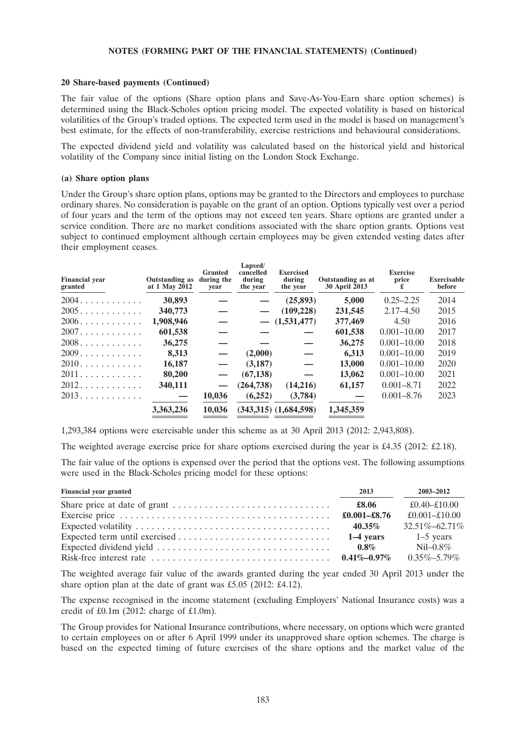### **20 Share-based payments (Continued)**

The fair value of the options (Share option plans and Save-As-You-Earn share option schemes) is determined using the Black-Scholes option pricing model. The expected volatility is based on historical volatilities of the Group's traded options. The expected term used in the model is based on management's best estimate, for the effects of non-transferability, exercise restrictions and behavioural considerations.

The expected dividend yield and volatility was calculated based on the historical yield and historical volatility of the Company since initial listing on the London Stock Exchange.

### **(a) Share option plans**

Under the Group's share option plans, options may be granted to the Directors and employees to purchase ordinary shares. No consideration is payable on the grant of an option. Options typically vest over a period of four years and the term of the options may not exceed ten years. Share options are granted under a service condition. There are no market conditions associated with the share option grants. Options vest subject to continued employment although certain employees may be given extended vesting dates after their employment ceases.

| <b>Financial vear</b><br>granted    | <b>Outstanding as</b><br>at 1 May 2012 | <b>Granted</b><br>during the<br>vear | Lapsed/<br>cancelled<br>during<br>the year | <b>Exercised</b><br>during<br>the year | Outstanding as at<br><b>30 April 2013</b> | <b>Exercise</b><br>price<br>£ | <b>Exercisable</b><br>before |
|-------------------------------------|----------------------------------------|--------------------------------------|--------------------------------------------|----------------------------------------|-------------------------------------------|-------------------------------|------------------------------|
| 2004.                               | 30.893                                 |                                      |                                            | (25,893)                               | 5,000                                     | $0.25 - 2.25$                 | 2014                         |
| 2005                                | 340,773                                |                                      |                                            | (109, 228)                             | 231,545                                   | $2.17 - 4.50$                 | 2015                         |
| $2006$                              | 1,908,946                              |                                      |                                            | (1,531,477)                            | 377,469                                   | 4.50                          | 2016                         |
| $2007. \ldots \ldots \ldots \ldots$ | 601,538                                |                                      |                                            |                                        | 601,538                                   | $0.001 - 10.00$               | 2017                         |
| $2008$                              | 36,275                                 |                                      |                                            |                                        | 36,275                                    | $0.001 - 10.00$               | 2018                         |
| $2009$                              | 8,313                                  |                                      | (2,000)                                    |                                        | 6.313                                     | $0.001 - 10.00$               | 2019                         |
| $2010$                              | 16,187                                 | $\overline{\phantom{m}}$             | (3, 187)                                   |                                        | 13,000                                    | $0.001 - 10.00$               | 2020                         |
| 2011                                | 80,200                                 |                                      | (67, 138)                                  |                                        | 13,062                                    | $0.001 - 10.00$               | 2021                         |
| 2012                                | 340,111                                |                                      | (264, 738)                                 | (14,216)                               | 61,157                                    | $0.001 - 8.71$                | 2022                         |
| 2013                                | $\overbrace{\phantom{123221111}}$      | 10,036                               | (6,252)                                    | (3,784)                                |                                           | $0.001 - 8.76$                | 2023                         |
|                                     | 3,363,236                              | 10,036                               |                                            | $(343,315)$ $(1,684,598)$              | 1,345,359                                 |                               |                              |

1,293,384 options were exercisable under this scheme as at 30 April 2013 (2012: 2,943,808).

The weighted average exercise price for share options exercised during the year is £4.35 (2012: £2.18).

The fair value of the options is expensed over the period that the options vest. The following assumptions were used in the Black-Scholes pricing model for these options:

| <b>Financial year granted</b> | 2013         | 2003-2012           |
|-------------------------------|--------------|---------------------|
|                               | £8.06        | £0.40–£10.00        |
|                               | £0.001-£8.76 | £0.001-£10.00       |
|                               | 40.35%       | $32.51\% - 62.71\%$ |
|                               | 1–4 vears    | $1-5$ years         |
|                               | $0.8\%$      | $NiI - 0.8\%$       |
|                               |              | $0.35\% - 5.79\%$   |

The weighted average fair value of the awards granted during the year ended 30 April 2013 under the share option plan at the date of grant was £5.05 (2012: £4.12).

The expense recognised in the income statement (excluding Employers' National Insurance costs) was a credit of  $£0.1m$  (2012: charge of £1.0m).

The Group provides for National Insurance contributions, where necessary, on options which were granted to certain employees on or after 6 April 1999 under its unapproved share option schemes. The charge is based on the expected timing of future exercises of the share options and the market value of the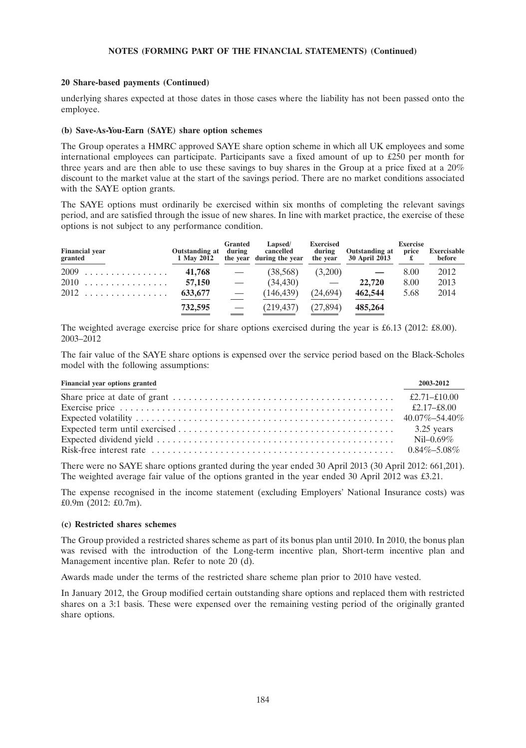### **20 Share-based payments (Continued)**

underlying shares expected at those dates in those cases where the liability has not been passed onto the employee.

### **(b) Save-As-You-Earn (SAYE) share option schemes**

The Group operates a HMRC approved SAYE share option scheme in which all UK employees and some international employees can participate. Participants save a fixed amount of up to £250 per month for three years and are then able to use these savings to buy shares in the Group at a price fixed at a 20% discount to the market value at the start of the savings period. There are no market conditions associated with the SAYE option grants.

The SAYE options must ordinarily be exercised within six months of completing the relevant savings period, and are satisfied through the issue of new shares. In line with market practice, the exercise of these options is not subject to any performance condition.

| <b>Financial year</b><br>granted | Outstanding at during<br>1 May 2012 | <b>Granted</b>           | Lapsed/<br>cancelled<br>the year during the year | <b>Exercised</b><br>during<br>the year | <b>Outstanding at</b><br>30 April 2013 | <b>Exercise</b><br>price | <b>Exercisable</b><br>before |
|----------------------------------|-------------------------------------|--------------------------|--------------------------------------------------|----------------------------------------|----------------------------------------|--------------------------|------------------------------|
| $2009$                           | 41,768                              | $\overline{\phantom{m}}$ | (38,568)                                         | (3,200)                                |                                        | 8.00                     | 2012                         |
| 2010                             | 57,150                              | $\overline{\phantom{0}}$ | (34, 430)                                        | $\overline{\phantom{0}}$               | 22,720                                 | 8.00                     | 2013                         |
| $2012$                           | 633,677                             | $\overline{\phantom{m}}$ | (146, 439)                                       | (24,694)                               | 462,544                                | 5.68                     | 2014                         |
|                                  | 732,595                             | $\hspace{0.05cm}$        | (219, 437)                                       | (27, 894)                              | 485,264                                |                          |                              |

The weighted average exercise price for share options exercised during the year is £6.13 (2012: £8.00). 2003–2012

The fair value of the SAYE share options is expensed over the service period based on the Black-Scholes model with the following assumptions:

| Financial year options granted                                                                                      | 2003-2012 |
|---------------------------------------------------------------------------------------------------------------------|-----------|
| Share price at date of grant $\dots \dots \dots \dots \dots \dots \dots \dots \dots \dots \dots \dots$ £2.71-£10.00 |           |
|                                                                                                                     |           |
|                                                                                                                     |           |
|                                                                                                                     |           |
|                                                                                                                     |           |
|                                                                                                                     |           |

There were no SAYE share options granted during the year ended 30 April 2013 (30 April 2012: 661,201). The weighted average fair value of the options granted in the year ended 30 April 2012 was £3.21.

The expense recognised in the income statement (excluding Employers' National Insurance costs) was £0.9m (2012: £0.7m).

### **(c) Restricted shares schemes**

The Group provided a restricted shares scheme as part of its bonus plan until 2010. In 2010, the bonus plan was revised with the introduction of the Long-term incentive plan, Short-term incentive plan and Management incentive plan. Refer to note 20 (d).

Awards made under the terms of the restricted share scheme plan prior to 2010 have vested.

In January 2012, the Group modified certain outstanding share options and replaced them with restricted shares on a 3:1 basis. These were expensed over the remaining vesting period of the originally granted share options.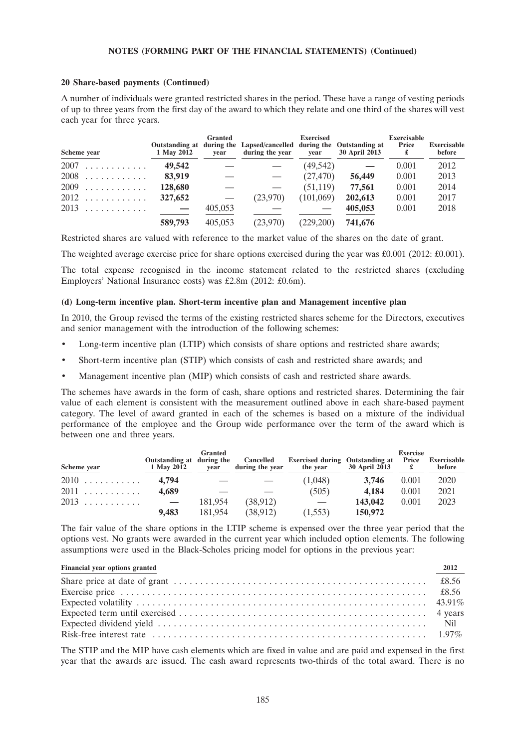## **20 Share-based payments (Continued)**

A number of individuals were granted restricted shares in the period. These have a range of vesting periods of up to three years from the first day of the award to which they relate and one third of the shares will vest each year for three years.

| Scheme year | 1 May 2012 | <b>Granted</b><br>vear | Outstanding at during the Lapsed/cancelled during the Outstanding at<br>during the year | <b>Exercised</b><br>vear | <b>30 April 2013</b> | <b>Exercisable</b><br>Price | <b>Exercisable</b><br>before |
|-------------|------------|------------------------|-----------------------------------------------------------------------------------------|--------------------------|----------------------|-----------------------------|------------------------------|
| $2007$      | 49.542     |                        |                                                                                         | (49, 542)                |                      | 0.001                       | 2012                         |
| $2008$      | 83,919     |                        |                                                                                         | (27, 470)                | 56,449               | 0.001                       | 2013                         |
| $2009$      | 128,680    |                        |                                                                                         | (51, 119)                | 77,561               | 0.001                       | 2014                         |
| $2012$      | 327,652    |                        | (23.970)                                                                                | (101,069)                | 202,613              | 0.001                       | 2017                         |
| $2013$      | $\sim$ $-$ | 405,053                |                                                                                         |                          | 405.053              | 0.001                       | 2018                         |
|             | 589,793    | 405,053                | (23,970)                                                                                | (229,200)                | 741,676              |                             |                              |

Restricted shares are valued with reference to the market value of the shares on the date of grant.

The weighted average exercise price for share options exercised during the year was £0.001 (2012: £0.001).

The total expense recognised in the income statement related to the restricted shares (excluding Employers' National Insurance costs) was £2.8m (2012: £0.6m).

### **(d) Long-term incentive plan. Short-term incentive plan and Management incentive plan**

In 2010, the Group revised the terms of the existing restricted shares scheme for the Directors, executives and senior management with the introduction of the following schemes:

- Long-term incentive plan (LTIP) which consists of share options and restricted share awards;
- Short-term incentive plan (STIP) which consists of cash and restricted share awards; and
- Management incentive plan (MIP) which consists of cash and restricted share awards.

The schemes have awards in the form of cash, share options and restricted shares. Determining the fair value of each element is consistent with the measurement outlined above in each share-based payment category. The level of award granted in each of the schemes is based on a mixture of the individual performance of the employee and the Group wide performance over the term of the award which is between one and three years.

|             |                                         | <b>Granted</b> |                              |                                                    |               | <b>Exercise</b> |                       |
|-------------|-----------------------------------------|----------------|------------------------------|----------------------------------------------------|---------------|-----------------|-----------------------|
| Scheme year | Outstanding at during the<br>1 May 2012 | vear           | Cancelled<br>during the year | <b>Exercised during Outstanding at</b><br>the year | 30 April 2013 | Price<br>£      | Exercisable<br>before |
| $2010$      | 4.794                                   |                |                              | (1,048)                                            | 3.746         | 0.001           | 2020                  |
| $2011$      | 4.689                                   |                |                              | (505)                                              | 4.184         | 0.001           | 2021                  |
| $2013$      | $\sim$ $-$                              | 181.954        | (38, 912)                    |                                                    | 143,042       | 0.001           | 2023                  |
|             | 9.483                                   | 181,954        | (38, 912)                    | (1,553)                                            | 150,972       |                 |                       |

The fair value of the share options in the LTIP scheme is expensed over the three year period that the options vest. No grants were awarded in the current year which included option elements. The following assumptions were used in the Black-Scholes pricing model for options in the previous year:

| Financial year options granted | 2012 |
|--------------------------------|------|
|                                |      |
|                                |      |
|                                |      |
|                                |      |
|                                |      |
|                                |      |

The STIP and the MIP have cash elements which are fixed in value and are paid and expensed in the first year that the awards are issued. The cash award represents two-thirds of the total award. There is no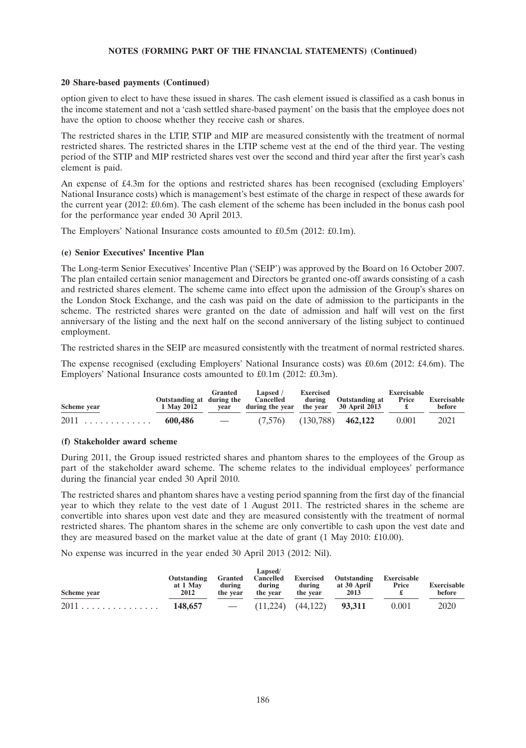### **20 Share-based payments (Continued)**

option given to elect to have these issued in shares. The cash element issued is classified as a cash bonus in the income statement and not a 'cash settled share-based payment' on the basis that the employee does not have the option to choose whether they receive cash or shares.

The restricted shares in the LTIP, STIP and MIP are measured consistently with the treatment of normal restricted shares. The restricted shares in the LTIP scheme vest at the end of the third year. The vesting period of the STIP and MIP restricted shares vest over the second and third year after the first year's cash element is paid.

An expense of £4.3m for the options and restricted shares has been recognised (excluding Employers' National Insurance costs) which is management's best estimate of the charge in respect of these awards for the current year (2012: £0.6m). The cash element of the scheme has been included in the bonus cash pool for the performance year ended 30 April 2013.

The Employers' National Insurance costs amounted to £0.5m (2012: £0.1m).

### **(e) Senior Executives' Incentive Plan**

The Long-term Senior Executives' Incentive Plan ('SEIP') was approved by the Board on 16 October 2007. The plan entailed certain senior management and Directors be granted one-off awards consisting of a cash and restricted shares element. The scheme came into effect upon the admission of the Group's shares on the London Stock Exchange, and the cash was paid on the date of admission to the participants in the scheme. The restricted shares were granted on the date of admission and half will vest on the first anniversary of the listing and the next half on the second anniversary of the listing subject to continued employment.

The restricted shares in the SEIP are measured consistently with the treatment of normal restricted shares.

The expense recognised (excluding Employers' National Insurance costs) was £0.6m (2012: £4.6m). The Employers' National Insurance costs amounted to £0.1m (2012: £0.3m).

| Scheme year    | Outstanding at during the Cancelled<br>1 May 2012 | Granted<br>vear | Lapsed /<br>during the year the year $30$ April 2013 | Exercised | during Outstanding at | Exercisable<br><b>Price</b> | Exercisable<br>before |
|----------------|---------------------------------------------------|-----------------|------------------------------------------------------|-----------|-----------------------|-----------------------------|-----------------------|
| $2011$ 600,486 |                                                   |                 | $-$ (7,576) (130,788) 462,122                        |           |                       | 0.001                       | 2021                  |

# **(f) Stakeholder award scheme**

During 2011, the Group issued restricted shares and phantom shares to the employees of the Group as part of the stakeholder award scheme. The scheme relates to the individual employees' performance during the financial year ended 30 April 2010.

The restricted shares and phantom shares have a vesting period spanning from the first day of the financial year to which they relate to the vest date of 1 August 2011. The restricted shares in the scheme are convertible into shares upon vest date and they are measured consistently with the treatment of normal restricted shares. The phantom shares in the scheme are only convertible to cash upon the vest date and they are measured based on the market value at the date of grant (1 May 2010: £10.00).

No expense was incurred in the year ended 30 April 2013 (2012: Nil).

| Scheme year    | Outstanding<br>at 1 May<br>2012 | Granted<br>during<br>the vear | Lapsed/<br>Cancelled<br>during<br>the year | Exercised<br>during<br>the year | Outstanding<br>at 30 April<br>2013 | Exercisable<br>Price | Exercisable<br>before |
|----------------|---------------------------------|-------------------------------|--------------------------------------------|---------------------------------|------------------------------------|----------------------|-----------------------|
| $2011$ 148,657 |                                 | the company of the company of | (11.224)                                   | (44, 122)                       | 93.311                             | 0.001                | 2020                  |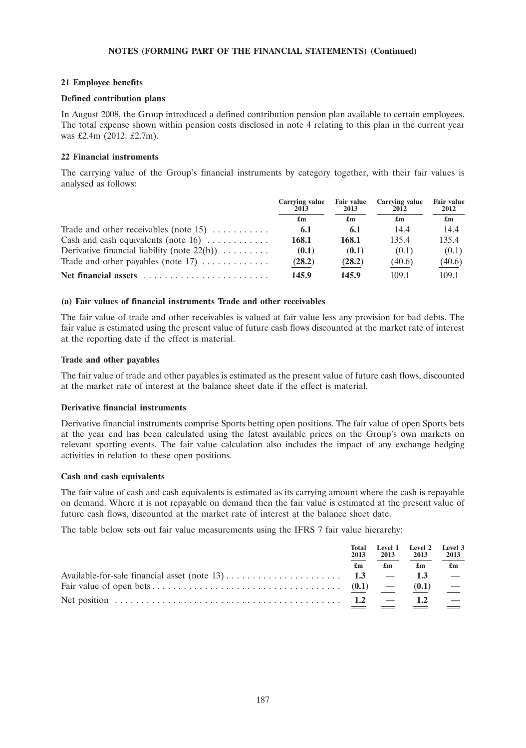# **21 Employee benefits**

# **Defined contribution plans**

In August 2008, the Group introduced a defined contribution pension plan available to certain employees. The total expense shown within pension costs disclosed in note 4 relating to this plan in the current year was £2.4m (2012: £2.7m).

# **22 Financial instruments**

The carrying value of the Group's financial instruments by category together, with their fair values is analysed as follows:

|                                                     | Carrying value<br>2013 | <b>Fair value</b><br>2013 | Carrying value<br>2012 | <b>Fair value</b><br>2012 |  |
|-----------------------------------------------------|------------------------|---------------------------|------------------------|---------------------------|--|
|                                                     | £m                     | £m                        | £m                     | $\mathbf{f}_{\mathbf{m}}$ |  |
| Trade and other receivables (note 15) $\dots \dots$ | 6.1                    | 6.1                       | 14.4                   | 14.4                      |  |
| Cash and cash equivalents (note $16)$               | 168.1                  | 168.1                     | 135.4                  | 135.4                     |  |
| Derivative financial liability (note $22(b)$ )      | (0.1)                  | (0.1)                     | (0.1)                  | (0.1)                     |  |
| Trade and other payables (note $17)$                | (28.2)                 | (28.2)                    | (40.6)                 | (40.6)                    |  |
| Net financial assets                                | 145.9                  | 145.9                     | 109.1                  | 109.1                     |  |

# **(a) Fair values of financial instruments Trade and other receivables**

The fair value of trade and other receivables is valued at fair value less any provision for bad debts. The fair value is estimated using the present value of future cash flows discounted at the market rate of interest at the reporting date if the effect is material.

# **Trade and other payables**

The fair value of trade and other payables is estimated as the present value of future cash flows, discounted at the market rate of interest at the balance sheet date if the effect is material.

# **Derivative financial instruments**

Derivative financial instruments comprise Sports betting open positions. The fair value of open Sports bets at the year end has been calculated using the latest available prices on the Group's own markets on relevant sporting events. The fair value calculation also includes the impact of any exchange hedging activities in relation to these open positions.

# **Cash and cash equivalents**

The fair value of cash and cash equivalents is estimated as its carrying amount where the cash is repayable on demand. Where it is not repayable on demand then the fair value is estimated at the present value of future cash flows, discounted at the market rate of interest at the balance sheet date.

The table below sets out fair value measurements using the IFRS 7 fair value hierarchy:

| Total<br>2013 | 2013                      | Level 1 Level 2<br>2013 | Level 3<br>2013           |
|---------------|---------------------------|-------------------------|---------------------------|
| £m            | $\mathbf{f}_{\mathbf{m}}$ | £m                      | $\mathbf{f}_{\mathbf{m}}$ |
|               |                           | 1.3                     |                           |
|               |                           | (0.1)                   |                           |
| 1.2           |                           | 1.2                     |                           |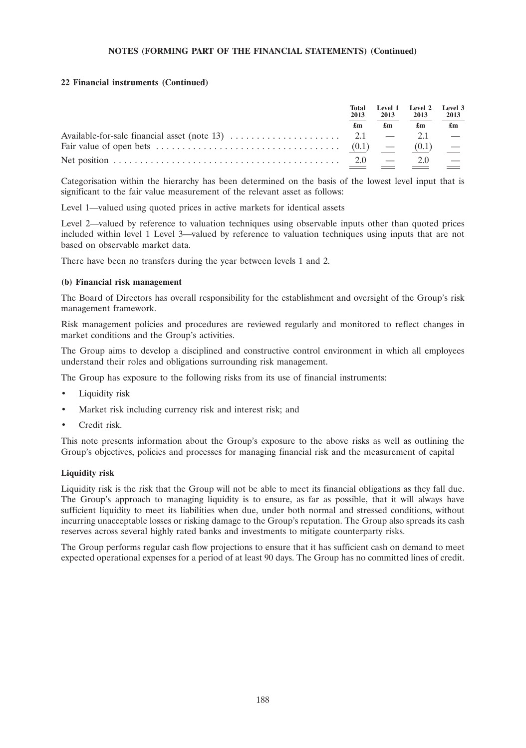# **22 Financial instruments (Continued)**

|  | Total<br>2013<br>$\mathbf{f}_{\mathbf{m}}$ |    |       |                           |  | 2013 | Level 1 Level 2 Level 3<br>2013 | 2013 |
|--|--------------------------------------------|----|-------|---------------------------|--|------|---------------------------------|------|
|  |                                            | £m | £m    | $\mathbf{f}_{\mathbf{m}}$ |  |      |                                 |      |
|  |                                            |    |       |                           |  |      |                                 |      |
|  |                                            |    | (0.1) | $\overline{\phantom{a}}$  |  |      |                                 |      |
|  | 2.0                                        |    | 2.0   |                           |  |      |                                 |      |

Categorisation within the hierarchy has been determined on the basis of the lowest level input that is significant to the fair value measurement of the relevant asset as follows:

Level 1—valued using quoted prices in active markets for identical assets

Level 2—valued by reference to valuation techniques using observable inputs other than quoted prices included within level 1 Level 3—valued by reference to valuation techniques using inputs that are not based on observable market data.

There have been no transfers during the year between levels 1 and 2.

### **(b) Financial risk management**

The Board of Directors has overall responsibility for the establishment and oversight of the Group's risk management framework.

Risk management policies and procedures are reviewed regularly and monitored to reflect changes in market conditions and the Group's activities.

The Group aims to develop a disciplined and constructive control environment in which all employees understand their roles and obligations surrounding risk management.

The Group has exposure to the following risks from its use of financial instruments:

- Liquidity risk
- Market risk including currency risk and interest risk; and
- Credit risk.

This note presents information about the Group's exposure to the above risks as well as outlining the Group's objectives, policies and processes for managing financial risk and the measurement of capital

# **Liquidity risk**

Liquidity risk is the risk that the Group will not be able to meet its financial obligations as they fall due. The Group's approach to managing liquidity is to ensure, as far as possible, that it will always have sufficient liquidity to meet its liabilities when due, under both normal and stressed conditions, without incurring unacceptable losses or risking damage to the Group's reputation. The Group also spreads its cash reserves across several highly rated banks and investments to mitigate counterparty risks.

The Group performs regular cash flow projections to ensure that it has sufficient cash on demand to meet expected operational expenses for a period of at least 90 days. The Group has no committed lines of credit.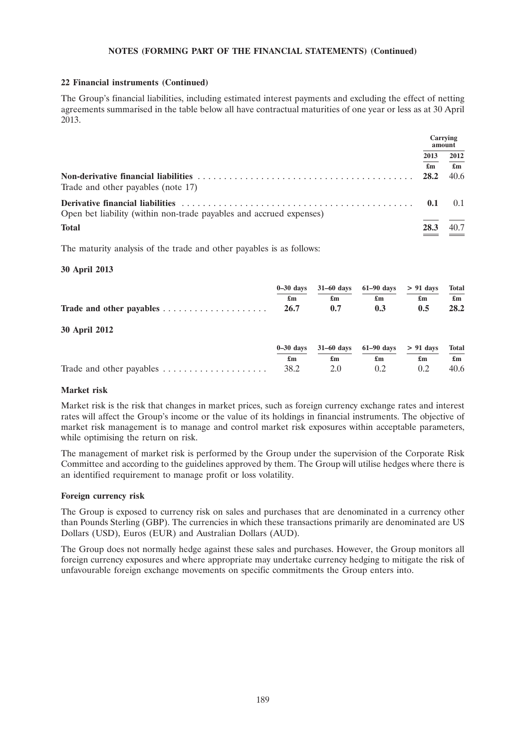# **22 Financial instruments (Continued)**

The Group's financial liabilities, including estimated interest payments and excluding the effect of netting agreements summarised in the table below all have contractual maturities of one year or less as at 30 April 2013.

|                                                                     |                           | Carrying<br>amount        |
|---------------------------------------------------------------------|---------------------------|---------------------------|
|                                                                     | 2013                      | 2012                      |
|                                                                     | $\mathbf{f}_{\mathbf{m}}$ | $\mathbf{f}_{\mathbf{m}}$ |
| Trade and other payables (note 17)                                  | 28.2                      | 40.6                      |
| Open bet liability (within non-trade payables and accrued expenses) | 0.1                       | (1)                       |
| <b>Total</b>                                                        | 28.3                      | 40.7<br>$\sim$            |

The maturity analysis of the trade and other payables is as follows:

# **30 April 2013**

|                      |      | $0-30 \text{ days}$ 31-60 days 61-90 days > 91 days |     |     | Total                     |
|----------------------|------|-----------------------------------------------------|-----|-----|---------------------------|
|                      | £m   | £m                                                  | £m  | £m  | $\mathbf{f}_{\mathbf{m}}$ |
|                      | 26.7 | 0.7                                                 | 0.3 | 0.5 | 28.2                      |
| <b>30 April 2012</b> |      |                                                     |     |     |                           |

|                | $0-30$ days $31-60$ days $61-90$ days $> 91$ days Total                                                                                                                                                                                                                                          |                                                                                                                                                                                                                                                                                                  |                                                     |  |
|----------------|--------------------------------------------------------------------------------------------------------------------------------------------------------------------------------------------------------------------------------------------------------------------------------------------------|--------------------------------------------------------------------------------------------------------------------------------------------------------------------------------------------------------------------------------------------------------------------------------------------------|-----------------------------------------------------|--|
| $\mathbf{f}$ m | $\mathbf{f}$ and $\mathbf{f}$ and $\mathbf{f}$ and $\mathbf{f}$ and $\mathbf{f}$ and $\mathbf{f}$ and $\mathbf{f}$ and $\mathbf{f}$ and $\mathbf{f}$ and $\mathbf{f}$ and $\mathbf{f}$ and $\mathbf{f}$ and $\mathbf{f}$ and $\mathbf{f}$ and $\mathbf{f}$ and $\mathbf{f}$ and $\mathbf{f}$ and | $\mathbf{f}$ and $\mathbf{f}$ and $\mathbf{f}$ and $\mathbf{f}$ and $\mathbf{f}$ and $\mathbf{f}$ and $\mathbf{f}$ and $\mathbf{f}$ and $\mathbf{f}$ and $\mathbf{f}$ and $\mathbf{f}$ and $\mathbf{f}$ and $\mathbf{f}$ and $\mathbf{f}$ and $\mathbf{f}$ and $\mathbf{f}$ and $\mathbf{f}$ and | $\mathbf{f}_{\mathbf{m}}$ $\mathbf{f}_{\mathbf{m}}$ |  |
|                |                                                                                                                                                                                                                                                                                                  |                                                                                                                                                                                                                                                                                                  |                                                     |  |

# **Market risk**

Market risk is the risk that changes in market prices, such as foreign currency exchange rates and interest rates will affect the Group's income or the value of its holdings in financial instruments. The objective of market risk management is to manage and control market risk exposures within acceptable parameters, while optimising the return on risk.

The management of market risk is performed by the Group under the supervision of the Corporate Risk Committee and according to the guidelines approved by them. The Group will utilise hedges where there is an identified requirement to manage profit or loss volatility.

# **Foreign currency risk**

The Group is exposed to currency risk on sales and purchases that are denominated in a currency other than Pounds Sterling (GBP). The currencies in which these transactions primarily are denominated are US Dollars (USD), Euros (EUR) and Australian Dollars (AUD).

The Group does not normally hedge against these sales and purchases. However, the Group monitors all foreign currency exposures and where appropriate may undertake currency hedging to mitigate the risk of unfavourable foreign exchange movements on specific commitments the Group enters into.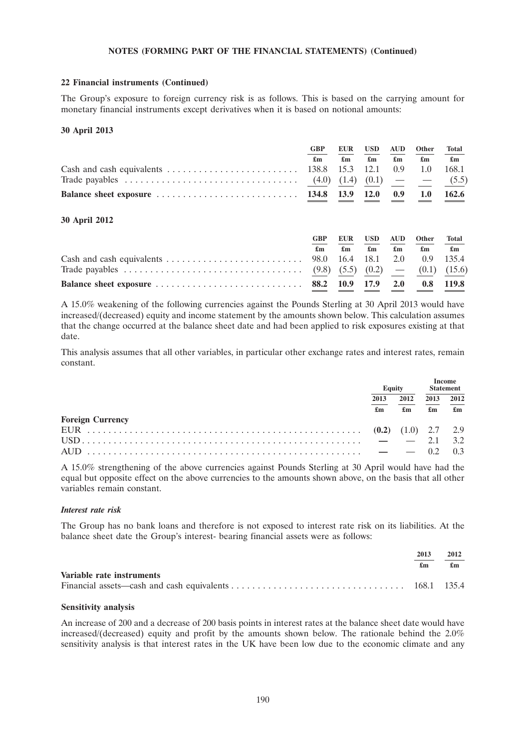## **22 Financial instruments (Continued)**

The Group's exposure to foreign currency risk is as follows. This is based on the carrying amount for monetary financial instruments except derivatives when it is based on notional amounts:

### **30 April 2013**

|                                                                                                         | <b>GBP</b> | <b>EUR</b> | <b>USD</b>  | <b>AUD</b>                | Other                     | <b>Total</b>              |
|---------------------------------------------------------------------------------------------------------|------------|------------|-------------|---------------------------|---------------------------|---------------------------|
|                                                                                                         | £m         | £m         | £m          | $\mathbf{f}_{\mathbf{m}}$ | $\mathbf{f}_{\mathbf{m}}$ | $\mathbf{f}_{\mathbf{m}}$ |
| Cash and cash equivalents $\ldots \ldots \ldots \ldots \ldots \ldots \ldots \ldots$ 138.8 15.3 12.1 0.9 |            |            |             |                           | $\sim$ 1.0                | 168.1                     |
|                                                                                                         |            |            |             |                           |                           |                           |
|                                                                                                         |            |            | <b>12.0</b> | 0.9                       | 1.0                       | 162.6                     |
| $20.1$ 12010                                                                                            |            |            |             |                           |                           |                           |

#### **30 April 2012**

| <b>GBP</b><br>£m |  | EUR USD AUD Other<br>$\mathfrak{m}$ $\mathfrak{m}$ $\mathfrak{m}$ $\mathfrak{m}$ $\mathfrak{m}$ $\mathfrak{m}$ | Total |
|------------------|--|----------------------------------------------------------------------------------------------------------------|-------|
|                  |  |                                                                                                                |       |
|                  |  |                                                                                                                |       |
|                  |  |                                                                                                                |       |

A 15.0% weakening of the following currencies against the Pounds Sterling at 30 April 2013 would have increased/(decreased) equity and income statement by the amounts shown below. This calculation assumes that the change occurred at the balance sheet date and had been applied to risk exposures existing at that date.

This analysis assumes that all other variables, in particular other exchange rates and interest rates, remain constant.

|                                                                                                                    | Equity                            |            | <b>Statement</b> |                           |                                   |
|--------------------------------------------------------------------------------------------------------------------|-----------------------------------|------------|------------------|---------------------------|-----------------------------------|
|                                                                                                                    | 2013<br>$\mathbf{f}_{\mathbf{m}}$ | 2012<br>£m | 2013             | $\mathbf{f}_{\mathbf{m}}$ | 2012<br>$\mathbf{f}_{\mathbf{m}}$ |
| <b>Foreign Currency</b>                                                                                            |                                   |            |                  |                           |                                   |
|                                                                                                                    |                                   |            |                  |                           |                                   |
| $\text{USD}\dots\dots\dots\dots\dots\dots\dots\dots\dots\dots\dots\dots\dots\dots\dots\dots \qquad -2.1 \quad 3.2$ |                                   |            |                  |                           |                                   |
|                                                                                                                    |                                   |            |                  |                           |                                   |

A 15.0% strengthening of the above currencies against Pounds Sterling at 30 April would have had the equal but opposite effect on the above currencies to the amounts shown above, on the basis that all other variables remain constant.

### *Interest rate risk*

The Group has no bank loans and therefore is not exposed to interest rate risk on its liabilities. At the balance sheet date the Group's interest- bearing financial assets were as follows:

|                           | 2013 | 2012 |
|---------------------------|------|------|
|                           | £m   | £m   |
| Variable rate instruments |      |      |
|                           |      |      |

#### **Sensitivity analysis**

An increase of 200 and a decrease of 200 basis points in interest rates at the balance sheet date would have increased/(decreased) equity and profit by the amounts shown below. The rationale behind the 2.0% sensitivity analysis is that interest rates in the UK have been low due to the economic climate and any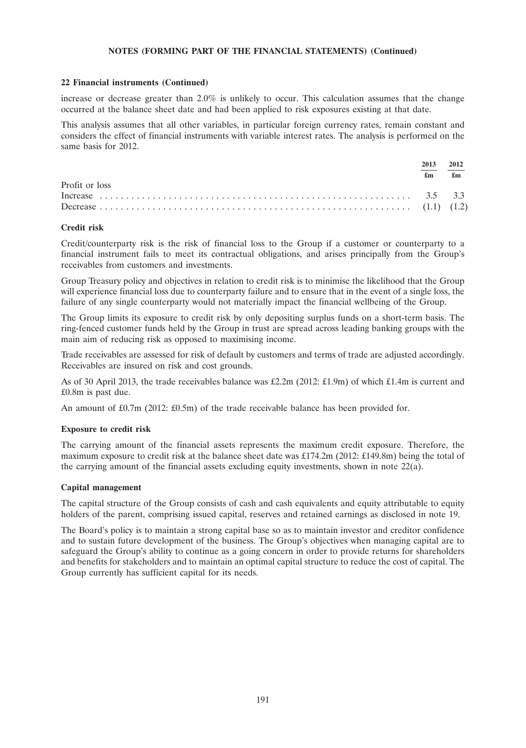### **22 Financial instruments (Continued)**

increase or decrease greater than 2.0% is unlikely to occur. This calculation assumes that the change occurred at the balance sheet date and had been applied to risk exposures existing at that date.

This analysis assumes that all other variables, in particular foreign currency rates, remain constant and considers the effect of financial instruments with variable interest rates. The analysis is performed on the same basis for 2012.

|                | 2013 | 2012                      |
|----------------|------|---------------------------|
|                | £m   | $\mathbf{f}_{\mathbf{m}}$ |
| Profit or loss |      |                           |
|                |      |                           |
|                |      |                           |

### **Credit risk**

Credit/counterparty risk is the risk of financial loss to the Group if a customer or counterparty to a financial instrument fails to meet its contractual obligations, and arises principally from the Group's receivables from customers and investments.

Group Treasury policy and objectives in relation to credit risk is to minimise the likelihood that the Group will experience financial loss due to counterparty failure and to ensure that in the event of a single loss, the failure of any single counterparty would not materially impact the financial wellbeing of the Group.

The Group limits its exposure to credit risk by only depositing surplus funds on a short-term basis. The ring-fenced customer funds held by the Group in trust are spread across leading banking groups with the main aim of reducing risk as opposed to maximising income.

Trade receivables are assessed for risk of default by customers and terms of trade are adjusted accordingly. Receivables are insured on risk and cost grounds.

As of 30 April 2013, the trade receivables balance was £2.2m (2012: £1.9m) of which £1.4m is current and £0.8m is past due.

An amount of £0.7m (2012: £0.5m) of the trade receivable balance has been provided for.

### **Exposure to credit risk**

The carrying amount of the financial assets represents the maximum credit exposure. Therefore, the maximum exposure to credit risk at the balance sheet date was £174.2m (2012: £149.8m) being the total of the carrying amount of the financial assets excluding equity investments, shown in note 22(a).

### **Capital management**

The capital structure of the Group consists of cash and cash equivalents and equity attributable to equity holders of the parent, comprising issued capital, reserves and retained earnings as disclosed in note 19.

The Board's policy is to maintain a strong capital base so as to maintain investor and creditor confidence and to sustain future development of the business. The Group's objectives when managing capital are to safeguard the Group's ability to continue as a going concern in order to provide returns for shareholders and benefits for stakeholders and to maintain an optimal capital structure to reduce the cost of capital. The Group currently has sufficient capital for its needs.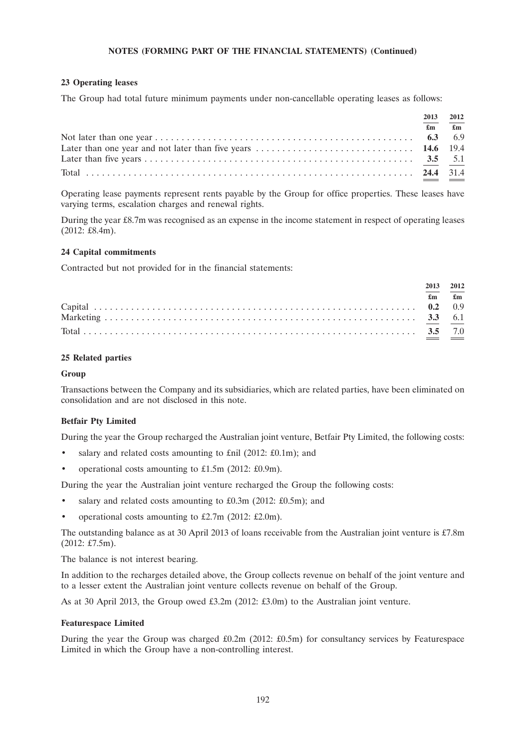## **23 Operating leases**

The Group had total future minimum payments under non-cancellable operating leases as follows:

| 2013 | 2012                          |
|------|-------------------------------|
|      | $\mathbf{f}$ m $\mathbf{f}$ m |
|      |                               |
|      |                               |
|      |                               |
|      |                               |

Operating lease payments represent rents payable by the Group for office properties. These leases have varying terms, escalation charges and renewal rights.

During the year £8.7m was recognised as an expense in the income statement in respect of operating leases (2012: £8.4m).

### **24 Capital commitments**

Contracted but not provided for in the financial statements:

|                           | 2013 2012      |
|---------------------------|----------------|
| $\mathbf{f}_{\mathbf{m}}$ | $\mathbf{f}$ m |
|                           |                |
|                           |                |
|                           |                |

# **25 Related parties**

### **Group**

Transactions between the Company and its subsidiaries, which are related parties, have been eliminated on consolidation and are not disclosed in this note.

# **Betfair Pty Limited**

During the year the Group recharged the Australian joint venture, Betfair Pty Limited, the following costs:

- salary and related costs amounting to £nil (2012: £0.1m); and
- operational costs amounting to £1.5m (2012: £0.9m).

During the year the Australian joint venture recharged the Group the following costs:

- salary and related costs amounting to  $£0.3m$  (2012:  $£0.5m$ ); and
- operational costs amounting to £2.7m (2012: £2.0m).

The outstanding balance as at 30 April 2013 of loans receivable from the Australian joint venture is  $\text{\textsterling}7.8m$ (2012: £7.5m).

The balance is not interest bearing.

In addition to the recharges detailed above, the Group collects revenue on behalf of the joint venture and to a lesser extent the Australian joint venture collects revenue on behalf of the Group.

As at 30 April 2013, the Group owed £3.2m (2012: £3.0m) to the Australian joint venture.

### **Featurespace Limited**

During the year the Group was charged £0.2m (2012: £0.5m) for consultancy services by Featurespace Limited in which the Group have a non-controlling interest.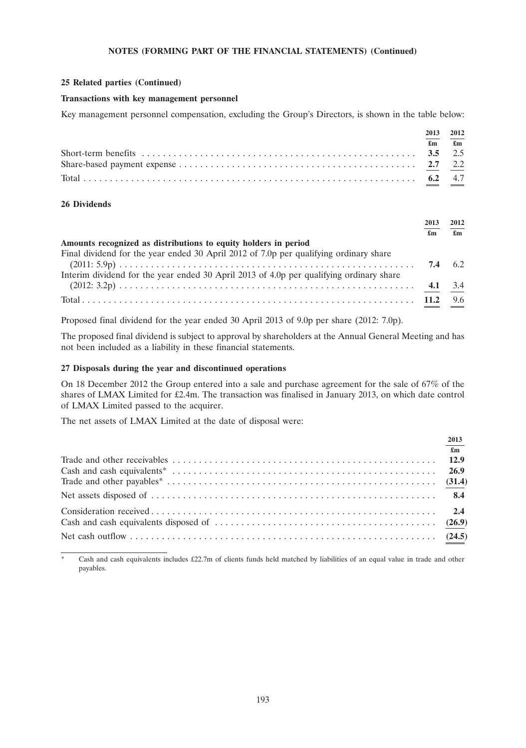### **25 Related parties (Continued)**

## **Transactions with key management personnel**

Key management personnel compensation, excluding the Group's Directors, is shown in the table below:

| 2013           | 2012         |
|----------------|--------------|
| $\mathbf{f}$ m | $\mathbf{f}$ |
|                |              |
|                |              |
|                |              |

# **26 Dividends**

|                                                                                         |     | 2012 |
|-----------------------------------------------------------------------------------------|-----|------|
|                                                                                         | £m  | £m   |
| Amounts recognized as distributions to equity holders in period                         |     |      |
| Final dividend for the year ended 30 April 2012 of 7.0p per qualifying ordinary share   |     |      |
|                                                                                         | 7.4 |      |
| Interim dividend for the year ended 30 April 2013 of 4.0p per qualifying ordinary share |     |      |
|                                                                                         |     |      |
|                                                                                         |     | 9.6  |

Proposed final dividend for the year ended 30 April 2013 of 9.0p per share (2012: 7.0p).

The proposed final dividend is subject to approval by shareholders at the Annual General Meeting and has not been included as a liability in these financial statements.

## **27 Disposals during the year and discontinued operations**

On 18 December 2012 the Group entered into a sale and purchase agreement for the sale of 67% of the shares of LMAX Limited for £2.4m. The transaction was finalised in January 2013, on which date control of LMAX Limited passed to the acquirer.

The net assets of LMAX Limited at the date of disposal were:

Cash and cash equivalents includes £22.7m of clients funds held matched by liabilities of an equal value in trade and other payables.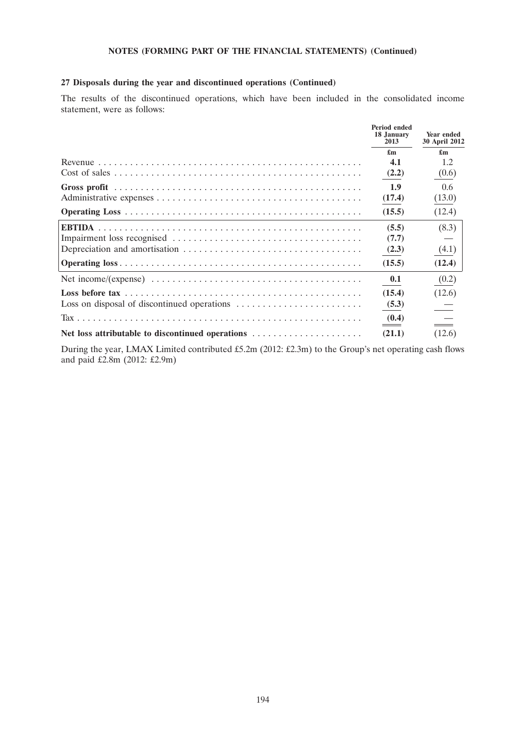# **27 Disposals during the year and discontinued operations (Continued)**

The results of the discontinued operations, which have been included in the consolidated income statement, were as follows:

| <b>Period ended</b><br>18 January<br>2013 | Year ended<br>30 April 2012 |
|-------------------------------------------|-----------------------------|
| £m                                        | $\mathbf{f}_{\mathbf{m}}$   |
| 4.1                                       | 1.2                         |
| (2.2)                                     | (0.6)                       |
| 1.9                                       | 0.6                         |
| (17.4)                                    | (13.0)                      |
| (15.5)                                    | (12.4)                      |
| (5.5)                                     | (8.3)                       |
| (7.7)                                     |                             |
| (2.3)                                     | (4.1)                       |
| (15.5)                                    | (12.4)                      |
| 0.1                                       | (0.2)                       |
| (15.4)                                    | (12.6)                      |
| (5.3)                                     |                             |
| (0.4)                                     |                             |
| (21.1)                                    | (12.6)                      |

During the year, LMAX Limited contributed £5.2m (2012: £2.3m) to the Group's net operating cash flows and paid £2.8m (2012: £2.9m)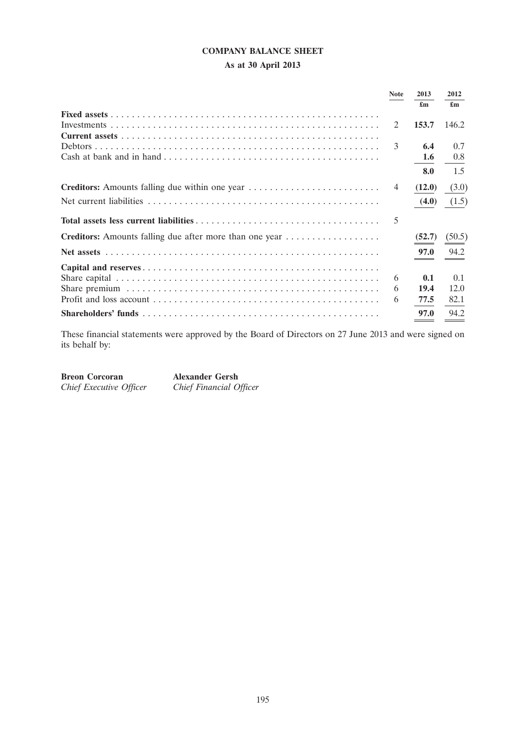# **COMPANY BALANCE SHEET**

# **As at 30 April 2013**

|                                                                | <b>Note</b>    | 2013                      | 2012   |
|----------------------------------------------------------------|----------------|---------------------------|--------|
|                                                                |                | $\mathbf{f}_{\mathbf{m}}$ | £m     |
|                                                                |                |                           |        |
|                                                                | 2              | 153.7                     | 146.2  |
|                                                                |                |                           |        |
|                                                                | 3              | 6.4                       | 0.7    |
|                                                                |                | 1.6                       | 0.8    |
|                                                                |                | 8.0                       | 1.5    |
| <b>Creditors:</b> Amounts falling due within one year          | $\overline{4}$ | (12.0)                    | (3.0)  |
|                                                                |                | (4.0)                     | (1.5)  |
|                                                                | 5              |                           |        |
| <b>Creditors:</b> Amounts falling due after more than one year |                | (52.7)                    | (50.5) |
|                                                                |                | 97.0                      | 94.2   |
|                                                                |                |                           |        |
|                                                                | 6              | 0.1                       | 0.1    |
|                                                                | 6              | 19.4                      | 12.0   |
|                                                                | 6              | 77.5                      | 82.1   |
|                                                                |                | 97.0                      | 94.2   |

These financial statements were approved by the Board of Directors on 27 June 2013 and were signed on its behalf by:

**Breon Corcoran Alexander Gersh** *Chief Executive Officer Chief Financial Officer*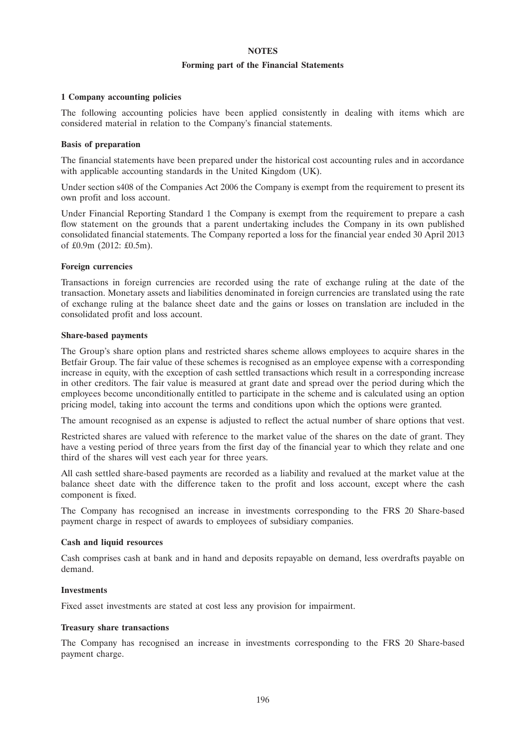### **NOTES**

### **Forming part of the Financial Statements**

### **1 Company accounting policies**

The following accounting policies have been applied consistently in dealing with items which are considered material in relation to the Company's financial statements.

### **Basis of preparation**

The financial statements have been prepared under the historical cost accounting rules and in accordance with applicable accounting standards in the United Kingdom (UK).

Under section s408 of the Companies Act 2006 the Company is exempt from the requirement to present its own profit and loss account.

Under Financial Reporting Standard 1 the Company is exempt from the requirement to prepare a cash flow statement on the grounds that a parent undertaking includes the Company in its own published consolidated financial statements. The Company reported a loss for the financial year ended 30 April 2013 of £0.9m (2012: £0.5m).

### **Foreign currencies**

Transactions in foreign currencies are recorded using the rate of exchange ruling at the date of the transaction. Monetary assets and liabilities denominated in foreign currencies are translated using the rate of exchange ruling at the balance sheet date and the gains or losses on translation are included in the consolidated profit and loss account.

### **Share-based payments**

The Group's share option plans and restricted shares scheme allows employees to acquire shares in the Betfair Group. The fair value of these schemes is recognised as an employee expense with a corresponding increase in equity, with the exception of cash settled transactions which result in a corresponding increase in other creditors. The fair value is measured at grant date and spread over the period during which the employees become unconditionally entitled to participate in the scheme and is calculated using an option pricing model, taking into account the terms and conditions upon which the options were granted.

The amount recognised as an expense is adjusted to reflect the actual number of share options that vest.

Restricted shares are valued with reference to the market value of the shares on the date of grant. They have a vesting period of three years from the first day of the financial year to which they relate and one third of the shares will vest each year for three years.

All cash settled share-based payments are recorded as a liability and revalued at the market value at the balance sheet date with the difference taken to the profit and loss account, except where the cash component is fixed.

The Company has recognised an increase in investments corresponding to the FRS 20 Share-based payment charge in respect of awards to employees of subsidiary companies.

# **Cash and liquid resources**

Cash comprises cash at bank and in hand and deposits repayable on demand, less overdrafts payable on demand.

### **Investments**

Fixed asset investments are stated at cost less any provision for impairment.

### **Treasury share transactions**

The Company has recognised an increase in investments corresponding to the FRS 20 Share-based payment charge.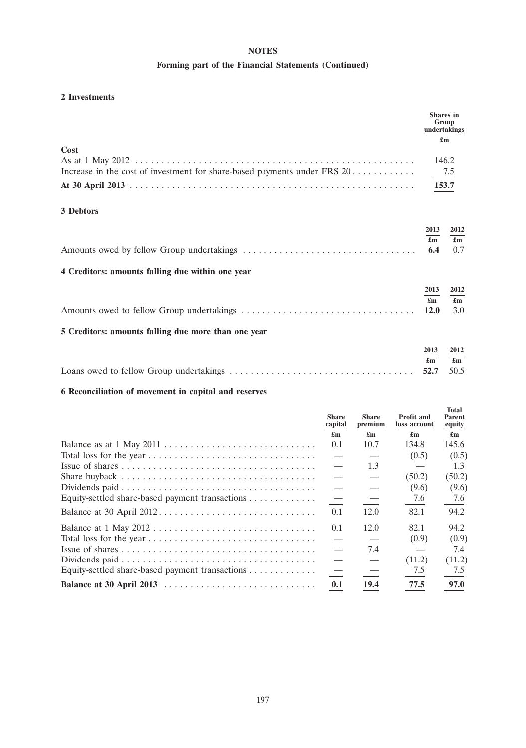# **NOTES**

# **Forming part of the Financial Statements (Continued)**

# **2 Investments**

|                                                                                  |                                                  | <b>Shares</b> in<br>Group<br>undertakings<br>$\mathbf{f}_{\mathbf{m}}$ |
|----------------------------------------------------------------------------------|--------------------------------------------------|------------------------------------------------------------------------|
| Cost<br>Increase in the cost of investment for share-based payments under FRS 20 |                                                  | 146.2<br>7.5<br>153.7                                                  |
| 3 Debtors                                                                        |                                                  |                                                                        |
| 4 Creditors: amounts falling due within one year                                 | 2013<br>$\mathbf{f}_{\mathbf{m}}$<br>6.4         | 2012<br>$\mathbf{f}_{\mathbf{m}}$<br>0.7                               |
| 5 Creditors: amounts falling due more than one year                              | 2013<br>$\mathbf{f}_{\mathbf{m}}$<br><b>12.0</b> | 2012<br>$\mathbf{f}_{\mathbf{m}}$<br>3.0                               |
|                                                                                  | 2013<br>$\mathbf{f}_{\mathbf{m}}$<br>52.7        | 2012<br>$\mathbf{f}_{\mathbf{m}}$<br>50.5                              |

# **6 Reconciliation of movement in capital and reserves**

|                                                 | <b>Share</b><br>capital<br>$\mathbf{f}_{\mathbf{m}}$ | <b>Share</b><br>premium<br>£m | <b>Profit and</b><br>loss account<br>$\mathbf{f}_{\mathbf{m}}$ | Total<br>Parent<br>equity<br>$\mathbf{f}_{\mathbf{m}}$ |
|-------------------------------------------------|------------------------------------------------------|-------------------------------|----------------------------------------------------------------|--------------------------------------------------------|
|                                                 | 0.1                                                  | 10.7                          | 134.8                                                          | 145.6                                                  |
|                                                 |                                                      |                               | (0.5)                                                          | (0.5)                                                  |
|                                                 |                                                      | 1.3                           |                                                                | 1.3                                                    |
|                                                 |                                                      |                               | (50.2)                                                         | (50.2)                                                 |
|                                                 |                                                      |                               | (9.6)                                                          | (9.6)                                                  |
| Equity-settled share-based payment transactions |                                                      |                               | 7.6                                                            | 7.6                                                    |
|                                                 | 0.1                                                  | 12.0                          | 82.1                                                           | 94.2                                                   |
|                                                 | 0.1                                                  | 12.0                          | 82.1                                                           | 94.2                                                   |
|                                                 |                                                      |                               | (0.9)                                                          | (0.9)                                                  |
|                                                 |                                                      | 7.4                           |                                                                | 7.4                                                    |
|                                                 |                                                      | $\overbrace{\phantom{13333}}$ | (11.2)                                                         | (11.2)                                                 |
| Equity-settled share-based payment transactions |                                                      |                               | 7.5                                                            | 7.5                                                    |
| Balance at 30 April 2013                        | 0.1                                                  | 19.4                          | 77.5                                                           | 97.0                                                   |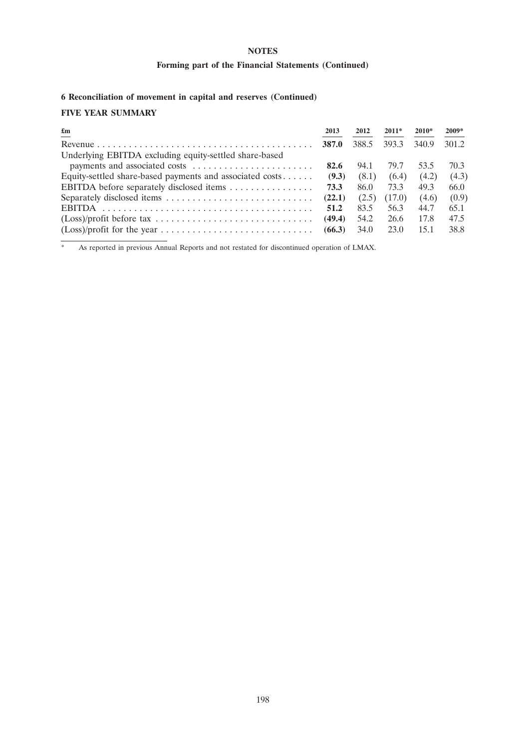# **NOTES**

# **Forming part of the Financial Statements (Continued)**

# **6 Reconciliation of movement in capital and reserves (Continued)**

# **FIVE YEAR SUMMARY**

| $\mathbf{f}_{\mathbf{m}}$                                | 2013         | 2012  | $2011*$ | $2010*$ | $2009*$ |
|----------------------------------------------------------|--------------|-------|---------|---------|---------|
|                                                          | <b>387.0</b> | 388.5 | 393.3   | 340.9   | 301.2   |
| Underlying EBITDA excluding equity-settled share-based   |              |       |         |         |         |
|                                                          | 82.6         | 94.1  | 79.7    | 53.5    | 70.3    |
| Equity-settled share-based payments and associated costs | (9.3)        | (8.1) | (6.4)   | (4.2)   | (4.3)   |
| EBITDA before separately disclosed items                 | 73.3         | 86.0  | 73.3    | 49.3    | 66.0    |
|                                                          | (22.1)       | (2.5) | (17.0)  | (4.6)   | (0.9)   |
|                                                          | 51.2         | 83.5  | 56.3    | 44.7    | 65.1    |
|                                                          | (49.4)       | 54.2  | 26.6    | 17.8    | 47.5    |
|                                                          | (66.3)       | 34.0  | 23.0    | 15.1    | 38.8    |

\* As reported in previous Annual Reports and not restated for discontinued operation of LMAX.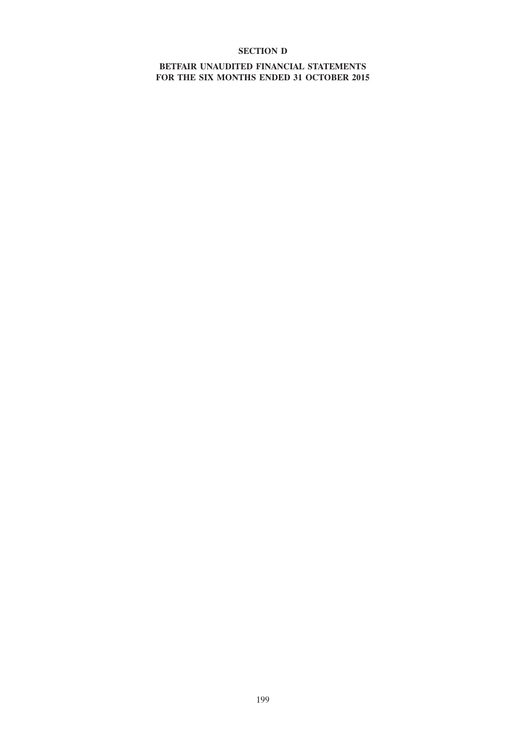# **SECTION D**

# **BETFAIR UNAUDITED FINANCIAL STATEMENTS FOR THE SIX MONTHS ENDED 31 OCTOBER 2015**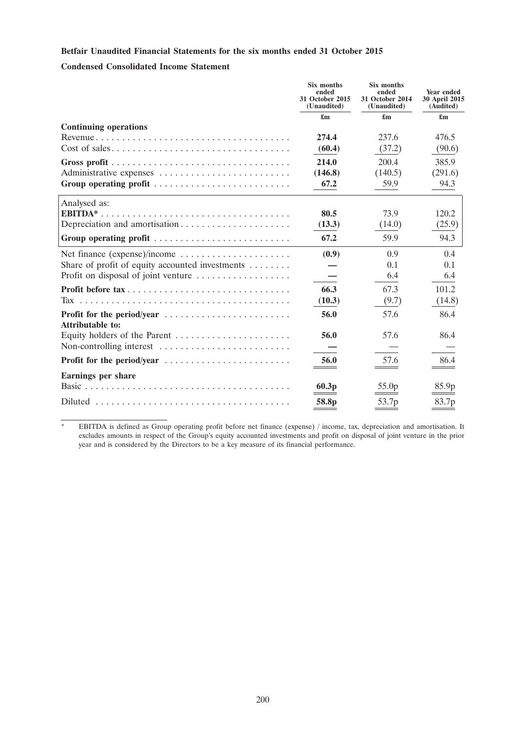# **Betfair Unaudited Financial Statements for the six months ended 31 October 2015**

## **Condensed Consolidated Income Statement**

|                                                                                         | Six months<br>ended<br>31 October 2015<br>(Unaudited) | Six months<br>ended<br>31 October 2014<br>(Unaudited) | Year ended<br>30 April 2015<br>(Audited) |
|-----------------------------------------------------------------------------------------|-------------------------------------------------------|-------------------------------------------------------|------------------------------------------|
|                                                                                         | $\mathbf{f}_{\mathbf{m}}$                             | $\mathbf{f}_{\mathbf{m}}$                             | $\mathbf{f}_{\mathbf{m}}$                |
| <b>Continuing operations</b>                                                            |                                                       |                                                       |                                          |
|                                                                                         | 274.4                                                 | 237.6                                                 | 476.5                                    |
| $Cost of sales \dots \dots \dots \dots \dots \dots \dots \dots \dots \dots \dots \dots$ | (60.4)                                                | (37.2)                                                | (90.6)                                   |
|                                                                                         | 214.0                                                 | 200.4                                                 | 385.9                                    |
| Administrative expenses                                                                 | (146.8)                                               | (140.5)                                               | (291.6)                                  |
| Group operating profit                                                                  | 67.2                                                  | 59.9                                                  | 94.3                                     |
| Analysed as:                                                                            |                                                       |                                                       |                                          |
|                                                                                         | 80.5                                                  | 73.9                                                  | 120.2                                    |
| Depreciation and amortisation                                                           | (13.3)                                                | (14.0)                                                | (25.9)                                   |
| Group operating profit                                                                  | 67.2                                                  | 59.9                                                  | 94.3                                     |
| Net finance (expense)/income                                                            | (0.9)                                                 | 0.9                                                   | 0.4                                      |
| Share of profit of equity accounted investments                                         |                                                       | 0.1                                                   | 0.1                                      |
| Profit on disposal of joint venture                                                     |                                                       | 6.4                                                   | 6.4                                      |
|                                                                                         | 66.3                                                  | 67.3                                                  | 101.2                                    |
| Tax                                                                                     | (10.3)                                                | (9.7)                                                 | (14.8)                                   |
| Profit for the period/year<br><b>Attributable to:</b>                                   | 56.0                                                  | 57.6                                                  | 86.4                                     |
| Equity holders of the Parent $\dots \dots \dots \dots \dots \dots \dots$                | 56.0                                                  | 57.6                                                  | 86.4                                     |
| Non-controlling interest                                                                |                                                       |                                                       |                                          |
|                                                                                         | 56.0                                                  | 57.6                                                  | 86.4                                     |
| <b>Earnings per share</b>                                                               |                                                       |                                                       |                                          |
|                                                                                         | 60.3p                                                 | 55.0 <sub>p</sub>                                     | 85.9p                                    |
|                                                                                         | 58.8 <sub>p</sub>                                     | 53.7 <sub>p</sub>                                     | 83.7p                                    |

\* EBITDA is defined as Group operating profit before net finance (expense) / income, tax, depreciation and amortisation. It excludes amounts in respect of the Group's equity accounted investments and profit on disposal of joint venture in the prior year and is considered by the Directors to be a key measure of its financial performance.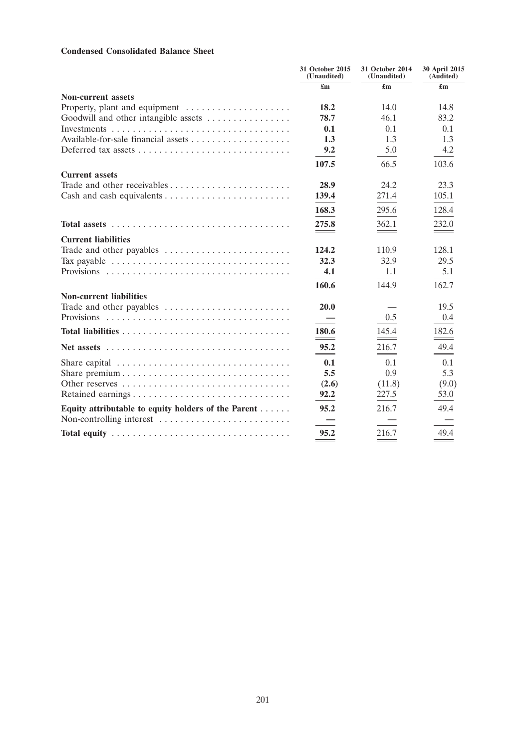# **Condensed Consolidated Balance Sheet**

|                                                                                             | 31 October 2015<br>(Unaudited) | 31 October 2014<br>(Unaudited) | 30 April 2015<br>(Audited)       |
|---------------------------------------------------------------------------------------------|--------------------------------|--------------------------------|----------------------------------|
|                                                                                             | £m                             | $\mathbf{f}_{\mathbf{m}}$      | £m                               |
| <b>Non-current assets</b>                                                                   |                                |                                |                                  |
| Property, plant and equipment                                                               | 18.2                           | 14.0                           | 14.8                             |
| Goodwill and other intangible assets                                                        | 78.7                           | 46.1                           | 83.2                             |
|                                                                                             | 0.1                            | 0.1                            | 0.1                              |
|                                                                                             | 1.3                            | 1.3                            | 1.3                              |
|                                                                                             | 9.2                            | 5.0                            | 4.2                              |
|                                                                                             | 107.5                          | 66.5                           | 103.6                            |
| <b>Current assets</b>                                                                       |                                |                                |                                  |
|                                                                                             | 28.9                           | 24.2                           | 23.3                             |
|                                                                                             | 139.4                          | 271.4                          | 105.1                            |
|                                                                                             | 168.3                          | 295.6                          | 128.4                            |
|                                                                                             | 275.8                          | 362.1                          | 232.0                            |
| <b>Current liabilities</b>                                                                  |                                |                                |                                  |
| Trade and other payables                                                                    | 124.2                          | 110.9                          | 128.1                            |
| Tax payable $\dots \dots \dots \dots \dots \dots \dots \dots \dots \dots \dots \dots$       | 32.3                           | 32.9                           | 29.5                             |
|                                                                                             | 4.1                            | 1.1                            | 5.1                              |
|                                                                                             | 160.6                          | 144.9                          | 162.7                            |
| <b>Non-current liabilities</b>                                                              |                                |                                |                                  |
| Trade and other payables                                                                    | 20.0                           |                                | 19.5                             |
|                                                                                             |                                | 0.5                            | 0.4                              |
|                                                                                             | 180.6                          | 145.4                          | 182.6                            |
| Net assets $\ldots \ldots \ldots \ldots \ldots \ldots \ldots \ldots \ldots \ldots \ldots$   | 95.2                           | 216.7                          | 49.4<br>$\overline{\phantom{a}}$ |
| Share capital $\ldots \ldots \ldots \ldots \ldots \ldots \ldots \ldots \ldots \ldots$       | 0.1                            | 0.1                            | 0.1                              |
|                                                                                             | 5.5                            | 0.9                            | 5.3                              |
| Other reserves                                                                              | (2.6)                          | (11.8)                         | (9.0)                            |
| Retained earnings                                                                           | 92.2                           | 227.5                          | 53.0                             |
| Equity attributable to equity holders of the Parent                                         | 95.2                           | 216.7                          | 49.4                             |
| Non-controlling interest                                                                    |                                |                                |                                  |
| Total equity $\ldots \ldots \ldots \ldots \ldots \ldots \ldots \ldots \ldots \ldots \ldots$ | 95.2                           | 216.7                          | 49.4                             |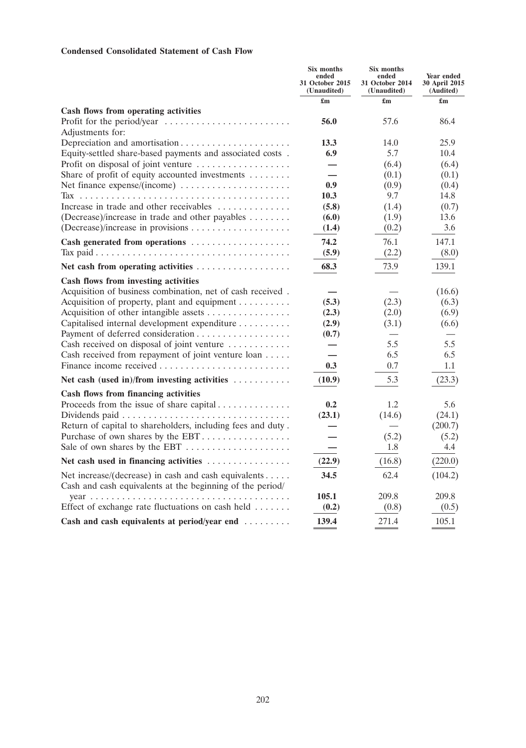# **Condensed Consolidated Statement of Cash Flow**

|                                                                                                                   | Six months<br>ended<br>31 October 2015<br>(Unaudited) | Six months<br>ended<br>31 October 2014<br>(Unaudited) | Year ended<br>30 April 2015<br>(Audited) |
|-------------------------------------------------------------------------------------------------------------------|-------------------------------------------------------|-------------------------------------------------------|------------------------------------------|
|                                                                                                                   | $\mathbf{f}_{\mathbf{m}}$                             | $\mathbf{f}_{\mathbf{m}}$                             | $\mathbf{f}_{\mathbf{m}}$                |
| Cash flows from operating activities                                                                              |                                                       |                                                       |                                          |
| Profit for the period/year<br>Adjustments for:                                                                    | 56.0                                                  | 57.6                                                  | 86.4                                     |
| Depreciation and amortisation                                                                                     | 13.3                                                  | 14.0                                                  | 25.9                                     |
| Equity-settled share-based payments and associated costs.                                                         | 6.9                                                   | 5.7                                                   | 10.4                                     |
| Profit on disposal of joint venture                                                                               | $\overline{\phantom{0}}$                              | (6.4)                                                 | (6.4)                                    |
| Share of profit of equity accounted investments                                                                   |                                                       | (0.1)                                                 | (0.1)                                    |
| Net finance expense/(income)                                                                                      | 0.9                                                   | (0.9)                                                 | (0.4)                                    |
|                                                                                                                   | 10.3                                                  | 9.7                                                   | 14.8                                     |
| Increase in trade and other receivables                                                                           | (5.8)                                                 | (1.4)                                                 | (0.7)                                    |
| (Decrease)/increase in trade and other payables                                                                   | (6.0)                                                 | (1.9)                                                 | 13.6                                     |
|                                                                                                                   | (1.4)                                                 | (0.2)                                                 | 3.6                                      |
| Cash generated from operations                                                                                    | 74.2                                                  | 76.1                                                  | 147.1                                    |
|                                                                                                                   | (5.9)                                                 | (2.2)                                                 | (8.0)                                    |
|                                                                                                                   | 68.3                                                  | 73.9                                                  | 139.1                                    |
| Cash flows from investing activities                                                                              |                                                       |                                                       |                                          |
| Acquisition of business combination, net of cash received.                                                        |                                                       |                                                       | (16.6)                                   |
| Acquisition of property, plant and equipment                                                                      | (5.3)                                                 | (2.3)                                                 | (6.3)                                    |
| Acquisition of other intangible assets                                                                            | (2.3)                                                 | (2.0)                                                 | (6.9)                                    |
| Capitalised internal development expenditure                                                                      | (2.9)                                                 | (3.1)                                                 | (6.6)                                    |
|                                                                                                                   | (0.7)                                                 |                                                       |                                          |
| Cash received on disposal of joint venture                                                                        |                                                       | 5.5                                                   | 5.5                                      |
| Cash received from repayment of joint venture loan                                                                |                                                       | 6.5                                                   | 6.5                                      |
|                                                                                                                   | 0.3                                                   | 0.7                                                   | 1.1                                      |
| Net cash (used in)/from investing activities                                                                      | (10.9)                                                | 5.3                                                   | (23.3)                                   |
| Cash flows from financing activities                                                                              |                                                       |                                                       |                                          |
| Proceeds from the issue of share capital                                                                          | 0.2                                                   | 1.2                                                   | 5.6                                      |
|                                                                                                                   | (23.1)                                                | (14.6)                                                | (24.1)                                   |
| Return of capital to shareholders, including fees and duty.                                                       |                                                       |                                                       | (200.7)                                  |
| Purchase of own shares by the EBT                                                                                 |                                                       | (5.2)                                                 | (5.2)                                    |
|                                                                                                                   |                                                       | 1.8                                                   | 4.4                                      |
| Net cash used in financing activities                                                                             | (22.9)                                                | (16.8)                                                | (220.0)                                  |
| Net increase/(decrease) in cash and cash equivalents<br>Cash and cash equivalents at the beginning of the period/ | 34.5                                                  | 62.4                                                  | (104.2)                                  |
|                                                                                                                   | 105.1                                                 | 209.8                                                 | 209.8                                    |
| Effect of exchange rate fluctuations on cash held                                                                 | (0.2)                                                 | (0.8)                                                 | (0.5)                                    |
| Cash and cash equivalents at period/year end                                                                      | 139.4                                                 | 271.4                                                 | 105.1                                    |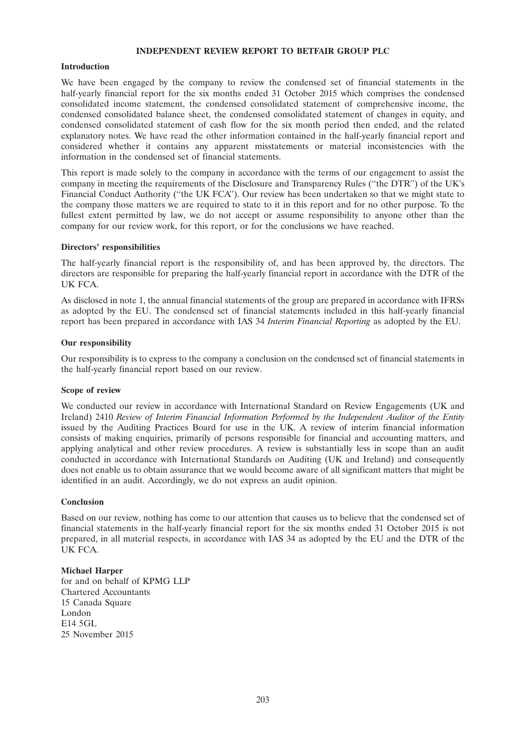### **INDEPENDENT REVIEW REPORT TO BETFAIR GROUP PLC**

### **Introduction**

We have been engaged by the company to review the condensed set of financial statements in the half-yearly financial report for the six months ended 31 October 2015 which comprises the condensed consolidated income statement, the condensed consolidated statement of comprehensive income, the condensed consolidated balance sheet, the condensed consolidated statement of changes in equity, and condensed consolidated statement of cash flow for the six month period then ended, and the related explanatory notes. We have read the other information contained in the half-yearly financial report and considered whether it contains any apparent misstatements or material inconsistencies with the information in the condensed set of financial statements.

This report is made solely to the company in accordance with the terms of our engagement to assist the company in meeting the requirements of the Disclosure and Transparency Rules (''the DTR'') of the UK's Financial Conduct Authority (''the UK FCA''). Our review has been undertaken so that we might state to the company those matters we are required to state to it in this report and for no other purpose. To the fullest extent permitted by law, we do not accept or assume responsibility to anyone other than the company for our review work, for this report, or for the conclusions we have reached.

### **Directors' responsibilities**

The half-yearly financial report is the responsibility of, and has been approved by, the directors. The directors are responsible for preparing the half-yearly financial report in accordance with the DTR of the UK FCA.

As disclosed in note 1, the annual financial statements of the group are prepared in accordance with IFRSs as adopted by the EU. The condensed set of financial statements included in this half-yearly financial report has been prepared in accordance with IAS 34 *Interim Financial Reporting* as adopted by the EU.

### **Our responsibility**

Our responsibility is to express to the company a conclusion on the condensed set of financial statements in the half-yearly financial report based on our review.

## **Scope of review**

We conducted our review in accordance with International Standard on Review Engagements (UK and Ireland) 2410 *Review of Interim Financial Information Performed by the Independent Auditor of the Entity* issued by the Auditing Practices Board for use in the UK. A review of interim financial information consists of making enquiries, primarily of persons responsible for financial and accounting matters, and applying analytical and other review procedures. A review is substantially less in scope than an audit conducted in accordance with International Standards on Auditing (UK and Ireland) and consequently does not enable us to obtain assurance that we would become aware of all significant matters that might be identified in an audit. Accordingly, we do not express an audit opinion.

### **Conclusion**

Based on our review, nothing has come to our attention that causes us to believe that the condensed set of financial statements in the half-yearly financial report for the six months ended 31 October 2015 is not prepared, in all material respects, in accordance with IAS 34 as adopted by the EU and the DTR of the UK FCA.

### **Michael Harper**

for and on behalf of KPMG LLP Chartered Accountants 15 Canada Square London E14 5GL 25 November 2015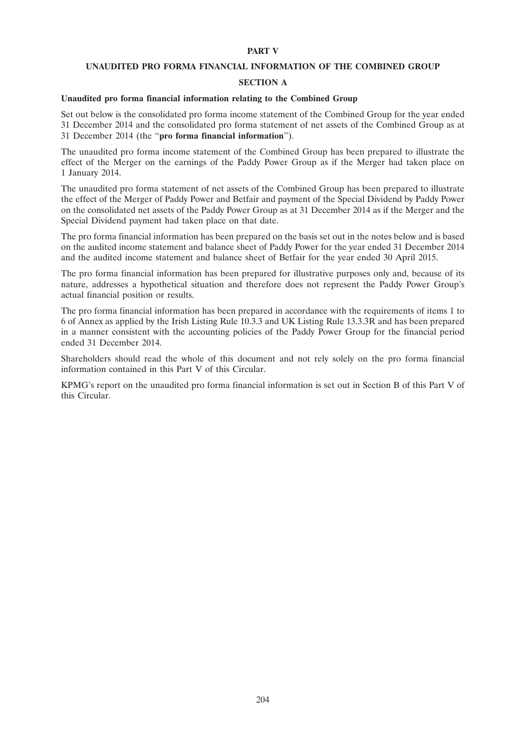### **PART V**

### **UNAUDITED PRO FORMA FINANCIAL INFORMATION OF THE COMBINED GROUP**

### **SECTION A**

## **Unaudited pro forma financial information relating to the Combined Group**

Set out below is the consolidated pro forma income statement of the Combined Group for the year ended 31 December 2014 and the consolidated pro forma statement of net assets of the Combined Group as at 31 December 2014 (the ''**pro forma financial information**'').

The unaudited pro forma income statement of the Combined Group has been prepared to illustrate the effect of the Merger on the earnings of the Paddy Power Group as if the Merger had taken place on 1 January 2014.

The unaudited pro forma statement of net assets of the Combined Group has been prepared to illustrate the effect of the Merger of Paddy Power and Betfair and payment of the Special Dividend by Paddy Power on the consolidated net assets of the Paddy Power Group as at 31 December 2014 as if the Merger and the Special Dividend payment had taken place on that date.

The pro forma financial information has been prepared on the basis set out in the notes below and is based on the audited income statement and balance sheet of Paddy Power for the year ended 31 December 2014 and the audited income statement and balance sheet of Betfair for the year ended 30 April 2015.

The pro forma financial information has been prepared for illustrative purposes only and, because of its nature, addresses a hypothetical situation and therefore does not represent the Paddy Power Group's actual financial position or results.

The pro forma financial information has been prepared in accordance with the requirements of items 1 to 6 of Annex as applied by the Irish Listing Rule 10.3.3 and UK Listing Rule 13.3.3R and has been prepared in a manner consistent with the accounting policies of the Paddy Power Group for the financial period ended 31 December 2014.

Shareholders should read the whole of this document and not rely solely on the pro forma financial information contained in this Part V of this Circular.

KPMG's report on the unaudited pro forma financial information is set out in Section B of this Part V of this Circular.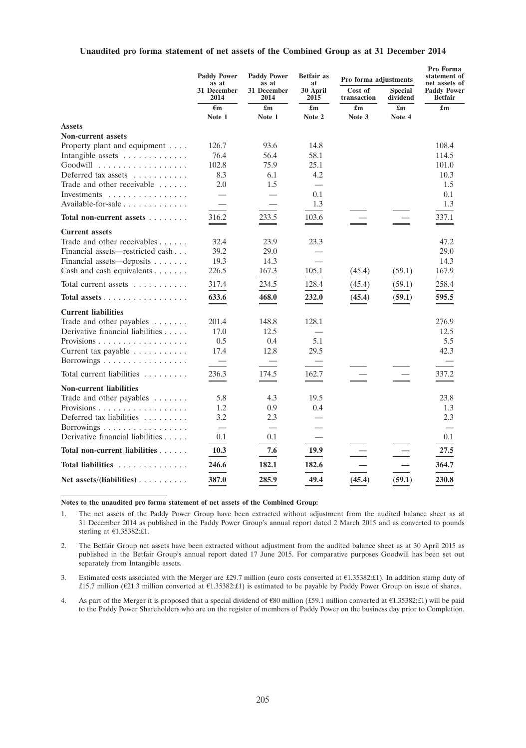### **Unaudited pro forma statement of net assets of the Combined Group as at 31 December 2014**

|                                              | <b>Paddy Power</b><br>as at | <b>Paddy Power</b><br>as at | <b>Betfair</b> as<br>at   | Pro forma adjustments  |                            | Pro Forma<br>statement of<br>net assets of |
|----------------------------------------------|-----------------------------|-----------------------------|---------------------------|------------------------|----------------------------|--------------------------------------------|
|                                              | 31 December<br>2014         | 31 December<br>2014         | 30 April<br>2015          | Cost of<br>transaction | <b>Special</b><br>dividend | <b>Paddy Power</b><br><b>Betfair</b>       |
|                                              | $\epsilon_{\rm m}$          | £m                          | $\mathbf{f}_{\mathbf{m}}$ | £m                     | $\mathbf{f}_{\mathbf{m}}$  | $\mathbf{f}_{\mathbf{m}}$                  |
|                                              | Note 1                      | Note 1                      | Note 2                    | Note 3                 | Note 4                     |                                            |
| <b>Assets</b>                                |                             |                             |                           |                        |                            |                                            |
| <b>Non-current assets</b>                    |                             |                             |                           |                        |                            |                                            |
| Property plant and equipment                 | 126.7                       | 93.6                        | 14.8                      |                        |                            | 108.4                                      |
| Intangible assets                            | 76.4                        | 56.4                        | 58.1                      |                        |                            | 114.5                                      |
| Goodwill                                     | 102.8                       | 75.9                        | 25.1                      |                        |                            | 101.0                                      |
| Deferred tax assets $\dots \dots$            | 8.3                         | 6.1                         | 4.2                       |                        |                            | 10.3                                       |
| Trade and other receivable $\dots$ .         | 2.0                         | 1.5                         | $\overline{\phantom{0}}$  |                        |                            | 1.5                                        |
| Investments $\dots\dots\dots\dots\dots\dots$ |                             |                             | 0.1                       |                        |                            | 0.1                                        |
| Available-for-sale $\ldots$ ,                |                             |                             | 1.3                       |                        |                            | 1.3                                        |
| Total non-current assets                     | 316.2                       | 233.5                       | 103.6                     |                        |                            | 337.1                                      |
|                                              | $-$                         |                             | $ -$                      |                        |                            |                                            |
| <b>Current assets</b>                        |                             |                             |                           |                        |                            |                                            |
| Trade and other receivables $\dots$ .        | 32.4                        | 23.9                        | 23.3                      |                        |                            | 47.2                                       |
| Financial assets—restricted cash             | 39.2                        | 29.0                        |                           |                        |                            | 29.0                                       |
| Financial assets—deposits                    | 19.3                        | 14.3                        |                           |                        |                            | 14.3                                       |
| Cash and cash equivalents                    | 226.5                       | 167.3                       | 105.1                     | (45.4)                 | (59.1)                     | 167.9                                      |
| Total current assets                         | 317.4                       | 234.5                       | 128.4                     | (45.4)                 | (59.1)                     | 258.4                                      |
| Total assets                                 | 633.6                       | 468.0                       | 232.0                     | (45.4)                 | (59.1)                     | 595.5                                      |
| <b>Current liabilities</b>                   |                             |                             |                           |                        |                            |                                            |
| Trade and other payables                     | 201.4                       | 148.8                       | 128.1                     |                        |                            | 276.9                                      |
| Derivative financial liabilities             | 17.0                        | 12.5                        |                           |                        |                            | 12.5                                       |
| Provisions                                   | 0.5                         | 0.4                         | 5.1                       |                        |                            | 5.5                                        |
| Current tax payable                          | 17.4                        | 12.8                        | 29.5                      |                        |                            | 42.3                                       |
| Borrowings $\dots \dots \dots \dots \dots$   | $\overline{\phantom{0}}$    |                             |                           |                        |                            |                                            |
| Total current liabilities $\ldots$ ,,,,,,    | 236.3                       | 174.5                       | 162.7                     |                        |                            | 337.2                                      |
|                                              | $\sim$                      |                             |                           |                        |                            |                                            |
| <b>Non-current liabilities</b>               |                             |                             |                           |                        |                            |                                            |
| Trade and other payables                     | 5.8                         | 4.3                         | 19.5                      |                        |                            | 23.8                                       |
|                                              | 1.2                         | 0.9                         | 0.4                       |                        |                            | 1.3                                        |
| Deferred tax liabilities                     | 3.2                         | 2.3                         |                           |                        |                            | 2.3                                        |
| Borrowings                                   | $\overline{\phantom{0}}$    |                             |                           |                        |                            |                                            |
| Derivative financial liabilities             | 0.1                         | 0.1                         |                           |                        |                            | 0.1                                        |
| Total non-current liabilities                | 10.3                        | 7.6                         | 19.9                      |                        |                            | 27.5                                       |
| Total liabilities                            | 246.6                       | 182.1                       | 182.6                     |                        |                            | 364.7                                      |
| Net assets/(liabilities) $\dots \dots$       | 387.0                       | 285.9                       | 49.4                      | (45.4)                 | (59.1)                     | 230.8                                      |

**Notes to the unaudited pro forma statement of net assets of the Combined Group:**

1. The net assets of the Paddy Power Group have been extracted without adjustment from the audited balance sheet as at 31 December 2014 as published in the Paddy Power Group's annual report dated 2 March 2015 and as converted to pounds sterling at  $E1.35382$ :£1.

2. The Betfair Group net assets have been extracted without adjustment from the audited balance sheet as at 30 April 2015 as published in the Betfair Group's annual report dated 17 June 2015. For comparative purposes Goodwill has been set out separately from Intangible assets.

3. Estimated costs associated with the Merger are £29.7 million (euro costs converted at  $E1.35382:£1$ ). In addition stamp duty of £15.7 million ( $E$ 21.3 million converted at  $E$ 1.35382:£1) is estimated to be payable by Paddy Power Group on issue of shares.

4. As part of the Merger it is proposed that a special dividend of  $$80$  million (£59.1 million converted at  $$1.35382$ :£1) will be paid to the Paddy Power Shareholders who are on the register of members of Paddy Power on the business day prior to Completion.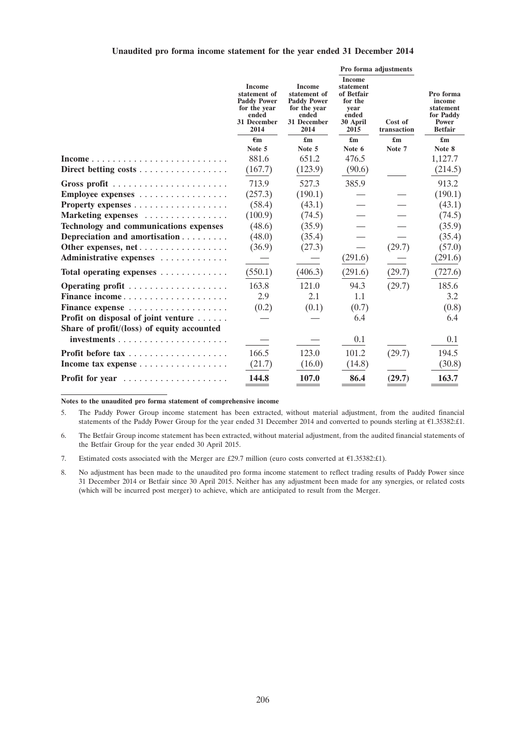### **Unaudited pro forma income statement for the year ended 31 December 2014**

|                                                                 |                                                                                                     |         |                                                                                                     | Pro forma adjustments                                                                    |                        |                                                                                 |
|-----------------------------------------------------------------|-----------------------------------------------------------------------------------------------------|---------|-----------------------------------------------------------------------------------------------------|------------------------------------------------------------------------------------------|------------------------|---------------------------------------------------------------------------------|
|                                                                 | <b>Income</b><br>statement of<br><b>Paddy Power</b><br>for the year<br>ended<br>31 December<br>2014 |         | <b>Income</b><br>statement of<br><b>Paddy Power</b><br>for the year<br>ended<br>31 December<br>2014 | <b>Income</b><br>statement<br>of Betfair<br>for the<br>year<br>ended<br>30 April<br>2015 | Cost of<br>transaction | Pro forma<br>income<br>statement<br>for Paddy<br><b>Power</b><br><b>Betfair</b> |
|                                                                 | €m                                                                                                  | £m      | £m                                                                                                  | £m                                                                                       | £m                     |                                                                                 |
|                                                                 | Note 5                                                                                              | Note 5  | Note 6                                                                                              | Note 7                                                                                   | Note 8                 |                                                                                 |
|                                                                 | 881.6                                                                                               | 651.2   | 476.5                                                                                               |                                                                                          | 1,127.7                |                                                                                 |
| Direct betting costs $\dots \dots \dots \dots \dots \dots$      | (167.7)                                                                                             | (123.9) | (90.6)                                                                                              |                                                                                          | (214.5)                |                                                                                 |
| Gross profit $\ldots \ldots \ldots \ldots \ldots \ldots \ldots$ | 713.9                                                                                               | 527.3   | 385.9                                                                                               |                                                                                          | 913.2                  |                                                                                 |
| Employee expenses                                               | (257.3)                                                                                             | (190.1) |                                                                                                     |                                                                                          | (190.1)                |                                                                                 |
|                                                                 | (58.4)                                                                                              | (43.1)  |                                                                                                     |                                                                                          | (43.1)                 |                                                                                 |
| Marketing expenses                                              | (100.9)                                                                                             | (74.5)  |                                                                                                     |                                                                                          | (74.5)                 |                                                                                 |
| <b>Technology and communications expenses</b>                   | (48.6)                                                                                              | (35.9)  |                                                                                                     |                                                                                          | (35.9)                 |                                                                                 |
| Depreciation and amortisation                                   | (48.0)                                                                                              | (35.4)  |                                                                                                     |                                                                                          | (35.4)                 |                                                                                 |
| Other expenses, net                                             | (36.9)                                                                                              | (27.3)  |                                                                                                     | (29.7)                                                                                   | (57.0)                 |                                                                                 |
| Administrative expenses                                         |                                                                                                     |         | (291.6)                                                                                             |                                                                                          | (291.6)                |                                                                                 |
| Total operating expenses                                        | (550.1)                                                                                             | (406.3) | (291.6)                                                                                             | (29.7)                                                                                   | (727.6)                |                                                                                 |
|                                                                 | 163.8                                                                                               | 121.0   | 94.3                                                                                                | (29.7)                                                                                   | 185.6                  |                                                                                 |
| Finance income                                                  | 2.9                                                                                                 | 2.1     | 1.1                                                                                                 |                                                                                          | 3.2                    |                                                                                 |
| Finance expense                                                 | (0.2)                                                                                               | (0.1)   | (0.7)                                                                                               |                                                                                          | (0.8)                  |                                                                                 |
| Profit on disposal of joint venture                             |                                                                                                     |         | 6.4                                                                                                 |                                                                                          | 6.4                    |                                                                                 |
| Share of profit/(loss) of equity accounted                      |                                                                                                     |         |                                                                                                     |                                                                                          |                        |                                                                                 |
| investments                                                     |                                                                                                     |         | 0.1                                                                                                 |                                                                                          | 0.1                    |                                                                                 |
|                                                                 | 166.5                                                                                               | 123.0   | 101.2                                                                                               | (29.7)                                                                                   | 194.5                  |                                                                                 |
| Income tax expense                                              | (21.7)                                                                                              | (16.0)  | (14.8)                                                                                              |                                                                                          | (30.8)                 |                                                                                 |
| Profit for year                                                 | 144.8                                                                                               | 107.0   | 86.4                                                                                                | (29.7)                                                                                   | 163.7                  |                                                                                 |

**Notes to the unaudited pro forma statement of comprehensive income**

5. The Paddy Power Group income statement has been extracted, without material adjustment, from the audited financial statements of the Paddy Power Group for the year ended 31 December 2014 and converted to pounds sterling at  $E1.35382:£1$ .

6. The Betfair Group income statement has been extracted, without material adjustment, from the audited financial statements of the Betfair Group for the year ended 30 April 2015.

7. Estimated costs associated with the Merger are £29.7 million (euro costs converted at  $E1.35382:£1$ ).

8. No adjustment has been made to the unaudited pro forma income statement to reflect trading results of Paddy Power since 31 December 2014 or Betfair since 30 April 2015. Neither has any adjustment been made for any synergies, or related costs (which will be incurred post merger) to achieve, which are anticipated to result from the Merger.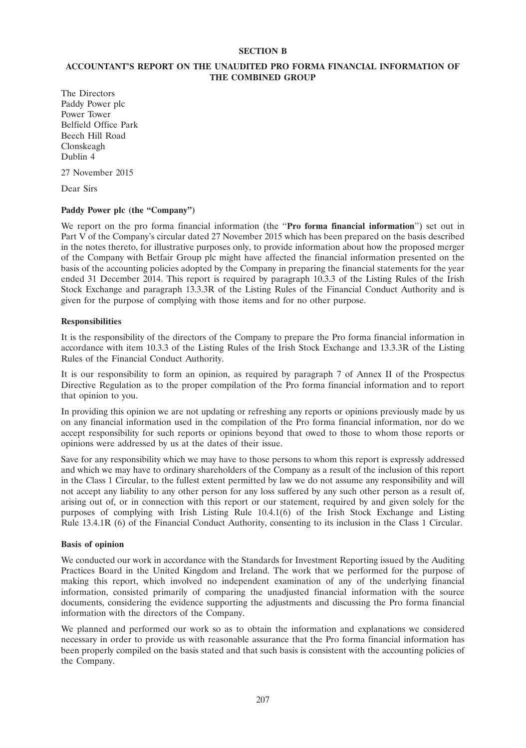## **SECTION B**

# **ACCOUNTANT'S REPORT ON THE UNAUDITED PRO FORMA FINANCIAL INFORMATION OF THE COMBINED GROUP**

The Directors Paddy Power plc Power Tower Belfield Office Park Beech Hill Road Clonskeagh Dublin 4

27 November 2015

Dear Sirs

# Paddy Power plc (the "Company")

We report on the pro forma financial information (the ''**Pro forma financial information**'') set out in Part V of the Company's circular dated 27 November 2015 which has been prepared on the basis described in the notes thereto, for illustrative purposes only, to provide information about how the proposed merger of the Company with Betfair Group plc might have affected the financial information presented on the basis of the accounting policies adopted by the Company in preparing the financial statements for the year ended 31 December 2014. This report is required by paragraph 10.3.3 of the Listing Rules of the Irish Stock Exchange and paragraph 13.3.3R of the Listing Rules of the Financial Conduct Authority and is given for the purpose of complying with those items and for no other purpose.

### **Responsibilities**

It is the responsibility of the directors of the Company to prepare the Pro forma financial information in accordance with item 10.3.3 of the Listing Rules of the Irish Stock Exchange and 13.3.3R of the Listing Rules of the Financial Conduct Authority.

It is our responsibility to form an opinion, as required by paragraph 7 of Annex II of the Prospectus Directive Regulation as to the proper compilation of the Pro forma financial information and to report that opinion to you.

In providing this opinion we are not updating or refreshing any reports or opinions previously made by us on any financial information used in the compilation of the Pro forma financial information, nor do we accept responsibility for such reports or opinions beyond that owed to those to whom those reports or opinions were addressed by us at the dates of their issue.

Save for any responsibility which we may have to those persons to whom this report is expressly addressed and which we may have to ordinary shareholders of the Company as a result of the inclusion of this report in the Class 1 Circular, to the fullest extent permitted by law we do not assume any responsibility and will not accept any liability to any other person for any loss suffered by any such other person as a result of, arising out of, or in connection with this report or our statement, required by and given solely for the purposes of complying with Irish Listing Rule 10.4.1(6) of the Irish Stock Exchange and Listing Rule 13.4.1R (6) of the Financial Conduct Authority, consenting to its inclusion in the Class 1 Circular.

### **Basis of opinion**

We conducted our work in accordance with the Standards for Investment Reporting issued by the Auditing Practices Board in the United Kingdom and Ireland. The work that we performed for the purpose of making this report, which involved no independent examination of any of the underlying financial information, consisted primarily of comparing the unadjusted financial information with the source documents, considering the evidence supporting the adjustments and discussing the Pro forma financial information with the directors of the Company.

We planned and performed our work so as to obtain the information and explanations we considered necessary in order to provide us with reasonable assurance that the Pro forma financial information has been properly compiled on the basis stated and that such basis is consistent with the accounting policies of the Company.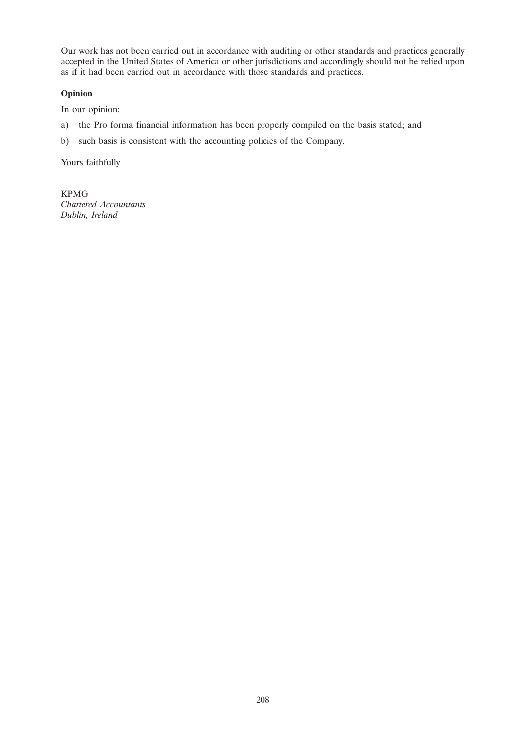Our work has not been carried out in accordance with auditing or other standards and practices generally accepted in the United States of America or other jurisdictions and accordingly should not be relied upon as if it had been carried out in accordance with those standards and practices.

# **Opinion**

In our opinion:

- a) the Pro forma financial information has been properly compiled on the basis stated; and
- b) such basis is consistent with the accounting policies of the Company.

Yours faithfully

KPMG *Chartered Accountants Dublin, Ireland*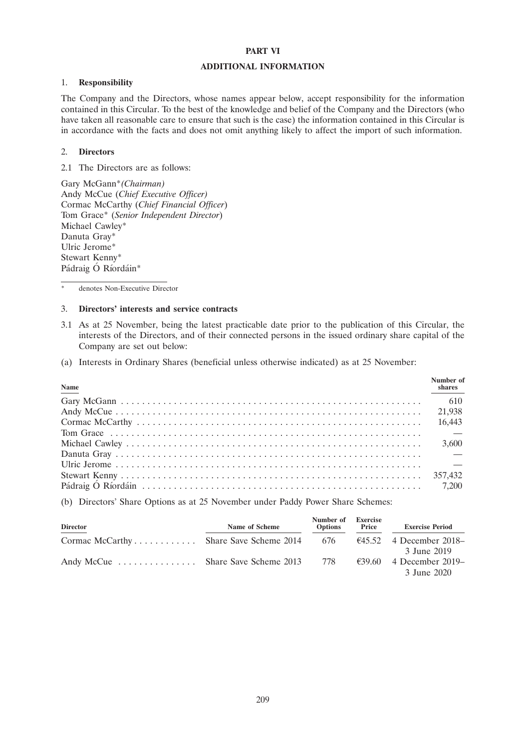### **PART VI**

## **ADDITIONAL INFORMATION**

# 1. **Responsibility**

The Company and the Directors, whose names appear below, accept responsibility for the information contained in this Circular. To the best of the knowledge and belief of the Company and the Directors (who have taken all reasonable care to ensure that such is the case) the information contained in this Circular is in accordance with the facts and does not omit anything likely to affect the import of such information.

### 2. **Directors**

2.1 The Directors are as follows:

Gary McGann\**(Chairman)* Andy McCue (*Chief Executive Officer)* Cormac McCarthy (*Chief Financial Officer*) Tom Grace\* (*Senior Independent Director*) Michael Cawley\* Danuta Gray\* Ulric Jerome\* Stewart Kenny\* Pádraig Ó Ríordáin\*

denotes Non-Executive Director

## 3. **Directors' interests and service contracts**

- 3.1 As at 25 November, being the latest practicable date prior to the publication of this Circular, the interests of the Directors, and of their connected persons in the issued ordinary share capital of the Company are set out below:
- (a) Interests in Ordinary Shares (beneficial unless otherwise indicated) as at 25 November:

| Name | Number of<br>shares |
|------|---------------------|
|      | 610                 |
|      |                     |
|      |                     |
|      |                     |
|      | 3,600               |
|      |                     |
|      |                     |
|      |                     |
|      |                     |

(b) Directors' Share Options as at 25 November under Paddy Power Share Schemes:

| <b>Director</b>                        | Name of Scheme | Number of<br><b>Options</b> | <b>Exercise</b><br>Price | <b>Exercise Period</b>            |
|----------------------------------------|----------------|-----------------------------|--------------------------|-----------------------------------|
| Cormac McCarthy Share Save Scheme 2014 |                | 676                         |                          | $\epsilon$ 45.52 4 December 2018– |
|                                        |                |                             |                          | 3 June 2019                       |
| Andy McCue  Share Save Scheme 2013     |                | 778                         | €39.60                   | 4 December 2019–                  |
|                                        |                |                             |                          | 3 June 2020                       |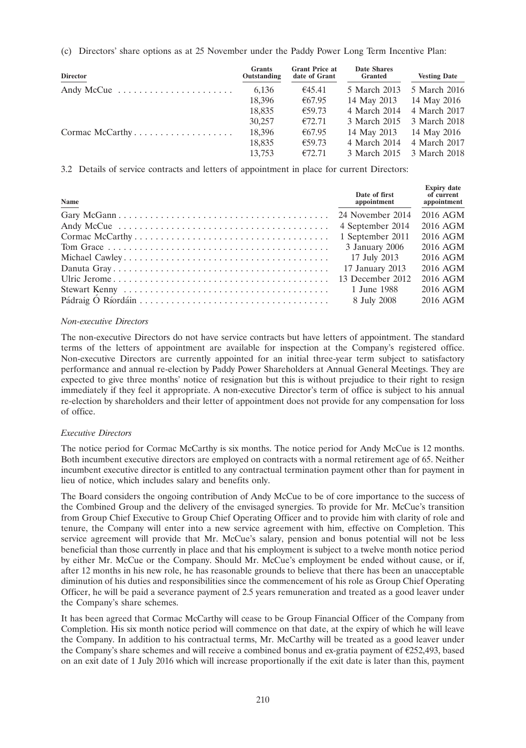(c) Directors' share options as at 25 November under the Paddy Power Long Term Incentive Plan:

| <b>Director</b> | <b>Grants</b><br>Outstanding | <b>Grant Price at</b><br>date of Grant | <b>Date Shares</b><br><b>Granted</b> | <b>Vesting Date</b> |
|-----------------|------------------------------|----------------------------------------|--------------------------------------|---------------------|
| Andy McCue      | 6,136                        | €45.41                                 | 5 March 2013                         | 5 March 2016        |
|                 | 18,396                       | €67.95                                 | 14 May 2013                          | 14 May 2016         |
|                 | 18,835                       | €59.73                                 | 4 March 2014                         | 4 March 2017        |
|                 | 30,257                       | €72.71                                 | 3 March 2015                         | 3 March 2018        |
| Cormac McCarthy | 18,396                       | €67.95                                 | 14 May 2013                          | 14 May 2016         |
|                 | 18,835                       | €59.73                                 | 4 March 2014                         | 4 March 2017        |
|                 | 13.753                       | €72.71                                 | 3 March 2015                         | 3 March 2018        |

3.2 Details of service contracts and letters of appointment in place for current Directors:

| Name | Date of first<br>appointment | <b>Expiry date</b><br>of current<br>appointment |
|------|------------------------------|-------------------------------------------------|
|      |                              | 2016 AGM                                        |
|      | 4 September 2014             | 2016 AGM                                        |
|      | 1 September 2011             | 2016 AGM                                        |
|      | 3 January 2006               | 2016 AGM                                        |
|      | 17 July 2013                 | 2016 AGM                                        |
|      | 17 January 2013              | 2016 AGM                                        |
|      |                              | $2016$ AGM                                      |
|      | 1 June 1988                  | 2016 AGM                                        |
|      | 8 July 2008                  | 2016 AGM                                        |

# *Non-executive Directors*

The non-executive Directors do not have service contracts but have letters of appointment. The standard terms of the letters of appointment are available for inspection at the Company's registered office. Non-executive Directors are currently appointed for an initial three-year term subject to satisfactory performance and annual re-election by Paddy Power Shareholders at Annual General Meetings. They are expected to give three months' notice of resignation but this is without prejudice to their right to resign immediately if they feel it appropriate. A non-executive Director's term of office is subject to his annual re-election by shareholders and their letter of appointment does not provide for any compensation for loss of office.

# *Executive Directors*

The notice period for Cormac McCarthy is six months. The notice period for Andy McCue is 12 months. Both incumbent executive directors are employed on contracts with a normal retirement age of 65. Neither incumbent executive director is entitled to any contractual termination payment other than for payment in lieu of notice, which includes salary and benefits only.

The Board considers the ongoing contribution of Andy McCue to be of core importance to the success of the Combined Group and the delivery of the envisaged synergies. To provide for Mr. McCue's transition from Group Chief Executive to Group Chief Operating Officer and to provide him with clarity of role and tenure, the Company will enter into a new service agreement with him, effective on Completion. This service agreement will provide that Mr. McCue's salary, pension and bonus potential will not be less beneficial than those currently in place and that his employment is subject to a twelve month notice period by either Mr. McCue or the Company. Should Mr. McCue's employment be ended without cause, or if, after 12 months in his new role, he has reasonable grounds to believe that there has been an unacceptable diminution of his duties and responsibilities since the commencement of his role as Group Chief Operating Officer, he will be paid a severance payment of 2.5 years remuneration and treated as a good leaver under the Company's share schemes.

It has been agreed that Cormac McCarthy will cease to be Group Financial Officer of the Company from Completion. His six month notice period will commence on that date, at the expiry of which he will leave the Company. In addition to his contractual terms, Mr. McCarthy will be treated as a good leaver under the Company's share schemes and will receive a combined bonus and ex-gratia payment of  $E$ 252,493, based on an exit date of 1 July 2016 which will increase proportionally if the exit date is later than this, payment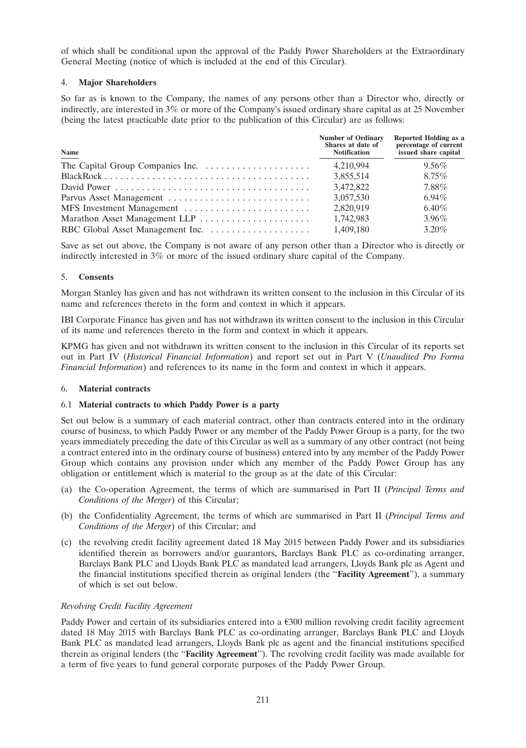of which shall be conditional upon the approval of the Paddy Power Shareholders at the Extraordinary General Meeting (notice of which is included at the end of this Circular).

# 4. **Major Shareholders**

So far as is known to the Company, the names of any persons other than a Director who, directly or indirectly, are interested in 3% or more of the Company's issued ordinary share capital as at 25 November (being the latest practicable date prior to the publication of this Circular) are as follows:

| Name | <b>Number of Ordinary</b><br>Shares at date of<br><b>Notification</b> | Reported Holding as a<br>percentage of current<br>issued share capital |
|------|-----------------------------------------------------------------------|------------------------------------------------------------------------|
|      | 4,210,994                                                             | $9.56\%$                                                               |
|      | 3,855,514                                                             | $8.75\%$                                                               |
|      | 3,472,822                                                             | 7.88%                                                                  |
|      | 3,057,530                                                             | $6.94\%$                                                               |
|      | 2,820,919                                                             | $6.40\%$                                                               |
|      | 1,742,983                                                             | $3.96\%$                                                               |
|      | 1,409,180                                                             | $3.20\%$                                                               |

Save as set out above, the Company is not aware of any person other than a Director who is directly or indirectly interested in 3% or more of the issued ordinary share capital of the Company.

# 5. **Consents**

Morgan Stanley has given and has not withdrawn its written consent to the inclusion in this Circular of its name and references thereto in the form and context in which it appears.

IBI Corporate Finance has given and has not withdrawn its written consent to the inclusion in this Circular of its name and references thereto in the form and context in which it appears.

KPMG has given and not withdrawn its written consent to the inclusion in this Circular of its reports set out in Part IV (*Historical Financial Information*) and report set out in Part V (*Unaudited Pro Forma Financial Information*) and references to its name in the form and context in which it appears.

# 6. **Material contracts**

# 6.1 **Material contracts to which Paddy Power is a party**

Set out below is a summary of each material contract, other than contracts entered into in the ordinary course of business, to which Paddy Power or any member of the Paddy Power Group is a party, for the two years immediately preceding the date of this Circular as well as a summary of any other contract (not being a contract entered into in the ordinary course of business) entered into by any member of the Paddy Power Group which contains any provision under which any member of the Paddy Power Group has any obligation or entitlement which is material to the group as at the date of this Circular:

- (a) the Co-operation Agreement, the terms of which are summarised in Part II (*Principal Terms and Conditions of the Merger*) of this Circular;
- (b) the Confidentiality Agreement, the terms of which are summarised in Part II (*Principal Terms and Conditions of the Merger*) of this Circular; and
- (c) the revolving credit facility agreement dated 18 May 2015 between Paddy Power and its subsidiaries identified therein as borrowers and/or guarantors, Barclays Bank PLC as co-ordinating arranger, Barclays Bank PLC and Lloyds Bank PLC as mandated lead arrangers, Lloyds Bank plc as Agent and the financial institutions specified therein as original lenders (the ''**Facility Agreement**''), a summary of which is set out below.

# *Revolving Credit Facility Agreement*

Paddy Power and certain of its subsidiaries entered into a  $\epsilon$ 300 million revolving credit facility agreement dated 18 May 2015 with Barclays Bank PLC as co-ordinating arranger, Barclays Bank PLC and Lloyds Bank PLC as mandated lead arrangers, Lloyds Bank plc as agent and the financial institutions specified therein as original lenders (the ''**Facility Agreement**''). The revolving credit facility was made available for a term of five years to fund general corporate purposes of the Paddy Power Group.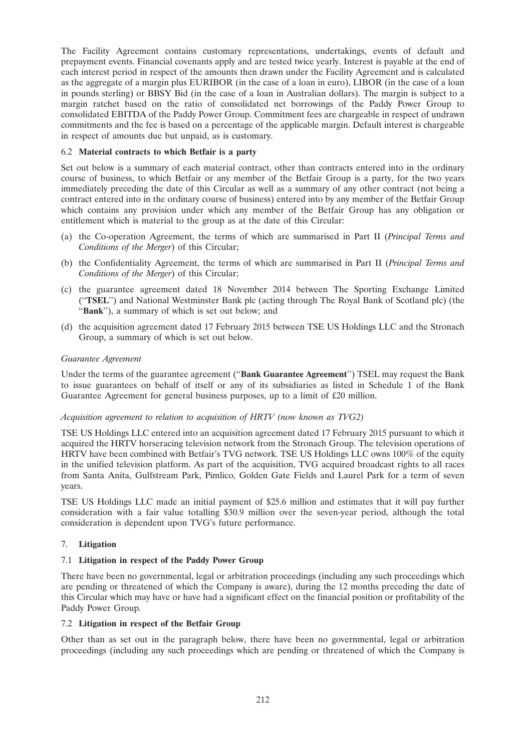The Facility Agreement contains customary representations, undertakings, events of default and prepayment events. Financial covenants apply and are tested twice yearly. Interest is payable at the end of each interest period in respect of the amounts then drawn under the Facility Agreement and is calculated as the aggregate of a margin plus EURIBOR (in the case of a loan in euro), LIBOR (in the case of a loan in pounds sterling) or BBSY Bid (in the case of a loan in Australian dollars). The margin is subject to a margin ratchet based on the ratio of consolidated net borrowings of the Paddy Power Group to consolidated EBITDA of the Paddy Power Group. Commitment fees are chargeable in respect of undrawn commitments and the fee is based on a percentage of the applicable margin. Default interest is chargeable in respect of amounts due but unpaid, as is customary.

# 6.2 **Material contracts to which Betfair is a party**

Set out below is a summary of each material contract, other than contracts entered into in the ordinary course of business, to which Betfair or any member of the Betfair Group is a party, for the two years immediately preceding the date of this Circular as well as a summary of any other contract (not being a contract entered into in the ordinary course of business) entered into by any member of the Betfair Group which contains any provision under which any member of the Betfair Group has any obligation or entitlement which is material to the group as at the date of this Circular:

- (a) the Co-operation Agreement, the terms of which are summarised in Part II (*Principal Terms and Conditions of the Merger*) of this Circular;
- (b) the Confidentiality Agreement, the terms of which are summarised in Part II (*Principal Terms and Conditions of the Merger*) of this Circular;
- (c) the guarantee agreement dated 18 November 2014 between The Sporting Exchange Limited (''**TSEL**'') and National Westminster Bank plc (acting through The Royal Bank of Scotland plc) (the "Bank"), a summary of which is set out below; and
- (d) the acquisition agreement dated 17 February 2015 between TSE US Holdings LLC and the Stronach Group, a summary of which is set out below.

# *Guarantee Agreement*

Under the terms of the guarantee agreement (''**Bank Guarantee Agreement**'') TSEL may request the Bank to issue guarantees on behalf of itself or any of its subsidiaries as listed in Schedule 1 of the Bank Guarantee Agreement for general business purposes, up to a limit of £20 million.

# *Acquisition agreement to relation to acquisition of HRTV (now known as TVG2)*

TSE US Holdings LLC entered into an acquisition agreement dated 17 February 2015 pursuant to which it acquired the HRTV horseracing television network from the Stronach Group. The television operations of HRTV have been combined with Betfair's TVG network. TSE US Holdings LLC owns 100% of the equity in the unified television platform. As part of the acquisition, TVG acquired broadcast rights to all races from Santa Anita, Gulfstream Park, Pimlico, Golden Gate Fields and Laurel Park for a term of seven years.

TSE US Holdings LLC made an initial payment of \$25.6 million and estimates that it will pay further consideration with a fair value totalling \$30.9 million over the seven-year period, although the total consideration is dependent upon TVG's future performance.

# 7. **Litigation**

# 7.1 **Litigation in respect of the Paddy Power Group**

There have been no governmental, legal or arbitration proceedings (including any such proceedings which are pending or threatened of which the Company is aware), during the 12 months preceding the date of this Circular which may have or have had a significant effect on the financial position or profitability of the Paddy Power Group.

### 7.2 **Litigation in respect of the Betfair Group**

Other than as set out in the paragraph below, there have been no governmental, legal or arbitration proceedings (including any such proceedings which are pending or threatened of which the Company is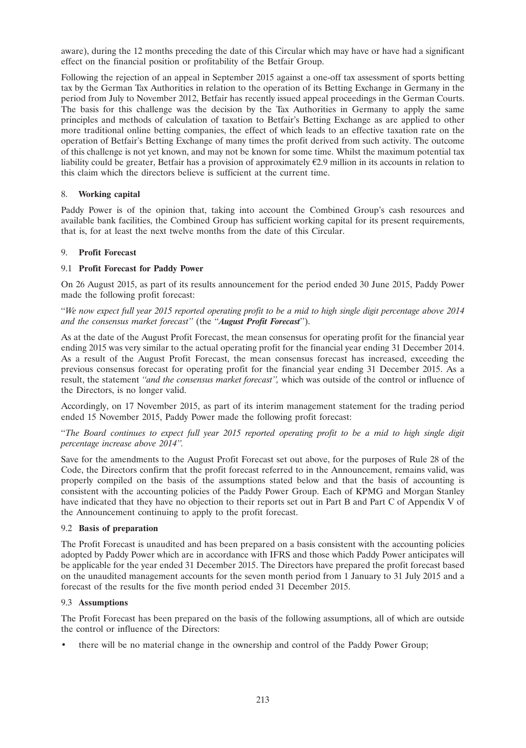aware), during the 12 months preceding the date of this Circular which may have or have had a significant effect on the financial position or profitability of the Betfair Group.

Following the rejection of an appeal in September 2015 against a one-off tax assessment of sports betting tax by the German Tax Authorities in relation to the operation of its Betting Exchange in Germany in the period from July to November 2012, Betfair has recently issued appeal proceedings in the German Courts. The basis for this challenge was the decision by the Tax Authorities in Germany to apply the same principles and methods of calculation of taxation to Betfair's Betting Exchange as are applied to other more traditional online betting companies, the effect of which leads to an effective taxation rate on the operation of Betfair's Betting Exchange of many times the profit derived from such activity. The outcome of this challenge is not yet known, and may not be known for some time. Whilst the maximum potential tax liability could be greater, Betfair has a provision of approximately  $E2.9$  million in its accounts in relation to this claim which the directors believe is sufficient at the current time.

## 8. **Working capital**

Paddy Power is of the opinion that, taking into account the Combined Group's cash resources and available bank facilities, the Combined Group has sufficient working capital for its present requirements, that is, for at least the next twelve months from the date of this Circular.

### 9. **Profit Forecast**

## 9.1 **Profit Forecast for Paddy Power**

On 26 August 2015, as part of its results announcement for the period ended 30 June 2015, Paddy Power made the following profit forecast:

''*We now expect full year 2015 reported operating profit to be a mid to high single digit percentage above 2014 and the consensus market forecast''* (the ''*August Profit Forecast*'').

As at the date of the August Profit Forecast, the mean consensus for operating profit for the financial year ending 2015 was very similar to the actual operating profit for the financial year ending 31 December 2014. As a result of the August Profit Forecast, the mean consensus forecast has increased, exceeding the previous consensus forecast for operating profit for the financial year ending 31 December 2015. As a result, the statement *''and the consensus market forecast'',* which was outside of the control or influence of the Directors, is no longer valid.

Accordingly, on 17 November 2015, as part of its interim management statement for the trading period ended 15 November 2015, Paddy Power made the following profit forecast:

''*The Board continues to expect full year 2015 reported operating profit to be a mid to high single digit percentage increase above 2014''.*

Save for the amendments to the August Profit Forecast set out above, for the purposes of Rule 28 of the Code, the Directors confirm that the profit forecast referred to in the Announcement, remains valid, was properly compiled on the basis of the assumptions stated below and that the basis of accounting is consistent with the accounting policies of the Paddy Power Group. Each of KPMG and Morgan Stanley have indicated that they have no objection to their reports set out in Part B and Part C of Appendix V of the Announcement continuing to apply to the profit forecast.

### 9.2 **Basis of preparation**

The Profit Forecast is unaudited and has been prepared on a basis consistent with the accounting policies adopted by Paddy Power which are in accordance with IFRS and those which Paddy Power anticipates will be applicable for the year ended 31 December 2015. The Directors have prepared the profit forecast based on the unaudited management accounts for the seven month period from 1 January to 31 July 2015 and a forecast of the results for the five month period ended 31 December 2015.

### 9.3 **Assumptions**

The Profit Forecast has been prepared on the basis of the following assumptions, all of which are outside the control or influence of the Directors:

• there will be no material change in the ownership and control of the Paddy Power Group;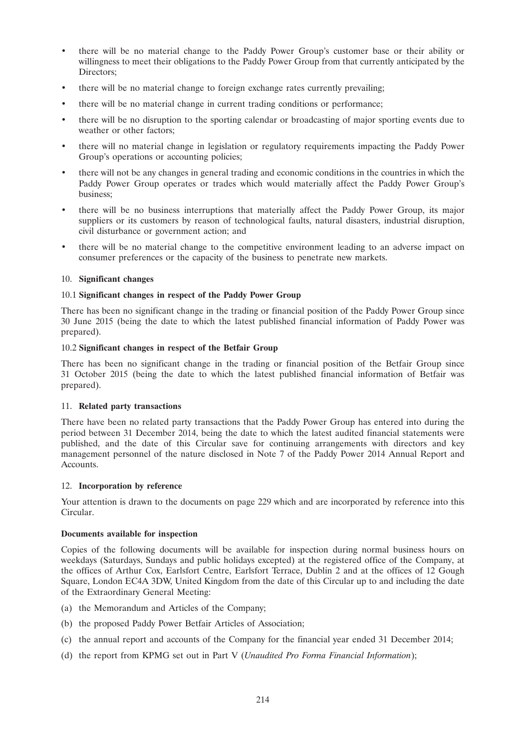- there will be no material change to the Paddy Power Group's customer base or their ability or willingness to meet their obligations to the Paddy Power Group from that currently anticipated by the Directors;
- there will be no material change to foreign exchange rates currently prevailing;
- there will be no material change in current trading conditions or performance;
- there will be no disruption to the sporting calendar or broadcasting of major sporting events due to weather or other factors;
- there will no material change in legislation or regulatory requirements impacting the Paddy Power Group's operations or accounting policies;
- there will not be any changes in general trading and economic conditions in the countries in which the Paddy Power Group operates or trades which would materially affect the Paddy Power Group's business;
- there will be no business interruptions that materially affect the Paddy Power Group, its major suppliers or its customers by reason of technological faults, natural disasters, industrial disruption, civil disturbance or government action; and
- there will be no material change to the competitive environment leading to an adverse impact on consumer preferences or the capacity of the business to penetrate new markets.

### 10. **Significant changes**

### 10.1 **Significant changes in respect of the Paddy Power Group**

There has been no significant change in the trading or financial position of the Paddy Power Group since 30 June 2015 (being the date to which the latest published financial information of Paddy Power was prepared).

#### 10.2 **Significant changes in respect of the Betfair Group**

There has been no significant change in the trading or financial position of the Betfair Group since 31 October 2015 (being the date to which the latest published financial information of Betfair was prepared).

### 11. **Related party transactions**

There have been no related party transactions that the Paddy Power Group has entered into during the period between 31 December 2014, being the date to which the latest audited financial statements were published, and the date of this Circular save for continuing arrangements with directors and key management personnel of the nature disclosed in Note 7 of the Paddy Power 2014 Annual Report and Accounts.

### 12. **Incorporation by reference**

Your attention is drawn to the documents on page 229 which and are incorporated by reference into this Circular.

### **Documents available for inspection**

Copies of the following documents will be available for inspection during normal business hours on weekdays (Saturdays, Sundays and public holidays excepted) at the registered office of the Company, at the offices of Arthur Cox, Earlsfort Centre, Earlsfort Terrace, Dublin 2 and at the offices of 12 Gough Square, London EC4A 3DW, United Kingdom from the date of this Circular up to and including the date of the Extraordinary General Meeting:

- (a) the Memorandum and Articles of the Company;
- (b) the proposed Paddy Power Betfair Articles of Association;
- (c) the annual report and accounts of the Company for the financial year ended 31 December 2014;
- (d) the report from KPMG set out in Part V (*Unaudited Pro Forma Financial Information*);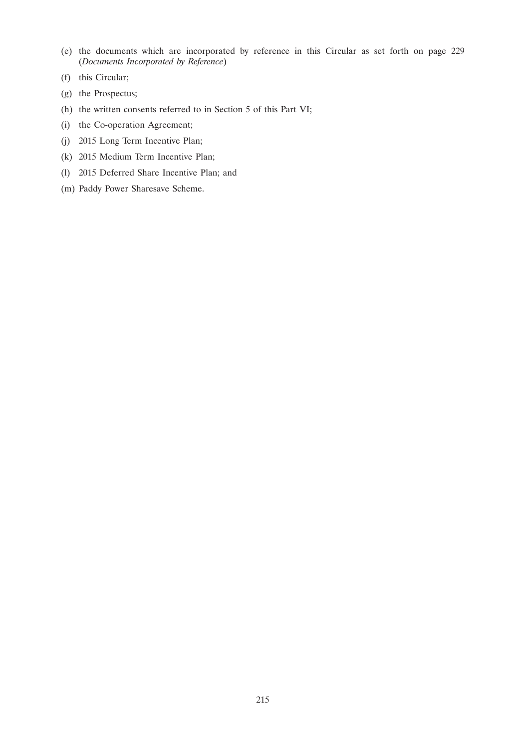- (e) the documents which are incorporated by reference in this Circular as set forth on page 229 (*Documents Incorporated by Reference*)
- (f) this Circular;
- (g) the Prospectus;
- (h) the written consents referred to in Section 5 of this Part VI;
- (i) the Co-operation Agreement;
- (j) 2015 Long Term Incentive Plan;
- (k) 2015 Medium Term Incentive Plan;
- (l) 2015 Deferred Share Incentive Plan; and
- (m) Paddy Power Sharesave Scheme.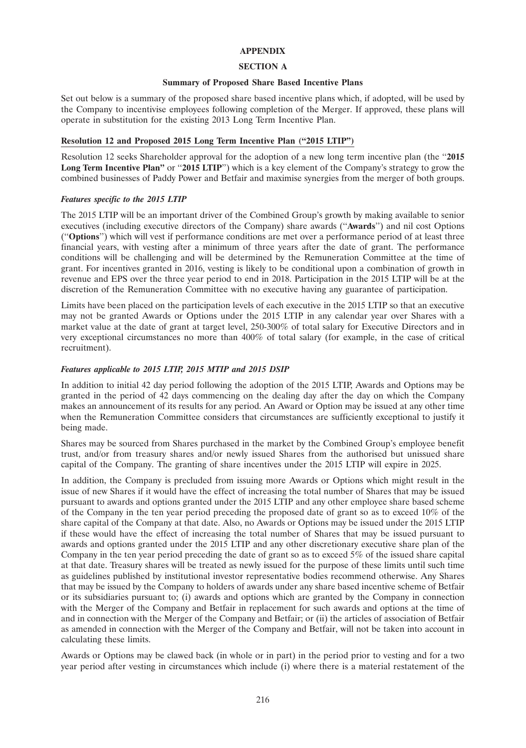#### **APPENDIX**

### **SECTION A**

#### **Summary of Proposed Share Based Incentive Plans**

Set out below is a summary of the proposed share based incentive plans which, if adopted, will be used by the Company to incentivise employees following completion of the Merger. If approved, these plans will operate in substitution for the existing 2013 Long Term Incentive Plan.

## **Resolution 12 and Proposed 2015 Long Term Incentive Plan (''2015 LTIP'')**

Resolution 12 seeks Shareholder approval for the adoption of a new long term incentive plan (the ''**2015 Long Term Incentive Plan''** or "2015 LTIP") which is a key element of the Company's strategy to grow the combined businesses of Paddy Power and Betfair and maximise synergies from the merger of both groups.

## *Features specific to the 2015 LTIP*

The 2015 LTIP will be an important driver of the Combined Group's growth by making available to senior executives (including executive directors of the Company) share awards (''**Awards**'') and nil cost Options (''**Options**'') which will vest if performance conditions are met over a performance period of at least three financial years, with vesting after a minimum of three years after the date of grant. The performance conditions will be challenging and will be determined by the Remuneration Committee at the time of grant. For incentives granted in 2016, vesting is likely to be conditional upon a combination of growth in revenue and EPS over the three year period to end in 2018. Participation in the 2015 LTIP will be at the discretion of the Remuneration Committee with no executive having any guarantee of participation.

Limits have been placed on the participation levels of each executive in the 2015 LTIP so that an executive may not be granted Awards or Options under the 2015 LTIP in any calendar year over Shares with a market value at the date of grant at target level, 250-300% of total salary for Executive Directors and in very exceptional circumstances no more than 400% of total salary (for example, in the case of critical recruitment).

### *Features applicable to 2015 LTIP, 2015 MTIP and 2015 DSIP*

In addition to initial 42 day period following the adoption of the 2015 LTIP, Awards and Options may be granted in the period of 42 days commencing on the dealing day after the day on which the Company makes an announcement of its results for any period. An Award or Option may be issued at any other time when the Remuneration Committee considers that circumstances are sufficiently exceptional to justify it being made.

Shares may be sourced from Shares purchased in the market by the Combined Group's employee benefit trust, and/or from treasury shares and/or newly issued Shares from the authorised but unissued share capital of the Company. The granting of share incentives under the 2015 LTIP will expire in 2025.

In addition, the Company is precluded from issuing more Awards or Options which might result in the issue of new Shares if it would have the effect of increasing the total number of Shares that may be issued pursuant to awards and options granted under the 2015 LTIP and any other employee share based scheme of the Company in the ten year period preceding the proposed date of grant so as to exceed 10% of the share capital of the Company at that date. Also, no Awards or Options may be issued under the 2015 LTIP if these would have the effect of increasing the total number of Shares that may be issued pursuant to awards and options granted under the 2015 LTIP and any other discretionary executive share plan of the Company in the ten year period preceding the date of grant so as to exceed 5% of the issued share capital at that date. Treasury shares will be treated as newly issued for the purpose of these limits until such time as guidelines published by institutional investor representative bodies recommend otherwise. Any Shares that may be issued by the Company to holders of awards under any share based incentive scheme of Betfair or its subsidiaries pursuant to; (i) awards and options which are granted by the Company in connection with the Merger of the Company and Betfair in replacement for such awards and options at the time of and in connection with the Merger of the Company and Betfair; or (ii) the articles of association of Betfair as amended in connection with the Merger of the Company and Betfair, will not be taken into account in calculating these limits.

Awards or Options may be clawed back (in whole or in part) in the period prior to vesting and for a two year period after vesting in circumstances which include (i) where there is a material restatement of the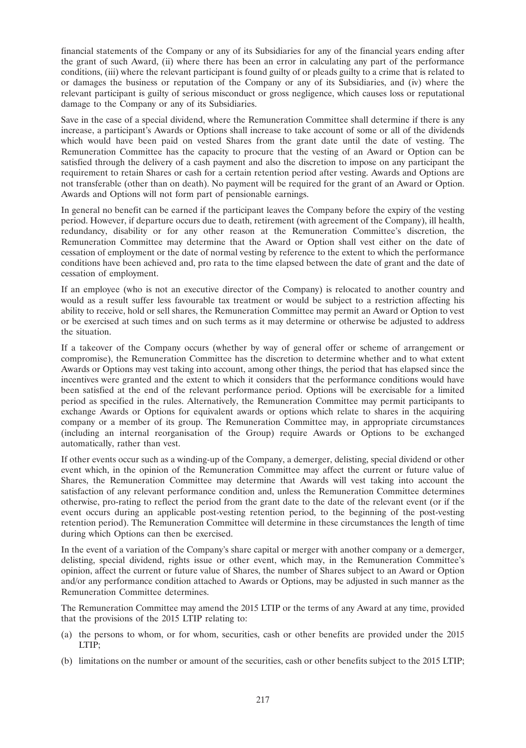financial statements of the Company or any of its Subsidiaries for any of the financial years ending after the grant of such Award, (ii) where there has been an error in calculating any part of the performance conditions, (iii) where the relevant participant is found guilty of or pleads guilty to a crime that is related to or damages the business or reputation of the Company or any of its Subsidiaries, and (iv) where the relevant participant is guilty of serious misconduct or gross negligence, which causes loss or reputational damage to the Company or any of its Subsidiaries.

Save in the case of a special dividend, where the Remuneration Committee shall determine if there is any increase, a participant's Awards or Options shall increase to take account of some or all of the dividends which would have been paid on vested Shares from the grant date until the date of vesting. The Remuneration Committee has the capacity to procure that the vesting of an Award or Option can be satisfied through the delivery of a cash payment and also the discretion to impose on any participant the requirement to retain Shares or cash for a certain retention period after vesting. Awards and Options are not transferable (other than on death). No payment will be required for the grant of an Award or Option. Awards and Options will not form part of pensionable earnings.

In general no benefit can be earned if the participant leaves the Company before the expiry of the vesting period. However, if departure occurs due to death, retirement (with agreement of the Company), ill health, redundancy, disability or for any other reason at the Remuneration Committee's discretion, the Remuneration Committee may determine that the Award or Option shall vest either on the date of cessation of employment or the date of normal vesting by reference to the extent to which the performance conditions have been achieved and, pro rata to the time elapsed between the date of grant and the date of cessation of employment.

If an employee (who is not an executive director of the Company) is relocated to another country and would as a result suffer less favourable tax treatment or would be subject to a restriction affecting his ability to receive, hold or sell shares, the Remuneration Committee may permit an Award or Option to vest or be exercised at such times and on such terms as it may determine or otherwise be adjusted to address the situation.

If a takeover of the Company occurs (whether by way of general offer or scheme of arrangement or compromise), the Remuneration Committee has the discretion to determine whether and to what extent Awards or Options may vest taking into account, among other things, the period that has elapsed since the incentives were granted and the extent to which it considers that the performance conditions would have been satisfied at the end of the relevant performance period. Options will be exercisable for a limited period as specified in the rules. Alternatively, the Remuneration Committee may permit participants to exchange Awards or Options for equivalent awards or options which relate to shares in the acquiring company or a member of its group. The Remuneration Committee may, in appropriate circumstances (including an internal reorganisation of the Group) require Awards or Options to be exchanged automatically, rather than vest.

If other events occur such as a winding-up of the Company, a demerger, delisting, special dividend or other event which, in the opinion of the Remuneration Committee may affect the current or future value of Shares, the Remuneration Committee may determine that Awards will vest taking into account the satisfaction of any relevant performance condition and, unless the Remuneration Committee determines otherwise, pro-rating to reflect the period from the grant date to the date of the relevant event (or if the event occurs during an applicable post-vesting retention period, to the beginning of the post-vesting retention period). The Remuneration Committee will determine in these circumstances the length of time during which Options can then be exercised.

In the event of a variation of the Company's share capital or merger with another company or a demerger, delisting, special dividend, rights issue or other event, which may, in the Remuneration Committee's opinion, affect the current or future value of Shares, the number of Shares subject to an Award or Option and/or any performance condition attached to Awards or Options, may be adjusted in such manner as the Remuneration Committee determines.

The Remuneration Committee may amend the 2015 LTIP or the terms of any Award at any time, provided that the provisions of the 2015 LTIP relating to:

- (a) the persons to whom, or for whom, securities, cash or other benefits are provided under the 2015 LTIP;
- (b) limitations on the number or amount of the securities, cash or other benefits subject to the 2015 LTIP;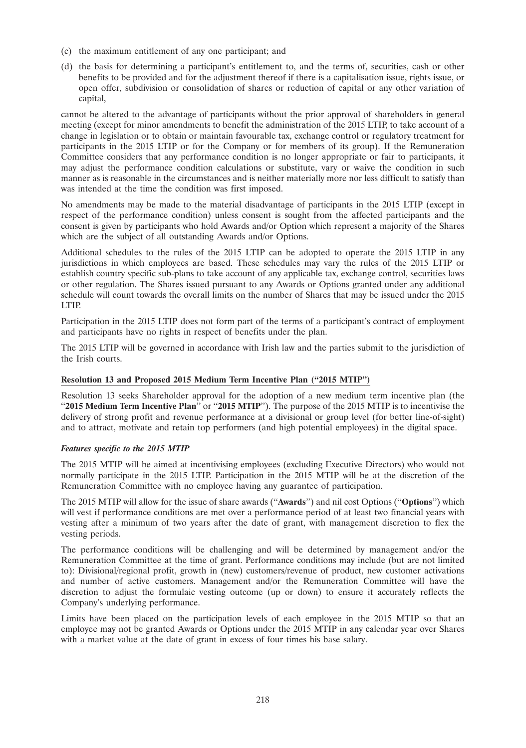- (c) the maximum entitlement of any one participant; and
- (d) the basis for determining a participant's entitlement to, and the terms of, securities, cash or other benefits to be provided and for the adjustment thereof if there is a capitalisation issue, rights issue, or open offer, subdivision or consolidation of shares or reduction of capital or any other variation of capital,

cannot be altered to the advantage of participants without the prior approval of shareholders in general meeting (except for minor amendments to benefit the administration of the 2015 LTIP, to take account of a change in legislation or to obtain or maintain favourable tax, exchange control or regulatory treatment for participants in the 2015 LTIP or for the Company or for members of its group). If the Remuneration Committee considers that any performance condition is no longer appropriate or fair to participants, it may adjust the performance condition calculations or substitute, vary or waive the condition in such manner as is reasonable in the circumstances and is neither materially more nor less difficult to satisfy than was intended at the time the condition was first imposed.

No amendments may be made to the material disadvantage of participants in the 2015 LTIP (except in respect of the performance condition) unless consent is sought from the affected participants and the consent is given by participants who hold Awards and/or Option which represent a majority of the Shares which are the subject of all outstanding Awards and/or Options.

Additional schedules to the rules of the 2015 LTIP can be adopted to operate the 2015 LTIP in any jurisdictions in which employees are based. These schedules may vary the rules of the 2015 LTIP or establish country specific sub-plans to take account of any applicable tax, exchange control, securities laws or other regulation. The Shares issued pursuant to any Awards or Options granted under any additional schedule will count towards the overall limits on the number of Shares that may be issued under the 2015 LTIP.

Participation in the 2015 LTIP does not form part of the terms of a participant's contract of employment and participants have no rights in respect of benefits under the plan.

The 2015 LTIP will be governed in accordance with Irish law and the parties submit to the jurisdiction of the Irish courts.

# **Resolution 13 and Proposed 2015 Medium Term Incentive Plan (''2015 MTIP'')**

Resolution 13 seeks Shareholder approval for the adoption of a new medium term incentive plan (the "2015 Medium Term Incentive Plan<sup>"</sup> or "2015 MTIP"). The purpose of the 2015 MTIP is to incentivise the delivery of strong profit and revenue performance at a divisional or group level (for better line-of-sight) and to attract, motivate and retain top performers (and high potential employees) in the digital space.

# *Features specific to the 2015 MTIP*

The 2015 MTIP will be aimed at incentivising employees (excluding Executive Directors) who would not normally participate in the 2015 LTIP. Participation in the 2015 MTIP will be at the discretion of the Remuneration Committee with no employee having any guarantee of participation.

The 2015 MTIP will allow for the issue of share awards (''**Awards**'') and nil cost Options (''**Options**'') which will vest if performance conditions are met over a performance period of at least two financial years with vesting after a minimum of two years after the date of grant, with management discretion to flex the vesting periods.

The performance conditions will be challenging and will be determined by management and/or the Remuneration Committee at the time of grant. Performance conditions may include (but are not limited to): Divisional/regional profit, growth in (new) customers/revenue of product, new customer activations and number of active customers. Management and/or the Remuneration Committee will have the discretion to adjust the formulaic vesting outcome (up or down) to ensure it accurately reflects the Company's underlying performance.

Limits have been placed on the participation levels of each employee in the 2015 MTIP so that an employee may not be granted Awards or Options under the 2015 MTIP in any calendar year over Shares with a market value at the date of grant in excess of four times his base salary.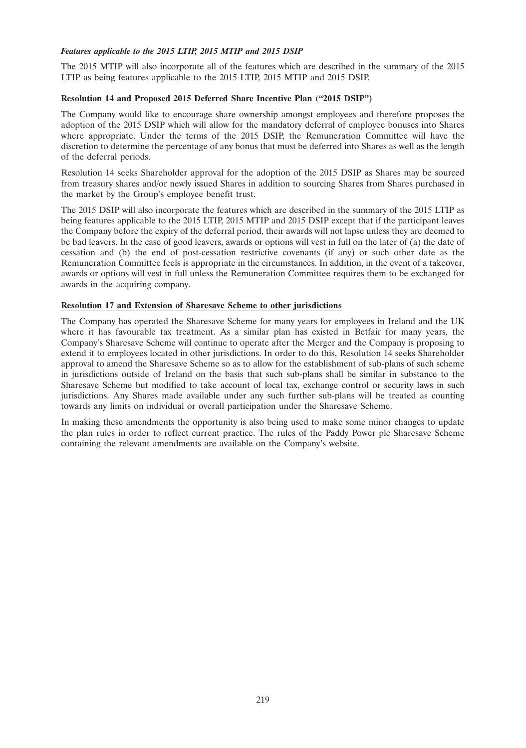## *Features applicable to the 2015 LTIP, 2015 MTIP and 2015 DSIP*

The 2015 MTIP will also incorporate all of the features which are described in the summary of the 2015 LTIP as being features applicable to the 2015 LTIP, 2015 MTIP and 2015 DSIP.

## **Resolution 14 and Proposed 2015 Deferred Share Incentive Plan (''2015 DSIP'')**

The Company would like to encourage share ownership amongst employees and therefore proposes the adoption of the 2015 DSIP which will allow for the mandatory deferral of employee bonuses into Shares where appropriate. Under the terms of the 2015 DSIP, the Remuneration Committee will have the discretion to determine the percentage of any bonus that must be deferred into Shares as well as the length of the deferral periods.

Resolution 14 seeks Shareholder approval for the adoption of the 2015 DSIP as Shares may be sourced from treasury shares and/or newly issued Shares in addition to sourcing Shares from Shares purchased in the market by the Group's employee benefit trust.

The 2015 DSIP will also incorporate the features which are described in the summary of the 2015 LTIP as being features applicable to the 2015 LTIP, 2015 MTIP and 2015 DSIP except that if the participant leaves the Company before the expiry of the deferral period, their awards will not lapse unless they are deemed to be bad leavers. In the case of good leavers, awards or options will vest in full on the later of (a) the date of cessation and (b) the end of post-cessation restrictive covenants (if any) or such other date as the Remuneration Committee feels is appropriate in the circumstances. In addition, in the event of a takeover, awards or options will vest in full unless the Remuneration Committee requires them to be exchanged for awards in the acquiring company.

## **Resolution 17 and Extension of Sharesave Scheme to other jurisdictions**

The Company has operated the Sharesave Scheme for many years for employees in Ireland and the UK where it has favourable tax treatment. As a similar plan has existed in Betfair for many years, the Company's Sharesave Scheme will continue to operate after the Merger and the Company is proposing to extend it to employees located in other jurisdictions. In order to do this, Resolution 14 seeks Shareholder approval to amend the Sharesave Scheme so as to allow for the establishment of sub-plans of such scheme in jurisdictions outside of Ireland on the basis that such sub-plans shall be similar in substance to the Sharesave Scheme but modified to take account of local tax, exchange control or security laws in such jurisdictions. Any Shares made available under any such further sub-plans will be treated as counting towards any limits on individual or overall participation under the Sharesave Scheme.

In making these amendments the opportunity is also being used to make some minor changes to update the plan rules in order to reflect current practice. The rules of the Paddy Power plc Sharesave Scheme containing the relevant amendments are available on the Company's website.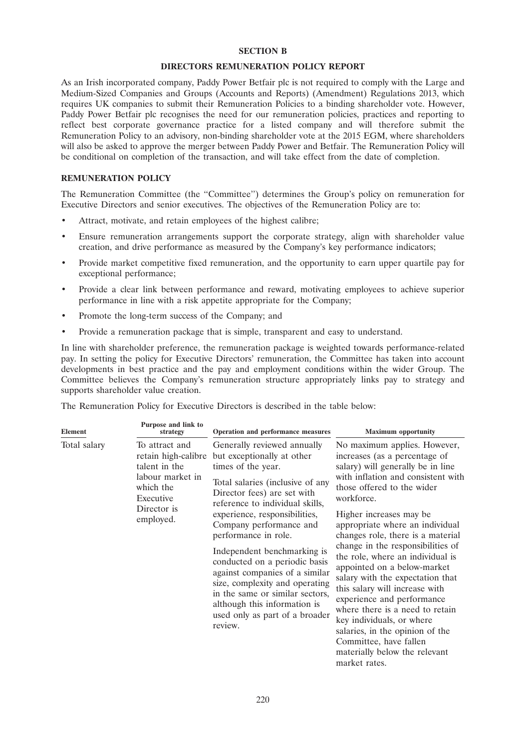#### **SECTION B**

#### **DIRECTORS REMUNERATION POLICY REPORT**

As an Irish incorporated company, Paddy Power Betfair plc is not required to comply with the Large and Medium-Sized Companies and Groups (Accounts and Reports) (Amendment) Regulations 2013, which requires UK companies to submit their Remuneration Policies to a binding shareholder vote. However, Paddy Power Betfair plc recognises the need for our remuneration policies, practices and reporting to reflect best corporate governance practice for a listed company and will therefore submit the Remuneration Policy to an advisory, non-binding shareholder vote at the 2015 EGM, where shareholders will also be asked to approve the merger between Paddy Power and Betfair. The Remuneration Policy will be conditional on completion of the transaction, and will take effect from the date of completion.

# **REMUNERATION POLICY**

The Remuneration Committee (the ''Committee'') determines the Group's policy on remuneration for Executive Directors and senior executives. The objectives of the Remuneration Policy are to:

- Attract, motivate, and retain employees of the highest calibre;
- Ensure remuneration arrangements support the corporate strategy, align with shareholder value creation, and drive performance as measured by the Company's key performance indicators;
- Provide market competitive fixed remuneration, and the opportunity to earn upper quartile pay for exceptional performance;
- Provide a clear link between performance and reward, motivating employees to achieve superior performance in line with a risk appetite appropriate for the Company;
- Promote the long-term success of the Company; and
- Provide a remuneration package that is simple, transparent and easy to understand.

In line with shareholder preference, the remuneration package is weighted towards performance-related pay. In setting the policy for Executive Directors' remuneration, the Committee has taken into account developments in best practice and the pay and employment conditions within the wider Group. The Committee believes the Company's remuneration structure appropriately links pay to strategy and supports shareholder value creation.

The Remuneration Policy for Executive Directors is described in the table below:

| <b>Element</b> | Purpose and link to<br>strategy                                                                                                  | Operation and performance measures                                                                                                                                                                                                                                                                                                                                                                                                                                                                                            | <b>Maximum</b> opportunity                                                                                                                                                                                                                                                                                                                                                                                                                                                                                                                                                                                                                                                         |
|----------------|----------------------------------------------------------------------------------------------------------------------------------|-------------------------------------------------------------------------------------------------------------------------------------------------------------------------------------------------------------------------------------------------------------------------------------------------------------------------------------------------------------------------------------------------------------------------------------------------------------------------------------------------------------------------------|------------------------------------------------------------------------------------------------------------------------------------------------------------------------------------------------------------------------------------------------------------------------------------------------------------------------------------------------------------------------------------------------------------------------------------------------------------------------------------------------------------------------------------------------------------------------------------------------------------------------------------------------------------------------------------|
| Total salary   | To attract and<br>retain high-calibre<br>talent in the<br>labour market in<br>which the<br>Executive<br>Director is<br>employed. | Generally reviewed annually<br>but exceptionally at other<br>times of the year.<br>Total salaries (inclusive of any<br>Director fees) are set with<br>reference to individual skills,<br>experience, responsibilities,<br>Company performance and<br>performance in role.<br>Independent benchmarking is<br>conducted on a periodic basis<br>against companies of a similar<br>size, complexity and operating<br>in the same or similar sectors,<br>although this information is<br>used only as part of a broader<br>review. | No maximum applies. However,<br>increases (as a percentage of<br>salary) will generally be in line<br>with inflation and consistent with<br>those offered to the wider<br>workforce.<br>Higher increases may be<br>appropriate where an individual<br>changes role, there is a material<br>change in the responsibilities of<br>the role, where an individual is<br>appointed on a below-market<br>salary with the expectation that<br>this salary will increase with<br>experience and performance<br>where there is a need to retain<br>key individuals, or where<br>salaries, in the opinion of the<br>Committee, have fallen<br>materially below the relevant<br>market rates. |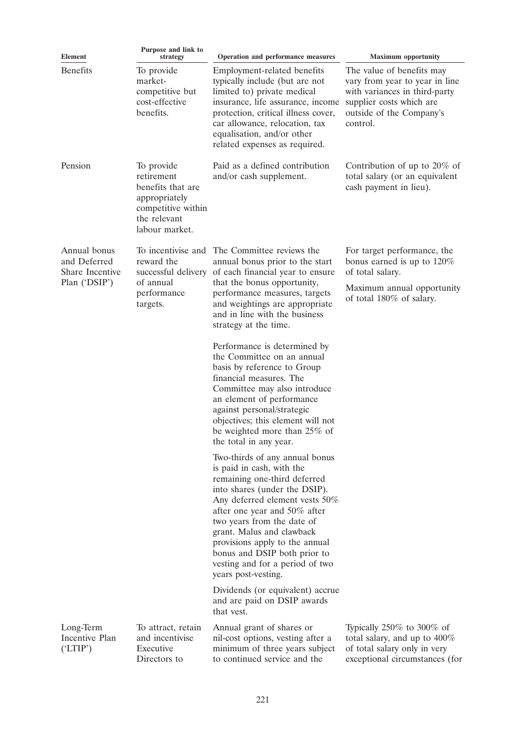| <b>Element</b>                                  | Purpose and link to<br>strategy                                                                                                                                                                  | Operation and performance measures                                                                                                                                                                                                                                                                                                                                                    | <b>Maximum</b> opportunity                                                                                                                                       |
|-------------------------------------------------|--------------------------------------------------------------------------------------------------------------------------------------------------------------------------------------------------|---------------------------------------------------------------------------------------------------------------------------------------------------------------------------------------------------------------------------------------------------------------------------------------------------------------------------------------------------------------------------------------|------------------------------------------------------------------------------------------------------------------------------------------------------------------|
| <b>Benefits</b>                                 | To provide<br>market-<br>competitive but<br>cost-effective<br>benefits.                                                                                                                          | Employment-related benefits<br>typically include (but are not<br>limited to) private medical<br>insurance, life assurance, income<br>protection, critical illness cover,<br>car allowance, relocation, tax<br>equalisation, and/or other<br>related expenses as required.                                                                                                             | The value of benefits may<br>vary from year to year in line<br>with variances in third-party<br>supplier costs which are<br>outside of the Company's<br>control. |
| Pension                                         | To provide<br>retirement<br>benefits that are<br>appropriately<br>competitive within<br>the relevant<br>labour market.                                                                           | Paid as a defined contribution<br>and/or cash supplement.                                                                                                                                                                                                                                                                                                                             | Contribution of up to $20\%$ of<br>total salary (or an equivalent<br>cash payment in lieu).                                                                      |
| Annual bonus<br>and Deferred<br>Share Incentive | To incentivise and<br>reward the<br>successful delivery                                                                                                                                          | The Committee reviews the<br>annual bonus prior to the start<br>of each financial year to ensure                                                                                                                                                                                                                                                                                      | For target performance, the<br>bonus earned is up to $120\%$<br>of total salary.                                                                                 |
| Plan ('DSIP')                                   | that the bonus opportunity,<br>of annual<br>performance<br>performance measures, targets<br>and weightings are appropriate<br>targets.<br>and in line with the business<br>strategy at the time. |                                                                                                                                                                                                                                                                                                                                                                                       | Maximum annual opportunity<br>of total 180% of salary.                                                                                                           |
|                                                 |                                                                                                                                                                                                  | Performance is determined by<br>the Committee on an annual<br>basis by reference to Group<br>financial measures. The<br>Committee may also introduce<br>an element of performance<br>against personal/strategic<br>objectives; this element will not<br>be weighted more than 25% of<br>the total in any year.                                                                        |                                                                                                                                                                  |
|                                                 |                                                                                                                                                                                                  | Two-thirds of any annual bonus<br>is paid in cash, with the<br>remaining one-third deferred<br>into shares (under the DSIP).<br>Any deferred element vests 50%<br>after one year and 50% after<br>two years from the date of<br>grant. Malus and clawback<br>provisions apply to the annual<br>bonus and DSIP both prior to<br>vesting and for a period of two<br>years post-vesting. |                                                                                                                                                                  |
|                                                 |                                                                                                                                                                                                  | Dividends (or equivalent) accrue<br>and are paid on DSIP awards<br>that vest.                                                                                                                                                                                                                                                                                                         |                                                                                                                                                                  |
| Long-Term<br>Incentive Plan<br>(TTIP')          | To attract, retain<br>and incentivise<br>Executive<br>Directors to                                                                                                                               | Annual grant of shares or<br>nil-cost options, vesting after a<br>minimum of three years subject<br>to continued service and the                                                                                                                                                                                                                                                      | Typically $250\%$ to $300\%$ of<br>total salary, and up to $400\%$<br>of total salary only in very<br>exceptional circumstances (for                             |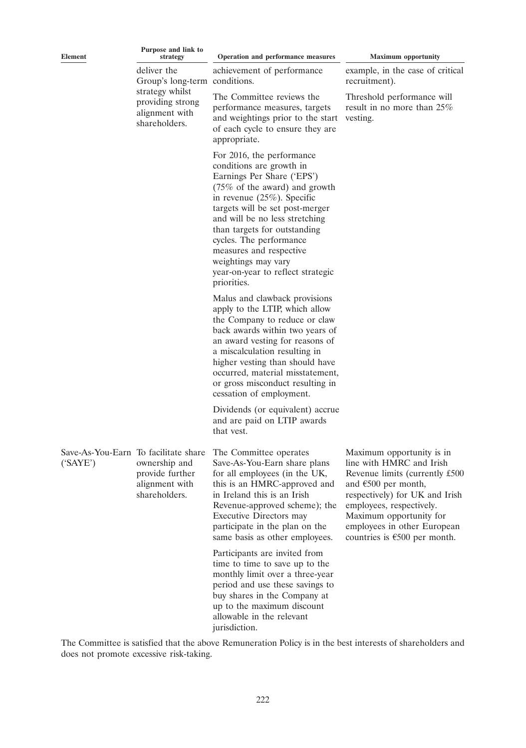| <b>Element</b> | Purpose and link to<br>strategy                                                                                        | Operation and performance measures                                                                                                                                                                                                                                                                                                                                                                      | <b>Maximum</b> opportunity                                                                                                                                                                                                                                                                 |
|----------------|------------------------------------------------------------------------------------------------------------------------|---------------------------------------------------------------------------------------------------------------------------------------------------------------------------------------------------------------------------------------------------------------------------------------------------------------------------------------------------------------------------------------------------------|--------------------------------------------------------------------------------------------------------------------------------------------------------------------------------------------------------------------------------------------------------------------------------------------|
|                | deliver the<br>Group's long-term conditions.<br>strategy whilst<br>providing strong<br>alignment with<br>shareholders. | achievement of performance                                                                                                                                                                                                                                                                                                                                                                              | example, in the case of critical<br>recruitment).                                                                                                                                                                                                                                          |
|                |                                                                                                                        | The Committee reviews the<br>performance measures, targets<br>and weightings prior to the start<br>of each cycle to ensure they are<br>appropriate.                                                                                                                                                                                                                                                     | Threshold performance will<br>result in no more than 25%<br>vesting.                                                                                                                                                                                                                       |
|                |                                                                                                                        | For 2016, the performance<br>conditions are growth in<br>Earnings Per Share ('EPS')<br>$(75\% \text{ of the award})$ and growth<br>in revenue $(25\%)$ . Specific<br>targets will be set post-merger<br>and will be no less stretching<br>than targets for outstanding<br>cycles. The performance<br>measures and respective<br>weightings may vary<br>year-on-year to reflect strategic<br>priorities. |                                                                                                                                                                                                                                                                                            |
|                |                                                                                                                        | Malus and clawback provisions<br>apply to the LTIP, which allow<br>the Company to reduce or claw<br>back awards within two years of<br>an award vesting for reasons of<br>a miscalculation resulting in<br>higher vesting than should have<br>occurred, material misstatement,<br>or gross misconduct resulting in<br>cessation of employment.                                                          |                                                                                                                                                                                                                                                                                            |
|                |                                                                                                                        | Dividends (or equivalent) accrue<br>and are paid on LTIP awards<br>that vest.                                                                                                                                                                                                                                                                                                                           |                                                                                                                                                                                                                                                                                            |
| (SAYE')        | Save-As-You-Earn To facilitate share<br>ownership and<br>provide further<br>alignment with<br>shareholders.            | The Committee operates<br>Save-As-You-Earn share plans<br>for all employees (in the UK,<br>this is an HMRC-approved and<br>in Ireland this is an Irish<br>Revenue-approved scheme); the<br>Executive Directors may<br>participate in the plan on the<br>same basis as other employees.                                                                                                                  | Maximum opportunity is in<br>line with HMRC and Irish<br>Revenue limits (currently £500<br>and $\epsilon$ 500 per month,<br>respectively) for UK and Irish<br>employees, respectively.<br>Maximum opportunity for<br>employees in other European<br>countries is $\epsilon$ 500 per month. |
|                |                                                                                                                        | Participants are invited from<br>time to time to save up to the<br>monthly limit over a three-year<br>period and use these savings to<br>buy shares in the Company at<br>up to the maximum discount<br>allowable in the relevant<br>jurisdiction.                                                                                                                                                       |                                                                                                                                                                                                                                                                                            |

The Committee is satisfied that the above Remuneration Policy is in the best interests of shareholders and does not promote excessive risk-taking.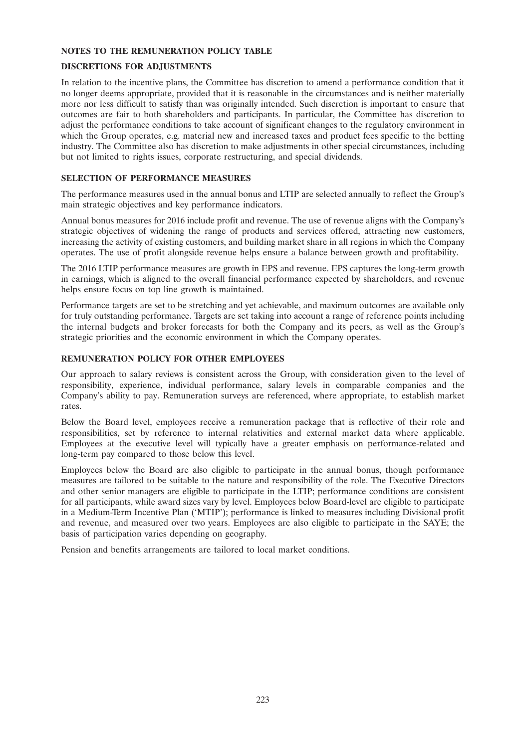### **NOTES TO THE REMUNERATION POLICY TABLE**

### **DISCRETIONS FOR ADJUSTMENTS**

In relation to the incentive plans, the Committee has discretion to amend a performance condition that it no longer deems appropriate, provided that it is reasonable in the circumstances and is neither materially more nor less difficult to satisfy than was originally intended. Such discretion is important to ensure that outcomes are fair to both shareholders and participants. In particular, the Committee has discretion to adjust the performance conditions to take account of significant changes to the regulatory environment in which the Group operates, e.g. material new and increased taxes and product fees specific to the betting industry. The Committee also has discretion to make adjustments in other special circumstances, including but not limited to rights issues, corporate restructuring, and special dividends.

## **SELECTION OF PERFORMANCE MEASURES**

The performance measures used in the annual bonus and LTIP are selected annually to reflect the Group's main strategic objectives and key performance indicators.

Annual bonus measures for 2016 include profit and revenue. The use of revenue aligns with the Company's strategic objectives of widening the range of products and services offered, attracting new customers, increasing the activity of existing customers, and building market share in all regions in which the Company operates. The use of profit alongside revenue helps ensure a balance between growth and profitability.

The 2016 LTIP performance measures are growth in EPS and revenue. EPS captures the long-term growth in earnings, which is aligned to the overall financial performance expected by shareholders, and revenue helps ensure focus on top line growth is maintained.

Performance targets are set to be stretching and yet achievable, and maximum outcomes are available only for truly outstanding performance. Targets are set taking into account a range of reference points including the internal budgets and broker forecasts for both the Company and its peers, as well as the Group's strategic priorities and the economic environment in which the Company operates.

## **REMUNERATION POLICY FOR OTHER EMPLOYEES**

Our approach to salary reviews is consistent across the Group, with consideration given to the level of responsibility, experience, individual performance, salary levels in comparable companies and the Company's ability to pay. Remuneration surveys are referenced, where appropriate, to establish market rates.

Below the Board level, employees receive a remuneration package that is reflective of their role and responsibilities, set by reference to internal relativities and external market data where applicable. Employees at the executive level will typically have a greater emphasis on performance-related and long-term pay compared to those below this level.

Employees below the Board are also eligible to participate in the annual bonus, though performance measures are tailored to be suitable to the nature and responsibility of the role. The Executive Directors and other senior managers are eligible to participate in the LTIP; performance conditions are consistent for all participants, while award sizes vary by level. Employees below Board-level are eligible to participate in a Medium-Term Incentive Plan ('MTIP'); performance is linked to measures including Divisional profit and revenue, and measured over two years. Employees are also eligible to participate in the SAYE; the basis of participation varies depending on geography.

Pension and benefits arrangements are tailored to local market conditions.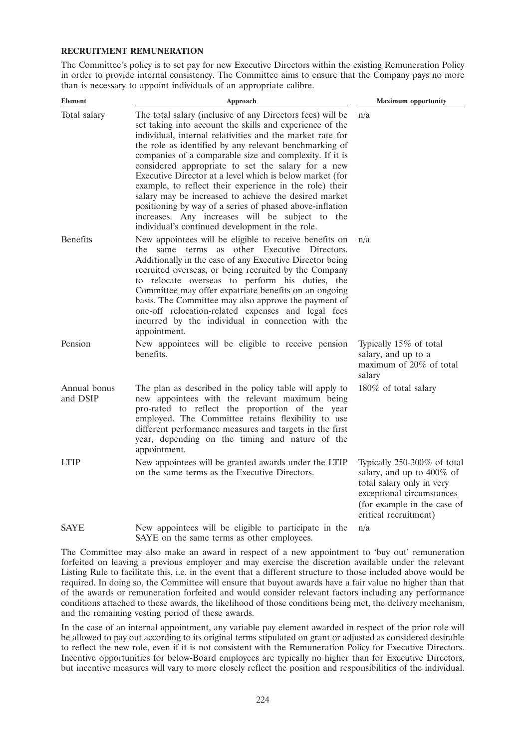#### **RECRUITMENT REMUNERATION**

The Committee's policy is to set pay for new Executive Directors within the existing Remuneration Policy in order to provide internal consistency. The Committee aims to ensure that the Company pays no more than is necessary to appoint individuals of an appropriate calibre.

| <b>Element</b>           | Approach                                                                                                                                                                                                                                                                                                                                                                                                                                                                                                                                                                                                                                                                                                         | <b>Maximum</b> opportunity                                                                                                                                                 |
|--------------------------|------------------------------------------------------------------------------------------------------------------------------------------------------------------------------------------------------------------------------------------------------------------------------------------------------------------------------------------------------------------------------------------------------------------------------------------------------------------------------------------------------------------------------------------------------------------------------------------------------------------------------------------------------------------------------------------------------------------|----------------------------------------------------------------------------------------------------------------------------------------------------------------------------|
| Total salary             | The total salary (inclusive of any Directors fees) will be<br>set taking into account the skills and experience of the<br>individual, internal relativities and the market rate for<br>the role as identified by any relevant benchmarking of<br>companies of a comparable size and complexity. If it is<br>considered appropriate to set the salary for a new<br>Executive Director at a level which is below market (for<br>example, to reflect their experience in the role) their<br>salary may be increased to achieve the desired market<br>positioning by way of a series of phased above-inflation<br>increases. Any increases will be subject to the<br>individual's continued development in the role. | n/a                                                                                                                                                                        |
| <b>Benefits</b>          | New appointees will be eligible to receive benefits on<br>the same terms as other Executive Directors.<br>Additionally in the case of any Executive Director being<br>recruited overseas, or being recruited by the Company<br>to relocate overseas to perform his duties, the<br>Committee may offer expatriate benefits on an ongoing<br>basis. The Committee may also approve the payment of<br>one-off relocation-related expenses and legal fees<br>incurred by the individual in connection with the<br>appointment.                                                                                                                                                                                       | n/a                                                                                                                                                                        |
| Pension                  | New appointees will be eligible to receive pension<br>benefits.                                                                                                                                                                                                                                                                                                                                                                                                                                                                                                                                                                                                                                                  | Typically 15% of total<br>salary, and up to a<br>maximum of 20% of total<br>salary                                                                                         |
| Annual bonus<br>and DSIP | The plan as described in the policy table will apply to<br>new appointees with the relevant maximum being<br>pro-rated to reflect the proportion of the year<br>employed. The Committee retains flexibility to use<br>different performance measures and targets in the first<br>year, depending on the timing and nature of the<br>appointment.                                                                                                                                                                                                                                                                                                                                                                 | 180% of total salary                                                                                                                                                       |
| LTIP                     | New appointees will be granted awards under the LTIP<br>on the same terms as the Executive Directors.                                                                                                                                                                                                                                                                                                                                                                                                                                                                                                                                                                                                            | Typically 250-300% of total<br>salary, and up to 400% of<br>total salary only in very<br>exceptional circumstances<br>(for example in the case of<br>critical recruitment) |
| <b>SAYE</b>              | New appointees will be eligible to participate in the<br>SAYE on the same terms as other employees.                                                                                                                                                                                                                                                                                                                                                                                                                                                                                                                                                                                                              | n/a                                                                                                                                                                        |

The Committee may also make an award in respect of a new appointment to 'buy out' remuneration forfeited on leaving a previous employer and may exercise the discretion available under the relevant Listing Rule to facilitate this, i.e. in the event that a different structure to those included above would be required. In doing so, the Committee will ensure that buyout awards have a fair value no higher than that of the awards or remuneration forfeited and would consider relevant factors including any performance conditions attached to these awards, the likelihood of those conditions being met, the delivery mechanism, and the remaining vesting period of these awards.

In the case of an internal appointment, any variable pay element awarded in respect of the prior role will be allowed to pay out according to its original terms stipulated on grant or adjusted as considered desirable to reflect the new role, even if it is not consistent with the Remuneration Policy for Executive Directors. Incentive opportunities for below-Board employees are typically no higher than for Executive Directors, but incentive measures will vary to more closely reflect the position and responsibilities of the individual.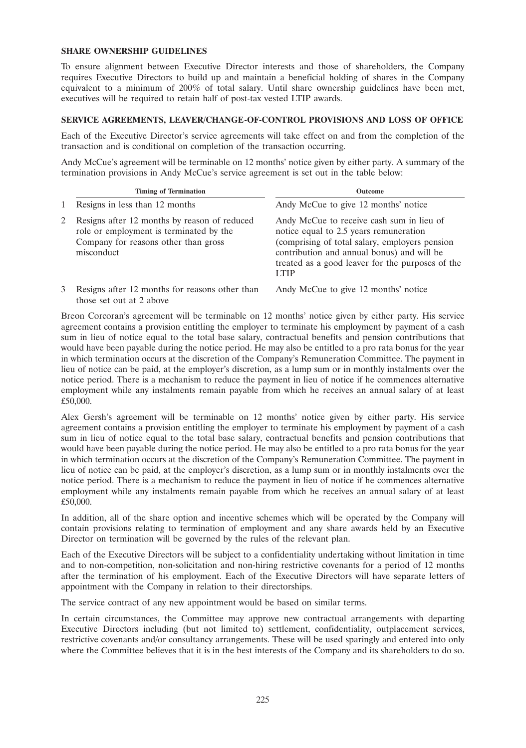### **SHARE OWNERSHIP GUIDELINES**

To ensure alignment between Executive Director interests and those of shareholders, the Company requires Executive Directors to build up and maintain a beneficial holding of shares in the Company equivalent to a minimum of 200% of total salary. Until share ownership guidelines have been met, executives will be required to retain half of post-tax vested LTIP awards.

## **SERVICE AGREEMENTS, LEAVER/CHANGE-OF-CONTROL PROVISIONS AND LOSS OF OFFICE**

Each of the Executive Director's service agreements will take effect on and from the completion of the transaction and is conditional on completion of the transaction occurring.

Andy McCue's agreement will be terminable on 12 months' notice given by either party. A summary of the termination provisions in Andy McCue's service agreement is set out in the table below:

|   | <b>Timing of Termination</b>                                                                                                                  | <b>Outcome</b>                                                                                                                                                                                                                                         |
|---|-----------------------------------------------------------------------------------------------------------------------------------------------|--------------------------------------------------------------------------------------------------------------------------------------------------------------------------------------------------------------------------------------------------------|
|   | Resigns in less than 12 months                                                                                                                | Andy McCue to give 12 months' notice                                                                                                                                                                                                                   |
|   | Resigns after 12 months by reason of reduced<br>role or employment is terminated by the<br>Company for reasons other than gross<br>misconduct | Andy McCue to receive cash sum in lieu of<br>notice equal to 2.5 years remuneration<br>(comprising of total salary, employers pension<br>contribution and annual bonus) and will be<br>treated as a good leaver for the purposes of the<br><b>LTIP</b> |
| 3 | Resigns after 12 months for reasons other than<br>those set out at 2 above                                                                    | Andy McCue to give 12 months' notice                                                                                                                                                                                                                   |

Breon Corcoran's agreement will be terminable on 12 months' notice given by either party. His service agreement contains a provision entitling the employer to terminate his employment by payment of a cash sum in lieu of notice equal to the total base salary, contractual benefits and pension contributions that would have been payable during the notice period. He may also be entitled to a pro rata bonus for the year in which termination occurs at the discretion of the Company's Remuneration Committee. The payment in lieu of notice can be paid, at the employer's discretion, as a lump sum or in monthly instalments over the notice period. There is a mechanism to reduce the payment in lieu of notice if he commences alternative employment while any instalments remain payable from which he receives an annual salary of at least £50,000.

Alex Gersh's agreement will be terminable on 12 months' notice given by either party. His service agreement contains a provision entitling the employer to terminate his employment by payment of a cash sum in lieu of notice equal to the total base salary, contractual benefits and pension contributions that would have been payable during the notice period. He may also be entitled to a pro rata bonus for the year in which termination occurs at the discretion of the Company's Remuneration Committee. The payment in lieu of notice can be paid, at the employer's discretion, as a lump sum or in monthly instalments over the notice period. There is a mechanism to reduce the payment in lieu of notice if he commences alternative employment while any instalments remain payable from which he receives an annual salary of at least £50,000.

In addition, all of the share option and incentive schemes which will be operated by the Company will contain provisions relating to termination of employment and any share awards held by an Executive Director on termination will be governed by the rules of the relevant plan.

Each of the Executive Directors will be subject to a confidentiality undertaking without limitation in time and to non-competition, non-solicitation and non-hiring restrictive covenants for a period of 12 months after the termination of his employment. Each of the Executive Directors will have separate letters of appointment with the Company in relation to their directorships.

The service contract of any new appointment would be based on similar terms.

In certain circumstances, the Committee may approve new contractual arrangements with departing Executive Directors including (but not limited to) settlement, confidentiality, outplacement services, restrictive covenants and/or consultancy arrangements. These will be used sparingly and entered into only where the Committee believes that it is in the best interests of the Company and its shareholders to do so.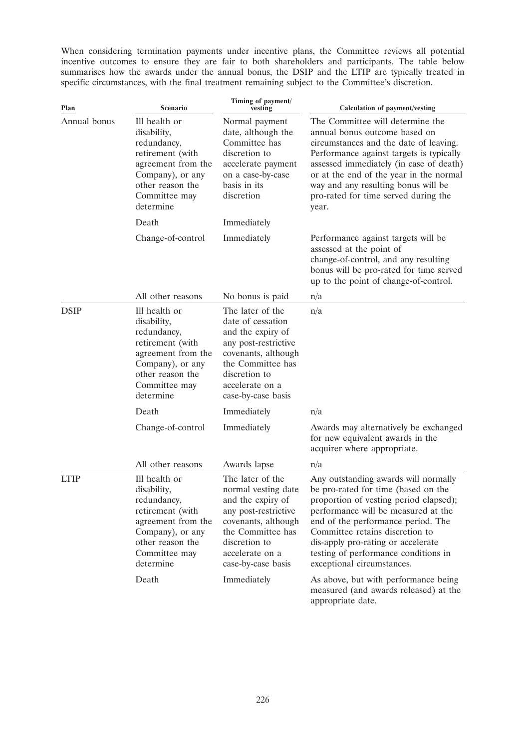When considering termination payments under incentive plans, the Committee reviews all potential incentive outcomes to ensure they are fair to both shareholders and participants. The table below summarises how the awards under the annual bonus, the DSIP and the LTIP are typically treated in specific circumstances, with the final treatment remaining subject to the Committee's discretion.

| Plan         | <b>Scenario</b>                                                                                                                                             | Timing of payment/<br>vesting                                                                                                                                                              | <b>Calculation of payment/vesting</b>                                                                                                                                                                                                                                                                                                             |
|--------------|-------------------------------------------------------------------------------------------------------------------------------------------------------------|--------------------------------------------------------------------------------------------------------------------------------------------------------------------------------------------|---------------------------------------------------------------------------------------------------------------------------------------------------------------------------------------------------------------------------------------------------------------------------------------------------------------------------------------------------|
| Annual bonus | Ill health or<br>disability,<br>redundancy,<br>retirement (with<br>agreement from the<br>Company), or any<br>other reason the<br>Committee may<br>determine | Normal payment<br>date, although the<br>Committee has<br>discretion to<br>accelerate payment<br>on a case-by-case<br>basis in its<br>discretion                                            | The Committee will determine the<br>annual bonus outcome based on<br>circumstances and the date of leaving.<br>Performance against targets is typically<br>assessed immediately (in case of death)<br>or at the end of the year in the normal<br>way and any resulting bonus will be<br>pro-rated for time served during the<br>year.             |
|              | Death                                                                                                                                                       | Immediately                                                                                                                                                                                |                                                                                                                                                                                                                                                                                                                                                   |
|              | Change-of-control                                                                                                                                           | Immediately                                                                                                                                                                                | Performance against targets will be<br>assessed at the point of<br>change-of-control, and any resulting<br>bonus will be pro-rated for time served<br>up to the point of change-of-control.                                                                                                                                                       |
|              | All other reasons                                                                                                                                           | No bonus is paid                                                                                                                                                                           | n/a                                                                                                                                                                                                                                                                                                                                               |
| <b>DSIP</b>  | Ill health or<br>disability,<br>redundancy,<br>retirement (with<br>agreement from the<br>Company), or any<br>other reason the<br>Committee may<br>determine | The later of the<br>date of cessation<br>and the expiry of<br>any post-restrictive<br>covenants, although<br>the Committee has<br>discretion to<br>accelerate on a<br>case-by-case basis   | n/a                                                                                                                                                                                                                                                                                                                                               |
|              | Death                                                                                                                                                       | Immediately                                                                                                                                                                                | n/a                                                                                                                                                                                                                                                                                                                                               |
|              | Change-of-control                                                                                                                                           | Immediately                                                                                                                                                                                | Awards may alternatively be exchanged<br>for new equivalent awards in the<br>acquirer where appropriate.                                                                                                                                                                                                                                          |
|              | All other reasons                                                                                                                                           | Awards lapse                                                                                                                                                                               | n/a                                                                                                                                                                                                                                                                                                                                               |
| <b>LTIP</b>  | Ill health or<br>disability,<br>redundancy,<br>retirement (with<br>agreement from the<br>Company), or any<br>other reason the<br>Committee may<br>determine | The later of the<br>normal vesting date<br>and the expiry of<br>any post-restrictive<br>covenants, although<br>the Committee has<br>discretion to<br>accelerate on a<br>case-by-case basis | Any outstanding awards will normally<br>be pro-rated for time (based on the<br>proportion of vesting period elapsed);<br>performance will be measured at the<br>end of the performance period. The<br>Committee retains discretion to<br>dis-apply pro-rating or accelerate<br>testing of performance conditions in<br>exceptional circumstances. |
|              | Death                                                                                                                                                       | Immediately                                                                                                                                                                                | As above, but with performance being<br>measured (and awards released) at the<br>appropriate date.                                                                                                                                                                                                                                                |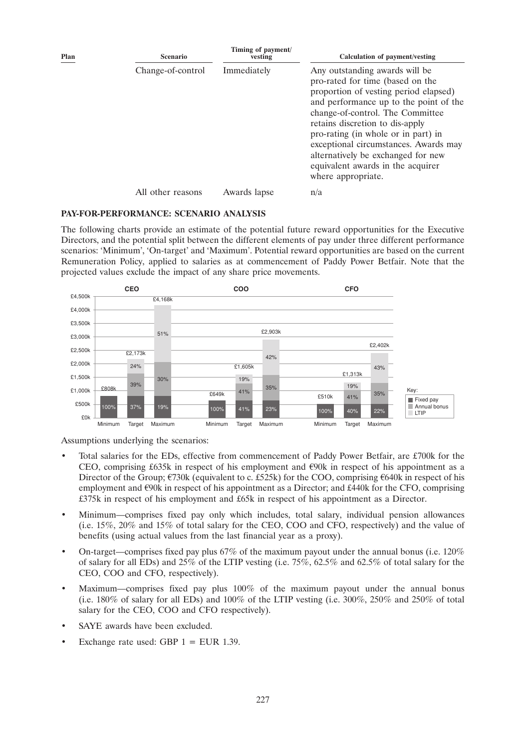| Plan | <b>Scenario</b>   | Timing of payment/<br>vesting | Calculation of payment/vesting                                                                                                                                                                                                                                                                                                                                                                                |
|------|-------------------|-------------------------------|---------------------------------------------------------------------------------------------------------------------------------------------------------------------------------------------------------------------------------------------------------------------------------------------------------------------------------------------------------------------------------------------------------------|
|      | Change-of-control | Immediately                   | Any outstanding awards will be<br>pro-rated for time (based on the<br>proportion of vesting period elapsed)<br>and performance up to the point of the<br>change-of-control. The Committee<br>retains discretion to dis-apply<br>pro-rating (in whole or in part) in<br>exceptional circumstances. Awards may<br>alternatively be exchanged for new<br>equivalent awards in the acquirer<br>where appropriate. |
|      | All other reasons | Awards lapse                  | n/a                                                                                                                                                                                                                                                                                                                                                                                                           |

#### **PAY-FOR-PERFORMANCE: SCENARIO ANALYSIS**

The following charts provide an estimate of the potential future reward opportunities for the Executive Directors, and the potential split between the different elements of pay under three different performance scenarios: 'Minimum', 'On-target' and 'Maximum'. Potential reward opportunities are based on the current Remuneration Policy, applied to salaries as at commencement of Paddy Power Betfair. Note that the projected values exclude the impact of any share price movements.



Assumptions underlying the scenarios:

- Total salaries for the EDs, effective from commencement of Paddy Power Betfair, are £700k for the CEO, comprising £635k in respect of his employment and  $\epsilon$ 90k in respect of his appointment as a Director of the Group;  $\epsilon$ 730k (equivalent to c. £525k) for the COO, comprising  $\epsilon$ 640k in respect of his employment and  $\epsilon$ 90k in respect of his appointment as a Director; and £440k for the CFO, comprising £375k in respect of his employment and £65k in respect of his appointment as a Director.
- Minimum—comprises fixed pay only which includes, total salary, individual pension allowances (i.e. 15%, 20% and 15% of total salary for the CEO, COO and CFO, respectively) and the value of benefits (using actual values from the last financial year as a proxy).
- On-target—comprises fixed pay plus 67% of the maximum payout under the annual bonus (i.e. 120% of salary for all EDs) and 25% of the LTIP vesting (i.e. 75%, 62.5% and 62.5% of total salary for the CEO, COO and CFO, respectively).
- Maximum—comprises fixed pay plus 100% of the maximum payout under the annual bonus (i.e. 180% of salary for all EDs) and 100% of the LTIP vesting (i.e. 300%, 250% and 250% of total salary for the CEO, COO and CFO respectively).
- SAYE awards have been excluded.
- Exchange rate used: GBP  $1 = EUR$  1.39.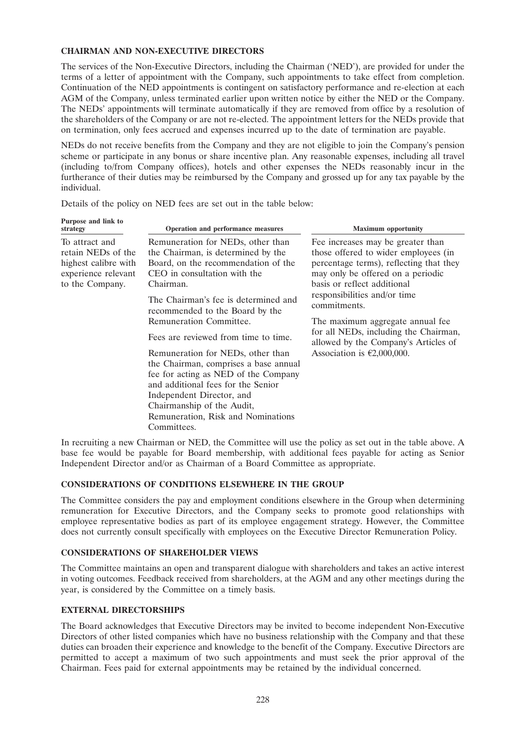### **CHAIRMAN AND NON-EXECUTIVE DIRECTORS**

The services of the Non-Executive Directors, including the Chairman ('NED'), are provided for under the terms of a letter of appointment with the Company, such appointments to take effect from completion. Continuation of the NED appointments is contingent on satisfactory performance and re-election at each AGM of the Company, unless terminated earlier upon written notice by either the NED or the Company. The NEDs' appointments will terminate automatically if they are removed from office by a resolution of the shareholders of the Company or are not re-elected. The appointment letters for the NEDs provide that on termination, only fees accrued and expenses incurred up to the date of termination are payable.

NEDs do not receive benefits from the Company and they are not eligible to join the Company's pension scheme or participate in any bonus or share incentive plan. Any reasonable expenses, including all travel (including to/from Company offices), hotels and other expenses the NEDs reasonably incur in the furtherance of their duties may be reimbursed by the Company and grossed up for any tax payable by the individual.

Details of the policy on NED fees are set out in the table below:

| Purpose and link to<br>strategy                                                                        | Operation and performance measures                                                                                                                                                                                                                                                                                                                                                                                                                                                                                                                                                    | <b>Maximum</b> opportunity                                                                                                                                                                                                                                                                                                                                                                            |
|--------------------------------------------------------------------------------------------------------|---------------------------------------------------------------------------------------------------------------------------------------------------------------------------------------------------------------------------------------------------------------------------------------------------------------------------------------------------------------------------------------------------------------------------------------------------------------------------------------------------------------------------------------------------------------------------------------|-------------------------------------------------------------------------------------------------------------------------------------------------------------------------------------------------------------------------------------------------------------------------------------------------------------------------------------------------------------------------------------------------------|
| To attract and<br>retain NEDs of the<br>highest calibre with<br>experience relevant<br>to the Company. | Remuneration for NEDs, other than<br>the Chairman, is determined by the<br>Board, on the recommendation of the<br>CEO in consultation with the<br>Chairman.<br>The Chairman's fee is determined and<br>recommended to the Board by the<br>Remuneration Committee.<br>Fees are reviewed from time to time.<br>Remuneration for NEDs, other than<br>the Chairman, comprises a base annual<br>fee for acting as NED of the Company<br>and additional fees for the Senior<br>Independent Director, and<br>Chairmanship of the Audit,<br>Remuneration, Risk and Nominations<br>Committees. | Fee increases may be greater than<br>those offered to wider employees (in<br>percentage terms), reflecting that they<br>may only be offered on a periodic<br>basis or reflect additional<br>responsibilities and/or time<br>commitments.<br>The maximum aggregate annual fee<br>for all NEDs, including the Chairman,<br>allowed by the Company's Articles of<br>Association is $\epsilon$ 2,000,000. |

In recruiting a new Chairman or NED, the Committee will use the policy as set out in the table above. A base fee would be payable for Board membership, with additional fees payable for acting as Senior Independent Director and/or as Chairman of a Board Committee as appropriate.

# **CONSIDERATIONS OF CONDITIONS ELSEWHERE IN THE GROUP**

The Committee considers the pay and employment conditions elsewhere in the Group when determining remuneration for Executive Directors, and the Company seeks to promote good relationships with employee representative bodies as part of its employee engagement strategy. However, the Committee does not currently consult specifically with employees on the Executive Director Remuneration Policy.

# **CONSIDERATIONS OF SHAREHOLDER VIEWS**

The Committee maintains an open and transparent dialogue with shareholders and takes an active interest in voting outcomes. Feedback received from shareholders, at the AGM and any other meetings during the year, is considered by the Committee on a timely basis.

# **EXTERNAL DIRECTORSHIPS**

The Board acknowledges that Executive Directors may be invited to become independent Non-Executive Directors of other listed companies which have no business relationship with the Company and that these duties can broaden their experience and knowledge to the benefit of the Company. Executive Directors are permitted to accept a maximum of two such appointments and must seek the prior approval of the Chairman. Fees paid for external appointments may be retained by the individual concerned.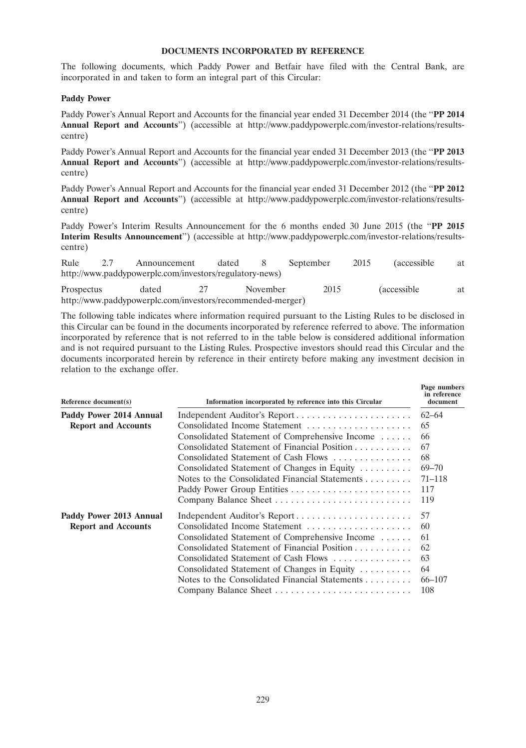## **DOCUMENTS INCORPORATED BY REFERENCE**

The following documents, which Paddy Power and Betfair have filed with the Central Bank, are incorporated in and taken to form an integral part of this Circular:

### **Paddy Power**

Paddy Power's Annual Report and Accounts for the financial year ended 31 December 2014 (the ''**PP 2014 Annual Report and Accounts**'') (accessible at http://www.paddypowerplc.com/investor-relations/resultscentre)

Paddy Power's Annual Report and Accounts for the financial year ended 31 December 2013 (the ''**PP 2013 Annual Report and Accounts**'') (accessible at http://www.paddypowerplc.com/investor-relations/resultscentre)

Paddy Power's Annual Report and Accounts for the financial year ended 31 December 2012 (the ''**PP 2012 Annual Report and Accounts**'') (accessible at http://www.paddypowerplc.com/investor-relations/resultscentre)

Paddy Power's Interim Results Announcement for the 6 months ended 30 June 2015 (the ''**PP 2015 Interim Results Announcement**'') (accessible at http://www.paddypowerplc.com/investor-relations/resultscentre)

| Rule       | Announcement                                            | dated    | September | 2015 | <i>(accessible)</i> | at |
|------------|---------------------------------------------------------|----------|-----------|------|---------------------|----|
|            | http://www.paddypowerplc.com/investors/regulatory-news) |          |           |      |                     |    |
| Prospectus | dated                                                   | November | 2015      |      | <i>(accessible)</i> | at |

http://www.paddypowerplc.com/investors/recommended-merger)

The following table indicates where information required pursuant to the Listing Rules to be disclosed in this Circular can be found in the documents incorporated by reference referred to above. The information incorporated by reference that is not referred to in the table below is considered additional information and is not required pursuant to the Listing Rules. Prospective investors should read this Circular and the documents incorporated herein by reference in their entirety before making any investment decision in relation to the exchange offer.

| Reference $document(s)$    | Information incorporated by reference into this Circular     | Page numbers<br>in reference<br>document |  |
|----------------------------|--------------------------------------------------------------|------------------------------------------|--|
| Paddy Power 2014 Annual    |                                                              | $62 - 64$                                |  |
| <b>Report and Accounts</b> | Consolidated Income Statement                                | 65                                       |  |
|                            | Consolidated Statement of Comprehensive Income               | 66                                       |  |
|                            | Consolidated Statement of Financial Position                 | 67                                       |  |
|                            | Consolidated Statement of Cash Flows                         | 68                                       |  |
|                            | Consolidated Statement of Changes in Equity                  | $69 - 70$                                |  |
|                            | Notes to the Consolidated Financial Statements               | $71 - 118$                               |  |
|                            |                                                              | 117                                      |  |
|                            |                                                              | 119                                      |  |
| Paddy Power 2013 Annual    |                                                              | 57                                       |  |
| <b>Report and Accounts</b> | Consolidated Income Statement                                | 60                                       |  |
|                            | Consolidated Statement of Comprehensive Income               | 61                                       |  |
|                            | Consolidated Statement of Financial Position                 | 62                                       |  |
|                            | Consolidated Statement of Cash Flows                         | 63                                       |  |
|                            | Consolidated Statement of Changes in Equity                  | 64                                       |  |
|                            | Notes to the Consolidated Financial Statements $\dots \dots$ | 66–107                                   |  |
|                            |                                                              | 108                                      |  |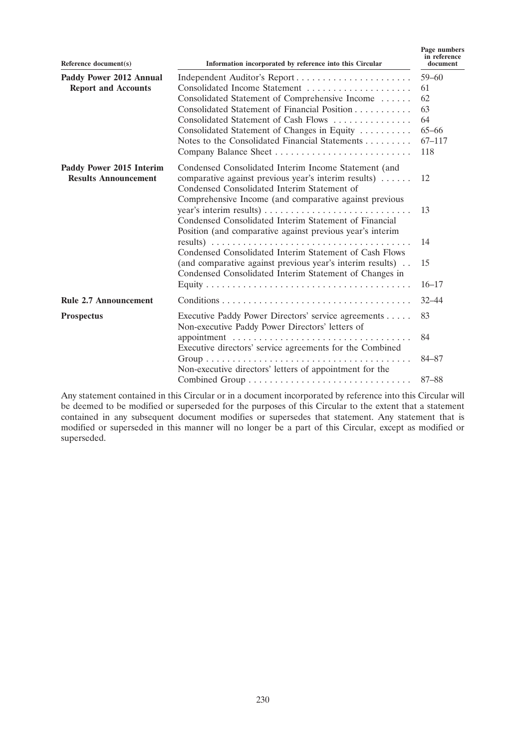| Reference $document(s)$                                 | Information incorporated by reference into this Circular                                                                                                    | Page numbers<br>in reference<br>document |  |
|---------------------------------------------------------|-------------------------------------------------------------------------------------------------------------------------------------------------------------|------------------------------------------|--|
| Paddy Power 2012 Annual                                 |                                                                                                                                                             |                                          |  |
| <b>Report and Accounts</b>                              | Consolidated Income Statement                                                                                                                               | 61                                       |  |
|                                                         | Consolidated Statement of Comprehensive Income                                                                                                              | 62                                       |  |
|                                                         | Consolidated Statement of Financial Position                                                                                                                | 63                                       |  |
|                                                         | Consolidated Statement of Cash Flows                                                                                                                        | 64                                       |  |
|                                                         | Consolidated Statement of Changes in Equity                                                                                                                 | $65 - 66$                                |  |
|                                                         | Notes to the Consolidated Financial Statements                                                                                                              | $67 - 117$                               |  |
|                                                         |                                                                                                                                                             | 118                                      |  |
| Paddy Power 2015 Interim<br><b>Results Announcement</b> | Condensed Consolidated Interim Income Statement (and<br>comparative against previous year's interim results)<br>Condensed Consolidated Interim Statement of | 12                                       |  |
|                                                         | Comprehensive Income (and comparative against previous<br>Condensed Consolidated Interim Statement of Financial                                             | 13                                       |  |
|                                                         | Position (and comparative against previous year's interim<br>Condensed Consolidated Interim Statement of Cash Flows                                         | 14                                       |  |
|                                                         | (and comparative against previous year's interim results)<br>Condensed Consolidated Interim Statement of Changes in                                         | 15                                       |  |
|                                                         |                                                                                                                                                             | $16 - 17$                                |  |
| <b>Rule 2.7 Announcement</b>                            |                                                                                                                                                             | $32 - 44$                                |  |
| <b>Prospectus</b>                                       | Executive Paddy Power Directors' service agreements<br>Non-executive Paddy Power Directors' letters of                                                      | 83                                       |  |
|                                                         | Executive directors' service agreements for the Combined                                                                                                    | 84                                       |  |
|                                                         | Non-executive directors' letters of appointment for the                                                                                                     | $84 - 87$                                |  |
|                                                         |                                                                                                                                                             | $87 - 88$                                |  |

Any statement contained in this Circular or in a document incorporated by reference into this Circular will be deemed to be modified or superseded for the purposes of this Circular to the extent that a statement contained in any subsequent document modifies or supersedes that statement. Any statement that is modified or superseded in this manner will no longer be a part of this Circular, except as modified or superseded.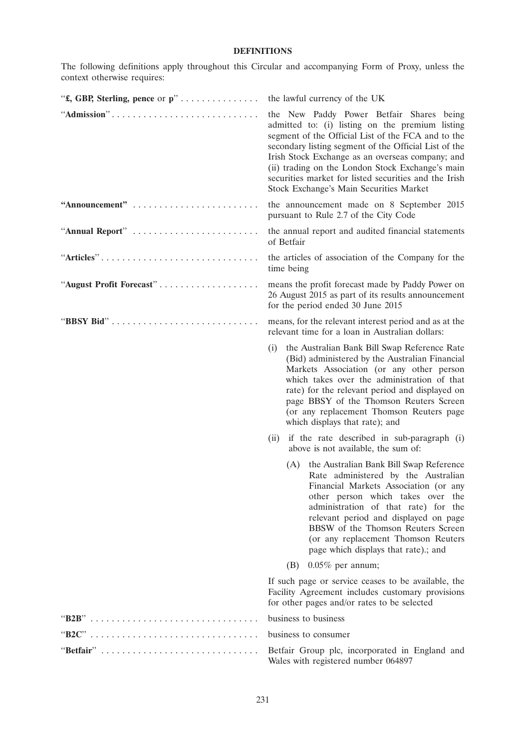# **DEFINITIONS**

The following definitions apply throughout this Circular and accompanying Form of Proxy, unless the context otherwise requires:

| "£, GBP, Sterling, pence or p" | the lawful currency of the UK                                                                                                                                                                                                                                                                                                                                                                                          |
|--------------------------------|------------------------------------------------------------------------------------------------------------------------------------------------------------------------------------------------------------------------------------------------------------------------------------------------------------------------------------------------------------------------------------------------------------------------|
| "Admission"                    | the New Paddy Power Betfair Shares being<br>admitted to: (i) listing on the premium listing<br>segment of the Official List of the FCA and to the<br>secondary listing segment of the Official List of the<br>Irish Stock Exchange as an overseas company; and<br>(ii) trading on the London Stock Exchange's main<br>securities market for listed securities and the Irish<br>Stock Exchange's Main Securities Market |
| "Announcement"                 | the announcement made on 8 September 2015<br>pursuant to Rule 2.7 of the City Code                                                                                                                                                                                                                                                                                                                                     |
| "Annual Report"                | the annual report and audited financial statements<br>of Betfair                                                                                                                                                                                                                                                                                                                                                       |
| "Articles"                     | the articles of association of the Company for the<br>time being                                                                                                                                                                                                                                                                                                                                                       |
| "August Profit Forecast"       | means the profit forecast made by Paddy Power on<br>26 August 2015 as part of its results announcement<br>for the period ended 30 June 2015                                                                                                                                                                                                                                                                            |
| "BBSY Bid"                     | means, for the relevant interest period and as at the<br>relevant time for a loan in Australian dollars:                                                                                                                                                                                                                                                                                                               |
|                                | the Australian Bank Bill Swap Reference Rate<br>(i)<br>(Bid) administered by the Australian Financial<br>Markets Association (or any other person<br>which takes over the administration of that<br>rate) for the relevant period and displayed on<br>page BBSY of the Thomson Reuters Screen<br>(or any replacement Thomson Reuters page<br>which displays that rate); and                                            |
|                                | if the rate described in sub-paragraph (i)<br>(ii)<br>above is not available, the sum of:                                                                                                                                                                                                                                                                                                                              |
|                                | (A) the Australian Bank Bill Swap Reference<br>Rate administered by the Australian<br>Financial Markets Association (or any<br>other person which takes over the<br>administration of that rate) for the<br>relevant period and displayed on page<br>BBSW of the Thomson Reuters Screen<br>(or any replacement Thomson Reuters<br>page which displays that rate).; and                                                 |
|                                | $0.05\%$ per annum;<br>(B)                                                                                                                                                                                                                                                                                                                                                                                             |
|                                | If such page or service ceases to be available, the<br>Facility Agreement includes customary provisions<br>for other pages and/or rates to be selected                                                                                                                                                                                                                                                                 |
|                                | business to business                                                                                                                                                                                                                                                                                                                                                                                                   |
|                                | business to consumer                                                                                                                                                                                                                                                                                                                                                                                                   |
| "Betfair"                      | Betfair Group plc, incorporated in England and<br>Wales with registered number 064897                                                                                                                                                                                                                                                                                                                                  |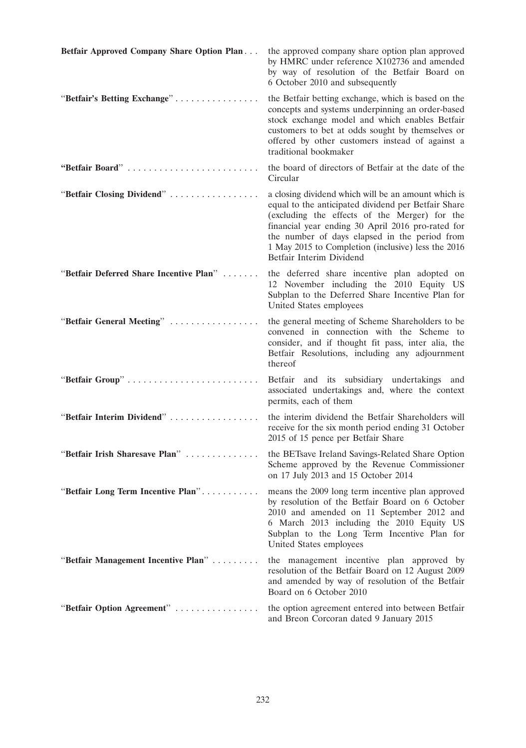| Betfair Approved Company Share Option Plan | the approved company share option plan approved<br>by HMRC under reference X102736 and amended<br>by way of resolution of the Betfair Board on<br>6 October 2010 and subsequently                                                                                                                                                                   |
|--------------------------------------------|-----------------------------------------------------------------------------------------------------------------------------------------------------------------------------------------------------------------------------------------------------------------------------------------------------------------------------------------------------|
| "Betfair's Betting Exchange"               | the Betfair betting exchange, which is based on the<br>concepts and systems underpinning an order-based<br>stock exchange model and which enables Betfair<br>customers to bet at odds sought by themselves or<br>offered by other customers instead of against a<br>traditional bookmaker                                                           |
| "Betfair Board"                            | the board of directors of Betfair at the date of the<br>Circular                                                                                                                                                                                                                                                                                    |
| "Betfair Closing Dividend"                 | a closing dividend which will be an amount which is<br>equal to the anticipated dividend per Betfair Share<br>(excluding the effects of the Merger) for the<br>financial year ending 30 April 2016 pro-rated for<br>the number of days elapsed in the period from<br>1 May 2015 to Completion (inclusive) less the 2016<br>Betfair Interim Dividend |
| "Betfair Deferred Share Incentive Plan"    | the deferred share incentive plan adopted on<br>12 November including the 2010 Equity US<br>Subplan to the Deferred Share Incentive Plan for<br>United States employees                                                                                                                                                                             |
| "Betfair General Meeting"                  | the general meeting of Scheme Shareholders to be<br>convened in connection with the Scheme to<br>consider, and if thought fit pass, inter alia, the<br>Betfair Resolutions, including any adjournment<br>thereof                                                                                                                                    |
| "Betfair Group"                            | Betfair and its subsidiary undertakings and<br>associated undertakings and, where the context<br>permits, each of them                                                                                                                                                                                                                              |
| "Betfair Interim Dividend"                 | the interim dividend the Betfair Shareholders will<br>receive for the six month period ending 31 October<br>2015 of 15 pence per Betfair Share                                                                                                                                                                                                      |
| "Betfair Irish Sharesave Plan"             | the BETsave Ireland Savings-Related Share Option<br>Scheme approved by the Revenue Commissioner<br>on 17 July 2013 and 15 October 2014                                                                                                                                                                                                              |
| "Betfair Long Term Incentive Plan"         | means the 2009 long term incentive plan approved<br>by resolution of the Betfair Board on 6 October<br>2010 and amended on 11 September 2012 and<br>6 March 2013 including the 2010 Equity US<br>Subplan to the Long Term Incentive Plan for<br>United States employees                                                                             |
| "Betfair Management Incentive Plan"        | the management incentive plan approved by<br>resolution of the Betfair Board on 12 August 2009<br>and amended by way of resolution of the Betfair<br>Board on 6 October 2010                                                                                                                                                                        |
| "Betfair Option Agreement"                 | the option agreement entered into between Betfair<br>and Breon Corcoran dated 9 January 2015                                                                                                                                                                                                                                                        |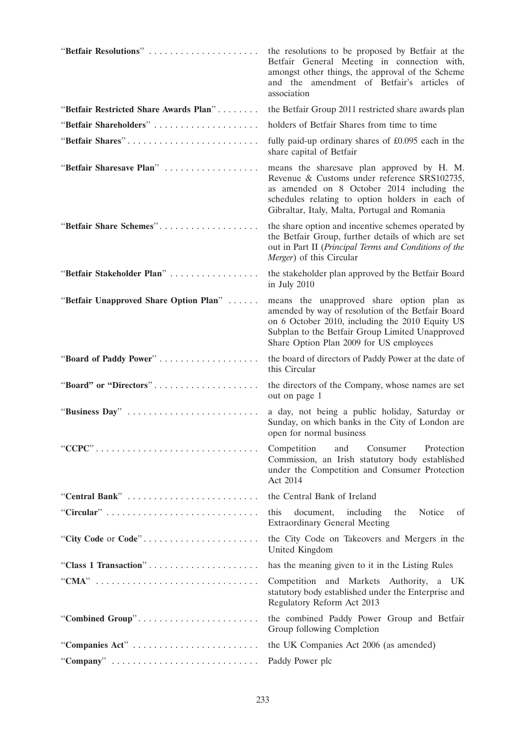| "Betfair Resolutions"                                                             | the resolutions to be proposed by Betfair at the<br>Betfair General Meeting in connection with,<br>amongst other things, the approval of the Scheme<br>and the amendment of Betfair's articles of<br>association                                |
|-----------------------------------------------------------------------------------|-------------------------------------------------------------------------------------------------------------------------------------------------------------------------------------------------------------------------------------------------|
| "Betfair Restricted Share Awards Plan"                                            | the Betfair Group 2011 restricted share awards plan                                                                                                                                                                                             |
| "Betfair Shareholders"                                                            | holders of Betfair Shares from time to time                                                                                                                                                                                                     |
| "Betfair Shares"                                                                  | fully paid-up ordinary shares of $£0.095$ each in the<br>share capital of Betfair                                                                                                                                                               |
| "Betfair Sharesave Plan"                                                          | means the sharesave plan approved by H. M.<br>Revenue & Customs under reference SRS102735,<br>as amended on 8 October 2014 including the<br>schedules relating to option holders in each of<br>Gibraltar, Italy, Malta, Portugal and Romania    |
| "Betfair Share Schemes"                                                           | the share option and incentive schemes operated by<br>the Betfair Group, further details of which are set<br>out in Part II (Principal Terms and Conditions of the<br>Merger) of this Circular                                                  |
| "Betfair Stakeholder Plan"                                                        | the stakeholder plan approved by the Betfair Board<br>in July 2010                                                                                                                                                                              |
| "Betfair Unapproved Share Option Plan"                                            | means the unapproved share option plan as<br>amended by way of resolution of the Betfair Board<br>on 6 October 2010, including the 2010 Equity US<br>Subplan to the Betfair Group Limited Unapproved<br>Share Option Plan 2009 for US employees |
| "Board of Paddy Power"                                                            | the board of directors of Paddy Power at the date of<br>this Circular                                                                                                                                                                           |
| "Board" or "Directors"                                                            | the directors of the Company, whose names are set<br>out on page 1                                                                                                                                                                              |
| "Business Day"                                                                    | a day, not being a public holiday, Saturday or<br>Sunday, on which banks in the City of London are<br>open for normal business                                                                                                                  |
| "CCPC"                                                                            | and<br>Consumer<br>Competition<br>Protection<br>Commission, an Irish statutory body established<br>under the Competition and Consumer Protection<br>Act 2014                                                                                    |
| "Central Bank"                                                                    | the Central Bank of Ireland                                                                                                                                                                                                                     |
| "Circular"                                                                        | this<br>including<br>the<br>Notice<br>document,<br><sub>of</sub><br><b>Extraordinary General Meeting</b>                                                                                                                                        |
| "City Code or Code"                                                               | the City Code on Takeovers and Mergers in the<br>United Kingdom                                                                                                                                                                                 |
| "Class 1 Transaction"                                                             | has the meaning given to it in the Listing Rules                                                                                                                                                                                                |
|                                                                                   | Competition and Markets Authority, a UK<br>statutory body established under the Enterprise and<br>Regulatory Reform Act 2013                                                                                                                    |
| "Combined Group"                                                                  | the combined Paddy Power Group and Betfair<br>Group following Completion                                                                                                                                                                        |
| "Companies Act"                                                                   | the UK Companies Act 2006 (as amended)                                                                                                                                                                                                          |
| "Company" $\ldots \ldots \ldots \ldots \ldots \ldots \ldots \ldots \ldots \ldots$ | Paddy Power plc                                                                                                                                                                                                                                 |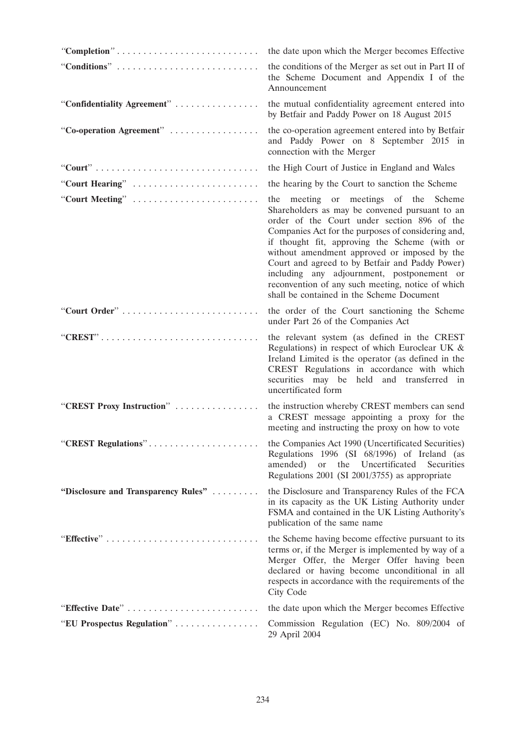| "Completion"                                                                           | the date upon which the Merger becomes Effective                                                                                                                                                                                                                                                                                                                                                                                                                                                 |
|----------------------------------------------------------------------------------------|--------------------------------------------------------------------------------------------------------------------------------------------------------------------------------------------------------------------------------------------------------------------------------------------------------------------------------------------------------------------------------------------------------------------------------------------------------------------------------------------------|
|                                                                                        | the conditions of the Merger as set out in Part II of<br>the Scheme Document and Appendix I of the<br>Announcement                                                                                                                                                                                                                                                                                                                                                                               |
| "Confidentiality Agreement"                                                            | the mutual confidentiality agreement entered into<br>by Betfair and Paddy Power on 18 August 2015                                                                                                                                                                                                                                                                                                                                                                                                |
| "Co-operation Agreement"                                                               | the co-operation agreement entered into by Betfair<br>and Paddy Power on 8 September 2015 in<br>connection with the Merger                                                                                                                                                                                                                                                                                                                                                                       |
|                                                                                        | the High Court of Justice in England and Wales                                                                                                                                                                                                                                                                                                                                                                                                                                                   |
| "Court Hearing"                                                                        | the hearing by the Court to sanction the Scheme                                                                                                                                                                                                                                                                                                                                                                                                                                                  |
| "Court Meeting"                                                                        | the meeting or meetings of the Scheme<br>Shareholders as may be convened pursuant to an<br>order of the Court under section 896 of the<br>Companies Act for the purposes of considering and,<br>if thought fit, approving the Scheme (with or<br>without amendment approved or imposed by the<br>Court and agreed to by Betfair and Paddy Power)<br>including any adjournment, postponement or<br>reconvention of any such meeting, notice of which<br>shall be contained in the Scheme Document |
| "Court Order"                                                                          | the order of the Court sanctioning the Scheme<br>under Part 26 of the Companies Act                                                                                                                                                                                                                                                                                                                                                                                                              |
| $"CREST" \ldots \ldots \ldots \ldots \ldots \ldots \ldots \ldots \ldots \ldots \ldots$ | the relevant system (as defined in the CREST<br>Regulations) in respect of which Euroclear UK $\&$<br>Ireland Limited is the operator (as defined in the<br>CREST Regulations in accordance with which<br>securities may be held and transferred in<br>uncertificated form                                                                                                                                                                                                                       |
| "CREST Proxy Instruction"                                                              | the instruction whereby CREST members can send<br>a CREST message appointing a proxy for the<br>meeting and instructing the proxy on how to vote                                                                                                                                                                                                                                                                                                                                                 |
| "CREST Regulations"                                                                    | the Companies Act 1990 (Uncertificated Securities)<br>Regulations 1996 (SI 68/1996) of Ireland (as<br>the Uncertificated<br>amended)<br>or or<br>Securities<br>Regulations 2001 (SI 2001/3755) as appropriate                                                                                                                                                                                                                                                                                    |
| "Disclosure and Transparency Rules"                                                    | the Disclosure and Transparency Rules of the FCA<br>in its capacity as the UK Listing Authority under<br>FSMA and contained in the UK Listing Authority's<br>publication of the same name                                                                                                                                                                                                                                                                                                        |
|                                                                                        | the Scheme having become effective pursuant to its<br>terms or, if the Merger is implemented by way of a<br>Merger Offer, the Merger Offer having been<br>declared or having become unconditional in all<br>respects in accordance with the requirements of the<br>City Code                                                                                                                                                                                                                     |
| "Effective Date"                                                                       | the date upon which the Merger becomes Effective                                                                                                                                                                                                                                                                                                                                                                                                                                                 |
| "EU Prospectus Regulation"                                                             | Commission Regulation (EC) No. 809/2004 of<br>29 April 2004                                                                                                                                                                                                                                                                                                                                                                                                                                      |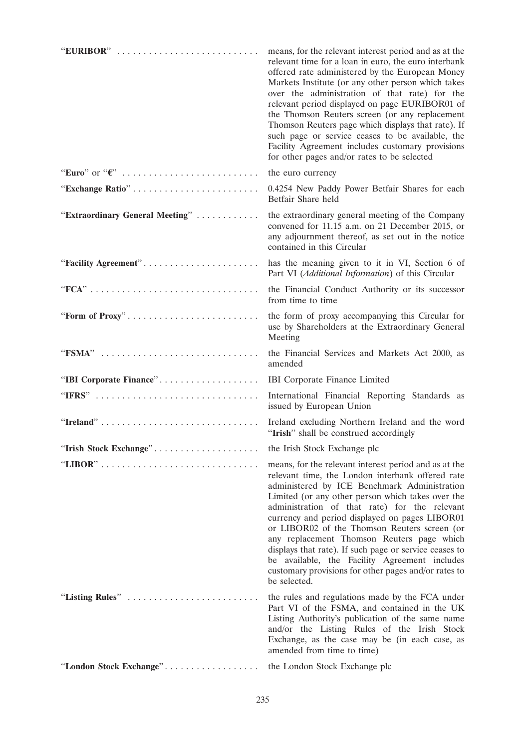| "EURIBOR"                       | means, for the relevant interest period and as at the<br>relevant time for a loan in euro, the euro interbank<br>offered rate administered by the European Money<br>Markets Institute (or any other person which takes<br>over the administration of that rate) for the<br>relevant period displayed on page EURIBOR01 of<br>the Thomson Reuters screen (or any replacement<br>Thomson Reuters page which displays that rate). If<br>such page or service ceases to be available, the<br>Facility Agreement includes customary provisions<br>for other pages and/or rates to be selected           |
|---------------------------------|----------------------------------------------------------------------------------------------------------------------------------------------------------------------------------------------------------------------------------------------------------------------------------------------------------------------------------------------------------------------------------------------------------------------------------------------------------------------------------------------------------------------------------------------------------------------------------------------------|
|                                 | the euro currency                                                                                                                                                                                                                                                                                                                                                                                                                                                                                                                                                                                  |
| "Exchange Ratio"                | 0.4254 New Paddy Power Betfair Shares for each<br>Betfair Share held                                                                                                                                                                                                                                                                                                                                                                                                                                                                                                                               |
| "Extraordinary General Meeting" | the extraordinary general meeting of the Company<br>convened for 11.15 a.m. on 21 December 2015, or<br>any adjournment thereof, as set out in the notice<br>contained in this Circular                                                                                                                                                                                                                                                                                                                                                                                                             |
| "Facility Agreement"            | has the meaning given to it in VI, Section 6 of<br>Part VI (Additional Information) of this Circular                                                                                                                                                                                                                                                                                                                                                                                                                                                                                               |
|                                 | the Financial Conduct Authority or its successor<br>from time to time                                                                                                                                                                                                                                                                                                                                                                                                                                                                                                                              |
| "Form of Proxy"                 | the form of proxy accompanying this Circular for<br>use by Shareholders at the Extraordinary General<br>Meeting                                                                                                                                                                                                                                                                                                                                                                                                                                                                                    |
| "FSMA"                          | the Financial Services and Markets Act 2000, as<br>amended                                                                                                                                                                                                                                                                                                                                                                                                                                                                                                                                         |
| "IBI Corporate Finance"         | <b>IBI</b> Corporate Finance Limited                                                                                                                                                                                                                                                                                                                                                                                                                                                                                                                                                               |
| "IFRS"                          | International Financial Reporting Standards as<br>issued by European Union                                                                                                                                                                                                                                                                                                                                                                                                                                                                                                                         |
| "Ireland"                       | Ireland excluding Northern Ireland and the word<br>"Irish" shall be construed accordingly                                                                                                                                                                                                                                                                                                                                                                                                                                                                                                          |
| "Irish Stock Exchange"          | the Irish Stock Exchange plc                                                                                                                                                                                                                                                                                                                                                                                                                                                                                                                                                                       |
|                                 | means, for the relevant interest period and as at the<br>relevant time, the London interbank offered rate<br>administered by ICE Benchmark Administration<br>Limited (or any other person which takes over the<br>administration of that rate) for the relevant<br>currency and period displayed on pages LIBOR01<br>or LIBOR02 of the Thomson Reuters screen (or<br>any replacement Thomson Reuters page which<br>displays that rate). If such page or service ceases to<br>be available, the Facility Agreement includes<br>customary provisions for other pages and/or rates to<br>be selected. |
| "Listing Rules"                 | the rules and regulations made by the FCA under<br>Part VI of the FSMA, and contained in the UK<br>Listing Authority's publication of the same name<br>and/or the Listing Rules of the Irish Stock<br>Exchange, as the case may be (in each case, as<br>amended from time to time)                                                                                                                                                                                                                                                                                                                 |
| "London Stock Exchange"         | the London Stock Exchange plc                                                                                                                                                                                                                                                                                                                                                                                                                                                                                                                                                                      |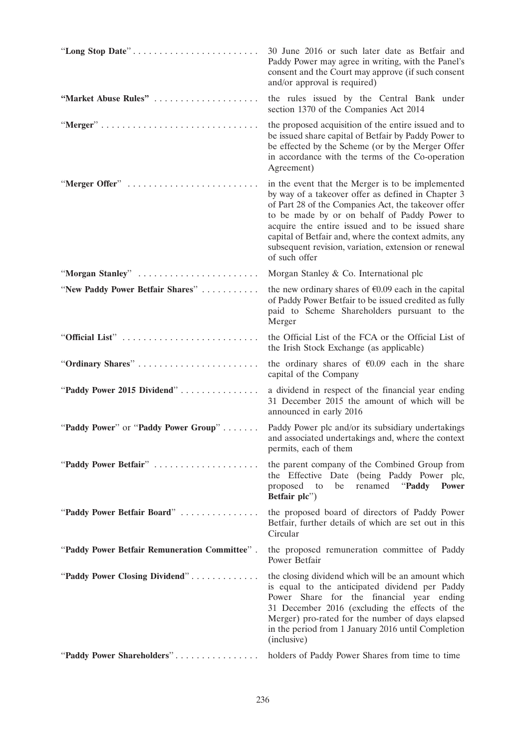| "Long Stop Date"                              | 30 June 2016 or such later date as Betfair and<br>Paddy Power may agree in writing, with the Panel's<br>consent and the Court may approve (if such consent<br>and/or approval is required)                                                                                                                                                                                                           |
|-----------------------------------------------|------------------------------------------------------------------------------------------------------------------------------------------------------------------------------------------------------------------------------------------------------------------------------------------------------------------------------------------------------------------------------------------------------|
| "Market Abuse Rules"                          | the rules issued by the Central Bank under<br>section 1370 of the Companies Act 2014                                                                                                                                                                                                                                                                                                                 |
|                                               | the proposed acquisition of the entire issued and to<br>be issued share capital of Betfair by Paddy Power to<br>be effected by the Scheme (or by the Merger Offer<br>in accordance with the terms of the Co-operation<br>Agreement)                                                                                                                                                                  |
| "Merger Offer"                                | in the event that the Merger is to be implemented<br>by way of a takeover offer as defined in Chapter 3<br>of Part 28 of the Companies Act, the takeover offer<br>to be made by or on behalf of Paddy Power to<br>acquire the entire issued and to be issued share<br>capital of Betfair and, where the context admits, any<br>subsequent revision, variation, extension or renewal<br>of such offer |
| "Morgan Stanley"                              | Morgan Stanley & Co. International plc                                                                                                                                                                                                                                                                                                                                                               |
| "New Paddy Power Betfair Shares"              | the new ordinary shares of $\epsilon$ 0.09 each in the capital<br>of Paddy Power Betfair to be issued credited as fully<br>paid to Scheme Shareholders pursuant to the<br>Merger                                                                                                                                                                                                                     |
|                                               | the Official List of the FCA or the Official List of<br>the Irish Stock Exchange (as applicable)                                                                                                                                                                                                                                                                                                     |
| "Ordinary Shares"                             | the ordinary shares of $\epsilon 0.09$ each in the share<br>capital of the Company                                                                                                                                                                                                                                                                                                                   |
| "Paddy Power 2015 Dividend"                   | a dividend in respect of the financial year ending<br>31 December 2015 the amount of which will be<br>announced in early 2016                                                                                                                                                                                                                                                                        |
| "Paddy Power" or "Paddy Power Group"          | Paddy Power plc and/or its subsidiary undertakings<br>and associated undertakings and, where the context<br>permits, each of them                                                                                                                                                                                                                                                                    |
| "Paddy Power Betfair"                         | the parent company of the Combined Group from<br>the Effective Date (being Paddy Power plc,<br>renamed "Paddy"<br>proposed<br>to<br>be<br><b>Power</b><br>Betfair plc")                                                                                                                                                                                                                              |
| "Paddy Power Betfair Board"                   | the proposed board of directors of Paddy Power<br>Betfair, further details of which are set out in this<br>Circular                                                                                                                                                                                                                                                                                  |
| "Paddy Power Betfair Remuneration Committee". | the proposed remuneration committee of Paddy<br>Power Betfair                                                                                                                                                                                                                                                                                                                                        |
| "Paddy Power Closing Dividend"                | the closing dividend which will be an amount which<br>is equal to the anticipated dividend per Paddy<br>Power Share for the financial year ending<br>31 December 2016 (excluding the effects of the<br>Merger) pro-rated for the number of days elapsed<br>in the period from 1 January 2016 until Completion<br>(inclusive)                                                                         |
| "Paddy Power Shareholders"                    | holders of Paddy Power Shares from time to time                                                                                                                                                                                                                                                                                                                                                      |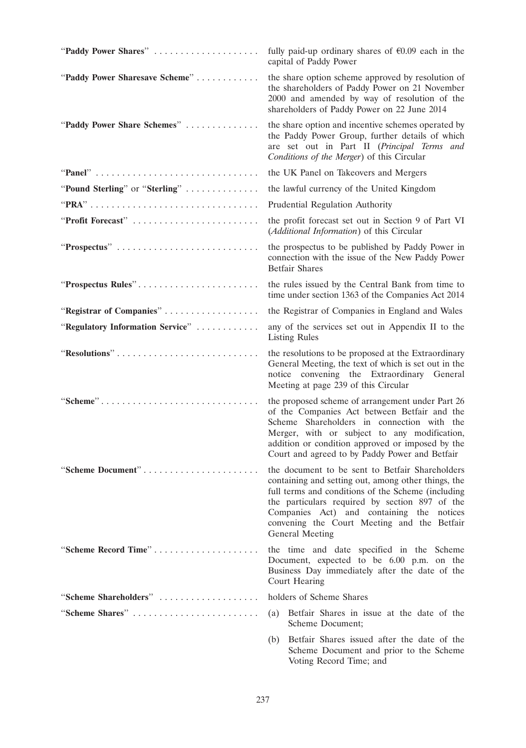| "Paddy Power Shares"             | fully paid-up ordinary shares of $\epsilon 0.09$ each in the<br>capital of Paddy Power                                                                                                                                                                                                                                        |
|----------------------------------|-------------------------------------------------------------------------------------------------------------------------------------------------------------------------------------------------------------------------------------------------------------------------------------------------------------------------------|
| "Paddy Power Sharesave Scheme"   | the share option scheme approved by resolution of<br>the shareholders of Paddy Power on 21 November<br>2000 and amended by way of resolution of the<br>shareholders of Paddy Power on 22 June 2014                                                                                                                            |
| "Paddy Power Share Schemes"      | the share option and incentive schemes operated by<br>the Paddy Power Group, further details of which<br>are set out in Part II (Principal Terms and<br>Conditions of the Merger) of this Circular                                                                                                                            |
|                                  | the UK Panel on Takeovers and Mergers                                                                                                                                                                                                                                                                                         |
| "Pound Sterling" or "Sterling"   | the lawful currency of the United Kingdom                                                                                                                                                                                                                                                                                     |
|                                  | Prudential Regulation Authority                                                                                                                                                                                                                                                                                               |
| "Profit Forecast"                | the profit forecast set out in Section 9 of Part VI<br>(Additional Information) of this Circular                                                                                                                                                                                                                              |
| "Prospectus"                     | the prospectus to be published by Paddy Power in<br>connection with the issue of the New Paddy Power<br><b>Betfair Shares</b>                                                                                                                                                                                                 |
| "Prospectus Rules"               | the rules issued by the Central Bank from time to<br>time under section 1363 of the Companies Act 2014                                                                                                                                                                                                                        |
| "Registrar of Companies"         | the Registrar of Companies in England and Wales                                                                                                                                                                                                                                                                               |
| "Regulatory Information Service" | any of the services set out in Appendix II to the<br><b>Listing Rules</b>                                                                                                                                                                                                                                                     |
| "Resolutions"                    | the resolutions to be proposed at the Extraordinary<br>General Meeting, the text of which is set out in the<br>notice convening the Extraordinary General<br>Meeting at page 239 of this Circular                                                                                                                             |
| "Scheme"                         | the proposed scheme of arrangement under Part 26<br>of the Companies Act between Betfair and the<br>Scheme Shareholders in connection with the<br>Merger, with or subject to any modification,<br>addition or condition approved or imposed by the<br>Court and agreed to by Paddy Power and Betfair                          |
| "Scheme Document"                | the document to be sent to Betfair Shareholders<br>containing and setting out, among other things, the<br>full terms and conditions of the Scheme (including<br>the particulars required by section 897 of the<br>Companies Act) and containing the notices<br>convening the Court Meeting and the Betfair<br>General Meeting |
| "Scheme Record Time"             | the time and date specified in the Scheme<br>Document, expected to be 6.00 p.m. on the<br>Business Day immediately after the date of the<br>Court Hearing                                                                                                                                                                     |
| "Scheme Shareholders"            | holders of Scheme Shares                                                                                                                                                                                                                                                                                                      |
| "Scheme Shares"                  | Betfair Shares in issue at the date of the<br>(a)<br>Scheme Document;                                                                                                                                                                                                                                                         |
|                                  | Betfair Shares issued after the date of the<br>(b)<br>Scheme Document and prior to the Scheme                                                                                                                                                                                                                                 |

Voting Record Time; and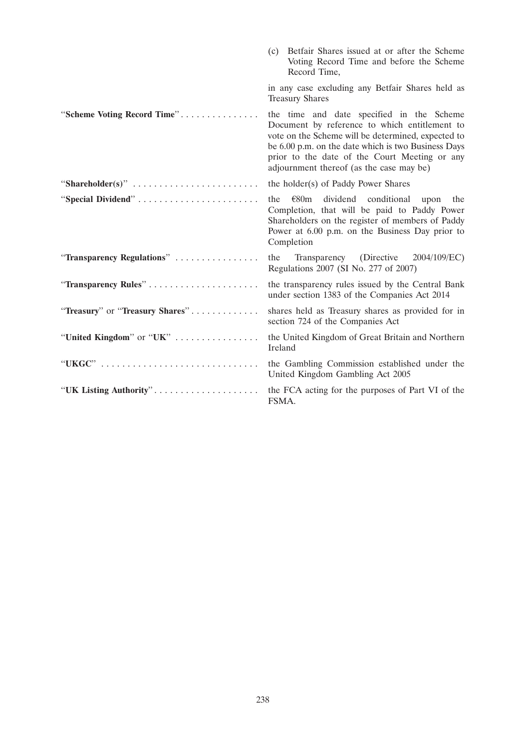|                                 | (c) Betfair Shares issued at or after the Scheme<br>Voting Record Time and before the Scheme<br>Record Time,                                                                                                                                                                                         |
|---------------------------------|------------------------------------------------------------------------------------------------------------------------------------------------------------------------------------------------------------------------------------------------------------------------------------------------------|
|                                 | in any case excluding any Betfair Shares held as<br><b>Treasury Shares</b>                                                                                                                                                                                                                           |
| "Scheme Voting Record Time"     | the time and date specified in the Scheme<br>Document by reference to which entitlement to<br>vote on the Scheme will be determined, expected to<br>be 6.00 p.m. on the date which is two Business Days<br>prior to the date of the Court Meeting or any<br>adjournment thereof (as the case may be) |
| "Shareholder(s)"                | the holder(s) of Paddy Power Shares                                                                                                                                                                                                                                                                  |
|                                 | dividend conditional<br>$\varepsilon$ 80m<br>the<br>upon<br>the<br>Completion, that will be paid to Paddy Power<br>Shareholders on the register of members of Paddy<br>Power at 6.00 p.m. on the Business Day prior to<br>Completion                                                                 |
| "Transparency Regulations"      | Transparency (Directive 2004/109/EC)<br>the<br>Regulations 2007 (SI No. 277 of 2007)                                                                                                                                                                                                                 |
|                                 | the transparency rules issued by the Central Bank<br>under section 1383 of the Companies Act 2014                                                                                                                                                                                                    |
| "Treasury" or "Treasury Shares" | shares held as Treasury shares as provided for in<br>section 724 of the Companies Act                                                                                                                                                                                                                |
| "United Kingdom" or "UK"        | the United Kingdom of Great Britain and Northern<br>Ireland                                                                                                                                                                                                                                          |
|                                 | the Gambling Commission established under the<br>United Kingdom Gambling Act 2005                                                                                                                                                                                                                    |
| "UK Listing Authority"          | the FCA acting for the purposes of Part VI of the<br>FSMA.                                                                                                                                                                                                                                           |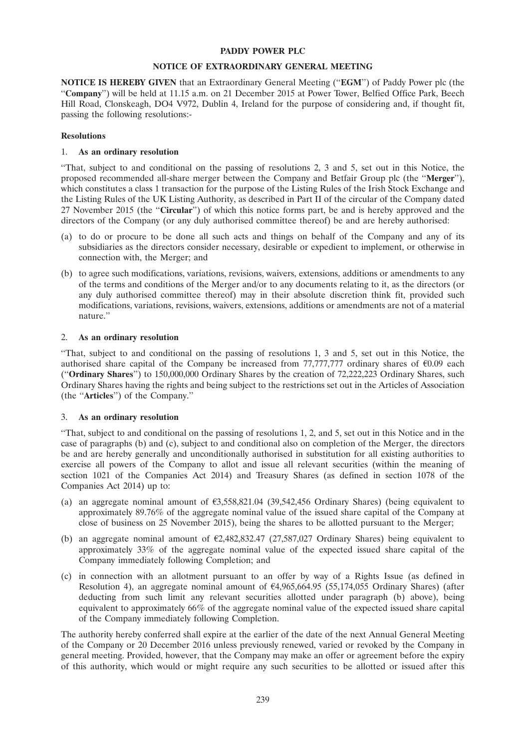#### **PADDY POWER PLC**

#### **NOTICE OF EXTRAORDINARY GENERAL MEETING**

**NOTICE IS HEREBY GIVEN** that an Extraordinary General Meeting (''**EGM**'') of Paddy Power plc (the ''**Company**'') will be held at 11.15 a.m. on 21 December 2015 at Power Tower, Belfied Office Park, Beech Hill Road, Clonskeagh, DO4 V972, Dublin 4, Ireland for the purpose of considering and, if thought fit, passing the following resolutions:-

#### **Resolutions**

#### 1. **As an ordinary resolution**

''That, subject to and conditional on the passing of resolutions 2, 3 and 5, set out in this Notice, the proposed recommended all-share merger between the Company and Betfair Group plc (the ''**Merger**''), which constitutes a class 1 transaction for the purpose of the Listing Rules of the Irish Stock Exchange and the Listing Rules of the UK Listing Authority, as described in Part II of the circular of the Company dated 27 November 2015 (the ''**Circular**'') of which this notice forms part, be and is hereby approved and the directors of the Company (or any duly authorised committee thereof) be and are hereby authorised:

- (a) to do or procure to be done all such acts and things on behalf of the Company and any of its subsidiaries as the directors consider necessary, desirable or expedient to implement, or otherwise in connection with, the Merger; and
- (b) to agree such modifications, variations, revisions, waivers, extensions, additions or amendments to any of the terms and conditions of the Merger and/or to any documents relating to it, as the directors (or any duly authorised committee thereof) may in their absolute discretion think fit, provided such modifications, variations, revisions, waivers, extensions, additions or amendments are not of a material nature.''

### 2. **As an ordinary resolution**

''That, subject to and conditional on the passing of resolutions 1, 3 and 5, set out in this Notice, the authorised share capital of the Company be increased from 77,777,777 ordinary shares of  $\epsilon 0.09$  each (''**Ordinary Shares**'') to 150,000,000 Ordinary Shares by the creation of 72,222,223 Ordinary Shares, such Ordinary Shares having the rights and being subject to the restrictions set out in the Articles of Association (the ''**Articles**'') of the Company.''

### 3. **As an ordinary resolution**

''That, subject to and conditional on the passing of resolutions 1, 2, and 5, set out in this Notice and in the case of paragraphs (b) and (c), subject to and conditional also on completion of the Merger, the directors be and are hereby generally and unconditionally authorised in substitution for all existing authorities to exercise all powers of the Company to allot and issue all relevant securities (within the meaning of section 1021 of the Companies Act 2014) and Treasury Shares (as defined in section 1078 of the Companies Act 2014) up to:

- (a) an aggregate nominal amount of  $\epsilon$ 3,558,821.04 (39,542,456 Ordinary Shares) (being equivalent to approximately 89.76% of the aggregate nominal value of the issued share capital of the Company at close of business on 25 November 2015), being the shares to be allotted pursuant to the Merger;
- (b) an aggregate nominal amount of  $\epsilon$ 2,482,832.47 (27,587,027 Ordinary Shares) being equivalent to approximately 33% of the aggregate nominal value of the expected issued share capital of the Company immediately following Completion; and
- (c) in connection with an allotment pursuant to an offer by way of a Rights Issue (as defined in Resolution 4), an aggregate nominal amount of  $64,965,664.95$  (55,174,055 Ordinary Shares) (after deducting from such limit any relevant securities allotted under paragraph (b) above), being equivalent to approximately 66% of the aggregate nominal value of the expected issued share capital of the Company immediately following Completion.

The authority hereby conferred shall expire at the earlier of the date of the next Annual General Meeting of the Company or 20 December 2016 unless previously renewed, varied or revoked by the Company in general meeting. Provided, however, that the Company may make an offer or agreement before the expiry of this authority, which would or might require any such securities to be allotted or issued after this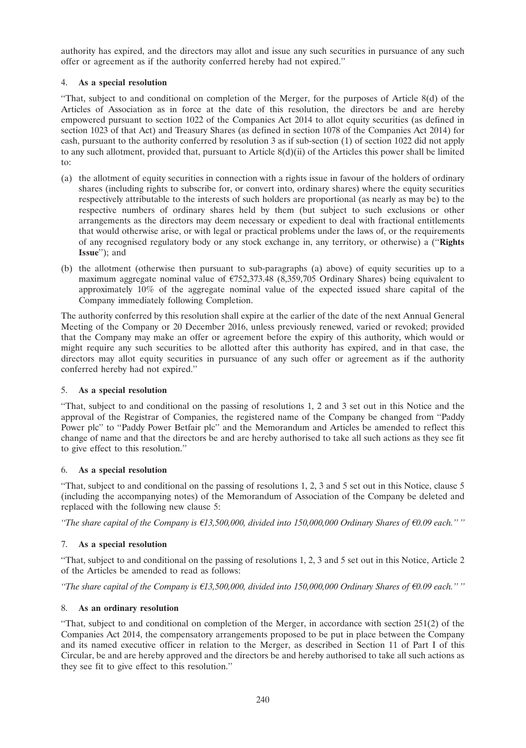authority has expired, and the directors may allot and issue any such securities in pursuance of any such offer or agreement as if the authority conferred hereby had not expired.''

## 4. **As a special resolution**

''That, subject to and conditional on completion of the Merger, for the purposes of Article 8(d) of the Articles of Association as in force at the date of this resolution, the directors be and are hereby empowered pursuant to section 1022 of the Companies Act 2014 to allot equity securities (as defined in section 1023 of that Act) and Treasury Shares (as defined in section 1078 of the Companies Act 2014) for cash, pursuant to the authority conferred by resolution 3 as if sub-section (1) of section 1022 did not apply to any such allotment, provided that, pursuant to Article 8(d)(ii) of the Articles this power shall be limited to:

- (a) the allotment of equity securities in connection with a rights issue in favour of the holders of ordinary shares (including rights to subscribe for, or convert into, ordinary shares) where the equity securities respectively attributable to the interests of such holders are proportional (as nearly as may be) to the respective numbers of ordinary shares held by them (but subject to such exclusions or other arrangements as the directors may deem necessary or expedient to deal with fractional entitlements that would otherwise arise, or with legal or practical problems under the laws of, or the requirements of any recognised regulatory body or any stock exchange in, any territory, or otherwise) a (''**Rights Issue**''); and
- (b) the allotment (otherwise then pursuant to sub-paragraphs (a) above) of equity securities up to a maximum aggregate nominal value of  $\epsilon$ 752,373.48 (8,359,705 Ordinary Shares) being equivalent to approximately 10% of the aggregate nominal value of the expected issued share capital of the Company immediately following Completion.

The authority conferred by this resolution shall expire at the earlier of the date of the next Annual General Meeting of the Company or 20 December 2016, unless previously renewed, varied or revoked; provided that the Company may make an offer or agreement before the expiry of this authority, which would or might require any such securities to be allotted after this authority has expired, and in that case, the directors may allot equity securities in pursuance of any such offer or agreement as if the authority conferred hereby had not expired.''

# 5. **As a special resolution**

''That, subject to and conditional on the passing of resolutions 1, 2 and 3 set out in this Notice and the approval of the Registrar of Companies, the registered name of the Company be changed from ''Paddy Power plc" to "Paddy Power Betfair plc" and the Memorandum and Articles be amended to reflect this change of name and that the directors be and are hereby authorised to take all such actions as they see fit to give effect to this resolution.''

### 6. **As a special resolution**

''That, subject to and conditional on the passing of resolutions 1, 2, 3 and 5 set out in this Notice, clause 5 (including the accompanying notes) of the Memorandum of Association of the Company be deleted and replaced with the following new clause 5:

*''The share capital of the Company is*  $\epsilon$ 13,500,000, divided into 150,000,000 Ordinary Shares of  $\epsilon$ 0.09 each.'' "

# 7. **As a special resolution**

''That, subject to and conditional on the passing of resolutions 1, 2, 3 and 5 set out in this Notice, Article 2 of the Articles be amended to read as follows:

*''The share capital of the Company is*  $\epsilon$ 13,500,000, divided into 150,000,000 Ordinary Shares of  $\epsilon$ 0.09 each." "

### 8. **As an ordinary resolution**

''That, subject to and conditional on completion of the Merger, in accordance with section 251(2) of the Companies Act 2014, the compensatory arrangements proposed to be put in place between the Company and its named executive officer in relation to the Merger, as described in Section 11 of Part I of this Circular, be and are hereby approved and the directors be and hereby authorised to take all such actions as they see fit to give effect to this resolution.''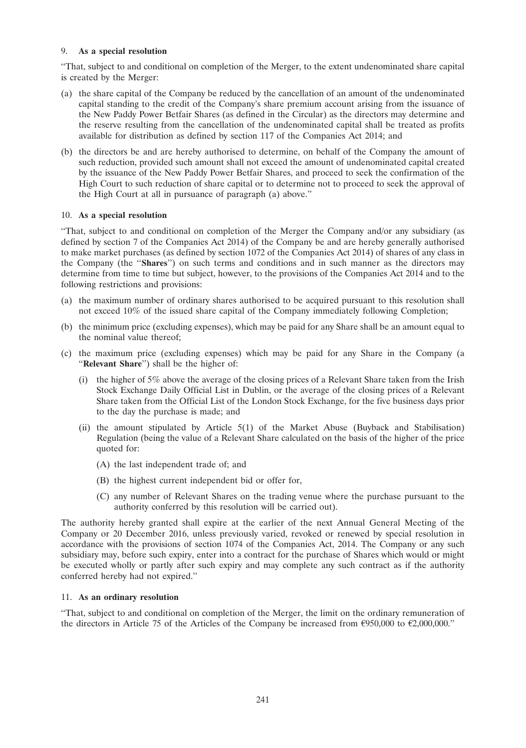### 9. **As a special resolution**

''That, subject to and conditional on completion of the Merger, to the extent undenominated share capital is created by the Merger:

- (a) the share capital of the Company be reduced by the cancellation of an amount of the undenominated capital standing to the credit of the Company's share premium account arising from the issuance of the New Paddy Power Betfair Shares (as defined in the Circular) as the directors may determine and the reserve resulting from the cancellation of the undenominated capital shall be treated as profits available for distribution as defined by section 117 of the Companies Act 2014; and
- (b) the directors be and are hereby authorised to determine, on behalf of the Company the amount of such reduction, provided such amount shall not exceed the amount of undenominated capital created by the issuance of the New Paddy Power Betfair Shares, and proceed to seek the confirmation of the High Court to such reduction of share capital or to determine not to proceed to seek the approval of the High Court at all in pursuance of paragraph (a) above.''

## 10. **As a special resolution**

''That, subject to and conditional on completion of the Merger the Company and/or any subsidiary (as defined by section 7 of the Companies Act 2014) of the Company be and are hereby generally authorised to make market purchases (as defined by section 1072 of the Companies Act 2014) of shares of any class in the Company (the ''**Shares**'') on such terms and conditions and in such manner as the directors may determine from time to time but subject, however, to the provisions of the Companies Act 2014 and to the following restrictions and provisions:

- (a) the maximum number of ordinary shares authorised to be acquired pursuant to this resolution shall not exceed 10% of the issued share capital of the Company immediately following Completion;
- (b) the minimum price (excluding expenses), which may be paid for any Share shall be an amount equal to the nominal value thereof;
- (c) the maximum price (excluding expenses) which may be paid for any Share in the Company (a ''**Relevant Share**'') shall be the higher of:
	- (i) the higher of 5% above the average of the closing prices of a Relevant Share taken from the Irish Stock Exchange Daily Official List in Dublin, or the average of the closing prices of a Relevant Share taken from the Official List of the London Stock Exchange, for the five business days prior to the day the purchase is made; and
	- (ii) the amount stipulated by Article 5(1) of the Market Abuse (Buyback and Stabilisation) Regulation (being the value of a Relevant Share calculated on the basis of the higher of the price quoted for:
		- (A) the last independent trade of; and
		- (B) the highest current independent bid or offer for,
		- (C) any number of Relevant Shares on the trading venue where the purchase pursuant to the authority conferred by this resolution will be carried out).

The authority hereby granted shall expire at the earlier of the next Annual General Meeting of the Company or 20 December 2016, unless previously varied, revoked or renewed by special resolution in accordance with the provisions of section 1074 of the Companies Act, 2014. The Company or any such subsidiary may, before such expiry, enter into a contract for the purchase of Shares which would or might be executed wholly or partly after such expiry and may complete any such contract as if the authority conferred hereby had not expired.''

# 11. **As an ordinary resolution**

''That, subject to and conditional on completion of the Merger, the limit on the ordinary remuneration of the directors in Article 75 of the Articles of the Company be increased from  $\epsilon$ 950,000 to  $\epsilon$ 2,000,000."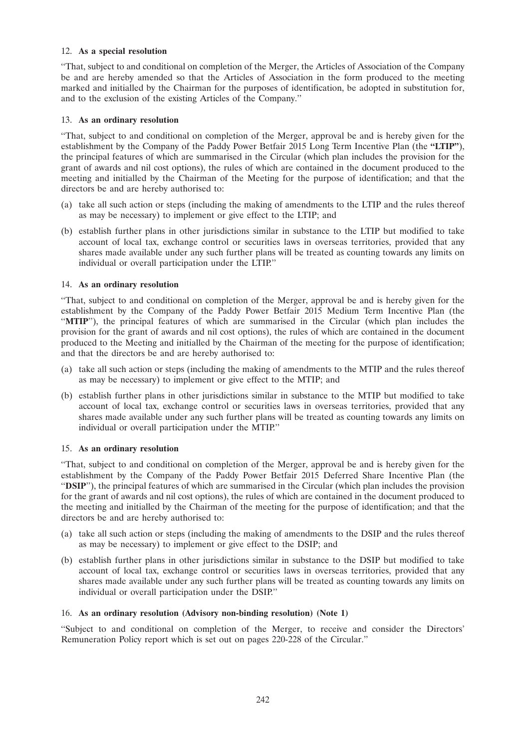### 12. **As a special resolution**

''That, subject to and conditional on completion of the Merger, the Articles of Association of the Company be and are hereby amended so that the Articles of Association in the form produced to the meeting marked and initialled by the Chairman for the purposes of identification, be adopted in substitution for, and to the exclusion of the existing Articles of the Company.''

## 13. **As an ordinary resolution**

''That, subject to and conditional on completion of the Merger, approval be and is hereby given for the establishment by the Company of the Paddy Power Betfair 2015 Long Term Incentive Plan (the **''LTIP''**), the principal features of which are summarised in the Circular (which plan includes the provision for the grant of awards and nil cost options), the rules of which are contained in the document produced to the meeting and initialled by the Chairman of the Meeting for the purpose of identification; and that the directors be and are hereby authorised to:

- (a) take all such action or steps (including the making of amendments to the LTIP and the rules thereof as may be necessary) to implement or give effect to the LTIP; and
- (b) establish further plans in other jurisdictions similar in substance to the LTIP but modified to take account of local tax, exchange control or securities laws in overseas territories, provided that any shares made available under any such further plans will be treated as counting towards any limits on individual or overall participation under the LTIP.''

## 14. **As an ordinary resolution**

''That, subject to and conditional on completion of the Merger, approval be and is hereby given for the establishment by the Company of the Paddy Power Betfair 2015 Medium Term Incentive Plan (the ''**MTIP**''), the principal features of which are summarised in the Circular (which plan includes the provision for the grant of awards and nil cost options), the rules of which are contained in the document produced to the Meeting and initialled by the Chairman of the meeting for the purpose of identification; and that the directors be and are hereby authorised to:

- (a) take all such action or steps (including the making of amendments to the MTIP and the rules thereof as may be necessary) to implement or give effect to the MTIP; and
- (b) establish further plans in other jurisdictions similar in substance to the MTIP but modified to take account of local tax, exchange control or securities laws in overseas territories, provided that any shares made available under any such further plans will be treated as counting towards any limits on individual or overall participation under the MTIP.''

# 15. **As an ordinary resolution**

''That, subject to and conditional on completion of the Merger, approval be and is hereby given for the establishment by the Company of the Paddy Power Betfair 2015 Deferred Share Incentive Plan (the ''**DSIP**''), the principal features of which are summarised in the Circular (which plan includes the provision for the grant of awards and nil cost options), the rules of which are contained in the document produced to the meeting and initialled by the Chairman of the meeting for the purpose of identification; and that the directors be and are hereby authorised to:

- (a) take all such action or steps (including the making of amendments to the DSIP and the rules thereof as may be necessary) to implement or give effect to the DSIP; and
- (b) establish further plans in other jurisdictions similar in substance to the DSIP but modified to take account of local tax, exchange control or securities laws in overseas territories, provided that any shares made available under any such further plans will be treated as counting towards any limits on individual or overall participation under the DSIP.''

# 16. **As an ordinary resolution (Advisory non-binding resolution) (Note 1)**

''Subject to and conditional on completion of the Merger, to receive and consider the Directors' Remuneration Policy report which is set out on pages 220-228 of the Circular.''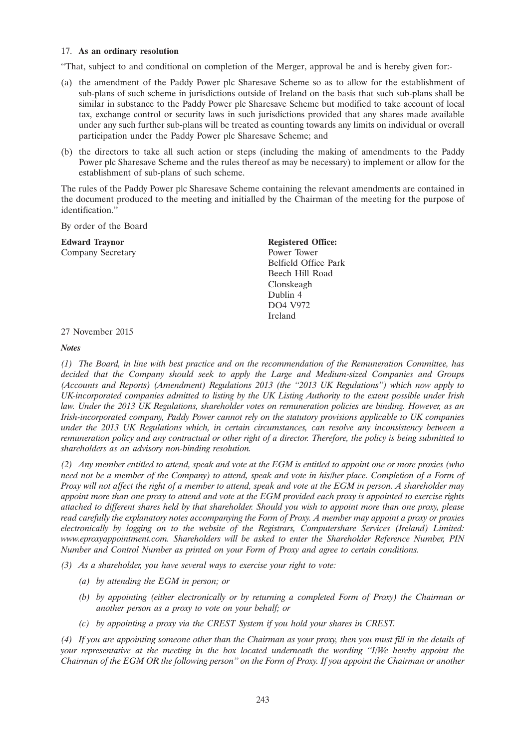#### 17. **As an ordinary resolution**

''That, subject to and conditional on completion of the Merger, approval be and is hereby given for:-

- (a) the amendment of the Paddy Power plc Sharesave Scheme so as to allow for the establishment of sub-plans of such scheme in jurisdictions outside of Ireland on the basis that such sub-plans shall be similar in substance to the Paddy Power plc Sharesave Scheme but modified to take account of local tax, exchange control or security laws in such jurisdictions provided that any shares made available under any such further sub-plans will be treated as counting towards any limits on individual or overall participation under the Paddy Power plc Sharesave Scheme; and
- (b) the directors to take all such action or steps (including the making of amendments to the Paddy Power plc Sharesave Scheme and the rules thereof as may be necessary) to implement or allow for the establishment of sub-plans of such scheme.

The rules of the Paddy Power plc Sharesave Scheme containing the relevant amendments are contained in the document produced to the meeting and initialled by the Chairman of the meeting for the purpose of identification.''

By order of the Board

**Edward Traynor** Registered Office: Company Secretary Power Tower

Belfield Office Park Beech Hill Road Clonskeagh Dublin 4 DO4 V972 Ireland

27 November 2015

#### *Notes*

*(1) The Board, in line with best practice and on the recommendation of the Remuneration Committee, has decided that the Company should seek to apply the Large and Medium-sized Companies and Groups (Accounts and Reports) (Amendment) Regulations 2013 (the ''2013 UK Regulations'') which now apply to UK-incorporated companies admitted to listing by the UK Listing Authority to the extent possible under Irish law. Under the 2013 UK Regulations, shareholder votes on remuneration policies are binding. However, as an Irish-incorporated company, Paddy Power cannot rely on the statutory provisions applicable to UK companies under the 2013 UK Regulations which, in certain circumstances, can resolve any inconsistency between a remuneration policy and any contractual or other right of a director. Therefore, the policy is being submitted to shareholders as an advisory non-binding resolution.*

*(2) Any member entitled to attend, speak and vote at the EGM is entitled to appoint one or more proxies (who need not be a member of the Company) to attend, speak and vote in his/her place. Completion of a Form of Proxy will not affect the right of a member to attend, speak and vote at the EGM in person. A shareholder may appoint more than one proxy to attend and vote at the EGM provided each proxy is appointed to exercise rights attached to different shares held by that shareholder. Should you wish to appoint more than one proxy, please read carefully the explanatory notes accompanying the Form of Proxy. A member may appoint a proxy or proxies electronically by logging on to the website of the Registrars, Computershare Services (Ireland) Limited: www.eproxyappointment.com. Shareholders will be asked to enter the Shareholder Reference Number, PIN Number and Control Number as printed on your Form of Proxy and agree to certain conditions.*

*(3) As a shareholder, you have several ways to exercise your right to vote:*

- *(a) by attending the EGM in person; or*
- *(b) by appointing (either electronically or by returning a completed Form of Proxy) the Chairman or another person as a proxy to vote on your behalf; or*
- *(c) by appointing a proxy via the CREST System if you hold your shares in CREST.*

*(4) If you are appointing someone other than the Chairman as your proxy, then you must fill in the details of your representative at the meeting in the box located underneath the wording ''I/We hereby appoint the Chairman of the EGM OR the following person'' on the Form of Proxy. If you appoint the Chairman or another*